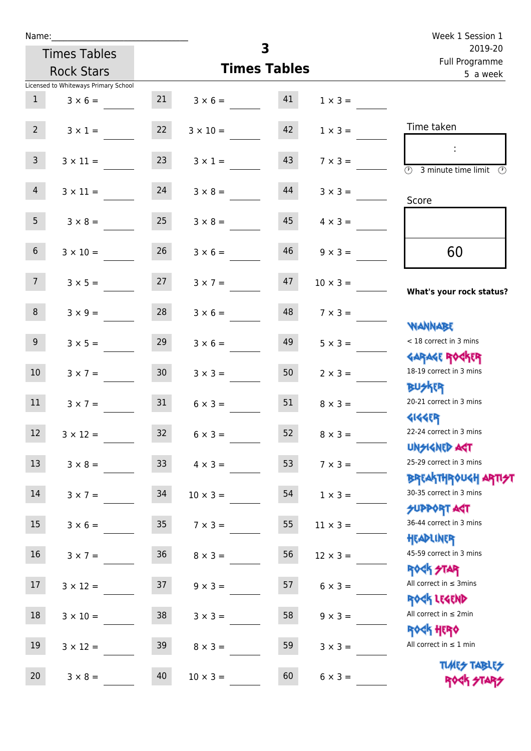| Name:                                |                 |                      | 3                   |                 | Week 1 Session 1                                                                  |
|--------------------------------------|-----------------|----------------------|---------------------|-----------------|-----------------------------------------------------------------------------------|
| <b>Times Tables</b>                  |                 |                      |                     |                 | 2019-20<br>Full Programme                                                         |
| <b>Rock Stars</b>                    |                 |                      | <b>Times Tables</b> |                 | 5 a week                                                                          |
| Licensed to Whiteways Primary School |                 |                      |                     |                 |                                                                                   |
| 1<br>$3 \times 6 =$                  |                 | $21 \t 3 \times 6 =$ | 41                  | $1 \times 3 =$  |                                                                                   |
| $2^{\circ}$<br>$3 \times 1 =$        | 22              | $3 \times 10 =$      | 42                  | $1 \times 3 =$  | Time taken                                                                        |
| $\mathbf{3}$<br>$3 \times 11 =$      | 23              | $3 \times 1 =$       | 43                  | $7 \times 3 =$  | $\sim$ 1.<br>$\overline{(\mathcal{V})}$<br>3 minute time limit<br>$(\mathcal{P})$ |
| $\overline{4}$<br>$3 \times 11 =$    | 24              | $3 \times 8 =$       | 44                  | $3 \times 3 =$  | Score                                                                             |
| 5 <sub>1</sub><br>$3 \times 8 =$     | 25              | $3 \times 8 =$       | 45                  | $4 \times 3 =$  |                                                                                   |
| $6\overline{6}$<br>$3 \times 10 =$   | 26              | $3 \times 6 =$       | 46                  | $9 \times 3 =$  | 60                                                                                |
| 7 <sup>7</sup><br>$3 \times 5 =$     | 27              | $3 \times 7 =$       | 47                  | $10 \times 3 =$ | What's your rock status?                                                          |
| 8<br>$3 \times 9 =$                  | 28              | $3 \times 6 =$       | 48                  | $7 \times 3 =$  | <b>NANNABE</b>                                                                    |
| 9 <sub>o</sub><br>$3 \times 5 =$     | 29              | $3 \times 6 =$       | 49                  | $5 \times 3 =$  | < 18 correct in 3 mins<br><b>GARAGE ROCKER</b>                                    |
| 10 <sup>°</sup><br>$3 \times 7 =$    | 30 <sup>°</sup> | $3 \times 3 =$       | 50                  | $2 \times 3 =$  | 18-19 correct in 3 mins<br><b>BUSKER</b>                                          |
| 11<br>$3 \times 7 =$                 | 31              | $6 \times 3 =$       | 51                  | $8 \times 3 =$  | 20-21 correct in 3 mins<br><b>4144EP</b>                                          |
| 12<br>$3 \times 12 =$                | 32              | $6 \times 3 =$       | 52                  | $8 \times 3 =$  | 22-24 correct in 3 mins<br><b>UNSIGNED AST</b>                                    |
| 13<br>$3 \times 8 =$                 | 33 <sup>°</sup> | $4 \times 3 =$       | 53                  | $7 \times 3 =$  | 25-29 correct in 3 mins<br><b>BREAKTHROUGH ARTI<del>S</del>T</b>                  |
| $14$<br>$3 \times 7 =$               | 34              | $10 \times 3 =$      | 54                  | $1 \times 3 =$  | 30-35 correct in 3 mins<br>SUPPORT ART                                            |
| $15\,$<br>$3 \times 6 =$             | 35 <sub>5</sub> | $7 \times 3 =$       | 55                  | $11 \times 3 =$ | 36-44 correct in 3 mins<br>HEADLINER                                              |
| 16<br>$3 \times 7 =$                 | 36              | $8 \times 3 =$       | 56                  | $12 \times 3 =$ | 45-59 correct in 3 mins<br><b>ROCK STAR</b>                                       |
| 17<br>$3 \times 12 =$                | 37              | $9 \times 3 =$       | 57                  | $6 \times 3 =$  | All correct in $\leq$ 3mins<br>ROCK LEGEND                                        |
| $18\,$<br>$3 \times 10 =$            | 38              | $3 \times 3 =$       | 58                  | $9 \times 3 =$  | All correct in $\leq 2$ min<br><b>ROCK HERO</b>                                   |
| 19<br>$3 \times 12 =$                | 39              | $8 \times 3 =$       | 59                  | $3 \times 3 =$  | All correct in $\leq 1$ min                                                       |
| 20<br>$3 \times 8 =$                 | 40              | $10 \times 3 =$      | 60                  | $6 \times 3 =$  | <b>TUARS TABLES</b><br>ROCK STARS                                                 |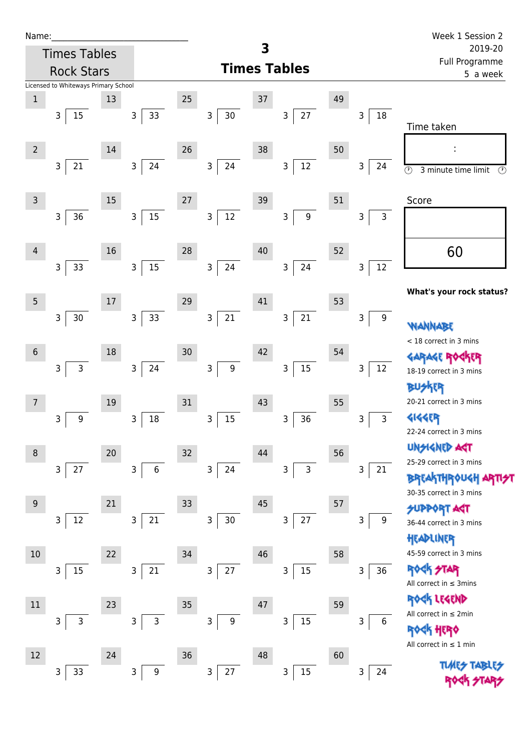| Name:           |                                      |    |                        |    |                                  |    |                       |    |                        | Week 1 Session 2                                          |
|-----------------|--------------------------------------|----|------------------------|----|----------------------------------|----|-----------------------|----|------------------------|-----------------------------------------------------------|
|                 | <b>Times Tables</b>                  |    |                        |    |                                  | 3  |                       |    |                        | 2019-20<br>Full Programme                                 |
|                 | <b>Rock Stars</b>                    |    |                        |    |                                  |    | <b>Times Tables</b>   |    |                        | 5 a week                                                  |
|                 | Licensed to Whiteways Primary School |    |                        |    |                                  |    |                       |    |                        |                                                           |
| $\,1\,$         |                                      | 13 |                        | 25 |                                  | 37 |                       | 49 |                        |                                                           |
|                 | 15<br>3                              |    | 33<br>$\mathsf{3}$     |    | $\mathsf{3}$<br>$30\,$           |    | $27\,$<br>3           |    | $18\,$<br>$\mathsf{3}$ | Time taken                                                |
| $\overline{2}$  |                                      | 14 |                        | 26 |                                  | 38 |                       | 50 |                        |                                                           |
|                 | 21<br>$\mathsf{3}$                   |    | $24\,$<br>3            |    | $\mathsf{3}$<br>24               |    | $12\,$<br>3           |    | 3<br>24                | $\odot$<br>3 minute time limit<br>$\odot$                 |
| $\overline{3}$  |                                      | 15 |                        | 27 |                                  | 39 |                       | 51 |                        | Score                                                     |
|                 | $36\,$<br>3                          |    | $15\,$<br>$\mathsf{3}$ |    | $12\,$<br>3                      |    | $\boldsymbol{9}$<br>3 |    | 3<br>3                 |                                                           |
| 4               |                                      | 16 |                        | 28 |                                  | 40 |                       | 52 |                        | 60                                                        |
|                 | 33<br>3                              |    | 15<br>$\mathsf{3}$     |    | $\mathsf{3}$<br>24               |    | 24<br>$\mathsf{3}$    |    | $12\,$<br>3            |                                                           |
| $\overline{5}$  |                                      | 17 |                        | 29 |                                  | 41 |                       | 53 |                        | What's your rock status?                                  |
|                 | 30<br>3                              |    | 33<br>3 <sup>1</sup>   |    | $21\,$<br>$\overline{3}$         |    | $21\,$<br>3           |    | $\boldsymbol{9}$<br>3  | <b>WANNA</b>                                              |
|                 |                                      |    |                        |    |                                  |    |                       |    |                        | < 18 correct in 3 mins                                    |
| $6\phantom{1}6$ |                                      | 18 |                        | 30 |                                  | 42 |                       | 54 |                        |                                                           |
|                 | $\mathsf{3}$<br>3                    |    | 24<br>3                |    | $\mathsf{3}$<br>$\boldsymbol{9}$ |    | 15<br>3               |    | 12<br>3                | 18-19 correct in 3 mins                                   |
|                 |                                      |    |                        |    |                                  |    |                       |    |                        | <b>BUSKER</b>                                             |
| $\overline{7}$  |                                      | 19 |                        | 31 |                                  | 43 |                       | 55 |                        | 20-21 correct in 3 mins                                   |
|                 | 9<br>3                               |    | $18\,$<br>3            |    | $15\,$<br>3                      |    | 36<br>3               |    | $\mathsf{3}$<br>3      | <b>4144EP</b>                                             |
|                 |                                      |    |                        |    |                                  |    |                       |    |                        | 22-24 correct in 3 mins                                   |
| 8               |                                      | 20 |                        | 32 |                                  | 44 |                       | 56 |                        | <b>UNGIGNED ART</b><br>25-29 correct in 3 mins            |
|                 | $27\,$<br>$\mathsf{3}$               |    | 3<br>$\,$ 6 $\,$       |    | 24<br>3                          |    | 3<br>3                |    | 3<br>21                | <b>BREAKTHROUGH</b>                                       |
|                 |                                      |    |                        |    |                                  |    |                       |    |                        | 30-35 correct in 3 mins                                   |
| 9               |                                      | 21 |                        | 33 |                                  | 45 |                       | 57 |                        | <b>SUPPORT AST</b>                                        |
|                 | 12<br>3                              |    | $21\,$<br>3            |    | 3<br>$30\,$                      |    | 27<br>3               |    | 3<br>9                 | 36-44 correct in 3 mins                                   |
|                 |                                      |    |                        |    |                                  |    |                       |    |                        | HEADLINER                                                 |
| 10              |                                      | 22 |                        | 34 |                                  | 46 |                       | 58 |                        | 45-59 correct in 3 mins                                   |
|                 | 15<br>3                              |    | 3<br>$21\,$            |    | 3<br>27                          |    | 15<br>3               |    | 36<br>3                | <b>Rock</b><br><b>STAR</b><br>All correct in $\leq$ 3mins |
| $11\,$          |                                      | 23 |                        | 35 |                                  | 47 |                       | 59 |                        | ROCK LEGEND                                               |
|                 | $\mathsf 3$<br>3                     |    | 3<br>3                 |    | 3<br>$\boldsymbol{9}$            |    | 15<br>3               |    | 3<br>6                 | All correct in $\leq 2$ min                               |
|                 |                                      |    |                        |    |                                  |    |                       |    |                        | <b>ROCK HERO</b>                                          |
| 12              |                                      | 24 |                        | 36 |                                  | 48 |                       | 60 |                        | All correct in $\leq 1$ min                               |
|                 | 33<br>3                              |    | 3<br>9                 |    | 3<br>27                          |    | $15\,$<br>3           |    | 24<br>3                | <b>TLARS</b>                                              |
|                 |                                      |    |                        |    |                                  |    |                       |    |                        |                                                           |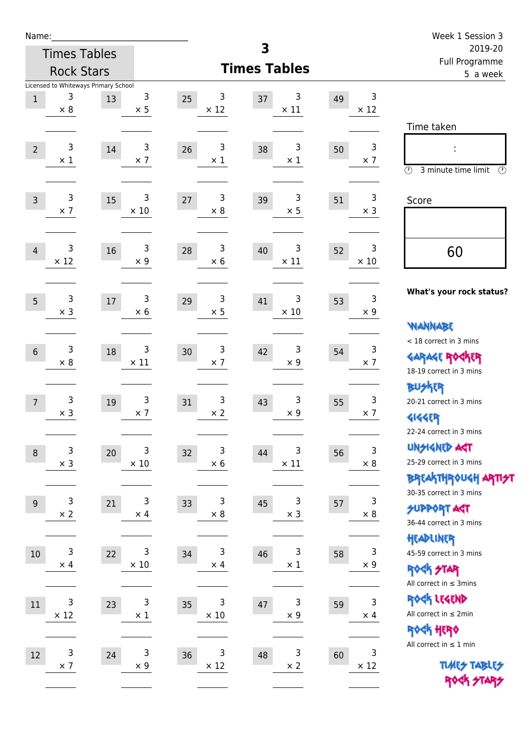| Name:                                                            |                                |                  |                        |    |                           | Week 1 Session 3                                                                        |
|------------------------------------------------------------------|--------------------------------|------------------|------------------------|----|---------------------------|-----------------------------------------------------------------------------------------|
| <b>Times Tables</b>                                              |                                |                  | 3                      |    |                           | 2019-20<br>Full Programme                                                               |
| <b>Rock Stars</b>                                                |                                |                  | <b>Times Tables</b>    |    |                           | 5 a week                                                                                |
| Licensed to Whiteways Primary School<br>3<br>$1\,$<br>$\times 8$ | 3<br>25<br>13<br>$\times$ 5    | 3<br>$\times$ 12 | 3<br>37<br>$\times$ 11 | 49 | 3<br>$\times$ 12          | Time taken                                                                              |
| 3<br>$\overline{2}$<br>$\times$ 1                                | 3<br>26<br>14<br>$\times$ 7    | 3<br>$\times$ 1  | 3<br>38<br>$\times$ 1  | 50 | $\mathsf 3$<br>$\times$ 7 | $\circled{r}$<br>3 minute time limit<br>$\circled{r}$                                   |
| 3<br>$\overline{3}$<br>$\times$ 7                                | 3<br>$27$<br>15<br>$\times$ 10 | 3<br>$\times 8$  | 3<br>39<br>$\times$ 5  | 51 | 3<br>$\times$ 3           | Score                                                                                   |
| 3<br>4<br>$\times$ 12                                            | 3<br>16<br>28<br>$\times$ 9    | 3<br>$\times$ 6  | 3<br>40<br>$\times$ 11 | 52 | 3<br>$\times$ 10          | 60                                                                                      |
| 3<br>5<br>$\times$ 3                                             | 3<br>29<br>17<br>$\times$ 6    | 3<br>$\times$ 5  | 3<br>41<br>$\times$ 10 | 53 | 3<br>$\times 9$           | What's your rock status?<br><b>WANNABE</b>                                              |
| 3<br>$6\phantom{1}6$<br>$\times 8$                               | 3<br>30<br>18<br>$\times$ 11   | 3<br>$\times$ 7  | 3<br>42<br>$\times$ 9  | 54 | 3<br>$\times$ 7           | < 18 correct in 3 mins<br><b>GARAGE ROGKER</b><br>18-19 correct in 3 mins               |
| 3<br>$\overline{7}$<br>$\times$ 3                                | 3<br>19<br>31<br>$\times$ 7    | 3<br>$\times 2$  | 3<br>43<br>$\times$ 9  | 55 | 3<br>$\times$ 7           | <b>BUSKER</b><br>20-21 correct in 3 mins<br><b>4144EP</b><br>22-24 correct in 3 mins    |
| $\mathsf 3$<br>$\,8\,$<br>$\times$ 3                             | 3<br>32<br>20<br>$\times$ 10   | 3<br>$\times$ 6  | 3<br>44<br>$\times$ 11 | 56 | 3<br>$\times$ 8           | <b>UNSIGNED AGT</b><br>25-29 correct in 3 mins<br><b>BREAKTHROUGH ARTI<del>S</del>T</b> |
| 3<br>$9\,$<br>$\times$ 2                                         | 3<br>33<br>21<br>$\times$ 4    | 3<br>$\times$ 8  | 3<br>45<br>$\times$ 3  | 57 | 3<br>$\times$ 8           | 30-35 correct in 3 mins<br><b>SUPPORT AGT</b><br>36-44 correct in 3 mins                |
| 3<br>10<br>$\times$ 4                                            | 3<br>22<br>34<br>$\times$ 10   | 3<br>$\times$ 4  | 3<br>46<br>$\times$ 1  | 58 | 3<br>$\times 9$           | HEADLINER<br>45-59 correct in 3 mins<br><b>ROCK STAR</b><br>All correct in $\leq$ 3mins |
| 3<br>11<br>$\times$ 12                                           | 3<br>23<br>35<br>$\times$ 1    | 3<br>$\times$ 10 | 3<br>47<br>$\times$ 9  | 59 | $\mathsf 3$<br>$\times$ 4 | ROCK LEGEND<br>All correct in $\leq 2$ min<br>ROCK HERO                                 |
| 3<br>12<br>$\times$ 7                                            | 3<br>36<br>24<br>$\times$ 9    | 3<br>$\times$ 12 | 3<br>48<br>$\times$ 2  | 60 | 3<br>$\times$ 12          | All correct in $\leq 1$ min<br><b>TUARS TABLES</b><br>ROCK STARS                        |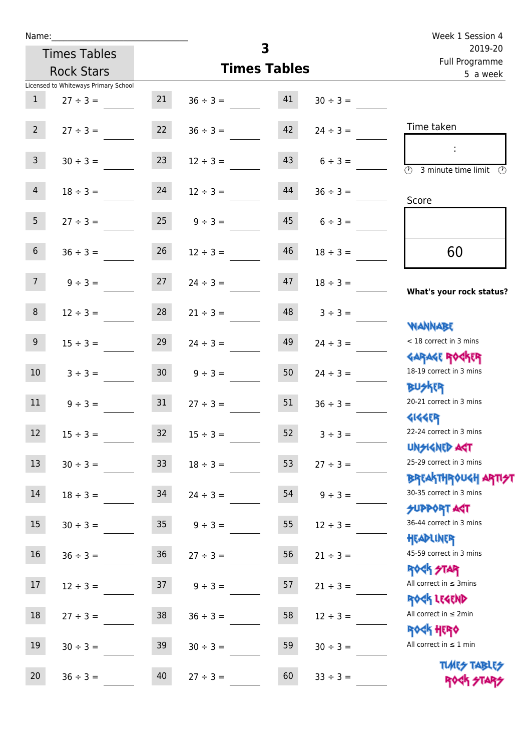| Name:                                |                 |                         |               | Week 1 Session 4                                                    |  |
|--------------------------------------|-----------------|-------------------------|---------------|---------------------------------------------------------------------|--|
| <b>Times Tables</b>                  |                 | $\overline{\mathbf{3}}$ |               | 2019-20<br>Full Programme                                           |  |
| <b>Rock Stars</b>                    |                 | <b>Times Tables</b>     |               | 5 a week                                                            |  |
| Licensed to Whiteways Primary School |                 |                         |               |                                                                     |  |
| $\mathbf{1}$<br>$27 \div 3 =$        | 21              | 41<br>$36 \div 3 =$     | $30 \div 3 =$ |                                                                     |  |
| 2 <sup>7</sup><br>$27 \div 3 =$      | 22              | 42<br>$36 \div 3 =$     | $24 \div 3 =$ | Time taken                                                          |  |
| $\mathbf{3}$<br>$30 \div 3 =$        | 23              | 43<br>$12 \div 3 =$     | $6 \div 3 =$  | $\overline{(\mathfrak{h})}$<br>3 minute time limit<br>$\mathcal{O}$ |  |
| $\overline{4}$<br>$18 \div 3 =$      | 24              | 44<br>$12 \div 3 =$     | $36 \div 3 =$ | Score                                                               |  |
| 5 <sub>1</sub><br>$27 \div 3 =$      | 25              | 45<br>$9 \div 3 =$      | $6 \div 3 =$  |                                                                     |  |
| $6\phantom{.}$<br>$36 \div 3 =$      | 26              | 46<br>$12 \div 3 =$     | $18 \div 3 =$ | 60                                                                  |  |
| 7 <sup>7</sup><br>$9 ÷ 3 =$          | 27              | 47<br>$24 \div 3 =$     | $18 \div 3 =$ | What's your rock status?                                            |  |
| 8<br>$12 \div 3 =$                   | 28              | 48<br>$21 \div 3 =$     | $3 ÷ 3 =$     | <b>NANNABE</b>                                                      |  |
| 9 <sup>°</sup><br>$15 \div 3 =$      | 29              | 49<br>$24 \div 3 =$     | $24 \div 3 =$ | < 18 correct in 3 mins<br><b>GARAGE ROCKER</b>                      |  |
| 10 <sup>°</sup><br>$3 ÷ 3 =$         | 30 <sup>°</sup> | 50<br>$9 ÷ 3 =$         | $24 \div 3 =$ | 18-19 correct in 3 mins<br><b>BUSKER</b>                            |  |
| 11<br>$9 \div 3 =$                   | 31              | 51<br>$27 \div 3 =$     | $36 \div 3 =$ | 20-21 correct in 3 mins<br><b>4144EP</b>                            |  |
| 12<br>$15 \div 3 =$                  | 32              | 52<br>$15 \div 3 =$     | $3 ÷ 3 =$     | 22-24 correct in 3 mins<br><b>UNSIGNED AGT</b>                      |  |
| 13<br>$30 \div 3 =$                  | 33              | 53<br>$18 \div 3 =$     | $27 ÷ 3 =$    | 25-29 correct in 3 mins<br><b>BREAKTHROUGH ARTI</b>                 |  |
| 14<br>$18 \div 3 =$                  | 34              | 54<br>$24 \div 3 =$     | $9 ÷ 3 =$     | 30-35 correct in 3 mins<br><b>SUPPORT AGT</b>                       |  |
| 15<br>$30 \div 3 =$                  | $35\,$          | 55<br>$9 ÷ 3 =$         | $12 \div 3 =$ | 36-44 correct in 3 mins<br>HEADLINER                                |  |
| 16<br>$36 ÷ 3 =$                     | 36              | 56<br>$27 ÷ 3 =$        | $21 \div 3 =$ | 45-59 correct in 3 mins<br><b>ROCK STAR</b>                         |  |
| 17<br>$12 \div 3 =$                  | 37              | 57<br>$9 ÷ 3 =$         | $21 \div 3 =$ | All correct in $\leq$ 3mins<br>ROCK LEGEND                          |  |
| $18\,$<br>$27 ÷ 3 =$                 | 38              | 58<br>$36 \div 3 =$     | $12 \div 3 =$ | All correct in $\leq 2$ min<br>ROCK HERO                            |  |
| 19<br>$30 \div 3 =$                  | 39              | 59<br>$30 \div 3 =$     | $30 \div 3 =$ | All correct in $\leq 1$ min                                         |  |
| 20<br>$36 ÷ 3 =$                     | 40              | 60<br>$27 ÷ 3 =$        | $33 ÷ 3 =$    | <b>TUARS TABLES</b><br>ROCK STARS                                   |  |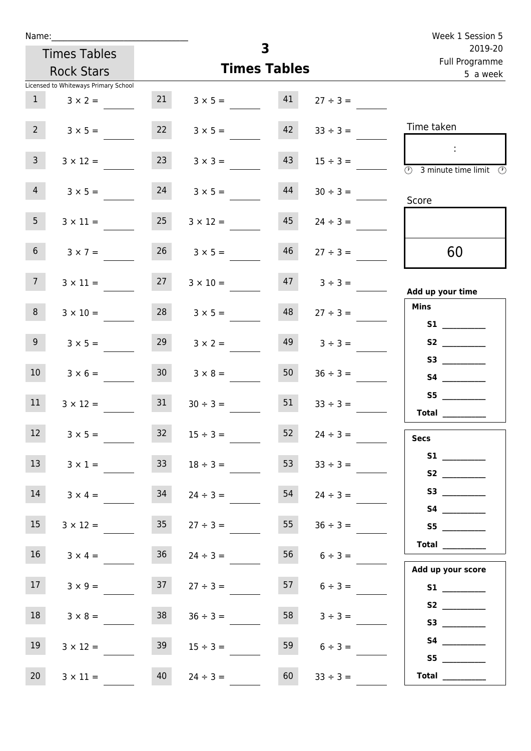|                 | Name:                                |                 |                     |                     |                    | Week 1 Session 5                                                                           |
|-----------------|--------------------------------------|-----------------|---------------------|---------------------|--------------------|--------------------------------------------------------------------------------------------|
|                 | <b>Times Tables</b>                  |                 |                     | 3                   |                    | 2019-20                                                                                    |
|                 | <b>Rock Stars</b>                    |                 |                     | <b>Times Tables</b> |                    | Full Programme<br>5 a week                                                                 |
|                 | Licensed to Whiteways Primary School |                 |                     |                     |                    |                                                                                            |
| 1               | $3 \times 2 =$                       | 21              | $3 \times 5 = 41$   |                     | $27 \div 3 =$      |                                                                                            |
| 2 <sup>7</sup>  | $3 \times 5 =$                       | 22              | $3 \times 5 =$      | 42                  | $33 \div 3 =$      | Time taken                                                                                 |
| $\mathbf{3}$    | $3 \times 12 =$                      | 23              | $3 \times 3 =$      | 43                  | $15 \div 3 =$      | $\sim 10$<br>$\overline{\textcircled{1}}$ 3 minute time limit $\overline{\textcircled{1}}$ |
| 4               | $3 \times 5 =$                       | 24              | $3 \times 5 =$      | 44                  | $30 \div 3 =$      | Score                                                                                      |
| 5 <sub>1</sub>  | $3 \times 11 =$                      | 25              | $3 \times 12 =$     | 45                  | $24 \div 3 =$      |                                                                                            |
| 6 <sup>1</sup>  | $3 \times 7 =$                       | 26              | $3 \times 5 =$      | 46                  | $27 \div 3 =$      | 60                                                                                         |
| 7 <sup>7</sup>  | $3 \times 11 =$                      | 27              | $3 \times 10 =$     |                     | $47 \t3 \div 3 =$  | Add up your time                                                                           |
| 8               | $3 \times 10 =$                      |                 | $28$ $3 \times 5 =$ | 48                  | $27 \div 3 =$      | <b>Mins</b><br><b>S1 S1</b>                                                                |
| 9 <sub>o</sub>  | $3 \times 5 =$                       | 29              | $3 \times 2 =$      | 49                  | $3 \div 3 =$       |                                                                                            |
| 10 <sup>1</sup> | $3 \times 6 =$                       | 30 <sup>1</sup> | $3 \times 8 =$      | 50                  | $36 \div 3 =$      |                                                                                            |
| 11              | $3 \times 12 =$                      | 31              | $30 \div 3 =$       | 51                  | $33 \div 3 =$      | S5<br>Total $\qquad$                                                                       |
| 12              | $3 \times 5 =$                       | 32              | $15 \div 3 =$       | 52                  | $24 \div 3 =$      | <b>Secs</b>                                                                                |
| 13              | $3 \times 1 =$                       | 33              | $18 \div 3 =$       | 53                  | $33 \div 3 =$      |                                                                                            |
| 14              | $3 \times 4 =$                       | 34              | $24 \div 3 =$       | 54                  | $24 \div 3 =$      |                                                                                            |
| 15              | $3 \times 12 =$                      | 35 <sub>1</sub> | $27 \div 3 =$       | 55                  | $36 \div 3 =$      | S5                                                                                         |
| 16              | $3 \times 4 =$                       | 36              | $24 \div 3 =$       |                     | $56$ $6 \div 3 =$  | $\begin{tabular}{c} Total \end{tabular}$<br>Add up your score                              |
| 17              | $3 \times 9 =$                       | 37              | $27 \div 3 =$       |                     | $57 \t 6 \div 3 =$ | S1                                                                                         |
| 18              | $3 \times 8 =$                       | 38              | $36 \div 3 =$       | 58                  | $3 \div 3 =$       | S2                                                                                         |
| 19              | $3 \times 12 =$                      | 39              | $15 \div 3 =$       | 59                  | $6 \div 3 =$       | S5                                                                                         |
| 20              | $3 \times 11 =$                      | 40              | $24 \div 3 =$       | 60                  | $33 \div 3 =$      | Total $\frac{1}{1}$                                                                        |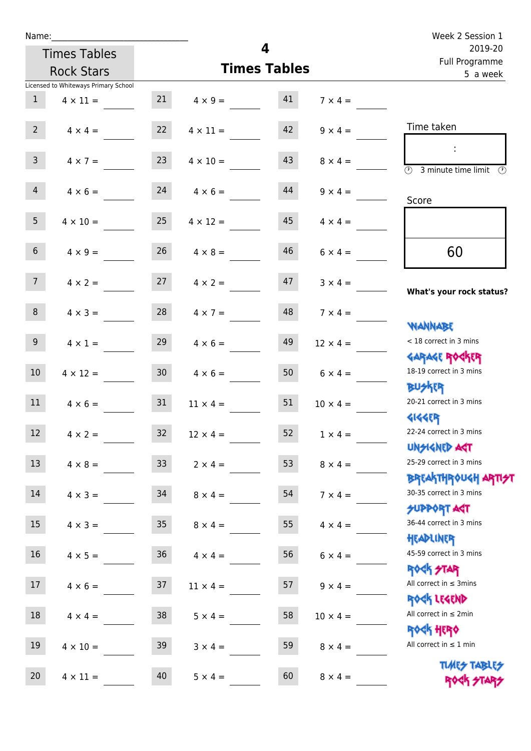| Name:           |                                      |                 |                      |                     |                 | Week 2 Session 1                                    |
|-----------------|--------------------------------------|-----------------|----------------------|---------------------|-----------------|-----------------------------------------------------|
|                 | <b>Times Tables</b>                  |                 |                      | 4                   |                 | 2019-20<br>Full Programme                           |
|                 | <b>Rock Stars</b>                    |                 |                      | <b>Times Tables</b> |                 | 5 a week                                            |
|                 | Licensed to Whiteways Primary School |                 |                      |                     |                 |                                                     |
| $\mathbf{1}$    | $4 \times 11 =$                      |                 | $21 \t 4 \times 9 =$ | 41                  | $7 \times 4 =$  |                                                     |
| $2^{\circ}$     | $4 \times 4 = 22$ $4 \times 11 =$    |                 |                      | 42                  | $9 \times 4 =$  | Time taken                                          |
| 3 <sup>7</sup>  | $4 \times 7 =$                       | 23              | $4 \times 10 =$      | 43                  | $8 \times 4 =$  | <b>3</b> minute time limit <b>3</b>                 |
| $\overline{4}$  | $4 \times 6 =$                       | 24              | $4 \times 6 =$       | 44                  | $9 \times 4 =$  | Score                                               |
| 5 <sub>1</sub>  | $4 \times 10 =$                      | 25              | $4 \times 12 =$      | 45                  | $4 \times 4 =$  |                                                     |
| 6 <sup>1</sup>  | $4 \times 9 =$                       | 26              | $4 \times 8 =$       | 46                  | $6 \times 4 =$  | 60                                                  |
| 7 <sup>7</sup>  | $4 \times 2 =$                       |                 | $27 \t 4 \times 2 =$ | 47                  | $3 \times 4 =$  | What's your rock status?                            |
| 8 <sup>1</sup>  | $4 \times 3 =$                       | 28              | $4 \times 7 =$       | 48                  | $7 \times 4 =$  | <b>NANNABE</b>                                      |
| 9 <sub>o</sub>  | $4 \times 1 =$                       | 29              | $4 \times 6 =$       | 49                  | $12 \times 4 =$ | < 18 correct in 3 mins<br><b>GARAGE ROCKER</b>      |
| 10 <sup>°</sup> | $4 \times 12 =$                      | 30 <sub>o</sub> | $4 \times 6 =$       | 50                  | $6 \times 4 =$  | 18-19 correct in 3 mins<br><b>BUSKER</b>            |
| 11              | $4 \times 6 =$                       | 31              | $11 \times 4 =$      | 51                  | $10 \times 4 =$ | 20-21 correct in 3 mins<br><b>4144EP</b>            |
| 12              | $4 \times 2 =$                       | 32              | $12 \times 4 =$      | 52                  | $1 \times 4 =$  | 22-24 correct in 3 mins<br><b>UNSIGNED AGT</b>      |
| 13              | $4 \times 8 =$                       | 33 <sup>°</sup> | $2 \times 4 =$       | 53                  | $8 \times 4 =$  | 25-29 correct in 3 mins<br><b>BREAKTHROUGH ARTH</b> |
| 14              | $4 \times 3 =$                       | 34              | $8 \times 4 =$       | 54                  | $7 \times 4 =$  | 30-35 correct in 3 mins<br><b>SUPPORT AGT</b>       |
| 15              | $4 \times 3 =$                       | 35 <sub>1</sub> | $8 \times 4 =$       | 55                  | $4 \times 4 =$  | 36-44 correct in 3 mins<br>HEADLINER                |
| 16 <sup>1</sup> | $4 \times 5 =$                       | 36              | $4 \times 4 =$       | 56                  | $6 \times 4 =$  | 45-59 correct in 3 mins<br><b>ROCK STAR</b>         |
| 17 <sup>7</sup> | $4 \times 6 =$                       | 37              | $11 \times 4 =$      | 57                  | $9 \times 4 =$  | All correct in $\leq$ 3mins<br>ROCK LEGEND          |
| 18              | $4 \times 4 =$                       | 38              | $5 \times 4 =$       | 58                  | $10 \times 4 =$ | All correct in $\leq 2$ min<br>ROCK HERO            |
| 19              | $4 \times 10 =$                      | 39              | $3 \times 4 =$       | 59                  | $8 \times 4 =$  | All correct in $\leq 1$ min                         |
| 20              | $4 \times 11 =$                      | 40              | $5 \times 4 =$       | 60                  | $8 \times 4 =$  | <b>TUARS TABLES</b><br>ROCK STARS                   |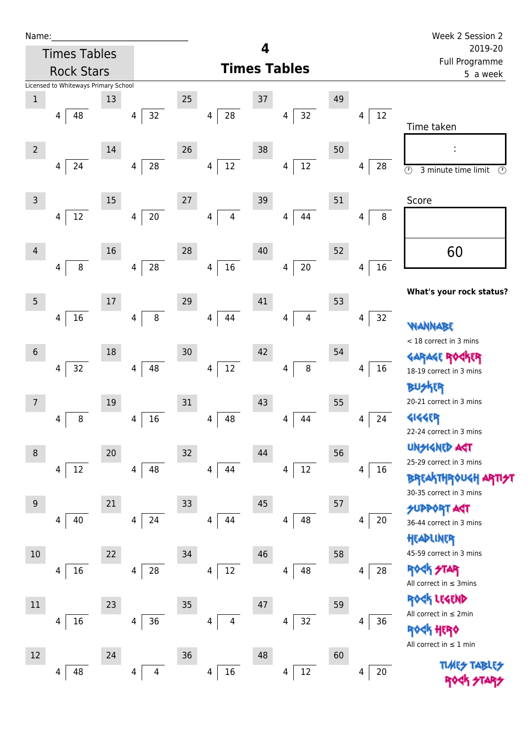| Name |  |  |  |
|------|--|--|--|
|      |  |  |  |

| <b>Times Tables</b>                  |        |             |      |                              | 4  |                     |    |             | 2019-20                                                                   |
|--------------------------------------|--------|-------------|------|------------------------------|----|---------------------|----|-------------|---------------------------------------------------------------------------|
| <b>Rock Stars</b>                    |        |             |      |                              |    | <b>Times Tables</b> |    |             | Full Programme<br>5 a week                                                |
| Licensed to Whiteways Primary School |        |             |      |                              |    |                     |    |             |                                                                           |
| $\mathbf 1$                          | 13     |             | 25   |                              | 37 |                     | 49 |             |                                                                           |
| 48<br>4                              |        | 32<br>4     |      | ${\bf 28}$<br>$\overline{4}$ |    | 32<br>4             |    | $12\,$<br>4 | Time taken                                                                |
| $\overline{2}$                       | 14     |             | 26   |                              | 38 |                     | 50 |             |                                                                           |
| 24<br>4                              |        | 28<br>4     |      | $12\,$<br>$\overline{4}$     |    | 12<br>4             |    | 28<br>4     | $\odot$<br>$\circled{r}$<br>3 minute time limit                           |
| $\overline{3}$                       | 15     |             | $27$ |                              | 39 |                     | 51 |             | Score                                                                     |
| $12\,$<br>4                          |        | $20\,$<br>4 |      | $\overline{\mathbf{4}}$<br>4 |    | 44<br>4             |    | 8<br>4      |                                                                           |
| 4                                    | 16     |             | 28   |                              | 40 |                     | 52 |             | 60                                                                        |
| $\, 8$<br>4                          | 4      | ${\bf 28}$  |      | $16\,$<br>4                  |    | $20\,$<br>4         |    | $16\,$<br>4 |                                                                           |
| 5                                    | 17     |             | 29   |                              | 41 |                     | 53 |             | What's your rock status?                                                  |
| $16\,$<br>4                          | 4      | $\bf 8$     |      | 44<br>4                      |    | $\overline{4}$<br>4 |    | 32<br>4     | WANNABE                                                                   |
| 6                                    | 18     |             | 30   |                              | 42 |                     | 54 |             | < 18 correct in 3 mins                                                    |
| 32<br>4                              |        | 48<br>4     |      | $12\,$<br>4                  |    | 8<br>4              |    | 16<br>4     | ίR<br>GARAGE ROG                                                          |
|                                      |        |             |      |                              |    |                     |    |             | 18-19 correct in 3 mins<br><b>BU</b> SKER                                 |
| 7                                    | $19\,$ |             | 31   |                              | 43 |                     | 55 |             | 20-21 correct in 3 mins                                                   |
| 8<br>4                               | 4      | 16          |      | 48<br>4                      |    | 44<br>4             |    | 24<br>4     | <b>4144ER</b>                                                             |
|                                      |        |             |      |                              |    |                     |    |             | 22-24 correct in 3 mins                                                   |
| 8                                    | 20     |             | 32   |                              | 44 |                     | 56 |             | UNSIGNED AGT                                                              |
| $12\,$<br>4                          | 4      | 48          |      | 44<br>4                      |    | 12<br>4             |    | 16<br>4     | 25-29 correct in 3 mins<br><b>BREAKTHROUGH</b><br>30-35 correct in 3 mins |
| 9                                    | 21     |             | 33   |                              | 45 |                     | 57 |             | <b>SUPPORT AST</b>                                                        |
| 40<br>4                              |        | 24<br>4     |      | 44<br>4                      |    | 48<br>4             |    | 20<br>4     | 36-44 correct in 3 mins                                                   |
|                                      |        |             |      |                              |    |                     |    |             | HEADLINER                                                                 |
| 10                                   | 22     |             | 34   |                              | 46 |                     | 58 |             | 45-59 correct in 3 mins                                                   |
| 16<br>4                              | 4      | 28          |      | $12\,$<br>4                  |    | 48<br>4             |    | 28<br>4     | <b>ROCK STAR</b><br>All correct in $\leq$ 3mins                           |
| $11\,$                               | 23     |             | 35   |                              | 47 |                     | 59 |             | ROCK LEGEND                                                               |
| 16<br>4                              | 4      | 36          |      | 4<br>4                       |    | 32<br>4             |    | 36<br>4     | All correct in $\leq 2$ min                                               |
|                                      |        |             |      |                              |    |                     |    |             | <u><h her<="" u="">o<br/>All correct in <math>\leq 1</math> min</h></u>   |
| 12                                   | 24     |             | 36   |                              | 48 |                     | 60 |             |                                                                           |
| 48<br>4                              |        | 4<br>4      |      | $16\,$<br>4                  |    | 12<br>4             |    | $20\,$<br>4 | TLMES                                                                     |
|                                      |        |             |      |                              |    |                     |    |             |                                                                           |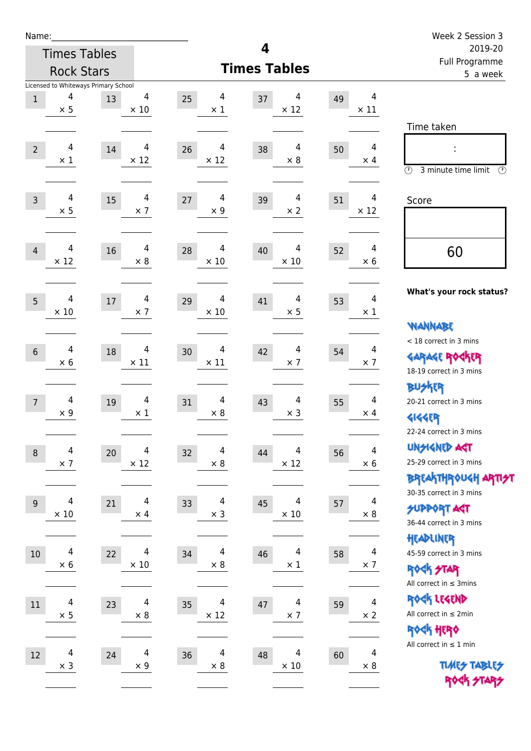| Name:            |                                           |        |                  |        |                  |                     |                 |    |                              | Week 2 Session 3                                      |
|------------------|-------------------------------------------|--------|------------------|--------|------------------|---------------------|-----------------|----|------------------------------|-------------------------------------------------------|
|                  | <b>Times Tables</b>                       |        |                  |        |                  | 4                   |                 |    |                              | 2019-20<br>Full Programme                             |
|                  | <b>Rock Stars</b>                         |        |                  |        |                  | <b>Times Tables</b> |                 |    |                              | 5 a week                                              |
|                  | Licensed to Whiteways Primary School<br>4 |        | 4                |        | 4                |                     | 4               |    | $\overline{4}$               |                                                       |
| $1\,$            | $\times$ 5                                | 13     | $\times$ 10      | 25     | $\times$ 1       | 37                  | $\times$ 12     | 49 | $\times$ 11                  |                                                       |
|                  |                                           |        |                  |        |                  |                     |                 |    |                              | Time taken                                            |
|                  |                                           |        |                  |        |                  |                     |                 |    |                              |                                                       |
| $\overline{2}$   | 4<br>$\times$ 1                           | 14     | 4<br>$\times$ 12 | 26     | 4<br>$\times$ 12 | 38                  | 4<br>$\times 8$ | 50 | $\overline{4}$<br>$\times$ 4 |                                                       |
|                  |                                           |        |                  |        |                  |                     |                 |    |                              | $\circled{r}$<br>3 minute time limit<br>$\mathcal{O}$ |
| $\overline{3}$   | 4                                         | 15     | 4                | $27\,$ | 4                | 39                  | 4               | 51 | 4                            | Score                                                 |
|                  | $\times$ 5                                |        | $\times$ 7       |        | $\times$ 9       |                     | $\times$ 2      |    | $\times$ 12                  |                                                       |
|                  |                                           |        |                  |        |                  |                     |                 |    |                              |                                                       |
| $\overline{4}$   | 4                                         | 16     | 4                | 28     | 4                | 40                  | 4               | 52 | $\overline{4}$               | 60                                                    |
|                  | $\times$ 12                               |        | $\times$ 8       |        | $\times$ 10      |                     | $\times$ 10     |    | $\times$ 6                   |                                                       |
|                  |                                           |        |                  |        |                  |                     |                 |    |                              |                                                       |
| 5                | 4                                         | $17\,$ | 4                | 29     | 4                | 41                  | 4               | 53 | $\overline{4}$               | What's your rock status?                              |
|                  | $\times 10$                               |        | $\times$ 7       |        | $\times$ 10      |                     | $\times$ 5      |    | $\times$ 1                   |                                                       |
|                  |                                           |        |                  |        |                  |                     |                 |    |                              | <b>WANNABE</b><br>< 18 correct in 3 mins              |
| $6\phantom{1}$   | 4                                         | 18     | 4                | 30     | 4                | 42                  | $\overline{4}$  | 54 | $\overline{4}$               | <b>GARAGE ROCKER</b>                                  |
|                  | $\times$ 6                                |        | $\times$ 11      |        | $\times$ 11      |                     | $\times$ 7      |    | $\times$ 7                   | 18-19 correct in 3 mins                               |
|                  |                                           |        |                  |        |                  |                     |                 |    |                              | <b>BUSKER</b>                                         |
| $\overline{7}$   | 4                                         | 19     | 4                | 31     | 4                | 43                  | 4               | 55 | $\overline{4}$               | 20-21 correct in 3 mins                               |
|                  | $\times$ 9                                |        | $\times$ 1       |        | $\times$ 8       |                     | $\times$ 3      |    | $\times$ 4                   | <b>4144EP</b>                                         |
|                  |                                           |        |                  |        |                  |                     |                 |    |                              | 22-24 correct in 3 mins                               |
| $\boldsymbol{8}$ | 4                                         | 20     | 4                | 32     | 4                | 44                  | 4               | 56 | 4                            | <b>UNSIGNED AGT</b>                                   |
|                  | $\times$ 7                                |        | $\times$ 12      |        | $\times$ 8       |                     | $\times$ 12     |    | $\times$ 6                   | 25-29 correct in 3 mins                               |
|                  |                                           |        |                  |        |                  |                     |                 |    |                              | <b>BREAKTHROUGH ARTIST</b>                            |
| 9                | 4                                         | 21     | 4                | 33     | 4                | 45                  | 4               | 57 | 4                            | 30-35 correct in 3 mins                               |
|                  | $\times$ 10                               |        | $\times$ 4       |        | $\times$ 3       |                     | $\times$ 10     |    | $\times$ 8                   | <b>SUPPORT AGT</b><br>36-44 correct in 3 mins         |
|                  |                                           |        |                  |        |                  |                     |                 |    |                              | HEADLINER                                             |
| 10               | 4                                         | 22     | 4                | 34     | 4                | 46                  | 4               | 58 | 4                            | 45-59 correct in 3 mins                               |
|                  | $\times$ 6                                |        | $\times$ 10      |        | $\times 8$       |                     | $\times$ 1      |    | $\times$ 7                   | <b>ROCK STAR</b>                                      |
|                  |                                           |        |                  |        |                  |                     |                 |    |                              | All correct in $\leq$ 3mins                           |
| $11\,$           | 4                                         | 23     | $\overline{4}$   | 35     | 4                | 47                  | 4               | 59 | $\overline{4}$               | ROCK LEGEND                                           |
|                  | $\times$ 5                                |        | $\times$ 8       |        | $\times$ 12      |                     | $\times$ 7      |    | $\times 2$                   | All correct in $\leq 2$ min                           |
|                  |                                           |        |                  |        |                  |                     |                 |    |                              | ROCK HERO                                             |
| 12               | 4                                         | 24     | $\overline{4}$   | 36     | 4                | 48                  | 4               | 60 | $\overline{4}$               | All correct in $\leq 1$ min                           |
|                  | $\times$ 3                                |        | $\times$ 9       |        | $\times 8$       |                     | $\times$ 10     |    | $\times 8$                   | <b>TUARS TABLES</b>                                   |
|                  |                                           |        |                  |        |                  |                     |                 |    |                              | ROCK STARS                                            |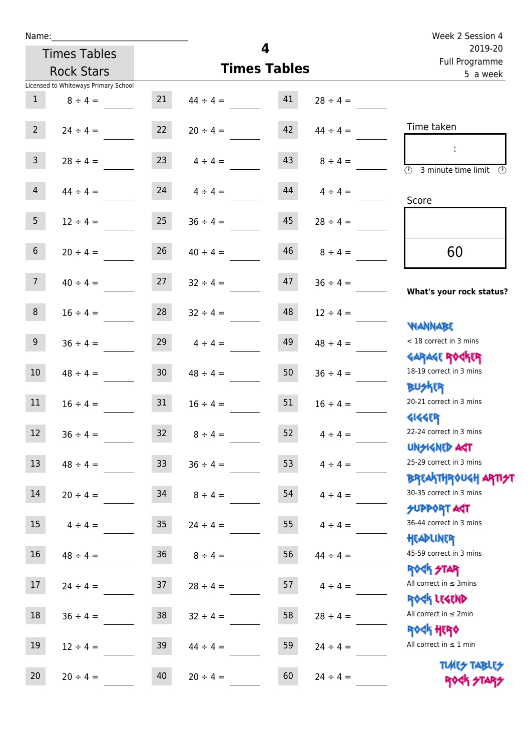Times Tables

|                 | <b>Rock Stars</b>                    |                 | <b>Times Tables</b> | Tull Flogramme<br>5 a week |               |                                                      |
|-----------------|--------------------------------------|-----------------|---------------------|----------------------------|---------------|------------------------------------------------------|
|                 | Licensed to Whiteways Primary School |                 |                     |                            |               |                                                      |
| $\mathbf{1}$    | $8 \div 4 =$                         | 21              | $44 \div 4 =$       | 41                         | $28 \div 4 =$ |                                                      |
| $2^{\circ}$     | $24 \div 4 =$                        | 22              | $20 \div 4 =$       | 42                         | $44 \div 4 =$ | Time taken                                           |
|                 |                                      |                 |                     |                            |               |                                                      |
| 3 <sup>7</sup>  | $28 \div 4 =$                        | 23              | $4 \div 4 =$        | 43                         | $8 \div 4 =$  | $\overline{\mathcal{O}}$<br>3 minute time limit<br>⊙ |
|                 |                                      |                 |                     |                            |               |                                                      |
| $\overline{4}$  | $44 \div 4 =$                        | 24              | $4 \div 4 =$        | 44                         | $4 \div 4 =$  | Score                                                |
|                 |                                      |                 |                     |                            |               |                                                      |
| 5               | $12 \div 4 =$                        | 25              | $36 \div 4 =$       | 45                         | $28 \div 4 =$ |                                                      |
| $6\overline{6}$ | $20 \div 4 =$                        | 26              | $40 \div 4 =$       | 46                         | $8 \div 4 =$  | 60                                                   |
|                 |                                      |                 |                     |                            |               |                                                      |
| 7 <sup>7</sup>  | $40 \div 4 =$                        | 27              | $32 \div 4 =$       | 47                         | $36 \div 4 =$ |                                                      |
|                 |                                      |                 |                     |                            |               | What's your rock status?                             |
| $8\phantom{.}$  | $16 \div 4 =$                        | 28              | $32 \div 4 =$       | 48                         | $12 \div 4 =$ |                                                      |
|                 |                                      |                 |                     |                            |               | <b>NANNABE</b>                                       |
| 9 <sup>°</sup>  | $36 \div 4 =$                        | 29              | $4 \div 4 =$        | 49                         | $48 \div 4 =$ | < 18 correct in 3 mins                               |
|                 |                                      |                 |                     |                            |               | <b>GARAGE ROGKER</b>                                 |
| $10\,$          | $48 \div 4 =$                        | 30 <sup>°</sup> | $48 \div 4 =$       | 50                         | $36 \div 4 =$ | 18-19 correct in 3 mins                              |
|                 |                                      |                 |                     |                            |               | <b>BUSKER</b>                                        |
| 11              | $16 \div 4 =$                        | 31              | $16 \div 4 =$       | 51                         | $16 \div 4 =$ | 20-21 correct in 3 mins                              |
|                 |                                      |                 |                     |                            |               | <b>4144EP</b>                                        |
| 12              | $36 \div 4 =$                        | 32              | $8 \div 4 =$        | 52                         | $4 \div 4 =$  | 22-24 correct in 3 mins                              |
|                 |                                      |                 |                     |                            |               | <b>UNSIGNED AGT</b>                                  |
| 13              | $48 \div 4 =$                        | 33 <sup>°</sup> | $36 \div 4 =$       | 53                         | $4 \div 4 =$  | 25-29 correct in 3 mins                              |
|                 |                                      |                 |                     |                            |               | <b>BREAKTHR0UGH ARTI<del>S</del>T</b>                |
| 14              | $20 \div 4 =$                        | 34              | $8 \div 4 =$        | 54                         | $4 \div 4 =$  | 30-35 correct in 3 mins                              |
|                 |                                      |                 |                     |                            |               | <b>SUPPORT AGT</b>                                   |
| 15              | $4 \div 4 =$                         | 35 <sub>1</sub> | $24 \div 4 =$       | 55                         | $4 \div 4 =$  | 36-44 correct in 3 mins                              |
|                 |                                      |                 |                     |                            |               | HEADLINER                                            |
| 16              | $48 \div 4 =$                        | 36              | $8 \div 4 =$        | 56                         | $44 \div 4 =$ | 45-59 correct in 3 mins                              |
|                 |                                      |                 |                     |                            |               | <b>ROGK STAR</b>                                     |
| $17\,$          | $24 \div 4 =$                        | 37              | $28 \div 4 =$       | 57                         | $4 \div 4 =$  | All correct in $\leq$ 3mins                          |
|                 |                                      |                 |                     |                            |               | ROCK LEGEND<br>All correct in $\leq 2$ min           |
| 18              | $36 \div 4 =$                        | 38              | $32 \div 4 =$       | 58                         | $28 \div 4 =$ |                                                      |
| 19              |                                      |                 |                     |                            |               | ROCK HERO<br>All correct in $\leq 1$ min             |
|                 | $12 \div 4 =$                        | 39              | $44 \div 4 =$       | 59                         | $24 \div 4 =$ |                                                      |
| 20              |                                      | 40              |                     | 60                         |               | <b>TUARS TABLES</b>                                  |
|                 | $20 \div 4 =$                        |                 | $20 \div 4 =$       |                            | $24 \div 4 =$ | ROCK STARS                                           |

**4**

**Times Tables**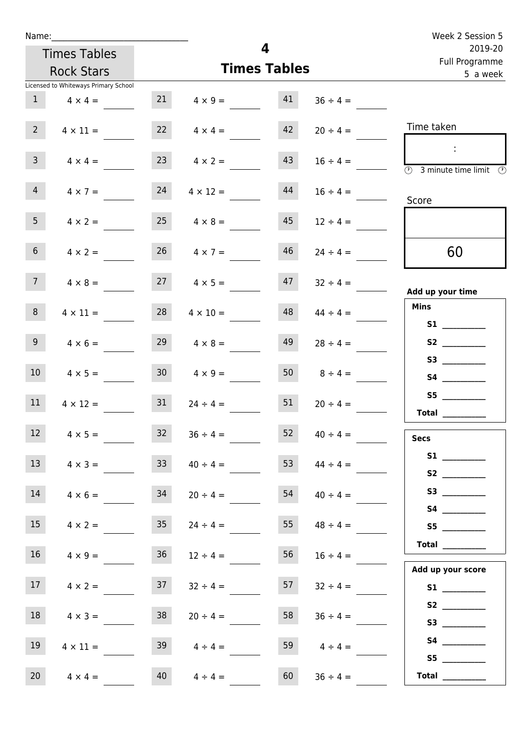| Name:                                |                 |                      |                         |                               | Week 2 Session 5                                        |
|--------------------------------------|-----------------|----------------------|-------------------------|-------------------------------|---------------------------------------------------------|
| <b>Times Tables</b>                  |                 |                      | $\overline{\mathbf{4}}$ |                               | 2019-20<br>Full Programme                               |
| <b>Rock Stars</b>                    |                 |                      | <b>Times Tables</b>     |                               | 5 a week                                                |
| Licensed to Whiteways Primary School |                 |                      |                         |                               |                                                         |
| $\mathbf{1}$<br>$4 \times 4 =$       | 21              | $4 \times 9 =$       | 41                      | $36 \div 4 =$                 |                                                         |
| $2^{\circ}$<br>$4 \times 11 =$       |                 | $4 \times 4 =$       | 42                      | $20 \div 4 =$                 | Time taken                                              |
| 3 <sup>7</sup><br>$4 \times 4 =$     | 23              | $4 \times 2 =$       | 43                      | $16 \div 4 =$                 | $\overline{\textcircled{2}}$ 3 minute time limit<br>-09 |
| $\overline{4}$<br>$4 \times 7 =$     | 24              | $4 \times 12 =$      | 44                      | $16 \div 4 =$                 | Score                                                   |
| 5 <sub>1</sub><br>$4 \times 2 =$     | 25              | $4 \times 8 =$       | 45                      | $12 \div 4 =$                 |                                                         |
| 6 <sup>1</sup><br>$4 \times 2 =$     | 26              | $4 \times 7 =$       | 46                      | $24 \div 4 =$                 | 60                                                      |
| 7 <sup>7</sup><br>$4 \times 8 =$     |                 | $27 \t 4 \times 5 =$ | 47                      | $32 \div 4 =$                 | Add up your time                                        |
| 8<br>$4 \times 11 =$                 | 28              | $4 \times 10 =$      | 48                      | $44 \div 4 =$                 | <b>Mins</b>                                             |
| 9 <sub>o</sub><br>$4 \times 6 =$     | 29              | $4 \times 8 =$       | 49                      | $28 \div 4 =$                 | S2                                                      |
| 10 <sup>°</sup><br>$4 \times 5 =$    | 30 <sub>o</sub> | $4 \times 9 =$       |                         | 50 $8 \div 4 =$               |                                                         |
| 11<br>$4 \times 12 =$                | 31              | $24 \div 4 =$        | 51                      | $20 \div 4 =$                 | S5<br>Total $\_\_$                                      |
| 12 <sub>2</sub><br>$4 \times 5 =$    | 32              | $36 \div 4 =$        | 52                      | $40 \div 4 =$                 | <b>Secs</b>                                             |
| 13<br>$4 \times 3 =$                 | 33              | $40 \div 4 =$        | 53                      | $44 \div 4 =$                 |                                                         |
| 14<br>$4 \times 6 =$                 | 34              | $20 \div 4 =$        | 54                      | $40 \div 4 =$                 | <b>S2</b><br>S3                                         |
| 15<br>$4 \times 2 =$                 | 35              | $24 \div 4 =$        | 55                      | $48 \div 4 =$                 | S5                                                      |
| 16 <sup>1</sup><br>$4 \times 9 =$    | 36              | $12 \div 4 =$        | 56                      | $16 \div 4 =$                 | $\begin{tabular}{c} Total \end{tabular}$                |
| 17 <sup>7</sup><br>$4 \times 2 =$    | 37              | $32 \div 4 =$        | 57                      | $32 \div 4 =$                 | Add up your score                                       |
| 18<br>$4 \times 3 =$                 | 38              | $20 \div 4 =$        | 58                      | $36 \div 4 =$                 |                                                         |
| 19<br>$4 \times 11 =$                | 39              | $4 \div 4 =$         | 59                      |                               | S4                                                      |
| 20<br>$4 \times 4 =$                 | 40              | $4 \div 4 =$         | 60                      | $4 \div 4 =$<br>$36 \div 4 =$ | S5<br>Total $\qquad$                                    |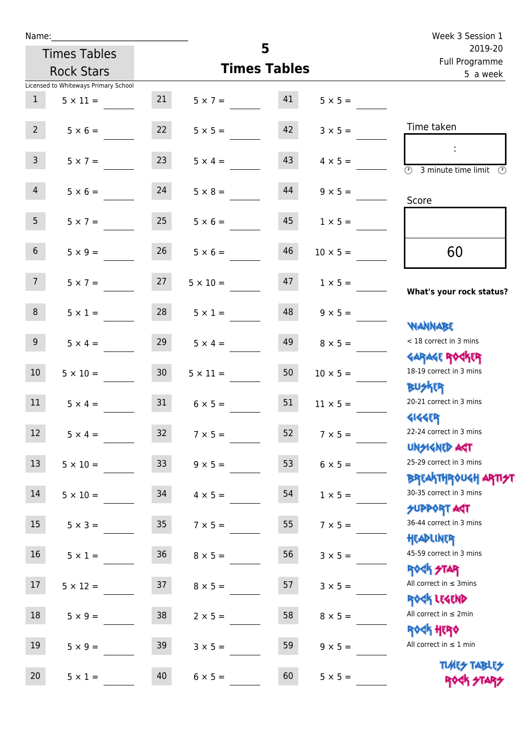| Name:             |                                      |                  |                   |                     |                 | Week 3 Session 1                                                          |  |
|-------------------|--------------------------------------|------------------|-------------------|---------------------|-----------------|---------------------------------------------------------------------------|--|
|                   | <b>Times Tables</b>                  |                  |                   | 5                   |                 | 2019-20<br>Full Programme                                                 |  |
| <b>Rock Stars</b> |                                      |                  |                   | <b>Times Tables</b> |                 | 5 a week                                                                  |  |
|                   | Licensed to Whiteways Primary School |                  |                   |                     |                 |                                                                           |  |
| 1                 | $5 \times 11 =$                      | 21               | $5 \times 7 = 41$ |                     | $5 \times 5 =$  |                                                                           |  |
| $2^{\circ}$       | $5 \times 6 =$                       | 22               | $5 \times 5 =$    | 42                  | $3 \times 5 =$  | Time taken                                                                |  |
| 3 <sup>7</sup>    | $5 \times 7 =$                       | 23               | $5 \times 4 =$    | 43                  | $4 \times 5 =$  | $\mathbb{R}^n$<br>$\overline{(\mathcal{V})}$<br>3 minute time limit<br>O) |  |
| $\overline{4}$    | $5 \times 6 = 24$                    |                  | $5 \times 8 =$    | 44                  | $9 \times 5 =$  | Score                                                                     |  |
| 5 <sup>5</sup>    | $5 \times 7 =$                       | 25               | $5 \times 6 =$    | 45                  | $1 \times 5 =$  |                                                                           |  |
| 6 <sup>1</sup>    | $5 \times 9 =$                       | 26               | $5 \times 6 =$    | 46                  | $10 \times 5 =$ | 60                                                                        |  |
| 7 <sup>7</sup>    | $5 \times 7 = 27$                    |                  | $5 \times 10 =$   | 47                  | $1 \times 5 =$  | What's your rock status?                                                  |  |
| 8                 | $5 \times 1 =$                       | 28               | $5 \times 1 =$    | 48                  | $9 \times 5 =$  | <b>NANNABE</b>                                                            |  |
| 9 <sub>o</sub>    | $5 \times 4 =$                       | 29               | $5 \times 4 =$    | 49                  | $8 \times 5 =$  | < 18 correct in 3 mins<br><b>GARAGE ROCKER</b>                            |  |
| 10 <sup>°</sup>   | $5 \times 10 =$                      | 30 <sub>2</sub>  | $5 \times 11 =$   | 50                  | $10 \times 5 =$ | 18-19 correct in 3 mins<br><b>BU外四</b>                                    |  |
| 11                | $5 \times 4 =$                       | 31               | $6 \times 5 =$    | 51                  | $11 \times 5 =$ | 20-21 correct in 3 mins<br><b>4144ER</b>                                  |  |
| 12                | $5 \times 4 =$                       | 32               | $7 \times 5 =$    | 52                  | $7 \times 5 =$  | 22-24 correct in 3 mins<br><b>UNSIGNED AGT</b>                            |  |
| 13                | $5 \times 10 =$                      | 33 <sup>°</sup>  | $9 \times 5 =$    | 53                  | $6 \times 5 =$  | 25-29 correct in 3 mins<br><b>BREAKTHROUGH ARTI<del>S</del>T</b>          |  |
| 14                | $5 \times 10 =$                      | 34               | $4 \times 5 =$    | 54                  | $1 \times 5 =$  | 30-35 correct in 3 mins<br><b>SUPPORT AGT</b>                             |  |
| 15                | $5 \times 3 =$                       | $35\phantom{.0}$ | $7 \times 5 =$    | 55                  | $7 \times 5 =$  | 36-44 correct in 3 mins<br>HEADLINER                                      |  |
| 16                | $5 \times 1 =$                       | $36\,$           | $8 \times 5 =$    | 56                  | $3 \times 5 =$  | 45-59 correct in 3 mins<br><b>ROCK STAR</b>                               |  |
| 17                | $5 \times 12 =$                      | 37               | $8 \times 5 =$    | 57                  | $3 \times 5 =$  | All correct in $\leq$ 3mins<br>ROCK LEGEND                                |  |
| 18                | $5 \times 9 =$                       | 38               | $2 \times 5 =$    | 58                  | $8 \times 5 =$  | All correct in $\leq 2$ min<br><b>ROCK HERO</b>                           |  |
| 19                | $5 \times 9 =$                       | 39               | $3 \times 5 =$    | 59                  | $9 \times 5 =$  | All correct in $\leq 1$ min                                               |  |
| 20                | $5 \times 1 =$                       | 40               | $6 \times 5 =$    | 60                  | $5 \times 5 =$  | <b>TUARS TABLES</b><br>ROCK STARS                                         |  |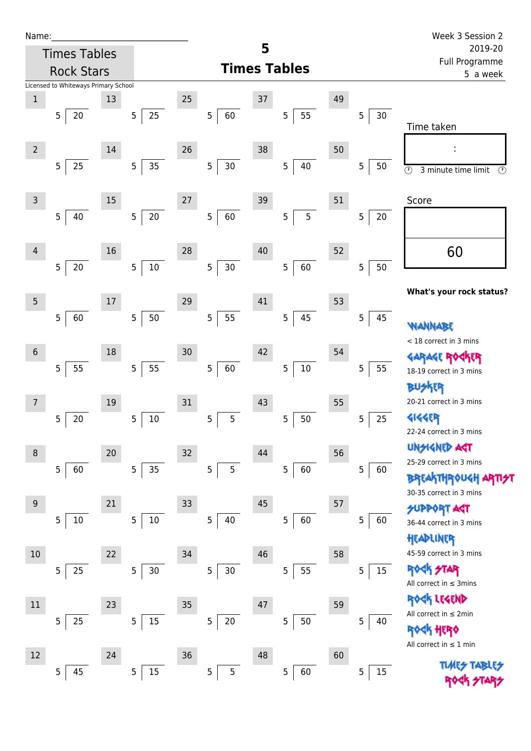| Name |  |  |  |
|------|--|--|--|
|      |  |  |  |

| Name:          |                                      |    |                      |    |             |        |                       |    |             | Week 3 Session 2                                       |
|----------------|--------------------------------------|----|----------------------|----|-------------|--------|-----------------------|----|-------------|--------------------------------------------------------|
|                | <b>Times Tables</b>                  |    |                      |    |             | 5      |                       |    |             | 2019-20<br>Full Programme                              |
|                | <b>Rock Stars</b>                    |    |                      |    |             |        | <b>Times Tables</b>   |    |             | 5 a week                                               |
|                | Licensed to Whiteways Primary School |    |                      |    |             |        |                       |    |             |                                                        |
| $\mathbf 1$    |                                      | 13 |                      | 25 |             | 37     |                       | 49 |             |                                                        |
|                | 20<br>5                              |    | 25<br>5              |    | 5<br>60     |        | 55<br>5               |    | 5<br>$30\,$ | Time taken                                             |
|                |                                      |    |                      |    |             |        |                       |    |             |                                                        |
| $\overline{2}$ |                                      | 14 |                      | 26 | 5           | 38     |                       | 50 |             |                                                        |
|                | 25<br>5                              |    | 35<br>$\overline{5}$ |    | $30\,$      |        | $\sqrt{5}$<br>40      |    | 5<br>50     | $\circledcirc$<br>3 minute time limit<br>$\circled{r}$ |
| $\overline{3}$ |                                      | 15 |                      | 27 |             |        |                       | 51 |             |                                                        |
|                | 40<br>5                              |    | $20\,$<br>5          |    | 5<br>60     | 39     | 5<br>5                |    | 5<br>20     | Score                                                  |
|                |                                      |    |                      |    |             |        |                       |    |             |                                                        |
| 4              |                                      | 16 |                      | 28 |             | $40\,$ |                       | 52 |             |                                                        |
|                | $20\,$<br>5                          |    | $10\,$<br>5          |    | 5<br>$30\,$ |        | 60<br>5               |    | 5<br>50     | 60                                                     |
|                |                                      |    |                      |    |             |        |                       |    |             |                                                        |
| 5              |                                      | 17 |                      | 29 |             | 41     |                       | 53 |             | What's your rock status?                               |
|                | 5<br>60                              |    | 50<br>5              |    | 5<br>55     |        | 45<br>5               |    | 5<br>45     |                                                        |
|                |                                      |    |                      |    |             |        |                       |    |             | WANNABE                                                |
| $6\phantom{1}$ |                                      | 18 |                      | 30 |             | 42     |                       | 54 |             | < 18 correct in 3 mins                                 |
|                | 55<br>5                              |    | 55<br>$\mathsf S$    |    | 60<br>5     |        | $10\,$<br>5           |    | 5<br>55     | <b>GARAGE RO</b><br>18-19 correct in 3 mins            |
|                |                                      |    |                      |    |             |        |                       |    |             | <b>BUSKER</b>                                          |
| 7              |                                      | 19 |                      | 31 |             | 43     |                       | 55 |             | 20-21 correct in 3 mins                                |
|                | 20<br>5                              |    | $10\,$<br>5          |    | 5<br>5      |        | 5<br>50               |    | 5<br>25     | <b>4144EP</b>                                          |
|                |                                      |    |                      |    |             |        |                       |    |             | 22-24 correct in 3 mins                                |
| 8              |                                      | 20 |                      | 32 |             | 44     |                       | 56 |             | <b>UNSIGNED ART</b>                                    |
|                | 60<br>5                              |    | 35<br>5              |    | 5<br>5      |        | 60<br>5               |    | 5<br>60     | 25-29 correct in 3 mins                                |
|                |                                      |    |                      |    |             |        |                       |    |             | <b>BREAKTHROUGH</b>                                    |
| 9              |                                      | 21 |                      | 33 |             | 45     |                       | 57 |             | 30-35 correct in 3 mins                                |
|                | $10\,$<br>5                          |    | $10\,$<br>5          |    | 5<br>40     |        | 60<br>5               |    | 5<br>60     | <b>SUPPORT AGT</b><br>36-44 correct in 3 mins          |
|                |                                      |    |                      |    |             |        |                       |    |             | HEADLINER                                              |
| 10             |                                      | 22 |                      | 34 |             | 46     |                       | 58 |             | 45-59 correct in 3 mins                                |
|                | 25<br>5                              |    | 5<br>$30\,$          |    | 5<br>$30\,$ |        | 55<br>5               |    | 5<br>15     | <b>ROCK STAR</b>                                       |
|                |                                      |    |                      |    |             |        |                       |    |             | All correct in $\leq$ 3mins                            |
| 11             |                                      | 23 |                      | 35 |             | 47     |                       | 59 |             | ROCK LEGEND                                            |
|                | 25<br>5                              |    | $15\,$<br>5          |    | 5<br>$20\,$ |        | $50\,$<br>$\mathbf 5$ |    | 5<br>40     | All correct in ≤ 2min                                  |
|                |                                      |    |                      |    |             |        |                       |    |             | \$ HERO<br>All correct in $\leq 1$ min                 |
| 12             |                                      | 24 |                      | 36 |             | 48     |                       | 60 |             |                                                        |
|                | 45<br>$\overline{5}$                 |    | 15<br>5              |    | 5<br>5      |        | 5<br>60               |    | 5<br>15     |                                                        |

Rock Stars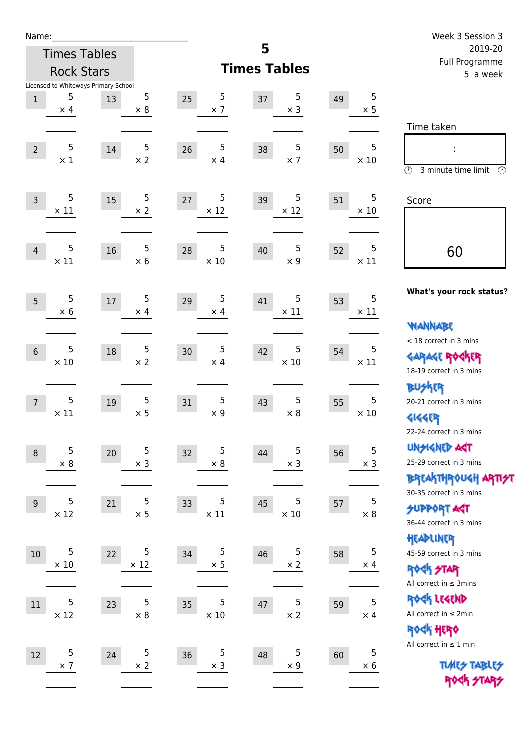| Name:           |                 |                                            |                 |                                 |                       |    |                 | Week 3 Session 3                                                 |
|-----------------|-----------------|--------------------------------------------|-----------------|---------------------------------|-----------------------|----|-----------------|------------------------------------------------------------------|
|                 |                 | <b>Times Tables</b>                        |                 |                                 | 5                     |    |                 | 2019-20<br>Full Programme                                        |
|                 |                 | <b>Rock Stars</b>                          |                 |                                 | <b>Times Tables</b>   |    |                 | 5 a week                                                         |
| $1\,$           | 5               | Licensed to Whiteways Primary School<br>13 | 5               | 5<br>25                         | 5<br>37               | 49 | 5               |                                                                  |
|                 | $\times$ 4      |                                            | $\times 8$      | $\times$ 7                      | $\times$ 3            |    | $\times$ 5      |                                                                  |
|                 |                 |                                            |                 |                                 |                       |    |                 | Time taken                                                       |
| $\overline{2}$  | 5               | 14                                         | 5               | 5<br>26                         | 5<br>38               | 50 | 5               |                                                                  |
|                 | $\times$ 1      |                                            | $\times 2$      | $\times$ 4                      | $\times$ 7            |    | $\times$ 10     |                                                                  |
|                 |                 |                                            |                 |                                 |                       |    |                 | $\circled{r}$<br>3 minute time limit<br>$\circled{r}$            |
| $\overline{3}$  | 5               | 15                                         | 5               | 5<br>27                         | 5<br>39               | 51 | 5               | Score                                                            |
|                 | $\times$ 11     |                                            | $\times 2$      | $\times$ 12                     | $\times$ 12           |    | $\times$ 10     |                                                                  |
|                 |                 |                                            |                 |                                 |                       |    |                 |                                                                  |
| 4               | 5               | 16                                         | $\sqrt{5}$      | 5<br>28                         | 5<br>40               | 52 | 5               | 60                                                               |
|                 | $\times$ 11     |                                            | $\times$ 6      | $\times$ 10                     | $\times$ 9            |    | $\times$ 11     |                                                                  |
|                 |                 |                                            |                 |                                 |                       |    |                 |                                                                  |
| 5               | 5               | 17                                         | 5               | $\sqrt{5}$<br>29                | 5<br>41               | 53 | 5               | What's your rock status?                                         |
|                 | $\times$ 6      |                                            | $\times$ 4      | $\times$ 4                      | $\times$ 11           |    | $\times$ 11     |                                                                  |
|                 |                 |                                            |                 |                                 |                       |    |                 | <b>WANNABE</b><br>< 18 correct in 3 mins                         |
| $6\phantom{1}6$ | 5               | 18                                         | $\sqrt{5}$      | $\mathbf 5$<br>30               | 5<br>42               | 54 | 5               | <b>GARAGE ROCKER</b>                                             |
|                 | $\times$ 10     |                                            | $\times 2$      | $\times$ 4                      | $\times$ 10           |    | $\times$ 11     | 18-19 correct in 3 mins                                          |
|                 |                 |                                            |                 |                                 |                       |    |                 | <b>BUSKER</b>                                                    |
| $\overline{7}$  | 5               | 19                                         | 5               | $\sqrt{5}$<br>31                | 5<br>43               | 55 | 5               | 20-21 correct in 3 mins                                          |
|                 | $\times$ 11     |                                            | $\times$ 5      | $\times$ 9                      | $\times 8$            |    | $\times$ 10     | <b>4144EP</b>                                                    |
|                 |                 |                                            |                 |                                 |                       |    |                 | 22-24 correct in 3 mins                                          |
| $\,8\,$         | 5               | 20                                         | $\mathbf 5$     | 5<br>32                         | 5<br>44               | 56 | 5               | <b>UNSIGNED AGT</b>                                              |
|                 | $\times$ 8      |                                            | $\times$ 3      | $\times 8$                      | $\times$ 3            |    | $\times$ 3      | 25-29 correct in 3 mins                                          |
|                 |                 |                                            |                 |                                 |                       |    |                 | <b>BREAKTHROUGH ARTI<del>S</del>T</b><br>30-35 correct in 3 mins |
| 9               | 5               | 21                                         | $\sqrt{5}$      | 5<br>33                         | 5<br>45               | 57 | 5               | <b>SUPPORT AGT</b>                                               |
|                 | $\times$ 12     |                                            | $\times$ 5      | $\times$ 11                     | $\times$ 10           |    | $\times$ 8      | 36-44 correct in 3 mins                                          |
|                 |                 |                                            |                 |                                 |                       |    |                 | HEADLINER                                                        |
| $10\,$          | 5               | 22                                         | 5               | 5<br>34                         | 5<br>46               | 58 | 5               | 45-59 correct in 3 mins                                          |
|                 | $\times$ 10     |                                            | $\times$ 12     | $\times$ 5                      | $\times$ 2            |    | $\times$ 4      | <b>ROCK STAR</b>                                                 |
|                 |                 |                                            |                 |                                 |                       |    |                 | All correct in $\leq$ 3mins                                      |
| 11              | 5               | 23                                         | 5               | 5<br>35                         | 5<br>47               | 59 | 5               | ROCK LEGEND<br>All correct in $\leq 2$ min                       |
|                 | $\times$ 12     |                                            | $\times$ 8      | $\times$ 10                     | $\times$ 2            |    | $\times$ 4      | ROCK HERO                                                        |
|                 |                 |                                            |                 |                                 |                       |    |                 | All correct in $\leq 1$ min                                      |
| 12              | 5<br>$\times$ 7 | 24                                         | 5<br>$\times$ 2 | $\mathsf 5$<br>36<br>$\times$ 3 | 5<br>48<br>$\times$ 9 | 60 | 5<br>$\times 6$ | <b>TUARS TABLES</b>                                              |
|                 |                 |                                            |                 |                                 |                       |    |                 | ROCK STARS                                                       |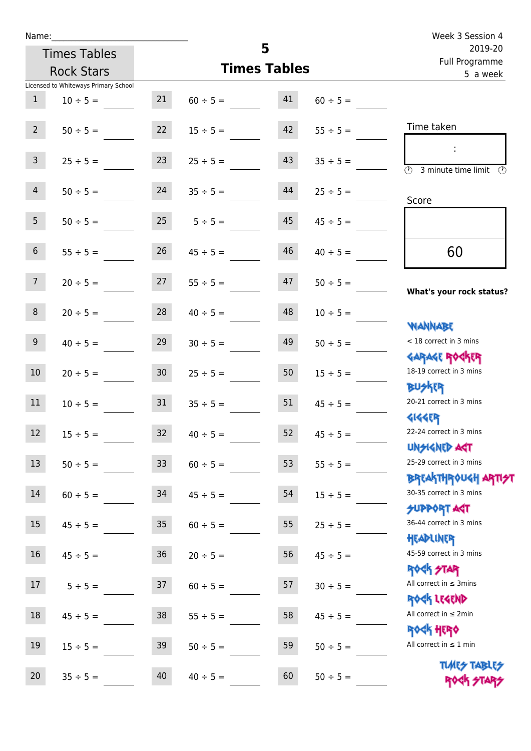| Name:                                |               |                  |               |                     |               | Week 3 Session 4                                                   |
|--------------------------------------|---------------|------------------|---------------|---------------------|---------------|--------------------------------------------------------------------|
| <b>Times Tables</b>                  |               |                  |               | 5                   |               | 2019-20<br>Full Programme                                          |
| <b>Rock Stars</b>                    |               |                  |               | <b>Times Tables</b> |               | 5 a week                                                           |
| Licensed to Whiteways Primary School |               |                  |               |                     |               |                                                                    |
| $\mathbf{1}$                         | $10 \div 5 =$ | 21               | $60 \div 5 =$ | 41                  | $60 \div 5 =$ |                                                                    |
| 2 <sup>7</sup>                       | $50 \div 5 =$ | 22               | $15 \div 5 =$ | 42                  | $55 \div 5 =$ | Time taken                                                         |
| $\overline{3}$                       | $25 \div 5 =$ | 23               | $25 \div 5 =$ | 43                  | $35 \div 5 =$ | $\overline{\mathcal{O}}$<br>3 minute time limit<br>$(\mathcal{V})$ |
| $\overline{4}$                       | $50 \div 5 =$ | 24               | $35 \div 5 =$ | 44                  | $25 \div 5 =$ | Score                                                              |
| 5 <sub>1</sub><br>$50 \div 5 =$      |               | 25               | $5 \div 5 =$  | 45                  | $45 \div 5 =$ |                                                                    |
| 6<br>$55 \div 5 =$                   |               | 26               | $45 \div 5 =$ | 46                  | $40 \div 5 =$ | 60                                                                 |
| 7 <sup>7</sup><br>$20 \div 5 =$      |               | 27               | $55 \div 5 =$ | 47                  | $50 \div 5 =$ | What's your rock status?                                           |
| 8<br>$20 \div 5 =$                   |               | 28               | $40 \div 5 =$ | 48                  | $10 \div 5 =$ | <b>JARNARY</b>                                                     |
| 9 <sub>o</sub>                       | $40 \div 5 =$ | 29               | $30 \div 5 =$ | 49                  | $50 \div 5 =$ | < 18 correct in 3 mins<br><b>GARAGE ROGKER</b>                     |
| $10\,$                               | $20 \div 5 =$ | 30 <sub>o</sub>  | $25 \div 5 =$ | 50                  | $15 \div 5 =$ | 18-19 correct in 3 mins<br><b>BUSKER</b>                           |
| 11                                   | $10 \div 5 =$ | 31               | $35 \div 5 =$ | 51                  | $45 \div 5 =$ | 20-21 correct in 3 mins<br><b>4144EP</b>                           |
| 12<br>$15 \div 5 =$                  |               | 32               | $40 \div 5 =$ | 52                  | $45 \div 5 =$ | 22-24 correct in 3 mins<br><b>UNSIGNED AST</b>                     |
| 13<br>$50 \div 5 =$                  |               | 33               | $60 \div 5 =$ | 53                  | $55 \div 5 =$ | 25-29 correct in 3 mins<br>BREAKTHRÓUGH ARTI <del>2</del> 1        |
| 14<br>$60 \div 5 =$                  |               | 34               | $45 \div 5 =$ | 54                  | $15 \div 5 =$ | 30-35 correct in 3 mins<br>SUPPORT ART                             |
| 15<br>$45 \div 5 =$                  |               | $35\phantom{.0}$ | $60 \div 5 =$ | 55                  | $25 \div 5 =$ | 36-44 correct in 3 mins<br>HEADLINER                               |
| 16<br>$45 \div 5 =$                  |               | $36\,$           | $20 \div 5 =$ | 56                  | $45 \div 5 =$ | 45-59 correct in 3 mins<br><b>ROCK STAR</b>                        |
| 17<br>$5 ÷ 5 =$                      |               | 37               | $60 \div 5 =$ | 57                  | $30 \div 5 =$ | All correct in $\leq$ 3mins<br>ROCK LEGEND                         |
| $18\,$<br>$45 \div 5 =$              |               | $38\,$           | $55 \div 5 =$ | 58                  | $45 \div 5 =$ | All correct in $\leq 2$ min<br><b>ROCK HERO</b>                    |
| $19\,$<br>$15 \div 5 =$              |               | 39               | $50 \div 5 =$ | 59                  | $50 \div 5 =$ | All correct in $\leq 1$ min                                        |
| 20<br>$35 \div 5 =$                  |               | 40               | $40 \div 5 =$ | 60                  | $50 \div 5 =$ | <b>TUARS TABLES</b><br>ROCK STARS                                  |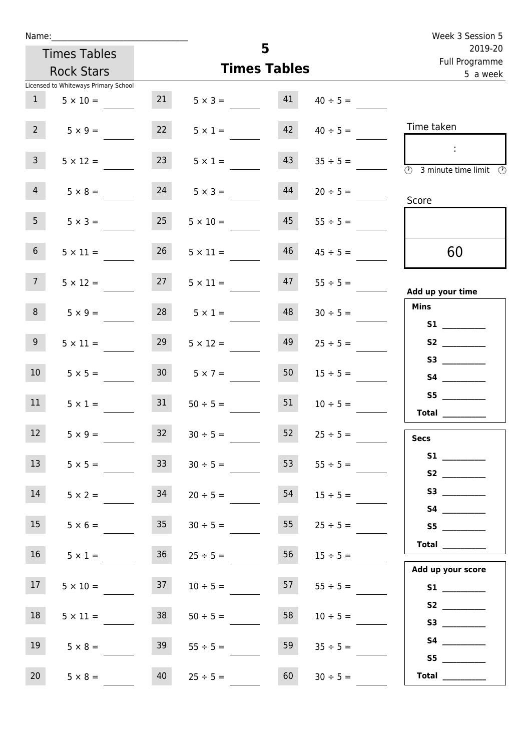| Week 3 Session 5                                                                           |                    |    |                       |                 | Name:                                |                 |
|--------------------------------------------------------------------------------------------|--------------------|----|-----------------------|-----------------|--------------------------------------|-----------------|
| 2019-20<br>Full Programme                                                                  |                    |    | 5                     |                 | <b>Times Tables</b>                  |                 |
| 5 a week                                                                                   |                    |    | <b>Times Tables</b>   |                 | <b>Rock Stars</b>                    |                 |
|                                                                                            |                    |    |                       |                 | Licensed to Whiteways Primary School |                 |
|                                                                                            | $40 \div 5 =$      |    | $5 \times 3 = 41$     | 21              | $5 \times 10 =$                      | 1               |
| Time taken                                                                                 | $40 \div 5 =$      | 42 | $5 \times 1 =$        | 22              | $5 \times 9 =$                       | $2^{\circ}$     |
| $\sim 10$<br>$\overline{\textcircled{1}}$ 3 minute time limit $\overline{\textcircled{1}}$ | $35 \div 5 =$      | 43 | $5 \times 1 =$        | 23              | $5 \times 12 =$                      | 3 <sup>7</sup>  |
| Score                                                                                      | $20 \div 5 =$      | 44 | $5 \times 3 =$        | 24              | $5 \times 8 =$                       | 4               |
|                                                                                            | $55 \div 5 =$      | 45 | $5 \times 10 =$       | 25              | $5 \times 3 =$                       | 5 <sub>1</sub>  |
| 60                                                                                         | $45 \div 5 =$      | 46 | $5 \times 11 =$       | 26              | $5 \times 11 =$                      | 6 <sup>1</sup>  |
| Add up your time                                                                           | $47$ $55 \div 5 =$ |    | $27 \t 5 \times 11 =$ |                 | $5 \times 12 =$                      | 7 <sup>7</sup>  |
| <b>Mins</b><br><b>S1 S1</b>                                                                | $30 \div 5 =$      | 48 | $28$ $5 \times 1 =$   |                 | $5 \times 9 =$                       | 8               |
| S2                                                                                         | $25 \div 5 =$      | 49 | $5 \times 12 =$       | 29              | $5 \times 11 =$                      | 9 <sub>o</sub>  |
| S4                                                                                         | $15 \div 5 =$      | 50 | $30 \t 5 \times 7 =$  |                 | $5 \times 5 =$                       | 10 <sup>°</sup> |
| S5<br>Total $\_\_$                                                                         | $10 \div 5 =$      | 51 | $50 \div 5 =$         | 31              | $5 \times 1 =$                       | 11              |
| <b>Secs</b>                                                                                | $25 \div 5 =$      | 52 | $30 \div 5 =$         | 32 <sup>2</sup> | $5 \times 9 =$                       | 12              |
|                                                                                            | $55 \div 5 =$      | 53 | $30 \div 5 =$         | 33 <sup>7</sup> | $5 \times 5 =$                       | 13              |
| S3                                                                                         | $15 \div 5 =$      | 54 | $20 \div 5 =$         | 34              | $5 \times 2 =$                       | 14              |
| S5                                                                                         | $25 \div 5 =$      | 55 | $30 \div 5 =$         | 35 <sub>1</sub> | $5 \times 6 =$                       | 15              |
| <b>Total</b><br>Add up your score                                                          | $15 \div 5 =$      | 56 | $25 \div 5 =$         | 36              | $5 \times 1 =$                       | 16              |
|                                                                                            | $55 \div 5 =$      | 57 | $10 \div 5 =$         | 37              | $5 \times 10 =$                      | 17              |
| S2                                                                                         | $10 \div 5 =$      | 58 | $50 \div 5 =$         | 38              | $5 \times 11 =$                      | 18              |
| S5                                                                                         | $35 \div 5 =$      | 59 | $55 \div 5 =$         | 39              | $5 \times 8 =$                       | 19              |
| Total $\frac{1}{1}$                                                                        | $30 \div 5 =$      | 60 | $25 \div 5 =$         | 40              | $5 \times 8 =$                       | 20              |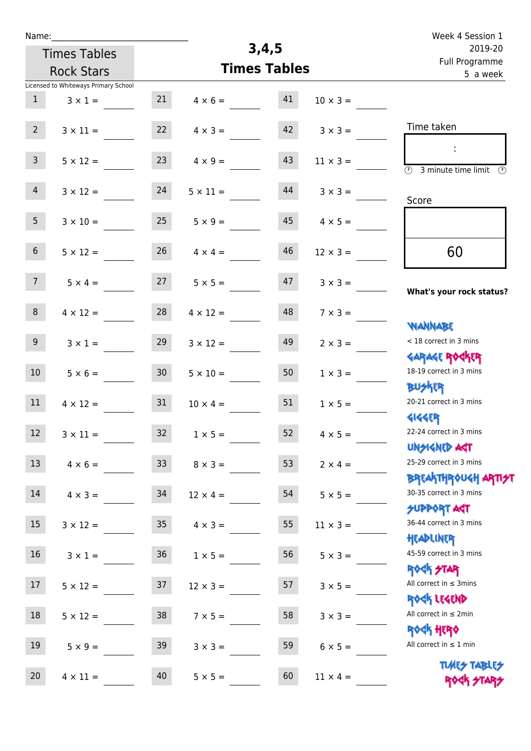| Name:           |                                      |                 |                 |                     |                 | Week 4 Session 1                                                 |
|-----------------|--------------------------------------|-----------------|-----------------|---------------------|-----------------|------------------------------------------------------------------|
|                 | <b>Times Tables</b>                  |                 |                 | 3,4,5               |                 | 2019-20                                                          |
|                 | <b>Rock Stars</b>                    |                 |                 | <b>Times Tables</b> |                 | Full Programme<br>5 a week                                       |
|                 | Licensed to Whiteways Primary School |                 |                 |                     |                 |                                                                  |
| $\mathbf{1}$    | $3 \times 1 =$                       | 21              | $4 \times 6 =$  | 41                  | $10 \times 3 =$ |                                                                  |
| $2^{\circ}$     | $3 \times 11 =$                      | 22              | $4 \times 3 =$  | 42                  | $3 \times 3 =$  | Time taken                                                       |
|                 |                                      |                 |                 |                     |                 |                                                                  |
| 3 <sup>7</sup>  | $5 \times 12 =$                      | 23              | $4 \times 9 =$  | 43                  | $11 \times 3 =$ | $\overline{\mathcal{O}}$<br>3 minute time limit<br>$\mathcal{O}$ |
| $\overline{4}$  | $3 \times 12 =$                      | 24              | $5 \times 11 =$ | 44                  | $3 \times 3 =$  | Score                                                            |
|                 |                                      |                 |                 |                     |                 |                                                                  |
| 5 <sub>1</sub>  | $3 \times 10 =$                      | 25              | $5 \times 9 =$  | 45                  | $4 \times 5 =$  |                                                                  |
| 6 <sup>1</sup>  | $5 \times 12 =$                      | 26              | $4 \times 4 =$  | 46                  | $12 \times 3 =$ | 60                                                               |
| 7 <sup>7</sup>  | $5 \times 4 =$                       | 27              | $5 \times 5 =$  | 47                  | $3 \times 3 =$  |                                                                  |
|                 |                                      |                 |                 |                     |                 | What's your rock status?                                         |
| 8               | $4 \times 12 =$                      | 28              | $4 \times 12 =$ | 48                  | $7 \times 3 =$  | <b>NANNABE</b>                                                   |
| 9               | $3 \times 1 =$                       | 29              | $3 \times 12 =$ | 49                  | $2 \times 3 =$  | < 18 correct in 3 mins                                           |
|                 |                                      |                 |                 |                     |                 | <b>GARAGE ROCKER</b>                                             |
| 10 <sup>°</sup> | $5 \times 6 =$                       | 30 <sub>o</sub> | $5 \times 10 =$ | 50                  | $1 \times 3 =$  | 18-19 correct in 3 mins                                          |
| 11              | $4 \times 12 =$                      | 31              | $10 \times 4 =$ | 51                  | $1 \times 5 =$  | <b>BUSKER</b><br>20-21 correct in 3 mins                         |
|                 |                                      |                 |                 |                     |                 | <b>4144EP</b>                                                    |
| 12              | $3 \times 11 =$                      | 32              | $1 \times 5 =$  | 52                  | $4 \times 5 =$  | 22-24 correct in 3 mins                                          |
|                 |                                      |                 |                 |                     |                 | <b>UNSIGNED AST</b>                                              |
| 13              | $4 \times 6 =$                       | 33              | $8 \times 3 =$  | 53                  | $2 \times 4 =$  | 25-29 correct in 3 mins<br><b>BREAKTHROUGH ARTI<del>S</del>T</b> |
| 14              | $4 \times 3 = 34$                    |                 | $12 \times 4 =$ | 54                  | $5 \times 5 =$  | 30-35 correct in 3 mins                                          |
|                 |                                      |                 |                 |                     |                 | <b>SUPPORT AGT</b>                                               |
| 15              | $3 \times 12 =$                      | 35              | $4 \times 3 =$  | 55                  | $11 \times 3 =$ | 36-44 correct in 3 mins                                          |
|                 |                                      |                 |                 |                     |                 | HEADLINER                                                        |
| 16              | $3 \times 1 =$                       | 36              | $1 \times 5 =$  | 56                  | $5 \times 3 =$  | 45-59 correct in 3 mins<br><b>ROCK STAR</b>                      |
| 17 <sup>2</sup> | $5 \times 12 =$                      | 37              | $12 \times 3 =$ | 57                  | $3 \times 5 =$  | All correct in $\leq$ 3mins                                      |
|                 |                                      |                 |                 |                     |                 | ROCK LEGEND                                                      |
| 18              | $5 \times 12 =$                      | 38              | $7 \times 5 =$  | 58                  | $3 \times 3 =$  | All correct in $\leq 2$ min                                      |
| 19              | $5 \times 9 =$                       | 39              |                 | 59                  |                 | <b>ROCK HERO</b><br>All correct in $\leq 1$ min                  |
|                 |                                      |                 | $3 \times 3 =$  |                     | $6 \times 5 =$  |                                                                  |
| 20 <sub>2</sub> | $4 \times 11 =$                      | 40              | $5 \times 5 =$  | 60                  | $11 \times 4 =$ | <b>TUARS TABLES</b><br>ROCK STARS                                |
|                 |                                      |                 |                 |                     |                 |                                                                  |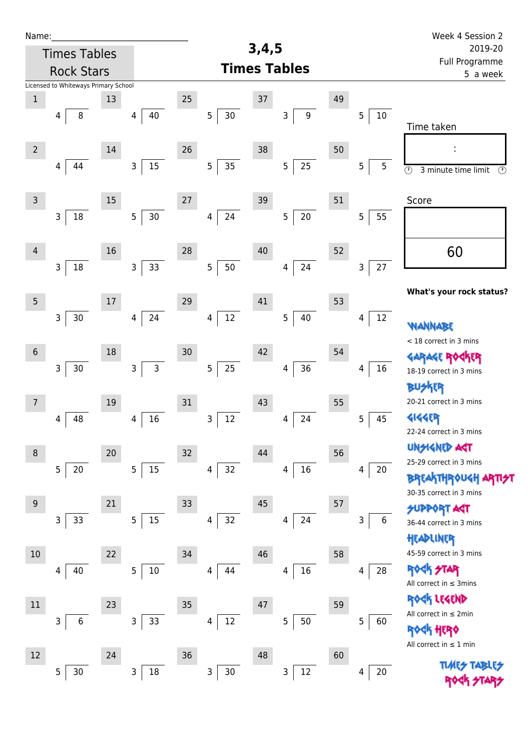| Name:           |                                      |        |                              |    |             |       |                          |    |             | Week 4 Session 2                                                 |
|-----------------|--------------------------------------|--------|------------------------------|----|-------------|-------|--------------------------|----|-------------|------------------------------------------------------------------|
|                 | <b>Times Tables</b>                  |        |                              |    |             | 3,4,5 |                          |    |             | 2019-20<br>Full Programme                                        |
|                 | <b>Rock Stars</b>                    |        |                              |    |             |       | <b>Times Tables</b>      |    |             | 5 a week                                                         |
|                 | Licensed to Whiteways Primary School |        |                              |    |             |       |                          |    |             |                                                                  |
| $\,1$           |                                      | 13     |                              | 25 |             | 37    |                          | 49 |             |                                                                  |
|                 | $\,8\,$<br>$\overline{4}$            |        | $40\,$<br>4                  |    | 5<br>$30\,$ |       | $\mathsf 9$<br>3         |    | $10\,$<br>5 | Time taken                                                       |
|                 |                                      |        |                              |    |             |       |                          |    |             |                                                                  |
| $\overline{2}$  |                                      | 14     |                              | 26 |             | 38    |                          | 50 |             |                                                                  |
|                 | 44<br>4                              |        | 15<br>$\mathsf{3}$           |    | $35\,$<br>5 |       | 25<br>5                  |    | 5<br>5      | $\overline{\circlearrowright}$<br>$\odot$<br>3 minute time limit |
|                 |                                      |        |                              |    |             |       |                          |    |             |                                                                  |
| $\mathsf{3}$    |                                      | 15     |                              | 27 |             | 39    |                          | 51 |             | Score                                                            |
|                 | $18\,$<br>3                          |        | $30\,$<br>5                  |    | 24<br>4     |       | $20\,$<br>$\overline{5}$ |    | 5<br>55     |                                                                  |
|                 |                                      |        |                              |    |             |       |                          |    |             |                                                                  |
| 4               |                                      | 16     |                              | 28 |             | 40    |                          | 52 |             | 60                                                               |
|                 | $\mathsf{3}$<br>18                   |        | 33<br>$\mathbf{3}$           |    | 5<br>50     |       | 24<br>$\overline{4}$     |    | 27<br>3     |                                                                  |
|                 |                                      |        |                              |    |             |       |                          |    |             |                                                                  |
| $5\phantom{.0}$ |                                      | $17\,$ |                              | 29 |             | 41    |                          | 53 |             | What's your rock status?                                         |
|                 | 3<br>$30$                            |        | 24<br>4                      |    | $12\,$<br>4 |       | 5<br>40                  |    | 12<br>4     |                                                                  |
|                 |                                      |        |                              |    |             |       |                          |    |             | <b>WANNABE</b>                                                   |
| $6\,$           |                                      | 18     |                              | 30 |             | 42    |                          | 54 |             | < 18 correct in 3 mins                                           |
|                 |                                      |        |                              |    |             |       |                          |    |             | <b>GARAGE RO</b>                                                 |
|                 | $\mathsf{3}$<br>$30\,$               |        | $\mathsf{3}$<br>$\mathsf{3}$ |    | $25\,$<br>5 |       | 36<br>4                  |    | $16\,$<br>4 | 18-19 correct in 3 mins                                          |
|                 |                                      |        |                              |    |             |       |                          |    |             | <b>BUSKER</b>                                                    |
| $\overline{7}$  |                                      | 19     |                              | 31 |             | 43    |                          | 55 |             | 20-21 correct in 3 mins                                          |
|                 | 48<br>4                              |        | 16<br>4                      |    | 12<br>3     |       | 24<br>4                  |    | 5<br>45     | <b>4144ER</b><br>22-24 correct in 3 mins                         |
|                 |                                      |        |                              |    |             |       |                          |    |             | <b>UNSIGNED AST</b>                                              |
| 8               |                                      | 20     |                              | 32 |             | 44    |                          | 56 |             | 25-29 correct in 3 mins                                          |
|                 | 5<br>$20\,$                          |        | 5 <sub>5</sub><br>15         |    | 32<br>4     |       | $16\,$<br>4              |    | 20<br>4     | <b>BREAKTHROUGH</b>                                              |
|                 |                                      |        |                              |    |             |       |                          |    |             | 30-35 correct in 3 mins                                          |
| $\overline{9}$  |                                      | 21     |                              | 33 |             | 45    |                          | 57 |             | <b>SUPPORT AGT</b>                                               |
|                 | 33<br>3                              |        | 15<br>5                      |    | 32<br>4     |       | 24<br>4                  |    | 6<br>3      | 36-44 correct in 3 mins                                          |
|                 |                                      |        |                              |    |             |       |                          |    |             | HEADLINER                                                        |
| 10              |                                      | 22     |                              | 34 |             | 46    |                          | 58 |             | 45-59 correct in 3 mins                                          |
|                 | 40<br>4                              |        | 5 <sub>1</sub><br>10         |    | 44<br>4     |       | $16\,$<br>4              |    | 28<br>4     | ROCK STAR                                                        |
|                 |                                      |        |                              |    |             |       |                          |    |             | All correct in $\leq$ 3mins                                      |
| 11              |                                      | 23     |                              | 35 |             | 47    |                          | 59 |             | ROCK LEGEND                                                      |
|                 | 3<br>6                               |        | 33<br>3                      |    | $12\,$<br>4 |       | 50<br>5                  |    | 5<br>60     | All correct in $\leq 2$ min                                      |
|                 |                                      |        |                              |    |             |       |                          |    |             | ROCK HERO                                                        |
| 12              |                                      | 24     |                              | 36 |             | 48    |                          | 60 |             | All correct in $\leq 1$ min                                      |
|                 | 5<br>$30$                            |        | 18<br>$\mathsf{3}$           |    | 3<br>$30\,$ |       | $12\,$<br>3              |    | 20<br>4     | <b>TUARS TABLES</b>                                              |
|                 |                                      |        |                              |    |             |       |                          |    |             |                                                                  |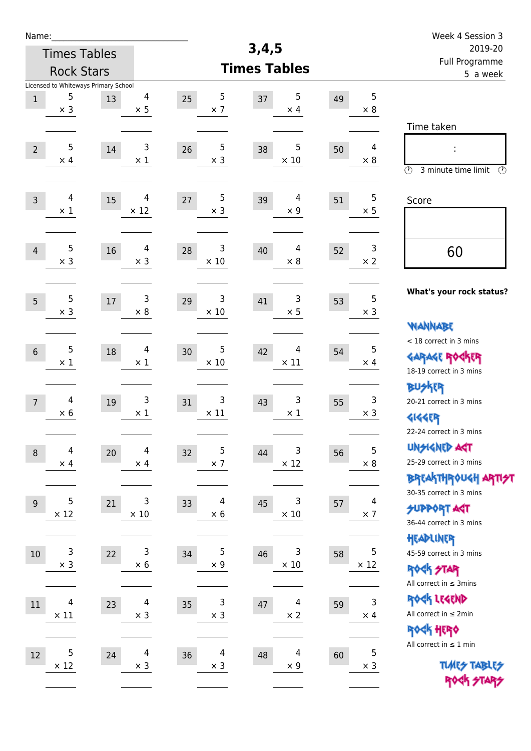| Name:          |                                                         |    |                              |                                |                        |    |                              | Week 4 Session 3                                                                        |  |
|----------------|---------------------------------------------------------|----|------------------------------|--------------------------------|------------------------|----|------------------------------|-----------------------------------------------------------------------------------------|--|
|                | <b>Times Tables</b>                                     |    |                              |                                | 3,4,5                  |    |                              | 2019-20                                                                                 |  |
|                | <b>Rock Stars</b>                                       |    |                              |                                | <b>Times Tables</b>    |    |                              | Full Programme<br>5 a week                                                              |  |
| $\mathbf 1$    | Licensed to Whiteways Primary School<br>5<br>$\times$ 3 | 13 | $\overline{4}$<br>$\times$ 5 | $\sqrt{5}$<br>25<br>$\times$ 7 | 5<br>37<br>$\times$ 4  | 49 | $\overline{5}$<br>$\times$ 8 |                                                                                         |  |
| $\overline{2}$ | 5<br>$\times$ 4                                         | 14 | 3<br>$\times$ 1              | 5<br>26<br>$\times$ 3          | 5<br>38<br>$\times$ 10 | 50 | 4<br>$\times 8$              | Time taken<br>Ì,<br>$\circled{r}$<br>3 minute time limit<br>⊕                           |  |
| $\mathsf{3}$   | 4<br>$\times 1$                                         | 15 | 4<br>$\times$ 12             | $\sqrt{5}$<br>27<br>$\times$ 3 | 4<br>39<br>$\times$ 9  | 51 | 5<br>$\times$ 5              | Score                                                                                   |  |
| $\overline{4}$ | 5<br>$\times$ 3                                         | 16 | 4<br>$\times$ 3              | 3<br>28<br>$\times$ 10         | 4<br>40<br>$\times 8$  | 52 | 3<br>$\times 2$              | 60                                                                                      |  |
| 5              | 5<br>$\times$ 3                                         | 17 | 3<br>$\times 8$              | 3<br>29<br>$\times 10$         | 3<br>41<br>$\times$ 5  | 53 | $\overline{5}$<br>$\times$ 3 | What's your rock status?<br><b>WANNABE</b>                                              |  |
| $\sqrt{6}$     | 5<br>$\times$ 1                                         | 18 | $\overline{4}$<br>$\times$ 1 | 5<br>30<br>$\times$ 10         | 4<br>42<br>$\times$ 11 | 54 | 5<br>$\times$ 4              | < 18 correct in 3 mins<br><b>GARAGE ROCKER</b><br>18-19 correct in 3 mins               |  |
| $\overline{7}$ | $\overline{4}$<br>$\times 6$                            | 19 | 3<br>$\times$ 1              | 3<br>31<br>$\times$ 11         | 3<br>43<br>$\times$ 1  | 55 | 3<br>$\times$ 3              | <b>BUSKER</b><br>20-21 correct in 3 mins<br><b>4144EP</b><br>22-24 correct in 3 mins    |  |
| $\,8\,$        | 4<br>$\times$ 4                                         | 20 | 4<br>$\times$ 4              | 5<br>32<br>$\times$ 7          | 3<br>44<br>$\times$ 12 | 56 | 5<br>$\times$ 8              | <b>UNSIGNED AGT</b><br>25-29 correct in 3 mins<br>ΒΡΓΑΚΤΗΡΟUGH ΑΡΤΙ <del>2</del> Τ      |  |
| $9$            | 5<br>$\times$ 12                                        | 21 | 3<br>$\times$ 10             | 4<br>33<br>$\times$ 6          | 3<br>45<br>$\times$ 10 | 57 | 4<br>$\times$ 7              | 30-35 correct in 3 mins<br><b>SUPPORT AGT</b><br>36-44 correct in 3 mins                |  |
| $10$           | 3<br>$\times$ 3                                         | 22 | 3<br>$\times$ 6              | $\sqrt{5}$<br>34<br>$\times$ 9 | 3<br>46<br>$\times$ 10 | 58 | 5<br>$\times$ 12             | HEADLINER<br>45-59 correct in 3 mins<br><b>ROCK STAR</b><br>All correct in $\leq$ 3mins |  |
| 11             | $\overline{4}$<br>$\times$ 11                           | 23 | 4<br>$\times$ 3              | 3<br>35<br>$\times$ 3          | 4<br>47<br>$\times$ 2  | 59 | $\mathsf 3$<br>$\times$ 4    | ROCK LEGEND<br>All correct in $\leq 2$ min<br>ROCK HERO                                 |  |
| $12\,$         | 5<br>$\times$ 12                                        | 24 | $\overline{4}$<br>$\times$ 3 | 4<br>36<br>$\times$ 3          | 4<br>48<br>$\times$ 9  | 60 | $\mathbf 5$<br>$\times$ 3    | All correct in $\leq 1$ min<br><b>TUARS TABLES</b><br>ROCK STARS                        |  |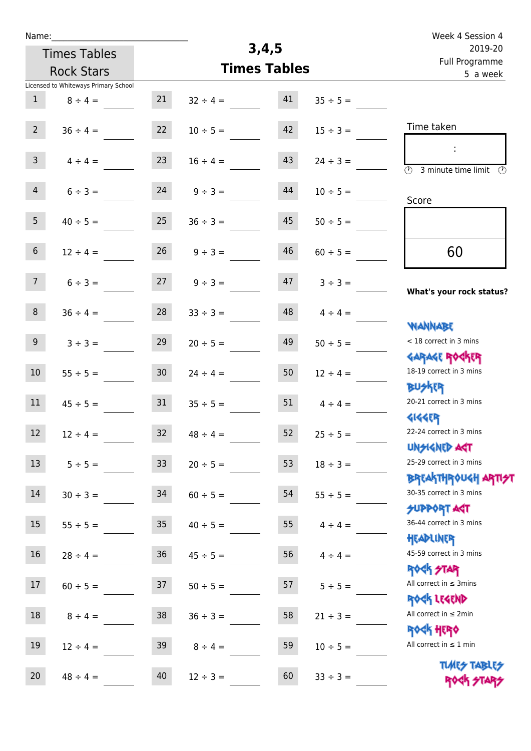| Week 4 Session 4                                            |               |    |                     |                 |                                      | Name:             |
|-------------------------------------------------------------|---------------|----|---------------------|-----------------|--------------------------------------|-------------------|
| 2019-20                                                     |               |    | 3,4,5               |                 | <b>Times Tables</b>                  |                   |
| Full Programme<br>5 a week                                  |               |    | <b>Times Tables</b> |                 | <b>Rock Stars</b>                    |                   |
|                                                             |               |    |                     |                 | Licensed to Whiteways Primary School |                   |
|                                                             | $35 \div 5 =$ | 41 | $32 \div 4 =$       | 21              | $8 \div 4 =$                         | $\mathbf{1}$      |
| Time taken                                                  | $15 \div 3 =$ | 42 | $10 \div 5 =$       | 22              | $36 \div 4 =$                        | $\overline{2}$    |
|                                                             |               |    |                     |                 |                                      |                   |
|                                                             | $24 \div 3 =$ | 43 | $16 \div 4 =$       | 23              | $4 \div 4 =$                         | $\mathsf{3}$      |
| $\circled{r}$<br>3 minute time limit                        |               |    |                     |                 |                                      |                   |
| Score                                                       | $10 \div 5 =$ | 44 | $9 ÷ 3 =$           | 24              | $6 ÷ 3 =$                            | $\overline{4}$    |
|                                                             |               |    |                     |                 |                                      |                   |
|                                                             | $50 \div 5 =$ | 45 | $36 \div 3 =$       | 25              | $40 \div 5 =$                        | 5                 |
|                                                             |               |    |                     |                 |                                      |                   |
| 60                                                          | $60 \div 5 =$ | 46 | $9 ÷ 3 =$           | 26              | $12 \div 4 =$                        | $\sqrt{6}$        |
|                                                             | $3 ÷ 3 =$     | 47 | $9 ÷ 3 =$           | 27              | $6 ÷ 3 =$                            | 7 <sup>7</sup>    |
| What's your rock status?                                    |               |    |                     |                 |                                      |                   |
|                                                             | $4 \div 4 =$  | 48 | $33 ÷ 3 =$          | 28              | $36 \div 4 =$                        | $\,8\,$           |
| <b>JARNARY</b>                                              |               |    |                     |                 |                                      |                   |
| < 18 correct in 3 mins                                      | $50 \div 5 =$ | 49 | $20 \div 5 =$       | 29              | $3 ÷ 3 =$                            | $\boldsymbol{9}$  |
| <b>GARAGE ROGKER</b>                                        |               |    |                     |                 |                                      |                   |
| 18-19 correct in 3 mins                                     | $12 \div 4 =$ | 50 | $24 \div 4 =$       | 30              | $55 \div 5 =$                        | 10                |
| <b>BUSKRR</b>                                               |               |    |                     |                 |                                      |                   |
| 20-21 correct in 3 mins                                     | $4 \div 4 =$  | 51 | $35 \div 5 =$       | 31              | $45 \div 5 =$                        | 11                |
| <b>4144EP</b>                                               |               |    |                     |                 |                                      |                   |
| 22-24 correct in 3 mins                                     | $25 \div 5 =$ | 52 | $48 \div 4 =$       | 32 <sub>2</sub> | $12 \div 4 =$                        | $12 \overline{ }$ |
| <b>UNSIGNED AGT</b><br>25-29 correct in 3 mins              |               |    |                     |                 |                                      |                   |
|                                                             | $18 \div 3 =$ | 53 | $20 \div 5 =$       | 33 <sup>°</sup> | $5 ÷ 5 =$                            | 13                |
| ΒΡΓΑΚΤΗΡΟUGH ΑΡΤΙ <del>2</del> Τ<br>30-35 correct in 3 mins | $55 \div 5 =$ | 54 | $60 \div 5 =$       | 34              | $30 \div 3 =$                        | $14\,$            |
| <b>SUPPORT AGT</b>                                          |               |    |                     |                 |                                      |                   |
| 36-44 correct in 3 mins                                     | $4 \div 4 =$  | 55 | $40 \div 5 =$       | 35              | $55 \div 5 =$                        | 15                |
| HEADLINER                                                   |               |    |                     |                 |                                      |                   |
| 45-59 correct in 3 mins                                     | $4 \div 4 =$  | 56 | $45 \div 5 =$       | 36              | $28 \div 4 =$                        | $16\,$            |
| <b>ROCK STAR</b>                                            |               |    |                     |                 |                                      |                   |
| All correct in $\leq$ 3mins                                 | $5 ÷ 5 =$     | 57 | $50 \div 5 =$       | 37              | $60 \div 5 =$                        | 17                |
| ROCK LEGEND                                                 |               |    |                     |                 |                                      |                   |
| All correct in $\leq 2$ min                                 | $21 \div 3 =$ | 58 | $36 \div 3 =$       | 38              | $8 \div 4 =$                         | $18\,$            |
| <b>ROCK HERO</b>                                            |               |    |                     |                 |                                      |                   |
| All correct in $\leq 1$ min                                 | $10 \div 5 =$ | 59 | $8 \div 4 =$        | 39              | $12 \div 4 =$                        | 19                |
| <b>TUARS TABLES</b>                                         |               |    |                     |                 |                                      |                   |
| ROCK STARS                                                  | $33 \div 3 =$ | 60 | $12 \div 3 =$       | 40              | $48 \div 4 =$                        | 20                |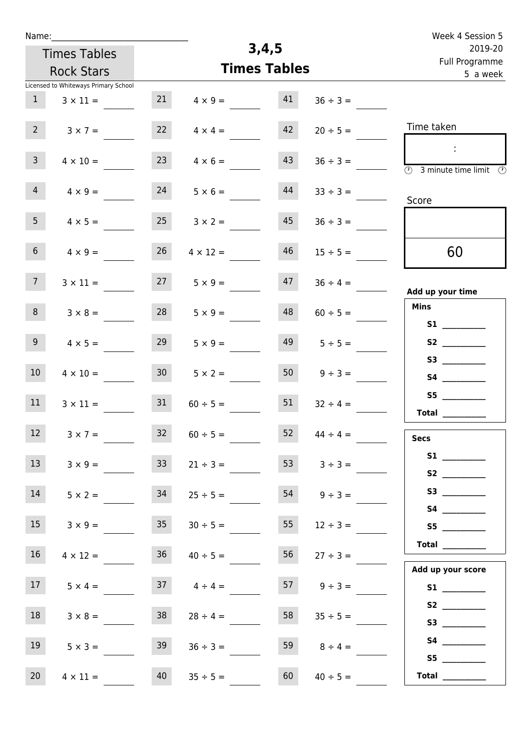| Name:                                |                 |                     |    |                    | Week 4 Session 5                                                                                                                                                                                                                                                                                                                                                                                                                                                                                                                                                                                                          |
|--------------------------------------|-----------------|---------------------|----|--------------------|---------------------------------------------------------------------------------------------------------------------------------------------------------------------------------------------------------------------------------------------------------------------------------------------------------------------------------------------------------------------------------------------------------------------------------------------------------------------------------------------------------------------------------------------------------------------------------------------------------------------------|
| <b>Times Tables</b>                  |                 | 3,4,5               |    |                    | 2019-20                                                                                                                                                                                                                                                                                                                                                                                                                                                                                                                                                                                                                   |
| <b>Rock Stars</b>                    |                 | <b>Times Tables</b> |    |                    | Full Programme<br>5 a week                                                                                                                                                                                                                                                                                                                                                                                                                                                                                                                                                                                                |
| Licensed to Whiteways Primary School |                 |                     |    |                    |                                                                                                                                                                                                                                                                                                                                                                                                                                                                                                                                                                                                                           |
| 1<br>$3 \times 11 =$                 | 21              | $4 \times 9 =$      | 41 | $36 \div 3 =$      |                                                                                                                                                                                                                                                                                                                                                                                                                                                                                                                                                                                                                           |
| 2 <sup>7</sup><br>$3 \times 7 =$     | 22              | $4 \times 4 =$      | 42 | $20 \div 5 =$      | Time taken                                                                                                                                                                                                                                                                                                                                                                                                                                                                                                                                                                                                                |
| 3 <sup>7</sup><br>$4 \times 10 =$    | 23              | $4 \times 6 =$      | 43 | $36 \div 3 =$      | $\mathcal{L}$<br>$\overline{\textcircled{2}}$ 3 minute time limit $\overline{\textcircled{2}}$                                                                                                                                                                                                                                                                                                                                                                                                                                                                                                                            |
| 4<br>$4 \times 9 =$                  | 24              | $5 \times 6 =$      | 44 | $33 \div 3 =$      | Score                                                                                                                                                                                                                                                                                                                                                                                                                                                                                                                                                                                                                     |
| 5 <sub>1</sub><br>$4 \times 5 =$     | 25              | $3 \times 2 =$      | 45 | $36 \div 3 =$      |                                                                                                                                                                                                                                                                                                                                                                                                                                                                                                                                                                                                                           |
| 6 <sup>1</sup><br>$4 \times 9 =$     | 26              | $4 \times 12 =$     | 46 | $15 \div 5 =$      | 60                                                                                                                                                                                                                                                                                                                                                                                                                                                                                                                                                                                                                        |
| 7 <sup>7</sup><br>$3 \times 11 =$    | 27              | $5 \times 9 =$      | 47 | $36 \div 4 =$      | Add up your time                                                                                                                                                                                                                                                                                                                                                                                                                                                                                                                                                                                                          |
| 8<br>$3 \times 8 =$                  | 28              | $5 \times 9 =$      | 48 | $60 \div 5 =$      | <b>Mins</b>                                                                                                                                                                                                                                                                                                                                                                                                                                                                                                                                                                                                               |
| 9 <sup>1</sup><br>$4 \times 5 =$     | 29              | $5 \times 9 =$      | 49 | $5 \div 5 =$       | S1<br>S2                                                                                                                                                                                                                                                                                                                                                                                                                                                                                                                                                                                                                  |
| 10 <sup>°</sup><br>$4 \times 10 =$   | 30 <sub>1</sub> | $5 \times 2 =$      | 50 | $9 ÷ 3 =$          |                                                                                                                                                                                                                                                                                                                                                                                                                                                                                                                                                                                                                           |
| 11<br>$3 \times 11 =$                | 31              | $60 \div 5 =$       | 51 | $32 \div 4 =$      | S5<br>Total $\_\_$                                                                                                                                                                                                                                                                                                                                                                                                                                                                                                                                                                                                        |
| 12<br>$3 \times 7 =$                 | 32              | $60 \div 5 =$       | 52 | $44 \div 4 =$      | <b>Secs</b>                                                                                                                                                                                                                                                                                                                                                                                                                                                                                                                                                                                                               |
| 13<br>$3 \times 9 =$                 | 33 <sup>7</sup> | $21 \div 3 =$       | 53 | $3 \div 3 =$       |                                                                                                                                                                                                                                                                                                                                                                                                                                                                                                                                                                                                                           |
| 14<br>$5 \times 2 =$                 | 34              | $25 \div 5 =$       |    | $54 \t 9 \div 3 =$ | S3                                                                                                                                                                                                                                                                                                                                                                                                                                                                                                                                                                                                                        |
| 15<br>$3 \times 9 =$                 | 35              | $30 \div 5 =$       | 55 | $12 \div 3 =$      | S5                                                                                                                                                                                                                                                                                                                                                                                                                                                                                                                                                                                                                        |
| 16<br>$4 \times 12 =$                | 36              | $40 \div 5 =$       | 56 | $27 \div 3 =$      | Total $\_\_$                                                                                                                                                                                                                                                                                                                                                                                                                                                                                                                                                                                                              |
| 17 <sub>1</sub><br>$5 \times 4 =$    |                 | $37 \t 4 \div 4 =$  |    | $9 \div 3 =$       | Add up your score                                                                                                                                                                                                                                                                                                                                                                                                                                                                                                                                                                                                         |
| 18<br>$3 \times 8 =$                 | 38              | $28 \div 4 =$       | 58 | $35 \div 5 =$      | S3                                                                                                                                                                                                                                                                                                                                                                                                                                                                                                                                                                                                                        |
| 19<br>$5 \times 3 =$                 | 39              | $36 \div 3 =$       | 59 | $8 \div 4 =$       |                                                                                                                                                                                                                                                                                                                                                                                                                                                                                                                                                                                                                           |
| 20<br>$4 \times 11 =$                | 40              | $35 \div 5 =$       | 60 | $40 \div 5 =$      | S5<br>$\begin{tabular}{c} Total & \underline{\hspace{1cm}} & \underline{\hspace{1cm}} & \underline{\hspace{1cm}} & \underline{\hspace{1cm}} & \underline{\hspace{1cm}} & \underline{\hspace{1cm}} & \underline{\hspace{1cm}} & \underline{\hspace{1cm}} & \underline{\hspace{1cm}} & \underline{\hspace{1cm}} & \underline{\hspace{1cm}} & \underline{\hspace{1cm}} & \underline{\hspace{1cm}} & \underline{\hspace{1cm}} & \underline{\hspace{1cm}} & \underline{\hspace{1cm}} & \underline{\hspace{1cm}} & \underline{\hspace{1cm}} & \underline{\hspace{1cm}} & \underline{\hspace{1cm}} & \underline{\hspace{1cm}} &$ |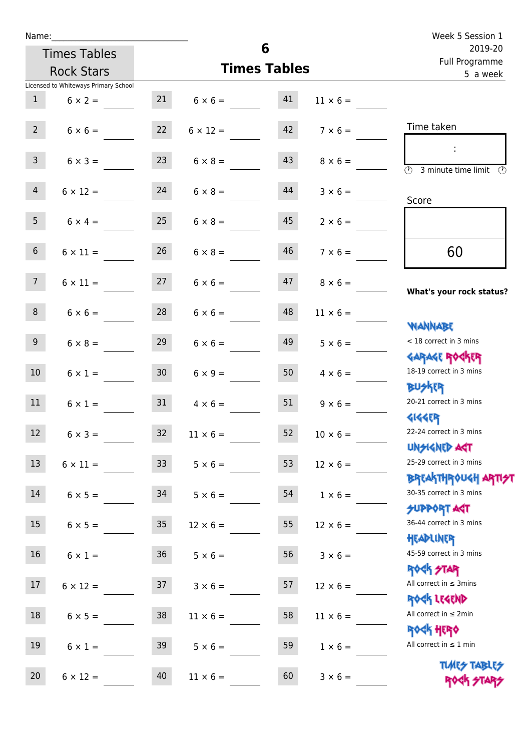| Name:           |                                      |                 |                      |                     |                 | Week 5 Session 1                                                              |
|-----------------|--------------------------------------|-----------------|----------------------|---------------------|-----------------|-------------------------------------------------------------------------------|
|                 | <b>Times Tables</b>                  |                 |                      | 6                   |                 | 2019-20<br>Full Programme                                                     |
|                 | <b>Rock Stars</b>                    |                 |                      | <b>Times Tables</b> |                 | 5 a week                                                                      |
|                 | Licensed to Whiteways Primary School |                 |                      |                     |                 |                                                                               |
| 1               | $6 \times 2 =$                       |                 | $21 \t 6 \times 6 =$ | 41                  | $11 \times 6 =$ |                                                                               |
| $2^{\circ}$     | $6 \times 6 = 22$ $6 \times 12 =$    |                 |                      | 42                  | $7 \times 6 =$  | Time taken                                                                    |
| 3 <sup>7</sup>  | $6 \times 3 =$                       | 23              | $6 \times 8 =$       | 43                  | $8 \times 6 =$  | $\overline{\textcircled{1}}$ 3 minute time limit $\overline{\textcircled{1}}$ |
| $\overline{4}$  | $6 \times 12 =$                      | 24              | $6 \times 8 =$       | 44                  | $3 \times 6 =$  | Score                                                                         |
| 5 <sub>1</sub>  | $6 \times 4 = 25$                    |                 | $6 \times 8 =$       | 45                  | $2 \times 6 =$  |                                                                               |
| 6 <sup>1</sup>  | $6 \times 11 =$                      | 26              | $6 \times 8 =$       | 46                  | $7 \times 6 =$  | 60                                                                            |
| 7 <sup>7</sup>  | $6 \times 11 =$                      | 27              | $6 \times 6 =$       | 47                  | $8 \times 6 =$  | What's your rock status?                                                      |
| 8 <sup>1</sup>  | $6 \times 6 =$                       | 28              | $6 \times 6 =$       | 48                  | $11 \times 6 =$ |                                                                               |
| 9 <sub>o</sub>  | $6 \times 8 =$                       | 29              | $6 \times 6 =$       | 49                  | $5 \times 6 =$  | <b>NANNABE</b><br>< 18 correct in 3 mins                                      |
| 10 <sup>°</sup> | $6 \times 1 =$                       | 30 <sub>o</sub> | $6 \times 9 =$       | 50                  | $4 \times 6 =$  | <b>GARAGE ROCKER</b><br>18-19 correct in 3 mins                               |
| 11              | $6 \times 1 =$                       | 31              | $4 \times 6 =$       | 51                  | $9 \times 6 =$  | <b>BUSKER</b><br>20-21 correct in 3 mins                                      |
| 12              | $6 \times 3 =$                       | 32              | $11 \times 6 =$      | 52                  | $10 \times 6 =$ | <b>4144ER</b><br>22-24 correct in 3 mins<br><b>UNSIGNED AST</b>               |
| 13              | $6 \times 11 =$                      | 33              | $5 \times 6 =$       | 53                  | $12 \times 6 =$ | 25-29 correct in 3 mins                                                       |
| 14              | $6 \times 5 =$                       | 34              | $5 \times 6 =$       | 54                  | $1 \times 6 =$  | <b>BREAKTHROUGH ARTH</b><br>30-35 correct in 3 mins                           |
| 15              | $6 \times 5 =$                       | 35              | $12 \times 6 =$      | 55                  | $12 \times 6 =$ | <b>SUPPORT AGT</b><br>36-44 correct in 3 mins                                 |
| 16              | $6 \times 1 =$                       | 36              | $5 \times 6 =$       | 56                  | $3 \times 6 =$  | HEADLINER<br>45-59 correct in 3 mins<br><b>ROCK STAR</b>                      |
| 17              | $6 \times 12 =$                      | 37              | $3 \times 6 =$       | 57                  | $12 \times 6 =$ | All correct in $\leq$ 3mins<br>ROCK LEGEND                                    |
| 18              | $6 \times 5 =$                       | $38\,$          | $11 \times 6 =$      | 58                  | $11 \times 6 =$ | All correct in $\leq 2$ min<br><b>ROCK HERO</b>                               |
| 19              | $6 \times 1 =$                       | 39              | $5 \times 6 =$       | 59                  | $1 \times 6 =$  | All correct in $\leq 1$ min                                                   |
| 20              | $6 \times 12 =$                      | 40              | $11 \times 6 =$      | 60                  | $3 \times 6 =$  | <b>TUARS TABLES</b><br>ROCK STARS                                             |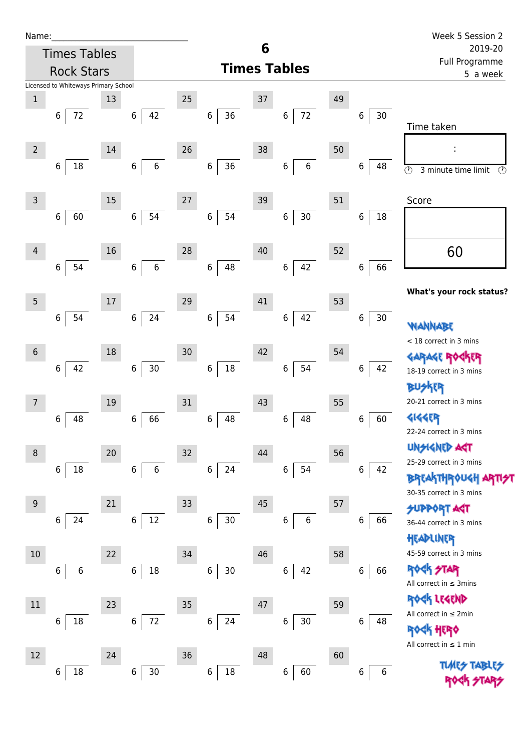| Name |  |  |  |
|------|--|--|--|
|      |  |  |  |

| Name:                                |                       |                            |                        |                       | Week 5 Session 2                                 |
|--------------------------------------|-----------------------|----------------------------|------------------------|-----------------------|--------------------------------------------------|
| <b>Times Tables</b>                  |                       |                            | 6                      |                       | 2019-20<br>Full Programme                        |
| <b>Rock Stars</b>                    |                       |                            | <b>Times Tables</b>    |                       | 5 a week                                         |
| Licensed to Whiteways Primary School |                       |                            |                        |                       |                                                  |
| $\,1$<br>13                          |                       | $25\,$                     | 37                     | 49                    |                                                  |
| $72\,$<br>6                          | 42<br>6               | 36<br>$\,6$                | 72<br>6                | $\,$ 6 $\,$<br>$30\,$ | Time taken                                       |
|                                      |                       |                            |                        |                       |                                                  |
| $\overline{2}$<br>14                 |                       | 26                         | 38                     | 50                    | ÷                                                |
| 18<br>$\,6$                          | $\,6\,$<br>6          | 36<br>$\,6$                | $\,6\,$<br>6           | 48<br>6               | $\odot$<br>3 minute time limit<br>$\circledcirc$ |
|                                      |                       |                            |                        |                       |                                                  |
| 3<br>15                              |                       | 27                         | 39                     | 51                    | Score                                            |
| 60<br>6                              | 54<br>$\,6$           | 54<br>$\boldsymbol{6}$     | $30\,$<br>6            | 18<br>6               |                                                  |
|                                      |                       |                            |                        |                       |                                                  |
| 16<br>$\overline{4}$                 |                       | 28                         | $40\,$                 | 52                    | 60                                               |
| 54<br>6                              | $\boldsymbol{6}$<br>6 | 48<br>$\,6\,$              | 42<br>6                | 66<br>6               |                                                  |
|                                      |                       |                            |                        |                       | What's your rock status?                         |
| 5<br>17                              |                       | 29                         | 41                     | 53                    |                                                  |
| 54<br>6                              | 24<br>$\,6\,$         | $\,$ 6 $\,$<br>54          | 42<br>$\boldsymbol{6}$ | 6<br>30               | WANNABE                                          |
|                                      |                       |                            |                        |                       | < 18 correct in 3 mins                           |
| $\sqrt{6}$<br>18                     |                       | 30                         | 42                     | 54                    | GARAGE ROGKER                                    |
| 42<br>6                              | $30\,$<br>$\,6$       | $18\,$<br>6                | 54<br>6                | 42<br>6               | 18-19 correct in 3 mins                          |
|                                      |                       |                            |                        |                       | 冰味                                               |
| 19<br>7                              |                       | 31                         | 43                     | 55                    | 20-21 correct in 3 mins                          |
| 48<br>6                              | 66<br>$\,6$           | 48<br>$\,6\,$              | 48<br>6                | 60<br>6               | 4144EP<br>22-24 correct in 3 mins                |
|                                      |                       |                            |                        |                       | <b>UNGIGNED ART</b>                              |
| 8<br>20                              |                       | 32                         | 44                     | 56                    | 25-29 correct in 3 mins                          |
| 18<br>6                              | 6<br>6                | 24<br>$\,$ 6 $\,$          | 54<br>$\,$ 6 $\,$      | 6<br>42               | <b>BREAKTHROUGH ARTI<del>S</del>T</b>            |
|                                      |                       |                            |                        |                       | 30-35 correct in 3 mins                          |
| 21<br>9                              |                       | 33                         | 45                     | 57                    | <b>SUPPORT AGT</b>                               |
| 24<br>6                              | $12\,$<br>$\,6$       | $\boldsymbol{6}$<br>$30\,$ | $\boldsymbol{6}$<br>6  | 6<br>66               | 36-44 correct in 3 mins                          |
|                                      |                       |                            |                        |                       | HEADLINER                                        |
| 22<br>10                             |                       | 34                         | 46                     | 58                    | 45-59 correct in 3 mins                          |
| 6<br>6                               | $18\,$<br>6           | 30 <sub>o</sub><br>6       | 42<br>6                | 66<br>6               | ROCK STAR<br>All correct in $\leq$ 3mins         |
|                                      |                       |                            |                        |                       | ROCK LEGEND                                      |
| 23<br>11                             |                       | 35                         | 47                     | 59                    | All correct in $\leq 2$ min                      |
| $18\,$<br>6                          | 72<br>$\,6$           | $\,6\,$<br>24              | $30\,$<br>6            | 6<br>48               | <b>《下出版》</b>                                     |
|                                      |                       |                            |                        |                       | All correct in $\leq 1$ min                      |
| 12<br>24                             |                       | 36                         | 48                     | 60                    | <b>TLARS</b>                                     |
| 18<br>6                              | $30\,$<br>$\,6$       | $18\,$<br>$\,$ 6 $\,$      | 60<br>$\boldsymbol{6}$ | 6<br>6                |                                                  |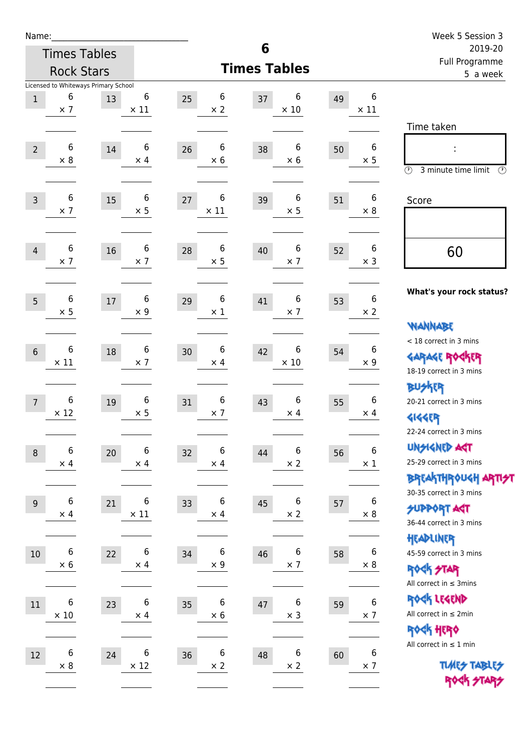| Name:          |                      |                                      |                  |                        |                        |                           |                                | Week 5 Session 3                                      |
|----------------|----------------------|--------------------------------------|------------------|------------------------|------------------------|---------------------------|--------------------------------|-------------------------------------------------------|
|                |                      | <b>Times Tables</b>                  |                  |                        | 6                      | 2019-20<br>Full Programme |                                |                                                       |
|                |                      | <b>Rock Stars</b>                    |                  |                        | <b>Times Tables</b>    |                           |                                | 5 a week                                              |
|                |                      | Licensed to Whiteways Primary School |                  |                        |                        |                           |                                |                                                       |
| $\mathbf 1$    | 6<br>$\times$ 7      | 13                                   | 6<br>$\times$ 11 | 6<br>25<br>$\times 2$  | 6<br>37<br>$\times$ 10 | 49                        | 6<br>$\times$ 11               |                                                       |
|                |                      |                                      |                  |                        |                        |                           |                                | Time taken                                            |
|                |                      |                                      |                  |                        |                        |                           |                                |                                                       |
| $\overline{2}$ | 6<br>$\times$ 8      | 14                                   | 6<br>$\times$ 4  | 6<br>26<br>$\times 6$  | 6<br>38<br>$\times$ 6  | 50                        | 6<br>$\times$ 5                |                                                       |
|                |                      |                                      |                  |                        |                        |                           |                                | $\circled{r}$<br>3 minute time limit<br>$\circled{r}$ |
|                |                      |                                      |                  |                        |                        |                           |                                |                                                       |
| $\overline{3}$ | 6<br>$\times$ 7      | 15                                   | 6<br>$\times$ 5  | 6<br>27<br>$\times$ 11 | 6<br>39<br>$\times$ 5  | 51                        | 6<br>$\times 8$                | Score                                                 |
|                |                      |                                      |                  |                        |                        |                           |                                |                                                       |
|                |                      |                                      |                  |                        |                        |                           |                                |                                                       |
| 4              | 6<br>$\times$ 7      | 16                                   | 6<br>$\times$ 7  | 6<br>28<br>$\times$ 5  | 6<br>40<br>$\times$ 7  | 52                        | 6<br>$\times$ 3                | 60                                                    |
|                |                      |                                      |                  |                        |                        |                           |                                |                                                       |
|                |                      |                                      |                  |                        |                        |                           |                                | What's your rock status?                              |
| 5              | 6<br>$\times$ 5      | $17\,$                               | 6<br>$\times 9$  | 6<br>29<br>$\times$ 1  | 6<br>41<br>$\times$ 7  | 53                        | $\boldsymbol{6}$<br>$\times$ 2 |                                                       |
|                |                      |                                      |                  |                        |                        |                           |                                | <b>NANNABE</b>                                        |
|                |                      |                                      |                  |                        |                        |                           |                                | < 18 correct in 3 mins                                |
| $6\phantom{1}$ | $\,6$<br>$\times$ 11 | 18                                   | 6<br>$\times$ 7  | 6<br>30<br>$\times$ 4  | 6<br>42<br>$\times$ 10 | 54                        | 6<br>$\times$ 9                | <b>GARAGE ROCKER</b>                                  |
|                |                      |                                      |                  |                        |                        |                           |                                | 18-19 correct in 3 mins                               |
|                |                      |                                      |                  |                        |                        |                           |                                | <b>BUSKER</b>                                         |
| $\overline{7}$ | 6<br>$\times$ 12     | 19                                   | 6                | 6<br>31                | 6<br>43                | 55                        | 6                              | 20-21 correct in 3 mins                               |
|                |                      |                                      | $\times$ 5       | $\times$ 7             | $\times$ 4             |                           | $\times$ 4                     | <b>4144EP</b>                                         |
|                |                      |                                      |                  |                        |                        |                           |                                | 22-24 correct in 3 mins                               |
| $\,8\,$        | 6                    | 20                                   | $\,6$            | 6<br>32                | $\,6\,$<br>44          | 56                        | $\boldsymbol{6}$               | <b>UNSIGNED AGT</b><br>25-29 correct in 3 mins        |
|                | $\times$ 4           |                                      | $\times$ 4       | $\times$ 4             | $\times$ 2             |                           | $\times$ 1                     | <b>BREAKTHROUGH ARTI<del>S</del>T</b>                 |
|                |                      |                                      |                  |                        |                        |                           |                                | 30-35 correct in 3 mins                               |
| $9\,$          | 6                    | 21                                   | 6                | 6<br>33                | 6<br>45                | 57                        | 6                              | <b>SUPPORT ART</b>                                    |
|                | $\times$ 4           |                                      | $\times$ 11      | $\times$ 4             | $\times$ 2             |                           | $\times$ 8                     | 36-44 correct in 3 mins                               |
|                |                      |                                      |                  |                        |                        |                           |                                | HEADLINER                                             |
| $10$           | $\,6$                | 22                                   | 6                | 6<br>34                | 6<br>46                | 58                        | $6\phantom{1}6$                | 45-59 correct in 3 mins                               |
|                | $\times$ 6           |                                      | $\times$ 4       | $\times 9$             | $\times$ 7             |                           | $\times 8$                     | <b>ROCK STAR</b>                                      |
|                |                      |                                      |                  |                        |                        |                           |                                | All correct in $\leq$ 3mins                           |
| 11             | 6                    | 23                                   | $\,6$            | 6<br>35                | $\boldsymbol{6}$<br>47 | 59                        | 6                              | ROCK LEGEND                                           |
|                | $\times$ 10          |                                      | $\times$ 4       | $\times$ 6             | $\times$ 3             |                           | $\times$ 7                     | All correct in $\leq 2$ min                           |
|                |                      |                                      |                  |                        |                        |                           |                                | ROCK HERO                                             |
| 12             | $\,6$                | 24                                   | 6                | 6<br>36                | $\boldsymbol{6}$<br>48 | 60                        | 6                              | All correct in $\leq 1$ min                           |
|                | $\times 8$           |                                      | $\times$ 12      | $\times$ 2             | $\times$ 2             |                           | $\times$ 7                     | <b>TUARS TABLES</b>                                   |
|                |                      |                                      |                  |                        |                        |                           |                                | ROCK STARS                                            |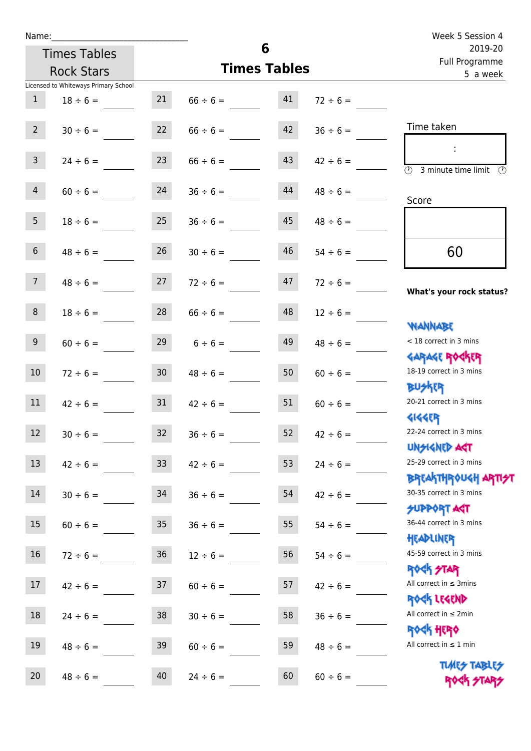Licensed to Whiteways Primary School

Times Tables Rock Stars

| $2^{\circ}$    | $30 \div 6 =$ | 22              | $66 \div 6 =$ | 42 | $36 \div 6 =$ | Time taken                                           |
|----------------|---------------|-----------------|---------------|----|---------------|------------------------------------------------------|
| $\mathbf{3}$   | $24 \div 6 =$ | 23              | $66 \div 6 =$ | 43 | $42 \div 6 =$ | $\overline{\mathcal{O}}$<br>3 minute time limit<br>⊕ |
| $\overline{4}$ | $60 \div 6 =$ | 24              | $36 \div 6 =$ | 44 | $48 \div 6 =$ | Score                                                |
| 5 <sub>1</sub> | $18 \div 6 =$ | 25              | $36 \div 6 =$ | 45 | $48 \div 6 =$ |                                                      |
| 6 <sup>1</sup> | $48 \div 6 =$ | 26              | $30 \div 6 =$ | 46 | $54 \div 6 =$ | 60                                                   |
| 7 <sup>7</sup> | $48 \div 6 =$ | 27              | $72 \div 6 =$ | 47 | $72 \div 6 =$ | What's your rock status?                             |
| 8              | $18 \div 6 =$ | 28              | $66 \div 6 =$ | 48 | $12 \div 6 =$ | <b>NANNABE</b>                                       |
| 9 <sub>o</sub> | $60 \div 6 =$ | 29              | $6 \div 6 =$  | 49 | $48 \div 6 =$ | < 18 correct in 3 mins                               |
| 10             | $72 \div 6 =$ | 30 <sub>o</sub> | $48 \div 6 =$ | 50 | $60 \div 6 =$ | <b>GARAGE ROCKER</b><br>18-19 correct in 3 mins      |
| 11             | $42 \div 6 =$ | 31              | $42 \div 6 =$ | 51 | $60 \div 6 =$ | <b>BUSKRY</b><br>20-21 correct in 3 mins             |
| 12             | $30 \div 6 =$ | 32              | $36 \div 6 =$ | 52 | $42 \div 6 =$ | <b>4144EP</b><br>22-24 correct in 3 mins             |
| 13             | $42 \div 6 =$ | 33 <sup>°</sup> | $42 \div 6 =$ | 53 | $24 \div 6 =$ | <b>UNSIGNED AGT</b><br>25-29 correct in 3 mins       |
| 14             | $30 \div 6 =$ | 34              | $36 \div 6 =$ | 54 | $42 \div 6 =$ | <b>BREAKTHROUGH ART</b><br>30-35 correct in 3 mins   |
| 15             | $60 \div 6 =$ | 35              | $36 \div 6 =$ | 55 | $54 \div 6 =$ | <b>SUPPORT ART</b><br>36-44 correct in 3 mins        |
| 16             | $72 \div 6 =$ | 36              | $12 \div 6 =$ | 56 | $54 \div 6 =$ | HEADLINER<br>45-59 correct in 3 mins                 |
| 17             | $42 \div 6 =$ | 37              | $60 \div 6 =$ | 57 | $42 \div 6 =$ | <b>ROCK STAR</b><br>All correct in $\leq$ 3mins      |
| $18\,$         | $24 \div 6 =$ | 38              | $30 \div 6 =$ | 58 | $36 \div 6 =$ | ROCK LEGEND<br>All correct in $\leq 2$ min           |
| 19             | $48 \div 6 =$ | 39              | $60 \div 6 =$ | 59 | $48 \div 6 =$ | <b>ROCK HERO</b><br>All correct in $\leq 1$ min      |
| 20             | $48 \div 6 =$ | 40              | $24 \div 6 =$ | 60 | $60 \div 6 =$ | <b>TUARS TABLES</b><br><b>ROGK 2TA</b>               |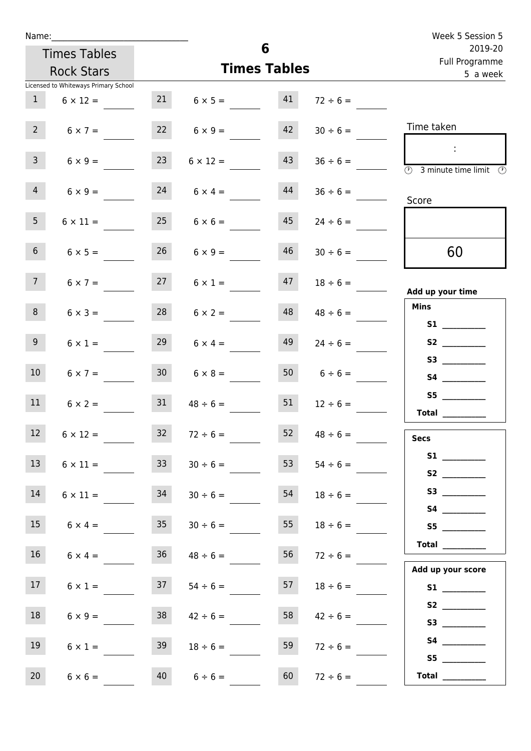| Name:                                |                 |                         |          |                           | Week 5 Session 5                                                                                                                                                                                                                     |
|--------------------------------------|-----------------|-------------------------|----------|---------------------------|--------------------------------------------------------------------------------------------------------------------------------------------------------------------------------------------------------------------------------------|
| <b>Times Tables</b>                  |                 |                         | 6        | 2019-20<br>Full Programme |                                                                                                                                                                                                                                      |
| <b>Rock Stars</b>                    |                 | <b>Times Tables</b>     | 5 a week |                           |                                                                                                                                                                                                                                      |
| Licensed to Whiteways Primary School |                 |                         |          |                           |                                                                                                                                                                                                                                      |
| $\mathbf{1}$<br>$6 \times 12 =$      |                 | $21 \t 6 \times 5 = 41$ |          | $72 \div 6 =$             |                                                                                                                                                                                                                                      |
| $2^{\circ}$<br>$6 \times 7 =$        |                 | $6 \times 9 =$          | 42       | $30 \div 6 =$             | Time taken                                                                                                                                                                                                                           |
| 3 <sup>7</sup><br>$6 \times 9 =$     | 23              | $6 \times 12 =$         | 43       | $36 \div 6 =$             | $\sim 10$<br>$\overline{\textcircled{1}}$ 3 minute time limit<br>- O                                                                                                                                                                 |
| $\overline{4}$<br>$6 \times 9 =$     | 24              | $6 \times 4 =$          | 44       | $36 \div 6 =$             | Score                                                                                                                                                                                                                                |
| 5 <sub>1</sub><br>$6 \times 11 =$    | 25              | $6 \times 6 =$          | 45       | $24 \div 6 =$             |                                                                                                                                                                                                                                      |
| 6 <sub>1</sub><br>$6 \times 5 =$     | 26              | $6 \times 9 =$          | 46       | $30 \div 6 =$             | 60                                                                                                                                                                                                                                   |
| 7 <sup>7</sup><br>$6 \times 7 =$     | 27              | $6 \times 1 =$          |          | $18 \div 6 =$             | Add up your time                                                                                                                                                                                                                     |
| 8<br>$6 \times 3 =$                  | 28              | $6 \times 2 =$          | 48       | $48 \div 6 =$             | <b>Mins</b><br><b>S1 S1</b>                                                                                                                                                                                                          |
| 9 <sub>o</sub><br>$6 \times 1 =$     | 29              | $6 \times 4 =$          | 49       | $24 \div 6 =$             |                                                                                                                                                                                                                                      |
| 10 <sup>°</sup><br>$6 \times 7 =$    | 30 <sup>7</sup> | $6 \times 8 =$          |          | 50 $6 \div 6 =$           | S4                                                                                                                                                                                                                                   |
| 11<br>$6 \times 2 =$                 | 31              | $48 \div 6 =$           | 51       | $12 \div 6 =$             | S5<br>Total $\_\_$                                                                                                                                                                                                                   |
| 12<br>$6 \times 12 =$                | 32              | $72 \div 6 =$           | 52       | $48 \div 6 =$             | <b>Secs</b>                                                                                                                                                                                                                          |
| 13<br>$6 \times 11 =$                | 33              | $30 \div 6 =$           | 53       | $54 \div 6 =$             |                                                                                                                                                                                                                                      |
| 14<br>$6 \times 11 =$                | 34              | $30 \div 6 =$           | 54       | $18 \div 6 =$             | S3                                                                                                                                                                                                                                   |
| 15<br>$6 \times 4 =$                 | 35              | $30 \div 6 =$           | 55       | $18 \div 6 =$             | S5                                                                                                                                                                                                                                   |
| 16<br>$6 \times 4 =$                 | 36              | $48 \div 6 =$           | 56       | $72 \div 6 =$             | Total<br>Add up your score                                                                                                                                                                                                           |
| 17 <sup>7</sup><br>$6 \times 1 =$    |                 | $37 \t 54 \div 6 =$     | 57       | $18 \div 6 =$             |                                                                                                                                                                                                                                      |
| 18<br>$6 \times 9 =$                 | 38              | $42 \div 6 =$           | 58       | $42 \div 6 =$             |                                                                                                                                                                                                                                      |
| 19<br>$6 \times 1 =$                 | 39              | $18 \div 6 =$           | 59       | $72 \div 6 =$             | S4 and the state of the state of the state of the state of the state of the state of the state of the state of the state of the state of the state of the state of the state of the state of the state of the state of the sta<br>S5 |
| 20<br>$6 \times 6 =$                 | 40              | $6 \div 6 =$            | 60       | $72 \div 6 =$             | Total                                                                                                                                                                                                                                |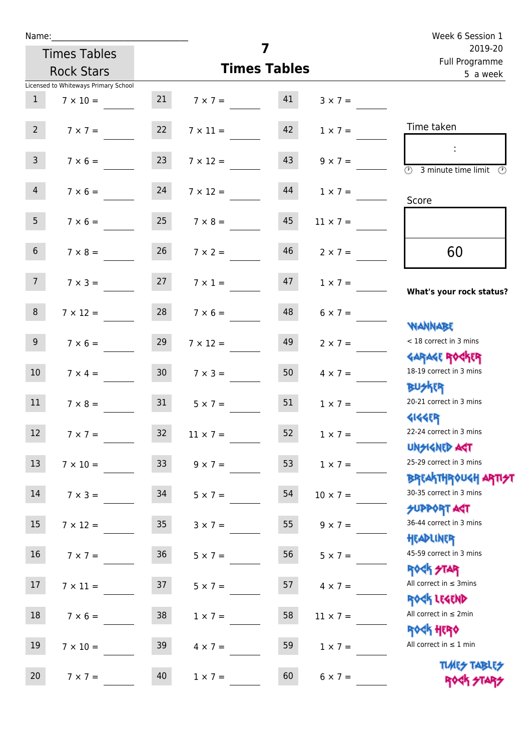| Name:           |                                      |                 |                                  | 7                         |                 | Week 6 Session 1                                                |
|-----------------|--------------------------------------|-----------------|----------------------------------|---------------------------|-----------------|-----------------------------------------------------------------|
|                 | <b>Times Tables</b>                  |                 |                                  | 2019-20<br>Full Programme |                 |                                                                 |
|                 | <b>Rock Stars</b>                    |                 | <b>Times Tables</b>              | 5 a week                  |                 |                                                                 |
|                 | Licensed to Whiteways Primary School |                 |                                  |                           |                 |                                                                 |
| $\mathbf{1}$    | $7 \times 10 =$                      |                 | $7 \times 7 = 41$                |                           | $3 \times 7 =$  |                                                                 |
| $2^{\circ}$     | $7 \times 7 = 22$                    |                 | $7 \times 11 =$                  | 42                        | $1 \times 7 =$  | Time taken                                                      |
| 3 <sup>7</sup>  | $7 \times 6 =$                       | 23              | $7 \times 12 =$                  | 43                        | $9 \times 7 =$  | $\circled{r}$<br>3 minute time limit<br>$\mathcal{O}$           |
| $\overline{4}$  | $7 \times 6 = 24$                    |                 | $7 \times 12 =$                  | 44                        | $1 \times 7 =$  | Score                                                           |
| 5 <sub>1</sub>  |                                      |                 | $7 \times 6 = 25$ $7 \times 8 =$ | 45                        | $11 \times 7 =$ |                                                                 |
| 6 <sup>1</sup>  | $7 \times 8 =$                       | 26              | $7 \times 2 =$                   | 46                        | $2 \times 7 =$  | 60                                                              |
| 7 <sup>7</sup>  | $7 \times 3 = 27$                    |                 | $7 \times 1 =$                   | 47                        | $1 \times 7 =$  | What's your rock status?                                        |
| 8 <sup>1</sup>  | $7 \times 12 =$                      | 28              | $7 \times 6 =$                   | 48                        | $6 \times 7 =$  |                                                                 |
| 9               | $7 \times 6 =$                       | 29              | $7 \times 12 =$                  | 49                        | $2 \times 7 =$  | <b>NANNABE</b><br>< 18 correct in 3 mins                        |
| 10 <sup>°</sup> | $7 \times 4 =$                       | 30 <sub>o</sub> | $7 \times 3 =$                   | 50                        | $4 \times 7 =$  | <b>GARAGE ROGKER</b><br>18-19 correct in 3 mins                 |
| 11              | $7 \times 8 = 31$                    |                 | $5 \times 7 =$                   | 51                        | $1 \times 7 =$  | <b>BUSKER</b><br>20-21 correct in 3 mins                        |
| 12              | $7 \times 7 =$                       | 32              | $11 \times 7 =$                  | 52                        | $1 \times 7 =$  | <b>4144ER</b><br>22-24 correct in 3 mins<br><b>UNSIGNED AST</b> |
| 13              | $7 \times 10 =$                      | 33 <sup>°</sup> | $9 \times 7 =$                   | 53                        | $1 \times 7 =$  | 25-29 correct in 3 mins<br><b>BREAKTHROUGH ARTH</b>             |
| 14              | $7 \times 3 =$                       | 34              | $5 \times 7 =$                   | 54                        | $10 \times 7 =$ | 30-35 correct in 3 mins<br><b>SUPPORT ART</b>                   |
| 15              | $7 \times 12 =$                      | 35 <sub>1</sub> | $3 \times 7 =$                   | 55                        | $9 \times 7 =$  | 36-44 correct in 3 mins                                         |
| 16              | $7 \times 7 =$                       | 36 <sup>°</sup> | $5 \times 7 =$                   | 56                        | $5 \times 7 =$  | HEADLINER<br>45-59 correct in 3 mins<br><b>ROCK STAR</b>        |
| 17              | $7 \times 11 =$                      | 37              | $5 \times 7 =$                   | 57                        | $4 \times 7 =$  | All correct in $\leq$ 3mins<br>ROCK LEGEND                      |
| 18              | $7 \times 6 =$                       | 38              | $1 \times 7 =$                   | 58                        | $11 \times 7 =$ | All correct in $\leq 2$ min<br><b>ROCK HERO</b>                 |
| 19              | $7 \times 10 =$                      | 39              | $4 \times 7 =$                   | 59                        | $1 \times 7 =$  | All correct in $\leq 1$ min                                     |
| 20              | $7 \times 7 =$                       | 40              | $1 \times 7 =$                   | 60                        | $6 \times 7 =$  | <b>TUARS TABLES</b><br>ROCK STARS                               |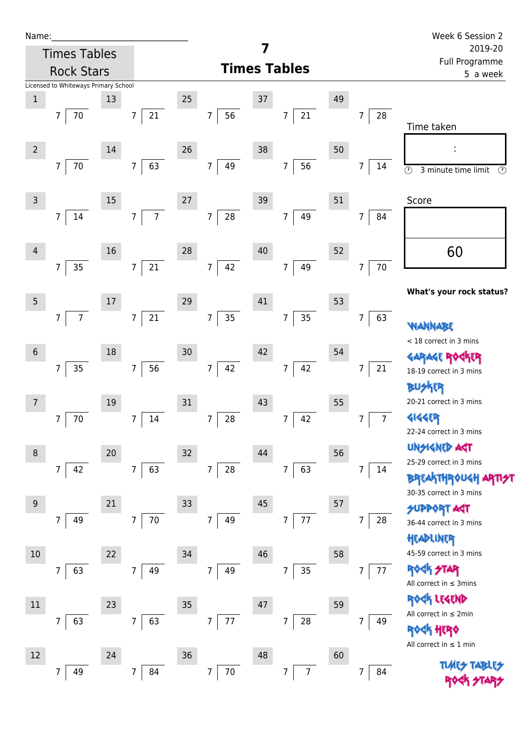| Name |  |  |  |
|------|--|--|--|
|      |  |  |  |

| Name:             |                                      |    |                          |                     |                              |    |                              |    |                      | Week 6 Session 2                                           |
|-------------------|--------------------------------------|----|--------------------------|---------------------|------------------------------|----|------------------------------|----|----------------------|------------------------------------------------------------|
|                   | <b>Times Tables</b>                  |    |                          |                     |                              | 7  |                              |    |                      | 2019-20<br>Full Programme                                  |
| <b>Rock Stars</b> |                                      |    |                          | <b>Times Tables</b> |                              |    |                              |    |                      | 5 a week                                                   |
|                   | Licensed to Whiteways Primary School |    |                          |                     |                              |    |                              |    |                      |                                                            |
| $\,1\,$           | 7                                    | 13 |                          | 25                  |                              | 37 | $\overline{7}$               | 49 | 7                    |                                                            |
|                   | 70                                   |    | $21\,$<br>7              |                     | 56<br>$\overline{7}$         |    | 21                           |    | 28                   | Time taken                                                 |
| $\overline{2}$    |                                      | 14 |                          | 26                  |                              | 38 |                              | 50 |                      |                                                            |
|                   | $70\,$<br>$\overline{7}$             |    | 63<br>$\overline{7}$     |                     | 49<br>$\overline{7}$         |    | 56<br>7 <sup>1</sup>         |    | $\overline{7}$<br>14 |                                                            |
|                   |                                      |    |                          |                     |                              |    |                              |    |                      | $\overline{\circ}$<br>3 minute time limit<br>$\circled{r}$ |
| $\mathsf{3}$      |                                      | 15 |                          | 27                  |                              | 39 |                              | 51 |                      | Score                                                      |
|                   | 14<br>7                              |    | $\overline{7}$<br>7      |                     | ${\bf 28}$<br>$\overline{7}$ |    | 49<br>$\overline{7}$         |    | 7<br>84              |                                                            |
|                   |                                      |    |                          |                     |                              |    |                              |    |                      |                                                            |
| $\overline{4}$    |                                      | 16 |                          | 28                  |                              | 40 |                              | 52 |                      | 60                                                         |
|                   | 35<br>7                              |    | 21<br>$\overline{7}$     |                     | 42<br>$7\overline{ }$        |    | 49<br>7 <sup>1</sup>         |    | $70\,$<br>7          |                                                            |
|                   |                                      |    |                          |                     |                              |    |                              |    |                      |                                                            |
| $5\phantom{.0}$   |                                      | 17 |                          | 29                  |                              | 41 |                              | 53 |                      | What's your rock status?                                   |
|                   | $\overline{7}$<br>7                  |    | 21<br>$\boldsymbol{7}$   |                     | 35<br>$\overline{7}$         |    | 35<br>7                      |    | 63<br>7              |                                                            |
|                   |                                      |    |                          |                     |                              |    |                              |    |                      | WANNABE<br>< 18 correct in 3 mins                          |
| $6\phantom{1}$    |                                      | 18 |                          | 30                  |                              | 42 |                              | 54 |                      | <b>GARAGE RO</b>                                           |
|                   | 35<br>7                              |    | 56<br>7                  |                     | 42<br>$\overline{7}$         |    | 42<br>$\overline{7}$         |    | 21<br>7              | 18-19 correct in 3 mins                                    |
|                   |                                      |    |                          |                     |                              |    |                              |    |                      | <b>BUSKER</b>                                              |
| 7                 |                                      | 19 |                          | 31                  |                              | 43 |                              | 55 |                      | 20-21 correct in 3 mins                                    |
|                   | 70<br>7                              |    | 14<br>7                  |                     | 28<br>7                      |    | 42<br>7                      |    | 7 <sup>7</sup><br>7  | 4144ER                                                     |
|                   |                                      |    |                          |                     |                              |    |                              |    |                      | 22-24 correct in 3 mins                                    |
| 8                 |                                      | 20 |                          | 32                  |                              | 44 |                              | 56 |                      | <b>UNSIGNED AGT</b><br>25-29 correct in 3 mins             |
|                   | 42<br>$\overline{7}$                 |    | 63<br>$\overline{7}$     |                     | 28<br>$\overline{7}$         |    | 63<br>7 <sup>1</sup>         |    | 7<br>14              | BREAKTHROUGH                                               |
|                   |                                      |    |                          |                     |                              |    |                              |    |                      | 30-35 correct in 3 mins                                    |
| 9                 |                                      | 21 |                          | 33                  |                              | 45 |                              | 57 |                      | <b>PPORT AGT</b>                                           |
|                   | 49<br>7                              |    | $70\,$<br>$\overline{7}$ |                     | $\overline{7}$<br>49         |    | 77<br>$\overline{7}$         |    | 28<br>7              | 36-44 correct in 3 mins                                    |
|                   |                                      |    |                          |                     |                              |    |                              |    |                      | HEADLINER                                                  |
| $10$              |                                      | 22 |                          | 34                  |                              | 46 |                              | 58 |                      | 45-59 correct in 3 mins                                    |
|                   | 63<br>7                              |    | 49<br>7                  |                     | 49<br>$\overline{7}$         |    | 35<br>7                      |    | 77<br>7              | ROCK STAR<br>All correct in $\leq$ 3mins                   |
|                   |                                      |    |                          |                     |                              |    |                              |    |                      | ROCK LEGEND                                                |
| $11\,$            |                                      | 23 |                          | 35                  |                              | 47 |                              | 59 |                      | All correct in $\leq 2$ min                                |
|                   | 63<br>7                              |    | 63<br>7                  |                     | 77<br>$\overline{7}$         |    | ${\bf 28}$<br>$\overline{7}$ |    | 7<br>49              | $d$ ና ተርፍዕ                                                 |
|                   |                                      |    |                          |                     |                              |    |                              |    |                      | All correct in $\leq 1$ min                                |
| 12                |                                      | 24 |                          | 36                  |                              | 48 |                              | 60 |                      | <b>TIME<del>S</del> TABI</b>                               |
|                   | 49<br>7                              |    | $\overline{7}$<br>84     |                     | $70\,$<br>$\overline{7}$     |    | $\overline{7}$<br>7          |    | 7<br>84              |                                                            |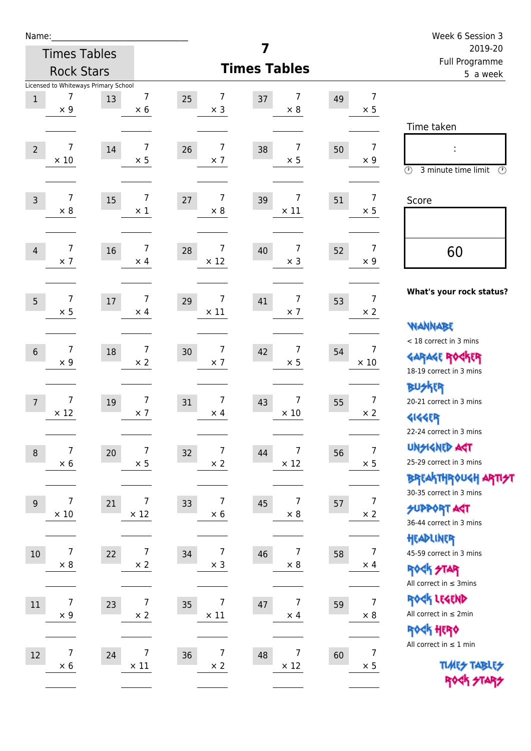| Name:                            |                                      |                                          |                       |                                    | Week 6 Session 3                                      |
|----------------------------------|--------------------------------------|------------------------------------------|-----------------------|------------------------------------|-------------------------------------------------------|
|                                  | <b>Times Tables</b>                  |                                          | 7                     |                                    | 2019-20<br>Full Programme                             |
|                                  | <b>Rock Stars</b>                    |                                          | <b>Times Tables</b>   |                                    | 5 a week                                              |
|                                  | Licensed to Whiteways Primary School |                                          |                       |                                    |                                                       |
| 7<br>$\mathbf 1$<br>$\times$ 9   | 13                                   | 7<br>7<br>25<br>$\times$ 6<br>$\times$ 3 | 7<br>37<br>$\times 8$ | $\overline{7}$<br>49<br>$\times$ 5 |                                                       |
|                                  |                                      |                                          |                       |                                    | Time taken                                            |
| 7                                |                                      | 7<br>7                                   | 7                     | $\overline{7}$                     |                                                       |
| $\overline{2}$<br>$\times$ 10    | 14                                   | 26<br>$\times$ 5<br>$\times$ 7           | 38<br>$\times$ 5      | 50<br>$\times 9$                   | ÷                                                     |
|                                  |                                      |                                          |                       |                                    | $\circled{r}$<br>3 minute time limit<br>$\mathcal{O}$ |
| $\overline{7}$<br>$\overline{3}$ | 15                                   | $\overline{7}$<br>$\overline{7}$<br>27   | 7<br>39               | $\overline{7}$<br>51               | Score                                                 |
| $\times 8$                       |                                      | $\times$ 1<br>$\times 8$                 | $\times$ 11           | $\times$ 5                         |                                                       |
|                                  |                                      |                                          |                       |                                    |                                                       |
| 7<br>$\overline{4}$              | 16                                   | 7<br>7<br>28                             | 7<br>40               | $\overline{7}$<br>52               | 60                                                    |
| $\times$ 7                       |                                      | $\times$ 4<br>$\times$ 12                | $\times$ 3            | $\times 9$                         |                                                       |
|                                  |                                      |                                          |                       |                                    |                                                       |
| $\overline{7}$<br>5              | $17$                                 | 7<br>7<br>29                             | 7<br>41               | $\overline{7}$<br>53               | What's your rock status?                              |
| $\times$ 5                       |                                      | $\times$ 11<br>$\times$ 4                | $\times$ 7            | $\times$ 2                         |                                                       |
|                                  |                                      |                                          |                       |                                    | <b>WANNABE</b><br>< 18 correct in 3 mins              |
| 7<br>$6\phantom{1}$              | 18                                   | $\boldsymbol{7}$<br>7<br>30              | $\overline{7}$<br>42  | $\overline{7}$<br>54               |                                                       |
| $\times$ 9                       |                                      | $\times 2$<br>$\times$ 7                 | $\times$ 5            | $\times$ 10                        | <b>GARAGE ROCKER</b><br>18-19 correct in 3 mins       |
|                                  |                                      |                                          |                       |                                    | <b>BUSKRR</b>                                         |
| $\overline{7}$<br>$\overline{7}$ | 19                                   | $\overline{7}$<br>7<br>31                | 7<br>43               | $\overline{7}$<br>55               | 20-21 correct in 3 mins                               |
| $\times$ 12                      |                                      | $\times$ 7<br>$\times$ 4                 | $\times$ 10           | $\times 2$                         | <b>4144EB</b>                                         |
|                                  |                                      |                                          |                       |                                    | 22-24 correct in 3 mins                               |
| $\overline{7}$<br>$\,8\,$        | 20                                   | $\overline{7}$<br>$\overline{7}$<br>32   | 7<br>44               | $\overline{7}$<br>56               | <b>UNSIGNED AGT</b>                                   |
| $\times$ 6                       |                                      | $\times$ 5<br>$\times$ 2                 | $\times$ 12           | $\times$ 5                         | 25-29 correct in 3 mins                               |
|                                  |                                      |                                          |                       |                                    | <b>BREAKTHROUGH ARTIST</b><br>30-35 correct in 3 mins |
| 7<br>$9\,$                       | 21                                   | 7<br>7<br>33                             | 7<br>45               | $\overline{7}$<br>57               | <b>SUPPORT AGT</b>                                    |
| $\times$ 10                      |                                      | $\times$ 12<br>$\times$ 6                | $\times$ 8            | $\times$ 2                         | 36-44 correct in 3 mins                               |
|                                  |                                      |                                          |                       |                                    | HEADLINER                                             |
| 7<br>$10\,$                      | 22                                   | 7<br>7<br>34                             | 7<br>46               | $\overline{7}$<br>58               | 45-59 correct in 3 mins                               |
| $\times$ 8                       |                                      | $\times$ 2<br>$\times$ 3                 | $\times$ 8            | $\times$ 4                         | ROCK STAR                                             |
|                                  |                                      |                                          |                       |                                    | All correct in $\leq$ 3mins                           |
| 7<br>$11\,$                      | 23                                   | 7<br>7<br>35                             | 7<br>47               | $\overline{7}$<br>59               | ROCK LEGEND                                           |
| $\times$ 9                       |                                      | $\times$ 2<br>$\times$ 11                | $\times$ 4            | $\times$ 8                         | All correct in $\leq 2$ min<br>ROCK HERO              |
|                                  |                                      |                                          |                       |                                    | All correct in $\leq 1$ min                           |
| 7<br>12                          | 24                                   | $\boldsymbol{7}$<br>7<br>36              | 7<br>48               | 7<br>60                            | <b>TUARS TABLES</b>                                   |
| $\times$ 6                       |                                      | $\times$ 11<br>$\times$ 2                | $\times$ 12           | $\times$ 5                         | ROCK STARS                                            |
|                                  |                                      |                                          |                       |                                    |                                                       |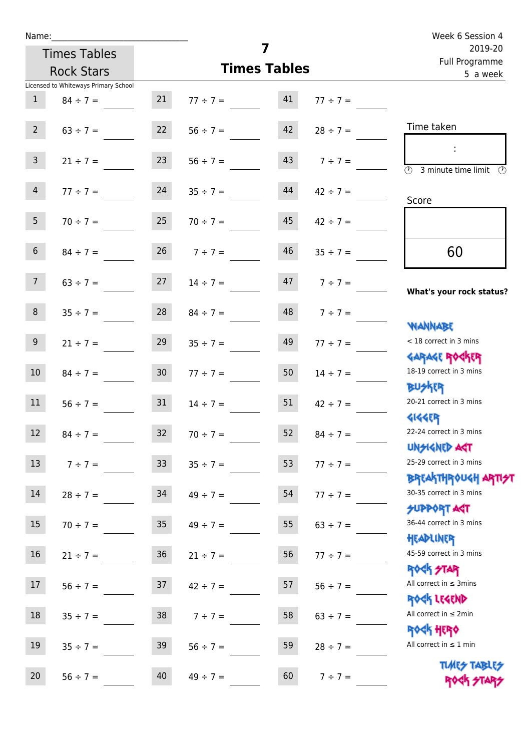|                     |                                      |                 |                     |          |                           | Week 6 Session 4                                    |
|---------------------|--------------------------------------|-----------------|---------------------|----------|---------------------------|-----------------------------------------------------|
| <b>Times Tables</b> |                                      |                 | 7                   |          | 2019-20<br>Full Programme |                                                     |
|                     | <b>Rock Stars</b>                    |                 | <b>Times Tables</b> | 5 a week |                           |                                                     |
|                     | Licensed to Whiteways Primary School |                 |                     |          |                           |                                                     |
| 1                   | $84 \div 7 =$                        | 21              | $77 \div 7 =$       | 41       | $77 \div 7 =$             |                                                     |
| $2^{\circ}$         | $63 \div 7 =$                        | 22              | $56 \div 7 =$       | 42       | $28 \div 7 =$             | Time taken                                          |
| 3 <sup>7</sup>      | $21 \div 7 =$                        | 23              | $56 \div 7 =$       | 43       | $7 \div 7 =$              | $\overline{\textcircled{3}}$ 3 minute time limit    |
| $\overline{4}$      | $77 \div 7 =$                        | 24              | $35 \div 7 =$       | 44       | $42 \div 7 =$             | Score                                               |
| 5 <sub>1</sub>      | $70 \div 7 = 25$                     |                 | $70 \div 7 =$       | 45       | $42 \div 7 =$             |                                                     |
| 6 <sup>1</sup>      | $84 \div 7 =$                        |                 | $26 \t 7 \div 7 =$  | 46       | $35 \div 7 =$             | 60                                                  |
| 7 <sup>7</sup>      | $63 \div 7 =$                        | 27              | $14 \div 7 =$       | 47       | $7 \div 7 =$              | What's your rock status?                            |
| 8                   | $35 \div 7 =$                        | 28              | $84 \div 7 =$       | 48       | $7 ÷ 7 =$                 | <b>NANNABE</b>                                      |
| 9                   | $21 \div 7 =$                        | 29              | $35 \div 7 =$       | 49       | $77 \div 7 =$             | < 18 correct in 3 mins<br><b>GARAGE ROCKER</b>      |
| 10 <sup>°</sup>     | $84 \div 7 =$                        | 30 <sub>o</sub> | $77 \div 7 =$       | 50       | $14 \div 7 =$             | 18-19 correct in 3 mins<br><b>BUSKER</b>            |
| 11                  | $56 \div 7 =$                        | 31              | $14 \div 7 =$       | 51       | $42 \div 7 =$             | 20-21 correct in 3 mins<br><b>4144ER</b>            |
| 12                  | $84 \div 7 =$                        | 32              | $70 \div 7 =$       | 52       | $84 \div 7 =$             | 22-24 correct in 3 mins<br><b>UNSIGNED AST</b>      |
| 13                  | $7 ÷ 7 =$                            | 33 <sup>°</sup> | $35 \div 7 =$       | 53       | $77 ÷ 7 =$                | 25-29 correct in 3 mins<br><b>BREAKTHROUGH ARTH</b> |
| 14                  | $28 \div 7 =$                        | 34              | $49 \div 7 =$       | 54       | $77 ÷ 7 =$                | 30-35 correct in 3 mins<br>SUPPORT AGT              |
| 15                  | $70 \div 7 =$                        | 35              | $49 \div 7 =$       | 55       | $63 \div 7 =$             | 36-44 correct in 3 mins<br>HEADLINER                |
| 16                  | $21 \div 7 =$                        | 36              | $21 \div 7 =$       | 56       | $77 ÷ 7 =$                | 45-59 correct in 3 mins<br><b>ROCK STAR</b>         |
| 17                  | $56 ÷ 7 =$                           | 37              | $42 \div 7 =$       | 57       | $56 ÷ 7 =$                | All correct in $\leq$ 3mins<br>ROCK LEGEND          |
| 18                  | $35 \div 7 =$                        | 38              | $7 ÷ 7 =$           | 58       | $63 \div 7 =$             | All correct in $\leq 2$ min<br><b>ROCK HERO</b>     |
| 19                  | $35 ÷ 7 =$                           | 39              | $56 \div 7 =$       | 59       | $28 \div 7 =$             | All correct in $\leq 1$ min                         |
| 20                  | $56 ÷ 7 =$                           | 40              | $49 \div 7 =$       | 60       | $7 ÷ 7 =$                 | <b>TUARS TABLES</b><br>ROCK STARS                   |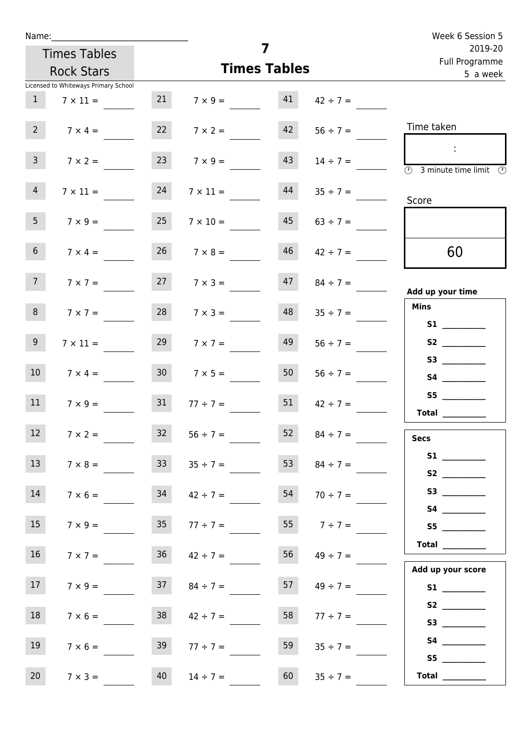| Name:                                |                 |                     |                     |                           | Week 6 Session 5                                                                           |
|--------------------------------------|-----------------|---------------------|---------------------|---------------------------|--------------------------------------------------------------------------------------------|
| <b>Times Tables</b>                  |                 |                     | 7                   | 2019-20<br>Full Programme |                                                                                            |
| <b>Rock Stars</b>                    |                 |                     | <b>Times Tables</b> |                           | 5 a week                                                                                   |
| Licensed to Whiteways Primary School |                 |                     |                     |                           |                                                                                            |
| $\mathbf{1}$<br>$7 \times 11 =$      | 21              | $7 \times 9 = 41$   |                     | $42 \div 7 =$             |                                                                                            |
| $2^{\circ}$<br>$7 \times 4 =$        | 22              | $7 \times 2 =$      | 42                  | $56 \div 7 =$             | Time taken                                                                                 |
| 3 <sup>7</sup><br>$7 \times 2 =$     | 23              | $7 \times 9 =$      | 43                  | $14 \div 7 =$             | $\sim 10$<br>$\overline{\textcircled{2}}$ 3 minute time limit $\overline{\textcircled{2}}$ |
| $\overline{4}$<br>$7 \times 11 =$    | 24              | $7 \times 11 =$     | 44                  | $35 \div 7 =$             | Score                                                                                      |
| 5 <sub>1</sub><br>$7 \times 9 =$     | 25              | $7 \times 10 =$     | 45                  | $63 \div 7 =$             |                                                                                            |
| 6 <sup>1</sup><br>$7 \times 4 =$     | 26              | $7 \times 8 =$      | 46                  | $42 \div 7 =$             | 60                                                                                         |
| 7 <sup>7</sup><br>$7 \times 7 =$     |                 | $7 \times 3 =$      |                     | $47$ $84 \div 7 =$        | Add up your time                                                                           |
| 8<br>$7 \times 7 =$                  | 28              | $7 \times 3 =$      | 48                  | $35 \div 7 =$             | <b>Mins</b><br><b>S1</b> and the set of $\sim$                                             |
| 9 <sub>o</sub><br>$7 \times 11 =$    | 29              | $7 \times 7 =$      | 49                  | $56 \div 7 =$             | S2                                                                                         |
| 10 <sup>°</sup><br>$7 \times 4 =$    | 30 <sup>°</sup> | $7 \times 5 =$      | 50 <sub>1</sub>     | $56 \div 7 =$             |                                                                                            |
| 11<br>$7 \times 9 =$                 | 31              | $77 \div 7 =$       | 51                  | $42 \div 7 =$             | S5<br>Total $\_\_$                                                                         |
| 12<br>$7 \times 2 =$                 | 32              | $56 \div 7 =$       | 52                  | $84 \div 7 =$             | <b>Secs</b>                                                                                |
| 13<br>$7 \times 8 =$                 | 33              | $35 \div 7 =$       | 53                  | $84 \div 7 =$             |                                                                                            |
| 14<br>$7 \times 6 =$                 | 34              | $42 \div 7 =$       | 54                  | $70 \div 7 =$             | S3                                                                                         |
| 15<br>$7 \times 9 =$                 | 35 <sub>1</sub> | $77 \div 7 =$       | 55                  | $7 ÷ 7 =$                 | S5                                                                                         |
| 16<br>$7 \times 7 =$                 | 36              | $42 \div 7 =$       | 56                  | $49 \div 7 =$             | Total<br>Add up your score                                                                 |
| 17<br>$7 \times 9 =$                 |                 | $37 \t 84 \div 7 =$ |                     | $57 \t 49 \div 7 =$       |                                                                                            |
| 18<br>$7 \times 6 =$                 | 38              | $42 \div 7 =$       | 58                  | $77 \div 7 =$             |                                                                                            |
| 19<br>$7 \times 6 =$                 | 39              | $77 \div 7 =$       | 59                  | $35 \div 7 =$             | S5                                                                                         |
| 20<br>$7 \times 3 =$                 | 40              | $14 \div 7 =$       | 60                  | $35 \div 7 =$             | Total $\frac{1}{2}$                                                                        |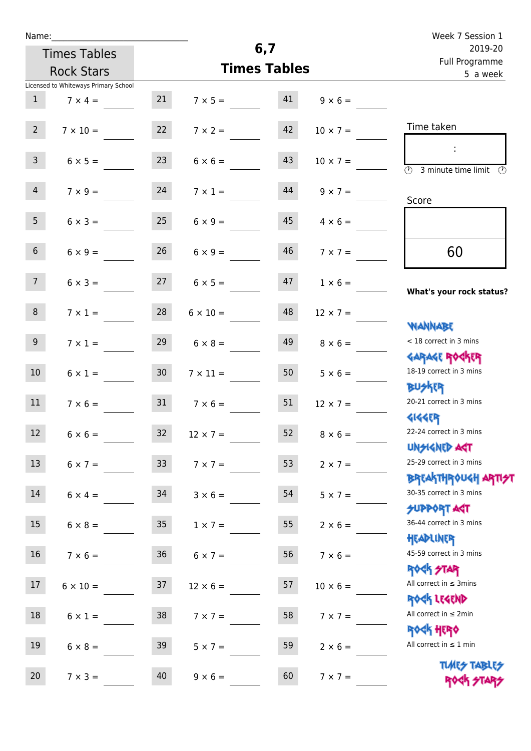| ٠ | а | m |  |  |
|---|---|---|--|--|
|   |   |   |  |  |

| <b>Times Tables</b>                  |                 | 6,7                 |                            |                 | 2019-20                                                                                |
|--------------------------------------|-----------------|---------------------|----------------------------|-----------------|----------------------------------------------------------------------------------------|
| <b>Rock Stars</b>                    |                 | <b>Times Tables</b> | Full Programme<br>5 a week |                 |                                                                                        |
| Licensed to Whiteways Primary School |                 |                     |                            |                 |                                                                                        |
| $\mathbf{1}$<br>$7 \times 4 =$       | 21              | $7 \times 5 =$      | 41                         | $9 \times 6 =$  |                                                                                        |
| $2^{\circ}$<br>$7 \times 10 =$       | 22              | $7 \times 2 =$      | 42                         | $10 \times 7 =$ | Time taken                                                                             |
| $\mathbf{3}$<br>$6 \times 5 =$       | 23              | $6 \times 6 =$      | 43                         | $10 \times 7 =$ | 3 minute time limit<br>$\mathcal{O}$                                                   |
| $\overline{4}$<br>$7 \times 9 =$     | 24              | $7 \times 1 =$      | 44                         | $9 \times 7 =$  | Score                                                                                  |
| 5 <sub>1</sub><br>$6 \times 3 =$     | 25              | $6 \times 9 =$      | 45                         | $4 \times 6 =$  |                                                                                        |
| $6\overline{6}$<br>$6 \times 9 =$    | 26              | $6 \times 9 =$      | 46                         | $7 \times 7 =$  | 60                                                                                     |
| 7 <sup>7</sup><br>$6 \times 3 =$     | 27              | $6 \times 5 =$      | 47                         | $1 \times 6 =$  | What's your rock status?                                                               |
| 8<br>$7 \times 1 =$                  | 28              | $6 \times 10 =$     | 48                         | $12 \times 7 =$ | <b>NANNABE</b>                                                                         |
| 9 <sub>o</sub><br>$7 \times 1 =$     | 29              | $6 \times 8 =$      | 49                         | $8 \times 6 =$  | < 18 correct in 3 mins<br><b>GARAGE ROCKER</b>                                         |
| 10 <sup>°</sup><br>$6 \times 1 =$    | 30 <sub>o</sub> | $7 \times 11 =$     | 50                         | $5 \times 6 =$  | 18-19 correct in 3 mins<br><b>BUSKER</b>                                               |
| 11<br>$7 \times 6 =$                 | 31              | $7 \times 6 =$      | 51                         | $12 \times 7 =$ | 20-21 correct in 3 mins<br><b>4144ER</b>                                               |
| 12<br>$6 \times 6 =$                 | 32              | $12 \times 7 =$     | 52                         | $8 \times 6 =$  | 22-24 correct in 3 mins<br>UNSIGNED AST                                                |
| 13<br>$6 \times 7 = 33$              |                 | $7 \times 7 =$      | 53                         | $2 \times 7 =$  | 25-29 correct in 3 mins                                                                |
| 14<br>$6 \times 4 =$                 | 34              | $3 \times 6 =$      | 54                         | $5 \times 7 =$  | <b>BREAKTHROUGH ARTI<del>S</del>T</b><br>30-35 correct in 3 mins<br><b>SUPPORT AGT</b> |
| 15<br>$6 \times 8 =$                 | 35              | $1 \times 7 =$      | 55                         | $2 \times 6 =$  | 36-44 correct in 3 mins<br>HEADLINER                                                   |
| 16<br>$7 \times 6 =$                 | 36              | $6 \times 7 =$      | 56                         | $7 \times 6 =$  | 45-59 correct in 3 mins<br><b>ROCK STAR</b>                                            |
| 17<br>$6 \times 10 =$                | 37              | $12 \times 6 =$     | 57                         | $10 \times 6 =$ | All correct in $\leq$ 3mins<br>ROCK LEGEND                                             |
| 18<br>$6 \times 1 =$                 | $38$            | $7 \times 7 =$      | 58                         | $7 \times 7 =$  | All correct in $\leq 2$ min<br><b>ROCK HERO</b>                                        |
| 19<br>$6 \times 8 =$                 | 39              | $5 \times 7 =$      | 59                         | $2 \times 6 =$  | All correct in $\leq 1$ min                                                            |
| 20 <sub>2</sub><br>$7 \times 3 =$    | 40              | $9 \times 6 =$      | 60                         | $7 \times 7 =$  | <b>TUARS TABLES</b><br>ROCK STAP                                                       |

**6,7**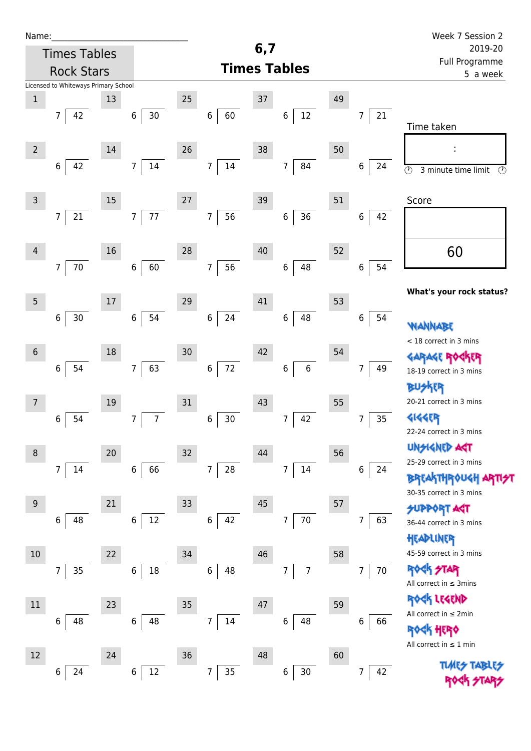| Name:               |                                      |        |                            |                            | 6,7                       |                      |    |                        | Week 7 Session 2                                                      |
|---------------------|--------------------------------------|--------|----------------------------|----------------------------|---------------------------|----------------------|----|------------------------|-----------------------------------------------------------------------|
| <b>Times Tables</b> |                                      |        |                            |                            | 2019-20<br>Full Programme |                      |    |                        |                                                                       |
|                     | <b>Rock Stars</b>                    |        |                            |                            | <b>Times Tables</b>       |                      |    |                        | 5 a week                                                              |
|                     | Licensed to Whiteways Primary School |        |                            |                            |                           |                      |    |                        |                                                                       |
| $\mathbf 1$         |                                      | 13     |                            | 25                         | 37                        |                      | 49 |                        |                                                                       |
|                     | 42<br>$\overline{7}$                 |        | 30<br>6 <sup>1</sup>       | 60<br>$\bf 6$              |                           | $12\,$<br>$\,6$      |    | 21<br>$\overline{7}$   | Time taken                                                            |
|                     |                                      |        |                            |                            |                           |                      |    |                        |                                                                       |
| $\overline{2}$      |                                      | 14     |                            | 26                         | 38                        |                      | 50 |                        |                                                                       |
|                     | $\,6\,$<br>42                        |        | 14<br>7 <sup>7</sup>       | $\boldsymbol{7}$<br>$14\,$ |                           | $\overline{7}$<br>84 |    | 6<br>24                | $\overline{\odot}$<br>$\overline{\mathcal{O}}$<br>3 minute time limit |
|                     |                                      |        |                            |                            |                           |                      |    |                        |                                                                       |
| $\overline{3}$      |                                      | 15     |                            | 27                         | 39                        |                      | 51 |                        | Score                                                                 |
|                     | $21\,$<br>$\overline{7}$             |        | 77<br>7 <sup>1</sup>       | $\overline{7}$<br>56       |                           | 36<br>6              |    | 6<br>42                |                                                                       |
|                     |                                      |        |                            |                            |                           |                      |    |                        |                                                                       |
| $\overline{4}$      |                                      | 16     |                            | 28                         | 40                        |                      | 52 |                        | 60                                                                    |
|                     | $70\,$<br>$\overline{7}$             |        | 60<br>$\,6\,$              | 56<br>$\overline{7}$       |                           | 48<br>$\,6$          |    | 54<br>$\boldsymbol{6}$ |                                                                       |
|                     |                                      |        |                            |                            |                           |                      |    |                        | What's your rock status?                                              |
| $5\overline{)}$     |                                      | 17     |                            | 29                         | 41                        |                      | 53 |                        |                                                                       |
|                     | $30$<br>6                            |        | 54<br>6                    | 24<br>$\boldsymbol{6}$     |                           | 48<br>$\,6$          |    | $\boldsymbol{6}$<br>54 | WANNABE                                                               |
|                     |                                      |        |                            |                            |                           |                      |    |                        | < 18 correct in 3 mins                                                |
| $\sqrt{6}$          |                                      | 18     |                            | 30                         | 42                        |                      | 54 |                        | <b>GARAGE ROGKER</b>                                                  |
|                     | 54<br>$\,$ 6 $\,$                    |        | 63<br>7 <sup>1</sup>       | 72<br>$\bf 6$              |                           | $\bf 6$<br>$\,6$     |    | 49<br>7                | 18-19 correct in 3 mins                                               |
|                     |                                      |        |                            |                            |                           |                      |    |                        | <b>BUSKER</b>                                                         |
| $\overline{7}$      |                                      | $19\,$ |                            | 31                         | 43                        |                      | 55 |                        | 20-21 correct in 3 mins                                               |
|                     | 54<br>6                              |        | $\boldsymbol{7}$<br>7      | 30<br>6                    |                           | 42<br>7              |    | 35<br>7                | <b>4144EP</b>                                                         |
|                     |                                      |        |                            |                            |                           |                      |    |                        | 22-24 correct in 3 mins                                               |
| $\,8\,$             |                                      | 20     |                            | 32                         | 44                        |                      | 56 |                        | UNSIGNED AST                                                          |
|                     | $\overline{7}$<br>14                 |        | 66<br>6                    | 28<br>$\overline{7}$       |                           | 14<br>$\overline{7}$ |    | 6<br>24                | 25-29 correct in 3 mins<br><b>BREAKTHROUGH</b>                        |
|                     |                                      |        |                            |                            |                           |                      |    |                        | 30-35 correct in 3 mins                                               |
| $9\,$               |                                      | 21     |                            | 33                         | 45                        |                      | 57 |                        | <b>SUPPORT AGT</b>                                                    |
|                     | 48<br>6                              |        | $12\,$<br>6                | $\,$ 6 $\,$<br>42          |                           | $70\,$<br>7          |    | 63<br>7                | 36-44 correct in 3 mins                                               |
|                     |                                      |        |                            |                            |                           |                      |    |                        | HEADLINER                                                             |
| 10                  |                                      | 22     |                            | 34                         | 46                        |                      | 58 |                        | 45-59 correct in 3 mins                                               |
|                     | $35\,$<br>7                          |        | $18\,$<br>6                | 48<br>$\,6\,$              |                           | $\overline{7}$<br>7  |    | 70<br>$\overline{7}$   | <b>ROCK STAR</b>                                                      |
|                     |                                      |        |                            |                            |                           |                      |    |                        | All correct in $\leq$ 3mins                                           |
| $11\,$              |                                      | 23     |                            | 35                         | 47                        |                      | 59 |                        | ROCK LEGEND                                                           |
|                     | 48<br>6                              |        | 48<br>6                    | $14\,$<br>7                |                           | 48<br>6              |    | 6<br>66                | All correct in $\leq 2$ min                                           |
|                     |                                      |        |                            |                            |                           |                      |    |                        | <b>ROCK HERO</b>                                                      |
| 12                  |                                      | 24     |                            | 36                         | 48                        |                      | 60 |                        | All correct in $\leq 1$ min                                           |
|                     | 24<br>6                              |        | $12\,$<br>$\boldsymbol{6}$ | $35\,$<br>7                |                           | $30\,$<br>6          |    | 42<br>7                | <b>TIARS TABL</b>                                                     |
|                     |                                      |        |                            |                            |                           |                      |    |                        |                                                                       |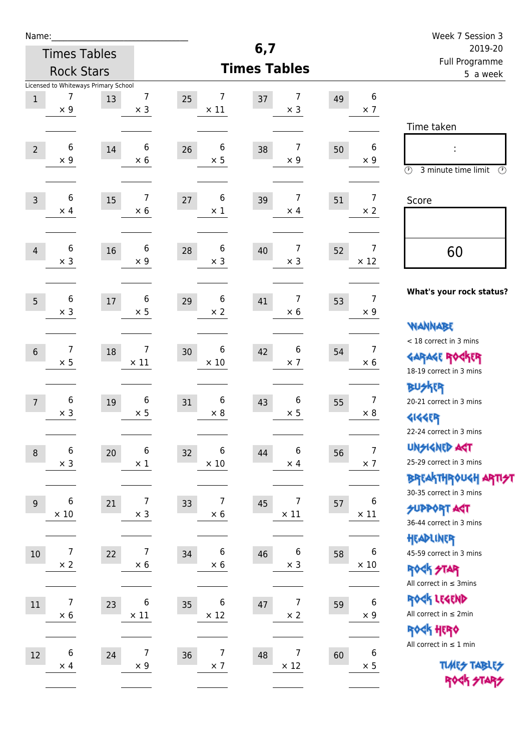| Name:                                                                      |                                          |                           |                                | Week 7 Session 3                                      |
|----------------------------------------------------------------------------|------------------------------------------|---------------------------|--------------------------------|-------------------------------------------------------|
| <b>Times Tables</b>                                                        | 6,7                                      | 2019-20<br>Full Programme |                                |                                                       |
| <b>Rock Stars</b>                                                          | <b>Times Tables</b>                      | 5 a week                  |                                |                                                       |
| Licensed to Whiteways Primary School                                       |                                          |                           |                                |                                                       |
| 7<br>7<br>$\mathbf{1}$<br>13<br>$\times$ 9<br>$\times$ 3                   | 7<br>25<br>37<br>$\times$ 11             | 7<br>49<br>$\times$ 3     | $\boldsymbol{6}$<br>$\times$ 7 |                                                       |
|                                                                            |                                          |                           |                                | Time taken                                            |
| 6<br>6                                                                     | 6                                        | 7                         | $\boldsymbol{6}$               |                                                       |
| $\overline{2}$<br>14<br>$\times$ 9<br>$\times$ 6                           | 26<br>38<br>$\times$ 5                   | 50<br>$\times$ 9          | $\times 9$                     |                                                       |
|                                                                            |                                          |                           |                                | $\circled{r}$<br>3 minute time limit<br>$\circled{r}$ |
| 7<br>6                                                                     | 6                                        | 7                         | $\overline{7}$                 |                                                       |
| 15<br>$\overline{3}$<br>$\times$ 6<br>$\times$ 4                           | 27<br>39<br>$\times$ 1                   | 51<br>$\times$ 4          | $\times$ 2                     | Score                                                 |
|                                                                            |                                          |                           |                                |                                                       |
| 6<br>6                                                                     | 6                                        | 7                         | $\overline{7}$                 |                                                       |
| 16<br>$\overline{4}$<br>$\times$ 3<br>$\times$ 9                           | 28<br>40<br>$\times$ 3                   | 52<br>$\times$ 3          | $\times$ 12                    | 60                                                    |
|                                                                            |                                          |                           |                                |                                                       |
| $\,6$<br>6                                                                 | 6                                        | 7                         | $\overline{7}$                 | What's your rock status?                              |
| $17\,$<br>5<br>$\times$ 3<br>$\times$ 5                                    | 29<br>41<br>$\times 2$                   | 53<br>$\times$ 6          | $\times 9$                     |                                                       |
|                                                                            |                                          |                           |                                | <b>NANNABE</b>                                        |
| 7<br>$\overline{7}$                                                        | 6                                        | 6                         | $\overline{7}$                 | < 18 correct in 3 mins                                |
| $6\,$<br>18<br>$\times$ 5<br>$\times$ 11                                   | 30<br>42<br>$\times$ 10                  | 54<br>$\times$ 7          | $\times 6$                     | <b>GARAGE ROGKER</b>                                  |
|                                                                            |                                          |                           |                                | 18-19 correct in 3 mins                               |
| $\,6$                                                                      |                                          |                           | $\overline{7}$                 | <b>BUSKER</b>                                         |
| 6<br>19<br>$\overline{7}$<br>$\times$ 3<br>$\times$ 5                      | 6<br>31<br>43<br>$\times$ 8              | 6<br>55<br>$\times$ 5     | $\times$ 8                     | 20-21 correct in 3 mins                               |
|                                                                            |                                          |                           |                                | <b>4144EP</b><br>22-24 correct in 3 mins              |
| $\,$ 6 $\,$                                                                |                                          |                           | $\boldsymbol{7}$               | <b>UNSIGNED AGT</b>                                   |
| 6<br>$20\,$<br>$\,8\,$<br>$\times$ 3<br>$\times$ 1                         | 6<br>32<br>44<br>$\times$ 10             | 6<br>56<br>$\times$ 4     | $\times$ 7                     | 25-29 correct in 3 mins                               |
|                                                                            |                                          |                           |                                | BREAKTHRÓUGH ARTI <del>2</del> 1                      |
|                                                                            |                                          |                           |                                | 30-35 correct in 3 mins                               |
| $\,6$<br>7<br>21<br>$9\,$<br>$\times$ 3<br>$\times$ 10                     | 7<br>45<br>33<br>$\times$ 6              | 7<br>57<br>$\times$ 11    | 6<br>$\times$ 11               | <b>SUPPORT ART</b>                                    |
|                                                                            |                                          |                           |                                | 36-44 correct in 3 mins                               |
|                                                                            |                                          |                           |                                | HEADLINER                                             |
| $\boldsymbol{7}$<br>$\overline{7}$<br>22<br>10<br>$\times 2$<br>$\times 6$ | 6<br>34<br>46<br>$\times 6$              | 6<br>58<br>$\times$ 3     | 6<br>$\times$ 10               | 45-59 correct in 3 mins                               |
|                                                                            |                                          |                           |                                | <b>ROCK STAR</b><br>All correct in $\leq$ 3mins       |
|                                                                            |                                          |                           |                                | ROCK LEGEND                                           |
| 7<br>6<br>$11\,$<br>23<br>$\times$ 11<br>$\times$ 6                        | 6<br>35<br>47<br>$\times$ 12             | 7<br>59<br>$\times$ 2     | $\boldsymbol{6}$<br>$\times$ 9 | All correct in $\leq 2$ min                           |
|                                                                            |                                          |                           |                                | ROCK HERO                                             |
|                                                                            |                                          |                           |                                | All correct in $\leq 1$ min                           |
| $\,6$<br>7<br>12<br>24<br>$\times$ 9<br>$\times$ 4                         | $\overline{7}$<br>36<br>48<br>$\times$ 7 | 7<br>60<br>$\times$ 12    | 6<br>$\times$ 5                | <b>TUARS TABLES</b>                                   |
|                                                                            |                                          |                           |                                | ROCK STARS                                            |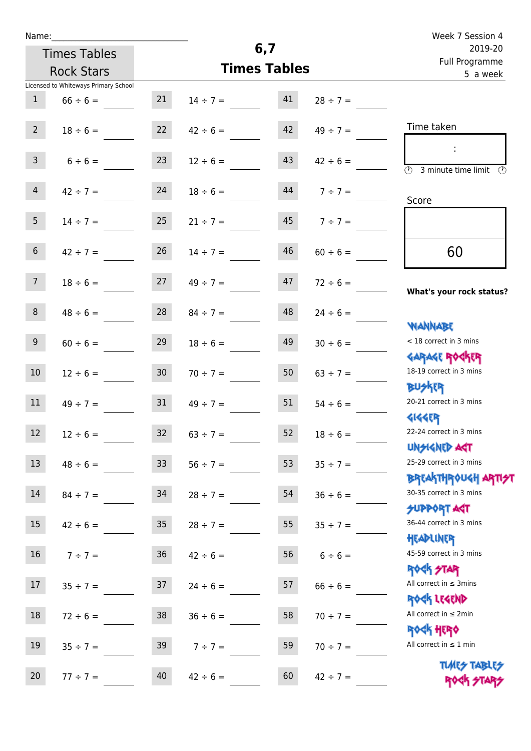| Name:           |                                      |                 |               | Week 7 Session 4          |               |                                                                 |
|-----------------|--------------------------------------|-----------------|---------------|---------------------------|---------------|-----------------------------------------------------------------|
|                 | <b>Times Tables</b>                  |                 | 6,7           | 2019-20<br>Full Programme |               |                                                                 |
|                 | <b>Rock Stars</b>                    |                 |               | <b>Times Tables</b>       |               | 5 a week                                                        |
|                 | Licensed to Whiteways Primary School |                 |               |                           |               |                                                                 |
| 1               | $66 \div 6 =$                        | 21              | $14 \div 7 =$ | 41                        | $28 \div 7 =$ |                                                                 |
| $2^{\circ}$     | $18 \div 6 =$                        | 22              | $42 \div 6 =$ | 42                        | $49 \div 7 =$ | Time taken                                                      |
| $\overline{3}$  | $6 \div 6 =$                         | 23              | $12 \div 6 =$ | 43                        | $42 \div 6 =$ | 3 minute time limit                                             |
| $\overline{4}$  | $42 \div 7 =$                        | 24              | $18 \div 6 =$ | 44                        | $7 ÷ 7 =$     | Score                                                           |
| 5 <sub>1</sub>  | $14 \div 7 =$                        | 25              | $21 \div 7 =$ | 45                        | $7 ÷ 7 =$     |                                                                 |
| 6 <sup>1</sup>  | $42 \div 7 =$                        | 26              | $14 \div 7 =$ | 46                        | $60 \div 6 =$ | 60                                                              |
| 7 <sup>7</sup>  | $18 \div 6 =$                        | 27              | $49 \div 7 =$ | 47                        | $72 \div 6 =$ | What's your rock status?                                        |
| 8               | $48 \div 6 =$                        | 28              | $84 \div 7 =$ | 48                        | $24 \div 6 =$ |                                                                 |
| 9 <sub>o</sub>  | $60 \div 6 =$                        | 29              | $18 \div 6 =$ | 49                        | $30 \div 6 =$ | <b>TARAVAIV</b><br>< 18 correct in 3 mins                       |
| 10 <sup>°</sup> | $12 \div 6 =$                        | 30 <sub>1</sub> | $70 \div 7 =$ | 50                        | $63 \div 7 =$ | <b>GARAGE ROCKER</b><br>18-19 correct in 3 mins                 |
| 11              | $49 \div 7 =$                        | 31              | $49 \div 7 =$ | 51                        | $54 \div 6 =$ | <b>BUSKER</b><br>20-21 correct in 3 mins                        |
| 12              | $12 \div 6 =$                        | 32              | $63 \div 7 =$ | 52                        | $18 \div 6 =$ | <b>4144EP</b><br>22-24 correct in 3 mins<br><b>UNSIGNED AST</b> |
| 13              | $48 \div 6 =$                        | 33 <sup>°</sup> | $56 \div 7 =$ | 53                        | $35 \div 7 =$ | 25-29 correct in 3 mins                                         |
| 14              | $84 \div 7 =$                        | 34              | $28 \div 7 =$ | 54                        | $36 \div 6 =$ | <b>BREAKTHROUGH ARTH</b><br>30-35 correct in 3 mins             |
| 15              | $42 \div 6 =$                        | 35 <sub>o</sub> | $28 \div 7 =$ | 55                        | $35 \div 7 =$ | <b>SUPPORT AGT</b><br>36-44 correct in 3 mins                   |
| 16              | $7 ÷ 7 =$                            | 36              | $42 \div 6 =$ | 56                        | $6 \div 6 =$  | HEADLINER<br>45-59 correct in 3 mins                            |
| 17              | $35 \div 7 =$                        | 37              | $24 \div 6 =$ | 57                        | $66 \div 6 =$ | <b>ROCK STAR</b><br>All correct in $\leq$ 3mins                 |
| $18\,$          | $72 \div 6 =$                        | 38              | $36 \div 6 =$ | 58                        | $70 \div 7 =$ | ROCK LEGEND<br>All correct in $\leq 2$ min                      |
| 19              | $35 \div 7 =$                        | 39              | $7 ÷ 7 =$     | 59                        | $70 \div 7 =$ | <b>ROCK HERO</b><br>All correct in $\leq 1$ min                 |
| 20              | $77 ÷ 7 =$                           | 40              | $42 \div 6 =$ | 60                        | $42 \div 7 =$ | <b>TUARS TABLES</b><br>ROCK STARS                               |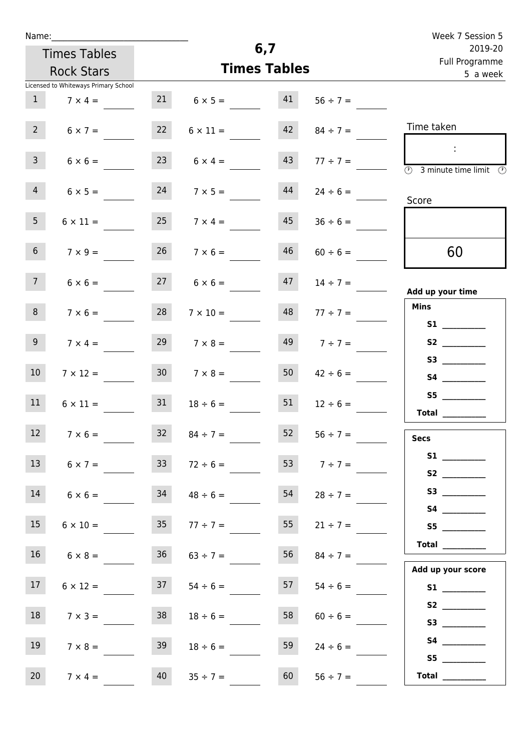| Name: |  |  |  |
|-------|--|--|--|
|       |  |  |  |

Times Tables

|                 | <b>Rock Stars</b>                    |                 |                      | <b>Times Tables</b> |                    | Full Programme<br>5 a week                                                                                                                                                                                                                                                                                                                                                                                                                                                                                                                                                                                          |
|-----------------|--------------------------------------|-----------------|----------------------|---------------------|--------------------|---------------------------------------------------------------------------------------------------------------------------------------------------------------------------------------------------------------------------------------------------------------------------------------------------------------------------------------------------------------------------------------------------------------------------------------------------------------------------------------------------------------------------------------------------------------------------------------------------------------------|
|                 | Licensed to Whiteways Primary School |                 |                      |                     |                    |                                                                                                                                                                                                                                                                                                                                                                                                                                                                                                                                                                                                                     |
| 1               | $7 \times 4 =$                       | 21              | $6 \times 5 =$       | 41                  | $56 \div 7 =$      |                                                                                                                                                                                                                                                                                                                                                                                                                                                                                                                                                                                                                     |
| 2               | $6 \times 7 =$                       | 22              | $6 \times 11 =$      | 42                  | $84 \div 7 =$      | Time taken                                                                                                                                                                                                                                                                                                                                                                                                                                                                                                                                                                                                          |
| 3 <sup>7</sup>  | $6 \times 6 =$                       |                 | $6 \times 4 =$       | 43                  | $77 \div 7 =$      | $\overline{\textcircled{1}}$ 3 minute time limit $\overline{\textcircled{1}}$                                                                                                                                                                                                                                                                                                                                                                                                                                                                                                                                       |
| $4\overline{ }$ | $6 \times 5 =$                       | 24              | $7 \times 5 =$       | 44                  | $24 \div 6 =$      | Score                                                                                                                                                                                                                                                                                                                                                                                                                                                                                                                                                                                                               |
| 5 <sub>1</sub>  | $6 \times 11 =$                      | 25              | $7 \times 4 =$       | 45                  | $36 \div 6 =$      |                                                                                                                                                                                                                                                                                                                                                                                                                                                                                                                                                                                                                     |
| 6 <sup>1</sup>  | $7 \times 9 =$                       | 26              | $7 \times 6 =$       | 46                  | $60 \div 6 =$      | 60                                                                                                                                                                                                                                                                                                                                                                                                                                                                                                                                                                                                                  |
| 7 <sup>7</sup>  | $6 \times 6 =$                       | 27              | $6 \times 6 =$       | 47                  | $14 \div 7 =$      | Add up your time                                                                                                                                                                                                                                                                                                                                                                                                                                                                                                                                                                                                    |
| 8 <sup>1</sup>  | $7 \times 6 =$                       | 28              | $7 \times 10 =$      | 48                  | $77 \div 7 =$      | <b>Mins</b>                                                                                                                                                                                                                                                                                                                                                                                                                                                                                                                                                                                                         |
| 9 <sub>o</sub>  | $7 \times 4 =$                       |                 | $29 \t 7 \times 8 =$ |                     | $149$ $7 \div 7 =$ | S2                                                                                                                                                                                                                                                                                                                                                                                                                                                                                                                                                                                                                  |
| 10 <sub>1</sub> | $7 \times 12 =$                      | 30 <sub>o</sub> | $7 \times 8 =$       | 50                  | $42 \div 6 =$      |                                                                                                                                                                                                                                                                                                                                                                                                                                                                                                                                                                                                                     |
| 11              | $6 \times 11 =$                      | 31              | $18 \div 6 =$        | 51                  | $12 \div 6 =$      | S5<br>Total                                                                                                                                                                                                                                                                                                                                                                                                                                                                                                                                                                                                         |
| 12 <sup>7</sup> | $7 \times 6 =$                       | 32              | $84 \div 7 =$        | 52                  | $56 \div 7 =$      | <b>Secs</b>                                                                                                                                                                                                                                                                                                                                                                                                                                                                                                                                                                                                         |
| 13              | $6 \times 7 =$                       | 33              | $72 \div 6 =$        | 53                  | $7 ÷ 7 =$          | <b>S1</b>                                                                                                                                                                                                                                                                                                                                                                                                                                                                                                                                                                                                           |
| 14              | $6 \times 6 =$                       | 34              | $48 \div 6 =$        | 54                  | $28 \div 7 =$      |                                                                                                                                                                                                                                                                                                                                                                                                                                                                                                                                                                                                                     |
| 15 <sub>1</sub> | $6 \times 10 =$                      | 35 <sub>1</sub> | $77 \div 7 =$        | 55                  | $21 \div 7 =$      | S5                                                                                                                                                                                                                                                                                                                                                                                                                                                                                                                                                                                                                  |
| 16 <sup>1</sup> | $6 \times 8 =$                       | 36 <sub>2</sub> | $63 \div 7 =$        | 56                  | $84 \div 7 =$      | $\begin{tabular}{c} Total & \underline{\hspace{1cm}} & \underline{\hspace{1cm}} & \underline{\hspace{1cm}} & \underline{\hspace{1cm}} & \underline{\hspace{1cm}} & \underline{\hspace{1cm}} & \underline{\hspace{1cm}} & \underline{\hspace{1cm}} & \underline{\hspace{1cm}} & \underline{\hspace{1cm}} & \underline{\hspace{1cm}} & \underline{\hspace{1cm}} & \underline{\hspace{1cm}} & \underline{\hspace{1cm}} & \underline{\hspace{1cm}} & \underline{\hspace{1cm}} & \underline{\hspace{1cm}} & \underline{\hspace{1cm}} & \underline{\hspace{1cm}} & \underline{\hspace{1cm}} & \underline{\hspace{1cm}} &$ |
| 17 <sub>2</sub> | $6 \times 12 =$                      | 37              | $54 \div 6 =$        | 57                  | $54 \div 6 =$      | Add up your score                                                                                                                                                                                                                                                                                                                                                                                                                                                                                                                                                                                                   |
| 18              | $7 \times 3 =$                       | 38              | $18 \div 6 =$        | 58                  | $60 \div 6 =$      |                                                                                                                                                                                                                                                                                                                                                                                                                                                                                                                                                                                                                     |
| 19              | $7 \times 8 =$                       | 39              | $18 \div 6 =$        | 59                  | $24 \div 6 =$      | S3                                                                                                                                                                                                                                                                                                                                                                                                                                                                                                                                                                                                                  |
| 20              | $7 \times 4 =$                       | 40              | $35 \div 7 =$        | 60                  | $56 \div 7 =$      | S5<br>Total $\_\_$                                                                                                                                                                                                                                                                                                                                                                                                                                                                                                                                                                                                  |

**6,7**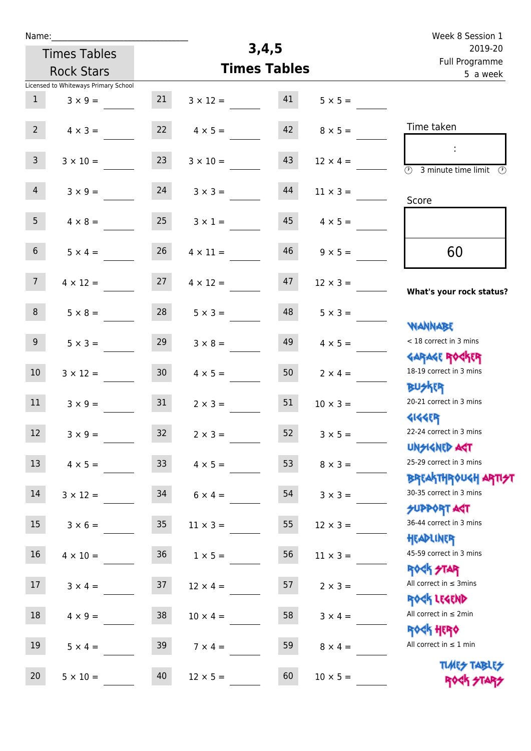| Name:               |                                                                                                                                                                                                                           |                                                                                                                                                                                                                   |                                                                                                                                                                                                       |                                                                                                                                      | Week 8 Session 1                                                                                                                                                                                                                                                  |
|---------------------|---------------------------------------------------------------------------------------------------------------------------------------------------------------------------------------------------------------------------|-------------------------------------------------------------------------------------------------------------------------------------------------------------------------------------------------------------------|-------------------------------------------------------------------------------------------------------------------------------------------------------------------------------------------------------|--------------------------------------------------------------------------------------------------------------------------------------|-------------------------------------------------------------------------------------------------------------------------------------------------------------------------------------------------------------------------------------------------------------------|
| <b>Times Tables</b> |                                                                                                                                                                                                                           |                                                                                                                                                                                                                   | 2019-20                                                                                                                                                                                               |                                                                                                                                      |                                                                                                                                                                                                                                                                   |
|                     |                                                                                                                                                                                                                           |                                                                                                                                                                                                                   | Full Programme<br>5 a week                                                                                                                                                                            |                                                                                                                                      |                                                                                                                                                                                                                                                                   |
|                     |                                                                                                                                                                                                                           |                                                                                                                                                                                                                   |                                                                                                                                                                                                       |                                                                                                                                      |                                                                                                                                                                                                                                                                   |
| $3 \times 9 =$      | 21                                                                                                                                                                                                                        | $3 \times 12 =$                                                                                                                                                                                                   | 41                                                                                                                                                                                                    | $5 \times 5 =$                                                                                                                       |                                                                                                                                                                                                                                                                   |
|                     |                                                                                                                                                                                                                           |                                                                                                                                                                                                                   |                                                                                                                                                                                                       |                                                                                                                                      |                                                                                                                                                                                                                                                                   |
| $4 \times 3 =$      |                                                                                                                                                                                                                           | $4 \times 5 =$                                                                                                                                                                                                    |                                                                                                                                                                                                       | $8 \times 5 =$                                                                                                                       | Time taken                                                                                                                                                                                                                                                        |
|                     |                                                                                                                                                                                                                           |                                                                                                                                                                                                                   |                                                                                                                                                                                                       |                                                                                                                                      | ÷                                                                                                                                                                                                                                                                 |
|                     |                                                                                                                                                                                                                           |                                                                                                                                                                                                                   |                                                                                                                                                                                                       |                                                                                                                                      | $\overline{\odot}$<br>3 minute time limit<br>$\mathcal{O}$                                                                                                                                                                                                        |
|                     |                                                                                                                                                                                                                           |                                                                                                                                                                                                                   |                                                                                                                                                                                                       |                                                                                                                                      |                                                                                                                                                                                                                                                                   |
|                     |                                                                                                                                                                                                                           |                                                                                                                                                                                                                   |                                                                                                                                                                                                       |                                                                                                                                      | Score                                                                                                                                                                                                                                                             |
|                     |                                                                                                                                                                                                                           |                                                                                                                                                                                                                   |                                                                                                                                                                                                       |                                                                                                                                      |                                                                                                                                                                                                                                                                   |
|                     |                                                                                                                                                                                                                           |                                                                                                                                                                                                                   |                                                                                                                                                                                                       |                                                                                                                                      |                                                                                                                                                                                                                                                                   |
| $5 \times 4 =$      | 26                                                                                                                                                                                                                        | $4 \times 11 =$                                                                                                                                                                                                   | 46                                                                                                                                                                                                    |                                                                                                                                      | 60                                                                                                                                                                                                                                                                |
|                     |                                                                                                                                                                                                                           |                                                                                                                                                                                                                   |                                                                                                                                                                                                       |                                                                                                                                      |                                                                                                                                                                                                                                                                   |
| $4 \times 12 =$     | 27                                                                                                                                                                                                                        | $4 \times 12 =$                                                                                                                                                                                                   | 47                                                                                                                                                                                                    | $12 \times 3 =$                                                                                                                      |                                                                                                                                                                                                                                                                   |
|                     |                                                                                                                                                                                                                           |                                                                                                                                                                                                                   |                                                                                                                                                                                                       |                                                                                                                                      | What's your rock status?                                                                                                                                                                                                                                          |
| $5 \times 8 =$      | 28                                                                                                                                                                                                                        | $5 \times 3 =$                                                                                                                                                                                                    | 48                                                                                                                                                                                                    | $5 \times 3 =$                                                                                                                       |                                                                                                                                                                                                                                                                   |
|                     |                                                                                                                                                                                                                           |                                                                                                                                                                                                                   |                                                                                                                                                                                                       |                                                                                                                                      | <b>NANNABE</b>                                                                                                                                                                                                                                                    |
|                     |                                                                                                                                                                                                                           |                                                                                                                                                                                                                   |                                                                                                                                                                                                       |                                                                                                                                      | < 18 correct in 3 mins                                                                                                                                                                                                                                            |
|                     |                                                                                                                                                                                                                           |                                                                                                                                                                                                                   |                                                                                                                                                                                                       |                                                                                                                                      | <b>GARAGE ROGKER</b><br>18-19 correct in 3 mins                                                                                                                                                                                                                   |
|                     |                                                                                                                                                                                                                           |                                                                                                                                                                                                                   |                                                                                                                                                                                                       |                                                                                                                                      | <b>BUSKER</b>                                                                                                                                                                                                                                                     |
|                     |                                                                                                                                                                                                                           |                                                                                                                                                                                                                   |                                                                                                                                                                                                       |                                                                                                                                      | 20-21 correct in 3 mins                                                                                                                                                                                                                                           |
|                     |                                                                                                                                                                                                                           |                                                                                                                                                                                                                   |                                                                                                                                                                                                       |                                                                                                                                      | <b>4144EP</b>                                                                                                                                                                                                                                                     |
|                     |                                                                                                                                                                                                                           |                                                                                                                                                                                                                   |                                                                                                                                                                                                       |                                                                                                                                      | 22-24 correct in 3 mins                                                                                                                                                                                                                                           |
|                     |                                                                                                                                                                                                                           |                                                                                                                                                                                                                   |                                                                                                                                                                                                       |                                                                                                                                      | <b>UNSIGNED AST</b>                                                                                                                                                                                                                                               |
|                     |                                                                                                                                                                                                                           |                                                                                                                                                                                                                   | 53                                                                                                                                                                                                    |                                                                                                                                      | 25-29 correct in 3 mins                                                                                                                                                                                                                                           |
|                     |                                                                                                                                                                                                                           |                                                                                                                                                                                                                   |                                                                                                                                                                                                       |                                                                                                                                      | <b>BREAKTHROUGH ARTI<del>S</del>T</b>                                                                                                                                                                                                                             |
|                     | 34                                                                                                                                                                                                                        |                                                                                                                                                                                                                   | 54                                                                                                                                                                                                    | $3 \times 3 =$                                                                                                                       | 30-35 correct in 3 mins                                                                                                                                                                                                                                           |
|                     |                                                                                                                                                                                                                           |                                                                                                                                                                                                                   |                                                                                                                                                                                                       |                                                                                                                                      | <b>SUPPORT AGT</b>                                                                                                                                                                                                                                                |
|                     | 35 <sub>o</sub>                                                                                                                                                                                                           |                                                                                                                                                                                                                   | 55                                                                                                                                                                                                    | $12 \times 3 =$                                                                                                                      | 36-44 correct in 3 mins                                                                                                                                                                                                                                           |
|                     |                                                                                                                                                                                                                           |                                                                                                                                                                                                                   |                                                                                                                                                                                                       |                                                                                                                                      | HEADLINER                                                                                                                                                                                                                                                         |
|                     |                                                                                                                                                                                                                           |                                                                                                                                                                                                                   |                                                                                                                                                                                                       |                                                                                                                                      | 45-59 correct in 3 mins                                                                                                                                                                                                                                           |
|                     |                                                                                                                                                                                                                           |                                                                                                                                                                                                                   |                                                                                                                                                                                                       |                                                                                                                                      | <b>ROCK STAR</b><br>All correct in $\leq$ 3mins                                                                                                                                                                                                                   |
|                     |                                                                                                                                                                                                                           |                                                                                                                                                                                                                   |                                                                                                                                                                                                       |                                                                                                                                      | ROCK LEGEND                                                                                                                                                                                                                                                       |
|                     |                                                                                                                                                                                                                           |                                                                                                                                                                                                                   |                                                                                                                                                                                                       |                                                                                                                                      | All correct in $\leq 2$ min                                                                                                                                                                                                                                       |
|                     |                                                                                                                                                                                                                           |                                                                                                                                                                                                                   |                                                                                                                                                                                                       |                                                                                                                                      | <b>ROCK HERO</b>                                                                                                                                                                                                                                                  |
|                     |                                                                                                                                                                                                                           |                                                                                                                                                                                                                   |                                                                                                                                                                                                       |                                                                                                                                      | All correct in $\leq 1$ min                                                                                                                                                                                                                                       |
|                     |                                                                                                                                                                                                                           |                                                                                                                                                                                                                   |                                                                                                                                                                                                       |                                                                                                                                      | <b>TUARS TABLES</b>                                                                                                                                                                                                                                               |
| $5 \times 10 =$     | 40                                                                                                                                                                                                                        | $12 \times 5 =$                                                                                                                                                                                                   | 60                                                                                                                                                                                                    | $10 \times 5 =$                                                                                                                      | ROCK STARS                                                                                                                                                                                                                                                        |
|                     | <b>Rock Stars</b><br>$3 \times 10 =$<br>$3 \times 9 =$<br>$4 \times 8 =$<br>$5 \times 3 =$<br>$3 \times 12 =$<br>$3 \times 9 =$<br>$3 \times 9 =$<br>$4 \times 5 =$<br>$3 \times 4 =$<br>$4 \times 9 =$<br>$5 \times 4 =$ | Licensed to Whiteways Primary School<br>22<br>23<br>24<br>25<br>29<br>30 <sub>o</sub><br>31<br>32<br>33 <sup>°</sup><br>$3 \times 12 =$<br>$3 \times 6 =$<br>36 <sup>°</sup><br>$4 \times 10 =$<br>37<br>38<br>39 | $3 \times 10 =$<br>$3 \times 3 =$<br>$3 \times 1 =$<br>$3 \times 8 =$<br>$4 \times 5 =$<br>$2 \times 3 =$<br>$2 \times 3 =$<br>$1 \times 5 =$<br>$12 \times 4 =$<br>$10 \times 4 =$<br>$7 \times 4 =$ | 3,4,5<br>42<br>43<br>44<br>45<br>49<br>50<br>51<br>52<br>$4 \times 5 =$<br>$6 \times 4 =$<br>$11 \times 3 =$<br>56<br>57<br>58<br>59 | <b>Times Tables</b><br>$12 \times 4 =$<br>$11 \times 3 =$<br>$4 \times 5 =$<br>$9 \times 5 =$<br>$4 \times 5 =$<br>$2 \times 4 =$<br>$10 \times 3 =$<br>$3 \times 5 =$<br>$8 \times 3 =$<br>$11 \times 3 =$<br>$2 \times 3 =$<br>$3 \times 4 =$<br>$8 \times 4 =$ |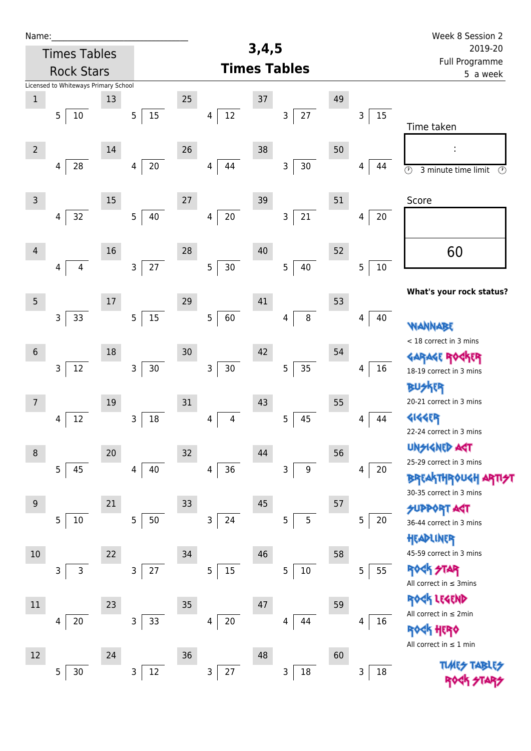| Name:          |                                      |    |                        |    |                          |       |                       |    |                    | Week 8 Session 2                                                |
|----------------|--------------------------------------|----|------------------------|----|--------------------------|-------|-----------------------|----|--------------------|-----------------------------------------------------------------|
|                | <b>Times Tables</b>                  |    |                        |    |                          | 3,4,5 |                       |    |                    | 2019-20<br>Full Programme                                       |
|                | <b>Rock Stars</b>                    |    |                        |    |                          |       | <b>Times Tables</b>   |    |                    | 5 a week                                                        |
|                | Licensed to Whiteways Primary School |    |                        |    |                          |       |                       |    |                    |                                                                 |
| $1\,$          |                                      | 13 |                        | 25 |                          | 37    |                       | 49 |                    |                                                                 |
|                | 5 <sub>1</sub><br>10                 |    | 15<br>5 <sub>1</sub>   |    | $12\,$<br>$\overline{4}$ |       | $27\,$<br>3           |    | 15<br>$\mathsf{3}$ | Time taken                                                      |
|                |                                      |    |                        |    |                          |       |                       |    |                    |                                                                 |
| $\overline{2}$ |                                      | 14 |                        | 26 |                          | 38    |                       | 50 |                    |                                                                 |
|                | ${\bf 28}$<br>4                      |    | $20\,$<br>4            |    | 44<br>4                  |       | $30\,$<br>3           |    | 44<br>4            | $\overline{\odot}$<br>$\overline{\odot}$<br>3 minute time limit |
|                |                                      |    |                        |    |                          |       |                       |    |                    |                                                                 |
| $\mathsf 3$    |                                      | 15 |                        | 27 |                          | 39    |                       | 51 |                    | Score                                                           |
|                | 32<br>$\overline{4}$                 |    | 5 <sub>1</sub><br>40   |    | $20\,$<br>4              |       | $21\,$<br>3           |    | 20<br>4            |                                                                 |
|                |                                      |    |                        |    |                          |       |                       |    |                    |                                                                 |
| 4              |                                      | 16 |                        | 28 |                          | 40    |                       | 52 |                    | 60                                                              |
|                | $\overline{4}$<br>$\overline{4}$     |    | $27\,$<br>$\mathbf{3}$ |    | 5<br>30                  |       | 5<br>40               |    | $10\,$<br>5        |                                                                 |
|                |                                      |    |                        |    |                          |       |                       |    |                    | What's your rock status?                                        |
| 5              |                                      | 17 |                        | 29 |                          | 41    |                       | 53 |                    |                                                                 |
|                | 33<br>$\mathsf{3}$                   |    | 15<br>5 <sub>1</sub>   |    | 5<br>60                  |       | $\,8\,$<br>4          |    | 40<br>4            |                                                                 |
|                |                                      |    |                        |    |                          |       |                       |    |                    | WANNABE<br>< 18 correct in 3 mins                               |
| $6\,$          |                                      | 18 |                        | 30 |                          | 42    |                       | 54 |                    | <b>GARAGE RO</b><br>ker                                         |
|                | $\mathsf{3}$<br>12                   |    | $\mathsf{3}$<br>$30\,$ |    | 3<br>$30\,$              |       | 35<br>$\overline{5}$  |    | 16<br>4            | 18-19 correct in 3 mins                                         |
|                |                                      |    |                        |    |                          |       |                       |    |                    | <b>BUSKER</b>                                                   |
| $\overline{7}$ |                                      | 19 |                        | 31 |                          | 43    |                       | 55 |                    | 20-21 correct in 3 mins                                         |
|                | 12<br>4                              |    | $18\,$<br>3            |    | 4<br>4                   |       | 5<br>45               |    | 44<br>4            | <b>4144ER</b>                                                   |
|                |                                      |    |                        |    |                          |       |                       |    |                    | 22-24 correct in 3 mins                                         |
| $\,8\,$        |                                      | 20 |                        | 32 |                          | 44    |                       | 56 |                    | <b>UNSIGNED AGT</b>                                             |
|                | 5<br>45                              |    | 40<br>4                |    | $36\,$<br>4              |       | $\boldsymbol{9}$<br>3 |    | 20<br>4            | 25-29 correct in 3 mins                                         |
|                |                                      |    |                        |    |                          |       |                       |    |                    | <b>BREAKTHROUGH</b>                                             |
| $\overline{9}$ |                                      | 21 |                        | 33 |                          | 45    |                       | 57 |                    | 30-35 correct in 3 mins                                         |
|                | 5<br>10                              |    | 50<br>5                |    | 3<br>24                  |       | 5<br>5                |    | 5<br>20            | <b>SUPPORT AGT</b><br>36-44 correct in 3 mins                   |
|                |                                      |    |                        |    |                          |       |                       |    |                    | HEADLINER                                                       |
| 10             |                                      | 22 |                        | 34 |                          | 46    |                       | 58 |                    | 45-59 correct in 3 mins                                         |
|                | 3<br>$\mathsf{3}$                    |    | $27\,$<br>$\mathbf{3}$ |    | 15<br>5                  |       | $10\,$<br>5           |    | 55<br>5            | <b>ROCK STAR</b>                                                |
|                |                                      |    |                        |    |                          |       |                       |    |                    | All correct in $\leq$ 3mins                                     |
| $11\,$         |                                      | 23 |                        |    |                          |       |                       |    |                    | ROCK LEGEND                                                     |
|                | 20                                   |    | 33<br>3                | 35 | $20\,$<br>4              | 47    | 44                    | 59 | 16<br>4            | All correct in $\leq 2$ min                                     |
|                | 4                                    |    |                        |    |                          |       | 4                     |    |                    | <b>ROCK HERO</b>                                                |
|                |                                      |    |                        |    |                          |       |                       |    |                    | All correct in $\leq 1$ min                                     |
| 12             |                                      | 24 |                        | 36 |                          | 48    |                       | 60 |                    | <b>TLARS</b>                                                    |
|                | 5<br>$30\,$                          |    | $12\,$<br>3            |    | 3<br>$27\,$              |       | $18\,$<br>3           |    | 18<br>3            |                                                                 |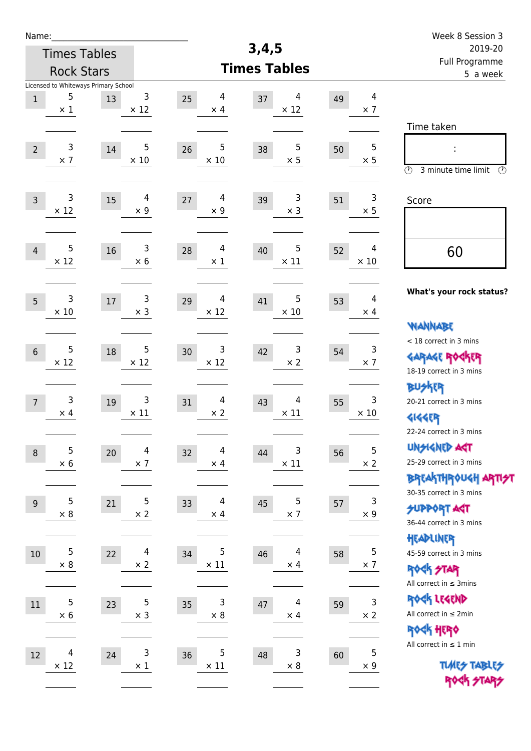| Name:                                                                  |                     |                              |                                    |                           |    |                              | Week 8 Session 3                                                                                |  |  |
|------------------------------------------------------------------------|---------------------|------------------------------|------------------------------------|---------------------------|----|------------------------------|-------------------------------------------------------------------------------------------------|--|--|
|                                                                        | <b>Times Tables</b> |                              |                                    | 3,4,5                     |    |                              | 2019-20                                                                                         |  |  |
|                                                                        | <b>Rock Stars</b>   |                              |                                    | <b>Times Tables</b>       |    |                              | Full Programme<br>5 a week                                                                      |  |  |
| Licensed to Whiteways Primary School<br>5<br>$\mathbf 1$<br>$\times$ 1 | 13                  | 3<br>$\times$ 12             | 4<br>25<br>$\times$ 4              | 4<br>37<br>$\times$ 12    | 49 | 4<br>$\times$ 7              |                                                                                                 |  |  |
| 3<br>$\overline{2}$<br>$\times$ 7                                      | 14                  | 5<br>$\times$ 10             | 5<br>26<br>$\times$ 10             | 5<br>38<br>$\times$ 5     | 50 | $\overline{5}$<br>$\times$ 5 | Time taken<br>Ì,<br>$\circled{r}$<br>3 minute time limit<br>⊕                                   |  |  |
| 3<br>$\overline{3}$<br>$\times$ 12                                     | 15                  | 4<br>$\times$ 9              | $\overline{4}$<br>27<br>$\times$ 9 | 3<br>39<br>$\times$ 3     | 51 | 3<br>$\times$ 5              | Score                                                                                           |  |  |
| 5<br>$\overline{4}$<br>$\times$ 12                                     | 16                  | 3<br>$\times$ 6              | 4<br>28<br>$\times$ 1              | 5<br>40<br>$\times$ 11    | 52 | 4<br>$\times 10$             | 60                                                                                              |  |  |
| 3<br>$5\overline{)}$<br>$\times$ 10                                    | 17                  | 3<br>$\times$ 3              | 4<br>29<br>$\times$ 12             | 5<br>41<br>$\times$ 10    | 53 | 4<br>$\times$ 4              | What's your rock status?<br><b>WANNABE</b>                                                      |  |  |
| 5<br>$6\phantom{1}$<br>$\times$ 12                                     | 18                  | 5<br>$\times$ 12             | 3<br>30<br>$\times$ 12             | 3<br>42<br>$\times 2$     | 54 | 3<br>$\times$ 7              | < 18 correct in 3 mins<br><b>GARAGE ROCKER</b><br>18-19 correct in 3 mins                       |  |  |
| 3<br>$\overline{7}$<br>$\times$ 4                                      | 19                  | 3<br>$\times$ 11             | $\overline{4}$<br>31<br>$\times$ 2 | 4<br>43<br>$\times$ 11    | 55 | 3<br>$\times$ 10             | BUSKER<br>20-21 correct in 3 mins<br><b>4144EP</b><br>22-24 correct in 3 mins                   |  |  |
| 5<br>$\,8\,$<br>$\times$ 6                                             | 20                  | $\overline{4}$<br>$\times$ 7 | 4<br>32<br>$\times$ 4              | 3<br>44<br>$\times$ 11    | 56 | 5<br>$\times 2$              | <b>UNSIGNED AGT</b><br>25-29 correct in 3 mins<br>ΒΡΓΑ <sup>Κ</sup> ΤΗΡΟυΚΗ ΑΡΤΙ <del>2</del> Τ |  |  |
| 5<br>$9$<br>$\times$ 8                                                 | 21                  | 5<br>$\times$ 2              | 4<br>33<br>$\times$ 4              | 5<br>45<br>$\times$ 7     | 57 | 3<br>$\times$ 9              | 30-35 correct in 3 mins<br><b>SUPPORT AGT</b><br>36-44 correct in 3 mins<br>HEADLINER           |  |  |
| 5<br>$10$<br>$\times 8$                                                | 22                  | $\overline{4}$<br>$\times$ 2 | 5<br>34<br>$\times$ 11             | 4<br>46<br>$\times$ 4     | 58 | $\mathsf S$<br>$\times$ 7    | 45-59 correct in 3 mins<br><b>ROCK STAR</b><br>All correct in $\leq$ 3mins                      |  |  |
| 5<br>11<br>$\times$ 6                                                  | 23                  | 5<br>$\times$ 3              | $\mathsf{3}$<br>35<br>$\times$ 8   | 4<br>$47\,$<br>$\times$ 4 | 59 | 3<br>$\times$ 2              | ROCK LEGEND<br>All correct in $\leq 2$ min<br>ROCK HERO<br>All correct in $\leq 1$ min          |  |  |
| 4<br>$12\,$<br>$\times$ 12                                             | 24                  | 3<br>$\times$ 1              | 5<br>36<br>$\times$ 11             | 3<br>48<br>$\times$ 8     | 60 | $\mathbf 5$<br>$\times$ 9    | <b>TUARS TABLES</b><br>ROCK STARS                                                               |  |  |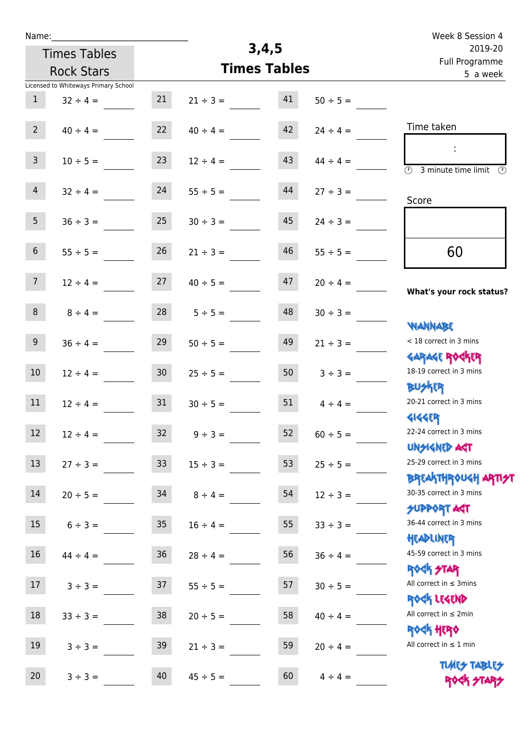| Name:                                |                 |               |                     |               | Week 8 Session 4                                      |  |  |
|--------------------------------------|-----------------|---------------|---------------------|---------------|-------------------------------------------------------|--|--|
| <b>Times Tables</b>                  |                 |               | 3,4,5               |               | 2019-20                                               |  |  |
| <b>Rock Stars</b>                    |                 |               | <b>Times Tables</b> |               | Full Programme<br>5 a week                            |  |  |
| Licensed to Whiteways Primary School |                 |               |                     |               |                                                       |  |  |
| $\mathbf{1}$<br>$32 \div 4 =$        | 21              | $21 \div 3 =$ | 41                  | $50 \div 5 =$ |                                                       |  |  |
|                                      |                 |               |                     |               |                                                       |  |  |
| $2^{\circ}$<br>$40 \div 4 =$         | 22              | $40 \div 4 =$ | 42                  | $24 \div 4 =$ | Time taken                                            |  |  |
|                                      |                 |               |                     |               |                                                       |  |  |
| $\mathsf{3}$<br>$10 \div 5 =$        | 23              | $12 \div 4 =$ | 43                  | $44 \div 4 =$ | $\circled{r}$<br>3 minute time limit<br>$\mathcal{O}$ |  |  |
| $\overline{4}$                       | 24              | $55 \div 5 =$ | 44                  |               |                                                       |  |  |
| $32 \div 4 =$                        |                 |               |                     | $27 \div 3 =$ | Score                                                 |  |  |
| 5<br>$36 \div 3 =$                   | 25              | $30 \div 3 =$ | 45                  | $24 \div 3 =$ |                                                       |  |  |
|                                      |                 |               |                     |               |                                                       |  |  |
| $\,$ 6 $\,$<br>$55 \div 5 =$         | 26              | $21 \div 3 =$ | 46                  | $55 \div 5 =$ | 60                                                    |  |  |
|                                      |                 |               |                     |               |                                                       |  |  |
| 7 <sup>7</sup><br>$12 \div 4 =$      | 27              | $40 \div 5 =$ | 47                  | $20 \div 4 =$ |                                                       |  |  |
|                                      |                 |               |                     |               | What's your rock status?                              |  |  |
| $\,8\,$<br>$8 \div 4 =$              | 28              | $5 ÷ 5 =$     | 48                  | $30 \div 3 =$ |                                                       |  |  |
|                                      |                 |               |                     |               | <b>JARNARY</b><br>< 18 correct in 3 mins              |  |  |
| $9\,$<br>$36 \div 4 =$               | 29              | $50 \div 5 =$ | 49                  | $21 \div 3 =$ |                                                       |  |  |
| 10<br>$12 \div 4 =$                  | 30 <sub>o</sub> | $25 \div 5 =$ | 50                  | $3 ÷ 3 =$     | <b>GARAGE ROGKER</b><br>18-19 correct in 3 mins       |  |  |
|                                      |                 |               |                     |               | <b>BUSKRR</b>                                         |  |  |
| 11<br>$12 \div 4 =$                  | 31              | $30 \div 5 =$ | 51                  | $4 \div 4 =$  | 20-21 correct in 3 mins                               |  |  |
|                                      |                 |               |                     |               | <b>4144EP</b>                                         |  |  |
| $12 \overline{ }$<br>$12 \div 4 =$   | 32 <sub>2</sub> | $9 \div 3 =$  | 52                  | $60 \div 5 =$ | 22-24 correct in 3 mins                               |  |  |
|                                      |                 |               |                     |               | <b>UNSIGNED AGT</b>                                   |  |  |
| 13<br>$27 ÷ 3 =$                     | 33 <sup>°</sup> | $15 \div 3 =$ | 53                  | $25 \div 5 =$ | 25-29 correct in 3 mins                               |  |  |
|                                      |                 |               |                     |               | ΒΡΓΑΚΤΗΡΟUGH ΑΡΤΙ <del>2</del> Τ                      |  |  |
| 14<br>$20 \div 5 =$                  | 34              | $8 \div 4 =$  | 54                  | $12 \div 3 =$ | 30-35 correct in 3 mins                               |  |  |
| 15                                   | 35 <sub>o</sub> |               | 55                  |               | <b>SUPPORT AGT</b><br>36-44 correct in 3 mins         |  |  |
| $6 \div 3 =$                         |                 | $16 \div 4 =$ |                     | $33 \div 3 =$ | HEADLINER                                             |  |  |
| $16\,$<br>$44 \div 4 =$              | 36              | $28 \div 4 =$ | 56                  | $36 \div 4 =$ | 45-59 correct in 3 mins                               |  |  |
|                                      |                 |               |                     |               | <b>ROCK STAR</b>                                      |  |  |
| 17<br>$3 ÷ 3 =$                      | 37              | $55 \div 5 =$ | 57                  | $30 \div 5 =$ | All correct in $\leq$ 3mins                           |  |  |
|                                      |                 |               |                     |               | ROCK LEGEND                                           |  |  |
| $18\,$<br>$33 \div 3 =$              | 38              | $20 \div 5 =$ | 58                  | $40 \div 4 =$ | All correct in $\leq 2$ min                           |  |  |
|                                      |                 |               |                     |               | <b>ROCK HERO</b>                                      |  |  |
| 19<br>$3 ÷ 3 =$                      | 39              | $21 \div 3 =$ | 59                  | $20 \div 4 =$ | All correct in $\leq 1$ min                           |  |  |
| 20                                   |                 |               |                     |               | <b>TUARS TABLES</b>                                   |  |  |
| $3 ÷ 3 =$                            | 40              | $45 \div 5 =$ | 60                  | $4 \div 4 =$  | ROCK STARS                                            |  |  |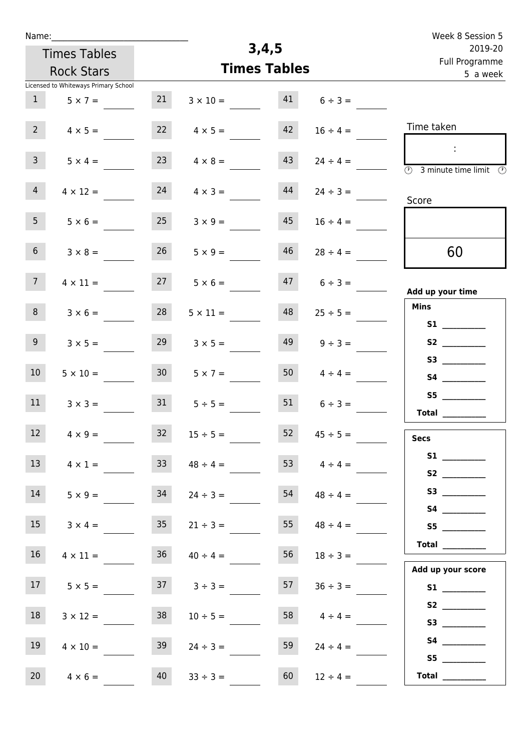| Name:                                |                 |                     |       |                     | Week 8 Session 5                                                                     |  |
|--------------------------------------|-----------------|---------------------|-------|---------------------|--------------------------------------------------------------------------------------|--|
| <b>Times Tables</b>                  |                 |                     | 3,4,5 |                     | 2019-20                                                                              |  |
| <b>Rock Stars</b>                    |                 | <b>Times Tables</b> |       |                     | Full Programme<br>5 a week                                                           |  |
| Licensed to Whiteways Primary School |                 |                     |       |                     |                                                                                      |  |
| 1<br>$5 \times 7 =$                  | 21              | $3 \times 10 =$     | 41    | $6 \div 3 =$        |                                                                                      |  |
| 2 <sup>7</sup><br>$4 \times 5 =$     | 22              | $4 \times 5 =$      | 42    | $16 \div 4 =$       | Time taken                                                                           |  |
| 3 <sup>7</sup><br>$5 \times 4 =$     | 23              | $4 \times 8 =$      | 43    | $24 \div 4 =$       | $\ddot{\phantom{a}}$<br>$\overline{\circledcirc}$ 3 minute time limit $\circledcirc$ |  |
| 4 <sup>1</sup><br>$4 \times 12 =$    | 24              | $4 \times 3 =$      | 44    | $24 \div 3 =$       | Score                                                                                |  |
| 5 <sub>1</sub><br>$5 \times 6 =$     | 25              | $3 \times 9 =$      | 45    | $16 \div 4 =$       |                                                                                      |  |
| 6 <sup>1</sup><br>$3 \times 8 =$     | 26              | $5 \times 9 =$      | 46    | $28 \div 4 =$       | 60                                                                                   |  |
| 7 <sup>7</sup><br>$4 \times 11 =$    | 27              | $5 \times 6 =$      | 47    | $6 \div 3 =$        | Add up your time                                                                     |  |
| 8<br>$3 \times 6 =$                  | 28              | $5 \times 11 =$     | 48    | $25 \div 5 =$       | <b>Mins</b>                                                                          |  |
| 9<br>$3 \times 5 =$                  | 29              | $3 \times 5 =$      | 49    | $9 ÷ 3 =$           | S2                                                                                   |  |
| 10 <sup>°</sup><br>$5 \times 10 =$   | 30 <sub>2</sub> | $5 \times 7 =$      | 50    | $4 \div 4 =$        |                                                                                      |  |
| 11<br>$3 \times 3 =$                 | 31              | $5 \div 5 =$        | 51    | $6 \div 3 =$        | S5<br>Total $\qquad$                                                                 |  |
| 12<br>$4 \times 9 =$                 | 32              | $15 \div 5 =$       | 52    | $45 \div 5 =$       | <b>Secs</b>                                                                          |  |
| 13<br>$4 \times 1 =$                 | 33 <sup>°</sup> | $48 \div 4 =$       |       | 53 $4 \div 4 =$     | S1<br>S2                                                                             |  |
| 14<br>$5 \times 9 =$                 | 34              | $24 \div 3 =$       |       | $54 \t 48 \div 4 =$ |                                                                                      |  |
| 15<br>$3 \times 4 =$                 | 35              | $21 \div 3 =$       |       | $55 \t 48 \div 4 =$ | S5                                                                                   |  |
| 16<br>$4 \times 11 =$                | 36              | $40 \div 4 =$       | 56    | $18 \div 3 =$       |                                                                                      |  |
| 17<br>$5 \times 5 =$                 |                 | $37 \t3 \div 3 =$   | 57    | $36 \div 3 =$       | Add up your score                                                                    |  |
| 18<br>$3 \times 12 =$                | 38              | $10 \div 5 =$       | 58    | $4 \div 4 =$        |                                                                                      |  |
| 19<br>$4 \times 10 =$                | 39              | $24 \div 3 =$       | 59    | $24 \div 4 =$       |                                                                                      |  |
| 20<br>$4 \times 6 =$                 | 40              | $33 \div 3 =$       | 60    | $12 \div 4 =$       | S5<br>Total $\_\_$                                                                   |  |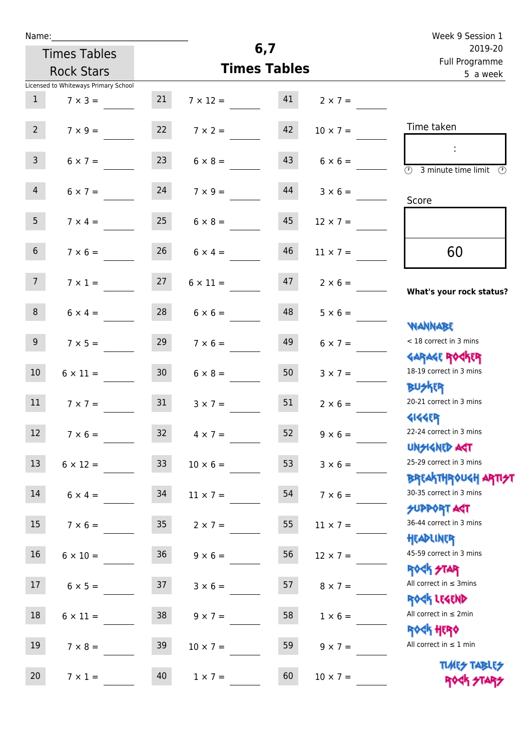|  | Name: |  |
|--|-------|--|
|  |       |  |

| Name:           |                                      |                 |                    |                     |                 | Week 9 Session 1                                                                       |  |  |
|-----------------|--------------------------------------|-----------------|--------------------|---------------------|-----------------|----------------------------------------------------------------------------------------|--|--|
|                 | <b>Times Tables</b>                  |                 |                    | 6,7                 |                 | 2019-20<br>Full Programme                                                              |  |  |
|                 | <b>Rock Stars</b>                    |                 |                    | <b>Times Tables</b> |                 | 5 a week                                                                               |  |  |
|                 | Licensed to Whiteways Primary School |                 |                    |                     |                 |                                                                                        |  |  |
| 1               | $7 \times 3 =$                       | 21              | $7 \times 12 = 41$ |                     | $2 \times 7 =$  |                                                                                        |  |  |
| 2 <sup>7</sup>  | $7 \times 9 =$                       | 22              | $7 \times 2 =$     | 42                  | $10 \times 7 =$ | Time taken                                                                             |  |  |
| 3 <sup>7</sup>  | $6 \times 7 =$                       | 23              | $6 \times 8 =$     | 43                  | $6 \times 6 =$  | $\sim$ 1.<br>$\overline{\textcircled{2}}$ 3 minute time limit                          |  |  |
| $\overline{4}$  | $6 \times 7 = 24$                    |                 | $7 \times 9 =$     | 44                  | $3 \times 6 =$  | Score                                                                                  |  |  |
| 5 <sub>1</sub>  | $7 \times 4 =$                       | 25              | $6 \times 8 =$     | 45                  | $12 \times 7 =$ |                                                                                        |  |  |
| 6 <sup>1</sup>  | $7 \times 6 =$                       | 26              | $6 \times 4 =$     | 46                  | $11 \times 7 =$ | 60                                                                                     |  |  |
| 7 <sup>7</sup>  | $7 \times 1 = 27$                    |                 | $6 \times 11 =$    | 47                  | $2 \times 6 =$  | What's your rock status?                                                               |  |  |
| 8               | $6 \times 4 =$                       | 28              | $6 \times 6 =$     | 48                  | $5 \times 6 =$  |                                                                                        |  |  |
| 9 <sub>o</sub>  | $7 \times 5 =$                       | 29              | $7 \times 6 =$     | 49                  | $6 \times 7 =$  | <b>NANNABE</b><br>< 18 correct in 3 mins<br><b>GARAGE ROCKER</b>                       |  |  |
| 10 <sup>°</sup> | $6 \times 11 =$                      | 30              | $6 \times 8 =$     | 50                  | $3 \times 7 =$  | 18-19 correct in 3 mins<br><b>BU外界</b>                                                 |  |  |
| 11              | $7 \times 7 =$                       | 31              | $3 \times 7 =$     | 51                  | $2 \times 6 =$  | 20-21 correct in 3 mins<br>41445P                                                      |  |  |
| 12              | $7 \times 6 =$                       | 32              | $4 \times 7 =$     | 52                  | $9 \times 6 =$  | 22-24 correct in 3 mins<br><b>UNSIGNED AGT</b>                                         |  |  |
| 13              | $6 \times 12 =$                      | 33 <sup>°</sup> | $10 \times 6 =$    | 53                  | $3 \times 6 =$  | 25-29 correct in 3 mins                                                                |  |  |
| 14              | $6 \times 4 =$                       | 34              | $11 \times 7 =$    | 54                  | $7 \times 6 =$  | <b>BREAKTHROUGH ARTI<del>S</del>T</b><br>30-35 correct in 3 mins<br><b>SUPPORT AGT</b> |  |  |
| 15              | $7 \times 6 =$                       | 35 <sub>o</sub> | $2 \times 7 =$     | 55                  | $11 \times 7 =$ | 36-44 correct in 3 mins<br>HEADLINER                                                   |  |  |
| 16              | $6 \times 10 =$                      | 36              | $9 \times 6 =$     | 56                  | $12 \times 7 =$ | 45-59 correct in 3 mins<br><b>ROCK STAR</b>                                            |  |  |
| 17              | $6 \times 5 =$                       | 37              | $3 \times 6 =$     | 57                  | $8 \times 7 =$  | All correct in $\leq$ 3mins<br>ROCK LEGEND                                             |  |  |
| 18              | $6 \times 11 =$                      | 38              | $9 \times 7 =$     | 58                  | $1 \times 6 =$  | All correct in $\leq 2$ min                                                            |  |  |
| 19              | $7 \times 8 =$                       | 39              | $10 \times 7 =$    | 59                  | $9 \times 7 =$  | <b>ROGH HERO</b><br>All correct in $\leq 1$ min                                        |  |  |
| 20              | $7 \times 1 =$                       | 40              | $1 \times 7 =$     | 60                  | $10 \times 7 =$ | <b>TUARS TABLES</b>                                                                    |  |  |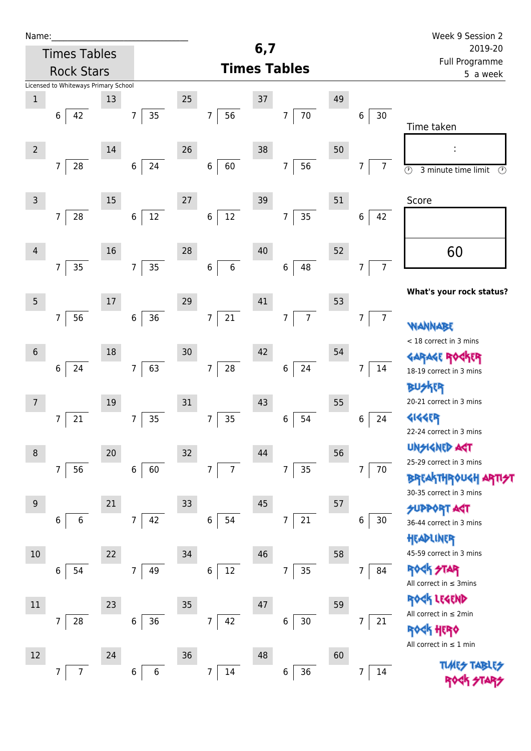| Name:            |                                      |    |                       |    |                              |     |                      |    |                      | Week 9 Session 2                               |  |  |
|------------------|--------------------------------------|----|-----------------------|----|------------------------------|-----|----------------------|----|----------------------|------------------------------------------------|--|--|
|                  | <b>Times Tables</b>                  |    |                       |    |                              | 6,7 |                      |    |                      | 2019-20<br>Full Programme<br>5 a week          |  |  |
|                  | <b>Rock Stars</b>                    |    |                       |    |                              |     | <b>Times Tables</b>  |    |                      |                                                |  |  |
|                  | Licensed to Whiteways Primary School |    |                       |    |                              |     |                      |    |                      |                                                |  |  |
| $\mathbf 1$      | 42<br>6                              | 13 | 35<br>$\overline{7}$  | 25 | 56<br>$\overline{7}$         | 37  | 70<br>7              | 49 | 30<br>6              |                                                |  |  |
|                  |                                      |    |                       |    |                              |     |                      |    |                      | Time taken                                     |  |  |
| $\overline{2}$   |                                      | 14 |                       | 26 |                              | 38  |                      | 50 |                      |                                                |  |  |
|                  | $\overline{7}$<br>28                 |    | 24<br>$6\overline{6}$ |    | 60<br>$\,6$                  |     | 56<br>$\overline{7}$ |    | $\overline{7}$<br>7  | $\overline{\odot}$<br>$\circled{r}$            |  |  |
|                  |                                      |    |                       |    |                              |     |                      |    |                      | 3 minute time limit                            |  |  |
| $\mathsf 3$      |                                      | 15 |                       | 27 |                              | 39  |                      | 51 |                      | Score                                          |  |  |
|                  | $\overline{7}$<br>28                 |    | 12<br>$\,6\,$         |    | $12\,$<br>$\,$ 6 $\,$        |     | 35<br>7              |    | 6<br>42              |                                                |  |  |
|                  |                                      |    |                       |    |                              |     |                      |    |                      |                                                |  |  |
| $\overline{4}$   |                                      | 16 |                       | 28 |                              | 40  |                      | 52 |                      | 60                                             |  |  |
|                  | 35<br>$\overline{7}$                 |    | 35<br>7 <sup>1</sup>  |    | 6<br>$\boldsymbol{6}$        |     | 48<br>$\,6\,$        |    | $\overline{7}$<br>7  |                                                |  |  |
|                  |                                      |    |                       |    |                              |     |                      |    |                      | What's your rock status?                       |  |  |
| $5\phantom{.0}$  |                                      | 17 |                       | 29 |                              | 41  |                      | 53 |                      |                                                |  |  |
|                  | 7<br>56                              |    | 36<br>6               |    | 21<br>$\boldsymbol{7}$       |     | $\overline{7}$<br>7  |    | $\overline{7}$<br>7  | NANNABE                                        |  |  |
|                  |                                      |    |                       |    |                              | 42  |                      |    |                      | < 18 correct in 3 mins                         |  |  |
| $\sqrt{6}$       | 24<br>$\,6\,$                        | 18 | 63<br>$\overline{7}$  | 30 | $\overline{7}$<br>${\bf 28}$ |     | 24<br>$\,$ 6 $\,$    | 54 | 7<br>14              | <b>GARAGE RO</b><br><b>FR</b>                  |  |  |
|                  |                                      |    |                       |    |                              |     |                      |    |                      | 18-19 correct in 3 mins<br><b>BUSKER</b>       |  |  |
| $\overline{7}$   |                                      | 19 |                       | 31 |                              | 43  |                      | 55 |                      | 20-21 correct in 3 mins                        |  |  |
|                  | 21<br>7                              |    | 35<br>7               |    | 35<br>7                      |     | 6<br>54              |    | 6<br>24              | <b>4144EP</b>                                  |  |  |
|                  |                                      |    |                       |    |                              |     |                      |    |                      | 22-24 correct in 3 mins                        |  |  |
| $\,8\,$          |                                      | 20 |                       | 32 |                              | 44  |                      | 56 |                      | <b>UNSIGNED AGT</b>                            |  |  |
|                  | 7<br>56                              |    | 60<br>$6\overline{6}$ |    | 7<br>$\overline{7}$          |     | 35<br>7              |    | $\overline{7}$<br>70 | 25-29 correct in 3 mins<br><b>BREAKTHROUGH</b> |  |  |
|                  |                                      |    |                       |    |                              |     |                      |    |                      | 30-35 correct in 3 mins                        |  |  |
| $\boldsymbol{9}$ |                                      | 21 |                       | 33 |                              | 45  |                      | 57 |                      | <b>SUPPORT AGT</b>                             |  |  |
|                  | 6<br>6                               |    | 42<br>$\overline{7}$  |    | 54<br>$\boldsymbol{6}$       |     | 21<br>7              |    | 30<br>6              | 36-44 correct in 3 mins                        |  |  |
|                  |                                      |    |                       |    |                              |     |                      |    |                      | HEADLINER                                      |  |  |
| $10$             |                                      | 22 |                       | 34 |                              | 46  |                      | 58 |                      | 45-59 correct in 3 mins<br><b>ROCK STAR</b>    |  |  |
|                  | 54<br>6                              |    | 49<br>$\overline{7}$  |    | $12\,$<br>6                  |     | 35<br>7              |    | 84<br>$\overline{7}$ | All correct in $\leq$ 3mins                    |  |  |
| $11\,$           |                                      | 23 |                       | 35 |                              | 47  |                      | 59 |                      | ROCK LEGEND                                    |  |  |
|                  | 7<br>28                              |    | 36<br>6               |    | $\overline{7}$<br>42         |     | 6<br>$30$            |    | 7<br>21              | All correct in $\leq 2$ min                    |  |  |
|                  |                                      |    |                       |    |                              |     |                      |    |                      | <b>《内 HER》</b>                                 |  |  |
| 12               |                                      | 24 |                       | 36 |                              | 48  |                      | 60 |                      | All correct in $\leq 1$ min                    |  |  |
|                  | $\overline{7}$<br>7                  |    | $\,$ 6<br>6           |    | 7<br>$14\,$                  |     | 36<br>6              |    | 7<br>14              | <b>TUARS TABLES</b>                            |  |  |
|                  |                                      |    |                       |    |                              |     |                      |    |                      |                                                |  |  |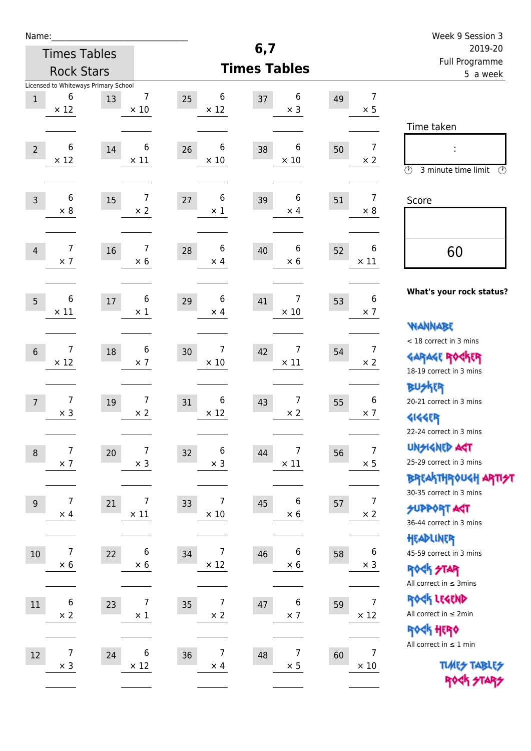| Name:           |                                                          |        |                                |                                    |                                      |    |                                | Week 9 Session 3                                                                                |  |  |
|-----------------|----------------------------------------------------------|--------|--------------------------------|------------------------------------|--------------------------------------|----|--------------------------------|-------------------------------------------------------------------------------------------------|--|--|
|                 | <b>Times Tables</b>                                      |        |                                |                                    | 6,7                                  |    |                                | 2019-20<br>Full Programme<br>5 a week                                                           |  |  |
|                 | <b>Rock Stars</b>                                        |        |                                |                                    | <b>Times Tables</b>                  |    |                                |                                                                                                 |  |  |
| $\mathbf{1}$    | Licensed to Whiteways Primary School<br>6<br>$\times$ 12 | 13     | $\overline{7}$<br>$\times$ 10  | 6<br>25<br>$\times$ 12             | 6<br>37<br>$\times$ 3                | 49 | $\overline{7}$<br>$\times$ 5   |                                                                                                 |  |  |
| $\overline{2}$  | 6<br>$\times$ 12                                         | 14     | 6<br>$\times$ 11               | 6<br>26<br>$\times$ 10             | 6<br>38<br>$\times$ 10               | 50 | 7<br>$\times 2$                | Time taken<br>t,<br>$\circledcirc$<br>3 minute time limit<br>⊕                                  |  |  |
| $\overline{3}$  | 6<br>$\times 8$                                          | 15     | $\overline{7}$<br>$\times$ 2   | 6<br>27<br>$\times$ 1              | 6<br>39<br>$\times$ 4                | 51 | $\overline{7}$<br>$\times 8$   | Score                                                                                           |  |  |
| $\overline{4}$  | 7<br>$\times$ 7                                          | 16     | 7<br>$\times 6$                | 6<br>28<br>$\times$ 4              | $\boldsymbol{6}$<br>40<br>$\times$ 6 | 52 | 6<br>$\times$ 11               | 60                                                                                              |  |  |
| 5               | 6<br>$\times$ 11                                         | $17\,$ | 6<br>$\times 1$                | 6<br>29<br>$\times$ 4              | 7<br>41<br>$\times$ 10               | 53 | 6<br>$\times$ 7                | What's your rock status?<br><b>WANNABE</b>                                                      |  |  |
| $6\phantom{1}6$ | 7<br>$\times$ 12                                         | 18     | 6<br>$\times$ 7                | 7<br>30<br>$\times$ 10             | $\overline{7}$<br>42<br>$\times$ 11  | 54 | $\overline{7}$<br>$\times 2$   | < 18 correct in 3 mins<br><b>GARAGE ROGKER</b><br>18-19 correct in 3 mins                       |  |  |
| $\overline{7}$  | 7<br>$\times$ 3                                          | 19     | 7<br>$\times 2$                | 6<br>31<br>$\times$ 12             | $\overline{7}$<br>43<br>$\times 2$   | 55 | 6<br>$\times$ 7                | <b>BUSKER</b><br>20-21 correct in 3 mins<br><b>4144EP</b><br>22-24 correct in 3 mins            |  |  |
| $\,8\,$         | 7<br>$\times$ 7                                          | 20     | $\overline{7}$<br>$\times$ 3   | 6<br>32<br>$\times$ 3              | 7<br>44<br>$\times$ 11               | 56 | $\boldsymbol{7}$<br>$\times$ 5 | <b>UNGIGNED AGT</b><br>25-29 correct in 3 mins<br>ΒΡΓΑ <sup>Κ</sup> ΤΗΡΟυΚΗ ΑΡΤΙ <del>2</del> Τ |  |  |
| $9$             | 7<br>$\times$ 4                                          | 21     | 7<br>$\times$ 11               | 7<br>33<br>$\times$ 10             | 6<br>45<br>$\times$ 6                | 57 | 7<br>$\times$ 2                | 30-35 correct in 3 mins<br><b>SUPPORT AST</b><br>36-44 correct in 3 mins                        |  |  |
| 10              | 7<br>$\times$ 6                                          | 22     | $\boldsymbol{6}$<br>$\times 6$ | 7<br>34<br>$\times$ 12             | $\boldsymbol{6}$<br>46<br>$\times$ 6 | 58 | $\boldsymbol{6}$<br>$\times$ 3 | HEADLINER<br>45-59 correct in 3 mins<br><b>ROCK STAR</b><br>All correct in $\leq$ 3mins         |  |  |
| 11              | 6<br>$\times$ 2                                          | 23     | $\overline{7}$<br>$\times$ 1   | 7<br>35<br>$\times$ 2              | 6<br>$47\,$<br>$\times$ 7            | 59 | $\overline{7}$<br>$\times$ 12  | ROCK LEGEND<br>All correct in $\leq 2$ min<br>ROCK HERO                                         |  |  |
| 12              | 7<br>$\times$ 3                                          | 24     | 6<br>$\times$ 12               | $\overline{7}$<br>36<br>$\times$ 4 | $\overline{7}$<br>48<br>$\times$ 5   | 60 | $\overline{7}$<br>$\times 10$  | All correct in $\leq 1$ min<br><b>TUARS TABLES</b><br>ROCK STARS                                |  |  |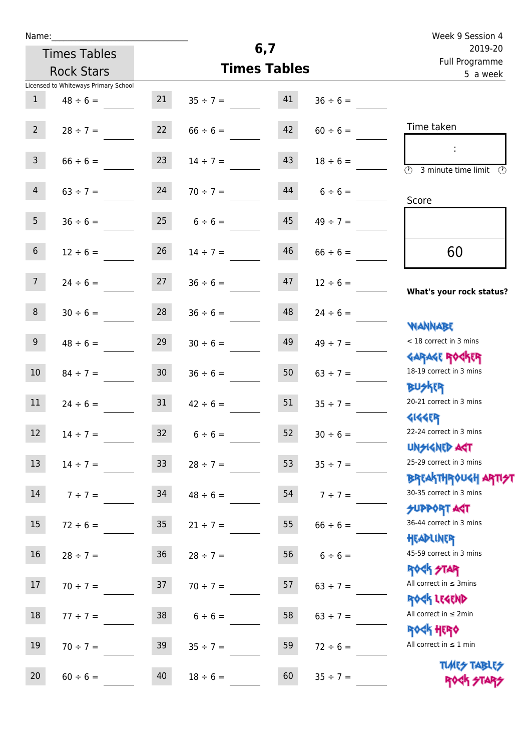| Name:           |                                      |                 |                     |     |               | Week 9 Session 4                                                 |  |  |
|-----------------|--------------------------------------|-----------------|---------------------|-----|---------------|------------------------------------------------------------------|--|--|
|                 | <b>Times Tables</b>                  |                 |                     | 6,7 |               | 2019-20<br>Full Programme                                        |  |  |
|                 | <b>Rock Stars</b>                    |                 | <b>Times Tables</b> |     |               | 5 a week                                                         |  |  |
|                 | Licensed to Whiteways Primary School |                 |                     |     |               |                                                                  |  |  |
| 1               | $48 \div 6 =$                        | 21              | $35 \div 7 =$       | 41  | $36 \div 6 =$ |                                                                  |  |  |
| 2 <sup>1</sup>  | $28 \div 7 =$                        | 22              | $66 \div 6 =$       | 42  | $60 \div 6 =$ | Time taken                                                       |  |  |
| 3 <sup>7</sup>  | $66 \div 6 =$                        | 23              | $14 \div 7 =$       | 43  | $18 \div 6 =$ | $\overline{\textcircled{1}}$ 3 minute time limit<br>-09          |  |  |
| $\overline{4}$  | $63 \div 7 =$                        | 24              | $70 \div 7 =$       | 44  | $6 \div 6 =$  | Score                                                            |  |  |
| 5 <sub>1</sub>  | $36 \div 6 =$                        |                 | $25$ 6 ÷ 6 =        | 45  | $49 \div 7 =$ |                                                                  |  |  |
| 6 <sup>1</sup>  | $12 \div 6 =$                        | 26              | $14 \div 7 =$       | 46  | $66 \div 6 =$ | 60                                                               |  |  |
| 7 <sup>7</sup>  | $24 \div 6 =$                        | 27              | $36 \div 6 =$       | 47  | $12 \div 6 =$ | What's your rock status?                                         |  |  |
| 8               | $30 \div 6 =$                        | 28              | $36 \div 6 =$       | 48  | $24 \div 6 =$ |                                                                  |  |  |
| 9 <sub>o</sub>  | $48 \div 6 =$                        | 29              | $30 \div 6 =$       | 49  | $49 \div 7 =$ | <b>JARNARY</b><br>< 18 correct in 3 mins                         |  |  |
| 10 <sup>°</sup> | $84 \div 7 =$                        | 30 <sub>o</sub> | $36 \div 6 =$       | 50  | $63 \div 7 =$ | <b>GARAGE ROCKER</b><br>18-19 correct in 3 mins<br><b>BUSKER</b> |  |  |
| 11              | $24 \div 6 =$                        | 31              | $42 \div 6 =$       | 51  | $35 \div 7 =$ | 20-21 correct in 3 mins<br><b>4144EP</b>                         |  |  |
| 12              | $14 \div 7 =$                        | 32              | $6 \div 6 =$        | 52  | $30 \div 6 =$ | 22-24 correct in 3 mins<br><b>UNSIGNED AGT</b>                   |  |  |
| 13              | $14 \div 7 =$                        | 33 <sup>2</sup> | $28 \div 7 =$       | 53  | $35 \div 7 =$ | 25-29 correct in 3 mins<br><b>BREAKTHROUGH ARTH</b>              |  |  |
| 14              | $7 ÷ 7 =$                            | 34              | $48 \div 6 =$       | 54  | $7 ÷ 7 =$     | 30-35 correct in 3 mins<br>SUPPORT AGT                           |  |  |
| 15              | $72 \div 6 =$                        | $35\phantom{a}$ | $21 \div 7 =$       | 55  | $66 \div 6 =$ | 36-44 correct in 3 mins<br>HEADLINER                             |  |  |
| 16              | $28 \div 7 =$                        | $36\,$          | $28 \div 7 =$       | 56  | $6 \div 6 =$  | 45-59 correct in 3 mins<br><b>ROCK STAR</b>                      |  |  |
| 17              | $70 \div 7 =$                        | 37              | $70 \div 7 =$       | 57  | $63 \div 7 =$ | All correct in $\leq$ 3mins<br>ROCK LEGEND                       |  |  |
| $18\,$          | $77 \div 7 =$                        | 38              | $6 \div 6 =$        | 58  | $63 \div 7 =$ | All correct in $\leq 2$ min<br><b>ROCK HERO</b>                  |  |  |
| 19              | $70 \div 7 =$                        | 39              | $35 \div 7 =$       | 59  | $72 \div 6 =$ | All correct in $\leq 1$ min                                      |  |  |
| 20              | $60 \div 6 =$                        | 40              | $18 \div 6 =$       | 60  | $35 ÷ 7 =$    | <b>TUARS TABLES</b><br>ROCK STARS                                |  |  |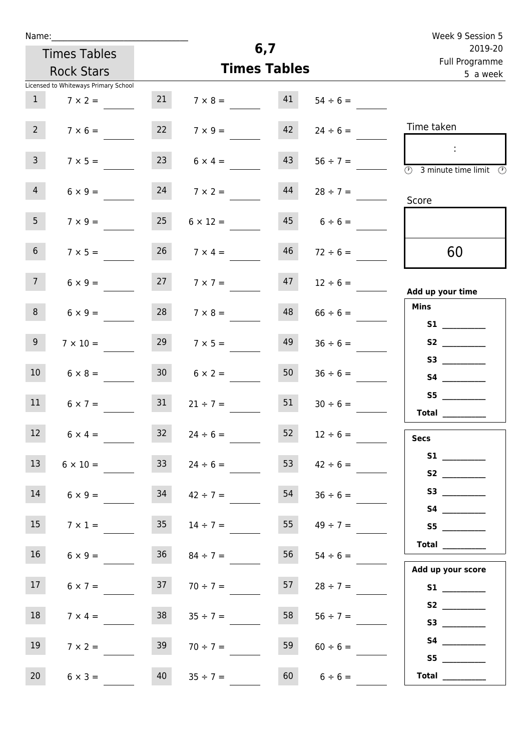| Name: |  |  |  |
|-------|--|--|--|
|       |  |  |  |

| Name:           |                                      |                 |                 |                     |                    | Week 9 Session 5                  |
|-----------------|--------------------------------------|-----------------|-----------------|---------------------|--------------------|-----------------------------------|
|                 | <b>Times Tables</b>                  |                 |                 | 6,7                 |                    | 2019-20                           |
|                 | <b>Rock Stars</b>                    |                 |                 | <b>Times Tables</b> |                    | Full Programme                    |
|                 | Licensed to Whiteways Primary School |                 |                 |                     |                    | 5 a week                          |
| 1               | $7 \times 2 =$                       | 21              | $7 \times 8 =$  | 41                  | $54 \div 6 =$      |                                   |
| $2^{\circ}$     | $7 \times 6 =$                       | 22              | $7 \times 9 =$  | 42                  | $24 \div 6 =$      | Time taken                        |
| 3 <sup>7</sup>  | $7 \times 5 =$                       | 23              | $6 \times 4 =$  | 43                  | $56 \div 7 =$      | (1)<br>3 minute time limit<br>(V) |
| $\overline{4}$  | $6 \times 9 =$                       | 24              | $7 \times 2 =$  | 44                  | $28 \div 7 =$      | Score                             |
| 5 <sub>1</sub>  | $7 \times 9 =$                       | 25              | $6 \times 12 =$ |                     | $45 \t 6 \div 6 =$ |                                   |
| 6 <sup>1</sup>  | $7 \times 5 =$                       | 26              | $7 \times 4 =$  | 46                  | $72 \div 6 =$      | 60                                |
| 7 <sup>7</sup>  | $6 \times 9 =$                       | 27              | $7 \times 7 =$  | 47                  | $12 \div 6 =$      | Add up your time                  |
| 8               | $6 \times 9 =$                       | 28              | $7 \times 8 =$  | 48                  | $66 \div 6 =$      | <b>Mins</b>                       |
| 9               | $7 \times 10 =$                      | 29              | $7 \times 5 =$  | 49                  | $36 \div 6 =$      | S1<br>S2                          |
| 10 <sup>1</sup> | $6 \times 8 =$                       | 30 <sub>o</sub> | $6 \times 2 =$  | 50                  | $36 \div 6 =$      | S4 __________                     |
| 11              | $6 \times 7 =$                       | 31              | $21 \div 7 =$   | 51                  | $30 \div 6 =$      | S5<br>Total                       |
| 12 <sup>7</sup> | $6 \times 4 =$                       | 32              | $24 \div 6 =$   | 52                  | $12 \div 6 =$      | <b>Secs</b>                       |

| S1 <sub>2</sub> and the set of the set of the set of the set of the set of the set of the set of the set of the set of the set of the set of the set of the set of the set of the set of the set of the set of the set of the set of the | $42 \div 6 =$ | 53 | $24 \div 6 =$ | 33 <sup>°</sup> | $6 \times 10 =$ | 13               |
|------------------------------------------------------------------------------------------------------------------------------------------------------------------------------------------------------------------------------------------|---------------|----|---------------|-----------------|-----------------|------------------|
| S <sub>2</sub> and the set of the set of the set of the set of the set of the set of the set of the set of the set of the set of the set of the set of the set of the set of the set of the set of the set of the set of the set of the  |               |    |               |                 |                 |                  |
| S3                                                                                                                                                                                                                                       | $36 \div 6 =$ | 54 | $42 \div 7 =$ | 34              | $6 \times 9 =$  | 14               |
| S4                                                                                                                                                                                                                                       |               |    |               |                 |                 |                  |
| <b>S5</b>                                                                                                                                                                                                                                | $49 \div 7 =$ | 55 | $14 \div 7 =$ | 35 <sup>7</sup> | $7 \times 1 =$  | 15 <sup>15</sup> |
| <b>Total</b>                                                                                                                                                                                                                             |               |    |               |                 |                 |                  |
|                                                                                                                                                                                                                                          | $54 \div 6 =$ | 56 | $84 \div 7 =$ | 36              | $6 \times 9 =$  | 16               |
| Add up your score                                                                                                                                                                                                                        |               |    |               |                 |                 |                  |
| <b>S1</b>                                                                                                                                                                                                                                | $28 \div 7 =$ | 57 | $70 \div 7 =$ | 37              | $6 \times 7 =$  | 17               |
| S <sub>2</sub> and the set of the set of the set of the set of the set of the set of the set of the set of the set of the set of the set of the set of the set of the set of the set of the set of the set of the set of the set of the  |               |    |               |                 |                 |                  |
| S3                                                                                                                                                                                                                                       | $56 ÷ 7 =$    | 58 | $35 \div 7 =$ | 38              | $7 \times 4 =$  | 18               |
| S <sub>4</sub>                                                                                                                                                                                                                           |               | 59 |               |                 |                 | 19               |
| S <sub>5</sub>                                                                                                                                                                                                                           | $60 \div 6 =$ |    | $70 \div 7 =$ | 39              | $7 \times 2 =$  |                  |
|                                                                                                                                                                                                                                          |               |    |               |                 |                 |                  |

20  $6 \times 3 =$  40  $35 \div 7 =$  60  $6 \div 6 =$ 

 **Total \_\_\_\_\_\_\_\_\_\_\_\_**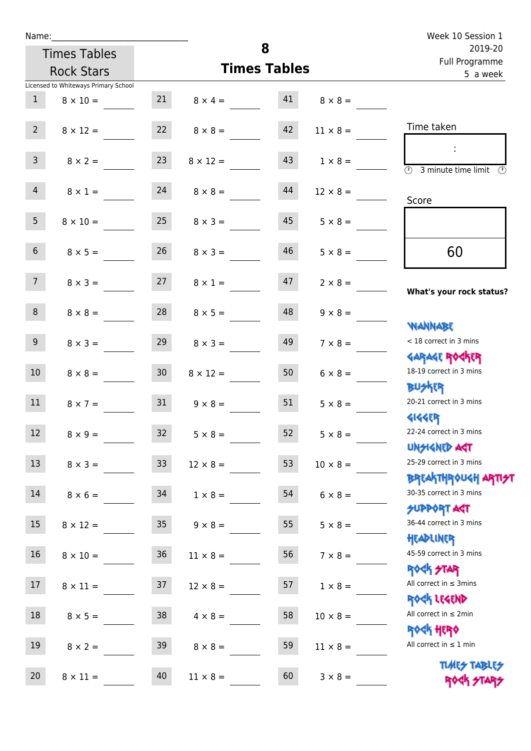| Name:           |                                      |                 |                 | 8                   |                 | Week 10 Session 1                                                  |
|-----------------|--------------------------------------|-----------------|-----------------|---------------------|-----------------|--------------------------------------------------------------------|
|                 | <b>Times Tables</b>                  |                 |                 | 2019-20             |                 |                                                                    |
|                 | <b>Rock Stars</b>                    |                 |                 | <b>Times Tables</b> |                 | Full Programme<br>5 a week                                         |
|                 | Licensed to Whiteways Primary School |                 |                 |                     |                 |                                                                    |
| $\mathbf{1}$    | $8 \times 10 =$                      | 21              | $8 \times 4 =$  | 41                  | $8 \times 8 =$  |                                                                    |
| $2^{\circ}$     | $8 \times 12 =$                      | 22              | $8 \times 8 =$  | 42                  | $11 \times 8 =$ | Time taken                                                         |
| $\overline{3}$  | $8 \times 2 =$                       | 23              | $8 \times 12 =$ | 43                  | $1 \times 8 =$  | $\sim$ 10 $\,$<br>$\overline{\textcircled{1}}$ 3 minute time limit |
| $\overline{4}$  | $8 \times 1 =$                       | 24              | $8 \times 8 =$  | 44                  | $12 \times 8 =$ | Score                                                              |
| 5 <sub>1</sub>  | $8 \times 10 =$                      | 25              | $8 \times 3 =$  | 45                  | $5 \times 8 =$  |                                                                    |
| $6\overline{6}$ | $8 \times 5 =$                       | 26              | $8 \times 3 =$  | 46                  | $5 \times 8 =$  | 60                                                                 |
| 7 <sup>7</sup>  | $8 \times 3 =$                       | 27              | $8 \times 1 =$  | 47                  | $2 \times 8 =$  | What's your rock status?                                           |
| 8               | $8 \times 8 =$                       | 28              | $8 \times 5 =$  | 48                  | $9 \times 8 =$  | WANNABE                                                            |
| 9 <sub>o</sub>  | $8 \times 3 =$                       | 29              | $8 \times 3 =$  | 49                  | $7 \times 8 =$  | $<$ 18 correct in 3 mins<br><b>GARAGE ROGKER</b>                   |
| 10 <sup>°</sup> | $8 \times 8 =$                       | 30 <sub>o</sub> | $8 \times 12 =$ | 50                  | $6 \times 8 =$  | 18-19 correct in 3 mins<br><b>BUSKER</b>                           |
| 11              | $8 \times 7 =$                       | 31              | $9 \times 8 =$  | 51                  | $5 \times 8 =$  | 20-21 correct in 3 mins<br><b>4144EP</b>                           |
| 12              | $8 \times 9 =$                       | 32              | $5 \times 8 =$  | 52                  | $5 \times 8 =$  | 22-24 correct in 3 mins<br><b>UNSIGNED AGT</b>                     |
| 13              | $8 \times 3 =$                       | 33              | $12 \times 8 =$ | 53                  | $10 \times 8 =$ | 25-29 correct in 3 mins<br><b>BREAKTHROUGH ARTI<del>S</del>T</b>   |
| $14\,$          | $8 \times 6 =$                       | 34              | $1 \times 8 =$  | 54                  | $6 \times 8 =$  | 30-35 correct in 3 mins<br><b>SUPPORT ART</b>                      |
| 15              | $8 \times 12 =$                      | 35 <sub>o</sub> | $9 \times 8 =$  | 55                  | $5 \times 8 =$  | 36-44 correct in 3 mins<br>HEADLINER                               |
| 16              | $8 \times 10 =$                      | $36\,$          | $11 \times 8 =$ | 56                  | $7 \times 8 =$  | 45-59 correct in 3 mins<br><b>ROCK STAR</b>                        |
| 17              | $8 \times 11 =$                      | 37              | $12 \times 8 =$ | 57                  | $1 \times 8 =$  | All correct in $\leq$ 3mins<br>ROCK LEGEND                         |
| 18              | $8 \times 5 =$                       | 38              | $4 \times 8 =$  | 58                  | $10 \times 8 =$ | All correct in $\leq 2$ min<br>ROCK HERO                           |
| 19              | $8 \times 2 =$                       | 39              | $8 \times 8 =$  | 59                  | $11 \times 8 =$ | All correct in $\leq 1$ min                                        |
| 20              | $8 \times 11 =$                      | 40              | $11 \times 8 =$ | 60                  | $3 \times 8 =$  | <b>TUARS TABLES</b><br>ROCK STARS                                  |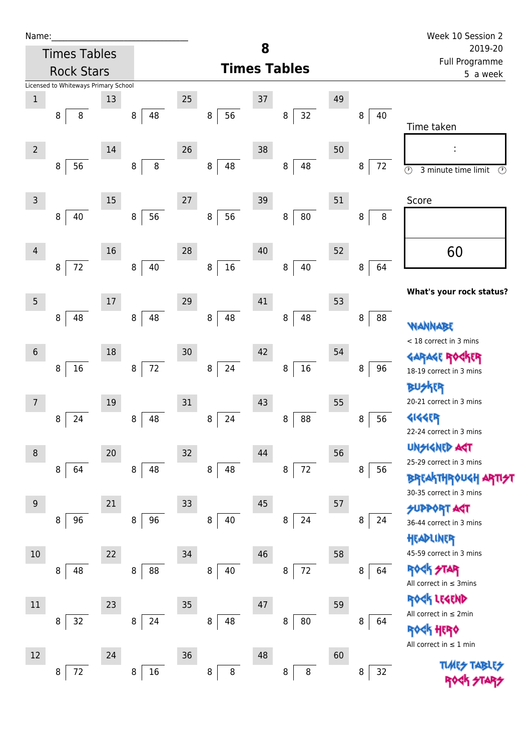| Name |  |  |  |
|------|--|--|--|
|      |  |  |  |

| Name:          |                                      |    |              |    |              |    |                     |    |          | Week 10 Session 2                                      |  |
|----------------|--------------------------------------|----|--------------|----|--------------|----|---------------------|----|----------|--------------------------------------------------------|--|
|                | <b>Times Tables</b>                  |    |              |    |              | 8  |                     |    |          | 2019-20<br>Full Programme                              |  |
|                | <b>Rock Stars</b>                    |    |              |    |              |    | <b>Times Tables</b> |    | 5 a week |                                                        |  |
|                | Licensed to Whiteways Primary School |    |              |    |              |    |                     |    |          |                                                        |  |
| $\,1\,$        | 8<br>8                               | 13 | 48<br>8      | 25 | 56<br>8      | 37 | 32<br>8             | 49 | 40<br>8  |                                                        |  |
|                |                                      |    |              |    |              |    |                     |    |          | Time taken                                             |  |
| $\overline{2}$ |                                      | 14 |              | 26 |              | 38 |                     | 50 |          |                                                        |  |
|                | 56<br>8                              |    | $\bf 8$<br>8 |    | 48<br>8      |    | 48<br>$\, 8$        |    | 72<br>8  |                                                        |  |
|                |                                      |    |              |    |              |    |                     |    |          | $\circledcirc$<br>$\circled{r}$<br>3 minute time limit |  |
| $\mathsf{3}$   |                                      | 15 |              | 27 |              | 39 |                     | 51 |          | Score                                                  |  |
|                | 40<br>8                              |    | 56<br>8      |    | 56<br>8      |    | 80<br>8             |    | 8<br>8   |                                                        |  |
|                |                                      |    |              |    |              |    |                     |    |          |                                                        |  |
| 4              |                                      | 16 |              | 28 |              | 40 |                     | 52 |          | 60                                                     |  |
|                | $72\,$<br>8                          |    | 40<br>8      |    | 16<br>8      |    | 40<br>8             |    | 64<br>8  |                                                        |  |
|                |                                      |    |              |    |              |    |                     |    |          | What's your rock status?                               |  |
| $\overline{5}$ |                                      | 17 |              | 29 |              | 41 |                     | 53 |          |                                                        |  |
|                | 48<br>8                              |    | 48<br>8      |    | 48<br>8      |    | 48<br>8             |    | 88<br>8  | <b><i>NANNABE</i></b>                                  |  |
|                |                                      |    |              |    |              |    |                     |    |          | < 18 correct in 3 mins                                 |  |
| $6\,$          |                                      | 18 |              | 30 |              | 42 |                     | 54 |          | <b>GARAGE RO</b><br>ίR                                 |  |
|                | $16\,$<br>8                          |    | 72<br>8      |    | 24<br>8      |    | 16<br>8             |    | 8<br>96  | 18-19 correct in 3 mins                                |  |
|                |                                      |    |              |    |              |    |                     |    |          | <b>BUSKER</b>                                          |  |
| 7              |                                      | 19 |              | 31 |              | 43 |                     | 55 |          | 20-21 correct in 3 mins                                |  |
|                | 24<br>8                              |    | 48<br>8      |    | 8<br>24      |    | 88<br>8             |    | 56<br>8  | <b>4144ER</b>                                          |  |
|                |                                      |    |              |    |              |    |                     |    |          | 22-24 correct in 3 mins<br>UNSIGNED AST                |  |
| 8              |                                      | 20 |              | 32 |              | 44 |                     | 56 |          | 25-29 correct in 3 mins                                |  |
|                | 64<br>8                              |    | 48<br>8      |    | 8<br>48      |    | $72\,$<br>8         |    | 8<br>56  | <b>BREAKTHROUGH</b>                                    |  |
|                |                                      |    |              |    |              |    |                     |    |          | 30-35 correct in 3 mins                                |  |
| 9              |                                      | 21 |              | 33 |              | 45 |                     | 57 |          | <b>FORPORT AGT</b>                                     |  |
|                | 96<br>8                              |    | 96<br>8      |    | 8<br>40      |    | 24<br>8             |    | 8<br>24  | 36-44 correct in 3 mins                                |  |
|                |                                      |    |              |    |              |    |                     |    |          | HEADLINER<br>45-59 correct in 3 mins                   |  |
| 10             | 48                                   | 22 | 88           | 34 | 40           | 46 | 72                  | 58 | 64       | <b>ROCK STAR</b>                                       |  |
|                | 8                                    |    | 8            |    | 8            |    | 8                   |    | 8        | All correct in $\leq$ 3mins                            |  |
| $11\,$         |                                      | 23 |              | 35 |              | 47 |                     | 59 |          | ROCK LEGEND                                            |  |
|                | 32<br>8                              |    | 24<br>8      |    | 48<br>8      |    | 80<br>8             |    | 8<br>64  | All correct in $\leq 2$ min                            |  |
|                |                                      |    |              |    |              |    |                     |    |          | ROCK HERO                                              |  |
| 12             |                                      | 24 |              | 36 |              | 48 |                     | 60 |          | All correct in $\leq 1$ min                            |  |
|                | $72\,$<br>8                          |    | $16\,$<br>8  |    | $\bf 8$<br>8 |    | $\, 8$<br>8         |    | 32<br>8  |                                                        |  |
|                |                                      |    |              |    |              |    |                     |    |          |                                                        |  |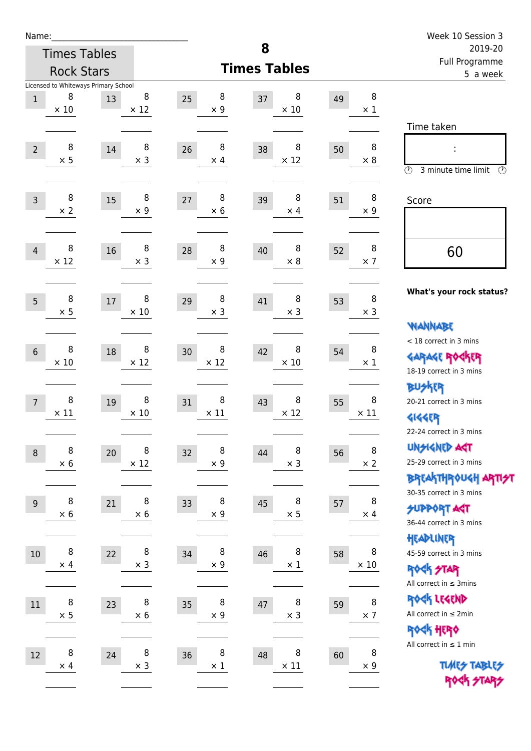| Name:            |                  |                                            |                  |                        |                            |    |                      | Week 10 Session 3                                                                    |
|------------------|------------------|--------------------------------------------|------------------|------------------------|----------------------------|----|----------------------|--------------------------------------------------------------------------------------|
|                  |                  | <b>Times Tables</b>                        |                  |                        | 8                          |    |                      | 2019-20<br><b>Full Programme</b>                                                     |
|                  |                  | <b>Rock Stars</b>                          |                  |                        | <b>Times Tables</b>        |    |                      | 5 a week                                                                             |
| $\mathbf{1}$     | 8<br>$\times$ 10 | Licensed to Whiteways Primary School<br>13 | 8<br>$\times$ 12 | 8<br>25<br>$\times$ 9  | 8<br>37<br>$\times$ 10     | 49 | 8<br>$\times$ 1      | Time taken                                                                           |
| $\overline{2}$   | 8<br>$\times$ 5  | 14                                         | 8<br>$\times$ 3  | 8<br>26<br>$\times$ 4  | 8<br>38<br>$\times$ 12     | 50 | 8<br>$\times$ 8      | $\circled{r}$<br>3 minute time limit<br>$\circled{r}$                                |
| $\overline{3}$   | 8<br>$\times 2$  | 15                                         | 8<br>$\times$ 9  | 8<br>27<br>$\times$ 6  | 8<br>39<br>$\times$ 4      | 51 | 8<br>$\times 9$      | Score                                                                                |
| $\overline{4}$   | 8<br>$\times$ 12 | 16                                         | 8<br>$\times$ 3  | 8<br>28<br>$\times$ 9  | 8<br>40<br>$\times 8$      | 52 | 8<br>$\times$ 7      | 60                                                                                   |
| 5                | 8<br>$\times$ 5  | 17                                         | 8<br>$\times$ 10 | 8<br>29<br>$\times$ 3  | 8<br>41<br>$\times$ 3      | 53 | 8<br>$\times$ 3      | What's your rock status?<br><b>NANNABE</b>                                           |
| $6\phantom{1}6$  | 8<br>$\times 10$ | 18                                         | 8<br>$\times$ 12 | 8<br>30<br>$\times$ 12 | 8<br>42<br>$\times$ 10     | 54 | 8<br>$\times 1$      | < 18 correct in 3 mins<br><b>GARAGE ROCKER</b><br>18-19 correct in 3 mins            |
| $\overline{7}$   | 8<br>$\times$ 11 | 19                                         | 8<br>$\times 10$ | 8<br>31<br>$\times$ 11 | 8<br>43<br>$\times$ 12     | 55 | 8<br>$\times$ 11     | <b>BUSKER</b><br>20-21 correct in 3 mins<br><b>4144EP</b><br>22-24 correct in 3 mins |
| $\boldsymbol{8}$ | 8<br>$\times$ 6  | $20\,$                                     | 8<br>$\times$ 12 | 8<br>32<br>$\times$ 9  | 8<br>44<br>$\times$ 3      | 56 | 8<br>$\times$ 2      | <b>UNGIGNED AST</b><br>25-29 correct in 3 mins<br>BREAKTHRÓUGH ARTI <del>2</del> 1   |
| $9\,$            | 8<br>$\times$ 6  | 21                                         | 8<br>$\times$ 6  | 8<br>33<br>$\times$ 9  | 8<br>45<br>$\times$ 5      | 57 | 8<br>$\times$ 4      | 30-35 correct in 3 mins<br><b>SUPPORT ART</b><br>36-44 correct in 3 mins             |
| $10\,$           | 8<br>$\times$ 4  | 22                                         | 8<br>$\times$ 3  | 8<br>34<br>$\times$ 9  | 8<br>46<br>$\times$ 1      | 58 | 8<br>$\times$ 10     | HEADLINER<br>45-59 correct in 3 mins<br>ROCK STAR<br>All correct in $\leq$ 3mins     |
| $11\,$           | 8<br>$\times$ 5  | 23                                         | 8<br>$\times$ 6  | 8<br>35<br>$\times$ 9  | $\, 8$<br>47<br>$\times$ 3 | 59 | $\, 8$<br>$\times$ 7 | ROCK LEGEND<br>All correct in $\leq 2$ min<br>ROCK HERO                              |
| 12               | 8<br>$\times$ 4  | 24                                         | 8<br>$\times$ 3  | 8<br>36<br>$\times$ 1  | 8<br>48<br>$\times$ 11     | 60 | 8<br>$\times$ 9      | All correct in $\leq 1$ min<br><b>TUARS TABLES</b><br>ROCK STARS                     |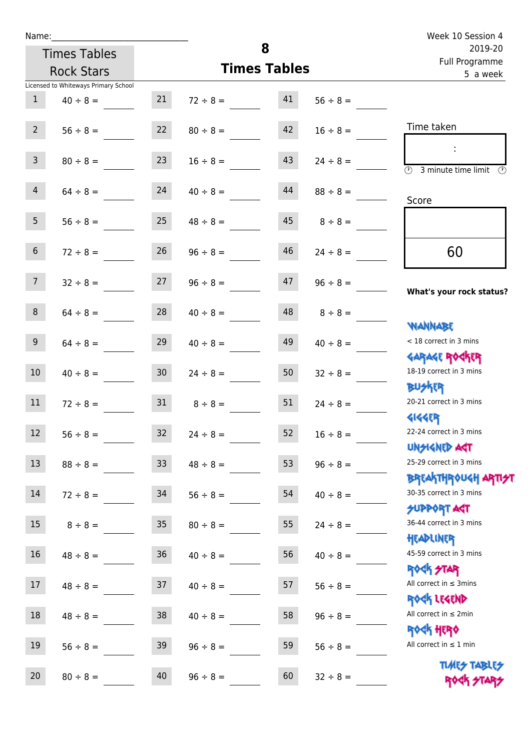| Name:           |                                          |                 |               | 8                   |               | Week 10 Session 4<br>2019-20                                     |
|-----------------|------------------------------------------|-----------------|---------------|---------------------|---------------|------------------------------------------------------------------|
|                 | <b>Times Tables</b><br><b>Rock Stars</b> |                 |               | <b>Times Tables</b> |               | Full Programme<br>5 a week                                       |
|                 | Licensed to Whiteways Primary School     |                 |               |                     |               |                                                                  |
| 1               | $40 \div 8 =$                            | 21              | $72 \div 8 =$ | 41                  | $56 \div 8 =$ |                                                                  |
| $2^{\circ}$     | $56 \div 8 =$                            | 22              | $80 \div 8 =$ | 42                  | $16 \div 8 =$ | Time taken                                                       |
| $\overline{3}$  | $80 \div 8 =$                            | 23              | $16 \div 8 =$ | 43                  | $24 \div 8 =$ | $\overline{(\mathcal{V})}$<br>3 minute time limit<br>⊕           |
| $\overline{4}$  | $64 \div 8 =$                            | 24              | $40 \div 8 =$ | 44                  | $88 \div 8 =$ | Score                                                            |
| 5 <sup>1</sup>  | $56 \div 8 =$                            | 25              | $48 \div 8 =$ | 45                  | $8 \div 8 =$  |                                                                  |
| 6 <sup>1</sup>  | $72 \div 8 =$                            | 26              | $96 \div 8 =$ | 46                  | $24 \div 8 =$ | 60                                                               |
| 7 <sup>7</sup>  | $32 \div 8 =$                            | 27              | $96 \div 8 =$ | 47                  | $96 \div 8 =$ | What's your rock status?                                         |
| 8               | $64 \div 8 =$                            | 28              | $40 \div 8 =$ | 48                  | $8 \div 8 =$  |                                                                  |
| 9 <sub>o</sub>  | $64 \div 8 =$                            | 29              | $40 \div 8 =$ | 49                  | $40 \div 8 =$ | <b>NANNABE</b><br>< 18 correct in 3 mins                         |
| 10 <sup>°</sup> | $40 \div 8 =$                            | 30 <sub>o</sub> | $24 \div 8 =$ | 50                  | $32 \div 8 =$ | <b>GARAGE ROGKER</b><br>18-19 correct in 3 mins                  |
| 11              | $72 \div 8 =$                            | 31              | $8 \div 8 =$  | 51                  | $24 \div 8 =$ | <b>BUSKER</b><br>20-21 correct in 3 mins                         |
| 12              | $56 \div 8 =$                            | 32              | $24 \div 8 =$ | 52                  | $16 \div 8 =$ | <b>4144EP</b><br>22-24 correct in 3 mins                         |
| 13              | $88 \div 8 =$                            | 33              | $48 \div 8 =$ | 53                  | $96 \div 8 =$ | <b>UNGIGNED AGT</b><br>25-29 correct in 3 mins                   |
| 14              | $72 \div 8 =$                            | 34              | $56 \div 8 =$ | 54                  | $40 \div 8 =$ | <b>BREAKTHROUGH ARTI<del>S</del>T</b><br>30-35 correct in 3 mins |

15  $8 \div 8 =$  35  $80 \div 8 =$  55  $24 \div 8 =$ 

16  $48 \div 8 =$  36  $40 \div 8 =$  56  $40 \div 8 =$ 

17  $48 \div 8 =$  37  $40 \div 8 =$  57  $56 \div 8 =$ 

18  $48 \div 8 =$  38  $40 \div 8 =$  58  $96 \div 8 =$ 

19  $56 \div 8 = 39$   $96 \div 8 = 59$   $56 \div 8 =$ 

20  $80 \div 8 = 40$   $96 \div 8 = 60$   $32 \div 8 =$ 

SUPPORT AGT 36-44 correct in 3 mins

Headliner 45-59 correct in 3 mins

Rock Star All correct in  $\leq$  3mins

Rock Legend

All correct in ≤ 2min

Rock Hero All correct in ≤ 1 min

> Times Tables ROCK STAP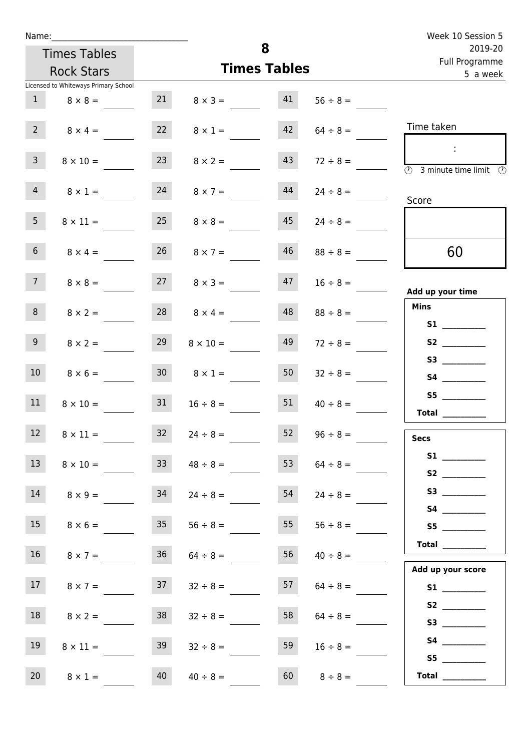| Name:                                |                 |                 |                     |               | Week 10 Session 5                                                              |  |  |
|--------------------------------------|-----------------|-----------------|---------------------|---------------|--------------------------------------------------------------------------------|--|--|
| <b>Times Tables</b>                  |                 |                 | 8                   |               | 2019-20<br>Full Programme                                                      |  |  |
| <b>Rock Stars</b>                    |                 |                 | <b>Times Tables</b> |               | 5 a week                                                                       |  |  |
| Licensed to Whiteways Primary School |                 |                 |                     |               |                                                                                |  |  |
| $\mathbf{1}$<br>$8 \times 8 =$       | 21              | $8 \times 3 =$  | 41                  | $56 \div 8 =$ |                                                                                |  |  |
| 2 <sup>7</sup><br>$8 \times 4 =$     | 22              | $8 \times 1 =$  | 42                  | $64 \div 8 =$ | Time taken                                                                     |  |  |
| $\mathbf{3}$<br>$8 \times 10 =$      | 23              | $8 \times 2 =$  | 43                  | $72 \div 8 =$ | $\sim 10$<br>$\overline{\textcircled{1}}$ 3 minute time limit<br>$\mathcal{O}$ |  |  |
| $\overline{4}$<br>$8 \times 1 =$     | 24              | $8 \times 7 =$  | 44                  | $24 \div 8 =$ | Score                                                                          |  |  |
| 5 <sub>1</sub><br>$8 \times 11 =$    | 25              | $8 \times 8 =$  | 45                  | $24 \div 8 =$ |                                                                                |  |  |
| 6 <sup>1</sup><br>$8 \times 4 =$     | 26              | $8 \times 7 =$  | 46                  | $88 \div 8 =$ | 60                                                                             |  |  |
| 7 <sup>7</sup><br>$8 \times 8 =$     | 27              | $8 \times 3 =$  | 47                  | $16 \div 8 =$ | Add up your time                                                               |  |  |
| 8<br>$8 \times 2 =$                  | 28              | $8 \times 4 =$  | 48                  | $88 \div 8 =$ | <b>Mins</b><br><b>S1 S1</b>                                                    |  |  |
| 9 <sup>°</sup><br>$8 \times 2 =$     | 29              | $8 \times 10 =$ | 49                  | $72 \div 8 =$ |                                                                                |  |  |
| 10 <sup>°</sup><br>$8 \times 6 =$    | 30 <sup>°</sup> | $8 \times 1 =$  | 50                  | $32 \div 8 =$ | S3<br><b>S4 S4</b>                                                             |  |  |
| 11<br>$8 \times 10 =$                | 31              | $16 \div 8 =$   | 51                  | $40 \div 8 =$ | S5<br><b>Total</b>                                                             |  |  |
| 12 <sup>7</sup><br>$8 \times 11 =$   | 32              | $24 \div 8 =$   | 52                  | $96 \div 8 =$ | <b>Secs</b>                                                                    |  |  |
| 13<br>$8 \times 10 =$                | 33 <sup>°</sup> | $48 \div 8 =$   | 53                  | $64 \div 8 =$ | S1                                                                             |  |  |
| 14<br>$8 \times 9 =$                 | 34              | $24 \div 8 =$   | 54                  | $24 \div 8 =$ |                                                                                |  |  |
| 15<br>$8 \times 6 =$                 | 35              | $56 \div 8 =$   | 55                  | $56 \div 8 =$ | S5                                                                             |  |  |
| 16<br>$8 \times 7 =$                 | 36              | $64 \div 8 =$   | 56                  | $40 \div 8 =$ | Total $\qquad$<br>Add up your score                                            |  |  |
| 17 <sub>1</sub><br>$8 \times 7 =$    | 37              | $32 \div 8 =$   | 57                  | $64 \div 8 =$ |                                                                                |  |  |
| 18<br>$8 \times 2 =$                 | 38              | $32 \div 8 =$   | 58                  | $64 \div 8 =$ |                                                                                |  |  |
| 19<br>$8 \times 11 =$                | 39              | $32 \div 8 =$   | 59                  | $16 \div 8 =$ | S5                                                                             |  |  |
| 20 <sub>2</sub><br>$8 \times 1 =$    | 40              | $40 \div 8 =$   | 60                  | $8 \div 8 =$  | Total $\_\_$                                                                   |  |  |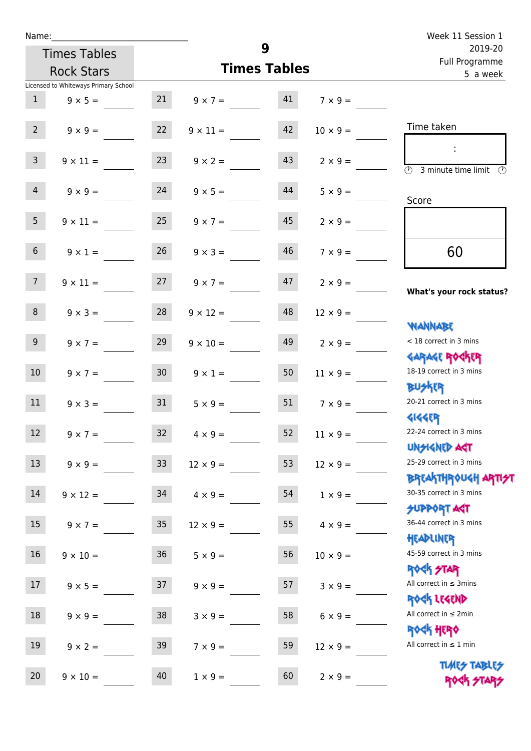| Name:                                |                 |                     |    |                 | Week 11 Session 1                                   |
|--------------------------------------|-----------------|---------------------|----|-----------------|-----------------------------------------------------|
| <b>Times Tables</b>                  |                 | 9                   |    |                 | 2019-20<br>Full Programme                           |
| <b>Rock Stars</b>                    |                 | <b>Times Tables</b> |    |                 | 5 a week                                            |
| Licensed to Whiteways Primary School |                 |                     |    |                 |                                                     |
| 1<br>$9 \times 5 =$                  |                 | 21 $9 \times 7 =$   | 41 | $7 \times 9 =$  |                                                     |
| $2-1$<br>$9 \times 9 =$              | 22              | $9 \times 11 =$     | 42 | $10 \times 9 =$ | Time taken                                          |
| 3 <sup>7</sup><br>$9 \times 11 =$    | 23              | $9 \times 2 =$      | 43 | $2 \times 9 =$  | <b>3</b> minute time limit<br>⊕                     |
| $\overline{4}$<br>$9 \times 9 =$     | 24              | $9 \times 5 =$      | 44 | $5 \times 9 =$  | Score                                               |
| 5 <sub>1</sub><br>$9 \times 11 =$    | 25              | $9 \times 7 =$      | 45 | $2 \times 9 =$  |                                                     |
| 6 <sup>1</sup><br>$9 \times 1 =$     | 26              | $9 \times 3 =$      | 46 | $7 \times 9 =$  | 60                                                  |
| 7 <sup>7</sup><br>$9 \times 11 =$    | 27              | $9 \times 7 =$      | 47 | $2 \times 9 =$  | What's your rock status?                            |
| 8<br>$9 \times 3 =$                  | 28              | $9 \times 12 =$     | 48 | $12 \times 9 =$ | <b>NANNABE</b>                                      |
| 9 <sub>o</sub><br>$9 \times 7 =$     | 29              | $9 \times 10 =$     | 49 | $2 \times 9 =$  | < 18 correct in 3 mins<br><b>GARAGE ROCKER</b>      |
| 10 <sup>°</sup><br>$9 \times 7 =$    | 30 <sub>o</sub> | $9 \times 1 =$      | 50 | $11 \times 9 =$ | 18-19 correct in 3 mins<br><b>BUSKER</b>            |
| 11<br>$9 \times 3 = 31$              |                 | $5 \times 9 =$      | 51 | $7 \times 9 =$  | 20-21 correct in 3 mins<br><b>4144EP</b>            |
| 12<br>$9 \times 7 =$                 | 32              | $4 \times 9 =$      | 52 | $11 \times 9 =$ | 22-24 correct in 3 mins<br><b>UNSIGNED AST</b>      |
| 13<br>$9 \times 9 =$                 | 33              | $12 \times 9 =$     | 53 | $12 \times 9 =$ | 25-29 correct in 3 mins<br><b>BREAKTHROUGH ARTH</b> |
| $14\,$<br>$9 \times 12 =$            | 34              | $4 \times 9 =$      | 54 | $1 \times 9 =$  | 30-35 correct in 3 mins<br><b>SUPPORT AGT</b>       |
| 15<br>$9 \times 7 =$                 | $35\,$          | $12 \times 9 =$     | 55 | $4 \times 9 =$  | 36-44 correct in 3 mins<br>HEADLINER                |
| 16<br>$9 \times 10 =$                | $36\,$          | $5 \times 9 =$      | 56 | $10 \times 9 =$ | 45-59 correct in 3 mins<br><b>ROCK STAR</b>         |
| 17<br>$9 \times 5 =$                 | 37              | $9 \times 9 =$      | 57 | $3 \times 9 =$  | All correct in $\leq$ 3mins<br>ROCK LEGEND          |
| $18\,$<br>$9 \times 9 =$             | 38              | $3 \times 9 =$      | 58 | $6 \times 9 =$  | All correct in $\leq 2$ min<br><b>ROCK HERO</b>     |
| 19<br>$9 \times 2 =$                 | 39              | $7 \times 9 =$      | 59 | $12 \times 9 =$ | All correct in $\leq 1$ min                         |
| 20<br>$9 \times 10 =$                | 40              | $1 \times 9 =$      | 60 | $2 \times 9 =$  | <b>TUARS TABLES</b><br>ROCK STARS                   |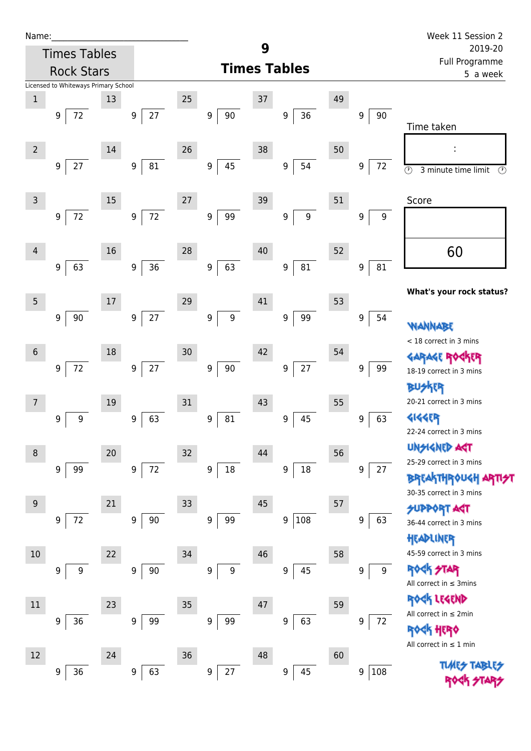| Name |  |  |  |
|------|--|--|--|
|      |  |  |  |

| Name:          |                                      |        |                        |        |                            |    |                         |    |          | Week 11 Session 2                                                       |
|----------------|--------------------------------------|--------|------------------------|--------|----------------------------|----|-------------------------|----|----------|-------------------------------------------------------------------------|
|                | <b>Times Tables</b>                  |        |                        |        |                            | 9  |                         |    |          | 2019-20<br>Full Programme                                               |
|                | <b>Rock Stars</b>                    |        |                        |        |                            |    | <b>Times Tables</b>     |    |          | 5 a week                                                                |
|                | Licensed to Whiteways Primary School |        |                        |        |                            |    |                         |    |          |                                                                         |
| $\,1\,$        |                                      | 13     |                        | 25     |                            | 37 |                         | 49 |          |                                                                         |
|                | 72<br>9                              |        | $27$<br>9              |        | $90\,$<br>9                |    | 36<br>9                 |    | 9<br>90  | Time taken                                                              |
|                |                                      |        |                        |        |                            |    |                         |    |          |                                                                         |
| $\overline{2}$ |                                      | 14     |                        | 26     |                            | 38 |                         | 50 |          |                                                                         |
|                | 27<br>9                              |        | ${\bf 81}$<br>9        |        | 45<br>9                    |    | 54<br>$\boldsymbol{9}$  |    | 72<br>9  | $\overline{\odot}$<br>$\circled{r}$<br>3 minute time limit              |
|                |                                      |        |                        |        |                            |    |                         |    |          |                                                                         |
| $\overline{3}$ |                                      | 15     |                        | 27     |                            | 39 |                         | 51 |          | Score                                                                   |
|                | $72\,$<br>9                          |        | $72\,$<br>9            |        | 99<br>9                    |    | $\boldsymbol{9}$<br>9   |    | 9<br>9   |                                                                         |
|                |                                      |        |                        |        |                            |    |                         |    |          |                                                                         |
| 4              |                                      | 16     |                        | 28     |                            | 40 |                         | 52 |          | 60                                                                      |
|                | 63<br>9                              |        | 36<br>$\boldsymbol{9}$ |        | 63<br>9                    |    | 81<br>$\boldsymbol{9}$  |    | 81<br>9  |                                                                         |
|                |                                      |        |                        |        |                            |    |                         |    |          |                                                                         |
| $\overline{5}$ |                                      | 17     |                        | 29     |                            | 41 |                         | 53 |          | What's your rock status?                                                |
|                | 90<br>9                              |        | $27$<br>9              |        | $\mathsf g$<br>9           |    | 99<br>$\boldsymbol{9}$  |    | 9<br>54  |                                                                         |
|                |                                      |        |                        |        |                            |    |                         |    |          | WANNABE                                                                 |
| $6\,$          |                                      | 18     |                        | 30     |                            | 42 |                         | 54 |          | < 18 correct in 3 mins<br><b>GARAGE RO</b>                              |
|                | $72\,$<br>9                          |        | $27\,$<br>9            |        | $90\,$<br>$\boldsymbol{9}$ |    | $27$<br>9               |    | 9<br>99  | ίR<br>18-19 correct in 3 mins                                           |
|                |                                      |        |                        |        |                            |    |                         |    |          | <b>BUSKER</b>                                                           |
| 7              |                                      | $19\,$ |                        | 31     |                            | 43 |                         | 55 |          | 20-21 correct in 3 mins                                                 |
|                | $\boldsymbol{9}$<br>9                |        | 63<br>9                |        | 81<br>9                    |    | 45<br>9                 |    | 63<br>9  | <b>4144EP</b>                                                           |
|                |                                      |        |                        |        |                            |    |                         |    |          | 22-24 correct in 3 mins                                                 |
|                |                                      |        |                        |        |                            |    |                         |    |          | <b>UNSIGNED AGT</b>                                                     |
| 8              |                                      | 20     |                        | 32     |                            | 44 |                         | 56 |          | 25-29 correct in 3 mins                                                 |
|                | 99<br>9                              |        | $72\,$<br>9            |        | $18\,$<br>$\boldsymbol{9}$ |    | $18\,$<br>9             |    | 9<br>27  | <b>BREAKTHROUGH</b>                                                     |
|                |                                      |        |                        |        |                            |    |                         |    |          | 30-35 correct in 3 mins                                                 |
| 9              |                                      | 21     |                        | 33     |                            | 45 |                         | 57 |          | <b>SUPPORT AGT</b>                                                      |
|                | $72\,$<br>9                          |        | $90\,$<br>9            |        | 99<br>9                    |    | 108<br>$\boldsymbol{9}$ |    | 63<br>9  | 36-44 correct in 3 mins                                                 |
|                |                                      |        |                        |        |                            |    |                         |    |          | HEADLINER                                                               |
| 10             |                                      | 22     |                        | 34     |                            | 46 |                         | 58 |          | 45-59 correct in 3 mins                                                 |
|                | $\boldsymbol{9}$<br>9                |        | 90<br>9                |        | $\boldsymbol{9}$<br>9      |    | 45<br>9                 |    | 9<br>9   | ROCK STAR                                                               |
|                |                                      |        |                        |        |                            |    |                         |    |          | All correct in $\leq$ 3mins                                             |
| $11\,$         |                                      | 23     |                        | 35     |                            | 47 |                         | 59 |          | ROCK LEGEND<br>All correct in $\leq 2$ min                              |
|                | 36<br>9                              |        | 99<br>9                |        | $\boldsymbol{9}$<br>99     |    | 63<br>$\boldsymbol{9}$  |    | 9<br>72  |                                                                         |
|                |                                      |        |                        |        |                            |    |                         |    |          | <b><h b="" her0<=""><br/>All correct in <math>\leq 1</math> min</h></b> |
| 12             |                                      | 24     |                        | $36\,$ |                            | 48 |                         | 60 |          |                                                                         |
|                | 36<br>9                              |        | 63<br>9                |        | 27<br>$\boldsymbol{9}$     |    | 45<br>$\boldsymbol{9}$  |    | 108<br>9 |                                                                         |
|                |                                      |        |                        |        |                            |    |                         |    |          |                                                                         |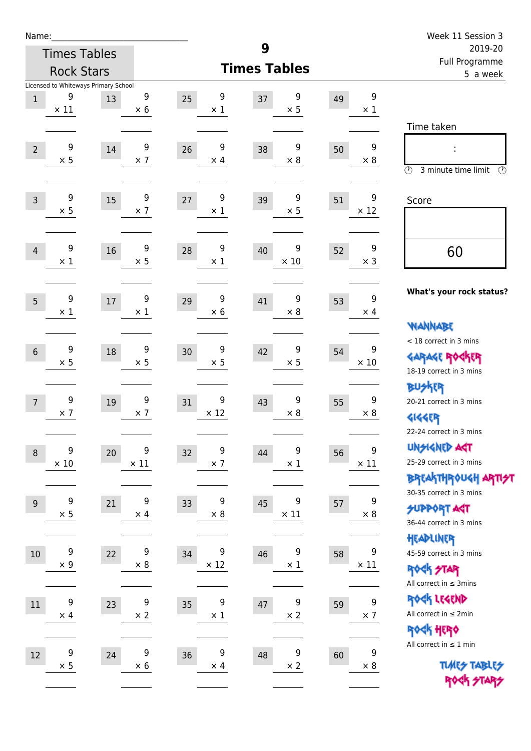| Name:          |                     |                                      |                  |                       |                       |    |                                | Week 11 Session 3                                                |
|----------------|---------------------|--------------------------------------|------------------|-----------------------|-----------------------|----|--------------------------------|------------------------------------------------------------------|
|                | <b>Times Tables</b> |                                      |                  |                       | 9                     |    |                                | 2019-20<br>Full Programme                                        |
|                | <b>Rock Stars</b>   |                                      |                  |                       | <b>Times Tables</b>   |    |                                | 5 a week                                                         |
|                |                     | Licensed to Whiteways Primary School |                  |                       |                       |    |                                |                                                                  |
| $\mathbf{1}$   | 9<br>$\times$ 11    | 13                                   | 9<br>$\times 6$  | 9<br>25<br>$\times$ 1 | 9<br>37<br>$\times$ 5 | 49 | 9<br>$\times$ 1                |                                                                  |
|                |                     |                                      |                  |                       |                       |    |                                | Time taken                                                       |
|                | 9                   |                                      | $\boldsymbol{9}$ | 9                     | 9                     |    | 9                              |                                                                  |
| $\overline{2}$ | $\times$ 5          | 14                                   | $\times$ 7       | 26<br>$\times$ 4      | 38<br>$\times 8$      | 50 | $\times 8$                     |                                                                  |
|                |                     |                                      |                  |                       |                       |    |                                | $\circled{r}$<br>3 minute time limit<br>$\circled{r}$            |
| $\overline{3}$ | 9                   | 15                                   | 9                | 9<br>27               | 9<br>39               | 51 | 9                              | Score                                                            |
|                | $\times$ 5          |                                      | $\times$ 7       | $\times$ 1            | $\times$ 5            |    | $\times$ 12                    |                                                                  |
|                |                     |                                      |                  |                       |                       |    |                                |                                                                  |
| $\overline{4}$ | 9                   | 16                                   | 9                | 9<br>28               | 9<br>40               | 52 | $\boldsymbol{9}$               | 60                                                               |
|                | $\times$ 1          |                                      | $\times$ 5       | $\times$ 1            | $\times$ 10           |    | $\times$ 3                     |                                                                  |
|                |                     |                                      |                  |                       |                       |    |                                |                                                                  |
| 5              | 9                   | $17\,$                               | 9                | 9<br>29               | 9<br>41               | 53 | 9                              | What's your rock status?                                         |
|                | $\times$ 1          |                                      | $\times$ 1       | $\times$ 6            | $\times$ 8            |    | $\times$ 4                     |                                                                  |
|                |                     |                                      |                  |                       |                       |    |                                | <b>NANNABE</b>                                                   |
| $6\phantom{1}$ | 9                   | 18                                   | 9                | 9<br>30               | 9<br>42               | 54 | 9                              | < 18 correct in 3 mins                                           |
|                | $\times$ 5          |                                      | $\times$ 5       | $\times$ 5            | $\times$ 5            |    | $\times$ 10                    | <b>GARAGE ROCKER</b><br>18-19 correct in 3 mins                  |
|                |                     |                                      |                  |                       |                       |    |                                | <b>BUSKER</b>                                                    |
| $\overline{7}$ | 9                   | 19                                   | 9                | 9<br>31               | 9<br>43               | 55 | 9                              | 20-21 correct in 3 mins                                          |
|                | $\times$ 7          |                                      | $\times$ 7       | $\times$ 12           | $\times 8$            |    | $\times 8$                     | <b>4144EP</b>                                                    |
|                |                     |                                      |                  |                       |                       |    |                                | 22-24 correct in 3 mins                                          |
| $\,8\,$        | $\boldsymbol{9}$    | 20                                   | 9                | 9<br>32               | 9<br>44               | 56 | 9                              | <b>UNGIGNED AST</b>                                              |
|                | $\times$ 10         |                                      | $\times$ 11      | $\times$ 7            | $\times$ 1            |    | $\times$ 11                    | 25-29 correct in 3 mins                                          |
|                |                     |                                      |                  |                       |                       |    |                                | <b>BREAKTHR0UGH ARTI<del>S</del>T</b><br>30-35 correct in 3 mins |
| 9              | 9                   | 21                                   | 9                | 9<br>33               | 9<br>45               | 57 | 9                              | <b>SUPPORT ART</b>                                               |
|                | $\times$ 5          |                                      | $\times$ 4       | $\times 8$            | $\times$ 11           |    | $\times$ 8                     | 36-44 correct in 3 mins                                          |
|                |                     |                                      |                  |                       |                       |    |                                | HEADLINER                                                        |
| $10\,$         | 9                   | 22                                   | 9                | 9<br>34               | 9<br>46               | 58 | 9                              | 45-59 correct in 3 mins                                          |
|                | $\times$ 9          |                                      | $\times 8$       | $\times$ 12           | $\times$ 1            |    | $\times$ 11                    | <b>ROCK STAR</b>                                                 |
|                |                     |                                      |                  |                       |                       |    |                                | All correct in $\leq$ 3mins                                      |
| $11\,$         | $\boldsymbol{9}$    | 23                                   | $\boldsymbol{9}$ | 9<br>35               | 9<br>47               | 59 | $\boldsymbol{9}$<br>$\times$ 7 | ROCK LEGEND<br>All correct in $\leq 2$ min                       |
|                | $\times$ 4          |                                      | $\times$ 2       | $\times$ 1            | $\times$ 2            |    |                                | ROCK HERO                                                        |
|                |                     |                                      |                  |                       |                       |    |                                | All correct in $\leq 1$ min                                      |
| 12             | 9<br>$\times$ 5     | 24                                   | 9<br>$\times$ 6  | 9<br>36<br>$\times$ 4 | 9<br>48<br>$\times$ 2 | 60 | 9<br>$\times 8$                | <b>TUARS TABLES</b>                                              |
|                |                     |                                      |                  |                       |                       |    |                                | ROCK STARS                                                       |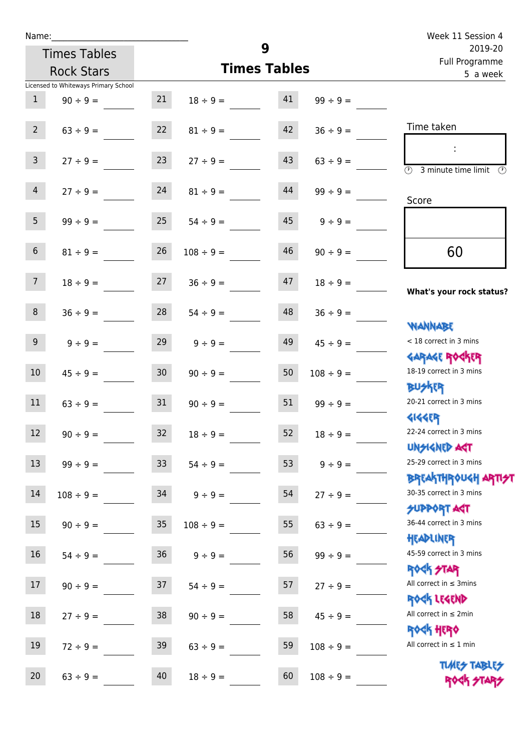Times Tables

|                |                                      |        |                |                     |                | Full Programme                                                                         |
|----------------|--------------------------------------|--------|----------------|---------------------|----------------|----------------------------------------------------------------------------------------|
|                | <b>Rock Stars</b>                    |        |                | <b>Times Tables</b> |                | 5 a week                                                                               |
|                | Licensed to Whiteways Primary School |        |                |                     |                |                                                                                        |
| $\,1$          | $90 \div 9 =$                        | 21     | $18 \div 9 =$  | 41                  | $99 \div 9 =$  |                                                                                        |
| $2^{\circ}$    | $63 ÷ 9 =$                           | 22     | $81 \div 9 =$  | 42                  | $36 \div 9 =$  | Time taken                                                                             |
| $\overline{3}$ | $27 ÷ 9 =$                           | 23     | $27 \div 9 =$  | 43                  | $63 \div 9 =$  | $\overline{\mathcal{O}}$<br>3 minute time limit                                        |
| $\overline{4}$ | $27 ÷ 9 =$                           | 24     | $81 \div 9 =$  | 44                  | $99 \div 9 =$  | Score                                                                                  |
| 5              | $99 ÷ 9 =$                           | 25     | $54 \div 9 =$  | 45                  | $9 ÷ 9 =$      |                                                                                        |
| $\,$ 6 $\,$    | $81 \div 9 =$                        | 26     | $108 \div 9 =$ | 46                  | $90 \div 9 =$  | 60                                                                                     |
| $\overline{7}$ | $18 \div 9 =$                        | 27     | $36 ÷ 9 =$     | 47                  | $18 \div 9 =$  | What's your rock status?                                                               |
| $\,8\,$        | $36 ÷ 9 =$                           | 28     | $54 \div 9 =$  | 48                  | $36 ÷ 9 =$     |                                                                                        |
| $\overline{9}$ | $9 ÷ 9 =$                            | 29     | $9 ÷ 9 =$      | 49                  | $45 \div 9 =$  | <b>JARNARY</b><br>< 18 correct in 3 mins                                               |
| $10\,$         | $45 \div 9 =$                        | 30     | $90 \div 9 =$  | 50                  | $108 \div 9 =$ | <b>GARAGE ROCKER</b><br>18-19 correct in 3 mins                                        |
| 11             | $63 ÷ 9 =$                           | 31     | $90 \div 9 =$  | 51                  | $99 ÷ 9 =$     | <b>BUSKER</b><br>20-21 correct in 3 mins                                               |
| 12             | $90 \div 9 =$                        | 32     | $18 \div 9 =$  | 52                  | $18 \div 9 =$  | <b>4144EP</b><br>22-24 correct in 3 mins                                               |
| 13             | $99 ÷ 9 =$                           | 33     | $54 \div 9 =$  | 53                  | $9 ÷ 9 =$      | <b>UNSIGNED AST</b><br>25-29 correct in 3 mins                                         |
| 14             | $108 \div 9 =$                       | 34     | $9 ÷ 9 =$      | 54                  | $27 ÷ 9 =$     | <b>BREAKTHROUGH ARTI<del>S</del>T</b><br>30-35 correct in 3 mins<br><b>SUPPORT AGT</b> |
| 15             | $90 \div 9 =$                        | $35\,$ | $108 \div 9 =$ | 55                  | $63 ÷ 9 =$     | 36-44 correct in 3 mins                                                                |
| 16             | $54 \div 9 =$                        | 36     | $9 ÷ 9 =$      | 56                  | $99 ÷ 9 =$     | HEADLINER<br>45-59 correct in 3 mins                                                   |
| 17             | $90 \div 9 =$                        | 37     | $54 \div 9 =$  | 57                  | $27 ÷ 9 =$     | <b>ROCK STAR</b><br>All correct in $\leq$ 3mins                                        |
| $18\,$         | $27 ÷ 9 =$                           | $38\,$ | $90 \div 9 =$  | 58                  | $45 \div 9 =$  | ROCK LEGEND<br>All correct in $\leq 2$ min                                             |
| 19             | $72 \div 9 =$                        | 39     | $63 ÷ 9 =$     | 59                  | $108 \div 9 =$ | ROCK HERO<br>All correct in $\leq 1$ min                                               |
| 20             | $63 ÷ 9 =$                           | 40     | $18 \div 9 =$  | 60                  | $108 \div 9 =$ | <b>TUARS TABLES</b><br>ROCK STARS                                                      |

**9**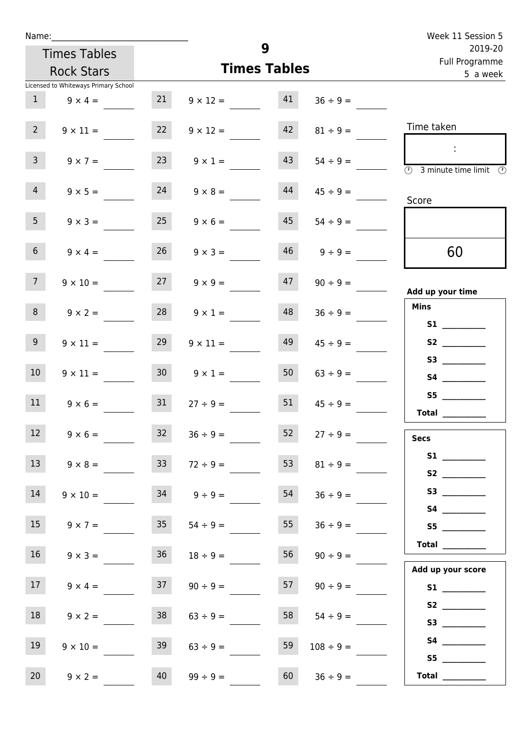| Name:                              |                                      |                 |                 |                     |                | Week 11 Session 5                                                                          |  |  |
|------------------------------------|--------------------------------------|-----------------|-----------------|---------------------|----------------|--------------------------------------------------------------------------------------------|--|--|
|                                    | <b>Times Tables</b>                  |                 |                 | 9                   |                | 2019-20<br>Full Programme                                                                  |  |  |
|                                    | <b>Rock Stars</b>                    |                 |                 | <b>Times Tables</b> |                | 5 a week                                                                                   |  |  |
|                                    | Licensed to Whiteways Primary School |                 |                 |                     |                |                                                                                            |  |  |
| 1                                  | $9 \times 4 =$                       | 21              | $9 \times 12 =$ | 41                  | $36 \div 9 =$  |                                                                                            |  |  |
| $2^{\circ}$                        | $9 \times 11 =$                      | 22              | $9 \times 12 =$ | 42                  | $81 \div 9 =$  | Time taken                                                                                 |  |  |
| 3 <sup>7</sup>                     | $9 \times 7 =$                       | 23              | $9 \times 1 =$  | 43                  | $54 \div 9 =$  | $\sim 10$<br>$\overline{\textcircled{2}}$ 3 minute time limit $\overline{\textcircled{2}}$ |  |  |
| $\overline{4}$                     | $9 \times 5 =$                       | 24              | $9 \times 8 =$  | 44                  | $45 \div 9 =$  | Score                                                                                      |  |  |
| 5 <sub>1</sub>                     | $9 \times 3 =$                       | 25              | $9 \times 6 =$  | 45                  | $54 \div 9 =$  |                                                                                            |  |  |
| 6 <sup>1</sup>                     | $9 \times 4 =$                       | 26              | $9 \times 3 =$  | 46                  | $9 \div 9 =$   | 60                                                                                         |  |  |
| 7 <sup>7</sup>                     | $9 \times 10 =$                      |                 | $9 \times 9 =$  | 47                  | $90 \div 9 =$  | Add up your time                                                                           |  |  |
| 8                                  | $9 \times 2 =$                       | 28              | $9 \times 1 =$  | 48                  | $36 \div 9 =$  | <b>Mins</b>                                                                                |  |  |
| 9 <sub>o</sub>                     | $9 \times 11 =$                      | 29              | $9 \times 11 =$ | 49                  | $45 \div 9 =$  | S2                                                                                         |  |  |
| 10 <sup>°</sup>                    | $9 \times 11 =$                      | 30 <sup>1</sup> | $9 \times 1 =$  | 50                  | $63 \div 9 =$  |                                                                                            |  |  |
| 11                                 | $9 \times 6 =$                       | 31              | $27 \div 9 =$   | 51                  | $45 \div 9 =$  | S5<br>Total                                                                                |  |  |
| <b>Contract</b><br>12 <sup>2</sup> | $9 \times 6 =$                       | 32 <sub>2</sub> | $36 ÷ 9 =$      | 52                  | $27 \div 9 =$  | <b>Secs</b>                                                                                |  |  |
| 13                                 | $9 \times 8 =$                       | 33              | $72 \div 9 =$   | 53                  | $81 \div 9 =$  | S2                                                                                         |  |  |
| 14                                 | $9 \times 10 =$                      | 34              | $9 \div 9 =$    | 54                  | $36 \div 9 =$  | S3                                                                                         |  |  |
| 15                                 | $9 \times 7 =$                       | 35              | $54 \div 9 =$   | 55                  | $36 \div 9 =$  | S5                                                                                         |  |  |
| 16                                 | $9 \times 3 =$                       | 36              | $18 \div 9 =$   | 56                  | $90 \div 9 =$  | Total<br>Add up your score                                                                 |  |  |
| 17 <sub>1</sub>                    | $9 \times 4 =$                       | 37              | $90 \div 9 =$   | 57                  | $90 \div 9 =$  |                                                                                            |  |  |
| 18                                 | $9 \times 2 =$                       | 38              | $63 \div 9 =$   | 58                  | $54 \div 9 =$  | S2                                                                                         |  |  |
| 19                                 | $9 \times 10 =$                      | 39              | $63 \div 9 =$   | 59                  | $108 \div 9 =$ | S5                                                                                         |  |  |
| 20                                 | $9 \times 2 =$                       | 40              | $99 \div 9 =$   | 60                  | $36 \div 9 =$  | Total $\_\_$                                                                               |  |  |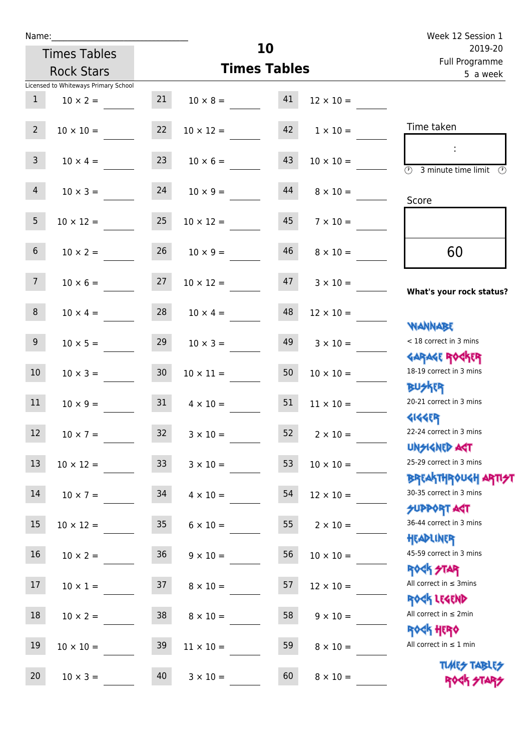| Name:           |                                      |                 |                       |                     |                  | Week 12 Session 1                                                |
|-----------------|--------------------------------------|-----------------|-----------------------|---------------------|------------------|------------------------------------------------------------------|
|                 | <b>Times Tables</b>                  |                 |                       | 10                  |                  | 2019-20<br>Full Programme                                        |
|                 | <b>Rock Stars</b>                    |                 |                       | <b>Times Tables</b> |                  | 5 a week                                                         |
|                 | Licensed to Whiteways Primary School |                 |                       |                     |                  |                                                                  |
| 1               | $10 \times 2 =$                      | 21              | $10 \times 8 =$       | 41                  | $12 \times 10 =$ |                                                                  |
| $2^{\circ}$     | $10 \times 10 =$                     | 22              | $10 \times 12 =$      | 42                  | $1 \times 10 =$  | Time taken                                                       |
| 3 <sup>7</sup>  | $10 \times 4 =$                      | 23              | $10 \times 6 =$       | 43                  | $10 \times 10 =$ | 3 minute time limit<br>O)                                        |
| $\overline{4}$  | $10 \times 3 =$                      | 24              | $10 \times 9 =$       | 44                  | $8 \times 10 =$  | Score                                                            |
| 5 <sub>1</sub>  | $10 \times 12 =$                     | 25              | $10 \times 12 =$      | 45                  | $7 \times 10 =$  |                                                                  |
| $6\overline{6}$ | $10 \times 2 =$                      | 26              | $10 \times 9 =$       | 46                  | $8 \times 10 =$  | 60                                                               |
| 7 <sup>7</sup>  | $10 \times 6 =$                      | 27              | $10 \times 12 =$      | 47                  | $3 \times 10 =$  | What's your rock status?                                         |
| 8               | $10 \times 4 =$                      |                 | $28 \t 10 \times 4 =$ | 48                  | $12 \times 10 =$ | <b>NANNABE</b>                                                   |
| 9 <sub>o</sub>  | $10 \times 5 =$                      | 29              | $10 \times 3 =$       | 49                  | $3 \times 10 =$  | < 18 correct in 3 mins<br><b>GARAGE ROGKER</b>                   |
| 10              | $10 \times 3 =$                      | 30 <sub>o</sub> | $10 \times 11 =$      | 50                  | $10 \times 10 =$ | 18-19 correct in 3 mins<br><b>BUSKRY</b>                         |
| 11              | $10 \times 9 =$                      | 31              | $4 \times 10 =$       | 51                  | $11 \times 10 =$ | 20-21 correct in 3 mins<br><b>4144EP</b>                         |
| a sa Ba<br>12   | $10 \times 7 =$                      | 32              | $3 \times 10 =$       | 52                  | $2\times10=$     | 22-24 correct in 3 mins<br><b>UNSIGNED AGT</b>                   |
| 13              | $10 \times 12 =$                     | 33 <sup>°</sup> | $3 \times 10 =$       | 53                  | $10 \times 10 =$ | 25-29 correct in 3 mins<br><b>BREAKTHROUGH ARTI<del>S</del>T</b> |
| 14              | $10 \times 7 =$                      | 34              | $4 \times 10 =$       | 54                  | $12 \times 10 =$ | 30-35 correct in 3 mins<br><b>SUPPORT AGT</b>                    |
| 15              | $10 \times 12 =$                     | 35              | $6 \times 10 =$       | 55                  | $2 \times 10 =$  | 36-44 correct in 3 mins<br>HEADLINER                             |
| 16              | $10 \times 2 =$                      | 36              | $9 \times 10 =$       | 56                  | $10\times10=$    | 45-59 correct in 3 mins<br><b>ROCK STAR</b>                      |
| 17              | $10 \times 1 =$                      | 37              | $8 \times 10 =$       | 57                  | $12 \times 10 =$ | All correct in $\leq$ 3mins<br>ROCK LEGEND                       |
| $18\,$          | $10 \times 2 =$                      | 38              | $8 \times 10 =$       | 58                  | $9 \times 10 =$  | All correct in $\leq 2$ min<br><b>ROCK HERO</b>                  |
| 19              | $10 \times 10 =$                     | 39              | $11 \times 10 =$      | 59                  | $8 \times 10 =$  | All correct in $\leq 1$ min                                      |
| 20              | $10 \times 3 =$                      | 40              | $3 \times 10 =$       | 60                  | $8 \times 10 =$  | <b>TUARS TABLES</b><br>ROCK STARS                                |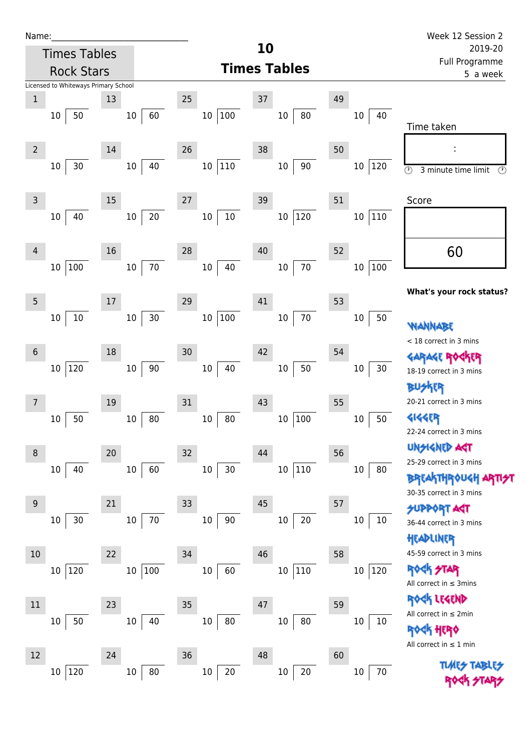| Name |  |  |  |
|------|--|--|--|
|      |  |  |  |

Times Tables

|                            | <b>Rock Stars</b>                    |                        |    |                            |    | <b>Times Tables</b> |    |                         | i un i rugiumme<br>5 a week                                                                                   |
|----------------------------|--------------------------------------|------------------------|----|----------------------------|----|---------------------|----|-------------------------|---------------------------------------------------------------------------------------------------------------|
|                            | Licensed to Whiteways Primary School |                        |    |                            |    |                     |    |                         |                                                                                                               |
| $\,1$<br>$10\,$            | 50                                   | 13<br>60<br>$10\,$     | 25 | $100\,$<br>10 <sup>°</sup> | 37 | $10\,$<br>80        | 49 | $10\,$<br>40            |                                                                                                               |
| $\overline{2}$             |                                      | 14                     | 26 |                            | 38 |                     | 50 |                         | Time taken<br>÷                                                                                               |
| 10                         | 30                                   | 40<br>$10\,$           |    | 10 110                     |    | $10\,$<br>$90\,$    |    | $10\,$<br>$ 120\rangle$ | $\odot$<br>3 minute time limit<br>⊙                                                                           |
| 3                          |                                      | 15                     | 27 |                            | 39 |                     | 51 |                         | Score                                                                                                         |
| 10                         | 40                                   | 20<br>$10\,$           |    | $10\,$<br>$10\,$           |    | 120<br>$10\,$       |    | 110<br>$10\,$           |                                                                                                               |
| 4<br>10                    | 100                                  | 16<br>$70\,$<br>$10\,$ | 28 | 40<br>10                   | 40 | $70\,$<br>$10\,$    | 52 | $\vert$ 100<br>10       | 60                                                                                                            |
|                            |                                      |                        |    |                            |    |                     |    |                         | What's your rock status?                                                                                      |
| 5<br>$10\,$                | $10\,$                               | 17<br>30<br>$10\,$     | 29 | $100\,$<br>10              | 41 | $70\,$<br>$10\,$    | 53 | 50<br>$10\,$            | <b>WANNABE</b>                                                                                                |
| $\boldsymbol{6}$<br>$10\,$ | 120                                  | 18<br>$90\,$<br>$10\,$ | 30 | 40<br>$10\,$               | 42 | 50<br>$10\,$        | 54 | $10\,$<br>$30\,$        | < 18 correct in 3 mins<br><b>GARAGE ROGKER</b><br>18-19 correct in 3 mins                                     |
| 7                          |                                      | 19                     | 31 |                            | 43 |                     | 55 |                         | <b>BUSKER</b><br>20-21 correct in 3 mins                                                                      |
| $10\,$                     | 50                                   | $80\,$<br>$10\,$       |    | 80<br>10                   |    | 100<br>$10\,$       |    | 50<br>$10\,$            | <b>4144EP</b><br>22-24 correct in 3 mins                                                                      |
| 8<br>$10\,$                | 40                                   | 20<br>$10\,$<br>60     | 32 | $10\,$<br>30               | 44 | $10\,$<br> 110      | 56 | $10\,$<br>80            | <b>UNSIGNED AGT</b><br>25-29 correct in 3 mins<br>BREAKTHRÓUGH ARTI <del>S</del> T<br>30-35 correct in 3 mins |
| 9<br>10                    | 30                                   | 21<br>$70\,$<br>$10\,$ | 33 | $90\,$<br>$10\,$           | 45 | $20\,$<br>$10\,$    | 57 | $10\,$<br>10            | <b>SUPPORT ART</b><br>36-44 correct in 3 mins<br>HEADLINER                                                    |
| 10<br>$10\,$               | 120                                  | 22<br>100<br>$10\,$    | 34 | 60<br>10                   | 46 | 110<br>$10\,$       | 58 | 120<br>$10\,$           | 45-59 correct in 3 mins<br><b>ROCK STAR</b><br>All correct in $\leq$ 3mins                                    |
| 11<br>10                   | $50\,$                               | 23<br>40<br>$10\,$     | 35 | $80\,$<br>$10\,$           | 47 | $80\,$<br>$10\,$    | 59 | $10\,$<br>$10\,$        | ROCK LEGEND<br>All correct in ≤ 2min<br><b>ROGK HERO</b><br>All correct in $\leq 1$ min                       |
| 12<br>$10\,$               | 120                                  | 24<br>80<br>$10\,$     | 36 | 20<br>$10\,$               | 48 | $20\,$<br>$10\,$    | 60 | 70<br>10                | <b>TUARS TABLIS</b>                                                                                           |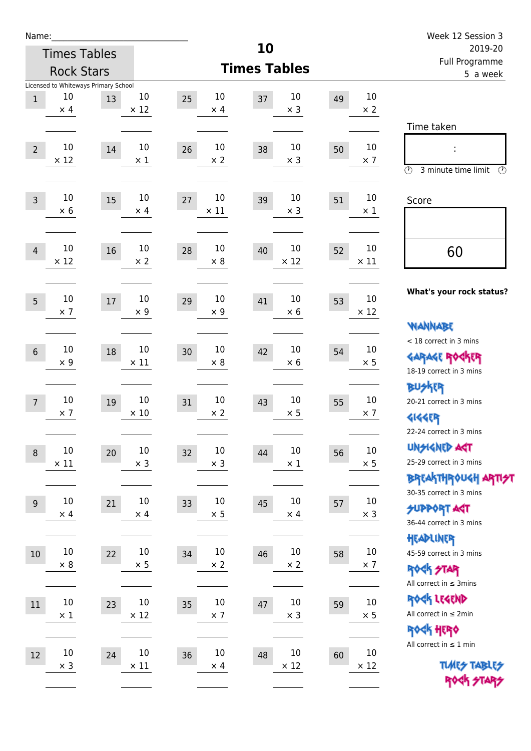| Name:            |             |                                      |             |                   |                     |         |             | Week 12 Session 3                                     |
|------------------|-------------|--------------------------------------|-------------|-------------------|---------------------|---------|-------------|-------------------------------------------------------|
|                  |             | <b>Times Tables</b>                  |             |                   | 10                  | 2019-20 |             |                                                       |
|                  |             | <b>Rock Stars</b>                    |             |                   | <b>Times Tables</b> |         |             | <b>Full Programme</b><br>5 a week                     |
|                  | 10          | Licensed to Whiteways Primary School | 10          | 10                | 10                  |         | $10\,$      |                                                       |
| $\mathbf{1}$     | $\times$ 4  | 13                                   | $\times$ 12 | 25<br>$\times$ 4  | 37<br>$\times$ 3    | 49      | $\times 2$  |                                                       |
|                  |             |                                      |             |                   |                     |         |             | Time taken                                            |
|                  | 10          |                                      | 10          | 10                | 10                  |         | $10\,$      |                                                       |
| $\overline{2}$   | $\times$ 12 | 14                                   | $\times$ 1  | 26<br>$\times 2$  | 38<br>$\times$ 3    | 50      | $\times$ 7  |                                                       |
|                  |             |                                      |             |                   |                     |         |             | $\circled{r}$<br>3 minute time limit<br>$\circled{r}$ |
|                  | 10          |                                      | 10          | 10                | 10                  |         | 10          |                                                       |
| $\overline{3}$   | $\times$ 6  | 15                                   | $\times$ 4  | 27<br>$\times$ 11 | 39<br>$\times$ 3    | 51      | $\times$ 1  | Score                                                 |
|                  |             |                                      |             |                   |                     |         |             |                                                       |
|                  | 10          |                                      | 10          | 10                | 10                  |         | 10          |                                                       |
| $\overline{4}$   | $\times$ 12 | 16                                   | $\times 2$  | 28<br>$\times 8$  | 40<br>$\times$ 12   | 52      | $\times$ 11 | 60                                                    |
|                  |             |                                      |             |                   |                     |         |             |                                                       |
|                  | 10          |                                      | 10          | 10                | 10                  |         | 10          | What's your rock status?                              |
| 5                | $\times$ 7  | 17                                   | $\times$ 9  | 29<br>$\times$ 9  | 41<br>$\times$ 6    | 53      | $\times$ 12 |                                                       |
|                  |             |                                      |             |                   |                     |         |             | <b>VIANNABE</b>                                       |
|                  | 10          |                                      | 10          | 10                | 10                  |         | 10          | < 18 correct in 3 mins                                |
| $6\,$            | $\times$ 9  | 18                                   | $\times$ 11 | 30<br>$\times 8$  | 42<br>$\times 6$    | 54      | $\times$ 5  | <b>GARAGE ROCKER</b>                                  |
|                  |             |                                      |             |                   |                     |         |             | 18-19 correct in 3 mins                               |
|                  | 10          |                                      | 10          | 10                | 10                  |         | 10          | <b>BUSKER</b><br>20-21 correct in 3 mins              |
| $\overline{7}$   | $\times$ 7  | 19                                   | $\times$ 10 | 31<br>$\times 2$  | 43<br>$\times$ 5    | 55      | $\times$ 7  | <b>4144EP</b>                                         |
|                  |             |                                      |             |                   |                     |         |             | 22-24 correct in 3 mins                               |
|                  | $10\,$      |                                      | $10\,$      | $10\,$            | $10\,$              |         | $10\,$      | <b>UNSIGNED AGT</b>                                   |
| $\boldsymbol{8}$ | $\times$ 11 | 20                                   | $\times$ 3  | 32<br>$\times$ 3  | 44<br>$\times$ 1    | 56      | $\times$ 5  | 25-29 correct in 3 mins                               |
|                  |             |                                      |             |                   |                     |         |             | <b>BREAKTHR0UGH ARTI<del>S</del>T</b>                 |
| 9                | $10\,$      | 21                                   | $10\,$      | 10                | 10<br>45            |         | $10\,$      | 30-35 correct in 3 mins                               |
|                  | $\times$ 4  |                                      | $\times$ 4  | 33<br>$\times$ 5  | $\times$ 4          | 57      | $\times$ 3  | <b>SUPPORT ART</b>                                    |
|                  |             |                                      |             |                   |                     |         |             | 36-44 correct in 3 mins                               |
| $10\,$           | $10\,$      | 22                                   | $10\,$      | 10<br>34          | 10<br>46            | 58      | $10\,$      | HEADLINER<br>45-59 correct in 3 mins                  |
|                  | $\times$ 8  |                                      | $\times$ 5  | $\times$ 2        | $\times$ 2          |         | $\times$ 7  | ROCK STAR                                             |
|                  |             |                                      |             |                   |                     |         |             | All correct in $\leq$ 3mins                           |
| 11               | $10\,$      | 23                                   | $10\,$      | $10\,$<br>35      | $10\,$<br>47        | 59      | $10\,$      | ROCK LEGEND                                           |
|                  | $\times$ 1  |                                      | $\times$ 12 | $\times$ 7        | $\times$ 3          |         | $\times$ 5  | All correct in $\leq 2$ min                           |
|                  |             |                                      |             |                   |                     |         |             | ROCK HERO                                             |
| 12               | $10\,$      | 24                                   | 10          | 10<br>36          | 10<br>48            | 60      | $10\,$      | All correct in $\leq 1$ min                           |
|                  | $\times$ 3  |                                      | $\times$ 11 | $\times$ 4        | $\times$ 12         |         | $\times$ 12 | <b>TUARS TABLES</b>                                   |
|                  |             |                                      |             |                   |                     |         |             | ROCK STARS                                            |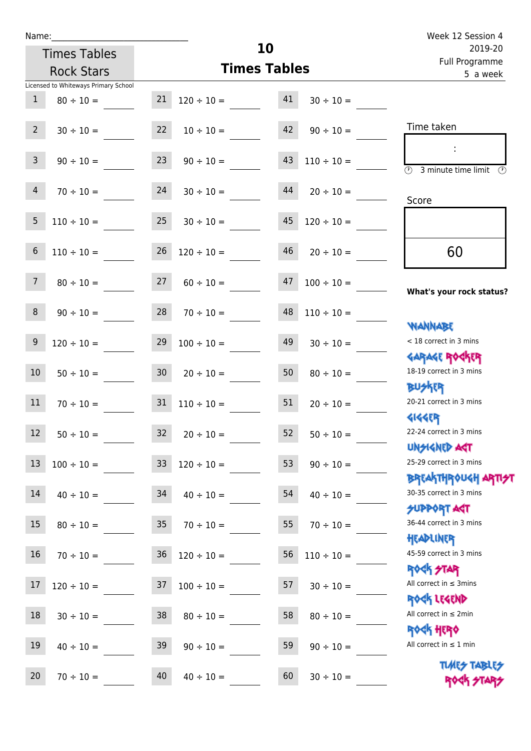| Name:                                                |                 |                 |                 |                           |                 | Week 12 Session 4                                                |
|------------------------------------------------------|-----------------|-----------------|-----------------|---------------------------|-----------------|------------------------------------------------------------------|
| <b>Times Tables</b><br><b>Rock Stars</b>             |                 |                 |                 | 10<br><b>Times Tables</b> |                 | 2019-20<br>Full Programme<br>5 a week                            |
| Licensed to Whiteways Primary School<br>$\mathbf{1}$ | $80 \div 10 =$  | 21              | $120 \div 10 =$ | 41                        | $30 \div 10 =$  |                                                                  |
| $2^{\circ}$                                          | $30 \div 10 =$  | 22              | $10 \div 10 =$  | 42                        | $90 \div 10 =$  | Time taken                                                       |
| 3 <sup>7</sup>                                       | $90 \div 10 =$  | 23              | $90 \div 10 =$  | 43                        | $110 \div 10 =$ | $(\Gamma)$<br>3 minute time limit                                |
| $\overline{4}$                                       | $70 \div 10 =$  | 24              | $30 \div 10 =$  | 44                        | $20 \div 10 =$  | Score                                                            |
| 5                                                    | $110 \div 10 =$ | 25              | $30 \div 10 =$  | 45                        | $120 \div 10 =$ |                                                                  |
| 6                                                    | $110 \div 10 =$ | 26              | $120 \div 10 =$ | 46                        | $20 \div 10 =$  | 60                                                               |
| 7 <sup>1</sup>                                       | $80 \div 10 =$  | 27              | $60 \div 10 =$  | 47                        | $100 \div 10 =$ | What's your rock status?                                         |
| 8                                                    | $90 \div 10 =$  | 28              | $70 \div 10 =$  | 48                        | $110 \div 10 =$ | <b>NANNABE</b>                                                   |
| 9                                                    | $120 \div 10 =$ | 29              | $100 \div 10 =$ | 49                        | $30 \div 10 =$  | < 18 correct in 3 mins                                           |
| 10                                                   | $50 \div 10 =$  | 30 <sup>°</sup> | $20 \div 10 =$  | 50                        | $80 \div 10 =$  | <b>GARAGE ROGKER</b><br>18-19 correct in 3 mins                  |
| 11                                                   | $70 \div 10 =$  | 31              | $110 \div 10 =$ | 51                        | $20 \div 10 =$  | <b>BUSKRR</b><br>20-21 correct in 3 mins                         |
| 12<br>$50 \div 10 =$                                 |                 | 32              | $20 \div 10 =$  | 52                        | $50 \div 10 =$  | <b>4144EP</b><br>22-24 correct in 3 mins                         |
| 13                                                   | $100 \div 10 =$ | 33 <sup>°</sup> | $120 \div 10 =$ | 53                        | $90 \div 10 =$  | <b>UNSIGNED AST</b><br>25-29 correct in 3 mins                   |
| 14                                                   | $40 \div 10 =$  | 34              | $40 \div 10 =$  | 54                        | $40 \div 10 =$  | <b>BREAKTHROUGH ARTI<del>S</del>T</b><br>30-35 correct in 3 mins |
| 15                                                   | $80 \div 10 =$  | 35 <sub>o</sub> | $70 \div 10 =$  | 55                        | $70 \div 10 =$  | <b>SUPPORT AGT</b><br>36-44 correct in 3 mins                    |
| 16                                                   | $70 \div 10 =$  | 36              | $120 \div 10 =$ | 56                        | $110 \div 10 =$ | HEADLINER<br>45-59 correct in 3 mins                             |
| 17<br>$120 \div 10 =$                                |                 | 37              | $100 \div 10 =$ | 57                        | $30 \div 10 =$  | <b>ROCK STAR</b><br>All correct in $\leq$ 3mins                  |
| 18<br>$30 \div 10 =$                                 |                 | 38              | $80 \div 10 =$  | 58                        | $80 \div 10 =$  | ROCK LEGEND<br>All correct in $\leq 2$ min                       |

19  $40 \div 10 =$  39  $90 \div 10 =$  59  $90 \div 10 =$ 

20  $70 \div 10 =$  40  $40 \div 10 =$  60  $30 \div 10 =$ 

Rock Hero All correct in  $\leq 1$  min

> **TIMES TABLES** ROCK STARS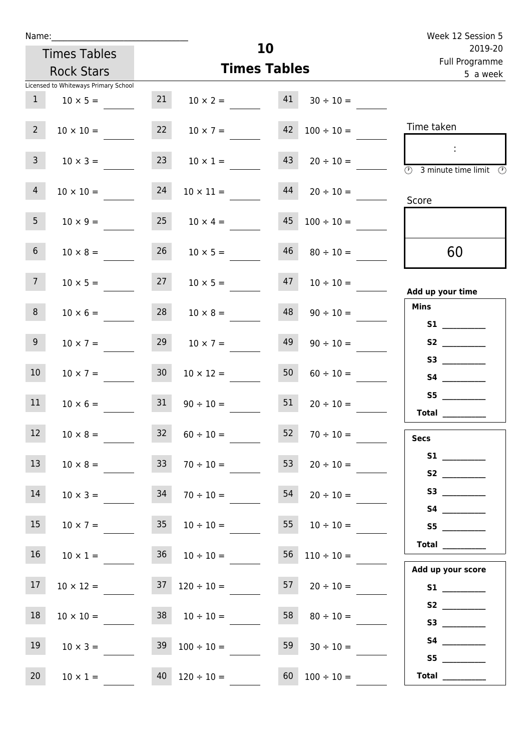|                 |                                                         |                 |                           |    |                 | Week 12 Session 5                                                                                                                                                                                                                                                                                                                                                                                                                                                                                                                                                                                                                        |
|-----------------|---------------------------------------------------------|-----------------|---------------------------|----|-----------------|------------------------------------------------------------------------------------------------------------------------------------------------------------------------------------------------------------------------------------------------------------------------------------------------------------------------------------------------------------------------------------------------------------------------------------------------------------------------------------------------------------------------------------------------------------------------------------------------------------------------------------------|
|                 | <b>Times Tables</b><br><b>Rock Stars</b>                |                 | 10<br><b>Times Tables</b> |    |                 | 2019-20<br>Full Programme<br>5 a week                                                                                                                                                                                                                                                                                                                                                                                                                                                                                                                                                                                                    |
| 1               | Licensed to Whiteways Primary School<br>$10 \times 5 =$ | 21              | $10 \times 2 =$           | 41 | $30 \div 10 =$  |                                                                                                                                                                                                                                                                                                                                                                                                                                                                                                                                                                                                                                          |
| 2 <sup>7</sup>  | $10 \times 10 =$                                        | 22              | $10 \times 7 =$           | 42 | $100 \div 10 =$ | Time taken                                                                                                                                                                                                                                                                                                                                                                                                                                                                                                                                                                                                                               |
| 3 <sup>7</sup>  | $10 \times 3 =$                                         | 23              | $10 \times 1 =$           | 43 | $20 \div 10 =$  | $\overline{\bigcirc}$ 3 minute time limit                                                                                                                                                                                                                                                                                                                                                                                                                                                                                                                                                                                                |
| $\overline{4}$  | $10 \times 10 =$                                        | 24              | $10 \times 11 =$          | 44 | $20 \div 10 =$  | Score                                                                                                                                                                                                                                                                                                                                                                                                                                                                                                                                                                                                                                    |
| 5 <sub>1</sub>  | $10 \times 9 =$                                         | 25              | $10 \times 4 =$           | 45 | $100 \div 10 =$ |                                                                                                                                                                                                                                                                                                                                                                                                                                                                                                                                                                                                                                          |
| $6\overline{6}$ | $10 \times 8 =$                                         | 26              | $10 \times 5 =$           | 46 | $80 \div 10 =$  | 60                                                                                                                                                                                                                                                                                                                                                                                                                                                                                                                                                                                                                                       |
| 7 <sup>7</sup>  | $10 \times 5 =$                                         | 27              | $10 \times 5 =$           | 47 | $10 \div 10 =$  | Add up your time                                                                                                                                                                                                                                                                                                                                                                                                                                                                                                                                                                                                                         |
| 8               | $10 \times 6 =$                                         | 28              | $10 \times 8 =$           | 48 | $90 \div 10 =$  | <b>Mins</b>                                                                                                                                                                                                                                                                                                                                                                                                                                                                                                                                                                                                                              |
| 9 <sub>o</sub>  | $10 \times 7 =$                                         | 29              | $10 \times 7 =$           | 49 | $90 \div 10 =$  | S <sub>2</sub> and the set of the set of the set of the set of the set of the set of the set of the set of the set of the set of the set of the set of the set of the set of the set of the set of the set of the set of the set of the                                                                                                                                                                                                                                                                                                                                                                                                  |
| 10 <sup>°</sup> | $10 \times 7 =$                                         | 30 <sub>o</sub> | $10 \times 12 =$          | 50 | $60 \div 10 =$  |                                                                                                                                                                                                                                                                                                                                                                                                                                                                                                                                                                                                                                          |
| 11              | $10 \times 6 =$                                         | 31              | $90 \div 10 =$            | 51 | $20 \div 10 =$  | S5 and the state of the state of the state of the state of the state of the state of the state of the state of the state of the state of the state of the state of the state of the state of the state of the state of the sta<br><b>Total</b>                                                                                                                                                                                                                                                                                                                                                                                           |
| 12              | $10 \times 8 =$                                         | 32              | $60 \div 10 =$            | 52 | $70 \div 10 =$  | <b>Secs</b>                                                                                                                                                                                                                                                                                                                                                                                                                                                                                                                                                                                                                              |
| 13              | $10 \times 8 =$                                         |                 | $33 \t 70 \div 10 =$      | 53 | $20 \div 10 =$  |                                                                                                                                                                                                                                                                                                                                                                                                                                                                                                                                                                                                                                          |
| 14              | $10 \times 3 =$                                         | 34              | $70 \div 10 =$            | 54 | $20 \div 10 =$  |                                                                                                                                                                                                                                                                                                                                                                                                                                                                                                                                                                                                                                          |
| 15              | $10 \times 7 =$                                         |                 | $35 \t10 \div 10 =$       | 55 | $10 \div 10 =$  | S5                                                                                                                                                                                                                                                                                                                                                                                                                                                                                                                                                                                                                                       |
| 16              | $10 \times 1 =$                                         | 36              | $10 \div 10 =$            | 56 | $110 \div 10 =$ | $\begin{tabular}{c} Total & \underline{\hspace{1cm}} & \underline{\hspace{1cm}} & \underline{\hspace{1cm}} & \underline{\hspace{1cm}} & \underline{\hspace{1cm}} & \underline{\hspace{1cm}} & \underline{\hspace{1cm}} & \underline{\hspace{1cm}} & \underline{\hspace{1cm}} & \underline{\hspace{1cm}} & \underline{\hspace{1cm}} & \underline{\hspace{1cm}} & \underline{\hspace{1cm}} & \underline{\hspace{1cm}} & \underline{\hspace{1cm}} & \underline{\hspace{1cm}} & \underline{\hspace{1cm}} & \underline{\hspace{1cm}} & \underline{\hspace{1cm}} & \underline{\hspace{1cm}} & \underline{\hspace{1cm}} &$<br>Add up your score |
| 17              | $10 \times 12 =$                                        | 37              | $120 \div 10 =$           | 57 | $20 \div 10 =$  |                                                                                                                                                                                                                                                                                                                                                                                                                                                                                                                                                                                                                                          |
| 18              | $10 \times 10 =$                                        |                 | $38 \t 10 \div 10 =$      | 58 | $80 \div 10 =$  |                                                                                                                                                                                                                                                                                                                                                                                                                                                                                                                                                                                                                                          |

19  $10 \times 3 =$  39  $100 \div 10 =$  59  $30 \div 10 =$ 20  $10 \times 1 =$  40  $120 \div 10 =$  60  $100 \div 10 =$ 

 **S4 \_\_\_\_\_\_\_\_\_\_\_\_ S5 \_\_\_\_\_\_\_\_\_\_\_\_ Total \_\_\_\_\_\_\_\_\_\_\_\_**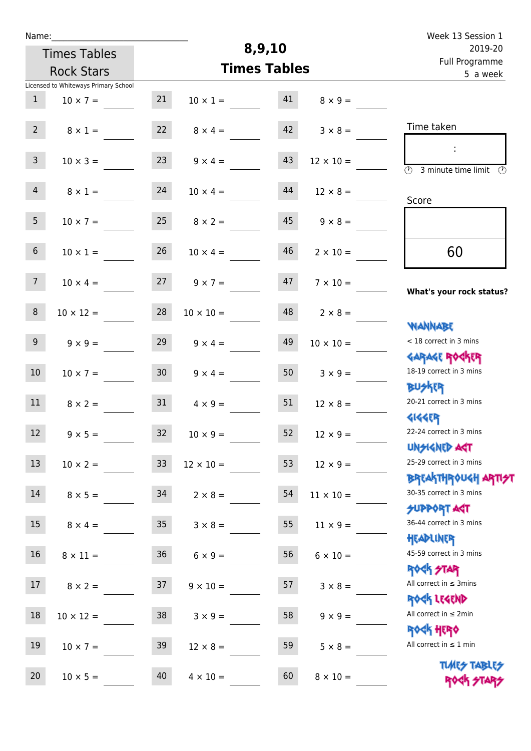| Name:            |                                      |                 |                  |                     |                  | Week 13 Session 1                                                                                                         |
|------------------|--------------------------------------|-----------------|------------------|---------------------|------------------|---------------------------------------------------------------------------------------------------------------------------|
|                  | <b>Times Tables</b>                  |                 |                  | 8,9,10              |                  | 2019-20                                                                                                                   |
|                  | <b>Rock Stars</b>                    |                 |                  | <b>Times Tables</b> |                  | Full Programme<br>5 a week                                                                                                |
|                  | Licensed to Whiteways Primary School |                 |                  |                     |                  |                                                                                                                           |
| $\mathbf{1}$     | $10 \times 7 =$                      | 21              | $10 \times 1 =$  | 41                  | $8 \times 9 =$   |                                                                                                                           |
| 2 <sup>7</sup>   | $8 \times 1 =$                       | 22              | $8 \times 4 =$   | 42                  | $3 \times 8 =$   | Time taken                                                                                                                |
| $\mathbf{3}$     | $10 \times 3 =$                      | 23              | $9 \times 4 =$   | 43                  | $12 \times 10 =$ | $\mathcal{L}$<br>$\overline{(\mathcal{V})}$<br>3 minute time limit $\circled{0}$                                          |
| $\overline{4}$   | $8 \times 1 =$                       | 24              | $10 \times 4 =$  | 44                  | $12 \times 8 =$  | Score                                                                                                                     |
| 5 <sub>1</sub>   | $10 \times 7 =$                      | 25              | $8 \times 2 =$   | 45                  | $9 \times 8 =$   |                                                                                                                           |
| 6 <sup>1</sup>   | $10 \times 1 =$                      | 26              | $10 \times 4 =$  | 46                  | $2 \times 10 =$  | 60                                                                                                                        |
| 7 <sup>7</sup>   | $10 \times 4 =$                      | 27              | $9 \times 7 =$   | 47                  | $7 \times 10 =$  | What's your rock status?                                                                                                  |
| 8                | $10 \times 12 =$                     | 28              | $10 \times 10 =$ | 48                  | $2 \times 8 =$   | <b>NANNABE</b>                                                                                                            |
| 9 <sup>°</sup>   | $9 \times 9 =$                       | 29              | $9 \times 4 =$   | 49                  | $10 \times 10 =$ | < 18 correct in 3 mins<br><b>GARAGE ROCKER</b>                                                                            |
| 10 <sup>°</sup>  | $10 \times 7 =$                      | 30 <sup>1</sup> | $9 \times 4 =$   | 50                  | $3 \times 9 =$   | 18-19 correct in 3 mins<br><b>BUSKRR</b>                                                                                  |
| 11               | $8 \times 2 =$                       | 31              | $4 \times 9 =$   | 51                  | $12 \times 8 =$  | 20-21 correct in 3 mins<br><b>4144EP</b>                                                                                  |
| 12 <sup>12</sup> | $9 \times 5 =$                       | 32              | $10\times9=$     | 52                  | $12 \times 9 =$  | 22-24 correct in 3 mins<br><b>UNSIGNED AST</b>                                                                            |
| 13               | $10 \times 2 =$                      | 33 <sup>°</sup> | $12 \times 10 =$ | 53                  | $12 \times 9 =$  | 25-29 correct in 3 mins                                                                                                   |
| 14               | $8 \times 5 =$                       | 34              | $2 \times 8 =$   | 54                  | $11 \times 10 =$ | <mark>ΒΡ</mark> ξΑ <mark>\ΤΗΡ</mark> ΦUGH <mark>ΑΡΤΙ<del>2</del>Τ</mark><br>30-35 correct in 3 mins<br><b>SUPPORT AGT</b> |
| 15               | $8 \times 4 =$                       | 35 <sub>1</sub> | $3 \times 8 =$   | 55                  | $11 \times 9 =$  | 36-44 correct in 3 mins<br>HEADLINER                                                                                      |
| 16               | $8 \times 11 =$                      | 36              | $6 \times 9 =$   | 56                  | $6 \times 10 =$  | 45-59 correct in 3 mins<br><b>ROCK STAR</b>                                                                               |
| 17               | $8 \times 2 =$                       | 37              | $9 \times 10 =$  | 57                  | $3 \times 8 =$   | All correct in $\leq$ 3mins<br>ROCK LEGEND                                                                                |
| 18               | $10 \times 12 =$                     | 38              | $3 \times 9 =$   | 58                  | $9 \times 9 =$   | All correct in $\leq 2$ min<br><b>ROCK HERO</b>                                                                           |
| 19               | $10 \times 7 =$                      | 39              | $12 \times 8 =$  | 59                  | $5 \times 8 =$   | All correct in $\leq 1$ min                                                                                               |
| 20               | $10 \times 5 =$                      | 40              | $4 \times 10 =$  | 60                  | $8 \times 10 =$  | <b>TUARS TABLES</b><br>ROCK STARS                                                                                         |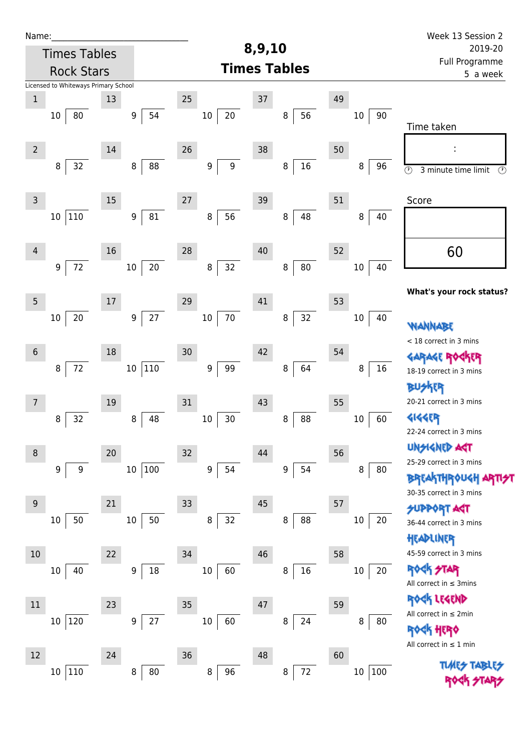| Name:                                |                     |                                |                  |                     |                | Week 13 Session 2                                                       |
|--------------------------------------|---------------------|--------------------------------|------------------|---------------------|----------------|-------------------------------------------------------------------------|
|                                      | <b>Times Tables</b> |                                |                  | 8,9,10              |                | 2019-20                                                                 |
|                                      | <b>Rock Stars</b>   |                                |                  | <b>Times Tables</b> |                | Full Programme<br>5 a week                                              |
| Licensed to Whiteways Primary School |                     |                                |                  |                     |                |                                                                         |
| $\,1$                                | 13                  |                                | 25               | 37                  | 49             |                                                                         |
| 80<br>10                             |                     | 54<br>9                        | 20<br>$10\,$     | 56<br>8             | 90<br>$10\,$   | Time taken                                                              |
| $\overline{2}$                       | 14                  |                                | 26               | 38                  | 50             |                                                                         |
| 32<br>8                              |                     | 88<br>8                        | 9<br>9           | $16\,$<br>8         | 8<br>96        | $\overline{\circ}$<br>3 minute time limit<br>$\circled{r}$              |
| $\mathsf{3}$                         | 15                  |                                | 27               | 39                  | 51             | Score                                                                   |
| $110\,$<br>10                        |                     | ${\bf 81}$<br>$\boldsymbol{9}$ | 56<br>8          | 48<br>8             | 40<br>8        |                                                                         |
| $\overline{4}$                       | 16                  |                                | 28               | 40                  | 52             | 60                                                                      |
| $72\,$<br>9                          |                     | $20\,$<br>$10\,$               | 32<br>$\bf 8$    | $80\,$<br>$\bf 8$   | 40<br>10       |                                                                         |
| $\overline{5}$                       | $17\,$              |                                | 29               | 41                  | 53             | What's your rock status?                                                |
| 20<br>10                             |                     | $27$<br>$\boldsymbol{9}$       | $70\,$<br>$10\,$ | 32<br>8             | $10\,$<br>40   | WANNABE                                                                 |
|                                      |                     |                                |                  |                     |                | < 18 correct in 3 mins                                                  |
| $6\phantom{1}6$                      | 18                  |                                | 30               | 42                  | 54             | <b>GARAGE RO</b><br>化R                                                  |
| $72\,$<br>8                          |                     | $110\,$<br>10 <sup>°</sup>     | 99<br>9          | 64<br>8             | 16<br>8        | 18-19 correct in 3 mins                                                 |
|                                      |                     |                                |                  |                     |                | <b>BUSKER</b>                                                           |
| 7                                    | 19                  |                                | 31               | 43                  | 55             | 20-21 correct in 3 mins                                                 |
| 32<br>8                              |                     | 48<br>8                        | 30<br>$10\,$     | 88<br>8             | 60<br>10       | <b>4144EP</b>                                                           |
|                                      |                     |                                |                  |                     |                | 22-24 correct in 3 mins                                                 |
| $\,8\,$                              | 20                  |                                | 32               | 44                  | 56             | <b>UNSIGNED AGT</b><br>25-29 correct in 3 mins                          |
| 9                                    | 9                   | 100<br>$10\,$                  | 9<br>54          | 54<br>9             | 8<br>80        | <b>BREAKTHROUGH</b>                                                     |
|                                      |                     |                                |                  |                     |                | 30-35 correct in 3 mins                                                 |
| $9\,$                                | 21                  |                                | 33               | 45                  | 57             | <b>SUPPORT AGT</b>                                                      |
| 50<br>10                             |                     | 50<br>$10\,$                   | 32<br>$\bf 8$    | 88<br>8             | 20<br>10       | 36-44 correct in 3 mins                                                 |
|                                      |                     |                                |                  |                     |                | HEADLINER                                                               |
| 10                                   | 22                  |                                | 34               | 46                  | 58             | 45-59 correct in 3 mins                                                 |
| 40<br>10                             |                     | 18<br>9                        | $10\,$<br>60     | $16\,$<br>8         | 20<br>10       | <b>ROCK STAR</b><br>All correct in $\leq$ 3mins                         |
| 11                                   | 23                  |                                | 35               | 47                  | 59             | ROCK LEGEND                                                             |
| 120<br>$10\,$                        |                     | 27<br>9                        | $10\,$<br>60     | 24<br>8             | 8<br>80        | All correct in $\leq 2$ min                                             |
|                                      |                     |                                |                  |                     |                | <b><k b="" her0<=""><br/>All correct in <math>\leq 1</math> min</k></b> |
| 12                                   | 24                  |                                | 36               | 48                  | 60             |                                                                         |
| $110\,$<br>10 <sup>1</sup>           |                     | 80<br>8                        | 96<br>8          | $72\,$<br>8         | 100<br>$10 \,$ | <b>TUARS TABLES</b>                                                     |
|                                      |                     |                                |                  |                     |                |                                                                         |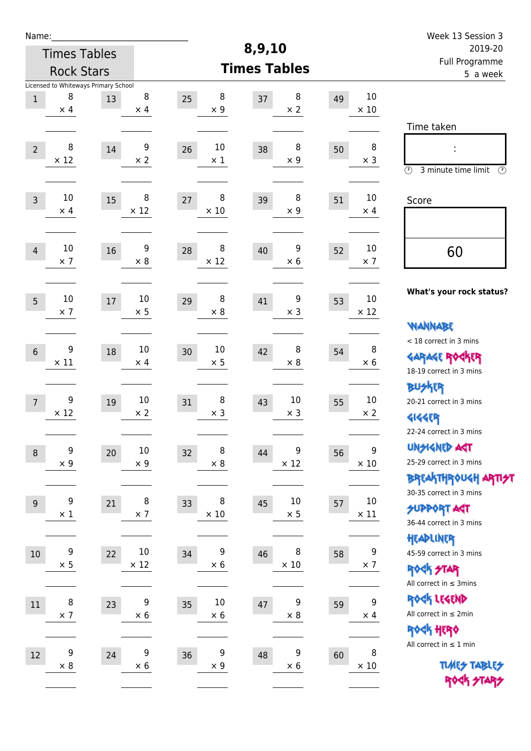| Name:          |                                      |    |                      |                       |                     |                  |    |                   | Week 13 Session 3<br>2019-20                  |  |
|----------------|--------------------------------------|----|----------------------|-----------------------|---------------------|------------------|----|-------------------|-----------------------------------------------|--|
|                | <b>Times Tables</b>                  |    |                      |                       | 8,9,10              |                  |    |                   |                                               |  |
|                | <b>Rock Stars</b>                    |    |                      |                       | <b>Times Tables</b> |                  |    |                   | Full Programme<br>5 a week                    |  |
|                | Licensed to Whiteways Primary School |    |                      |                       |                     |                  |    |                   |                                               |  |
| $\mathbf 1$    | 8<br>$\times$ 4                      | 13 | 8<br>$\times$ 4      | 8<br>25<br>$\times$ 9 | 37                  | 8<br>$\times 2$  | 49 | 10<br>$\times$ 10 |                                               |  |
|                |                                      |    |                      |                       |                     |                  |    |                   |                                               |  |
|                |                                      |    |                      |                       |                     |                  |    |                   | Time taken                                    |  |
| $\overline{2}$ | 8                                    | 14 | 9                    | 10<br>26              | 38                  | 8                | 50 | 8                 | İ,                                            |  |
|                | $\times$ 12                          |    | $\times 2$           | $\times$ 1            |                     | $\times$ 9       |    | $\times$ 3        | $\circled{r}$<br>3 minute time limit<br>⊕     |  |
|                |                                      |    |                      |                       |                     |                  |    |                   |                                               |  |
| $\mathsf{3}$   | 10                                   | 15 | 8                    | 8<br>27               | 39                  | 8                | 51 | 10                | Score                                         |  |
|                | $\times$ 4                           |    | $\times$ 12          | $\times$ 10           |                     | $\times$ 9       |    | $\times$ 4        |                                               |  |
|                |                                      |    |                      |                       |                     |                  |    |                   |                                               |  |
| $\overline{4}$ | 10                                   | 16 | 9                    | 8<br>28               | 40                  | 9                | 52 | 10                | 60                                            |  |
|                | $\times$ 7                           |    | $\times 8$           | $\times$ 12           |                     | $\times$ 6       |    | $\times$ 7        |                                               |  |
|                |                                      |    |                      |                       |                     |                  |    |                   |                                               |  |
| 5              | 10                                   | 17 | 10                   | 8<br>29               | 41                  | 9                | 53 | 10                | What's your rock status?                      |  |
|                | $\times$ 7                           |    | $\times$ 5           | $\times 8$            |                     | $\times$ 3       |    | $\times$ 12       |                                               |  |
|                |                                      |    |                      |                       |                     |                  |    |                   | WANNABE                                       |  |
| 6              | 9                                    | 18 | 10                   | 10<br>30              | 42                  | 8                | 54 | 8                 | < 18 correct in 3 mins                        |  |
|                | $\times$ 11                          |    | $\times$ 4           | $\times$ 5            |                     | $\times 8$       |    | $\times 6$        | <b>GARAGE ROCKER</b>                          |  |
|                |                                      |    |                      |                       |                     |                  |    |                   | 18-19 correct in 3 mins                       |  |
|                |                                      |    |                      |                       |                     |                  |    |                   | <b>BU外界</b>                                   |  |
| $\overline{7}$ | 9<br>$\times$ 12                     | 19 | 10<br>$\times$ 2     | 8<br>31<br>$\times$ 3 | 43                  | 10<br>$\times$ 3 | 55 | 10<br>$\times 2$  | 20-21 correct in 3 mins                       |  |
|                |                                      |    |                      |                       |                     |                  |    |                   | <b>4144EP</b><br>22-24 correct in 3 mins      |  |
|                |                                      |    |                      |                       |                     |                  |    |                   | <b>UNSIGNED AGT</b>                           |  |
| $\,8\,$        | 9<br>$\times$ 9                      | 20 | $10\,$<br>$\times$ 9 | 8<br>32<br>$\times$ 8 | 44                  | 9<br>$\times$ 12 | 56 | 9<br>$\times$ 10  | 25-29 correct in 3 mins                       |  |
|                |                                      |    |                      |                       |                     |                  |    |                   | ΒΡΓΑ <sup>Κ</sup> ΤΗΡΟυΚΗ ΑΡΤΙ <del>2</del> Τ |  |
|                |                                      |    |                      |                       |                     |                  |    |                   | 30-35 correct in 3 mins                       |  |
| $\overline{9}$ | 9                                    | 21 | 8                    | 8<br>33               | 45                  | 10               | 57 | $10\,$            | <b>SUPPORT AGT</b>                            |  |
|                | $\times$ 1                           |    | $\times$ 7           | $\times$ 10           |                     | $\times$ 5       |    | $\times$ 11       | 36-44 correct in 3 mins                       |  |
|                |                                      |    |                      |                       |                     |                  |    |                   | HEADLINER                                     |  |
| $10$           | 9                                    | 22 | $10\,$               | 9<br>34               | 46                  | 8                | 58 | $\boldsymbol{9}$  | 45-59 correct in 3 mins                       |  |
|                | $\times$ 5                           |    | $\times$ 12          | $\times$ 6            |                     | $\times$ 10      |    | $\times$ 7        | <b>ROCK STAR</b>                              |  |
|                |                                      |    |                      |                       |                     |                  |    |                   | All correct in $\leq$ 3mins                   |  |
| 11             | 8                                    | 23 | 9                    | 10<br>35              | 47                  | 9                | 59 | 9                 | ROCK LEGEND                                   |  |
|                | $\times$ 7                           |    | $\times$ 6           | $\times$ 6            |                     | $\times$ 8       |    | $\times$ 4        | All correct in $\leq 2$ min                   |  |
|                |                                      |    |                      |                       |                     |                  |    |                   | ROCK HERO                                     |  |
| 12             | 9                                    | 24 | 9                    | 9<br>36               | 48                  | 9                | 60 | 8                 | All correct in $\leq 1$ min                   |  |
|                | $\times 8$                           |    | $\times 6$           | $\times$ 9            |                     | $\times$ 6       |    | $\times$ 10       | <b>TUARS TABLES</b>                           |  |
|                |                                      |    |                      |                       |                     |                  |    |                   | ROCK STARS                                    |  |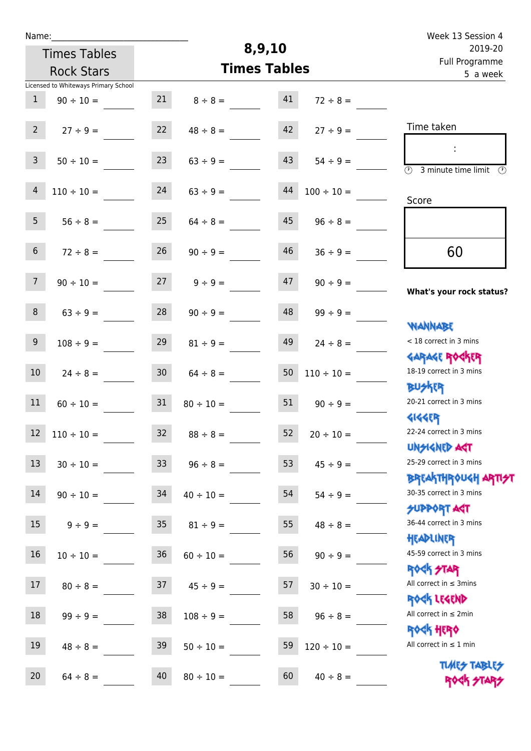| Week 13 Session 4                                                |                 |                     |                |                 |                                      | Name:           |
|------------------------------------------------------------------|-----------------|---------------------|----------------|-----------------|--------------------------------------|-----------------|
| 2019-20                                                          |                 | 8,9,10              |                |                 | <b>Times Tables</b>                  |                 |
| Full Programme<br>5 a week                                       |                 | <b>Times Tables</b> |                |                 | <b>Rock Stars</b>                    |                 |
|                                                                  |                 |                     |                |                 | Licensed to Whiteways Primary School |                 |
|                                                                  | $72 \div 8 =$   | 41                  | $8 \div 8 =$   | 21              | $90 \div 10 =$                       | $\mathbf{1}$    |
| Time taken                                                       | $27 \div 9 =$   | 42                  | $48 \div 8 =$  | 22              | $27 ÷ 9 =$                           | $2^{\circ}$     |
| ÷<br>$\overline{\odot}$<br>3 minute time limit<br>$\mathcal{O}$  | $54 \div 9 =$   | 43                  | $63 ÷ 9 =$     | 23              | $50 \div 10 =$                       | $\overline{3}$  |
| Score                                                            | $100 \div 10 =$ | $44\,$              | $63 \div 9 =$  | 24              | $110 \div 10 =$                      | $\overline{4}$  |
|                                                                  | $96 \div 8 =$   | 45                  | $64 \div 8 =$  | 25              | $56 ÷ 8 =$                           | 5 <sub>1</sub>  |
| 60                                                               | $36 \div 9 =$   | 46                  | $90 \div 9 =$  | 26              | $72 \div 8 =$                        | $\sqrt{6}$      |
| What's your rock status?                                         | $90 \div 9 =$   | 47                  | $9 ÷ 9 =$      | 27              | $90 \div 10 =$                       | 7 <sup>1</sup>  |
| <b>NANNABE</b>                                                   | $99 ÷ 9 =$      | 48                  | $90 \div 9 =$  | 28              | $63 ÷ 9 =$                           | 8               |
| < 18 correct in 3 mins<br><b>GARAGE ROCKER</b>                   | $24 \div 8 =$   | 49                  | $81 \div 9 =$  | 29              | $108 \div 9 =$                       | $9\,$           |
| 18-19 correct in 3 mins<br><b>BUSKER</b>                         | $110 \div 10 =$ | 50                  | $64 \div 8 =$  | 30              | $24 \div 8 =$                        | 10              |
| 20-21 correct in 3 mins<br><b>4144EP</b>                         | $90 \div 9 =$   | 51                  | $80 \div 10 =$ | 31              | $60 \div 10 =$                       | $11\,$          |
| 22-24 correct in 3 mins<br><b>UNSIGNED AST</b>                   | $20 \div 10 =$  | 52                  | $88 \div 8 =$  | 32              | $12 \quad 110 \div 10 =$             |                 |
| 25-29 correct in 3 mins<br><b>BREAKTHROUGH ARTI<del>S</del>T</b> | $45 \div 9 =$   | 53                  | $96 \div 8 =$  | 33 <sup>°</sup> | $30 \div 10 =$                       | 13              |
| 30-35 correct in 3 mins<br><b>SUPPORT AGT</b>                    | $54 \div 9 =$   | 54                  | $40 \div 10 =$ | 34              | $90 \div 10 =$                       | 14              |
| 36-44 correct in 3 mins<br>HEADLINER                             | $48 \div 8 =$   | 55                  | $81 \div 9 =$  | 35 <sub>5</sub> | $9 \div 9 =$                         | 15              |
| 45-59 correct in 3 mins<br><b>ROCK STAR</b>                      | $90 \div 9 =$   | 56                  | $60 \div 10 =$ | 36              | $10 \div 10 =$                       | 16              |
| All correct in $\leq$ 3mins<br>ROCK LEGEND                       | $30 \div 10 =$  | 57                  | $45 \div 9 =$  | 37              | $80 \div 8 =$                        | 17              |
| All correct in $\leq 2$ min<br><b>ROCK HERO</b>                  | $96 \div 8 =$   | 58                  | $108 \div 9 =$ | 38              | $99 \div 9 =$                        | 18              |
| All correct in $\leq 1$ min<br><b>TUARS TABLES</b>               | $120 \div 10 =$ | 59                  | $50 \div 10 =$ | 39              | $48 \div 8 =$                        | 19              |
| ROCK STARS                                                       | $40 \div 8 =$   | 60                  | $80 \div 10 =$ | 40              | $64 \div 8 =$                        | 20 <sub>2</sub> |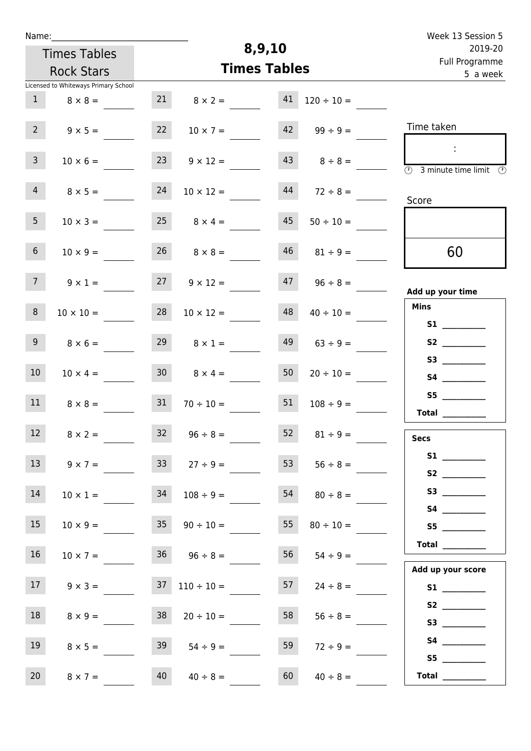| Name:                                |                  |                                   |                      |                     | Week 13 Session 5                                                                                                                                                                                                                                                                                                                                                                                                                                                                                                                                                                                                         |
|--------------------------------------|------------------|-----------------------------------|----------------------|---------------------|---------------------------------------------------------------------------------------------------------------------------------------------------------------------------------------------------------------------------------------------------------------------------------------------------------------------------------------------------------------------------------------------------------------------------------------------------------------------------------------------------------------------------------------------------------------------------------------------------------------------------|
| <b>Times Tables</b>                  |                  |                                   | 8,9,10               |                     | 2019-20                                                                                                                                                                                                                                                                                                                                                                                                                                                                                                                                                                                                                   |
| <b>Rock Stars</b>                    |                  |                                   | <b>Times Tables</b>  |                     | Full Programme<br>5 a week                                                                                                                                                                                                                                                                                                                                                                                                                                                                                                                                                                                                |
| Licensed to Whiteways Primary School |                  |                                   |                      |                     |                                                                                                                                                                                                                                                                                                                                                                                                                                                                                                                                                                                                                           |
| 1                                    | $8 \times 8 =$   | 21                                | 41<br>$8 \times 2 =$ | $120 \div 10 =$     |                                                                                                                                                                                                                                                                                                                                                                                                                                                                                                                                                                                                                           |
| $2^{\circ}$                          | $9 \times 5 =$   | 22<br>$10 \times 7 =$             |                      | $42 \t 99 \div 9 =$ | Time taken                                                                                                                                                                                                                                                                                                                                                                                                                                                                                                                                                                                                                |
| 3 <sup>7</sup>                       | $10 \times 6 =$  | 23<br>$9 \times 12 =$             |                      | $43 \t 8 \div 8 =$  | $\sim$<br>$\overline{\textcircled{1}}$ 3 minute time limit $\overline{\textcircled{1}}$                                                                                                                                                                                                                                                                                                                                                                                                                                                                                                                                   |
| 4 <sup>1</sup>                       | $8 \times 5 =$   | 24<br>$10 \times 12 =$            | 44                   | $72 \div 8 =$       | Score                                                                                                                                                                                                                                                                                                                                                                                                                                                                                                                                                                                                                     |
| 5 <sub>1</sub>                       | $10 \times 3 =$  | $25 \t 8 \times 4 =$              | 45                   | $50 \div 10 =$      |                                                                                                                                                                                                                                                                                                                                                                                                                                                                                                                                                                                                                           |
| 6 <sup>1</sup>                       | $10 \times 9 =$  | $26 \t 8 \times 8 =$              | 46                   | $81 \div 9 =$       | 60                                                                                                                                                                                                                                                                                                                                                                                                                                                                                                                                                                                                                        |
| 7 <sup>7</sup>                       | $9 \times 1 =$   | 27<br>$9 \times 12 =$             | 47                   | $96 \div 8 =$       | Add up your time                                                                                                                                                                                                                                                                                                                                                                                                                                                                                                                                                                                                          |
| 8                                    | $10 \times 10 =$ | 28<br>$10 \times 12 =$            | 48                   | $40 \div 10 =$      | <b>Mins</b><br>S1                                                                                                                                                                                                                                                                                                                                                                                                                                                                                                                                                                                                         |
| 9 <sub>o</sub>                       | $8 \times 6 =$   | 29                                | 49<br>$8 \times 1 =$ | $63 \div 9 =$       |                                                                                                                                                                                                                                                                                                                                                                                                                                                                                                                                                                                                                           |
| 10 <sup>°</sup>                      | $10 \times 4 =$  | 30 <sup>1</sup><br>$8 \times 4 =$ | 50                   | $20 \div 10 =$      |                                                                                                                                                                                                                                                                                                                                                                                                                                                                                                                                                                                                                           |
| 11                                   | $8 \times 8 =$   | 31<br>$70 \div 10 =$              | 51                   | $108 \div 9 =$      | S5<br>Total $\_\_$                                                                                                                                                                                                                                                                                                                                                                                                                                                                                                                                                                                                        |
| 12                                   | $8 \times 2 =$   | $32 \t 96 \div 8 =$               |                      | $52 \t 81 \div 9 =$ | <b>Secs</b>                                                                                                                                                                                                                                                                                                                                                                                                                                                                                                                                                                                                               |
| 13                                   | $9 \times 7 =$   | 33<br>$27 \div 9 =$               | 53                   | $56 \div 8 =$       | S <sub>2</sub> and the set of the set of the set of the set of the set of the set of the set of the set of the set of the set of the set of the set of the set of the set of the set of the set of the set of the set of the set of the                                                                                                                                                                                                                                                                                                                                                                                   |
| 14                                   | $10 \times 1 =$  | 34<br>$108 \div 9 =$              | 54                   | $80 \div 8 =$       |                                                                                                                                                                                                                                                                                                                                                                                                                                                                                                                                                                                                                           |
| 15                                   | $10 \times 9 =$  | $35 \t 90 \div 10 =$              | 55                   | $80 \div 10 =$      | S5                                                                                                                                                                                                                                                                                                                                                                                                                                                                                                                                                                                                                        |
| 16                                   | $10 \times 7 =$  | $36 \t 96 \div 8 =$               | 56                   | $54 \div 9 =$       | Total                                                                                                                                                                                                                                                                                                                                                                                                                                                                                                                                                                                                                     |
| 17                                   | $9 \times 3 =$   | $37 \quad 110 \div 10 =$          | 57                   | $24 \div 8 =$       | Add up your score                                                                                                                                                                                                                                                                                                                                                                                                                                                                                                                                                                                                         |
| 18                                   | $8 \times 9 =$   | 38<br>$20 \div 10 =$              | 58                   | $56 \div 8 =$       |                                                                                                                                                                                                                                                                                                                                                                                                                                                                                                                                                                                                                           |
| 19                                   | $8 \times 5 =$   | 39<br>$54 \div 9 =$               | 59                   | $72 \div 9 =$       |                                                                                                                                                                                                                                                                                                                                                                                                                                                                                                                                                                                                                           |
| 20<br>$8 \times 7 =$                 |                  | 40<br>$40 \div 8 =$               | 60                   | $40 \div 8 =$       | S5<br>$\begin{tabular}{c} Total & \underline{\hspace{1cm}} & \underline{\hspace{1cm}} & \underline{\hspace{1cm}} & \underline{\hspace{1cm}} & \underline{\hspace{1cm}} & \underline{\hspace{1cm}} & \underline{\hspace{1cm}} & \underline{\hspace{1cm}} & \underline{\hspace{1cm}} & \underline{\hspace{1cm}} & \underline{\hspace{1cm}} & \underline{\hspace{1cm}} & \underline{\hspace{1cm}} & \underline{\hspace{1cm}} & \underline{\hspace{1cm}} & \underline{\hspace{1cm}} & \underline{\hspace{1cm}} & \underline{\hspace{1cm}} & \underline{\hspace{1cm}} & \underline{\hspace{1cm}} & \underline{\hspace{1cm}} &$ |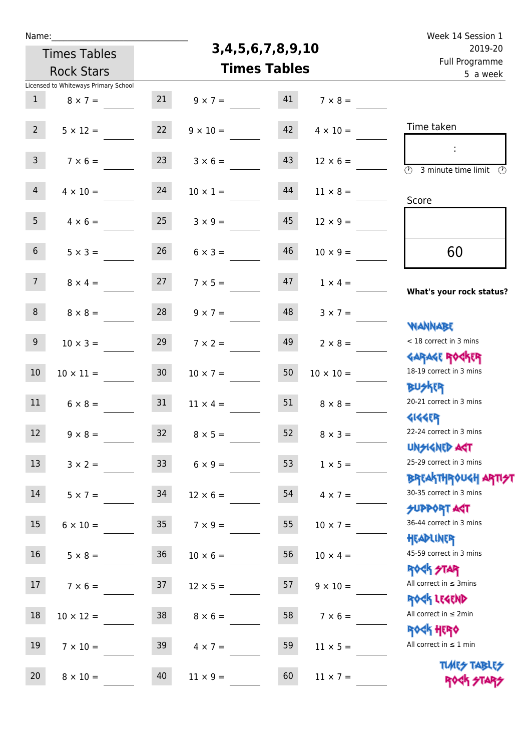| v | am |  |  |
|---|----|--|--|
|   |    |  |  |

Times Tables

## **3,4,5,6,7,8,9,10**

Week 14 Session 1 Full Programme 2019-20

|                 | <b>Times Tables</b><br><b>Rock Stars</b> |                 |                 |    |                  | , un i logiumme<br>5 a week                                     |  |  |
|-----------------|------------------------------------------|-----------------|-----------------|----|------------------|-----------------------------------------------------------------|--|--|
|                 | Licensed to Whiteways Primary School     |                 |                 |    |                  |                                                                 |  |  |
| $\mathbf{1}$    | $8 \times 7 =$                           | 21              | $9 \times 7 =$  | 41 | $7 \times 8 =$   |                                                                 |  |  |
| 2 <sup>7</sup>  | $5 \times 12 =$                          | 22              | $9 \times 10 =$ | 42 | $4 \times 10 =$  | Time taken                                                      |  |  |
|                 |                                          |                 |                 |    |                  | $\mathcal{L}_{\mathcal{C}}$                                     |  |  |
| 3 <sup>7</sup>  | $7 \times 6 =$                           | 23              | $3 \times 6 =$  | 43 | $12 \times 6 =$  | $\overline{(\mathcal{V})}$<br>3 minute time limit $\circled{0}$ |  |  |
| 4 <sup>1</sup>  | $4 \times 10 =$                          | 24              | $10 \times 1 =$ | 44 | $11 \times 8 =$  |                                                                 |  |  |
|                 |                                          |                 |                 |    |                  | Score                                                           |  |  |
| 5 <sub>1</sub>  | $4 \times 6 = 25$                        |                 | $3 \times 9 =$  | 45 | $12 \times 9 =$  |                                                                 |  |  |
| 6 <sup>1</sup>  | $5 \times 3 =$                           | 26              | $6 \times 3 =$  | 46 | $10 \times 9 =$  | 60                                                              |  |  |
|                 |                                          |                 |                 |    |                  |                                                                 |  |  |
| 7 <sup>7</sup>  | $8 \times 4 =$                           | 27              | $7 \times 5 =$  | 47 | $1 \times 4 =$   | What's your rock status?                                        |  |  |
|                 |                                          |                 |                 |    |                  |                                                                 |  |  |
| 8               | $8 \times 8 =$                           | 28              | $9 \times 7 =$  | 48 | $3 \times 7 =$   |                                                                 |  |  |
| 9 <sup>1</sup>  |                                          | 29              |                 | 49 |                  | <b>NANNABE</b><br>< 18 correct in 3 mins                        |  |  |
|                 | $10 \times 3 =$                          |                 | $7 \times 2 =$  |    | $2 \times 8 =$   | <b>GARAGE ROGKER</b>                                            |  |  |
| $10\,$          | $10 \times 11 =$                         | 30 <sub>o</sub> | $10 \times 7 =$ | 50 | $10 \times 10 =$ | 18-19 correct in 3 mins                                         |  |  |
|                 |                                          |                 |                 |    |                  | <b>BUSKRR</b>                                                   |  |  |
| 11              | $6 \times 8 =$                           | 31              | $11 \times 4 =$ | 51 | $8 \times 8 =$   | 20-21 correct in 3 mins                                         |  |  |
|                 |                                          |                 |                 |    |                  | <b>4144ER</b>                                                   |  |  |
| 12              | $9 \times 8 =$                           | 32              | $8 \times 5 =$  | 52 | $8 \times 3 =$   | 22-24 correct in 3 mins                                         |  |  |
|                 |                                          |                 |                 |    |                  | <b>UNSIGNED AGT</b>                                             |  |  |
| 13              | $3 \times 2 =$                           | 33 <sup>°</sup> | $6 \times 9 =$  | 53 | $1 \times 5 =$   | 25-29 correct in 3 mins                                         |  |  |
|                 |                                          |                 |                 |    |                  | <b>BREAKTHROUGH ARTI<del>S</del>T</b>                           |  |  |
| 14              | $5 \times 7 =$                           | 34              | $12 \times 6 =$ | 54 | $4 \times 7 =$   | 30-35 correct in 3 mins                                         |  |  |
|                 |                                          |                 |                 |    |                  | <b>SUPPORT ART</b>                                              |  |  |
| 15              | $6 \times 10 = 35$                       |                 | $7 \times 9 =$  | 55 | $10 \times 7 =$  | 36-44 correct in 3 mins                                         |  |  |
|                 |                                          |                 |                 |    |                  | HEADLINER                                                       |  |  |
| 16              | $5 \times 8 =$                           | 36              | $10 \times 6 =$ | 56 | $10 \times 4 =$  | 45-59 correct in 3 mins                                         |  |  |
|                 |                                          |                 |                 |    |                  | ROCK STAR<br>All correct in $\leq$ 3mins                        |  |  |
| 17 <sub>2</sub> | $7 \times 6 =$                           | 37              | $12 \times 5 =$ | 57 | $9 \times 10 =$  | ROCK LEGEND                                                     |  |  |
| 18              | $10 \times 12 =$                         | 38              | $8 \times 6 =$  | 58 | $7 \times 6 =$   | All correct in $\leq 2$ min                                     |  |  |
|                 |                                          |                 |                 |    |                  | ROCK HERO                                                       |  |  |
| 19              | $7 \times 10 =$                          | 39              | $4 \times 7 =$  | 59 | $11 \times 5 =$  | All correct in $\leq 1$ min                                     |  |  |
|                 |                                          |                 |                 |    |                  | <b>TUARS TABLES</b>                                             |  |  |
| 20              | $8 \times 10 =$                          | 40              | $11 \times 9 =$ | 60 | $11 \times 7 =$  | ROCK STA                                                        |  |  |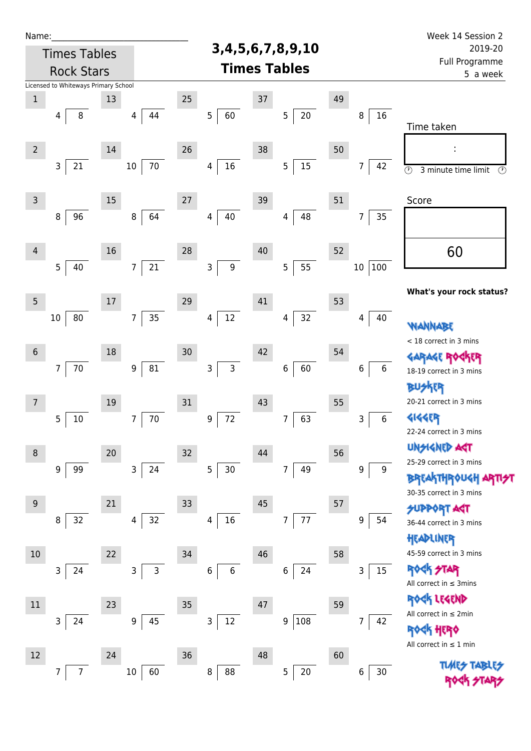| Name:               |                                      |        |                                |    |                            |                     |                           |    |               | Week 14 Session 2                                                      |
|---------------------|--------------------------------------|--------|--------------------------------|----|----------------------------|---------------------|---------------------------|----|---------------|------------------------------------------------------------------------|
| <b>Times Tables</b> |                                      |        |                                |    | 3, 4, 5, 6, 7, 8, 9, 10    |                     | 2019-20                   |    |               |                                                                        |
| <b>Rock Stars</b>   |                                      |        |                                |    |                            | <b>Times Tables</b> |                           |    |               | Full Programme<br>5 a week                                             |
|                     | Licensed to Whiteways Primary School |        |                                |    |                            |                     |                           |    |               |                                                                        |
| $\mathbf 1$         |                                      | 13     |                                | 25 |                            | 37                  |                           | 49 |               |                                                                        |
|                     | 8<br>4                               |        | 44<br>4                        |    | 5<br>60                    |                     | 5<br>20                   |    | 16<br>8       | Time taken                                                             |
| $\overline{2}$      |                                      | 14     |                                | 26 |                            | 38                  |                           | 50 |               |                                                                        |
|                     | $21\,$<br>3                          |        | $70\,$<br>$10\,$               |    | $16\,$<br>4                |                     | $15\,$<br>5               |    | 7<br>42       | $\overline{\circlearrowright}$<br>3 minute time limit<br>$\circled{r}$ |
| $\mathsf{3}$        |                                      | 15     |                                | 27 |                            | 39                  |                           | 51 |               | Score                                                                  |
|                     | 96<br>8                              |        | 64<br>8                        |    | 40<br>4                    |                     | 48<br>4                   |    | 35<br>7       |                                                                        |
| $\overline{4}$      | 5                                    | 16     | $\overline{7}$                 | 28 | 9                          | 40                  | 55                        | 52 |               | 60                                                                     |
|                     | 40                                   |        | $21\,$                         |    | 3                          |                     | 5                         |    | 100<br>$10\,$ | What's your rock status?                                               |
| 5                   |                                      | $17\,$ |                                | 29 |                            | 41                  |                           | 53 |               |                                                                        |
|                     | 80<br>$10\,$                         |        | 35<br>7                        |    | $12\,$<br>4                |                     | 32<br>4                   |    | 40<br>4       | WANNABE                                                                |
| $6\phantom{1}6$     |                                      | 18     |                                | 30 |                            | 42                  |                           | 54 |               | < 18 correct in 3 mins<br><b>GARAGE ROC</b>                            |
|                     | $70\,$<br>$\overline{7}$             |        | ${\bf 81}$<br>$\boldsymbol{9}$ |    | $\mathsf{3}$<br>3          |                     | 60<br>6                   |    | 6<br>6        | 18-19 correct in 3 mins<br><b>BUSKER</b>                               |
| 7                   |                                      | 19     |                                | 31 |                            | 43                  |                           | 55 |               | 20-21 correct in 3 mins                                                |
|                     | 5<br>$10\,$                          |        | $70\,$<br>7                    |    | $72\,$<br>$\boldsymbol{9}$ |                     | 63<br>7                   |    | $\,6\,$<br>3  | <b>4144EP</b><br>22-24 correct in 3 mins                               |
| 8                   |                                      | 20     |                                | 32 |                            | 44                  |                           | 56 |               | <b>UNSIGNED AGT</b>                                                    |
|                     | 9<br>99                              |        | 24<br>$\mathsf{3}$             |    | 5<br>$30\,$                |                     | 49<br>$\overline{7}$      |    | 9<br>9        | 25-29 correct in 3 mins                                                |
|                     |                                      |        |                                |    |                            |                     |                           |    |               | <b>BREAKTHROUGH</b><br>30-35 correct in 3 mins                         |
| 9                   |                                      | 21     |                                | 33 |                            | 45                  |                           | 57 |               | <b>SUPPORT AGT</b>                                                     |
|                     | 32<br>8                              |        | 32<br>4                        |    | 16<br>4                    |                     | $77 \,$<br>$\overline{7}$ |    | 54<br>9       | 36-44 correct in 3 mins<br>HEADLINER                                   |
| $10\,$              |                                      | 22     |                                | 34 |                            | 46                  |                           | 58 |               | 45-59 correct in 3 mins                                                |
|                     | 3<br>24                              |        | $\mathsf{3}$<br>3              |    | 6<br>6                     |                     | 24<br>6                   |    | 15<br>3       | <b>ROCK STAR</b><br>All correct in $\leq$ 3mins                        |
| $11\,$              |                                      | 23     |                                | 35 |                            | 47                  |                           | 59 |               | ROCK LEGEND                                                            |
|                     | 3<br>24                              |        | 45<br>9                        |    | 3<br>12                    |                     | 108<br>9                  |    | 7<br>42       | All correct in $\leq 2$ min<br>HERQ                                    |
| 12                  |                                      | 24     |                                | 36 |                            | 48                  |                           | 60 |               | All correct in $\leq 1$ min                                            |
|                     | $\overline{7}$<br>7                  |        | 60<br>$10\,$                   |    | 88<br>8                    |                     | 20<br>5                   |    | $30$<br>6     | <b>TUARS TABLES</b>                                                    |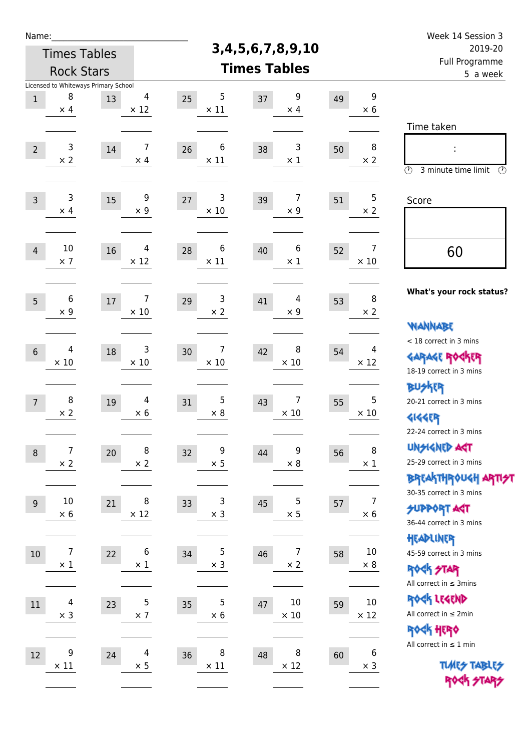| Week 14 Session 3                                                                                           |                               |    |                         |                   |                        | Name:                        |                                      |                                |                  |  |  |
|-------------------------------------------------------------------------------------------------------------|-------------------------------|----|-------------------------|-------------------|------------------------|------------------------------|--------------------------------------|--------------------------------|------------------|--|--|
| 2019-20<br><b>Full Programme</b>                                                                            |                               |    | 3, 4, 5, 6, 7, 8, 9, 10 |                   | <b>Times Tables</b>    |                              |                                      |                                |                  |  |  |
| 5 a week                                                                                                    |                               |    | <b>Times Tables</b>     | <b>Rock Stars</b> |                        |                              |                                      |                                |                  |  |  |
|                                                                                                             |                               |    |                         |                   |                        |                              | Licensed to Whiteways Primary School |                                |                  |  |  |
|                                                                                                             | 9<br>$\times$ 6               | 49 | 9<br>$\times$ 4         | 37                | 5<br>25<br>$\times$ 11 | 4<br>$\times$ 12             | 13                                   | 8<br>$\times$ 4                | $\,1\,$          |  |  |
| Time taken                                                                                                  |                               |    |                         |                   |                        |                              |                                      |                                |                  |  |  |
| $\circled{r}$<br>3 minute time limit<br>$\circled{r}$                                                       | 8<br>$\times 2$               | 50 | 3<br>$\times$ 1         | 38                | 6<br>26<br>$\times$ 11 | $\overline{7}$<br>$\times$ 4 | 14                                   | 3<br>$\times$ 2                | $\overline{2}$   |  |  |
| Score                                                                                                       | 5<br>$\times 2$               | 51 | 7<br>$\times$ 9         | 39                | 3<br>27<br>$\times 10$ | 9<br>$\times$ 9              | 15                                   | 3<br>$\times$ 4                | $\overline{3}$   |  |  |
| 60                                                                                                          | $\overline{7}$<br>$\times$ 10 | 52 | 6<br>$\times$ 1         | 40                | 6<br>28<br>$\times$ 11 | 4<br>$\times$ 12             | 16                                   | $10\,$<br>$\times$ 7           | $\overline{4}$   |  |  |
| What's your rock status?                                                                                    | 8<br>$\times 2$               | 53 | 4<br>$\times$ 9         | 41                | 3<br>29<br>$\times 2$  | 7<br>$\times$ 10             | 17                                   | 6<br>$\times$ 9                | 5                |  |  |
| <b>WANNABE</b><br>< 18 correct in 3 mins<br><b>GARAGE ROCKER</b><br>18-19 correct in 3 mins                 | 4<br>$\times$ 12              | 54 | 8<br>$\times$ 10        | 42                | 7<br>30<br>$\times 10$ | 3<br>$\times$ 10             | 18                                   | 4<br>$\times 10$               | $6\,$            |  |  |
| <b>BUSKER</b><br>20-21 correct in 3 mins<br><b>4144EP</b>                                                   | 5<br>$\times$ 10              | 55 | 7<br>$\times$ 10        | 43                | 5<br>31<br>$\times$ 8  | 4<br>$\times$ 6              | 19                                   | 8<br>$\times$ 2                | $\overline{7}$   |  |  |
| 22-24 correct in 3 mins<br>UNSIGNED AGT<br>25-29 correct in 3 mins<br><b>BREAKTHROUGH ARTI<del>S</del>T</b> | 8<br>$\times$ 1               | 56 | 9<br>$\times$ 8         | 44                | 9<br>32<br>$\times$ 5  | 8<br>$\times 2$              | $20\,$                               | $\boldsymbol{7}$<br>$\times$ 2 | $\,8\,$          |  |  |
| 30-35 correct in 3 mins<br><b>SUPPORT ART</b><br>36-44 correct in 3 mins                                    | 7<br>$\times$ 6               | 57 | 5<br>$\times$ 5         | 45                | 3<br>33<br>$\times$ 3  | 8<br>$\times$ 12             | 21                                   | $10\,$<br>$\times$ 6           | $\boldsymbol{9}$ |  |  |
| HEADLINER<br>45-59 correct in 3 mins<br>ROCK STAR                                                           | $10\,$<br>$\times 8$          | 58 | 7<br>$\times$ 2         | 46                | 5<br>34<br>$\times$ 3  | 6<br>$\times$ 1              | 22                                   | $\overline{7}$<br>$\times$ 1   | 10               |  |  |
| All correct in $\leq$ 3mins<br>ROCK LEGEND<br>All correct in $\leq 2$ min                                   | $10\,$<br>$\times$ 12         | 59 | 10<br>$\times$ 10       | 47                | 5<br>35<br>$\times 6$  | 5<br>$\times$ 7              | 23                                   | 4<br>$\times$ 3                | 11               |  |  |
| ROCK HERO<br>All correct in $\leq 1$ min<br><b>TUARS TABLES</b><br>ROCK STARS                               | 6<br>$\times$ 3               | 60 | 8<br>$\times$ 12        | 48                | 8<br>36<br>$\times$ 11 | $\overline{4}$<br>$\times$ 5 | 24                                   | 9<br>$\times$ 11               | 12               |  |  |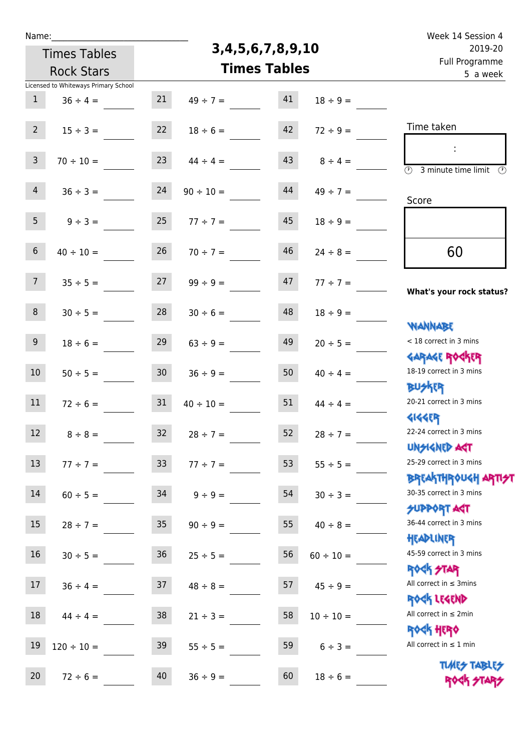| u | am |  |  |
|---|----|--|--|
|   |    |  |  |

## **3,4,5,6,7,8,9,10**

| 2019-20                                                          | 3,4,5,6,7,8,9,10    | <b>Times Tables</b> |                |                 |                                      |                 |  |
|------------------------------------------------------------------|---------------------|---------------------|----------------|-----------------|--------------------------------------|-----------------|--|
| Full Programme<br>5 a week                                       | <b>Times Tables</b> | <b>Rock Stars</b>   |                |                 |                                      |                 |  |
|                                                                  |                     |                     |                |                 | Licensed to Whiteways Primary School |                 |  |
|                                                                  | $18 \div 9 =$       | 41                  | $49 \div 7 =$  | 21              | $36 \div 4 =$                        | $\mathbf{1}$    |  |
| Time taken                                                       | $72 \div 9 =$       | 42                  | $18 \div 6 =$  | 22              | $15 \div 3 =$                        | $2^{\circ}$     |  |
| $\overline{\mathcal{O}}$<br>3 minute time limit<br>$\mathcal{O}$ | $8 \div 4 =$        | 43                  | $44 \div 4 =$  | 23              | $70 \div 10 =$                       | $\mathbf{3}$    |  |
| Score                                                            | $49 \div 7 =$       | 44                  | $90 \div 10 =$ | 24              | $36 \div 3 =$                        | 4               |  |
|                                                                  | $18 \div 9 =$       | 45                  | $77 \div 7 =$  | 25              | $9 \div 3 =$                         | 5 <sub>1</sub>  |  |
| 60                                                               | $24 \div 8 =$       | 46                  | $70 \div 7 =$  | 26              | $40 \div 10 =$                       | $6\phantom{.}6$ |  |
| What's your rock status?                                         | $77 ÷ 7 =$          | 47                  | $99 \div 9 =$  | 27              | $35 \div 5 =$                        | 7 <sup>7</sup>  |  |
| <b>NANNABE</b>                                                   | $18 \div 9 =$       | 48                  | $30 \div 6 =$  | 28              | $30 \div 5 =$                        | 8               |  |
| < 18 correct in 3 mins<br><b>GARAGE ROGKER</b>                   | $20 \div 5 =$       | 49                  | $63 ÷ 9 =$     | 29              | $18 \div 6 =$                        | 9 <sub>o</sub>  |  |
| 18-19 correct in 3 mins<br><b>BUSKER</b>                         | $40 \div 4 =$       | 50                  | $36 \div 9 =$  | 30 <sub>o</sub> | $50 \div 5 =$                        | 10 <sup>°</sup> |  |
| 20-21 correct in 3 mins<br><b>4144ER</b>                         | $44 \div 4 =$       | 51                  | $40 \div 10 =$ | 31              | $72 \div 6 =$                        | 11              |  |
| 22-24 correct in 3 mins<br>UNSIGNED ACT                          | $28 \div 7 =$       | 52                  | $28 \div 7 =$  | 32              | $8 \div 8 =$                         | 12              |  |
| 25-29 correct in 3 mins<br>ΒΡΓΑΚΤΗΡΟUGH ΑΡΤΙ <del>2</del> Τ      | $55 \div 5 =$       | 53                  | $77 ÷ 7 =$     | 33 <sup>°</sup> | $77 ÷ 7 =$                           | 13              |  |
| 30-35 correct in 3 mins<br><b>SUPPORT AGT</b>                    | $30 \div 3 =$       | 54                  | $9 \div 9 =$   | 34              | $60 \div 5 =$                        | 14              |  |
| 36-44 correct in 3 mins<br>HEADLINER                             | $40 \div 8 =$       | 55                  | $90 \div 9 =$  | 35 <sub>2</sub> | $28 \div 7 =$                        | 15              |  |
| 45-59 correct in 3 mins<br><b>ROCK STAR</b>                      | $60 \div 10 =$      | 56                  | $25 \div 5 =$  | 36              | $30 \div 5 =$                        | 16              |  |
| All correct in $\leq$ 3mins<br>ROCK LEGEND                       | $45 \div 9 =$       | 57                  | $48 \div 8 =$  | 37              | $36 \div 4 =$                        | 17 <sub>1</sub> |  |
| All correct in $\leq 2$ min<br><b>ROCK HERO</b>                  | $10 \div 10 =$      | 58                  | $21 \div 3 =$  | 38 <sup>°</sup> | $44 \div 4 =$                        | 18              |  |
| All correct in $\leq 1$ min<br><b>TUARS TABLES</b>               | $6 \div 3 =$        | 59                  | $55 \div 5 =$  | 39              | $120 \div 10 =$                      | 19              |  |
| ROCK STARS                                                       | $18 \div 6 =$       | 60                  | $36 \div 9 =$  | 40              | $72 \div 6 =$                        | 20              |  |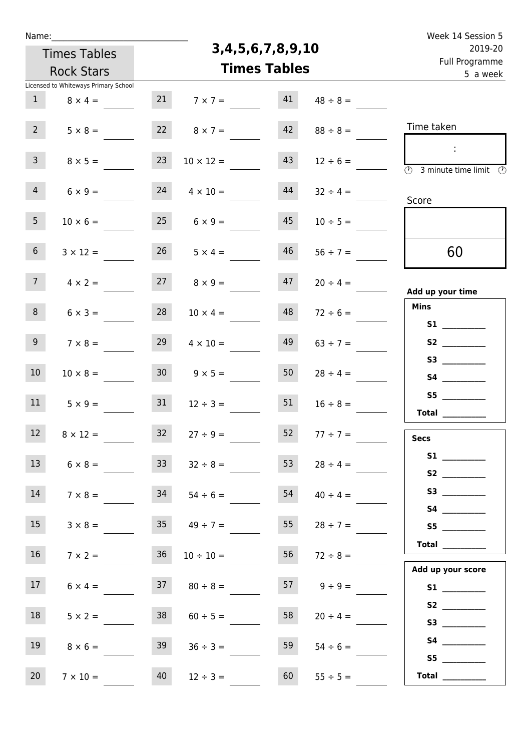| Name: |                     |
|-------|---------------------|
|       | <b>Times Tables</b> |

## **3,4,5,6,7,8,9,10**

| an music de la provincia della provincia di una provincia di una superficie di una disemposizione di<br>5 a week                                                                                                                              |               | <b>Times Tables</b> |                      | <b>Rock Stars</b> |                                                        |                 |  |  |
|-----------------------------------------------------------------------------------------------------------------------------------------------------------------------------------------------------------------------------------------------|---------------|---------------------|----------------------|-------------------|--------------------------------------------------------|-----------------|--|--|
|                                                                                                                                                                                                                                               | $48 \div 8 =$ | 41                  | $7 \times 7 =$       | 21                | Licensed to Whiteways Primary School<br>$8 \times 4 =$ | 1               |  |  |
| Time taken                                                                                                                                                                                                                                    | $88 \div 8 =$ | 42                  | $8 \times 7 =$       | 22                | $5 \times 8 =$                                         | 2 <sup>7</sup>  |  |  |
| $\ddot{\phantom{a}}$<br>$\overline{\textcircled{2}}$ 3 minute time limit $\overline{\textcircled{2}}$                                                                                                                                         | $12 \div 6 =$ | 43                  | $10 \times 12 =$     | 23                | $8 \times 5 =$                                         | 3 <sup>7</sup>  |  |  |
| Score                                                                                                                                                                                                                                         | $32 \div 4 =$ | 44                  | $4 \times 10 =$      | 24                | $6 \times 9 =$                                         | $4 -$           |  |  |
|                                                                                                                                                                                                                                               | $10 \div 5 =$ | 45                  | $25 \t 6 \times 9 =$ |                   | $10 \times 6 =$                                        | 5 <sub>1</sub>  |  |  |
| 60                                                                                                                                                                                                                                            | $56 \div 7 =$ | 46                  | $26 \t 5 \times 4 =$ |                   | $3 \times 12 =$                                        | 6 <sup>1</sup>  |  |  |
| Add up your time                                                                                                                                                                                                                              | $20 \div 4 =$ | 47                  | $8 \times 9 =$       | 27                | $4 \times 2 =$                                         | 7 <sup>7</sup>  |  |  |
| <b>Mins</b><br>S1                                                                                                                                                                                                                             | $72 \div 6 =$ | 48                  | $10 \times 4 =$      | 28                | $6 \times 3 =$                                         | 8               |  |  |
|                                                                                                                                                                                                                                               | $63 \div 7 =$ | 49                  | $4 \times 10 =$      | 29                | $7 \times 8 =$                                         | 9               |  |  |
|                                                                                                                                                                                                                                               | $28 \div 4 =$ | 50                  | $9 \times 5 =$       | 30 <sub>o</sub>   | $10 \times 8 =$                                        | 10 <sup>°</sup> |  |  |
|                                                                                                                                                                                                                                               | $16 \div 8 =$ | 51                  | $12 \div 3 =$        | 31                | $5 \times 9 =$                                         | 11              |  |  |
| <b>Secs</b>                                                                                                                                                                                                                                   | $77 \div 7 =$ | 52                  | $27 \div 9 =$        | 32                | $8 \times 12 =$                                        | 12              |  |  |
| S1<br>S <sub>2</sub> and the set of the set of the set of the set of the set of the set of the set of the set of the set of the set of the set of the set of the set of the set of the set of the set of the set of the set of the set of the | $28 \div 4 =$ | 53                  | $32 \div 8 =$        | 33                | $6 \times 8 =$                                         | 13              |  |  |
| S3                                                                                                                                                                                                                                            | $40 \div 4 =$ | 54                  | $54 \div 6 =$        | 34                | $7 \times 8 =$                                         | 14              |  |  |
| S5                                                                                                                                                                                                                                            | $28 \div 7 =$ | 55                  | $35 \t 49 \div 7 =$  |                   | $3 \times 8 =$                                         | 15              |  |  |
| Total $\_\_$<br>Add up your score                                                                                                                                                                                                             | $72 \div 8 =$ | 56                  | $10 \div 10 =$       | 36 <sup>°</sup>   | $7 \times 2 =$                                         | 16              |  |  |
| S1                                                                                                                                                                                                                                            | $9 \div 9 =$  | 57                  | $80 \div 8 =$        | 37                | $6 \times 4 =$                                         | 17              |  |  |
| S2<br>S3                                                                                                                                                                                                                                      | $20 \div 4 =$ | 58                  | $60 \div 5 =$        | 38                | $5 \times 2 =$                                         | 18              |  |  |
|                                                                                                                                                                                                                                               | $54 \div 6 =$ | 59                  | $36 \div 3 =$        | 39                | $8 \times 6 =$                                         | 19              |  |  |
| Total                                                                                                                                                                                                                                         | $55 \div 5 =$ | 60                  | $12 \div 3 =$        | 40                | $7 \times 10 =$                                        | 20 <sub>2</sub> |  |  |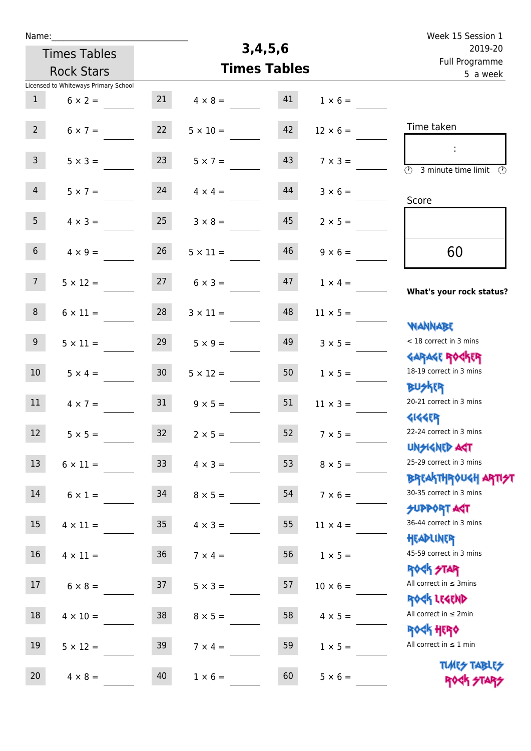| Week 15 Session 1                                                  |  |                 |                     |                 |                     | Name:                                |                  |  |  |  |
|--------------------------------------------------------------------|--|-----------------|---------------------|-----------------|---------------------|--------------------------------------|------------------|--|--|--|
| 2019-20                                                            |  |                 | 3,4,5,6             |                 | <b>Times Tables</b> |                                      |                  |  |  |  |
| Full Programme<br>5 a week                                         |  |                 | <b>Times Tables</b> |                 | <b>Rock Stars</b>   |                                      |                  |  |  |  |
|                                                                    |  |                 |                     |                 |                     | Licensed to Whiteways Primary School |                  |  |  |  |
|                                                                    |  | $1 \times 6 =$  | 41                  | $4 \times 8 =$  | 21                  | $6 \times 2 =$                       | $\mathbf{1}$     |  |  |  |
| Time taken                                                         |  | $12 \times 6 =$ | 42                  | $5 \times 10 =$ | 22                  | $6 \times 7 =$                       | $2^{\circ}$      |  |  |  |
| ÷<br>$\overline{(\Omega)}$<br>3 minute time limit $\circled{0}$    |  | $7 \times 3 =$  | 43                  | $5 \times 7 =$  | 23                  | $5 \times 3 =$                       | 3 <sup>7</sup>   |  |  |  |
| Score                                                              |  | $3 \times 6 =$  | 44                  | $4 \times 4 =$  | 24                  | $5 \times 7 =$                       | 4 <sup>1</sup>   |  |  |  |
|                                                                    |  | $2 \times 5 =$  | 45                  | $3 \times 8 =$  | 25                  | $4 \times 3 =$                       | 5 <sub>1</sub>   |  |  |  |
| 60                                                                 |  | $9 \times 6 =$  | 46                  | $5 \times 11 =$ | 26                  | $4 \times 9 =$                       | 6 <sup>1</sup>   |  |  |  |
| What's your rock status?                                           |  | $1 \times 4 =$  | 47                  | $6 \times 3 =$  | 27                  | $5 \times 12 =$                      | 7 <sup>7</sup>   |  |  |  |
| <b>NANNABE</b>                                                     |  | $11 \times 5 =$ | 48                  | $3 \times 11 =$ | 28                  | $6 \times 11 =$                      | 8                |  |  |  |
| < 18 correct in 3 mins<br><b>GARAGE ROGKER</b>                     |  | $3 \times 5 =$  | 49                  | $5 \times 9 =$  | 29                  | $5 \times 11 =$                      | 9 <sup>°</sup>   |  |  |  |
| 18-19 correct in 3 mins<br><b>BUSKRR</b>                           |  | $1 \times 5 =$  | 50                  | $5 \times 12 =$ | 30 <sup>°</sup>     | $5 \times 4 =$                       | 10 <sup>°</sup>  |  |  |  |
| 20-21 correct in 3 mins<br><b>4144EP</b>                           |  | $11 \times 3 =$ | 51                  | $9 \times 5 =$  | 31                  | $4 \times 7 =$                       | 11               |  |  |  |
| 22-24 correct in 3 mins<br><b>UNGIGNED AGT</b>                     |  | $7 \times 5 =$  | 52                  | $2 \times 5 =$  | 32                  | $5 \times 5 =$                       | 12 <sup>12</sup> |  |  |  |
| 25-29 correct in 3 mins<br><b>ΒΡΓΑΛΤΗΡΟU&lt;Η ΑΡΠ<del>2</del>Τ</b> |  | $8 \times 5 =$  | 53                  | $4 \times 3 =$  | 33                  | $6 \times 11 =$                      | 13               |  |  |  |
| 30-35 correct in 3 mins<br><b>SUPPORT AGT</b>                      |  | $7 \times 6 =$  | 54                  | $8 \times 5 =$  | 34                  | $6 \times 1 =$                       | 14               |  |  |  |
| 36-44 correct in 3 mins<br>HEADLINER                               |  | $11 \times 4 =$ | 55                  | $4 \times 3 =$  | 35                  | $4 \times 11 =$                      | 15               |  |  |  |
| 45-59 correct in 3 mins<br><b>ROCK STAR</b>                        |  | $1 \times 5 =$  | 56                  | $7 \times 4 =$  | 36                  | $4 \times 11 =$                      | 16 <sup>1</sup>  |  |  |  |
| All correct in $\leq$ 3mins<br>ROCK LEGEND                         |  | $10 \times 6 =$ | 57                  | $5 \times 3 =$  | 37                  | $6 \times 8 =$                       | 17               |  |  |  |
| All correct in $\leq 2$ min<br>ROCK HERO                           |  | $4 \times 5 =$  | 58                  | $8 \times 5 =$  | 38                  | $4 \times 10 =$                      | 18               |  |  |  |
| All correct in $\leq 1$ min                                        |  | $1 \times 5 =$  | 59                  | $7 \times 4 =$  | 39                  | $5 \times 12 =$                      | 19               |  |  |  |
| <b>TUARS TABLES</b><br>ROCK STAP                                   |  | $5 \times 6 =$  | 60                  | $1 \times 6 =$  | 40                  | $4 \times 8 =$                       | 20               |  |  |  |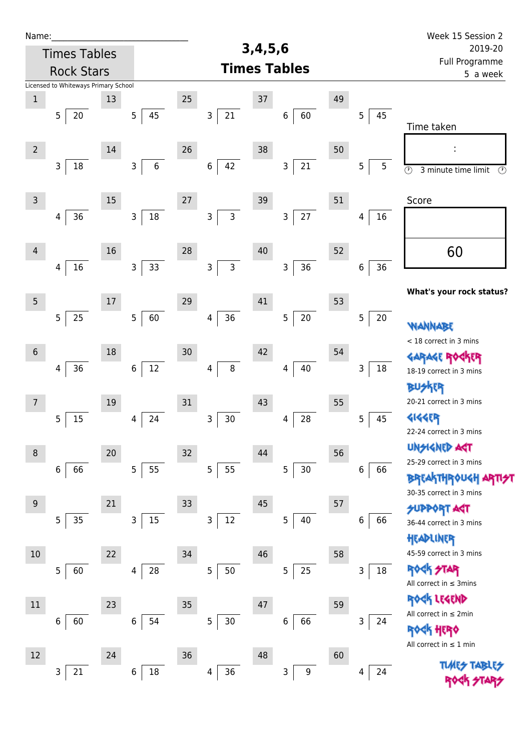| Name:           |                                      |    |                        |                |                            | 3,4,5,6 |                       |    |                   | Week 15 Session 2                                          |
|-----------------|--------------------------------------|----|------------------------|----------------|----------------------------|---------|-----------------------|----|-------------------|------------------------------------------------------------|
|                 | <b>Times Tables</b>                  |    |                        |                | 2019-20                    |         |                       |    |                   |                                                            |
|                 | <b>Rock Stars</b>                    |    |                        |                | Full Programme<br>5 a week |         |                       |    |                   |                                                            |
|                 | Licensed to Whiteways Primary School |    |                        |                |                            |         |                       |    |                   |                                                            |
| $\mathbf 1$     |                                      | 13 |                        | 25             |                            | $37\,$  |                       | 49 |                   |                                                            |
|                 | 5<br>20                              |    | 5 <sub>5</sub><br>45   | 3              | 21                         |         | 60<br>6               |    | 5<br>45           | Time taken                                                 |
| $\overline{2}$  |                                      | 14 |                        | 26             |                            | 38      |                       | 50 |                   |                                                            |
|                 | $\mathsf 3$<br>18                    |    | $\,6\,$<br>3           | $\,$ 6 $\,$    | 42                         |         | 21<br>3               |    | 5<br>5            | $\overline{\odot}$<br>3 minute time limit<br>$\circled{r}$ |
| $\mathsf 3$     |                                      | 15 |                        | 27             |                            | 39      |                       | 51 |                   | Score                                                      |
|                 | 36<br>4                              |    | $18\,$<br>$\mathsf{3}$ | 3              | 3                          |         | 27<br>3               |    | 16<br>4           |                                                            |
| $\overline{4}$  |                                      | 16 |                        | 28             |                            | $40\,$  |                       | 52 |                   | 60                                                         |
|                 | 16<br>4                              |    | 33<br>$\mathsf{3}$     | 3              | $\mathsf{3}$               |         | 36<br>3               |    | 36<br>$\,$ 6 $\,$ |                                                            |
| $5\phantom{.0}$ |                                      | 17 |                        | 29             |                            | 41      |                       | 53 |                   | What's your rock status?                                   |
|                 | 5<br>25                              |    | 60<br>5                | 4              | 36                         |         | $20\,$<br>5           |    | 5<br>20           | WANNABE                                                    |
| $\sqrt{6}$      |                                      | 18 |                        | 30             |                            | 42      |                       | 54 |                   | < 18 correct in 3 mins                                     |
|                 | 36<br>4                              |    | 12<br>6                | 4              | 8                          |         | $40\,$<br>4           |    | 18<br>3           | <b>GARAGE RO</b>                                           |
|                 |                                      |    |                        |                |                            |         |                       |    |                   | 18-19 correct in 3 mins<br>BUSKER                          |
| $\overline{7}$  |                                      | 19 |                        | 31             |                            | 43      |                       | 55 |                   | 20-21 correct in 3 mins                                    |
|                 | 15<br>5                              |    | 24<br>4                | 3              | $30\,$                     |         | 28<br>4               |    | 45<br>5           | 4144EP<br>22-24 correct in 3 mins                          |
| $\,8\,$         |                                      | 20 |                        | 32             |                            | 44      |                       | 56 |                   | <b>UNSIGNED AGT</b>                                        |
|                 | 66<br>6                              |    | 55<br>5                | 5              | 55                         |         | $30\,$<br>5           |    | 6<br>66           | 25-29 correct in 3 mins<br><b>BREAKTHROUGH</b>             |
| 9               |                                      | 21 |                        | 33             |                            | 45      |                       | 57 |                   | 30-35 correct in 3 mins                                    |
|                 | 5<br>35                              |    | 15<br>3                | 3              | $12\,$                     |         | 40<br>5               |    | 66<br>6           | <b>SUPPORT AGT</b><br>36-44 correct in 3 mins<br>HEADLINER |
| $10$            |                                      | 22 |                        | 34             |                            | 46      |                       | 58 |                   | 45-59 correct in 3 mins                                    |
|                 | $\overline{5}$<br>60                 |    | 28<br>4                | 5              | 50                         |         | 25<br>5               |    | $18\,$<br>3       | <b>ROCK STAR</b><br>All correct in $\leq$ 3mins            |
|                 |                                      |    |                        |                |                            |         |                       |    |                   |                                                            |
| $11\,$          |                                      | 23 |                        | 35             |                            | 47      |                       | 59 |                   | ROCK LEGEND<br>All correct in $\leq 2$ min                 |
|                 | 60<br>6                              |    | 54<br>6                | $\overline{5}$ | $30\,$                     |         | 66<br>6               |    | 3<br>24           | HERQ<br>All correct in $\leq 1$ min                        |
| $12\,$          |                                      | 24 |                        | 36             |                            | 48      |                       | 60 |                   |                                                            |
|                 | 21<br>3                              |    | $18\,$<br>6            | 4              | 36                         |         | $\boldsymbol{9}$<br>3 |    | 24<br>4           | <b>TLARS</b>                                               |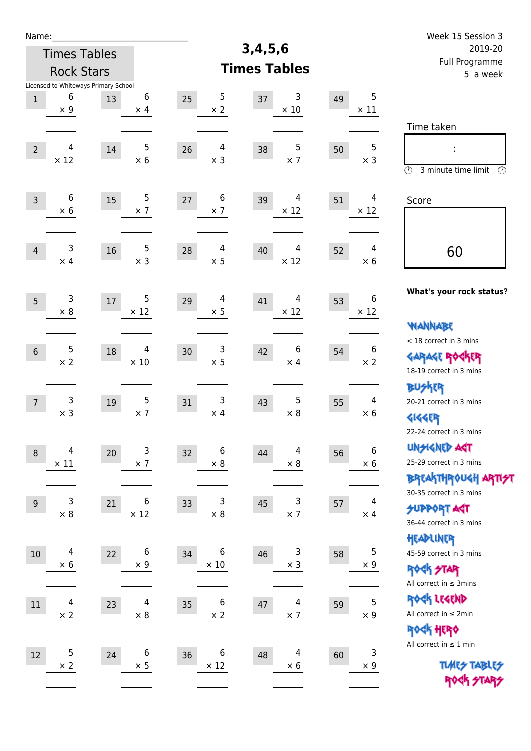| Name:                                    |                                                         |        |                            |                         | 3,4,5,6                |    |                                | Week 15 Session 3                                                                       |
|------------------------------------------|---------------------------------------------------------|--------|----------------------------|-------------------------|------------------------|----|--------------------------------|-----------------------------------------------------------------------------------------|
| <b>Times Tables</b><br><b>Rock Stars</b> |                                                         |        |                            |                         | 2019-20                |    |                                |                                                                                         |
|                                          |                                                         |        |                            |                         | <b>Times Tables</b>    |    |                                | Full Programme<br>5 a week                                                              |
| $1\,$                                    | Licensed to Whiteways Primary School<br>6<br>$\times$ 9 | 13     | 6<br>$\times$ 4            | 5<br>25<br>$\times 2$   | 3<br>37<br>$\times$ 10 | 49 | 5<br>$\times$ 11               |                                                                                         |
| $\overline{2}$                           | 4<br>$\times$ 12                                        | 14     | 5<br>$\times$ 6            | 4<br>26<br>$\times$ 3   | 5<br>38<br>$\times$ 7  | 50 | 5<br>$\times$ 3                | Time taken<br>Ì,<br>$\circled{r}$<br>3 minute time limit<br>⊕                           |
| $\overline{3}$                           | 6<br>$\times 6$                                         | 15     | 5<br>$\times$ 7            | 6<br>$27$<br>$\times$ 7 | 4<br>39<br>$\times$ 12 | 51 | 4<br>$\times$ 12               | Score                                                                                   |
| $\overline{4}$                           | 3<br>$\times$ 4                                         | 16     | 5<br>$\times$ 3            | 4<br>28<br>$\times$ 5   | 4<br>40<br>$\times$ 12 | 52 | 4<br>$\times$ 6                | 60                                                                                      |
| 5                                        | 3<br>$\times 8$                                         | $17\,$ | 5<br>$\times$ 12           | 4<br>29<br>$\times$ 5   | 4<br>41<br>$\times$ 12 | 53 | 6<br>$\times$ 12               | What's your rock status?<br><b>WANNABE</b>                                              |
| $6\phantom{1}6$                          | 5<br>$\times 2$                                         | 18     | 4<br>$\times$ 10           | 3<br>30<br>$\times$ 5   | 6<br>42<br>$\times$ 4  | 54 | 6<br>$\times 2$                | < 18 correct in 3 mins<br><b>GARAGE ROGKER</b><br>18-19 correct in 3 mins               |
| $\overline{7}$                           | 3<br>$\times$ 3                                         | 19     | 5<br>$\times$ 7            | 3<br>31<br>$\times$ 4   | 5<br>43<br>$\times$ 8  | 55 | $\overline{4}$<br>$\times 6$   | <b>BUSKER</b><br>20-21 correct in 3 mins<br><b>4144EP</b><br>22-24 correct in 3 mins    |
| $\boldsymbol{8}$                         | 4<br>$\times$ 11                                        | 20     | $\mathsf{3}$<br>$\times$ 7 | 6<br>32<br>$\times 8$   | 4<br>44<br>$\times$ 8  | 56 | $\boldsymbol{6}$<br>$\times 6$ | <b>UNSIGNED AGT</b><br>25-29 correct in 3 mins<br>ΒΡΓΑΚΤΗΡΟUGH ΑΡΤΙ <del>2</del> Τ      |
| 9                                        | 3<br>$\times$ 8                                         | 21     | 6<br>$\times$ 12           | 3<br>33<br>$\times 8$   | 3<br>45<br>$\times$ 7  | 57 | 4<br>$\times$ 4                | 30-35 correct in 3 mins<br><b>SUPPORT AGT</b><br>36-44 correct in 3 mins                |
| $10\,$                                   | 4<br>$\times$ 6                                         | 22     | 6<br>$\times$ 9            | 6<br>34<br>$\times$ 10  | 3<br>46<br>$\times$ 3  | 58 | 5<br>$\times$ 9                | HEADLINER<br>45-59 correct in 3 mins<br><b>ROCK STAR</b><br>All correct in $\leq$ 3mins |
| 11                                       | $\overline{\mathcal{A}}$<br>$\times$ 2                  | 23     | 4<br>$\times$ 8            | 6<br>35<br>$\times$ 2   | 4<br>47<br>$\times$ 7  | 59 | 5<br>$\times$ 9                | ROCK LEGEND<br>All correct in $\leq 2$ min<br>ROCK HERO                                 |
| 12                                       | 5<br>$\times 2$                                         | 24     | 6<br>$\times$ 5            | 6<br>36<br>$\times$ 12  | 4<br>48<br>$\times$ 6  | 60 | 3<br>$\times$ 9                | All correct in $\leq 1$ min<br><b>TUARS TABLES</b><br>ROCK STARS                        |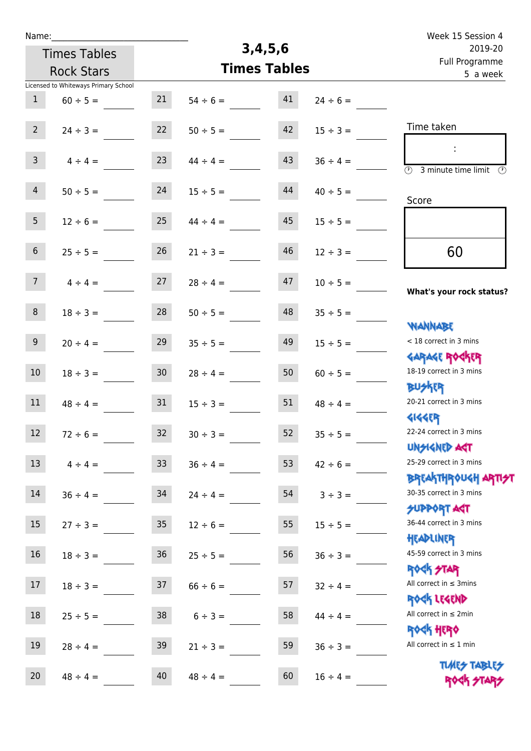| Week 15 Session 4                                                |               |                     |               |                   |                                      | Name:            |
|------------------------------------------------------------------|---------------|---------------------|---------------|-------------------|--------------------------------------|------------------|
| 2019-20<br>Full Programme                                        |               | 3,4,5,6             |               |                   | <b>Times Tables</b>                  |                  |
| 5 a week                                                         |               | <b>Times Tables</b> |               | <b>Rock Stars</b> |                                      |                  |
|                                                                  |               |                     |               |                   | Licensed to Whiteways Primary School |                  |
|                                                                  | $24 \div 6 =$ | 41                  | $54 \div 6 =$ | 21                | $60 \div 5 =$                        | $\mathbf{1}$     |
| Time taken                                                       | $15 \div 3 =$ | 42                  | $50 \div 5 =$ | 22                | $24 \div 3 =$                        | $2^{\circ}$      |
| $\overline{\mathcal{D}}$<br>3 minute time limit<br>$\odot$       | $36 \div 4 =$ | 43                  | $44 \div 4 =$ | 23                | $4 \div 4 =$                         | $\mathbf{3}$     |
| Score                                                            | $40 \div 5 =$ | 44                  | $15 \div 5 =$ | 24                | $50 \div 5 =$                        | $\overline{4}$   |
|                                                                  | $15 \div 5 =$ | 45                  | $44 \div 4 =$ | 25                | $12 \div 6 =$                        | 5 <sub>1</sub>   |
| 60                                                               | $12 \div 3 =$ | 46                  | $21 \div 3 =$ | 26                | $25 \div 5 =$                        | 6                |
| What's your rock status?                                         | $10 \div 5 =$ | 47                  | $28 \div 4 =$ | 27                | $4 \div 4 =$                         | 7 <sup>1</sup>   |
| <b>NANNABE</b>                                                   | $35 \div 5 =$ | 48                  | $50 \div 5 =$ | 28                | $18 \div 3 =$                        | 8                |
| < 18 correct in 3 mins<br><b>GARAGE ROCKER</b>                   | $15 \div 5 =$ | 49                  | $35 \div 5 =$ | 29                | $20 \div 4 =$                        | 9                |
| 18-19 correct in 3 mins<br><b>BUSKER</b>                         | $60 \div 5 =$ | 50                  | $28 \div 4 =$ | 30 <sub>o</sub>   | $18 \div 3 =$                        | $10\,$           |
| 20-21 correct in 3 mins<br><b>4144EP</b>                         | $48 \div 4 =$ | 51                  | $15 \div 3 =$ | 31                | $48 \div 4 =$                        | 11               |
| 22-24 correct in 3 mins<br><b>UNSIGNED AGT</b>                   | $35 \div 5 =$ | 52                  | $30 \div 3 =$ | 32                | $72 \div 6 =$                        | 12 <sup>12</sup> |
| 25-29 correct in 3 mins<br><b>BREAKTHROUGH ARTI<del>S</del>T</b> | $42 \div 6 =$ | 53                  | $36 \div 4 =$ | 33 <sup>2</sup>   | $4 \div 4 =$                         | 13               |
| 30-35 correct in 3 mins<br><b>SUPPORT ART</b>                    | $3 \div 3 =$  | 54                  | $24 \div 4 =$ | 34                | $36 \div 4 =$                        | 14               |
| 36-44 correct in 3 mins<br>HEADLINER                             | $15 \div 5 =$ | 55                  | $12 \div 6 =$ | 35 <sub>o</sub>   | $27 \div 3 =$                        | 15               |
| 45-59 correct in 3 mins<br><b>ROCK STAR</b>                      | $36 \div 3 =$ | 56                  | $25 \div 5 =$ | 36 <sup>°</sup>   | $18 \div 3 =$                        | 16               |
| All correct in $\leq$ 3mins<br>ROCK LEGEND                       | $32 \div 4 =$ | 57                  | $66 \div 6 =$ | 37                | $18 \div 3 =$                        | 17               |
| All correct in $\leq 2$ min<br><b>ROCK HERO</b>                  | $44 \div 4 =$ | 58                  | $6 \div 3 =$  | 38                | $25 \div 5 =$                        | 18               |
| All correct in $\leq 1$ min                                      | $36 \div 3 =$ | 59                  | $21 \div 3 =$ | 39                | $28 \div 4 =$                        | 19               |
| <b>TUARS TABLES</b><br>ROCK STARS                                | $16 \div 4 =$ | 60                  | $48 \div 4 =$ | 40                | $48 \div 4 =$                        | 20               |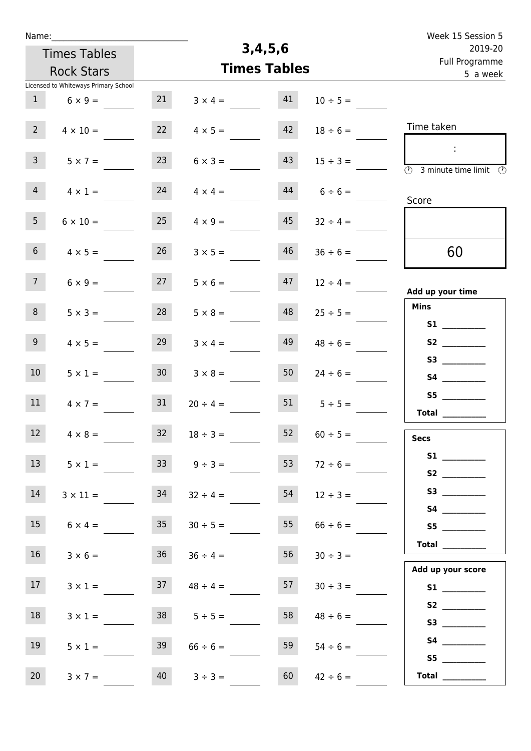| Name:                                |                 |                     |         |               | Week 15 Session 5                                                                              |  |
|--------------------------------------|-----------------|---------------------|---------|---------------|------------------------------------------------------------------------------------------------|--|
| <b>Times Tables</b>                  |                 |                     | 3,4,5,6 |               | 2019-20                                                                                        |  |
| <b>Rock Stars</b>                    |                 | <b>Times Tables</b> |         |               | Full Programme<br>5 a week                                                                     |  |
| Licensed to Whiteways Primary School |                 |                     |         |               |                                                                                                |  |
| 1<br>$6 \times 9 =$                  | 21              | $3 \times 4 =$      | 41      | $10 \div 5 =$ |                                                                                                |  |
| 2 <sup>7</sup><br>$4 \times 10 =$    | 22              | $4 \times 5 =$      | 42      | $18 \div 6 =$ | Time taken                                                                                     |  |
| 3 <sup>7</sup><br>$5 \times 7 =$     | 23              | $6 \times 3 =$      | 43      | $15 \div 3 =$ | $\mathcal{L}_{\mathcal{A}}$<br>$\overline{(\mathcal{V})}$<br>3 minute time limit $\circled{0}$ |  |
| 4<br>$4 \times 1 =$                  | 24              | $4 \times 4 =$      | 44      | $6 \div 6 =$  | Score                                                                                          |  |
| 5 <sub>1</sub><br>$6 \times 10 =$    | 25              | $4 \times 9 =$      | 45      | $32 \div 4 =$ |                                                                                                |  |
| 6 <sup>1</sup><br>$4 \times 5 =$     | 26              | $3 \times 5 =$      | 46      | $36 \div 6 =$ | 60                                                                                             |  |
| 7 <sup>7</sup><br>$6 \times 9 =$     | 27              | $5 \times 6 =$      | 47      | $12 \div 4 =$ | Add up your time                                                                               |  |
| 8<br>$5 \times 3 =$                  | 28              | $5 \times 8 =$      | 48      | $25 \div 5 =$ | <b>Mins</b><br>S1                                                                              |  |
| 9 <sub>o</sub><br>$4 \times 5 =$     | 29              | $3 \times 4 =$      | 49      | $48 \div 6 =$ | S2                                                                                             |  |
| 10 <sup>°</sup><br>$5 \times 1 =$    | 30 <sup>°</sup> | $3 \times 8 =$      | 50      | $24 \div 6 =$ | S4                                                                                             |  |
| 11<br>$4 \times 7 =$                 | 31              | $20 \div 4 =$       | 51      | $5 \div 5 =$  | S5<br>Total $\qquad$                                                                           |  |
| 12<br>$4 \times 8 =$                 | 32              | $18 \div 3 =$       | 52      | $60 \div 5 =$ | <b>Secs</b>                                                                                    |  |
| 13 <sup>7</sup><br>$5 \times 1 =$    | 33 <sup>2</sup> | $9 \div 3 =$        | 53      | $72 \div 6 =$ | S2                                                                                             |  |
| 14<br>$3 \times 11 =$                | 34              | $32 \div 4 =$       | 54      | $12 \div 3 =$ |                                                                                                |  |
| 15<br>$6 \times 4 =$                 | 35              | $30 \div 5 =$       | 55      | $66 \div 6 =$ | S5                                                                                             |  |
| 16 <sup>1</sup><br>$3 \times 6 =$    | 36              | $36 \div 4 =$       | 56      | $30 \div 3 =$ | Total $\_\_$                                                                                   |  |
| 17 <sup>7</sup><br>$3 \times 1 =$    | 37              | $48 \div 4 =$       | 57      | $30 \div 3 =$ | Add up your score<br>S1                                                                        |  |
| 18<br>$3 \times 1 =$                 | 38              | $5 \div 5 =$        | 58      | $48 \div 6 =$ |                                                                                                |  |
| 19<br>$5 \times 1 =$                 | 39              | $66 \div 6 =$       | 59      | $54 \div 6 =$ |                                                                                                |  |
| 20<br>$3 \times 7 =$                 | 40              | $3 ÷ 3 =$           | 60      | $42 \div 6 =$ | S5<br>Total $\frac{1}{2}$                                                                      |  |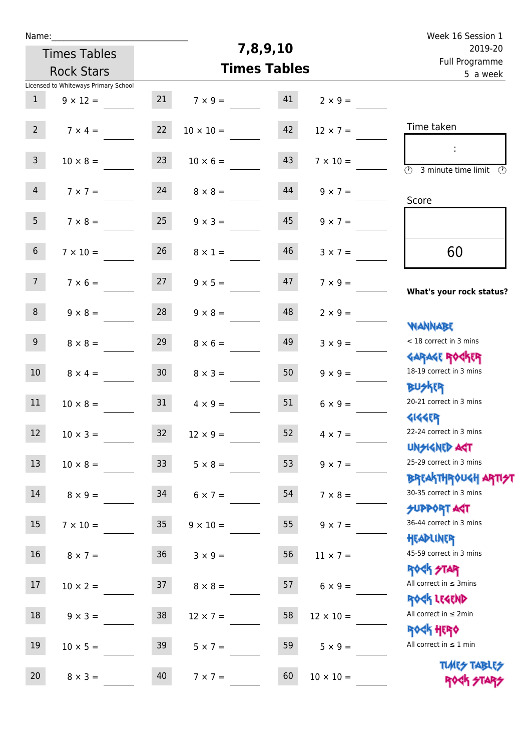| Name:            |                                      |                 |                     |          |                  | Week 16 Session 1                                                |
|------------------|--------------------------------------|-----------------|---------------------|----------|------------------|------------------------------------------------------------------|
|                  | <b>Times Tables</b>                  |                 |                     | 7,8,9,10 |                  | 2019-20<br>Full Programme                                        |
|                  | <b>Rock Stars</b>                    |                 | <b>Times Tables</b> | 5 a week |                  |                                                                  |
|                  | Licensed to Whiteways Primary School |                 |                     |          |                  |                                                                  |
| $\mathbf{1}$     | $9 \times 12 =$                      | 21              | $7 \times 9 =$      | 41       | $2 \times 9 =$   |                                                                  |
| $2^{\circ}$      | $7 \times 4 =$                       | 22              | $10 \times 10 =$    | 42       | $12 \times 7 =$  | Time taken                                                       |
| $\mathbf{3}$     | $10 \times 8 =$                      | 23              | $10 \times 6 =$     | 43       | $7 \times 10 =$  | $\overline{\mathcal{D}}$<br>3 minute time limit $\odot$          |
| $\overline{4}$   | $7 \times 7 =$                       | 24              | $8 \times 8 =$      | 44       | $9 \times 7 =$   | Score                                                            |
| 5 <sub>1</sub>   | $7 \times 8 =$                       | 25              | $9 \times 3 =$      | 45       | $9 \times 7 =$   |                                                                  |
| 6 <sup>1</sup>   | $7 \times 10 =$                      | 26              | $8 \times 1 =$      | 46       | $3 \times 7 =$   | 60                                                               |
| 7 <sup>7</sup>   | $7 \times 6 =$                       | 27              | $9 \times 5 =$      | 47       | $7 \times 9 =$   | What's your rock status?                                         |
| 8                | $9 \times 8 =$                       | 28              | $9 \times 8 =$      | 48       | $2 \times 9 =$   | <b>NANNABE</b>                                                   |
| 9 <sup>1</sup>   | $8 \times 8 =$                       | 29              | $8 \times 6 =$      | 49       | $3 \times 9 =$   | < 18 correct in 3 mins<br><b>GARAGE ROCKER</b>                   |
| 10 <sup>°</sup>  | $8 \times 4 =$                       | 30 <sub>o</sub> | $8 \times 3 =$      | 50       | $9 \times 9 =$   | 18-19 correct in 3 mins<br><b>BUSKRR</b>                         |
| 11               | $10 \times 8 =$                      | 31              | $4 \times 9 =$      | 51       | $6 \times 9 =$   | 20-21 correct in 3 mins<br><b>4144EP</b>                         |
| 12 <sup>12</sup> | $10 \times 3 =$                      | 32              | $12 \times 9 =$     | 52       | $4 \times 7 =$   | 22-24 correct in 3 mins<br><b>UNSIGNED AST</b>                   |
| 13               | $10 \times 8 =$                      | 33              | $5 \times 8 =$      | 53       | $9 \times 7 =$   | 25-29 correct in 3 mins<br><b>BREAKTHROUGH ARTI<del>S</del>T</b> |
| 14               | $8 \times 9 =$                       | 34              | $6 \times 7 =$      | 54       | $7 \times 8 =$   | 30-35 correct in 3 mins<br><b>SUPPORT AGT</b>                    |
| 15 <sub>1</sub>  | $7 \times 10 =$                      | 35 <sub>1</sub> | $9 \times 10 =$     | 55       | $9 \times 7 =$   | 36-44 correct in 3 mins<br>HEADLINER                             |
| 16               | $8 \times 7 =$                       | 36 <sub>1</sub> | $3 \times 9 =$      | 56       | $11 \times 7 =$  | 45-59 correct in 3 mins<br><b>ROCK STAR</b>                      |
| 17               | $10 \times 2 =$                      | 37              | $8 \times 8 =$      | 57       | $6 \times 9 =$   | All correct in $\leq$ 3mins<br>ROCK LEGEND                       |
| 18               | $9 \times 3 =$                       | 38              | $12 \times 7 =$     | 58       | $12 \times 10 =$ | All correct in $\leq 2$ min<br><b>ROCK HERO</b>                  |
| 19               | $10 \times 5 =$                      | 39              | $5 \times 7 =$      | 59       | $5 \times 9 =$   | All correct in $\leq 1$ min                                      |
| 20               | $8 \times 3 =$                       | 40              | $7 \times 7 =$      | 60       | $10 \times 10 =$ | <b>TUARS TABLES</b><br>ROCK STARS                                |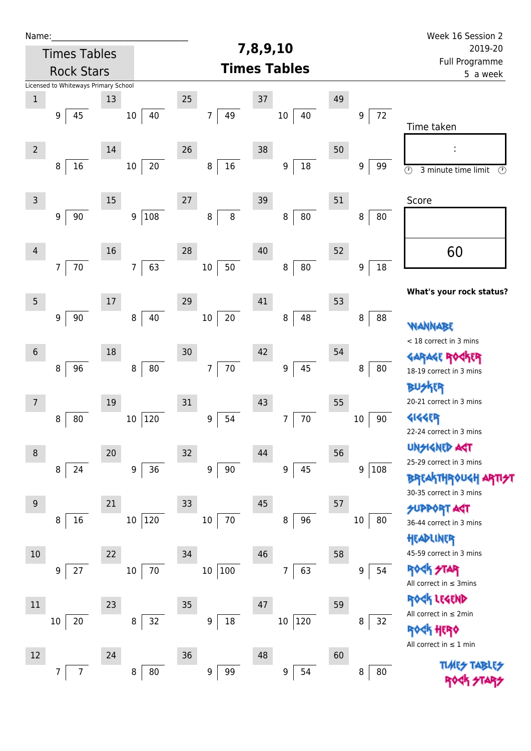| Name:          |                                      |        |                         |                        |                       |              | Week 16 Session 2                                          |
|----------------|--------------------------------------|--------|-------------------------|------------------------|-----------------------|--------------|------------------------------------------------------------|
|                | <b>Times Tables</b>                  |        |                         |                        | 7,8,9,10              |              | 2019-20                                                    |
|                | <b>Rock Stars</b>                    |        |                         |                        | <b>Times Tables</b>   |              | Full Programme<br>5 a week                                 |
|                | Licensed to Whiteways Primary School |        |                         |                        |                       |              |                                                            |
| $\,1$          |                                      | 13     |                         | 25                     | 37                    | 49           |                                                            |
|                | 45<br>9                              |        | 40<br>$10\,$            | 49<br>7                | $10\,$<br>40          | 72<br>9      | Time taken                                                 |
| $\overline{2}$ |                                      | $14\,$ |                         | 26                     | 38                    | 50           |                                                            |
|                | 8<br>16                              |        | $20\,$<br>$10\,$        | $16\,$<br>$\, 8$       | $18\,$<br>9           | 9<br>99      | $\overline{\circ}$<br>3 minute time limit<br>$\circled{r}$ |
| $\mathsf{3}$   |                                      | 15     |                         | 27                     | 39                    | 51           | Score                                                      |
|                | 90<br>9                              |        | 108<br>$\boldsymbol{9}$ | 8<br>8                 | 80<br>8               | 8<br>80      |                                                            |
| $\overline{4}$ |                                      | 16     |                         | 28                     | 40                    | 52           | 60                                                         |
|                | $70\,$<br>$\overline{7}$             |        | 63<br>$\overline{7}$    | 50<br>$10\,$           | ${\bf 80}$<br>$\bf 8$ | $18\,$<br>9  |                                                            |
| $\sqrt{5}$     |                                      | 17     |                         | 29                     | 41                    | 53           | What's your rock status?                                   |
|                | 90<br>9                              |        | 40<br>8                 | $20\,$<br>$10\,$       | 48<br>8               | 88<br>8      | WANNABE                                                    |
|                |                                      |        |                         |                        |                       |              | < 18 correct in 3 mins                                     |
| $6\,$          |                                      | 18     |                         | 30                     | 42                    | 54           | <b>GARAGE ROC</b><br><b>TR</b>                             |
|                | 96<br>8                              |        | ${\bf 80}$<br>$\,8\,$   | $70\,$<br>7            | 45<br>9               | 80<br>8      | 18-19 correct in 3 mins                                    |
|                |                                      |        |                         |                        |                       |              | <b>BUSKER</b>                                              |
| 7              |                                      | 19     |                         | 31                     | 43                    | 55           | 20-21 correct in 3 mins                                    |
|                | 80<br>8                              |        | 120<br>$10\,$           | 54<br>9                | $70\,$<br>7           | 90<br>10     | <b>4144EP</b>                                              |
|                |                                      |        |                         |                        |                       |              | 22-24 correct in 3 mins<br><b>UNSIGNED AGT</b>             |
| $\,8\,$        |                                      | 20     |                         | 32                     | 44                    | 56           | 25-29 correct in 3 mins                                    |
|                | 24<br>8                              |        | 36<br>$\boldsymbol{9}$  | $\boldsymbol{9}$<br>90 | 45<br>9               | 9<br>108     | <b>BREAKTHROUGH</b>                                        |
|                |                                      |        |                         |                        |                       |              | 30-35 correct in 3 mins                                    |
| 9              |                                      | 21     |                         | 33                     | 45                    | 57           | <b>SUPPORT AGT</b>                                         |
|                | 16<br>8                              |        | 120<br>$10\,$           | 70<br>10               | 96<br>8               | 80<br>$10\,$ | 36-44 correct in 3 mins                                    |
|                |                                      |        |                         |                        |                       |              | HEADLINER                                                  |
| 10             |                                      | 22     |                         | 34                     | 46                    | 58           | 45-59 correct in 3 mins                                    |
|                | 27<br>9                              |        | 70<br>$10\,$            | 100<br>$10\,$          | 63<br>7               | 54<br>9      | <b>ROCK STAR</b><br>All correct in $\leq$ 3mins            |
| 11             |                                      | 23     |                         | 35                     | 47                    | 59           | ROCK LEGEND                                                |
|                | $20\,$<br>10                         |        | 32<br>$\, 8$            | $18\,$<br>9            | 120<br>$10\,$         | 32<br>8      | All correct in $\leq 2$ min                                |
|                |                                      |        |                         |                        |                       |              | <b>ROGK HERO</b><br>All correct in $\leq 1$ min            |
| 12             |                                      | 24     |                         | 36                     | 48                    | 60           |                                                            |
|                | $\overline{7}$<br>7                  |        | 80<br>8                 | 99<br>9                | 54<br>9               | 8<br>80      | <b>TUARS TABLES</b>                                        |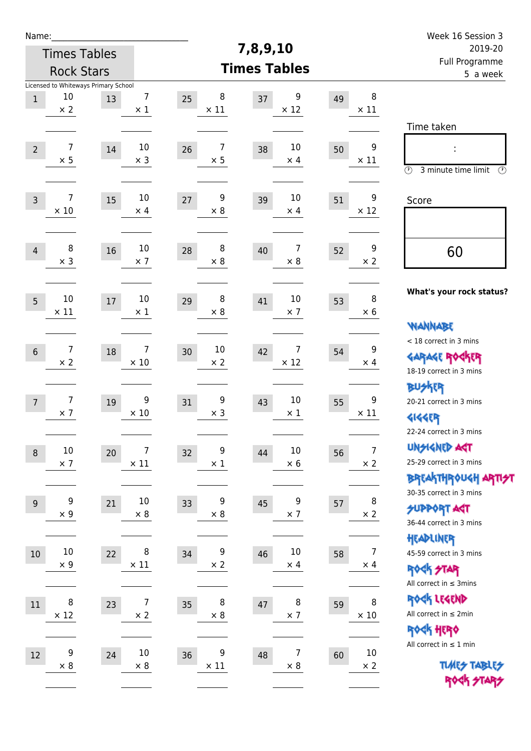| Name:                                    |                      |                                            |                              |                        |    |                      |    |                              | Week 16 Session 3                                                                                                          |
|------------------------------------------|----------------------|--------------------------------------------|------------------------------|------------------------|----|----------------------|----|------------------------------|----------------------------------------------------------------------------------------------------------------------------|
| <b>Times Tables</b><br><b>Rock Stars</b> |                      |                                            |                              | 7,8,9,10               |    |                      |    | 2019-20                      |                                                                                                                            |
|                                          |                      |                                            |                              | <b>Times Tables</b>    |    |                      |    |                              | Full Programme<br>5 a week                                                                                                 |
| $\mathbf 1$                              | 10<br>$\times 2$     | Licensed to Whiteways Primary School<br>13 | $\overline{7}$<br>$\times$ 1 | 8<br>25<br>$\times$ 11 | 37 | 9<br>$\times$ 12     | 49 | 8<br>$\times$ 11             |                                                                                                                            |
| $\overline{2}$                           | 7<br>$\times$ 5      | 14                                         | 10<br>$\times$ 3             | 7<br>26<br>$\times$ 5  | 38 | 10<br>$\times$ 4     | 50 | 9<br>$\times$ 11             | Time taken<br>İ,<br>$\circled{r}$<br>3 minute time limit<br>⊕                                                              |
| $\overline{3}$                           | 7<br>$\times 10$     | 15                                         | $10\,$<br>$\times$ 4         | 9<br>27<br>$\times 8$  | 39 | 10<br>$\times$ 4     | 51 | 9<br>$\times$ 12             | Score                                                                                                                      |
| $\overline{4}$                           | 8<br>$\times$ 3      | 16                                         | 10<br>$\times$ 7             | 8<br>28<br>$\times 8$  | 40 | 7<br>$\times$ 8      | 52 | 9<br>$\times 2$              | 60                                                                                                                         |
| 5                                        | 10<br>$\times$ 11    | 17                                         | 10<br>$\times$ 1             | 8<br>29<br>$\times 8$  | 41 | 10<br>$\times$ 7     | 53 | 8<br>$\times 6$              | What's your rock status?<br>WANNABE                                                                                        |
| $6\,$                                    | 7<br>$\times 2$      | 18                                         | 7<br>$\times$ 10             | 10<br>30<br>$\times 2$ | 42 | 7<br>$\times$ 12     | 54 | 9<br>$\times$ 4              | < 18 correct in 3 mins<br><b>GARAGE ROCKER</b><br>18-19 correct in 3 mins                                                  |
| $\overline{7}$                           | 7<br>$\times$ 7      | 19                                         | 9<br>$\times$ 10             | 9<br>31<br>$\times$ 3  | 43 | 10<br>$\times$ 1     | 55 | 9<br>$\times$ 11             | <b>BU外界</b><br>20-21 correct in 3 mins<br><b>4144EP</b>                                                                    |
| $\,8\,$                                  | $10\,$<br>$\times$ 7 | 20                                         | 7<br>$\times$ 11             | 9<br>32<br>$\times$ 1  | 44 | $10\,$<br>$\times$ 6 | 56 | $\overline{7}$<br>$\times$ 2 | 22-24 correct in 3 mins<br><b>UNSIGNED AGT</b><br>25-29 correct in 3 mins<br>ΒΡΓΑ <sup>Κ</sup> ΤΗΡΟυΚΗ ΑΡΤΙ <del>2</del> Τ |
| 9                                        | 9<br>$\times$ 9      | 21                                         | $10\,$<br>$\times$ 8         | 9<br>33<br>$\times 8$  | 45 | 9<br>$\times$ 7      | 57 | 8<br>$\times 2$              | 30-35 correct in 3 mins<br><b>SUPPORT AGT</b><br>36-44 correct in 3 mins                                                   |
| $10\,$                                   | $10\,$<br>$\times$ 9 | 22                                         | 8<br>$\times$ 11             | 9<br>34<br>$\times 2$  | 46 | $10\,$<br>$\times$ 4 | 58 | 7<br>$\times$ 4              | HEADLINER<br>45-59 correct in 3 mins<br><b>ROCK STAR</b><br>All correct in $\leq$ 3mins                                    |
| 11                                       | 8<br>$\times$ 12     | 23                                         | $\overline{7}$<br>$\times 2$ | 8<br>35<br>$\times$ 8  | 47 | 8<br>$\times$ 7      | 59 | 8<br>$\times$ 10             | ROCK LEGEND<br>All correct in $\leq 2$ min<br>ROCK HERO                                                                    |
| $12\,$                                   | 9<br>$\times 8$      | 24                                         | $10\,$<br>$\times$ 8         | 9<br>36<br>$\times$ 11 | 48 | 7<br>$\times$ 8      | 60 | $10\,$<br>$\times$ 2         | All correct in $\leq 1$ min<br><b>TUARS TABLES</b><br>ROCK STARS                                                           |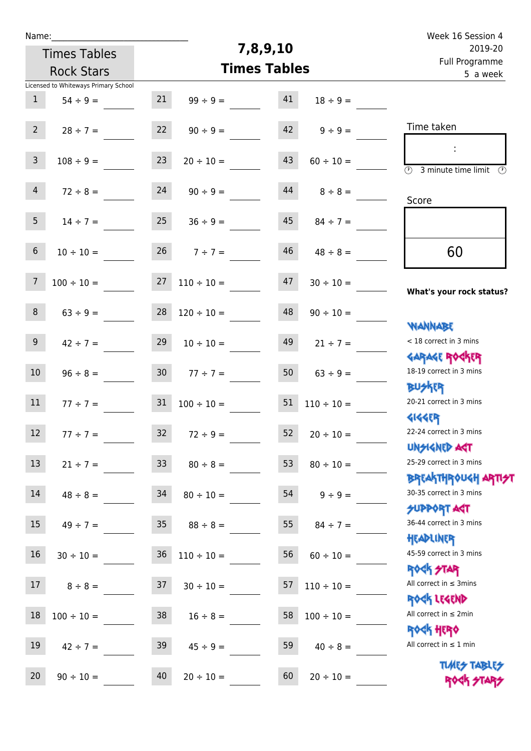| Name:                                                                 | 7,8,9,10                                                 | Week 16 Session 4<br>2019-20                                        |
|-----------------------------------------------------------------------|----------------------------------------------------------|---------------------------------------------------------------------|
| <b>Times Tables</b>                                                   |                                                          | Full Programme                                                      |
| <b>Rock Stars</b>                                                     | <b>Times Tables</b>                                      | 5 a week                                                            |
| Licensed to Whiteways Primary School<br>$\mathbf{1}$<br>$54 \div 9 =$ | 21<br>41<br>$99 \div 9 =$<br>$18 \div 9 =$               |                                                                     |
| $2^{\circ}$<br>$28 \div 7 =$                                          | 22<br>42<br>$90 \div 9 =$<br>$9 \div 9 =$                | Time taken                                                          |
| $\mathsf{3}$<br>$108 \div 9 =$                                        | 23<br>43<br>$20 \div 10 =$<br>$60 \div 10 =$             | $\overline{(\mathfrak{h})}$<br>3 minute time limit<br>$\mathcal{O}$ |
| $\overline{4}$<br>$72 \div 8 =$                                       | 24<br>44<br>$90 \div 9 =$<br>$8 \div 8 =$                | Score                                                               |
| 5 <sub>1</sub><br>$14 \div 7 =$                                       | 25<br>45<br>$36 \div 9 =$<br>$84 \div 7 =$               |                                                                     |
| $\sqrt{6}$<br>$10 \div 10 =$                                          | 26<br>46<br>$7 ÷ 7 =$<br>$48 \div 8 =$                   | 60                                                                  |
| $\overline{7}$<br>$100 \div 10 =$                                     | 27<br>47<br>$110 \div 10 =$<br>$30 \div 10 =$            | What's your rock status?                                            |
| 8<br>$63 \div 9 =$                                                    | 28<br>48<br>$120 \div 10 =$<br>$90 \div 10 =$            | <b>NANNABE</b>                                                      |
| 9 <sup>°</sup><br>$42 \div 7 =$                                       | 29<br>49<br>$10 \div 10 =$<br>$21 \div 7 =$              | < 18 correct in 3 mins<br><b>GARAGE ROCKER</b>                      |
| 10 <sup>°</sup><br>$96 \div 8 =$                                      | 30 <sub>o</sub><br>50<br>$77 \div 7 =$<br>$63 \div 9 =$  | 18-19 correct in 3 mins<br><b>BUSKER</b>                            |
| 11<br>$77 \div 7 =$                                                   | 31<br>51<br>$100 \div 10 =$<br>$110 \div 10 =$           | 20-21 correct in 3 mins<br><b>4144ER</b>                            |
| 12 <sup>7</sup><br>$77 ÷ 7 =$                                         | 32<br>$52 \t 20 \div 10 =$<br>$72 \div 9 =$              | 22-24 correct in 3 mins<br><b>UNSIGNED AGT</b>                      |
| 13<br>$21 \div 7 =$                                                   | 33 <sup>°</sup><br>53<br>$80 \div 8 =$<br>$80 \div 10 =$ | 25-29 correct in 3 mins<br>ΒΡΓΑΚΤΗΡΟUGH ΑΡΤΙ <del>2</del> Τ         |
| 14<br>$48 \div 8 =$                                                   | 34<br>$54 \qquad 9 \div 9 =$<br>$80 \div 10 =$           | 30-35 correct in 3 mins<br><b>SUPPORT AGT</b>                       |
| 15<br>$49 \div 7 =$                                                   | 35 <sub>1</sub><br>55<br>$88 \div 8 =$<br>$84 \div 7 =$  | 36-44 correct in 3 mins<br>HEADLINER                                |
| 16<br>$30 \div 10 =$                                                  | 36<br>56<br>$110 \div 10 =$<br>$60 \div 10 =$            | 45-59 correct in 3 mins<br><b>ROCK STAR</b>                         |
| 17<br>$8 \div 8 =$                                                    | 37<br>57<br>$30 \div 10 =$<br>$110 \div 10 =$            | All correct in $\leq$ 3mins<br>ROCK LEGEND                          |
| 18<br>$100 \div 10 =$                                                 | 38<br>58<br>$100 \div 10 =$<br>$16 \div 8 =$             | All correct in $\leq 2$ min<br><b>ROCK HERO</b>                     |
| 19<br>$42 \div 7 =$                                                   | 59<br>39<br>$45 \div 9 =$<br>$40 \div 8 =$               | All correct in $\leq 1$ min                                         |

20  $90 \div 10 =$   $40$   $20 \div 10 =$   $60$   $20 \div 10 =$ 

Times Tables ROCK STARS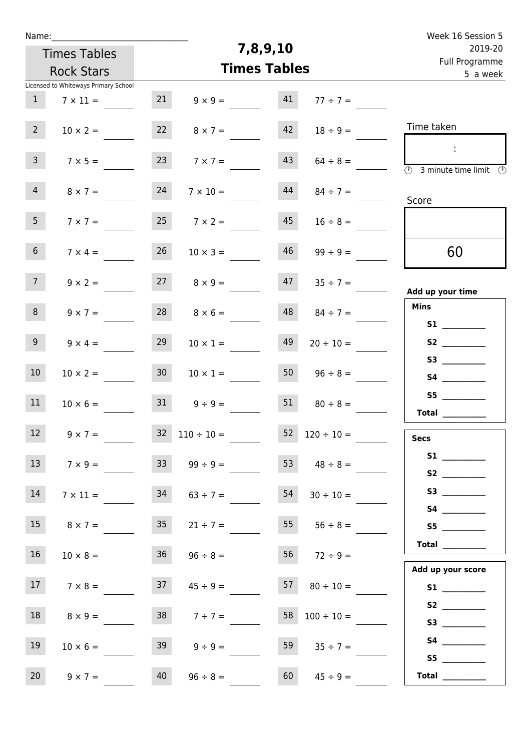| Name:                                |                                                                        | Week 16 Session 5                                                                                            |
|--------------------------------------|------------------------------------------------------------------------|--------------------------------------------------------------------------------------------------------------|
| <b>Times Tables</b>                  | 7,8,9,10                                                               | 2019-20                                                                                                      |
| <b>Rock Stars</b>                    | <b>Times Tables</b>                                                    | Full Programme<br>5 a week                                                                                   |
| Licensed to Whiteways Primary School |                                                                        |                                                                                                              |
| 1<br>$7 \times 11 =$                 | 21<br>41<br>$9 \times 9 =$<br>$77 ÷ 7 =$                               |                                                                                                              |
| $2^{\circ}$<br>$10 \times 2 =$       | 22<br>42<br>$18 \div 9 =$<br>$8 \times 7 =$                            | Time taken                                                                                                   |
| 3 <sup>7</sup><br>$7 \times 5 =$     | 23<br>43<br>$7 \times 7 =$<br>$64 \div 8 =$                            | $\mathcal{L}_{\mathcal{A}}$<br>$\overline{\textcircled{2}}$ 3 minute time limit $\overline{\textcircled{2}}$ |
| 4<br>$8 \times 7 =$                  | 24<br>44<br>$7 \times 10 =$<br>$84 \div 7 =$                           | Score                                                                                                        |
| 5 <sub>1</sub><br>$7 \times 7 =$     | 25<br>45<br>$7 \times 2 =$<br>$16 \div 8 =$                            |                                                                                                              |
| 6 <sup>1</sup><br>$7 \times 4 =$     | 26<br>46<br>$99 \div 9 =$<br>$10 \times 3 =$                           | 60                                                                                                           |
| 7 <sup>7</sup><br>$9 \times 2 =$     | 27<br>47<br>$8 \times 9 =$<br>$35 \div 7 =$                            | Add up your time                                                                                             |
| 8<br>$9 \times 7 =$                  | 28<br>48<br>$8 \times 6 =$<br>$84 \div 7 =$                            | <b>Mins</b><br>S1                                                                                            |
| 9 <sub>o</sub><br>$9 \times 4 =$     | 29<br>49<br>$20 \div 10 =$<br>$10 \times 1 =$                          | S2                                                                                                           |
| 10 <sup>°</sup><br>$10 \times 2 =$   | 30 <sup>1</sup><br>50 <sub>1</sub><br>$10 \times 1 =$<br>$96 \div 8 =$ |                                                                                                              |
| 11<br>$10 \times 6 =$                | 31<br>51<br>$9 \div 9 =$<br>$80 \div 8 =$                              | S5<br>Total $\qquad$                                                                                         |
| 12<br>$9 \times 7 =$                 | $32 \quad 110 \div 10 =$<br>$52 \quad 120 \div 10 =$                   | <b>Secs</b>                                                                                                  |
| 13<br>$7 \times 9 =$                 | 33<br>53 $48 \div 8 =$<br>$99 \div 9 =$                                | S2                                                                                                           |
| 14<br>$7 \times 11 =$                | 34<br>54<br>$63 \div 7 =$<br>$30 \div 10 =$                            |                                                                                                              |
| 15<br>$8 \times 7 =$                 | 35<br>$55 \t 56 \div 8 =$<br>$21 \div 7 =$                             | S5                                                                                                           |
| 16 <sup>1</sup><br>$10 \times 8 =$   | 36<br>56 $72 \div 9 =$<br>$96 \div 8 =$                                | Total                                                                                                        |
| 17<br>$7 \times 8 =$                 | 37<br>$57 \t 80 \div 10 =$<br>$45 \div 9 =$                            | Add up your score                                                                                            |
| 18<br>$8 \times 9 =$                 | $38 \t 7 \div 7 =$<br>$58 \quad 100 \div 10 =$                         |                                                                                                              |
| 19<br>$10 \times 6 =$                | 39<br>59<br>$9 \div 9 =$<br>$35 \div 7 =$                              |                                                                                                              |
| 20<br>$9 \times 7 =$                 | 60<br>40<br>$96 \div 8 =$<br>$45 \div 9 =$                             | S5<br>Total $\_\_$                                                                                           |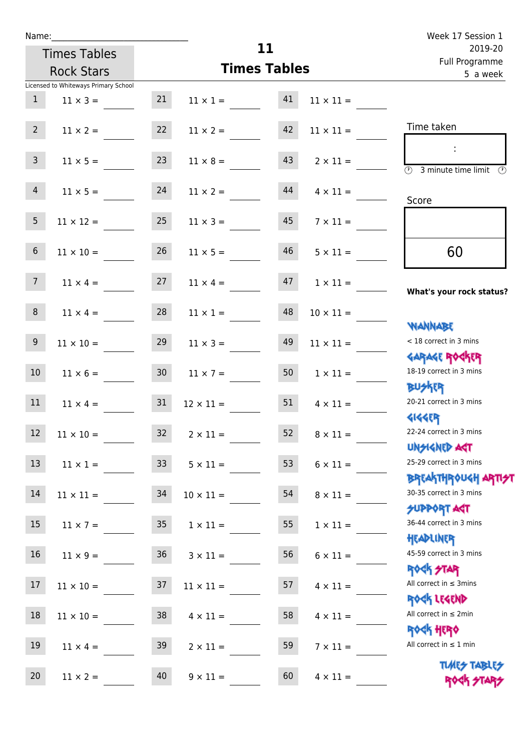| u | am |  |  |
|---|----|--|--|
|   |    |  |  |

| Week 17 Session 1                                                  |                  |                     |                  |                                          |                                      | Name:           |
|--------------------------------------------------------------------|------------------|---------------------|------------------|------------------------------------------|--------------------------------------|-----------------|
| 2019-20<br>Full Programme<br>5 a week                              |                  | 11                  |                  | <b>Times Tables</b><br><b>Rock Stars</b> |                                      |                 |
|                                                                    |                  | <b>Times Tables</b> |                  |                                          |                                      |                 |
|                                                                    |                  |                     |                  |                                          | Licensed to Whiteways Primary School |                 |
|                                                                    | $11 \times 11 =$ | 41                  | $11 \times 1 =$  | 21                                       | $11 \times 3 =$                      | $\mathbf{1}$    |
| Time taken                                                         | $11 \times 11 =$ | 42                  | $11 \times 2 =$  | 22                                       | $11 \times 2 =$                      | 2 <sup>7</sup>  |
| $\overline{(\mathcal{V})}$<br>3 minute time limit<br>$\mathcal{O}$ | $2 \times 11 =$  | 43                  | $11 \times 8 =$  | 23                                       | $11 \times 5 =$                      | $\mathbf{3}$    |
| Score                                                              | $4 \times 11 =$  | 44                  | $11 \times 2 =$  | 24                                       | $11 \times 5 =$                      | $\overline{4}$  |
|                                                                    | $7 \times 11 =$  | 45                  | $11 \times 3 =$  | 25                                       | $11 \times 12 =$                     | 5               |
| 60                                                                 | $5 \times 11 =$  | 46                  | $11 \times 5 =$  | 26                                       | $11 \times 10 =$                     | $6\,$           |
| What's your rock status?                                           | $1 \times 11 =$  | 47                  | $11 \times 4 =$  | 27                                       | $11 \times 4 =$                      | $7\overline{ }$ |
|                                                                    | $10 \times 11 =$ | 48                  | $11 \times 1 =$  | 28                                       | $11 \times 4 =$                      | 8               |
| <b>NANNABE</b><br>< 18 correct in 3 mins<br><b>GARAGE ROGKER</b>   | $11 \times 11 =$ | 49                  | $11 \times 3 =$  | 29                                       | $11 \times 10 =$                     | 9               |
| 18-19 correct in 3 mins<br><b>BUSKRR</b>                           | $1 \times 11 =$  | 50                  | $11 \times 7 =$  | 30                                       | $11 \times 6 =$                      | 10              |
| 20-21 correct in 3 mins                                            | $4 \times 11 =$  | 51                  | $12 \times 11 =$ | 31                                       | $11 \times 4 =$                      | 11              |
| <b>4144EP</b><br>22-24 correct in 3 mins<br><b>UNSIGNED AGT</b>    | $8 \times 11 =$  | 52                  | $2 \times 11 =$  | 32                                       | $11 \times 10 =$                     | $\boxed{12}$    |
| 25-29 correct in 3 mins                                            | $6 \times 11 =$  | 53                  | $5 \times 11 =$  | 33                                       | $11 \times 1 =$                      | 13              |
| <b>BREAKTHROUGH ARTI<del>S</del>T</b><br>30-35 correct in 3 mins   | $8 \times 11 =$  | 54                  | $10 \times 11 =$ | 34                                       | $11 \times 11 =$                     | 14              |
| <b>SUPPORT AGT</b><br>36-44 correct in 3 mins<br>HEADLINER         | $1 \times 11 =$  | 55                  | $1 \times 11 =$  | 35                                       | $11 \times 7 =$                      | 15              |
| 45-59 correct in 3 mins                                            | $6 \times 11 =$  | 56                  | $3 \times 11 =$  | 36                                       | $11 \times 9 =$                      | 16              |
| ROCK STAR<br>All correct in $\leq$ 3mins                           | $4 \times 11 =$  | 57                  | $11 \times 11 =$ | 37                                       | $11 \times 10 =$                     | 17              |
| ROCK LEGEND<br>All correct in $\leq 2$ min                         | $4 \times 11 =$  | 58                  | $4 \times 11 =$  | 38                                       | $11 \times 10 =$                     | 18              |
| <b>ROCK HERO</b><br>All correct in $\leq 1$ min                    | $7 \times 11 =$  | 59                  | $2 \times 11 =$  | 39                                       | $11 \times 4 =$                      | 19              |
| <b>TUARS TABLES</b><br>ROCK STARS                                  | $4 \times 11 =$  | 60                  | $9 \times 11 =$  | 40                                       | $11 \times 2 =$                      | 20              |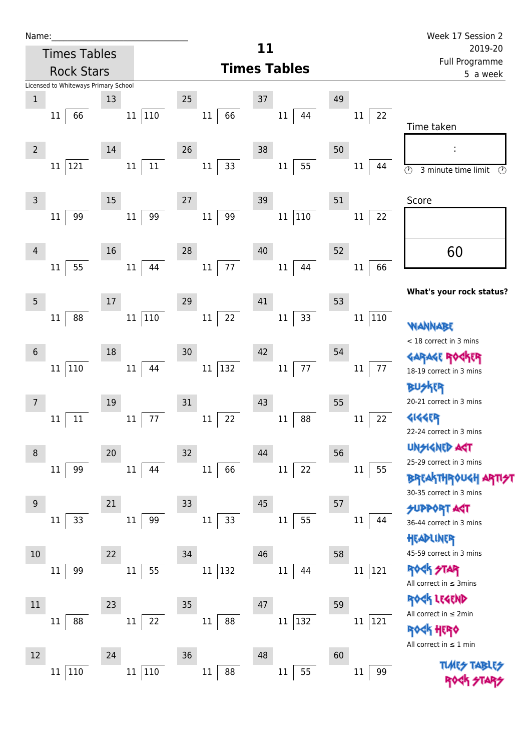| Name:                                |                                   | Week 17 Session 2                                             |
|--------------------------------------|-----------------------------------|---------------------------------------------------------------|
| <b>Times Tables</b>                  | 11                                | 2019-20                                                       |
| <b>Rock Stars</b>                    | <b>Times Tables</b>               | Full Programme<br>5 a week                                    |
| Licensed to Whiteways Primary School |                                   |                                                               |
| 13<br>$1\,$                          | 25<br>37                          | 49                                                            |
| 110<br>66<br>11<br>11                | 66<br>$11\,$<br>11<br>44          | 22<br>11<br>Time taken                                        |
|                                      |                                   |                                                               |
| $\overline{2}$<br>14                 | 26<br>38                          | 50<br>ţ,                                                      |
| $11\,$<br>121<br>$11\,$<br>11        | 33<br>55<br>$11\,$<br>$11\,$      | 44<br>11<br>$\odot$<br>3 minute time limit<br>$(\mathcal{P})$ |
|                                      |                                   |                                                               |
| 15<br>3                              | 27<br>39                          | 51<br>Score                                                   |
| 99<br>99<br>11<br>11                 | 99<br>110<br>$11\,$<br>11         | 22<br>11                                                      |
|                                      |                                   |                                                               |
| 16<br>$\overline{4}$                 | 28<br>40                          | 60<br>52                                                      |
| 55<br>44<br>11<br>11                 | 77<br>$11\,$<br>11<br>44          | 66<br>11                                                      |
|                                      |                                   | What's your rock status?                                      |
| 5<br>17                              | 41<br>29                          | 53                                                            |
| 110<br>88<br>11<br>11                | 33<br>22<br>11<br>11              | 110<br>11<br><b>WANNABE</b>                                   |
|                                      |                                   | < 18 correct in 3 mins                                        |
| $18\,$<br>$6\phantom{1}6$            | 42<br>30                          | 54<br>GARAGE ROGKER                                           |
| 110<br>$11\,$<br>44<br>$11\,$        | $77\,$<br>132<br>$11\,$<br>$11\,$ | $77 \,$<br>11<br>18-19 correct in 3 mins                      |
|                                      |                                   | 化                                                             |
| 19<br>7                              | 31<br>43                          | 20-21 correct in 3 mins<br>55                                 |
| 77<br>11<br>11<br>11                 | 22<br>88<br>11<br>$11\,$          | <b>4144EP</b><br>22<br>11                                     |
|                                      |                                   | 22-24 correct in 3 mins                                       |
| 20<br>8                              | 32<br>44                          | <b>UNSIGNED AST</b><br>56                                     |
| 99<br>$11\,$<br>$11\,$<br>44         | 22<br>66<br>$11\,$<br>$11\,$      | 25-29 correct in 3 mins<br>55<br>11                           |
|                                      |                                   | <b>BREAKTHROUGH AF</b>                                        |
| 21<br>$9$                            | 45<br>33                          | 30-35 correct in 3 mins<br>57                                 |
| 99<br>33<br>11<br>11                 | 55<br>33<br>$11\,$<br>$11\,$      | <b>SUPPORT AGT</b><br>11<br>44                                |
|                                      |                                   | 36-44 correct in 3 mins<br>HEADLINER                          |
| 22<br>10                             | 34<br>46                          | 45-59 correct in 3 mins<br>58                                 |
| 55<br>99<br>$11\,$<br>11             | 132<br>$11\,$<br>$11\,$<br>44     | <b>ROCK STAR</b><br>121<br>$11\,$                             |
|                                      |                                   | All correct in $\leq$ 3mins                                   |
|                                      |                                   | ROCK LEGEND                                                   |
| 23<br>11                             | 35<br>47                          | 59<br>All correct in $\leq 2$ min                             |
| 88<br>22<br>11<br>11                 | 88<br>11 132<br>11                | 11<br>121<br><b>ROGK HERO</b>                                 |
|                                      |                                   | All correct in $\leq 1$ min                                   |
| 24<br>12                             | 36<br>48                          | 60<br><b>TLMES</b>                                            |
| 110<br>110<br>$11\,$<br>$11\,$       | 55<br>88<br>$11\,$<br>$11\,$      | 99<br>11                                                      |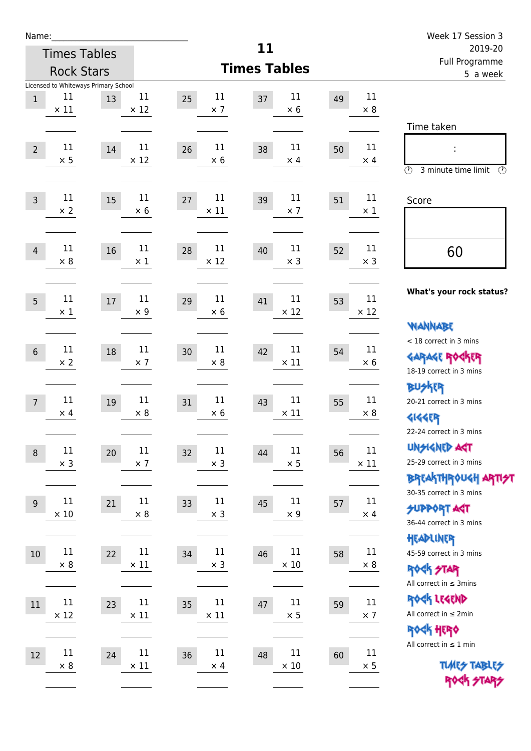| Name:             |                      |                                      |                      |                            |                            |                           |                       | Week 17 Session 3                                     |
|-------------------|----------------------|--------------------------------------|----------------------|----------------------------|----------------------------|---------------------------|-----------------------|-------------------------------------------------------|
|                   |                      | <b>Times Tables</b>                  |                      |                            | 11                         | 2019-20<br>Full Programme |                       |                                                       |
| <b>Rock Stars</b> |                      |                                      |                      |                            | <b>Times Tables</b>        | 5 a week                  |                       |                                                       |
|                   | 11                   | Licensed to Whiteways Primary School | 11                   | 11                         | 11                         |                           | 11                    |                                                       |
| $\mathbf{1}$      | $\times$ 11          | 13                                   | $\times$ 12          | 25<br>$\times$ 7           | 37<br>$\times 6$           | 49                        | $\times$ 8            |                                                       |
|                   |                      |                                      |                      |                            |                            |                           |                       | Time taken                                            |
|                   | 11                   |                                      | $11\,$               | 11                         | 11                         |                           | 11                    |                                                       |
| $\overline{2}$    | $\times$ 5           | 14                                   | $\times$ 12          | 26<br>$\times$ 6           | 38<br>$\times$ 4           | 50                        | $\times$ 4            |                                                       |
|                   |                      |                                      |                      |                            |                            |                           |                       | $\circled{r}$<br>3 minute time limit<br>$\circled{r}$ |
|                   | 11                   |                                      | 11                   | 11                         | 11                         |                           | 11                    |                                                       |
| $\mathsf{3}$      | $\times$ 2           | 15                                   | $\times 6$           | 27<br>$\times$ 11          | 39<br>$\times$ 7           | 51                        | $\times$ 1            | Score                                                 |
|                   |                      |                                      |                      |                            |                            |                           |                       |                                                       |
|                   | 11                   |                                      | $11\,$               | 11                         | 11                         |                           | 11                    |                                                       |
| $\overline{4}$    | $\times 8$           | 16                                   | $\times$ 1           | 28<br>$\times$ 12          | 40<br>$\times$ 3           | 52                        | $\times$ 3            | 60                                                    |
|                   |                      |                                      |                      |                            |                            |                           |                       |                                                       |
|                   | 11                   |                                      | $11\,$               | 11                         | 11                         |                           | 11                    | What's your rock status?                              |
| 5                 | $\times$ 1           | 17                                   | $\times$ 9           | 29<br>$\times$ 6           | 41<br>$\times$ 12          | 53                        | $\times$ 12           |                                                       |
|                   |                      |                                      |                      |                            |                            |                           |                       | <b>NANNABE</b>                                        |
|                   | 11                   |                                      | $11\,$               | 11                         | 11                         |                           | 11                    | < 18 correct in 3 mins                                |
| $6\,$             | $\times 2$           | 18                                   | $\times$ 7           | 30<br>$\times 8$           | 42<br>$\times$ 11          | 54                        | $\times 6$            | <b>GARAGE ROCKER</b>                                  |
|                   |                      |                                      |                      |                            |                            |                           |                       | 18-19 correct in 3 mins                               |
|                   |                      |                                      |                      |                            |                            |                           |                       | <b>BUSKER</b>                                         |
| $\overline{7}$    | 11<br>$\times$ 4     | 19                                   | 11<br>$\times$ 8     | 11<br>31<br>$\times$ 6     | 11<br>43<br>$\times$ 11    | 55                        | 11<br>$\times 8$      | 20-21 correct in 3 mins                               |
|                   |                      |                                      |                      |                            |                            |                           |                       | <b>4144EP</b>                                         |
|                   |                      |                                      |                      |                            |                            |                           |                       | 22-24 correct in 3 mins<br><b>UNSIGNED AGT</b>        |
| $\, 8$            | $11\,$<br>$\times$ 3 | $20\,$                               | $11\,$<br>$\times$ 7 | $11\,$<br>32<br>$\times$ 3 | $11\,$<br>44<br>$\times$ 5 | 56                        | $11\,$<br>$\times$ 11 | 25-29 correct in 3 mins                               |
|                   |                      |                                      |                      |                            |                            |                           |                       | <b>BREAKTHROUGH ARTI<del>S</del>T</b>                 |
|                   |                      |                                      |                      |                            |                            |                           |                       | 30-35 correct in 3 mins                               |
| $\overline{9}$    | $11\,$               | 21                                   | $11\,$               | 11<br>33                   | $11\,$<br>45<br>$\times$ 9 | 57                        | 11                    | <b>SUPPORT ART</b>                                    |
|                   | $\times$ 10          |                                      | $\times$ 8           | $\times$ 3                 |                            |                           | $\times$ 4            | 36-44 correct in 3 mins                               |
|                   |                      |                                      |                      |                            |                            |                           |                       | HEADLINER                                             |
| $10\,$            | $11\,$               | 22                                   | $11\,$               | 11<br>34                   | $11\,$<br>46               | 58                        | 11                    | 45-59 correct in 3 mins                               |
|                   | $\times 8$           |                                      | $\times$ 11          | $\times$ 3                 | $\times$ 10                |                           | $\times 8$            | ROCK STAR                                             |
|                   |                      |                                      |                      |                            |                            |                           |                       | All correct in $\leq$ 3mins                           |
| 11                | $11\,$               | 23                                   | $11\,$               | $11\,$<br>35               | $11\,$<br>47               | 59                        | $11\,$                | ROCK LEGEND                                           |
|                   | $\times$ 12          |                                      | $\times$ 11          | $\times$ 11                | $\times$ 5                 |                           | $\times$ 7            | All correct in $\leq 2$ min                           |
|                   |                      |                                      |                      |                            |                            |                           |                       | ROCK HERO                                             |
| 12                | $11\,$               | 24                                   | 11                   | 11<br>36                   | $11\,$<br>48               | 60                        | 11                    | All correct in $\leq 1$ min                           |
|                   | $\times 8$           |                                      | $\times$ 11          | $\times$ 4                 | $\times$ 10                |                           | $\times$ 5            | <b>TUARS TABLES</b>                                   |
|                   |                      |                                      |                      |                            |                            |                           |                       | ROCK STARS                                            |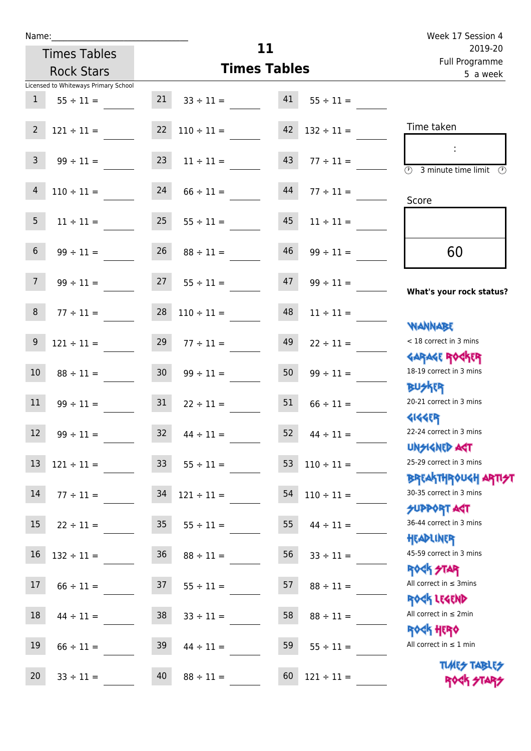| <b>Times Tables</b> |                                      |                 | 11                  |                       |                 | 2019-20<br>Full Programme                                        |
|---------------------|--------------------------------------|-----------------|---------------------|-----------------------|-----------------|------------------------------------------------------------------|
|                     | <b>Rock Stars</b>                    |                 | <b>Times Tables</b> | 5 a week              |                 |                                                                  |
|                     | Licensed to Whiteways Primary School |                 |                     |                       |                 |                                                                  |
| $\mathbf{1}$        | $55 \div 11 =$                       | 21              | $33 \div 11 =$      | 41                    | $55 \div 11 =$  |                                                                  |
| $\overline{2}$      | $121 \div 11 =$                      | 22              | $110 \div 11 =$     | 42<br>$132 \div 11 =$ |                 | Time taken                                                       |
| 3                   | $99 \div 11 =$                       | 23              | $11 \div 11 =$      | 43                    | $77 \div 11 =$  | $\overline{(\mathcal{V})}$<br>3 minute time limit                |
| 4                   | $110 \div 11 =$                      | 24              | $66 \div 11 =$      | 44                    | $77 \div 11 =$  | Score                                                            |
| $\overline{5}$      | $11 \div 11 =$                       | 25              | $55 \div 11 =$      | 45                    | $11 \div 11 =$  |                                                                  |
| $6\phantom{.}$      | $99 \div 11 =$                       | 26              | $88 \div 11 =$      | 46                    | $99 \div 11 =$  | 60                                                               |
| $\overline{7}$      | $99 \div 11 =$                       | 27              | $55 \div 11 =$      | 47                    | $99 \div 11 =$  | What's your rock status?                                         |
| $\,8\,$             | $77 \div 11 =$                       | 28              | $110 \div 11 =$     | 48                    | $11 \div 11 =$  | <b>JARNARY</b>                                                   |
| $9\,$               | $121 \div 11 =$                      | 29              | $77 \div 11 =$      | 49                    | $22 \div 11 =$  | < 18 correct in 3 mins<br><b>GARAGE ROGKER</b>                   |
| $10\,$              | $88 \div 11 =$                       | 30 <sub>o</sub> | $99 \div 11 =$      | 50                    | $99 \div 11 =$  | 18-19 correct in 3 mins<br><b>BUSKER</b>                         |
| 11                  | $99 \div 11 =$                       | 31              | $22 \div 11 =$      | 51                    | $66 \div 11 =$  | 20-21 correct in 3 mins<br><b>4144EP</b>                         |
| 12                  | $99 \div 11 =$                       | 32              | $44 \div 11 =$      | 52                    | $44 \div 11 =$  | 22-24 correct in 3 mins<br>UNSIGNED AGT                          |
| 13                  | $121 \div 11 =$ 33                   |                 | $55 \div 11 =$      | 53                    | $110 \div 11 =$ | 25-29 correct in 3 mins                                          |
| 14                  | $77 \div 11 =$                       | 34              | $121 \div 11 =$     | 54                    | $110 \div 11 =$ | <b>BREAKTHROUGH ARTI<del>S</del>T</b><br>30-35 correct in 3 mins |
| 15                  | $22 \div 11 =$                       | 35 <sub>o</sub> | $55 \div 11 =$      | 55                    | $44 \div 11 =$  | <b>SUPPORT AGT</b><br>36-44 correct in 3 mins<br>HEADLINER       |
| 16                  | $132 \div 11 =$                      | 36              | $88 \div 11 =$      | 56                    | $33 \div 11 =$  | 45-59 correct in 3 mins<br><b>ROCK STAR</b>                      |
| 17                  | $66 \div 11 =$                       | 37              | $55 \div 11 =$      | 57                    | $88 \div 11 =$  | All correct in $\leq$ 3mins<br>ROCK LEGEND                       |
| 18                  | $44 \div 11 =$                       | 38              | $33 \div 11 =$      | 58                    | $88 \div 11 =$  | All correct in $\leq 2$ min<br><b>ROCK HERO</b>                  |
| 19                  | $66 \div 11 =$                       | 39              | $44 \div 11 =$      | 59                    | $55 \div 11 =$  | All correct in $\leq 1$ min                                      |
| 20                  | $33 \div 11 =$                       | 40              | $88 \div 11 =$      | 60                    | $121 \div 11 =$ | <b>TUARS TABLES</b><br>ROCK STARS                                |

**11**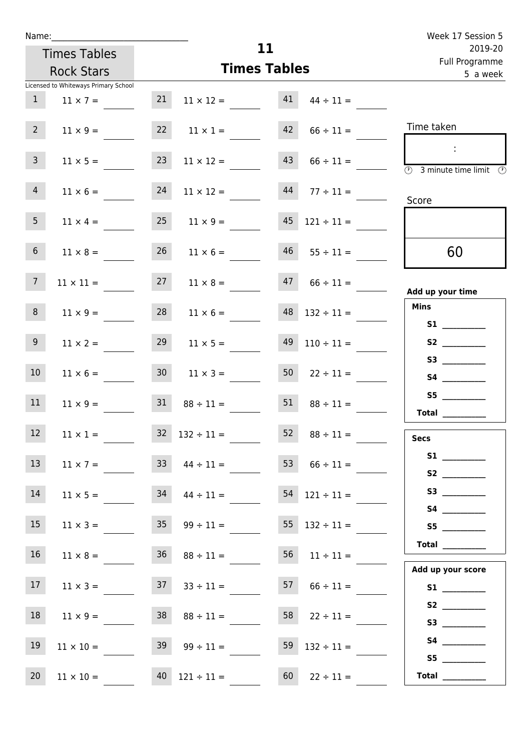| u | am |  |  |
|---|----|--|--|
|   |    |  |  |

|                                                                         |    |                  |                           |                                       | Week 17 Session 5                                                         |
|-------------------------------------------------------------------------|----|------------------|---------------------------|---------------------------------------|---------------------------------------------------------------------------|
| <b>Times Tables</b><br><b>Rock Stars</b>                                |    |                  | 11<br><b>Times Tables</b> | 2019-20<br>Full Programme<br>5 a week |                                                                           |
| Licensed to Whiteways Primary School<br>$\mathbf{1}$<br>$11 \times 7 =$ | 21 | $11 \times 12 =$ | 41                        | $44 \div 11 =$                        |                                                                           |
| $\overline{2}$<br>$11 \times 9 =$                                       | 22 | $11 \times 1 =$  | 42                        | $66 \div 11 =$                        | Time taken                                                                |
| $\mathsf{3}$<br>$11 \times 5 =$                                         | 23 | $11 \times 12 =$ | 43                        | $66 \div 11 =$                        | ÷<br>$\overline{(\mathcal{V})}$<br>3 minute time limit<br>$(\mathcal{P})$ |
| $\overline{4}$<br>$11 \times 6 =$                                       | 24 | $11 \times 12 =$ | 44                        | $77 \div 11 =$                        | Score                                                                     |
| 5<br>$11 \times 4 =$                                                    | 25 | $11 \times 9 =$  | 45                        | $121 \div 11 =$                       |                                                                           |
| $6\,$<br>$11 \times 8 =$                                                | 26 | $11 \times 6 =$  | 46                        | $55 \div 11 =$                        | 60                                                                        |
| $\overline{7}$<br>$11 \times 11 =$                                      | 27 | $11 \times 8 =$  | 47                        | $66 \div 11 =$                        | Add up your time                                                          |
| 8<br>$11 \times 9 =$                                                    | 28 | $11 \times 6 =$  | 48                        | $132 \div 11 =$                       | <b>Mins</b><br>S1                                                         |
| 9<br>$11 \times 2 =$                                                    | 29 | $11 \times 5 =$  | 49                        | $110 \div 11 =$                       | <b>S2</b>                                                                 |
|                                                                         |    |                  |                           |                                       |                                                                           |

|                             | 50<br>$22 \div 11 =$  | 30 <sub>o</sub><br>$11 \times 3 =$ | $11 \times 6 =$                    | 10 <sub>1</sub> |
|-----------------------------|-----------------------|------------------------------------|------------------------------------|-----------------|
| S5                          | 51<br>$88 \div 11 =$  | 31<br>$88 \div 11 =$               | $11 \times 9 =$                    | 11              |
| <b>Total</b><br><b>Secs</b> | 52<br>$88 \div 11 =$  | 32<br>$132 \div 11 =$              | $11 \times 1 =$                    | 12              |
|                             | 53<br>$66 \div 11 =$  | 33<br>$44 \div 11 =$               | $11 \times 7 =$                    | 13              |
|                             | 54<br>$121 \div 11 =$ | $44 \div 11 =$                     | 34<br>$11 \times 5 =$              | 14              |
| S5                          | 55<br>$132 \div 11 =$ | 35 <sup>°</sup><br>$99 \div 11 =$  | $11 \times 3 =$                    | 15              |
| Total $\_\_$                | 56<br>$11 \div 11 =$  | $88 \div 11 =$                     | 36 <sup>°</sup><br>$11 \times 8 =$ | 16              |
| Add up your score           | 57<br>$66 \div 11 =$  | 37<br>$33 \div 11 =$               | $11 \times 3 =$                    | 17              |
| S3                          | 58<br>$22 \div 11 =$  | $88 \div 11 =$                     | $11 \times 9 =$                    | 18              |
| S5                          | 59<br>$132 \div 11 =$ | 39<br>$99 \div 11 =$               | $11 \times 10 =$                   | 19              |
| Total                       | 60<br>$22 \div 11 =$  | 40<br>$121 \div 11 =$              | $11 \times 10 =$                   | 20              |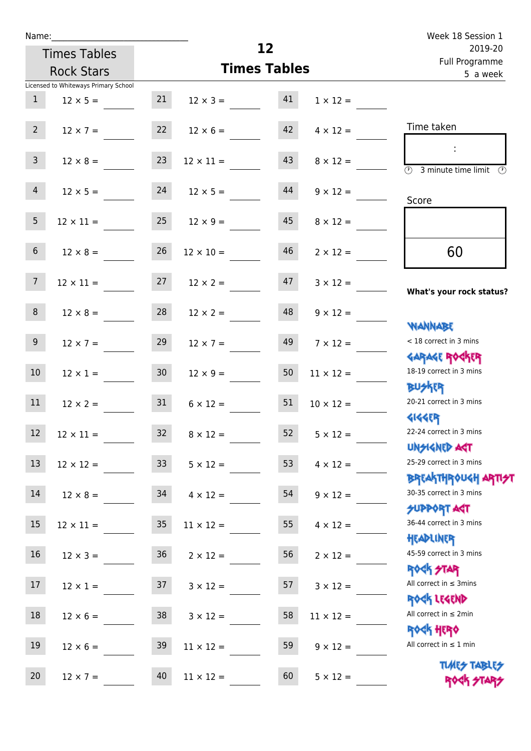| u | am |  |  |
|---|----|--|--|
|   |    |  |  |

| Name:                                |                 |                     |          |                  | Week 18 Session 1                                                |  |
|--------------------------------------|-----------------|---------------------|----------|------------------|------------------------------------------------------------------|--|
| <b>Times Tables</b>                  |                 |                     | 12       |                  | 2019-20<br>Full Programme                                        |  |
| <b>Rock Stars</b>                    |                 | <b>Times Tables</b> | 5 a week |                  |                                                                  |  |
| Licensed to Whiteways Primary School |                 |                     |          |                  |                                                                  |  |
| 1<br>$12 \times 5 =$                 | 21              | $12 \times 3 =$     | 41       | $1 \times 12 =$  |                                                                  |  |
| 2 <sup>7</sup><br>$12 \times 7 =$    | 22              | $12 \times 6 =$     | 42       | $4 \times 12 =$  | Time taken                                                       |  |
| 3 <sup>7</sup><br>$12 \times 8 =$    | 23              | $12 \times 11 =$    | 43       | $8 \times 12 =$  | 3 minute time limit<br>O)                                        |  |
| 4<br>$12 \times 5 =$                 | 24              | $12 \times 5 =$     | 44       | $9 \times 12 =$  | Score                                                            |  |
| 5 <sub>1</sub><br>$12 \times 11 =$   | 25              | $12 \times 9 =$     | 45       | $8 \times 12 =$  |                                                                  |  |
| $6\phantom{.}6$<br>$12 \times 8 =$   | 26              | $12 \times 10 =$    | 46       | $2 \times 12 =$  | 60                                                               |  |
| 7 <sup>7</sup><br>$12 \times 11 =$   | 27              | $12 \times 2 =$     | 47       | $3 \times 12 =$  | What's your rock status?                                         |  |
| 8<br>$12 \times 8 =$                 | 28              | $12 \times 2 =$     | 48       | $9 \times 12 =$  | <b>NANNABE</b>                                                   |  |
| 9 <sub>o</sub><br>$12 \times 7 =$    | 29              | $12 \times 7 =$     | 49       | $7 \times 12 =$  | < 18 correct in 3 mins<br><b>GARAGE ROGKER</b>                   |  |
| 10<br>$12 \times 1 =$                | 30 <sup>°</sup> | $12 \times 9 =$     | 50       | $11 \times 12 =$ | 18-19 correct in 3 mins<br><b>BUSKER</b>                         |  |
| 11<br>$12 \times 2 =$                | 31              | $6 \times 12 =$     | 51       | $10 \times 12 =$ | 20-21 correct in 3 mins<br><b>4144EP</b>                         |  |
| 12<br>$12\times11=$                  | 32              | $8 \times 12 =$     | 52       | $5 \times 12 =$  | 22-24 correct in 3 mins<br><b>UNSIGNED AGT</b>                   |  |
| 13<br>$12 \times 12 =$               | 33 <sup>°</sup> | $5 \times 12 =$     | 53       | $4 \times 12 =$  | 25-29 correct in 3 mins                                          |  |
| 14<br>$12 \times 8 =$                | 34              | $4 \times 12 =$     | 54       | $9 \times 12 =$  | <b>BREAKTHROUGH ARTI<del>S</del>T</b><br>30-35 correct in 3 mins |  |
| 15<br>$12 \times 11 =$               | 35 <sub>o</sub> | $11 \times 12 =$    | 55       | $4 \times 12 =$  | <b>SUPPORT AGT</b><br>36-44 correct in 3 mins<br>HEADLINER       |  |
| 16<br>$12 \times 3 =$                | 36              | $2 \times 12 =$     | 56       | $2 \times 12 =$  | 45-59 correct in 3 mins<br><b>ROCK STAR</b>                      |  |
| 17<br>$12 \times 1 =$                | 37              | $3 \times 12 =$     | 57       | $3 \times 12 =$  | All correct in $\leq$ 3mins                                      |  |
| $18\,$<br>$12 \times 6 =$            | 38              | $3 \times 12 =$     | 58       | $11 \times 12 =$ | ROCK LEGEND<br>All correct in $\leq 2$ min<br><b>ROCK HERO</b>   |  |
| 19<br>$12 \times 6 =$                | 39              | $11 \times 12 =$    | 59       | $9 \times 12 =$  | All correct in $\leq 1$ min                                      |  |
| 20<br>$12 \times 7 =$                | 40              | $11 \times 12 =$    | 60       | $5 \times 12 =$  | <b>TUARS TABLES</b><br>ROCK STARS                                |  |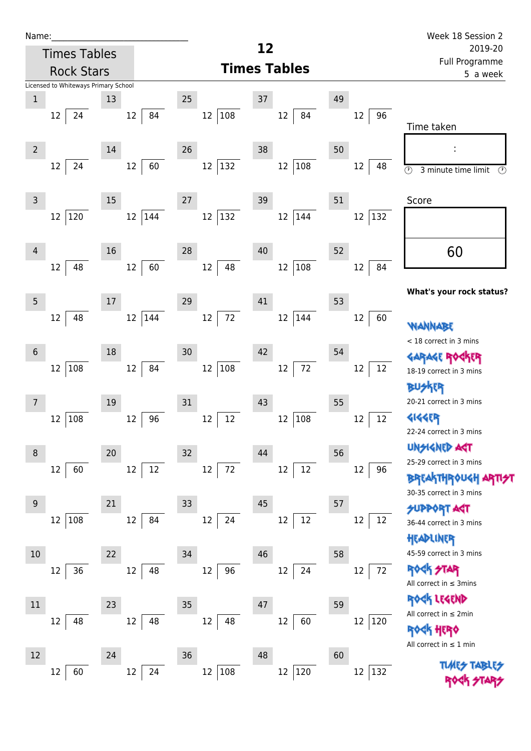| Name:_                                |                               | Week 18 Session 2                                    |
|---------------------------------------|-------------------------------|------------------------------------------------------|
| <b>Times Tables</b>                   | 12                            | 2019-20                                              |
| <b>Rock Stars</b>                     | <b>Times Tables</b>           | Full Programme<br>5 a week                           |
| Licensed to Whiteways Primary School  |                               |                                                      |
| $\mathbf{1}$<br>13                    | 25<br>37                      | 49                                                   |
| 84<br>24<br>12<br>12                  | 12 108<br>12<br>84            | 96<br>12                                             |
|                                       |                               | Time taken                                           |
| $\overline{2}$<br>14                  | 26<br>38                      | 50<br>I                                              |
| 24<br>60<br>12<br>12                  | 12<br>132<br>12<br>108        | 48<br>12<br>$\odot$<br>3 minute time limit<br>⊕      |
|                                       |                               |                                                      |
| 15<br>3                               | 27<br>39                      | 51<br>Score                                          |
| 120<br>$12 \overline{ }$<br>144<br>12 | $ 132\rangle$<br>12 144<br>12 | 132<br>12                                            |
|                                       |                               |                                                      |
| 16<br>4                               | 28<br>40                      | 60<br>52                                             |
| 48<br>60<br>12<br>12                  | 108<br>48<br>12<br>12         | 84<br>12                                             |
|                                       |                               |                                                      |
| 5<br>17                               | 29<br>41                      | What's your rock status?<br>53                       |
| 48<br>144<br>12<br>12                 | $72\,$<br>12 144<br>12        | 12<br>60                                             |
|                                       |                               | WANNABE                                              |
| 18<br>6                               | 30<br>42                      | < 18 correct in 3 mins<br>54                         |
| $12 \overline{ }$<br>12<br>84         | $12\,$<br>72                  | GARAGE ROGKER<br>12<br>12                            |
| 108                                   | 108<br>$12\,$                 | 18-19 correct in 3 mins                              |
|                                       |                               | <b>FR</b>                                            |
| 19<br>$\overline{7}$                  | 31<br>43                      | 20-21 correct in 3 mins<br>55                        |
| 96<br>108<br>12<br>12                 | 108<br>12<br>12<br>12         | <b>4144EP</b><br>12<br>12<br>22-24 correct in 3 mins |
|                                       |                               | <b>UNSIGNED ART</b>                                  |
| 20<br>8                               | 32<br>44                      | 56<br>25-29 correct in 3 mins                        |
| 12<br>12<br>60<br>12                  | 12<br>72<br>$12\,$<br>$12\,$  | 12<br>96<br><b>BREAKTHROUGH ARTIST</b>               |
|                                       |                               | 30-35 correct in 3 mins                              |
| $9\,$<br>21                           | 33<br>45                      | 57<br><b>SUPPORT AGT</b>                             |
| 108<br>12<br>84<br>12                 | 12<br>12<br>12<br>24          | 12<br>12<br>36-44 correct in 3 mins                  |
|                                       |                               | HEADLINER                                            |
| 10<br>22                              | 34<br>46                      | 45-59 correct in 3 mins<br>58                        |
| 48<br>12<br>36<br>12                  | 96<br>12<br>24<br>12          | <b>ROCK STAR</b><br>12<br>72                         |
|                                       |                               | All correct in $\leq$ 3mins                          |
| 11<br>23                              | $35\,$<br>47                  | ROCK LEGEND<br>59                                    |
| 12<br>12<br>48<br>48                  | $12\,$<br>12<br>48<br>60      | All correct in $\leq 2$ min<br>$12\,$<br>120         |
|                                       |                               | <b>ROGH HERO</b><br>All correct in $\leq 1$ min      |
| 12<br>24                              | 36<br>48                      | 60                                                   |
| 60<br>24<br>12<br>12                  | 108<br>12 120<br>12           | 132<br>12                                            |
|                                       |                               |                                                      |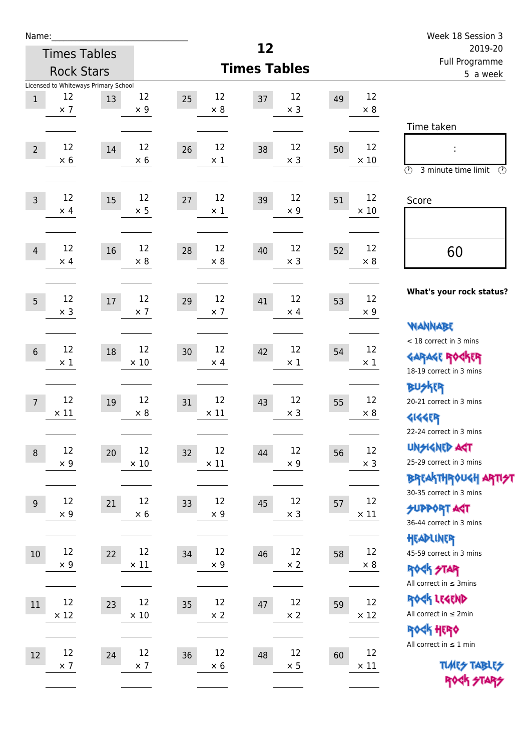| Name:             |                     |                                            |                   |                         |                        |          |                   | Week 18 Session 3                                                                    |
|-------------------|---------------------|--------------------------------------------|-------------------|-------------------------|------------------------|----------|-------------------|--------------------------------------------------------------------------------------|
|                   | <b>Times Tables</b> |                                            |                   |                         | 12                     |          |                   | 2019-20<br><b>Full Programme</b>                                                     |
| <b>Rock Stars</b> |                     |                                            |                   |                         | <b>Times Tables</b>    | 5 a week |                   |                                                                                      |
| $\mathbf{1}$      | 12<br>$\times$ 7    | Licensed to Whiteways Primary School<br>13 | 12<br>$\times$ 9  | 12<br>25<br>$\times 8$  | 12<br>37<br>$\times$ 3 | 49       | 12<br>$\times 8$  | Time taken                                                                           |
| $\overline{2}$    | 12<br>$\times$ 6    | 14                                         | 12<br>$\times$ 6  | 12<br>26<br>$\times$ 1  | 12<br>38<br>$\times$ 3 | 50       | 12<br>$\times$ 10 | $\circled{r}$<br>3 minute time limit<br>$\circled{r}$                                |
| $\overline{3}$    | 12<br>$\times$ 4    | 15                                         | 12<br>$\times$ 5  | 12<br>27<br>$\times$ 1  | 12<br>39<br>$\times$ 9 | 51       | 12<br>$\times$ 10 | Score                                                                                |
| $\overline{4}$    | 12<br>$\times$ 4    | 16                                         | 12<br>$\times$ 8  | 12<br>28<br>$\times 8$  | 12<br>40<br>$\times$ 3 | 52       | 12<br>$\times 8$  | 60                                                                                   |
| 5                 | 12<br>$\times$ 3    | 17                                         | 12<br>$\times$ 7  | 12<br>29<br>$\times$ 7  | 12<br>41<br>$\times$ 4 | 53       | 12<br>$\times 9$  | What's your rock status?<br><b>WANNABE</b>                                           |
| $6\,$             | 12<br>$\times 1$    | 18                                         | 12<br>$\times 10$ | 12<br>30<br>$\times$ 4  | 12<br>42<br>$\times 1$ | 54       | 12<br>$\times$ 1  | < 18 correct in 3 mins<br><b>GARAGE ROCKER</b><br>18-19 correct in 3 mins            |
| $\overline{7}$    | 12<br>$\times$ 11   | 19                                         | 12<br>$\times 8$  | 12<br>31<br>$\times$ 11 | 12<br>43<br>$\times$ 3 | 55       | 12<br>$\times 8$  | <b>BUSKER</b><br>20-21 correct in 3 mins<br><b>4144EP</b><br>22-24 correct in 3 mins |
| $\boldsymbol{8}$  | 12<br>$\times$ 9    | 20                                         | 12<br>$\times$ 10 | 12<br>32<br>$\times$ 11 | 12<br>44<br>$\times$ 9 | 56       | 12<br>$\times$ 3  | <b>UNSIGNED AGT</b><br>25-29 correct in 3 mins<br>BREAKTHRÓUGH ARTI <del>S</del> T   |
| 9                 | 12<br>$\times$ 9    | 21                                         | 12<br>$\times 6$  | 12<br>33<br>$\times$ 9  | 12<br>45<br>$\times$ 3 | 57       | 12<br>$\times$ 11 | 30-35 correct in 3 mins<br><b>SUPPORT ART</b><br>36-44 correct in 3 mins             |
| $10\,$            | 12<br>$\times$ 9    | 22                                         | 12<br>$\times$ 11 | 12<br>34<br>$\times$ 9  | 12<br>46<br>$\times$ 2 | 58       | 12<br>$\times$ 8  | HEADLINER<br>45-59 correct in 3 mins<br>ROCK STAR<br>All correct in $\leq$ 3mins     |
| 11                | 12<br>$\times$ 12   | 23                                         | 12<br>$\times$ 10 | 12<br>35<br>$\times 2$  | 12<br>47<br>$\times$ 2 | 59       | 12<br>$\times$ 12 | ROCK LEGEND<br>All correct in $\leq 2$ min<br>ROCK HERO                              |
| 12                | 12<br>$\times$ 7    | 24                                         | 12<br>$\times$ 7  | 12<br>36<br>$\times$ 6  | 12<br>48<br>$\times$ 5 | 60       | 12<br>$\times$ 11 | All correct in $\leq 1$ min<br><b>TUARS TABLES</b><br>ROCK STARS                     |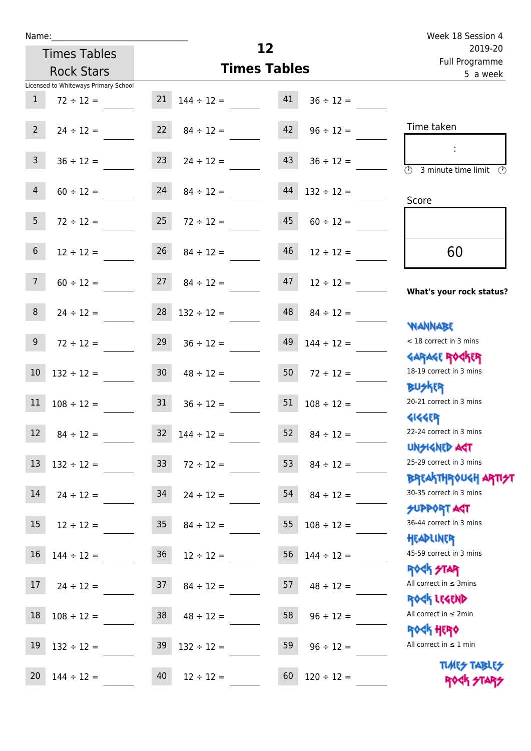| Name:                          |                                                        |                 |                          |          |                 | Week 18 Session 4                                           |
|--------------------------------|--------------------------------------------------------|-----------------|--------------------------|----------|-----------------|-------------------------------------------------------------|
|                                | <b>Times Tables</b>                                    |                 | 12                       |          |                 | 2019-20<br>Full Programme                                   |
|                                | <b>Rock Stars</b>                                      |                 | <b>Times Tables</b>      | 5 a week |                 |                                                             |
| $\mathbf{1}$                   | Licensed to Whiteways Primary School<br>$72 \div 12 =$ |                 | $21 \quad 144 \div 12 =$ | 41       | $36 \div 12 =$  |                                                             |
| $2^{\circ}$                    | $24 \div 12 =$                                         |                 | $22 \t 84 \div 12 =$     | 42       | $96 \div 12 =$  | Time taken                                                  |
| 3 <sup>7</sup>                 | $36 \div 12 =$                                         | 23              | $24 \div 12 =$           | 43       | $36 \div 12 =$  | $\overline{\textcircled{2}}$ 3 minute time limit            |
| $\overline{4}$                 | $60 \div 12 =$                                         | 24              | $84 \div 12 =$           | 44       | $132 \div 12 =$ | Score                                                       |
| 5 <sup>5</sup>                 | $72 \div 12 =$                                         | 25              | $72 \div 12 =$           | 45       | $60 \div 12 =$  |                                                             |
| $6\phantom{.}6$                | $12 \div 12 =$                                         | 26              | $84 \div 12 =$           | 46       | $12 \div 12 =$  | 60                                                          |
| 7 <sup>7</sup>                 | $60 \div 12 =$                                         | 27              | $84 \div 12 =$           | 47       | $12 \div 12 =$  | What's your rock status?                                    |
| 8                              | $24 \div 12 =$                                         |                 | $28 \quad 132 \div 12 =$ | 48       | $84 \div 12 =$  | <b>NANNABE</b>                                              |
| 9 <sub>o</sub>                 | $72 \div 12 =$                                         | 29              | $36 \div 12 =$           | 49       | $144 \div 12 =$ | < 18 correct in 3 mins<br><b>GARAGE ROCKER</b>              |
| 10                             | $132 \div 12 =$                                        | 30 <sub>o</sub> | $48 \div 12 =$           | 50       | $72 \div 12 =$  | 18-19 correct in 3 mins<br><b>BUSKER</b>                    |
| 11<br><b>Contract Contract</b> | $108 \div 12 =$                                        | 31              | $36 \div 12 =$           | 51       | $108 \div 12 =$ | 20-21 correct in 3 mins<br><b>4144EP</b>                    |
| 12                             | $84 \div 12 =$                                         | 32              | $144 \div 12 =$          | 52       | $84 \div 12 =$  | 22-24 correct in 3 mins<br><b>UNSIGNED AST</b>              |
| 13                             | $132 \div 12 =$                                        | 33 <sup>°</sup> | $72 \div 12 =$           | 53       | $84 \div 12 =$  | 25-29 correct in 3 mins<br>ΒΡΓΑΚΤΗΡΟUGH ΑΡΤΙ <del>2</del> Τ |
| 14                             | $24 \div 12 =$                                         | 34              | $24 \div 12 =$           | 54       | $84 \div 12 =$  | 30-35 correct in 3 mins<br><b>SUPPORT AGT</b>               |
| 15                             | $12 \div 12 =$                                         | 35              | $84 \div 12 =$           | 55       | $108 \div 12 =$ | 36-44 correct in 3 mins<br>HEADLINER                        |
| 16                             | $144 \div 12 =$                                        | 36              | $12 \div 12 =$           | 56       | $144 \div 12 =$ | 45-59 correct in 3 mins<br><b>ROCK STAR</b>                 |
| 17                             | $24 \div 12 =$                                         | 37              | $84 \div 12 =$           | 57       | $48 \div 12 =$  | All correct in $\leq$ 3mins<br>ROCK LEGEND                  |
| 18                             | $108 \div 12 =$                                        | 38              | $48 \div 12 =$           | 58       | $96 \div 12 =$  | All correct in $\leq 2$ min<br><b>ROCK HERO</b>             |
| 19                             | $132 \div 12 =$                                        | 39              | $132 \div 12 =$          | 59       | $96 \div 12 =$  | All correct in $\leq 1$ min                                 |

20  $144 \div 12 =$   $40$   $12 \div 12 =$   $60$   $120 \div 12 =$ 

**TIMES TABLES** ROCK STARS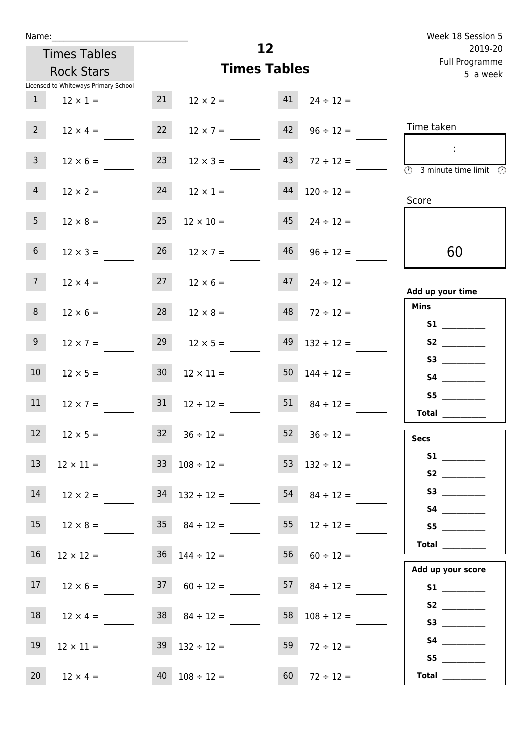| u | am |  |  |
|---|----|--|--|
|   |    |  |  |

| Name:           | <b>Times Tables</b><br><b>Rock Stars</b> |    | 12<br><b>Times Tables</b> | Week 18 Session 5<br>2019-20<br>Full Programme<br>5 a week |                 |                                                           |
|-----------------|------------------------------------------|----|---------------------------|------------------------------------------------------------|-----------------|-----------------------------------------------------------|
|                 | Licensed to Whiteways Primary School     |    |                           |                                                            |                 |                                                           |
| 1               | $12 \times 1 =$                          | 21 | $12 \times 2 =$           | 41                                                         | $24 \div 12 =$  |                                                           |
| $\overline{2}$  | $12 \times 4 =$                          | 22 | $12 \times 7 =$           | 42                                                         | $96 \div 12 =$  | Time taken                                                |
| $\overline{3}$  | $12 \times 6 =$                          | 23 | $12 \times 3 =$           | 43                                                         | $72 \div 12 =$  | ÷<br>$(\Gamma)$<br>3 minute time limit<br>$(\mathcal{P})$ |
| $\overline{4}$  | $12 \times 2 =$                          | 24 | $12 \times 1 =$           | 44                                                         | $120 \div 12 =$ | Score                                                     |
| 5 <sup>5</sup>  | $12 \times 8 =$                          | 25 | $12 \times 10 =$          | 45                                                         | $24 \div 12 =$  |                                                           |
| $6\phantom{.}6$ | $12 \times 3 =$                          | 26 | $12 \times 7 =$           | 46                                                         | $96 \div 12 =$  | 60                                                        |

17  $12 \times 6 =$  37  $60 \div 12 =$  57  $84 \div 12 =$ 

 $18$   $12 \times 4 =$   $38$   $84 \div 12 =$   $58$   $108 \div 12 =$ 

 $19$   $12 \times 11 =$   $39$   $132 \div 12 =$   $59$   $72 \div 12 =$ 

20  $12 \times 4 = 40$   $108 \div 12 = 60$ 

| $7\overline{ }$  | $12 \times 4 =$  | 27              | $12 \times 6 =$  | 47 | $24 \div 12 =$  | Add up your time                |
|------------------|------------------|-----------------|------------------|----|-----------------|---------------------------------|
|                  |                  |                 |                  |    |                 | <b>Mins</b>                     |
| 8                | $12 \times 6 =$  | 28              | $12 \times 8 =$  | 48 | $72 \div 12 =$  |                                 |
| 9 <sup>1</sup>   |                  | 29              |                  | 49 |                 | S1                              |
|                  | $12 \times 7 =$  |                 | $12 \times 5 =$  |    | $132 \div 12 =$ |                                 |
| 10 <sup>°</sup>  | $12 \times 5 =$  | 30 <sub>o</sub> | $12 \times 11 =$ | 50 | $144 \div 12 =$ |                                 |
|                  |                  |                 |                  |    |                 |                                 |
| 11               | $12 \times 7 =$  | 31              | $12 \div 12 =$   | 51 | $84 \div 12 =$  |                                 |
|                  |                  |                 |                  |    |                 | <b>Total</b>                    |
| 12 <sup>12</sup> | $12 \times 5 =$  | 32              | $36 \div 12 =$   | 52 | $36 \div 12 =$  | <b>Secs</b>                     |
|                  |                  |                 |                  |    |                 | <b>S1</b> and the set of $\sim$ |
| 13               | $12 \times 11 =$ | 33 <sup>°</sup> | $108 \div 12 =$  | 53 | $132 \div 12 =$ |                                 |
| 14               |                  | 34              | $132 \div 12 =$  | 54 |                 |                                 |
|                  | $12 \times 2 =$  |                 |                  |    | $84 \div 12 =$  |                                 |
| 15               | $12 \times 8 =$  | 35 <sub>2</sub> | $84 \div 12 =$   | 55 | $12 \div 12 =$  | S5                              |
|                  |                  |                 |                  |    |                 | <b>Total</b>                    |
| 16               | $12 \times 12 =$ | 36              | $144 \div 12 =$  | 56 | $60 \div 12 =$  |                                 |
|                  |                  |                 |                  |    |                 |                                 |

|                 | Total $\_\_$      |
|-----------------|-------------------|
| $60 \div 12 =$  | Add up your score |
| $84 \div 12 =$  | <b>S1</b>         |
|                 | S2                |
| $108 \div 12 =$ | S3                |
| $72 \div 12 =$  | S4                |
|                 | S5 l              |
| $72 \div 12 =$  | <b>Total</b>      |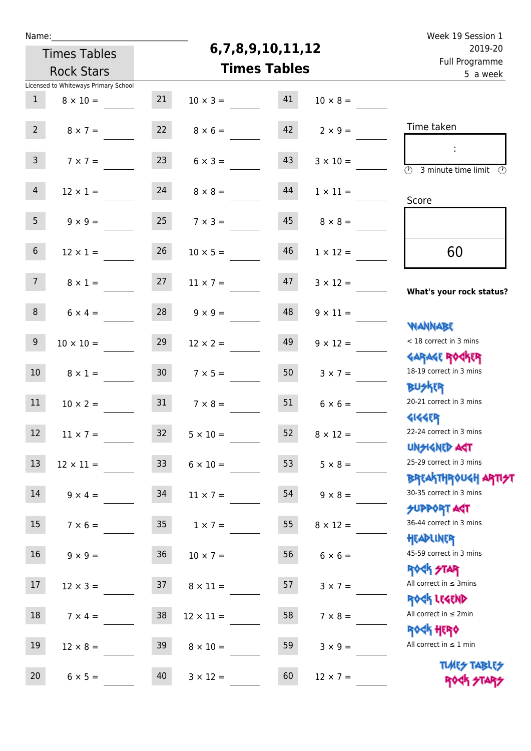| Ń | am |  | ı |  |
|---|----|--|---|--|
|   |    |  |   |  |
|   |    |  |   |  |

## **6,7,8,9,10,11,12**

|                 | <b>Rock Stars</b>                                       |                 | <b>Times Tables</b> |    |                 | Full Programme<br>5 a week                                         |
|-----------------|---------------------------------------------------------|-----------------|---------------------|----|-----------------|--------------------------------------------------------------------|
| $\mathbf{1}$    | Licensed to Whiteways Primary School<br>$8 \times 10 =$ | 21              | $10 \times 3 =$     | 41 | $10 \times 8 =$ |                                                                    |
| 2 <sup>7</sup>  | $8 \times 7 =$                                          | 22              | $8 \times 6 =$      | 42 | $2 \times 9 =$  | Time taken                                                         |
| 3 <sup>7</sup>  | $7 \times 7 =$                                          | 23              | $6 \times 3 =$      | 43 | $3 \times 10 =$ | $\overline{(\mathcal{V})}$<br>3 minute time limit<br>$\mathcal{O}$ |
| $\overline{4}$  | $12 \times 1 =$                                         | 24              | $8 \times 8 =$      | 44 | $1 \times 11 =$ | Score                                                              |
| 5 <sub>1</sub>  | $9 \times 9 =$                                          | 25              | $7 \times 3 =$      | 45 | $8 \times 8 =$  |                                                                    |
| $6\overline{6}$ | $12 \times 1 =$                                         | 26              | $10 \times 5 =$     | 46 | $1 \times 12 =$ | 60                                                                 |
| 7 <sup>7</sup>  | $8 \times 1 =$                                          | 27              | $11 \times 7 =$     | 47 | $3 \times 12 =$ | What's your rock status?                                           |
| 8               | $6 \times 4 =$                                          | 28              | $9 \times 9 =$      | 48 | $9 \times 11 =$ | <b>NANNABE</b>                                                     |
| 9 <sup>°</sup>  | $10 \times 10 =$                                        | 29              | $12 \times 2 =$     | 49 | $9 \times 12 =$ | < 18 correct in 3 mins<br><b>GARAGE ROCKER</b>                     |
| 10 <sup>°</sup> | $8 \times 1 =$                                          | 30 <sup>°</sup> | $7 \times 5 =$      | 50 | $3 \times 7 =$  | 18-19 correct in 3 mins<br><b>BU外国</b>                             |
| 11              | $10 \times 2 =$                                         | 31              | $7 \times 8 =$      | 51 | $6 \times 6 =$  | 20-21 correct in 3 mins<br><b>4144ER</b>                           |
| 12 <sup>7</sup> | $11 \times 7 =$                                         | 32              | $5 \times 10 =$     | 52 | $8 \times 12 =$ | 22-24 correct in 3 mins<br>UNSIGNED AGT                            |
| 13              | $12 \times 11 =$                                        | 33              | $6 \times 10 =$     | 53 | $5 \times 8 =$  | 25-29 correct in 3 mins<br><b>BREAKTHROUGH ARTI<del>S</del>T</b>   |
| 14              | $9 \times 4 =$                                          | 34              | $11 \times 7 =$     | 54 | $9 \times 8 =$  | 30-35 correct in 3 mins<br><b>SUPPORT AGT</b>                      |
| 15              | $7 \times 6 =$                                          | 35              | $1 \times 7 =$      | 55 | $8 \times 12 =$ | 36-44 correct in 3 mins<br>HEADLINER                               |
| 16              | $9 \times 9 = 36$                                       |                 | $10 \times 7 =$     | 56 | $6 \times 6 =$  | 45-59 correct in 3 mins<br><b>ROCK STAR</b>                        |
| 17              | $12 \times 3 =$                                         | 37              | $8 \times 11 =$     | 57 | $3 \times 7 =$  | All correct in $\leq$ 3mins<br>ROCK LEGEND                         |
| 18              | $7 \times 4 =$                                          | 38              | $12 \times 11 =$    | 58 | $7 \times 8 =$  | All correct in $\leq 2$ min<br><b>ROCK HERO</b>                    |
| 19              | $12 \times 8 =$                                         | 39              | $8 \times 10 =$     | 59 | $3 \times 9 =$  | All correct in $\leq 1$ min                                        |
| 20              | $6 \times 5 =$                                          | 40              | $3 \times 12 =$     | 60 | $12 \times 7 =$ | <b>TUARS TABLES</b><br>ROCK STARS                                  |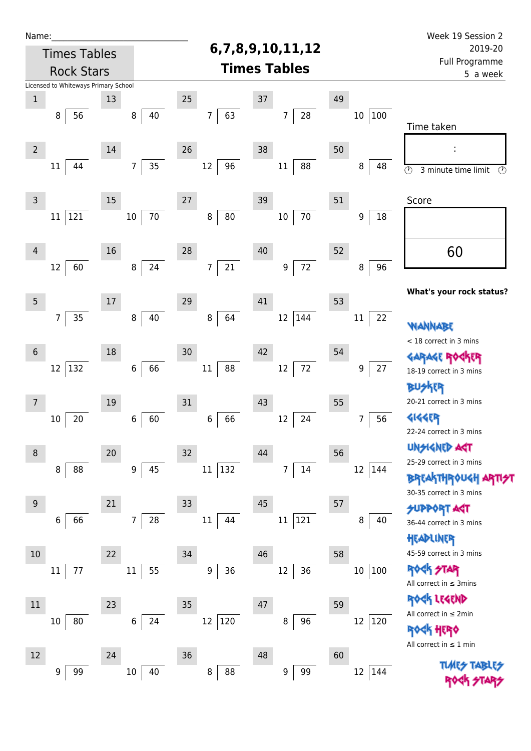| Name:                                                    |                                                                    |                                        | Week 19 Session 2                                                                           |
|----------------------------------------------------------|--------------------------------------------------------------------|----------------------------------------|---------------------------------------------------------------------------------------------|
| <b>Times Tables</b>                                      | 6,7,8,9,10,11,12                                                   |                                        | 2019-20                                                                                     |
| <b>Rock Stars</b>                                        | <b>Times Tables</b>                                                |                                        | <b>Full Programme</b><br>5 a week                                                           |
| Licensed to Whiteways Primary School                     |                                                                    |                                        |                                                                                             |
| $\mathbf 1$<br>13<br>40<br>56<br>$\,8\,$<br>8            | 25<br>$37\,$<br>63<br>28<br>$\overline{7}$<br>7                    | 49<br>$ 100\rangle$<br>10 <sup>°</sup> | Time taken                                                                                  |
| 14<br>$\overline{2}$<br>35<br>44<br>11<br>$\overline{7}$ | 26<br>38<br>96<br>12<br>11<br>88                                   | 50<br>8<br>48                          | ÷<br>$\odot$<br>$\circled{r}$<br>3 minute time limit                                        |
| 15<br>$\overline{3}$<br>70<br>121<br>$10\,$<br>$11\,$    | 27<br>39<br>$80\,$<br>70<br>$\bf 8$<br>$10\,$                      | 51<br>18<br>$\boldsymbol{9}$           | Score                                                                                       |
| 16<br>$\overline{4}$<br>24<br>60<br>12<br>8              | 40<br>28<br>$72\,$<br>$21\,$<br>$\overline{7}$<br>$\boldsymbol{9}$ | 52<br>96<br>8                          | 60                                                                                          |
| 5<br>17<br>35<br>40<br>$\overline{7}$<br>$\,8\,$         | 29<br>41<br>64<br>12<br>144<br>8                                   | 53<br>22<br>$11\,$                     | What's your rock status?                                                                    |
| 18<br>$6\,$                                              | 42<br>30                                                           | 54                                     | <b>WANNABE</b><br>< 18 correct in 3 mins<br>GARAGE ROGKER                                   |
| 66<br>12 132<br>$\boldsymbol{6}$<br>19<br>7              | $72\,$<br>88<br>12<br>$11\,$<br>43<br>31                           | 27<br>9<br>55                          | 18-19 correct in 3 mins<br>KER<br>20-21 correct in 3 mins                                   |
| 60<br>20<br>10<br>6<br>20<br>8                           | 66<br>12<br>24<br>6<br>32<br>44                                    | 56<br>7<br>56                          | <b>4144ER</b><br>22-24 correct in 3 mins<br><b>UNSIGNED AGT</b>                             |
| 45<br>88<br>8<br>9                                       | 132<br>$14\,$<br>11<br>7                                           | 12<br> 144                             | 25-29 correct in 3 mins<br><b>BREAKTHROUGH ARTI<del>S</del>T</b><br>30-35 correct in 3 mins |
| 21<br>9<br>66<br>28<br>6<br>7 <sup>1</sup>               | 45<br>33<br>121<br>11<br>$11\,$<br>44                              | 57<br>8<br>40                          | <b>SUPPORT AST</b><br>36-44 correct in 3 mins<br>HEADLINER                                  |
| 10<br>22<br>55<br>77<br>$11\,$<br>11                     | 46<br>34<br>36<br>36<br>9<br>12                                    | 58<br>$ 100\rangle$<br>$10\,$          | 45-59 correct in 3 mins<br><b>ROCK STAR</b><br>All correct in $\leq$ 3mins                  |
| $11\,$<br>23<br>24<br>80<br>$\boldsymbol{6}$<br>10       | 35<br>47<br>12 120<br>96<br>8                                      | 59<br>12<br> 120                       | ROCK LEGEND<br>All correct in $\leq 2$ min<br><b>ROGK HERO</b>                              |
| 12<br>24<br>99<br>$10\,$<br>40<br>9                      | 36<br>48<br>8<br>88<br>9<br>99                                     | 60<br> 144<br>12                       | All correct in $\leq 1$ min                                                                 |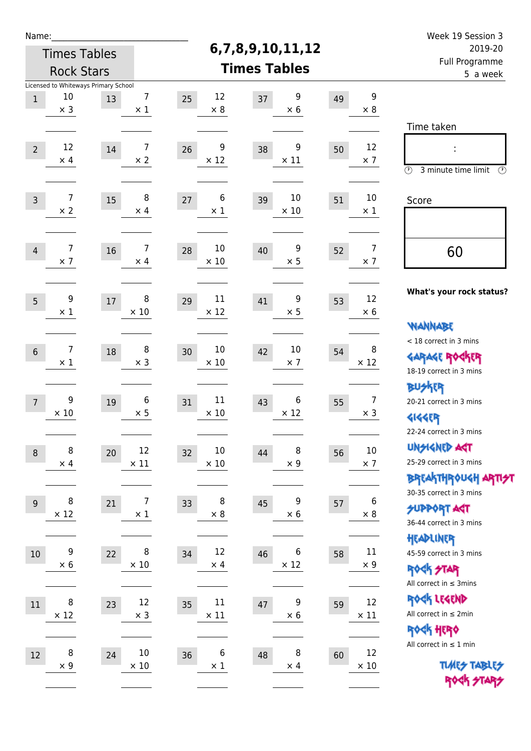| Name:                                    |                                      |      |                  |                        |                        |                            |                  | Week 19 Session 3                               |
|------------------------------------------|--------------------------------------|------|------------------|------------------------|------------------------|----------------------------|------------------|-------------------------------------------------|
| <b>Times Tables</b><br><b>Rock Stars</b> |                                      |      |                  |                        | 6,7,8,9,10,11,12       |                            |                  | 2019-20                                         |
|                                          |                                      |      |                  |                        | <b>Times Tables</b>    | Full Programme<br>5 a week |                  |                                                 |
|                                          | Licensed to Whiteways Primary School |      |                  |                        |                        |                            |                  |                                                 |
| $\mathbf{1}$                             | 10                                   | 13   | 7                | 12<br>25               | 9<br>37                | 49                         | 9                |                                                 |
|                                          | $\times$ 3                           |      | $\times$ 1       | $\times 8$             | $\times$ 6             |                            | $\times 8$       |                                                 |
|                                          |                                      |      |                  |                        |                        |                            |                  | Time taken                                      |
| $\overline{2}$                           | 12                                   | 14   | 7                | 9<br>26                | 9<br>38                | 50                         | 12               | t,                                              |
|                                          | $\times$ 4                           |      | $\times 2$       | $\times$ 12            | $\times$ 11            |                            | $\times$ 7       |                                                 |
|                                          |                                      |      |                  |                        |                        |                            |                  | $\circledcirc$<br>3 minute time limit<br>⊕      |
| $\overline{3}$                           | $\overline{7}$                       | 15   | 8                | 6<br>27                | 10<br>39               | 51                         | $10\,$           | Score                                           |
|                                          | $\times$ 2                           |      | $\times$ 4       | $\times$ 1             | $\times$ 10            |                            | $\times 1$       |                                                 |
|                                          |                                      |      |                  |                        |                        |                            |                  |                                                 |
|                                          |                                      |      |                  | 10                     |                        |                            | $\overline{7}$   |                                                 |
| $\overline{4}$                           | 7<br>$\times$ 7                      | 16   | 7<br>$\times$ 4  | 28<br>$\times$ 10      | 9<br>40<br>$\times$ 5  | 52                         | $\times$ 7       | 60                                              |
|                                          |                                      |      |                  |                        |                        |                            |                  |                                                 |
|                                          |                                      |      |                  |                        |                        |                            |                  | What's your rock status?                        |
| 5                                        | 9                                    | $17$ | 8                | 11<br>29               | 9<br>41                | 53                         | 12               |                                                 |
|                                          | $\times 1$                           |      | $\times$ 10      | $\times$ 12            | $\times$ 5             |                            | $\times 6$       | <b>WANNABE</b>                                  |
|                                          |                                      |      |                  |                        |                        |                            |                  | < 18 correct in 3 mins                          |
| 6                                        | 7                                    | 18   | 8                | 10<br>30               | 10<br>42               | 54                         | 8                | <b>GARAGE ROGKER</b>                            |
|                                          | $\times$ 1                           |      | $\times$ 3       | $\times$ 10            | $\times$ 7             |                            | $\times$ 12      | 18-19 correct in 3 mins                         |
|                                          |                                      |      |                  |                        |                        |                            |                  | <b>BUSKER</b>                                   |
| $\overline{7}$                           | 9                                    | 19   | 6                | 11<br>31               | 6<br>43                | 55                         | $\overline{7}$   | 20-21 correct in 3 mins                         |
|                                          | $\times 10$                          |      | $\times$ 5       | $\times$ 10            | $\times$ 12            |                            | $\times$ 3       | <b>4144EP</b>                                   |
|                                          |                                      |      |                  |                        |                        |                            |                  | 22-24 correct in 3 mins                         |
| $\,8\,$                                  | 8                                    | 20   | 12               | 10<br>32               | $\, 8$<br>44           | 56                         | $10\,$           | <b>UNSIGNED AGT</b>                             |
|                                          | $\times$ 4                           |      | $\times$ 11      | $\times$ 10            | $\times$ 9             |                            | $\times$ 7       | 25-29 correct in 3 mins                         |
|                                          |                                      |      |                  |                        |                        |                            |                  | ΒΡΓΑ <sup>Κ</sup> ΤΗΡΟυΚΗ ΑΡΤΙ <del>2</del> Τ   |
|                                          | 8                                    |      | 7                | 8                      | 9                      |                            | 6                | 30-35 correct in 3 mins                         |
| $9$                                      | $\times$ 12                          | 21   | $\times$ 1       | 33<br>$\times$ 8       | 45<br>$\times$ 6       | 57                         | $\times$ 8       | <b>SUPPORT ART</b>                              |
|                                          |                                      |      |                  |                        |                        |                            |                  | 36-44 correct in 3 mins                         |
|                                          |                                      |      |                  |                        |                        |                            |                  | HEADLINER                                       |
| $10\,$                                   | 9<br>$\times$ 6                      | 22   | 8<br>$\times$ 10 | 12<br>34<br>$\times$ 4 | 6<br>46<br>$\times$ 12 | 58                         | 11<br>$\times$ 9 | 45-59 correct in 3 mins                         |
|                                          |                                      |      |                  |                        |                        |                            |                  | <b>ROCK STAR</b>                                |
|                                          |                                      |      |                  |                        |                        |                            |                  | All correct in $\leq$ 3mins                     |
| 11                                       | 8                                    | 23   | 12               | 11<br>35               | 9<br>$47\,$            | 59                         | 12               | ROCK LEGEND                                     |
|                                          | $\times$ 12                          |      | $\times$ 3       | $\times$ 11            | $\times$ 6             |                            | $\times$ 11      | All correct in $\leq 2$ min                     |
|                                          |                                      |      |                  |                        |                        |                            |                  | <b>ROCK HERO</b><br>All correct in $\leq 1$ min |
| $12\,$                                   | 8                                    | 24   | $10\,$           | 6<br>36                | 8<br>48                | 60                         | 12               |                                                 |
|                                          | $\times$ 9                           |      | $\times$ 10      | $\times$ 1             | $\times$ 4             |                            | $\times$ 10      | <b>TUARS TABLES</b>                             |
|                                          |                                      |      |                  |                        |                        |                            |                  | ROCK STARS                                      |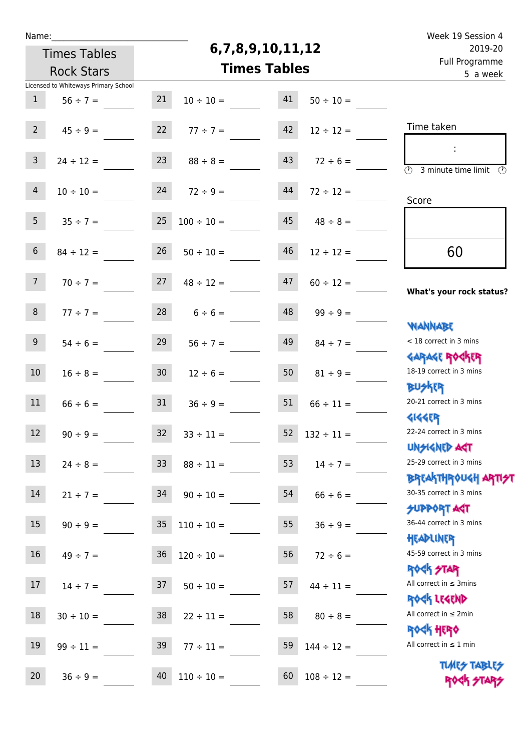| u | am |  |  |
|---|----|--|--|
|   |    |  |  |

## **6,7,8,9,10,11,12**

| 2019-20<br>Full Programme                                        | 6,7,8,9,10,11,12    |                   |                          | <b>Times Tables</b> |                                      |                 |
|------------------------------------------------------------------|---------------------|-------------------|--------------------------|---------------------|--------------------------------------|-----------------|
| 5 a week                                                         | <b>Times Tables</b> | <b>Rock Stars</b> |                          |                     |                                      |                 |
|                                                                  |                     |                   |                          |                     | Licensed to Whiteways Primary School |                 |
|                                                                  | $50 \div 10 =$      | 41                | $10 \div 10 =$           | 21                  | $56 \div 7 =$                        | $\mathbf{1}$    |
| Time taken                                                       | $12 \div 12 =$      | 42                | $77 ÷ 7 =$               | 22                  | $45 \div 9 =$                        | 2 <sup>7</sup>  |
| $\overline{\mathcal{D}}$<br>3 minute time limit<br>$\circled{r}$ | $72 \div 6 =$       | 43                | $88 \div 8 =$            | 23                  | $24 \div 12 =$                       | $\overline{3}$  |
| Score                                                            | $72 \div 12 =$      | 44                | $72 \div 9 =$            | 24                  | $10 \div 10 =$                       | $\overline{4}$  |
|                                                                  | $48 \div 8 =$       | 45                | $100 \div 10 =$          | 25                  | $35 \div 7 =$                        | 5 <sub>1</sub>  |
| 60                                                               | $12 \div 12 =$      | 46                | $50 \div 10 =$           | 26                  | $84 \div 12 =$                       | $6\overline{6}$ |
| What's your rock status?                                         | $60 \div 12 =$      | 47                | $48 \div 12 =$           | 27                  | $70 \div 7 =$                        | 7 <sup>7</sup>  |
| <b>NANNABE</b>                                                   | $99 \div 9 =$       | 48                | $6 \div 6 =$             | 28                  | $77 ÷ 7 =$                           | 8               |
| < 18 correct in 3 mins<br><b>GARAGE ROGKER</b>                   | $84 \div 7 =$       | 49                | $56 \div 7 =$            | 29                  | $54 \div 6 =$                        | 9               |
| 18-19 correct in 3 mins<br><b>BUSKER</b>                         | $81 \div 9 =$       | 50                | $12 \div 6 =$            | 30 <sub>o</sub>     | $16 \div 8 =$                        | 10 <sup>°</sup> |
| 20-21 correct in 3 mins<br><b>4144ER</b>                         | $66 \div 11 =$      | 51                | $36 \div 9 =$            | 31                  | $66 \div 6 =$                        | 11              |
| 22-24 correct in 3 mins<br>UNSIGNED AGT                          | $132 \div 11 =$     | 52                | $33 \div 11 =$           | 32                  | $90 \div 9 =$                        | 12              |
| 25-29 correct in 3 mins<br>ΒΡΓΑΚΤΗΡΟUGH ΑΡΤΙ <del>2</del> Τ      | $14 \div 7 =$       | 53                | $88 \div 11 =$           | 33                  | $24 \div 8 =$                        | 13              |
| 30-35 correct in 3 mins<br><b>SUPPORT AGT</b>                    | $66 \div 6 =$       | 54                | $90 \div 10 =$           | 34                  | $21 \div 7 =$                        | 14              |
| 36-44 correct in 3 mins<br>HEADLINER                             | $36 \div 9 =$       | 55                | $110 \div 10 =$          | 35                  | $90 \div 9 =$                        | 15              |
| 45-59 correct in 3 mins<br><b>ROCK STAR</b>                      | $72 \div 6 =$       | 56                | $36 \quad 120 \div 10 =$ |                     | $49 \div 7 =$                        | 16 <sup>1</sup> |
| All correct in $\leq$ 3mins<br>ROCK LEGEND                       | $44 \div 11 =$      | 57                | $50 \div 10 =$           | 37                  | $14 \div 7 =$                        | 17 <sub>2</sub> |
| All correct in $\leq 2$ min<br><b>ROCK HERO</b>                  | $80 \div 8 =$       | 58                | $22 \div 11 =$           | 38                  | $30 \div 10 =$                       | 18              |
| All correct in $\leq 1$ min<br><b>TUARS TABLES</b>               | $144 \div 12 =$     | 59                | $77 \div 11 =$           | 39                  | $99 \div 11 =$                       | 19              |
| ROCK STARS                                                       | $108 \div 12 =$     | 60                | $110 \div 10 =$          | 40                  | $36 \div 9 =$                        | 20              |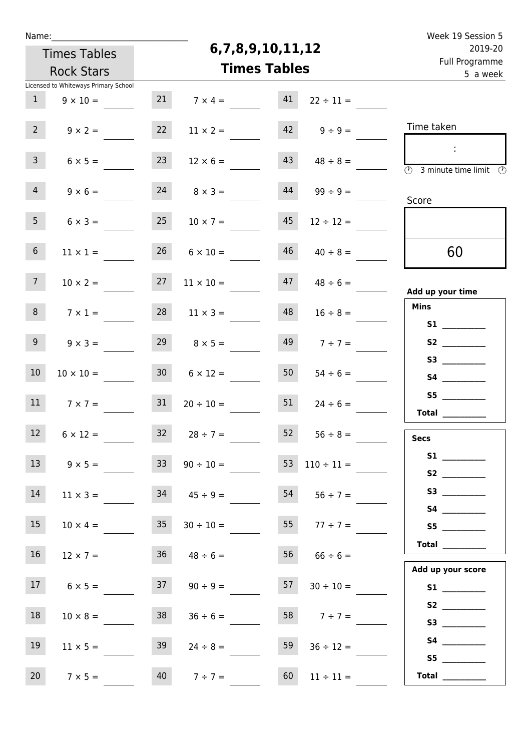| Name:             |                                      |                     |                     | Week 19 Session 5 |                          |                                                                                                                                                                                                                                                                                                                                                                                                                                                                                                                                                                                                                           |  |  |
|-------------------|--------------------------------------|---------------------|---------------------|-------------------|--------------------------|---------------------------------------------------------------------------------------------------------------------------------------------------------------------------------------------------------------------------------------------------------------------------------------------------------------------------------------------------------------------------------------------------------------------------------------------------------------------------------------------------------------------------------------------------------------------------------------------------------------------------|--|--|
|                   | <b>Times Tables</b>                  |                     |                     | 6,7,8,9,10,11,12  |                          | 2019-20<br>Full Programme                                                                                                                                                                                                                                                                                                                                                                                                                                                                                                                                                                                                 |  |  |
| <b>Rock Stars</b> |                                      | <b>Times Tables</b> |                     |                   |                          |                                                                                                                                                                                                                                                                                                                                                                                                                                                                                                                                                                                                                           |  |  |
|                   | Licensed to Whiteways Primary School |                     |                     |                   |                          | 5 a week                                                                                                                                                                                                                                                                                                                                                                                                                                                                                                                                                                                                                  |  |  |
| $\mathbf{1}$      | $9 \times 10 =$                      | 21                  | $7 \times 4 =$      | 41                | $22 \div 11 =$           |                                                                                                                                                                                                                                                                                                                                                                                                                                                                                                                                                                                                                           |  |  |
| 2 <sup>7</sup>    | $9 \times 2 =$                       | 22                  | $11 \times 2 =$     | 42                | $9 \div 9 =$             | Time taken                                                                                                                                                                                                                                                                                                                                                                                                                                                                                                                                                                                                                |  |  |
| $\mathbf{3}$      | $6 \times 5 =$                       | 23                  | $12 \times 6 =$     | 43                | $48 \div 8 =$            | $\overline{\circledcirc}$ 3 minute time limit $\circledcirc$                                                                                                                                                                                                                                                                                                                                                                                                                                                                                                                                                              |  |  |
| 4                 | $9 \times 6 =$                       | 24                  | $8 \times 3 =$      | 44                | $99 \div 9 =$            | Score                                                                                                                                                                                                                                                                                                                                                                                                                                                                                                                                                                                                                     |  |  |
| 5 <sub>1</sub>    | $6 \times 3 =$                       | 25                  | $10 \times 7 =$     | 45                | $12 \div 12 =$           |                                                                                                                                                                                                                                                                                                                                                                                                                                                                                                                                                                                                                           |  |  |
| 6 <sup>1</sup>    | $11 \times 1 =$                      | 26                  | $6 \times 10 =$     | 46                | $40 \div 8 =$            | 60                                                                                                                                                                                                                                                                                                                                                                                                                                                                                                                                                                                                                        |  |  |
| 7 <sup>7</sup>    | $10 \times 2 =$                      | 27                  | $11 \times 10 =$    | 47                | $48 \div 6 =$            | Add up your time                                                                                                                                                                                                                                                                                                                                                                                                                                                                                                                                                                                                          |  |  |
| 8                 | $7 \times 1 =$                       | 28                  | $11 \times 3 =$     | 48                | $16 \div 8 =$            | <b>Mins</b>                                                                                                                                                                                                                                                                                                                                                                                                                                                                                                                                                                                                               |  |  |
| 9 <sup>°</sup>    | $9 \times 3 =$                       | 29                  | $8 \times 5 =$      | 49                | $7 ÷ 7 =$                |                                                                                                                                                                                                                                                                                                                                                                                                                                                                                                                                                                                                                           |  |  |
| 10 <sup>°</sup>   | $10 \times 10 =$                     | 30 <sup>°</sup>     | $6 \times 12 =$     | 50                | $54 \div 6 =$            |                                                                                                                                                                                                                                                                                                                                                                                                                                                                                                                                                                                                                           |  |  |
| 11                | $7 \times 7 =$                       | 31                  | $20 \div 10 =$      | 51                | $24 \div 6 =$            | S5<br>$\begin{tabular}{c} Total & \underline{\hspace{1cm}} & \underline{\hspace{1cm}} & \underline{\hspace{1cm}} & \underline{\hspace{1cm}} & \underline{\hspace{1cm}} & \underline{\hspace{1cm}} & \underline{\hspace{1cm}} & \underline{\hspace{1cm}} & \underline{\hspace{1cm}} & \underline{\hspace{1cm}} & \underline{\hspace{1cm}} & \underline{\hspace{1cm}} & \underline{\hspace{1cm}} & \underline{\hspace{1cm}} & \underline{\hspace{1cm}} & \underline{\hspace{1cm}} & \underline{\hspace{1cm}} & \underline{\hspace{1cm}} & \underline{\hspace{1cm}} & \underline{\hspace{1cm}} & \underline{\hspace{1cm}} &$ |  |  |
| 12                | $6 \times 12 =$                      |                     | $32 \t 28 \div 7 =$ |                   | $52 \t 56 \div 8 =$      | <b>Secs</b>                                                                                                                                                                                                                                                                                                                                                                                                                                                                                                                                                                                                               |  |  |
| 13                | $9 \times 5 =$                       | 33                  | $90 \div 10 =$      |                   | $53 \quad 110 \div 11 =$ | S1                                                                                                                                                                                                                                                                                                                                                                                                                                                                                                                                                                                                                        |  |  |
| 14                | $11 \times 3 =$                      |                     | $34 \t 45 \div 9 =$ |                   | $54$ $56 \div 7 =$       |                                                                                                                                                                                                                                                                                                                                                                                                                                                                                                                                                                                                                           |  |  |
| 15                | $10 \times 4 =$                      | 35                  | $30 \div 10 =$      |                   | $55 \t 77 \div 7 =$      | S5                                                                                                                                                                                                                                                                                                                                                                                                                                                                                                                                                                                                                        |  |  |
| 16                | $12 \times 7 =$                      |                     | $36 \t 48 \div 6 =$ | 56                | $66 \div 6 =$            | Total                                                                                                                                                                                                                                                                                                                                                                                                                                                                                                                                                                                                                     |  |  |
| 17                | $6 \times 5 =$                       | 37                  | $90 \div 9 =$       | 57                | $30 \div 10 =$           | Add up your score                                                                                                                                                                                                                                                                                                                                                                                                                                                                                                                                                                                                         |  |  |
| 18                | $10 \times 8 =$                      | 38                  | $36 \div 6 =$       |                   | 58 $7 \div 7 =$          |                                                                                                                                                                                                                                                                                                                                                                                                                                                                                                                                                                                                                           |  |  |
| 19                | $11 \times 5 =$                      | 39                  | $24 \div 8 =$       | 59                | $36 \div 12 =$           | S5                                                                                                                                                                                                                                                                                                                                                                                                                                                                                                                                                                                                                        |  |  |
| 20 <sub>2</sub>   | $7 \times 5 =$                       |                     | $40 \t 7 \div 7 =$  | 60                | $11 \div 11 =$           | Total $\_\_$                                                                                                                                                                                                                                                                                                                                                                                                                                                                                                                                                                                                              |  |  |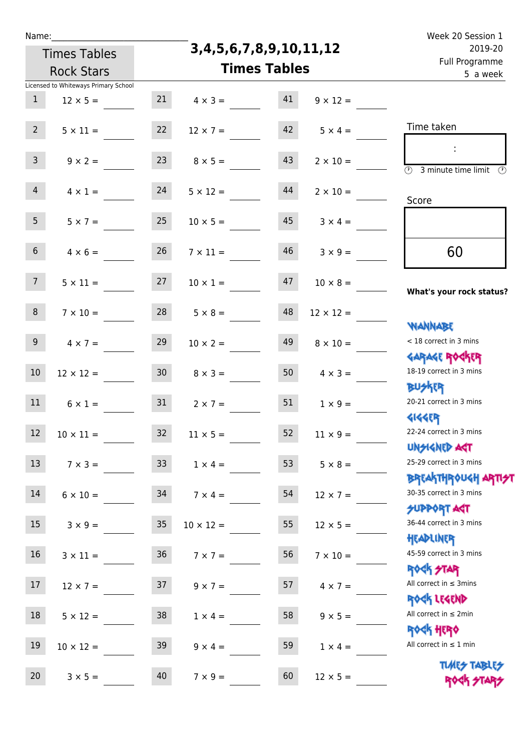|  | vam | L |  |
|--|-----|---|--|
|  |     |   |  |

**3,4,5,6,7,8,9,10,11,12**

|                | <b>Rock Stars</b>                    |                 |                  | <b>Times Tables</b> |                  | <u>i un i rogrummic</u><br>5 a week                                                      |
|----------------|--------------------------------------|-----------------|------------------|---------------------|------------------|------------------------------------------------------------------------------------------|
|                | Licensed to Whiteways Primary School |                 |                  |                     |                  |                                                                                          |
| $\mathbf{1}$   | $12 \times 5 =$                      | 21              | $4 \times 3 =$   | 41                  | $9 \times 12 =$  |                                                                                          |
| 2 <sup>7</sup> | $5 \times 11 =$                      | 22              | $12 \times 7 =$  | 42                  | $5 \times 4 =$   | Time taken                                                                               |
| $\mathbf{3}$   | $9 \times 2 =$                       | 23              | $8 \times 5 =$   | 43                  | $2 \times 10 =$  | $\ddot{\phantom{a}}$<br>$\overline{(\mathfrak{h})}$<br>3 minute time limit $\circled{0}$ |
| $\overline{4}$ | $4 \times 1 =$                       | 24              | $5 \times 12 =$  | 44                  | $2 \times 10 =$  | Score                                                                                    |
| 5 <sub>1</sub> | $5 \times 7 =$                       | 25              | $10 \times 5 =$  | 45                  | $3 \times 4 =$   |                                                                                          |
| 6 <sup>1</sup> | $4 \times 6 =$                       | 26              | $7 \times 11 =$  | 46                  | $3 \times 9 =$   | 60                                                                                       |
| 7 <sup>7</sup> | $5 \times 11 =$                      | 27              | $10 \times 1 =$  | 47                  | $10 \times 8 =$  | What's your rock status?                                                                 |
| 8              | $7 \times 10 =$                      | 28              | $5 \times 8 =$   | 48                  | $12 \times 12 =$ | <b>NANNABE</b>                                                                           |
| 9 <sup>1</sup> | $4 \times 7 =$                       | 29              | $10 \times 2 =$  | 49                  | $8 \times 10 =$  | < 18 correct in 3 mins                                                                   |
| $10\,$         | $12 \times 12 =$                     | 30 <sub>o</sub> | $8 \times 3 =$   | 50                  | $4 \times 3 =$   | <b>GARAGE ROCKER</b><br>18-19 correct in 3 mins                                          |
| 11             | $6 \times 1 =$                       | 31              | $2 \times 7 =$   | 51                  | $1 \times 9 =$   | <b>BUSKER</b><br>20-21 correct in 3 mins                                                 |
| 12             | $10 \times 11 =$                     | 32              | $11 \times 5 =$  | 52                  | $11 \times 9 =$  | <b>4144EP</b><br>22-24 correct in 3 mins                                                 |
| 13             | $7 \times 3 =$                       | 33              | $1 \times 4 =$   | 53                  | $5 \times 8 =$   | <b>UNSIGNED AGT</b><br>25-29 correct in 3 mins                                           |
| 14             | $6 \times 10 =$                      | 34              | $7 \times 4 =$   | 54                  | $12 \times 7 =$  | <b>BREAKTHROUGH ARTI<del>S</del>T</b><br>30-35 correct in 3 mins<br>SUPPORT ART          |
| 15             | $3 \times 9 =$                       | $35\,$          | $10 \times 12 =$ | 55                  | $12 \times 5 =$  | 36-44 correct in 3 mins                                                                  |
| 16             | $3 \times 11 =$                      | 36              | $7 \times 7 =$   | 56                  | $7 \times 10 =$  | HEADLINER<br>45-59 correct in 3 mins                                                     |
| 17             | $12 \times 7 =$                      | 37              | $9 \times 7 =$   | 57                  | $4 \times 7 =$   | <b>ROCK STAR</b><br>All correct in $\leq$ 3mins                                          |
| 18             | $5 \times 12 =$                      | 38              | $1 \times 4 =$   | 58                  | $9 \times 5 =$   | ROCK LEGEND<br>All correct in $\leq 2$ min                                               |
| 19             | $10 \times 12 =$                     | 39              | $9 \times 4 =$   | 59                  | $1 \times 4 =$   | <b>ROCK HERO</b><br>All correct in $\leq 1$ min                                          |
| 20             | $3 \times 5 =$                       | 40              | $7 \times 9 =$   | 60                  | $12 \times 5 =$  | <b>TUARS TABLES</b><br><b>ROGK 2T4</b>                                                   |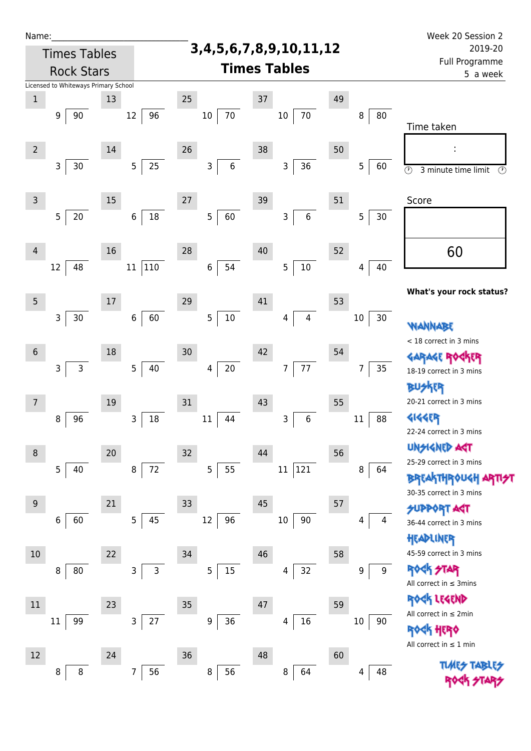| Name:          |                                      |         |              |                                 |         |                      |    |                      | Week 20 Session 2                                          |
|----------------|--------------------------------------|---------|--------------|---------------------------------|---------|----------------------|----|----------------------|------------------------------------------------------------|
|                | <b>Times Tables</b>                  |         |              | 3, 4, 5, 6, 7, 8, 9, 10, 11, 12 | 2019-20 |                      |    |                      |                                                            |
|                | <b>Rock Stars</b>                    |         |              | <b>Times Tables</b>             |         |                      |    |                      | Full Programme<br>5 a week                                 |
|                | Licensed to Whiteways Primary School |         |              |                                 |         |                      |    |                      |                                                            |
| $1\,$          |                                      | 13      |              | 25                              | 37      |                      | 49 |                      |                                                            |
|                | 90<br>9                              | 12      | 96           | 10                              | 70      | $70\,$<br>$10\,$     |    | 8<br>80              | Time taken                                                 |
| $\overline{2}$ |                                      | 14      |              | 26                              | 38      |                      | 50 |                      |                                                            |
|                | 3<br>30                              | 5       | 25           | $\mathsf{3}$                    | 6       | 3<br>36              |    | $\overline{5}$<br>60 | $\overline{\odot}$<br>3 minute time limit<br>$\circled{r}$ |
| $\mathsf{3}$   |                                      | 15      |              | 27                              | 39      |                      | 51 |                      | Score                                                      |
|                | 5<br>$20\,$                          | $\,6\,$ | $18\,$       | 5                               | 60      | $\bf 6$<br>3         |    | 5<br>30              |                                                            |
| 4              |                                      | 16      |              | 28                              | 40      |                      | 52 |                      | 60                                                         |
|                | 48<br>12                             | 11      | 110          | $\boldsymbol{6}$                | 54      | $10\,$<br>5          |    | 40<br>4              |                                                            |
| 5              |                                      | 17      |              | 29                              | 41      |                      | 53 |                      | What's your rock status?                                   |
|                | 3<br>30                              | $\,6\,$ | 60           | 5                               | $10\,$  | $\overline{4}$<br>4  |    | $10\,$<br>30         | <b><i>NANNABE</i></b>                                      |
| $\sqrt{6}$     |                                      | 18      |              | 30                              | 42      |                      | 54 |                      | < 18 correct in 3 mins                                     |
|                | $\mathsf{3}$<br>$\mathsf{3}$         | 5       | 40           | 4                               | $20\,$  | 77<br>$\overline{7}$ |    | 35<br>$\overline{7}$ | <b>FR</b>                                                  |
|                |                                      |         |              |                                 |         |                      |    |                      | 18-19 correct in 3 mins<br><b>BUSKER</b>                   |
| $\overline{7}$ |                                      | $19\,$  |              | 31                              | 43      |                      | 55 |                      | 20-21 correct in 3 mins                                    |
|                | 96<br>8                              | 3       | 18           | $11\,$                          | 44      | $\,$ 6 $\,$<br>3     |    | 88<br>$11\,$         | <b>4144EP</b><br>22-24 correct in 3 mins                   |
| 8              |                                      | 20      |              | 32                              | 44      |                      | 56 |                      | <b>UNSIGNED AGT</b>                                        |
|                | 5<br>40                              | 8       | 72           | 5                               | 55      | 121<br>$11\,$        |    | 8<br>64              | 25-29 correct in 3 mins<br><b>BREAKTHROUGH</b>             |
| 9              |                                      | 21      |              | 33                              | 45      |                      | 57 |                      | 30-35 correct in 3 mins                                    |
|                | 60<br>6                              | 5       | 45           | 12                              | 96      | 90<br>$10\,$         |    | 4<br>4               | <b>SUPPORT AGT</b><br>36-44 correct in 3 mins<br>HEADLINER |
| 10             |                                      | 22      |              | 34                              | 46      |                      | 58 |                      | 45-59 correct in 3 mins                                    |
|                | 80<br>8                              | 3       | $\mathsf{3}$ | 5                               | $15\,$  | 32<br>4              |    | 9<br>9               | <b>FTAR</b><br>Rock<br>All correct in $\leq$ 3mins         |
| $11\,$         |                                      | 23      |              | 35                              | 47      |                      | 59 |                      | <b><h b="" legend<=""></h></b>                             |
|                | 99<br>11                             | 3       | $27\,$       | 9                               | $36\,$  | 16<br>4              |    | $10\,$<br>90         | All correct in $\leq 2$ min<br><b>ROCK HERO</b>            |
| 12             |                                      | 24      |              | 36                              | 48      |                      | 60 |                      | All correct in $\leq 1$ min                                |
|                | 8<br>8                               | 7       | 56           | 8                               | 56      | 64<br>8              |    | 48<br>4              | <b>TUARS TABL</b>                                          |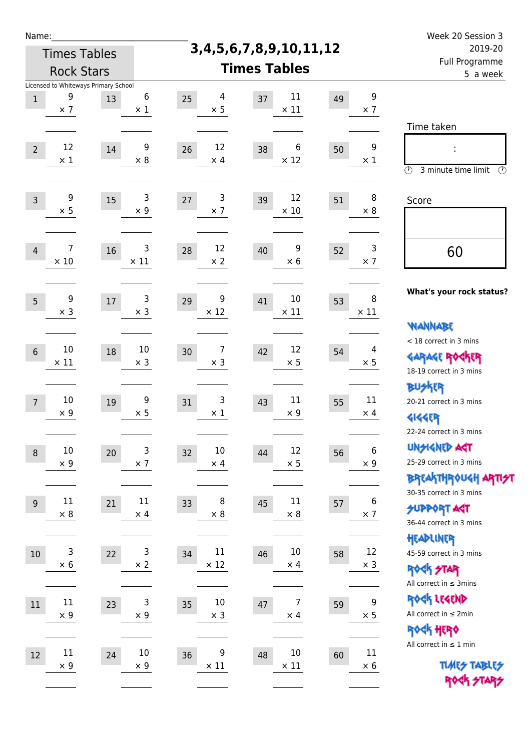| Ń | am |  | ı |  |
|---|----|--|---|--|
|   |    |  |   |  |
|   |    |  |   |  |

**3,4,5,6,7,8,9,10,11,12**

|                  | <b>Rock Stars</b>         |                                      |                                |                                    | <b>Times Tables</b>         |                                      | Full Programme<br>5 a week                                                              |
|------------------|---------------------------|--------------------------------------|--------------------------------|------------------------------------|-----------------------------|--------------------------------------|-----------------------------------------------------------------------------------------|
|                  |                           | Licensed to Whiteways Primary School |                                |                                    |                             |                                      |                                                                                         |
| $\mathbf 1$      | 9<br>$\times$ 7           | 13                                   | $\boldsymbol{6}$<br>$\times$ 1 | $\overline{4}$<br>25<br>$\times$ 5 | $11\,$<br>37<br>$\times$ 11 | $\boldsymbol{9}$<br>49<br>$\times$ 7 |                                                                                         |
| $\overline{2}$   | 12                        | 14                                   | 9                              | 12<br>26                           | 6<br>38                     | 9<br>50                              | Time taken                                                                              |
|                  | $\times$ 1                |                                      | $\times 8$                     | $\times$ 4                         | $\times$ 12                 | $\times$ 1                           | $\circled{r}$<br>3 minute time limit<br>⊕                                               |
| $\overline{3}$   | 9<br>$\times$ 5           | 15                                   | $\mathsf 3$<br>$\times$ 9      | $\mathsf 3$<br>27<br>$\times$ 7    | 12<br>39<br>$\times$ 10     | 8<br>51<br>$\times 8$                | Score                                                                                   |
| $\overline{4}$   | 7<br>$\times$ 10          | 16                                   | 3<br>$\times$ 11               | 12<br>28<br>$\times$ 2             | 9<br>40<br>$\times 6$       | 3<br>52<br>$\times$ 7                | 60                                                                                      |
| $5\phantom{.0}$  | 9<br>$\times$ 3           | 17                                   | 3<br>$\times$ 3                | 9<br>29<br>$\times$ 12             | $10\,$<br>41<br>$\times$ 11 | 8<br>53<br>$\times$ 11               | What's your rock status?                                                                |
| $6\phantom{a}$   | 10                        | 18                                   | $10\,$                         | $\overline{7}$<br>30               | 12<br>42                    | 4<br>54                              | <b>NANNABE</b><br>< 18 correct in 3 mins<br><b>GARAGE ROGKER</b>                        |
|                  | $\times$ 11               |                                      | $\times$ 3                     | $\times$ 3                         | $\times$ 5                  | $\times$ 5                           | 18-19 correct in 3 mins<br><b>BUSKER</b>                                                |
| $\overline{7}$   | $10\,$<br>$\times$ 9      | 19                                   | 9<br>$\times$ 5                | $\mathsf 3$<br>31<br>$\times$ 1    | $11\,$<br>43<br>$\times$ 9  | 11<br>55<br>$\times$ 4               | 20-21 correct in 3 mins<br><b>4144EP</b><br>22-24 correct in 3 mins                     |
| 8                | 10<br>$\times$ 9          | 20                                   | 3<br>$\times$ 7                | $10\,$<br>32<br>$\times$ 4         | 12<br>44<br>$\times$ 5      | $\,6$<br>56<br>$\times$ 9            | <b>UNSIGNED AGT</b><br>25-29 correct in 3 mins<br><b>BREAKTHROUGH ARTI<del>S</del>T</b> |
| $\boldsymbol{9}$ | 11<br>$\times 8$          | 21                                   | 11<br>$\times$ 4               | 8<br>33<br>$\times 8$              | $11\,$<br>45<br>$\times$ 8  | 6<br>57<br>$\times$ 7                | 30-35 correct in 3 mins<br><b>SUPPORT ART</b><br>36-44 correct in 3 mins                |
| $10\,$           | $\mathsf 3$<br>$\times$ 6 | 22                                   | 3<br>$\times$ 2                | 11<br>34<br>$\times$ 12            | 10<br>46<br>$\times$ 4      | 12<br>58<br>$\times$ 3               | HEADLINER<br>45-59 correct in 3 mins<br><b>ROCK STAR</b>                                |
| $11\,$           | $11\,$<br>$\times$ 9      | 23                                   | 3<br>$\times$ 9                | $10\,$<br>35<br>$\times$ 3         | 7<br>$47\,$<br>$\times$ 4   | 9<br>59<br>$\times$ 5                | All correct in $\leq$ 3mins<br>ROCK LEGEND<br>All correct in $\leq 2$ min               |
| 12               | 11                        | 24                                   | 10                             | 9<br>36                            | $10\,$<br>48                | 11<br>60                             | ROCK HERO<br>All correct in $\leq 1$ min                                                |
|                  | $\times$ 9                |                                      | $\times$ 9                     | $\times$ 11                        | $\times$ 11                 | $\times$ 6                           | <b>TUNES TABLES</b><br>PORT STAPS                                                       |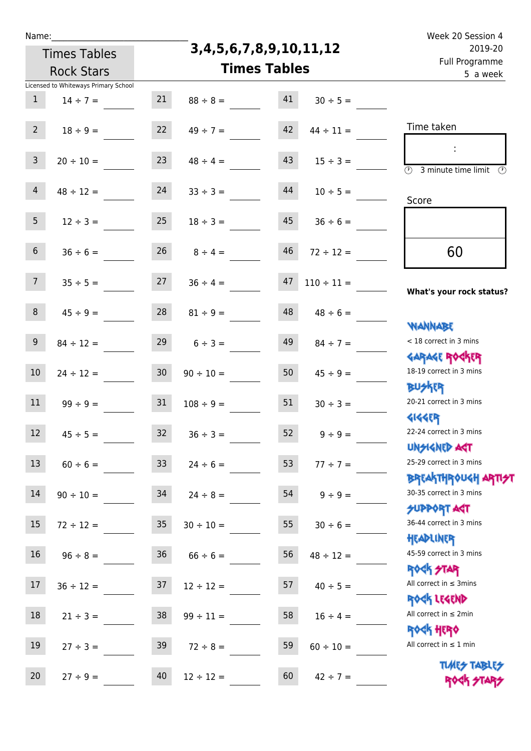**3,4,5,6,7,8,9,10,11,12**

| 2019-20                                                                        | 3,4,5,6,7,8,9,10,11,12          | <b>Times Tables</b> |                                 |                 |                                      |                |
|--------------------------------------------------------------------------------|---------------------------------|---------------------|---------------------------------|-----------------|--------------------------------------|----------------|
| Full Programme<br>5 a week                                                     |                                 |                     | <b>Times Tables</b>             |                 | <b>Rock Stars</b>                    |                |
|                                                                                |                                 |                     |                                 |                 | Licensed to Whiteways Primary School |                |
|                                                                                | $30 \div 5 =$                   | 41                  | $88 \div 8 =$                   | 21              | $14 \div 7 =$                        | $\mathbf{1}$   |
| Time taken                                                                     | $44 \div 11 =$                  | 42                  | $49 \div 7 =$                   | 22              | $18 \div 9 =$                        | 2 <sup>7</sup> |
| $\overline{\mathcal{D}}$<br>3 minute time limit<br>$\circled{r}$               | $15 \div 3 =$                   | 43                  | $48 \div 4 =$                   | 23              | $20 \div 10 =$                       | $\mathsf{3}$   |
| Score                                                                          | $10 \div 5 =$                   | 44                  | $33 \div 3 =$                   | 24              | $48 \div 12 =$                       | $\overline{4}$ |
|                                                                                | $36 \div 6 =$                   | 45                  | $18 \div 3 =$                   | 25              | $12 \div 3 =$                        | 5 <sub>1</sub> |
| 60                                                                             | $72 \div 12 =$                  | 46                  | $8 \div 4 =$                    | 26              | $36 \div 6 =$                        | 6 <sup>1</sup> |
| What's your rock status?                                                       | $110 \div 11 =$                 | 47                  | $36 \div 4 =$                   | 27              | $35 \div 5 =$                        | 7 <sup>7</sup> |
| <b>NANNABE</b>                                                                 | $48 \div 6 =$                   | 48                  | $81 \div 9 =$                   | 28              | $45 \div 9 =$                        | 8              |
| < 18 correct in 3 mins<br><b>GARAGE ROCKER</b>                                 | $84 \div 7 =$                   | 49                  | $6 \div 3 =$                    | 29              | $84 \div 12 =$                       | 9              |
| 18-19 correct in 3 mins<br><b>BUSKER</b>                                       | $45 \div 9 =$                   | 50                  | $90 \div 10 =$                  | 30 <sub>o</sub> | $24 \div 12 =$                       | $10\,$         |
| 20-21 correct in 3 mins<br><b><k<er< b=""></k<er<></b>                         | $30 \div 3 =$                   | 51                  | $108 \div 9 =$                  | 31              | $99 \div 9 =$                        | 11             |
| 22-24 correct in 3 mins<br>UNSIGNED AGT                                        | $9 \div 9 =$                    | 52                  | $36 \div 3 =$                   | 32              | $45 \div 5 =$                        | 12             |
| 25-29 correct in 3 mins<br>ΒΡΓΑΚΤΗΡΟUGH ΑΡΤΙ <del>2</del> Τ                    | $77 ÷ 7 =$                      | 53                  | $24 \div 6 =$                   | 33 <sup>°</sup> | $60 \div 6 =$                        | 13             |
| 30-35 correct in 3 mins<br><b>SUPPORT AGT</b>                                  | $9 \div 9 =$                    | 54                  | $24 \div 8 =$                   | 34              | $90 \div 10 =$                       | 14             |
| 36-44 correct in 3 mins<br>HEADLINER                                           | $30 \div 6 =$                   | 55                  | $30 \div 10 =$                  | 35              | $72 \div 12 =$                       | 15             |
| 45-59 correct in 3 mins<br><b>ROCK STAR</b>                                    | $48 \div 12 =$                  | 56                  | $66 \div 6 =$                   | 36              | $96 \div 8 =$                        | 16             |
| All correct in $\leq$ 3mins<br>ROCK LEGEND                                     | $40 \div 5 =$                   | 57                  | $12 \div 12 =$                  | 37              | $36 \div 12 =$                       | 17             |
| All correct in $\leq 2$ min<br><b>ROCK HERO</b><br>All correct in $\leq 1$ min | $16 \div 4 =$                   | 58                  | $99 \div 11 =$                  | 38              | $21 \div 3 =$                        | 18             |
| <b>TUARS TABLES</b><br>ROCK STARS                                              | $60 \div 10 =$<br>$42 \div 7 =$ | 59<br>60            | $72 \div 8 =$<br>$12 \div 12 =$ | 39<br>40        | $27 \div 3 =$<br>$27 \div 9 =$       | 19<br>20       |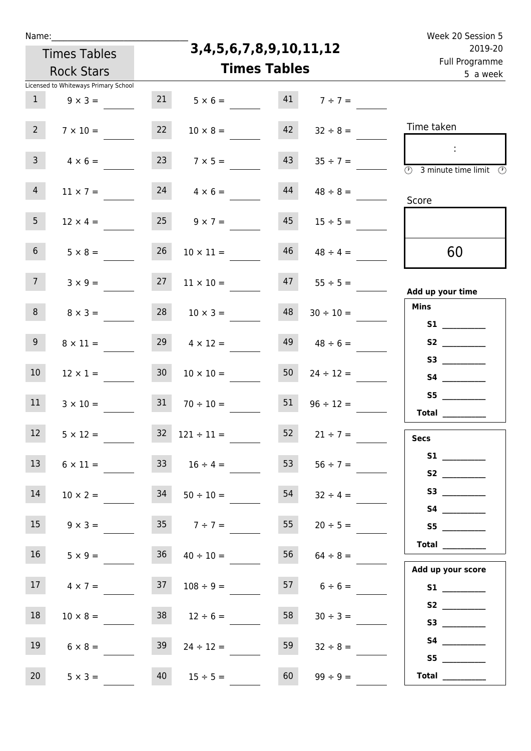| Ń | am |  | ı |  |
|---|----|--|---|--|
|   |    |  |   |  |
|   |    |  |   |  |

**3,4,5,6,7,8,9,10,11,12 Times Tables** Licensed to Whiteways Primary School Times Tables Rock Stars Week 20 Session 5 Full Programme 2019-20 5 a week Time taken :  $\overline{(r)}$  3 minute time limit  $\circled{r}$ Score **Add up your time Mins S1 \_\_\_\_\_\_\_\_\_\_\_\_ S2 \_\_\_\_\_\_\_\_\_\_\_\_ S3 \_\_\_\_\_\_\_\_\_\_\_\_ S4 \_\_\_\_\_\_\_\_\_\_\_\_ S5 \_\_\_\_\_\_\_\_\_\_\_\_ Total \_\_\_\_\_\_\_\_\_\_\_\_ Secs S1 \_\_\_\_\_\_\_\_\_\_\_\_ S2 \_\_\_\_\_\_\_\_\_\_\_\_ S3 \_\_\_\_\_\_\_\_\_\_\_\_ S4 \_\_\_\_\_\_\_\_\_\_\_\_ S5 \_\_\_\_\_\_\_\_\_\_\_\_ Total \_\_\_\_\_\_\_\_\_\_\_\_ Add up your score S1 \_\_\_\_\_\_\_\_\_\_\_\_** 60 1  $9 \times 3 = 21$   $5 \times 6 = 41$   $7 \div 7 =$ 2  $7 \times 10 =$  22  $10 \times 8 =$  42  $32 \div 8 =$ 3  $4 \times 6 =$  23  $7 \times 5 =$  43  $35 \div 7 =$  $4 \quad 11 \times 7 =$  24  $4 \times 6 =$  44  $48 \div 8 =$ 5  $12 \times 4 = 25$   $9 \times 7 = 45$   $15 \div 5 =$ 6  $5 \times 8 = 26$   $10 \times 11 = 46$   $48 \div 4 =$ 7  $3 \times 9 = 27$   $11 \times 10 = 47$   $55 \div 5 =$ 8  $8 \times 3 = 28$   $10 \times 3 = 48$   $30 \div 10 = 10$ 9  $8 \times 11 = 29$   $4 \times 12 = 49$   $48 \div 6 = 49$ 10  $12 \times 1 =$  30  $10 \times 10 =$  50  $24 \div 12 =$ 11  $3 \times 10 = 31$   $70 \div 10 = 51$   $96 \div 12 =$ 12  $5 \times 12 = 32$   $121 \div 11 = 52$   $21 \div 7 = 52$ 13  $6 \times 11 =$  33  $16 \div 4 =$  53  $56 \div 7 =$ 14  $10 \times 2 = 34$   $50 \div 10 = 54$   $32 \div 4 =$ 15  $9 \times 3 = 35$   $7 \div 7 = 55$   $20 \div 5 =$ 16  $5 \times 9 = 36$   $40 \div 10 = 56$   $64 \div 8 =$ 17  $4 \times 7 = 37$   $108 \div 9 = 57$   $6 \div 6 = 57$ 

20  $5 \times 3 =$   $40$   $15 \div 5 =$   $60$   $99 \div 9 =$ 

 **S2 \_\_\_\_\_\_\_\_\_\_\_\_ S3 \_\_\_\_\_\_\_\_\_\_\_\_ S4 \_\_\_\_\_\_\_\_\_\_\_\_ S5 \_\_\_\_\_\_\_\_\_\_\_\_** 18  $10 \times 8 = 38$   $12 \div 6 = 58$   $30 \div 3 =$ 19  $6 \times 8 = 39$   $24 \div 12 = 59$   $32 \div 8 =$ 

 **Total \_\_\_\_\_\_\_\_\_\_\_\_**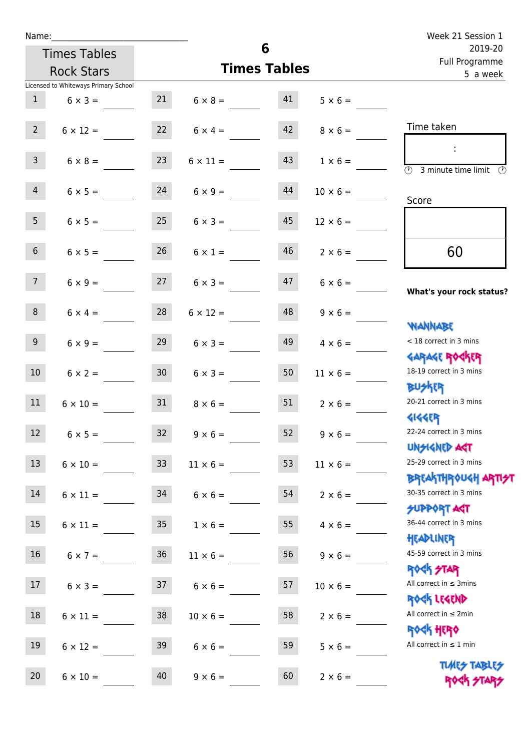| Name:            |                                      |                 |                         | 6                         |                 | Week 21 Session 1                                                |
|------------------|--------------------------------------|-----------------|-------------------------|---------------------------|-----------------|------------------------------------------------------------------|
|                  | <b>Times Tables</b>                  |                 |                         | 2019-20<br>Full Programme |                 |                                                                  |
|                  | <b>Rock Stars</b>                    |                 | <b>Times Tables</b>     | 5 a week                  |                 |                                                                  |
|                  | Licensed to Whiteways Primary School |                 |                         |                           |                 |                                                                  |
| $\mathbf{1}$     | $6 \times 3 =$                       |                 | $21 \t 6 \times 8 = 41$ |                           | $5 \times 6 =$  |                                                                  |
| $2^{\circ}$      | $6 \times 12 =$                      |                 | $22 \t 6 \times 4 =$    | 42                        | $8 \times 6 =$  | Time taken                                                       |
| 3 <sup>7</sup>   | $6 \times 8 =$                       | 23              | $6 \times 11 =$         | 43                        | $1 \times 6 =$  | $\overline{\mathcal{O}}$<br>3 minute time limit<br>$\mathcal{O}$ |
| $\overline{4}$   | $6 \times 5 =$                       | 24              | $6 \times 9 =$          | 44                        | $10 \times 6 =$ | Score                                                            |
| 5 <sub>1</sub>   | $6 \times 5 =$                       | 25              | $6 \times 3 =$          | 45                        | $12 \times 6 =$ |                                                                  |
| 6 <sup>1</sup>   | $6 \times 5 =$                       | 26              | $6 \times 1 =$          | 46                        | $2 \times 6 =$  | 60                                                               |
| 7 <sup>7</sup>   | $6 \times 9 =$                       | 27              | $6 \times 3 =$          | 47                        | $6 \times 6 =$  | What's your rock status?                                         |
| 8                | $6 \times 4 =$                       | 28              | $6 \times 12 =$         | 48                        | $9 \times 6 =$  | <b>NANNABE</b>                                                   |
| 9 <sub>o</sub>   | $6 \times 9 =$                       | 29              | $6 \times 3 =$          | 49                        | $4 \times 6 =$  | < 18 correct in 3 mins                                           |
| 10 <sup>1</sup>  | $6 \times 2 =$                       | 30              | $6 \times 3 =$          | 50                        | $11 \times 6 =$ | <b>GARAGE ROGKER</b><br>18-19 correct in 3 mins<br><b>BU外四</b>   |
| 11               | $6 \times 10 =$                      | 31              | $8 \times 6 =$          | 51                        | $2 \times 6 =$  | 20-21 correct in 3 mins<br><b>4144ER</b>                         |
| 12               | $6 \times 5 =$                       | 32              | $9 \times 6 =$          | 52                        | $9 \times 6 =$  | 22-24 correct in 3 mins<br><b>UNSIGNED AST</b>                   |
| 13               | $6 \times 10 =$                      | 33 <sup>°</sup> | $11 \times 6 =$         | 53                        | $11 \times 6 =$ | 25-29 correct in 3 mins<br><b>BREAKTHROUGH ARTH</b>              |
| 14               | $6 \times 11 =$                      | 34              | $6 \times 6 =$          | 54                        | $2 \times 6 =$  | 30-35 correct in 3 mins<br>SUPPORT ART                           |
| 15 <sub>15</sub> | $6 \times 11 =$                      | 35 <sub>o</sub> | $1 \times 6 =$          | 55                        | $4 \times 6 =$  | 36-44 correct in 3 mins                                          |
| 16 <sup>1</sup>  | $6 \times 7 =$                       | $36\,$          | $11 \times 6 =$         | 56                        | $9 \times 6 =$  | HEADLINER<br>45-59 correct in 3 mins                             |
| 17               | $6 \times 3 =$                       | 37              | $6 \times 6 =$          | 57                        | $10 \times 6 =$ | <b>ROCK STAR</b><br>All correct in $\leq$ 3mins                  |
| 18               | $6 \times 11 =$                      | 38              | $10 \times 6 =$         | 58                        | $2 \times 6 =$  | ROCK LEGEND<br>All correct in $\leq 2$ min<br><b>ROCK HERO</b>   |
| 19               | $6 \times 12 =$                      | 39              | $6 \times 6 =$          | 59                        | $5 \times 6 =$  | All correct in $\leq 1$ min                                      |
| 20               | $6 \times 10 =$                      | 40              | $9 \times 6 =$          | 60                        | $2 \times 6 =$  | <b>TUARS TABLES</b><br>ROCK STARS                                |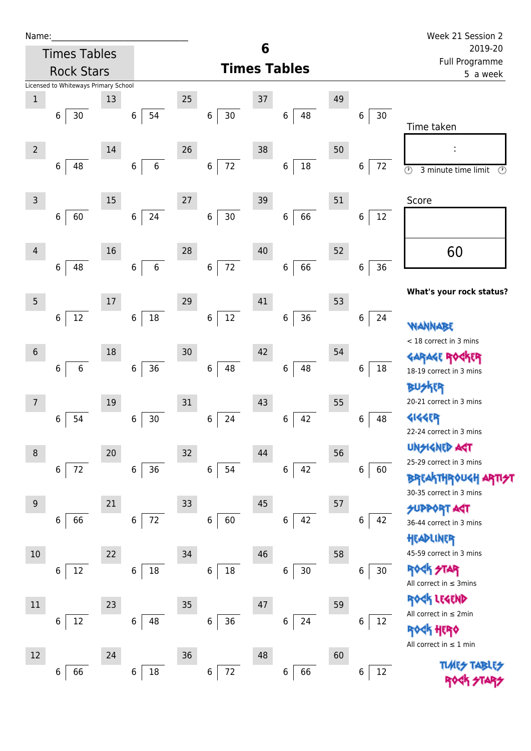| Name |  |  |  |
|------|--|--|--|
|      |  |  |  |

66 6 18

72

 $6 | 66$ 

| Name:           |                                      |    |                  |        |                            |    |                     |    |                           | Week 21 Session 2                                                |
|-----------------|--------------------------------------|----|------------------|--------|----------------------------|----|---------------------|----|---------------------------|------------------------------------------------------------------|
|                 | <b>Times Tables</b>                  |    |                  |        |                            | 6  |                     |    | 2019-20<br>Full Programme |                                                                  |
|                 | <b>Rock Stars</b>                    |    |                  |        |                            |    | <b>Times Tables</b> |    | 5 a week                  |                                                                  |
|                 | Licensed to Whiteways Primary School |    |                  |        |                            |    |                     |    |                           |                                                                  |
| $\mathbf 1$     |                                      | 13 |                  | 25     |                            | 37 |                     | 49 |                           |                                                                  |
|                 | 30<br>6                              |    | 54<br>6          |        | $\,6\,$<br>30              |    | 6<br>48             |    | $30\,$<br>6               | Time taken                                                       |
| $\overline{2}$  |                                      | 14 |                  | 26     |                            | 38 |                     | 50 |                           |                                                                  |
|                 | 48<br>6                              |    | $\,$ 6 $\,$<br>6 |        | 72<br>6                    |    | $18\,$<br>6         |    | 72<br>6                   | $\circledcirc$<br>3 minute time limit<br>⊙                       |
| $\overline{3}$  |                                      | 15 |                  | 27     |                            | 39 |                     | 51 |                           | Score                                                            |
|                 | 60<br>$\,$ 6 $\,$                    |    | 24<br>$\,6\,$    |        | $30\,$<br>$\boldsymbol{6}$ |    | 66<br>$\,$ 6 $\,$   |    | 12<br>6                   |                                                                  |
| $\overline{4}$  |                                      | 16 |                  | 28     |                            | 40 |                     | 52 |                           | 60                                                               |
|                 | 48<br>$\,$ 6 $\,$                    |    | $\,6\,$<br>6     |        | 72<br>$\,6\,$              |    | 66<br>6             |    | 36<br>6                   |                                                                  |
|                 |                                      |    |                  |        |                            |    |                     |    |                           | What's your rock status?                                         |
| 5               |                                      | 17 |                  | 29     |                            | 41 |                     | 53 |                           |                                                                  |
|                 | $12\,$<br>$\,$ 6 $\,$                |    | $18\,$<br>6      |        | $12\,$<br>$\,6$            |    | $36\,$<br>6         |    | 6<br>24                   | WANNABE<br>< 18 correct in 3 mins                                |
| $6\,$           |                                      | 18 |                  | 30     |                            | 42 |                     | 54 |                           |                                                                  |
|                 | $\boldsymbol{6}$<br>6                |    | 36<br>6          |        | $\,$ 6 $\,$<br>48          |    | 48<br>6             |    | 6<br>18                   | GARAGE ROCKER<br>18-19 correct in 3 mins                         |
|                 |                                      |    |                  |        |                            |    |                     |    |                           | <b>BUSKER</b>                                                    |
| 7               |                                      | 19 |                  | 31     |                            | 43 |                     | 55 |                           | 20-21 correct in 3 mins                                          |
|                 | 54<br>6                              |    | $30$<br>6        |        | 24<br>$\,6\,$              |    | 42<br>6             |    | 48<br>6                   | <b>4144EP</b><br>22-24 correct in 3 mins                         |
| 8               |                                      | 20 |                  | 32     |                            | 44 |                     | 56 |                           | <b>UNSIGNED AGT</b>                                              |
|                 | 72<br>6                              |    | 36<br>$\,6\,$    |        | 54<br>$6\,$                |    | 42<br>$\,6$         |    | 6<br>60                   | 25-29 correct in 3 mins                                          |
|                 |                                      |    |                  |        |                            |    |                     |    |                           | <b>BREAKTHROUGH ARTI<del>S</del>T</b><br>30-35 correct in 3 mins |
| $9\phantom{.0}$ |                                      | 21 |                  | 33     |                            | 45 |                     | 57 |                           | <b>SUPPORT ART</b>                                               |
|                 | 66<br>6                              |    | 72<br>6          |        | 60<br>$\,6$                |    | 42<br>6             |    | 6<br>42                   | 36-44 correct in 3 mins                                          |
| 10              |                                      | 22 |                  | 34     |                            | 46 |                     | 58 |                           | HEADLINER<br>45-59 correct in 3 mins                             |
|                 | 12<br>6                              |    | 18<br>6          |        | $\,6$<br>18                |    | 30<br>6             |    | 30<br>6                   | <b>ROCK STAR</b>                                                 |
|                 |                                      |    |                  |        |                            |    |                     |    |                           | All correct in $\leq$ 3mins                                      |
| $11\,$          |                                      | 23 |                  | $35\,$ |                            | 47 |                     | 59 |                           | ROCK LEGEND<br>All correct in $\leq 2$ min                       |
|                 | 12<br>6                              |    | 48<br>6          |        | 36<br>6                    |    | 24<br>6             |    | 12<br>6                   | <b>ROGH HERO</b>                                                 |

Rock Hero All correct in ≤ 2min

12

All correct in ≤ 1 min

Times Tables ROCK STA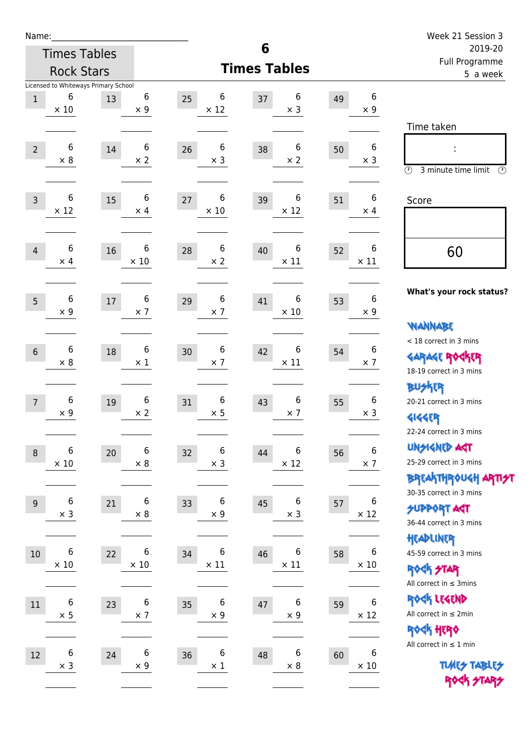| Name:          |                            |                                      |                  |                       |                        |    |                                | Week 21 Session 3                                     |  |  |
|----------------|----------------------------|--------------------------------------|------------------|-----------------------|------------------------|----|--------------------------------|-------------------------------------------------------|--|--|
|                |                            | <b>Times Tables</b>                  |                  |                       | 6                      |    |                                | 2019-20<br>Full Programme                             |  |  |
|                |                            | <b>Rock Stars</b>                    |                  |                       | <b>Times Tables</b>    |    | 5 a week                       |                                                       |  |  |
|                | 6                          | Licensed to Whiteways Primary School | 6                | 6                     | 6                      |    | 6                              |                                                       |  |  |
| $\mathbf{1}$   | $\times$ 10                | 13                                   | $\times$ 9       | 25<br>$\times$ 12     | 37<br>$\times$ 3       | 49 | $\times 9$                     |                                                       |  |  |
|                |                            |                                      |                  |                       |                        |    |                                | Time taken                                            |  |  |
|                | $\,6$                      |                                      | 6                | 6                     | 6                      |    | 6                              |                                                       |  |  |
| $\overline{2}$ | $\times 8$                 | 14                                   | $\times 2$       | 26<br>$\times$ 3      | 38<br>$\times 2$       | 50 | $\times$ 3                     |                                                       |  |  |
|                |                            |                                      |                  |                       |                        |    |                                | $\circled{r}$<br>3 minute time limit<br>$\circled{r}$ |  |  |
|                | $6\,$                      |                                      | 6                | 6                     | 6                      |    | 6                              |                                                       |  |  |
| $\overline{3}$ | $\times$ 12                | 15                                   | $\times$ 4       | 27<br>$\times 10$     | 39<br>$\times$ 12      | 51 | $\times$ 4                     | Score                                                 |  |  |
|                |                            |                                      |                  |                       |                        |    |                                |                                                       |  |  |
|                | $\,6$                      |                                      | 6                | 6                     | 6                      |    | $\boldsymbol{6}$               |                                                       |  |  |
| $\overline{4}$ | $\times$ 4                 | 16                                   | $\times$ 10      | 28<br>$\times 2$      | 40<br>$\times$ 11      | 52 | $\times$ 11                    | 60                                                    |  |  |
|                |                            |                                      |                  |                       |                        |    |                                |                                                       |  |  |
|                | 6                          |                                      | 6                | 6                     | 6                      |    | 6                              | What's your rock status?                              |  |  |
| 5              | $\times 9$                 | $17\,$                               | $\times$ 7       | 29<br>$\times$ 7      | 41<br>$\times$ 10      | 53 | $\times 9$                     |                                                       |  |  |
|                |                            |                                      |                  |                       |                        |    |                                | <b>NANNABE</b>                                        |  |  |
|                |                            |                                      |                  |                       |                        |    |                                | < 18 correct in 3 mins                                |  |  |
| $6\phantom{1}$ | 6<br>$\times 8$            | 18                                   | 6<br>$\times$ 1  | 6<br>30<br>$\times$ 7 | 6<br>42<br>$\times$ 11 | 54 | $\boldsymbol{6}$<br>$\times$ 7 | <b>GARAGE ROCKER</b>                                  |  |  |
|                |                            |                                      |                  |                       |                        |    |                                | 18-19 correct in 3 mins                               |  |  |
|                |                            |                                      |                  |                       |                        |    |                                | <b>BUSKER</b>                                         |  |  |
| $\overline{7}$ | $\,6$<br>$\times$ 9        | 19                                   | 6<br>$\times 2$  | 6<br>31<br>$\times$ 5 | 6<br>43<br>$\times$ 7  | 55 | 6<br>$\times$ 3                | 20-21 correct in 3 mins                               |  |  |
|                |                            |                                      |                  |                       |                        |    |                                | <b>4144EP</b>                                         |  |  |
|                |                            |                                      |                  |                       |                        |    |                                | 22-24 correct in 3 mins                               |  |  |
| $\, 8$         | $\,$ 6 $\,$<br>$\times$ 10 | $20\,$                               | 6<br>$\times$ 8  | 6<br>32<br>$\times$ 3 | 6<br>44<br>$\times$ 12 | 56 | 6<br>$\times$ 7                | <b>UNGIGNED AST</b><br>25-29 correct in 3 mins        |  |  |
|                |                            |                                      |                  |                       |                        |    |                                | BREAKTHRÓUGH ARTI <del>S</del> T                      |  |  |
|                |                            |                                      |                  |                       |                        |    |                                | 30-35 correct in 3 mins                               |  |  |
| 9              | $\boldsymbol{6}$           | 21                                   | 6                | 6<br>33               | 6<br>45                | 57 | 6                              | <b>SUPPORT ART</b>                                    |  |  |
|                | $\times$ 3                 |                                      | $\times$ 8       | $\times$ 9            | $\times$ 3             |    | $\times$ 12                    | 36-44 correct in 3 mins                               |  |  |
|                |                            |                                      |                  |                       |                        |    |                                | HEADLINER                                             |  |  |
| $10\,$         | 6                          | 22                                   | 6                | 6<br>34               | 6<br>46                | 58 | 6                              | 45-59 correct in 3 mins                               |  |  |
|                | $\times$ 10                |                                      | $\times$ 10      | $\times$ 11           | $\times$ 11            |    | $\times$ 10                    | <b>ROCK STAR</b>                                      |  |  |
|                |                            |                                      |                  |                       |                        |    |                                | All correct in $\leq$ 3mins                           |  |  |
| $11\,$         | $\,6\,$                    | 23                                   | $\boldsymbol{6}$ | 6<br>35               | $\boldsymbol{6}$<br>47 | 59 | $\boldsymbol{6}$               | ROCK LEGEND                                           |  |  |
|                | $\times$ 5                 |                                      | $\times$ 7       | $\times$ 9            | $\times$ 9             |    | $\times$ 12                    | All correct in $\leq 2$ min                           |  |  |
|                |                            |                                      |                  |                       |                        |    |                                | ROCK HERO<br>All correct in $\leq 1$ min              |  |  |
| 12             | $\boldsymbol{6}$           | 24                                   | 6                | 6<br>36               | 6<br>48                | 60 | 6                              |                                                       |  |  |
|                | $\times$ 3                 |                                      | $\times$ 9       | $\times$ 1            | $\times$ 8             |    | $\times$ 10                    | <b>TUARS TABLES</b>                                   |  |  |
|                |                            |                                      |                  |                       |                        |    |                                | ROCK STARS                                            |  |  |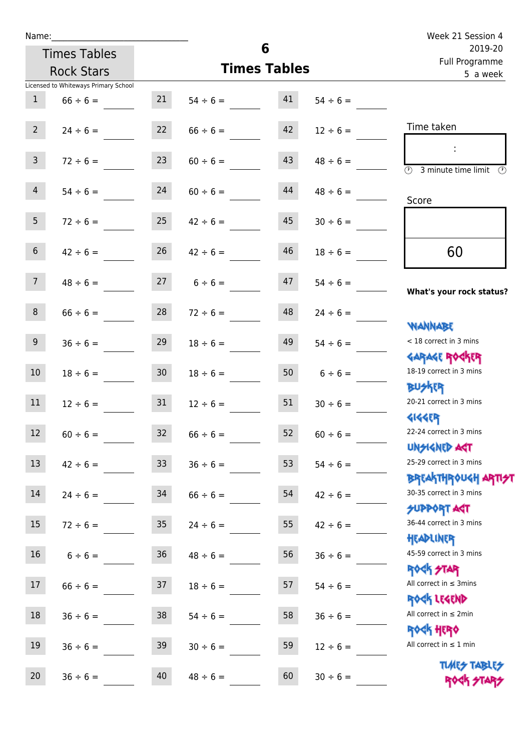Times Tables Rock Stars

|                 | Licensed to Whiteways Primary School |                 |               |    |               |                                                                  |
|-----------------|--------------------------------------|-----------------|---------------|----|---------------|------------------------------------------------------------------|
| $\mathbf{1}$    | $66 \div 6 =$                        | 21              | $54 \div 6 =$ | 41 | $54 \div 6 =$ |                                                                  |
| 2 <sup>7</sup>  | $24 \div 6 =$                        | 22              | $66 \div 6 =$ | 42 | $12 \div 6 =$ | Time taken                                                       |
| $\overline{3}$  | $72 \div 6 =$                        | 23              | $60 \div 6 =$ | 43 | $48 \div 6 =$ | (1)<br>3 minute time limit<br>$\mathcal{O}$                      |
| $\overline{4}$  | $54 \div 6 =$                        | 24              | $60 \div 6 =$ | 44 | $48 \div 6 =$ | Score                                                            |
| 5 <sub>1</sub>  | $72 \div 6 =$                        | 25              | $42 \div 6 =$ | 45 | $30 \div 6 =$ |                                                                  |
| 6 <sup>1</sup>  | $42 \div 6 =$                        | 26              | $42 \div 6 =$ | 46 | $18 \div 6 =$ | 60                                                               |
| 7 <sup>7</sup>  | $48 \div 6 =$                        | 27              | $6 \div 6 =$  | 47 | $54 \div 6 =$ | What's your rock status?                                         |
| 8 <sup>1</sup>  | $66 \div 6 =$                        | 28              | $72 \div 6 =$ | 48 | $24 \div 6 =$ | <b>NANNABE</b>                                                   |
| 9 <sub>o</sub>  | $36 \div 6 =$                        | 29              | $18 \div 6 =$ | 49 | $54 \div 6 =$ | < 18 correct in 3 mins<br><b>GARAGE ROGKER</b>                   |
| 10 <sub>1</sub> | $18 \div 6 =$                        | 30 <sub>o</sub> | $18 \div 6 =$ | 50 | $6 \div 6 =$  | 18-19 correct in 3 mins<br><b>BUSKER</b>                         |
| 11              | $12 \div 6 =$                        | 31              | $12 \div 6 =$ | 51 | $30 \div 6 =$ | 20-21 correct in 3 mins<br><b>4144ER</b>                         |
| 12              | $60 \div 6 =$                        | 32              | $66 \div 6 =$ | 52 | $60 \div 6 =$ | 22-24 correct in 3 mins<br><b>TPA GJIAPICIU</b>                  |
| 13              | $42 \div 6 =$                        | 33 <sup>°</sup> | $36 \div 6 =$ | 53 | $54 \div 6 =$ | 25-29 correct in 3 mins<br><b>BREAKTHROUGH ARTI<del>S</del>T</b> |
| 14              | $24 \div 6 =$                        | 34              | $66 \div 6 =$ | 54 | $42 \div 6 =$ | 30-35 correct in 3 mins<br><b>SUPPORT AGT</b>                    |
| 15              | $72 \div 6 =$                        | $35\phantom{a}$ | $24 \div 6 =$ | 55 | $42 \div 6 =$ | 36-44 correct in 3 mins<br>HEADLINER                             |
| 16              | $6 \div 6 =$                         | $36\,$          | $48 \div 6 =$ | 56 | $36 \div 6 =$ | 45-59 correct in 3 mins<br><b>ROCK STAR</b>                      |
| 17              | $66 \div 6 =$                        | 37              | $18 \div 6 =$ | 57 | $54 \div 6 =$ | All correct in $\leq$ 3mins<br>ROCK LEGEND                       |
| $18\,$          | $36 \div 6 =$                        | 38              | $54 \div 6 =$ | 58 | $36 \div 6 =$ | All correct in $\leq 2$ min<br><b>ROCK HERO</b>                  |
| 19              | $36 \div 6 =$                        | 39              | $30 \div 6 =$ | 59 | $12 \div 6 =$ | All correct in $\leq 1$ min                                      |
| 20              | $36 \div 6 =$                        | 40              | $48 \div 6 =$ | 60 | $30 \div 6 =$ | <b>TUARS TABLES</b><br>ROCK STARS                                |

**6**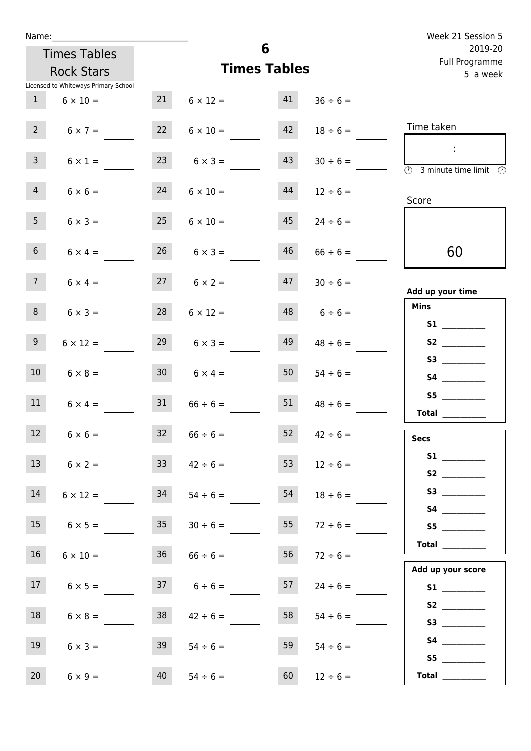| Name:                                |                 |                            |                           | Week 21 Session 5                                                                       |
|--------------------------------------|-----------------|----------------------------|---------------------------|-----------------------------------------------------------------------------------------|
| <b>Times Tables</b>                  |                 | 6                          | 2019-20<br>Full Programme |                                                                                         |
| <b>Rock Stars</b>                    |                 | <b>Times Tables</b>        | 5 a week                  |                                                                                         |
| Licensed to Whiteways Primary School |                 |                            |                           |                                                                                         |
| $\mathbf{1}$<br>$6 \times 10 =$      | 21              | 41<br>$6 \times 12 =$      | $36 \div 6 =$             |                                                                                         |
| 2 <sup>7</sup><br>$6 \times 7 =$     | 22              | 42<br>$6 \times 10 =$      | $18 \div 6 =$             | Time taken                                                                              |
| 3 <sup>7</sup><br>$6 \times 1 =$     | 23              | 43<br>$6 \times 3 =$       | $30 \div 6 =$             | $\sim$<br>$\overline{\textcircled{1}}$ 3 minute time limit $\overline{\textcircled{1}}$ |
| $\overline{4}$<br>$6 \times 6 =$     | 24              | 44<br>$6 \times 10 =$      | $12 \div 6 =$             | Score                                                                                   |
| 5 <sub>1</sub><br>$6 \times 3 =$     | 25              | 45<br>$6 \times 10 =$      | $24 \div 6 =$             |                                                                                         |
| 6 <sup>1</sup><br>$6 \times 4 =$     |                 | 46<br>$26 \t 6 \times 3 =$ | $66 \div 6 =$             | 60                                                                                      |
| 7 <sup>7</sup><br>$6 \times 4 =$     |                 | $27 \t 6 \times 2 =$       | $47 \t30 \div 6 =$        | Add up your time                                                                        |
| 8<br>$6 \times 3 =$                  | 28              | 48<br>$6 \times 12 =$      | $6 \div 6 =$              | <b>Mins</b><br><b>S1 S1</b>                                                             |
| 9 <sub>o</sub><br>$6 \times 12 =$    | 29              | 49<br>$6 \times 3 =$       | $48 \div 6 =$             |                                                                                         |
| 10 <sup>°</sup><br>$6 \times 8 =$    | 30 <sup>1</sup> | 50<br>$6 \times 4 =$       | $54 \div 6 =$             |                                                                                         |
| 11<br>$6 \times 4 =$                 | 31              | 51<br>$66 \div 6 =$        | $48 \div 6 =$             | S5<br>Total $\qquad$                                                                    |
| $6 \times 6 =$<br>12 <sup>2</sup>    | 32              | 52<br>$66 \div 6 =$        | $42 \div 6 =$             | <b>Secs</b>                                                                             |
| 13<br>$6 \times 2 =$                 | 33 <sup>°</sup> | 53<br>$42 \div 6 =$        | $12 \div 6 =$             |                                                                                         |
| 14<br>$6 \times 12 =$                | 34              | 54<br>$54 \div 6 =$        | $18 \div 6 =$             |                                                                                         |
| 15<br>$6 \times 5 =$                 | 35              | 55<br>$30 \div 6 =$        | $72 \div 6 =$             | S5                                                                                      |
| 16<br>$6 \times 10 =$                |                 | 56<br>$36$ $66 \div 6 =$   | $72 \div 6 =$             | $\begin{tabular}{c} Total \end{tabular}$                                                |
| 17<br>$6 \times 5 =$                 |                 | $37 \t 6 \div 6 =$<br>57   | $24 \div 6 =$             | Add up your score<br>S1                                                                 |
| 18<br>$6 \times 8 =$                 | 38              | 58<br>$42 \div 6 =$        | $54 \div 6 =$             | S2                                                                                      |
| 19<br>$6 \times 3 =$                 | 39              | 59<br>$54 \div 6 =$        | $54 \div 6 =$             |                                                                                         |
| 20<br>$6 \times 9 =$                 | 40              | 60<br>$54 \div 6 =$        | $12 \div 6 =$             | S5<br>Total $\qquad$                                                                    |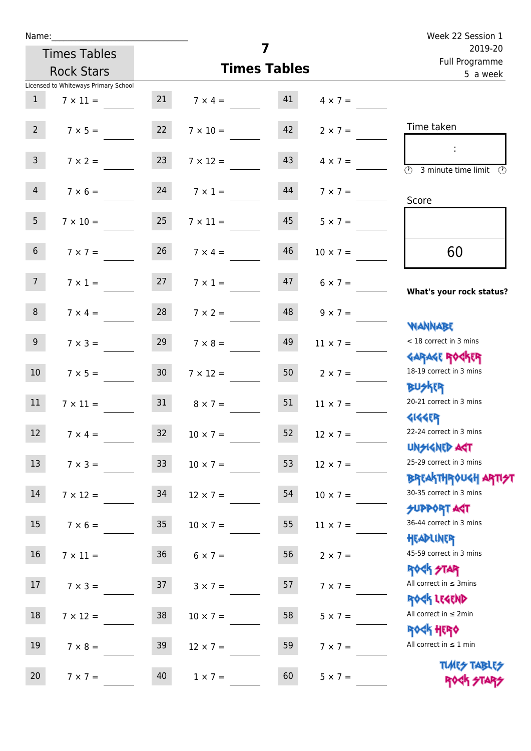| Name:                                |                   |                         |                           |                 | Week 22 Session 1                                                |  |
|--------------------------------------|-------------------|-------------------------|---------------------------|-----------------|------------------------------------------------------------------|--|
| <b>Times Tables</b>                  |                   | $\overline{\mathbf{z}}$ | 2019-20<br>Full Programme |                 |                                                                  |  |
| <b>Rock Stars</b>                    |                   | <b>Times Tables</b>     |                           | 5 a week        |                                                                  |  |
| Licensed to Whiteways Primary School |                   |                         |                           |                 |                                                                  |  |
| $\mathbf{1}$<br>$7 \times 11 =$      |                   | $7 \times 4 = 41$       |                           | $4 \times 7 =$  |                                                                  |  |
| $2^{\circ}$<br>$7 \times 5 =$        | 22                | $7 \times 10 =$         | 42                        | $2 \times 7 =$  | Time taken                                                       |  |
| 3 <sup>7</sup><br>$7 \times 2 =$     | 23                | $7 \times 12 =$         | 43                        | $4 \times 7 =$  | (1)<br>3 minute time limit<br>(V)                                |  |
| 4                                    | $7 \times 6 = 24$ | $7 \times 1 =$          | 44                        | $7 \times 7 =$  | Score                                                            |  |
| 5 <sub>1</sub><br>$7 \times 10 =$    | 25                | $7 \times 11 =$         | 45                        | $5 \times 7 =$  |                                                                  |  |
| 6 <sup>1</sup><br>$7 \times 7 =$     | 26                | $7 \times 4 =$          | 46                        | $10 \times 7 =$ | 60                                                               |  |
| 7 <sup>7</sup>                       | $7 \times 1 = 27$ | $7 \times 1 =$          | 47                        | $6 \times 7 =$  | What's your rock status?                                         |  |
| 8<br>$7 \times 4 =$                  | 28                | $7 \times 2 =$          | 48                        | $9 \times 7 =$  | <b>NANNABE</b>                                                   |  |
| 9 <sub>o</sub><br>$7 \times 3 =$     | 29                | $7 \times 8 =$          | 49                        | $11 \times 7 =$ | < 18 correct in 3 mins<br><b>GARAGE ROGKER</b>                   |  |
| 10 <sup>°</sup><br>$7 \times 5 =$    | 30                | $7 \times 12 =$         | 50                        | $2 \times 7 =$  | 18-19 correct in 3 mins<br><b>BU外四</b>                           |  |
| 11<br>$7 \times 11 =$                | 31                | $8 \times 7 =$          | 51                        | $11 \times 7 =$ | 20-21 correct in 3 mins<br><b>4144ER</b>                         |  |
| 12<br>$7 \times 4 =$                 | 32                | $10 \times 7 =$         | 52                        | $12 \times 7 =$ | 22-24 correct in 3 mins<br><b>UNSIGNED AGT</b>                   |  |
| 13<br>$7 \times 3 =$                 | 33 <sup>°</sup>   | $10 \times 7 =$         | 53                        | $12 \times 7 =$ | 25-29 correct in 3 mins<br><b>BREAKTHROUGH ARTI<del>S</del>T</b> |  |
| 14<br>$7 \times 12 =$                | 34                | $12 \times 7 =$         | 54                        | $10 \times 7 =$ | 30-35 correct in 3 mins<br><b>SUPPORT ART</b>                    |  |
| 15<br>$7 \times 6 =$                 | 35                | $10 \times 7 =$         | 55                        | $11 \times 7 =$ | 36-44 correct in 3 mins<br>HEADLINER                             |  |
| 16<br>$7 \times 11 =$                | 36 <sup>°</sup>   | $6 \times 7 =$          | 56                        | $2 \times 7 =$  | 45-59 correct in 3 mins<br><b>ROCK STAR</b>                      |  |
| 17 <sup>17</sup><br>$7 \times 3 =$   | 37                | $3 \times 7 =$          | 57                        | $7 \times 7 =$  | All correct in $\leq$ 3mins<br>ROCK LEGEND                       |  |
| 18<br>$7 \times 12 =$                | 38                | $10 \times 7 =$         | 58                        | $5 \times 7 =$  | All correct in $\leq 2$ min<br><b>ROCK HERO</b>                  |  |
| 19<br>$7 \times 8 =$                 | 39                | $12 \times 7 =$         | 59                        | $7 \times 7 =$  | All correct in $\leq 1$ min                                      |  |
| 20<br>$7 \times 7 =$                 | 40                | $1 \times 7 =$          | 60                        | $5 \times 7 =$  | <b>TUARS TABLES</b><br>ROCK STARS                                |  |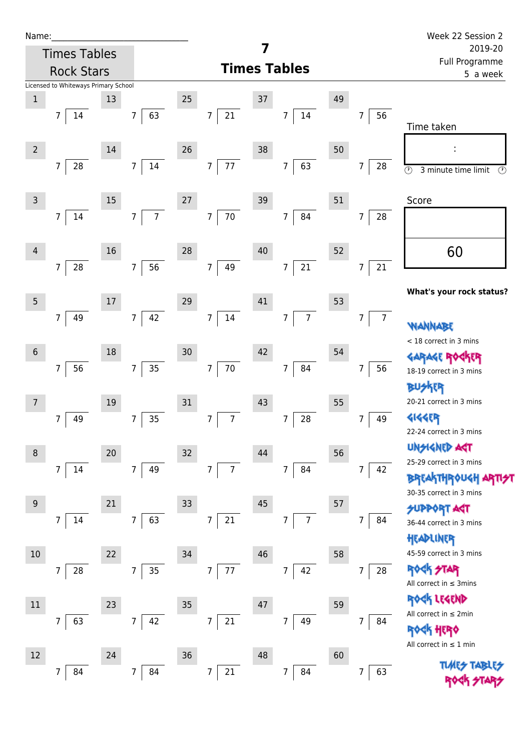| Name:           |                |                                      |      |                |                |                     |                |                |    |                |                |    |                |                           | Week 22 Session 2                                    |
|-----------------|----------------|--------------------------------------|------|----------------|----------------|---------------------|----------------|----------------|----|----------------|----------------|----|----------------|---------------------------|------------------------------------------------------|
|                 |                | <b>Times Tables</b>                  |      |                |                |                     |                |                |    |                |                |    |                | 2019-20<br>Full Programme |                                                      |
|                 |                | <b>Rock Stars</b>                    |      |                |                | <b>Times Tables</b> |                |                |    |                |                |    |                | 5 a week                  |                                                      |
|                 |                | Licensed to Whiteways Primary School |      |                |                |                     |                |                |    |                |                |    |                |                           |                                                      |
| $\,1$           |                |                                      | 13   |                |                | 25                  |                |                | 37 |                |                | 49 |                |                           |                                                      |
|                 | 7              | 14                                   |      | $\overline{7}$ | 63             |                     | $\overline{7}$ | 21             |    | $\overline{7}$ | $14\,$         |    | $\overline{7}$ | 56                        | Time taken                                           |
|                 |                |                                      |      |                |                |                     |                |                |    |                |                |    |                |                           |                                                      |
| $\overline{2}$  |                |                                      | 14   |                |                | 26                  |                |                | 38 |                |                | 50 |                |                           |                                                      |
|                 | $\overline{7}$ | 28                                   |      | $\overline{7}$ | $14\,$         |                     | $\overline{7}$ | 77             |    | $\overline{7}$ | 63             |    | 7              | 28                        | $\overline{\odot}$<br>$\odot$<br>3 minute time limit |
|                 |                |                                      |      |                |                |                     |                |                |    |                |                |    |                |                           |                                                      |
| $\overline{3}$  |                |                                      | 15   |                |                | $27\,$              |                |                | 39 |                |                | 51 |                |                           | Score                                                |
|                 | 7              | 14                                   |      | $\overline{7}$ | $\overline{7}$ |                     | $\overline{7}$ | $70\,$         |    | $\overline{7}$ | 84             |    | 7              | 28                        |                                                      |
|                 |                |                                      |      |                |                |                     |                |                |    |                |                |    |                |                           |                                                      |
| $\overline{4}$  |                |                                      | 16   |                |                | 28                  |                |                | 40 |                |                | 52 |                |                           | 60                                                   |
|                 | 7              | 28                                   |      | $\overline{7}$ | 56             |                     | $\overline{7}$ | 49             |    | $\overline{7}$ | $21\,$         |    | 7              | $21\,$                    |                                                      |
|                 |                |                                      |      |                |                |                     |                |                |    |                |                |    |                |                           | What's your rock status?                             |
| 5               |                |                                      | $17$ |                |                | 29                  |                |                | 41 |                |                | 53 |                |                           |                                                      |
|                 | 7              | 49                                   |      | $\overline{7}$ | 42             |                     | $\overline{7}$ | $14\,$         |    | 7              | $\overline{7}$ |    | $\overline{7}$ | $\overline{7}$            |                                                      |
|                 |                |                                      |      |                |                |                     |                |                |    |                |                |    |                |                           | NANNABE<br>< 18 correct in 3 mins                    |
| $6\phantom{1}6$ |                |                                      | 18   |                |                | 30                  |                |                | 42 |                |                | 54 |                |                           | <b>GARAGE RO</b>                                     |
|                 | 7              | 56                                   |      | $\overline{7}$ | $35\,$         |                     | $\overline{7}$ | $70\,$         |    | $\overline{7}$ | 84             |    | 7              | 56                        | 18-19 correct in 3 mins                              |
|                 |                |                                      |      |                |                |                     |                |                |    |                |                |    |                |                           | <b>BUSKER</b>                                        |
| 7               |                |                                      | 19   |                |                | 31                  |                |                | 43 |                |                | 55 |                |                           | 20-21 correct in 3 mins                              |
|                 | 7              | 49                                   |      | $\overline{7}$ | 35             |                     | $\overline{7}$ | $\overline{7}$ |    | 7              | 28             |    | 7              | 49                        | 4144EP                                               |
|                 |                |                                      |      |                |                |                     |                |                |    |                |                |    |                |                           | 22-24 correct in 3 mins                              |
| 8               |                |                                      | 20   |                |                | 32                  |                |                | 44 |                |                | 56 |                |                           | <b>UNSIGNED AGT</b>                                  |
|                 | $\overline{7}$ | 14                                   |      | $\overline{7}$ | 49             |                     | $\overline{7}$ | $\overline{7}$ |    | $\overline{7}$ | 84             |    | $\overline{7}$ | 42                        | 25-29 correct in 3 mins                              |
|                 |                |                                      |      |                |                |                     |                |                |    |                |                |    |                |                           | BRTAKTHROUGH ARTI <del>S</del> T                     |
|                 |                |                                      |      |                |                |                     |                |                |    |                |                |    |                |                           | 30-35 correct in 3 mins                              |
| 9               |                |                                      | 21   |                |                | 33                  |                |                | 45 |                |                | 57 |                |                           | <b>SUPPORT AGT</b>                                   |
|                 | 7              | 14                                   |      | $\overline{7}$ | 63             |                     | $\overline{7}$ | 21             |    | $\overline{7}$ | $\overline{7}$ |    | 7              | 84                        | 36-44 correct in 3 mins                              |
|                 |                |                                      |      |                |                |                     |                |                |    |                |                |    |                |                           | HEADLINER                                            |
| $10$            |                |                                      | 22   |                |                | 34                  |                |                | 46 |                |                | 58 |                |                           | 45-59 correct in 3 mins                              |
|                 | 7              | 28                                   |      | $\overline{7}$ | 35             |                     | $\overline{7}$ | $77\,$         |    | 7              | 42             |    | $\overline{7}$ | 28                        | <b>ROCK STAR</b><br>All correct in $\leq$ 3mins      |
|                 |                |                                      |      |                |                |                     |                |                |    |                |                |    |                |                           | ROCK LEGEND                                          |
| $11\,$          |                |                                      | 23   |                |                | 35                  |                |                | 47 |                |                | 59 |                |                           | All correct in ≤ 2min                                |
|                 | 7              | 63                                   |      | $\overline{7}$ | 42             |                     | $\overline{7}$ | 21             |    | $\overline{7}$ | 49             |    | $\overline{7}$ | 84                        | <b><h b="" her0<=""></h></b>                         |
|                 |                |                                      |      |                |                |                     |                |                |    |                |                |    |                |                           | All correct in $\leq 1$ min                          |
| 12              |                |                                      | 24   |                |                | 36                  |                |                | 48 |                |                | 60 |                |                           |                                                      |
|                 | 7              | 84                                   |      | $\overline{7}$ | 84             |                     | $\overline{7}$ | 21             |    | $\overline{7}$ | 84             |    | 7              | 63                        |                                                      |
|                 |                |                                      |      |                |                |                     |                |                |    |                |                |    |                |                           |                                                      |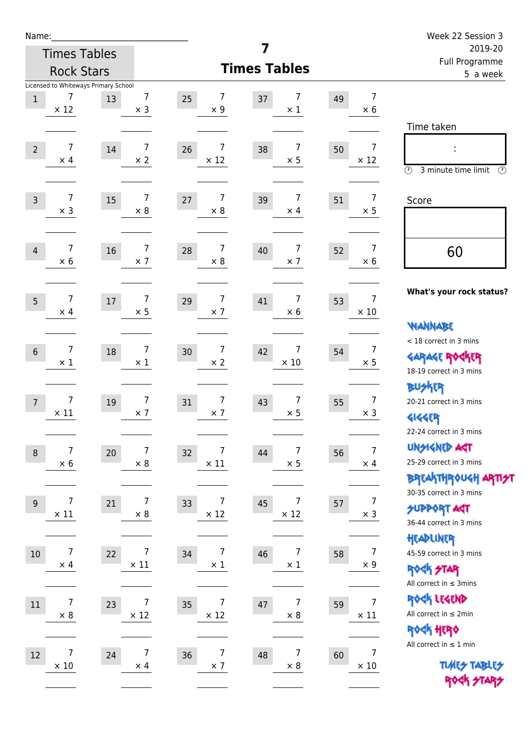| Name:          |                                                          |                                        |                                    | 7                         |                                      | Week 22 Session 3                                                                       |
|----------------|----------------------------------------------------------|----------------------------------------|------------------------------------|---------------------------|--------------------------------------|-----------------------------------------------------------------------------------------|
|                | <b>Times Tables</b>                                      |                                        |                                    | 2019-20<br>Full Programme |                                      |                                                                                         |
|                | <b>Rock Stars</b>                                        |                                        |                                    | <b>Times Tables</b>       |                                      | 5 a week                                                                                |
| $\mathbf 1$    | Licensed to Whiteways Primary School<br>7<br>$\times$ 12 | 7<br>13<br>$\times$ 3                  | 7<br>25<br>$\times$ 9              | 7<br>37<br>$\times$ 1     | 7<br>49<br>$\times$ 6                | Time taken                                                                              |
| $\overline{2}$ | 7<br>$\times$ 4                                          | 7<br>14<br>$\times 2$                  | 7<br>26<br>$\times$ 12             | 7<br>38<br>$\times$ 5     | $\overline{7}$<br>50<br>$\times$ 12  | $\circled{r}$<br>3 minute time limit<br>$\circled{r}$                                   |
| $\overline{3}$ | $\overline{7}$<br>$\times$ 3                             | $\overline{7}$<br>15<br>$\times 8$     | 7<br>27<br>$\times 8$              | 7<br>39<br>$\times$ 4     | $\overline{7}$<br>51<br>$\times$ 5   | Score                                                                                   |
| 4              | $\overline{7}$<br>$\times$ 6                             | $\overline{7}$<br>16<br>$\times$ 7     | $\overline{7}$<br>28<br>$\times$ 8 | 7<br>40<br>$\times$ 7     | $\overline{7}$<br>52<br>$\times 6$   | 60                                                                                      |
| 5              | $\overline{7}$<br>$\times$ 4                             | $\overline{7}$<br>$17\,$<br>$\times$ 5 | $\overline{7}$<br>29<br>$\times$ 7 | 7<br>41<br>$\times$ 6     | $\overline{7}$<br>53<br>$\times$ 10  | What's your rock status?<br><b>NANNABE</b>                                              |
| $6\,$          | 7<br>$\times$ 1                                          | $\overline{7}$<br>18<br>$\times$ 1     | $\overline{7}$<br>30<br>$\times 2$ | 7<br>42<br>$\times$ 10    | $\overline{7}$<br>54<br>$\times$ 5   | < 18 correct in 3 mins<br><b>GARAGE ROCKER</b><br>18-19 correct in 3 mins               |
| $\overline{7}$ | $\overline{7}$<br>$\times$ 11                            | $\overline{7}$<br>19<br>$\times$ 7     | $\overline{7}$<br>31<br>$\times$ 7 | 7<br>43<br>$\times$ 5     | $\overline{7}$<br>55<br>$\times$ 3   | <b>BUSKER</b><br>20-21 correct in 3 mins<br><b>4144EP</b><br>22-24 correct in 3 mins    |
| $\, 8$         | $\overline{7}$<br>$\times 6$                             | 7<br>$20\,$<br>$\times$ 8              | 7<br>32<br>$\times$ 11             | 7<br>44<br>$\times$ 5     | $\boldsymbol{7}$<br>56<br>$\times$ 4 | <b>UNSIGNED AGT</b><br>25-29 correct in 3 mins<br><b>BREAKTHROUGH ARTI<del>S</del>T</b> |
| $9\,$          | $\overline{7}$<br>$\times$ 11                            | $\overline{7}$<br>21<br>$\times$ 8     | 7<br>33<br>$\times$ 12             | 7<br>45<br>$\times$ 12    | $\overline{7}$<br>57<br>$\times$ 3   | 30-35 correct in 3 mins<br><b>SUPPORT ART</b><br>36-44 correct in 3 mins<br>HEADLINER   |
| $10$           | $\overline{7}$<br>$\times$ 4                             | $\overline{7}$<br>22<br>$\times$ 11    | $\overline{7}$<br>34<br>$\times 1$ | 7<br>46<br>$\times$ 1     | $\overline{7}$<br>58<br>$\times$ 9   | 45-59 correct in 3 mins<br><b>ROCK STAR</b><br>All correct in $\leq$ 3mins              |
| $11\,$         | 7<br>$\times$ 8                                          | 7<br>23<br>$\times$ 12                 | 7<br>35<br>$\times$ 12             | 7<br>47<br>$\times$ 8     | $\overline{7}$<br>59<br>$\times$ 11  | ROCK LEGEND<br>All correct in $\leq 2$ min<br>ROCK HERO<br>All correct in $\leq 1$ min  |
| 12             | 7<br>$\times 10$                                         | 7<br>24<br>$\times$ 4                  | $\overline{7}$<br>36<br>$\times$ 7 | 7<br>48<br>$\times$ 8     | $\overline{7}$<br>60<br>$\times$ 10  | <b>TUARS TABLES</b><br>ROCK STARS                                                       |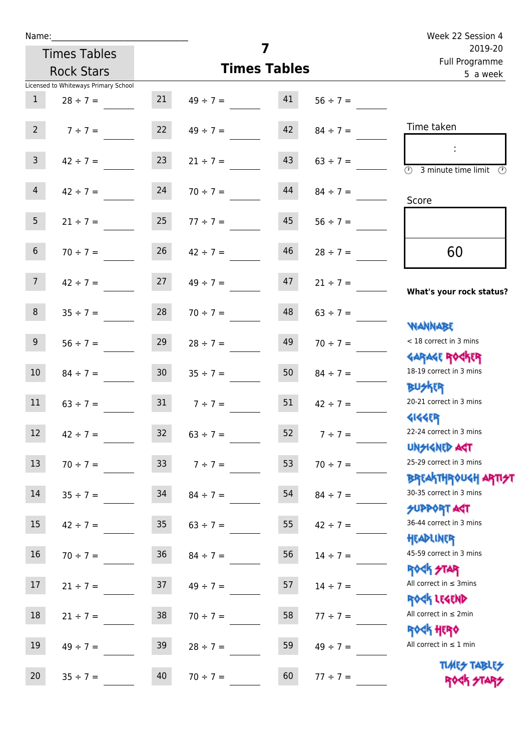| Name:                                |                 |                          | Week 22 Session 4 |                                                                               |  |
|--------------------------------------|-----------------|--------------------------|-------------------|-------------------------------------------------------------------------------|--|
| <b>Times Tables</b>                  |                 | 7                        |                   | 2019-20<br>Full Programme                                                     |  |
| <b>Rock Stars</b>                    |                 | <b>Times Tables</b>      |                   | 5 a week                                                                      |  |
| Licensed to Whiteways Primary School |                 |                          |                   |                                                                               |  |
| $\mathbf{1}$<br>$28 \div 7 =$        | 21              | 41<br>$49 \div 7 =$      | $56 \div 7 =$     |                                                                               |  |
| $2^{\circ}$<br>$7 \div 7 =$          |                 | 42<br>22 $49 \div 7 =$   | $84 \div 7 =$     | Time taken                                                                    |  |
| 3 <sup>7</sup><br>$42 \div 7 =$      | 23              | 43<br>$21 \div 7 =$      | $63 \div 7 =$     | $\overline{\textcircled{2}}$ 3 minute time limit $\overline{\textcircled{2}}$ |  |
| $\overline{4}$<br>$42 \div 7 =$      | 24              | 44<br>$70 \div 7 =$      | $84 \div 7 =$     | Score                                                                         |  |
| 5 <sup>1</sup><br>$21 \div 7 = 25$   |                 | 45<br>$77 \div 7 =$      | $56 \div 7 =$     |                                                                               |  |
| 6 <sup>1</sup><br>$70 \div 7 =$      | 26              | 46<br>$42 \div 7 =$      | $28 \div 7 =$     | 60                                                                            |  |
| 7 <sup>7</sup><br>$42 \div 7 =$      | 27              | 47<br>$49 \div 7 =$      | $21 \div 7 =$     | What's your rock status?                                                      |  |
| 8<br>$35 \div 7 =$                   | 28              | 48<br>$70 \div 7 =$      | $63 \div 7 =$     |                                                                               |  |
| 9 <sub>o</sub><br>$56 \div 7 =$      | 29              | 49<br>$28 \div 7 =$      | $70 \div 7 =$     | <b>NANNABE</b><br>< 18 correct in 3 mins                                      |  |
| 10 <sup>°</sup><br>$84 \div 7 =$     | 30 <sup>°</sup> | 50<br>$35 \div 7 =$      | $84 \div 7 =$     | <b>GARAGE ROCKER</b><br>18-19 correct in 3 mins<br><b>BUSKER</b>              |  |
| 11<br>$63 \div 7 =$                  |                 | $31 \t 7 \div 7 =$<br>51 | $42 \div 7 =$     | 20-21 correct in 3 mins<br><b>4144EP</b>                                      |  |
| 12<br>$42 \div 7 =$                  | 32              | 52<br>$63 \div 7 =$      | $7 ÷ 7 =$         | 22-24 correct in 3 mins<br><b>UNSIGNED ACT</b>                                |  |
| 13<br>$70 \div 7 =$                  | 33              | 53<br>$7 ÷ 7 =$          | $70 \div 7 =$     | 25-29 correct in 3 mins<br><b>BREAKTHROUGH ARTH</b>                           |  |
| 14<br>$35 \div 7 =$                  | 34              | 54<br>$84 \div 7 =$      | $84 \div 7 =$     | 30-35 correct in 3 mins<br><b>SUPPORT AGT</b>                                 |  |
| 15 <sub>1</sub><br>$42 \div 7 =$     | 35 <sub>o</sub> | 55<br>$63 \div 7 =$      | $42 \div 7 =$     | 36-44 correct in 3 mins<br>HEADLINER                                          |  |
| 16<br>$70 \div 7 =$                  | 36              | 56<br>$84 \div 7 =$      | $14 \div 7 =$     | 45-59 correct in 3 mins<br><b>ROCK STAR</b>                                   |  |
| 17<br>$21 \div 7 =$                  | 37              | 57<br>$49 \div 7 =$      | $14 \div 7 =$     | All correct in $\leq$ 3mins<br>ROCK LEGEND                                    |  |
| 18<br>$21 \div 7 =$                  | 38              | 58<br>$70 \div 7 =$      | $77 \div 7 =$     | All correct in $\leq 2$ min<br><b>ROCK HERO</b>                               |  |
| 19<br>$49 \div 7 =$                  | 39              | 59<br>$28 \div 7 =$      | $49 \div 7 =$     | All correct in $\leq 1$ min                                                   |  |
| 20<br>$35 ÷ 7 =$                     | 40              | 60<br>$70 \div 7 =$      | $77 ÷ 7 =$        | <b>TUARS TABLES</b><br>ROCK STARS                                             |  |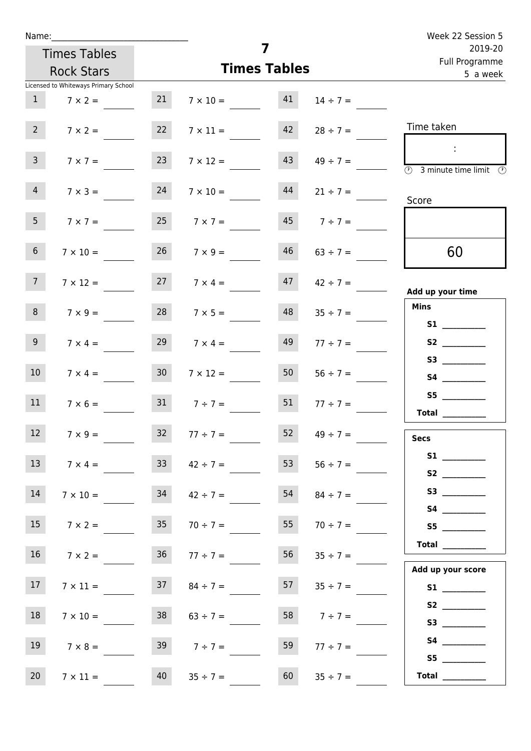| Week 22 Session 5                                                                          |                     |                     |                      |                 | Name:                                |                 |
|--------------------------------------------------------------------------------------------|---------------------|---------------------|----------------------|-----------------|--------------------------------------|-----------------|
| 2019-20<br>Full Programme                                                                  |                     | 7                   |                      |                 | <b>Times Tables</b>                  |                 |
| 5 a week                                                                                   |                     | <b>Times Tables</b> |                      |                 | <b>Rock Stars</b>                    |                 |
|                                                                                            |                     |                     |                      |                 | Licensed to Whiteways Primary School |                 |
|                                                                                            | $14 \div 7 =$       |                     | $7 \times 10 = 41$   | 21              | $7 \times 2 =$                       | 1               |
| Time taken                                                                                 | $28 \div 7 =$       | 42                  | $7 \times 11 =$      | 22              | $7 \times 2 =$                       | 2 <sup>7</sup>  |
| $\sim 10$<br>$\overline{\textcircled{1}}$ 3 minute time limit $\overline{\textcircled{1}}$ | $49 \div 7 =$       | 43                  | $7 \times 12 =$      | 23              | $7 \times 7 =$                       | 3 <sup>7</sup>  |
| Score                                                                                      | $21 \div 7 =$       | 44                  | $7 \times 10 =$      | 24              | $7 \times 3 =$                       | $\overline{4}$  |
|                                                                                            | $7 ÷ 7 =$           | 45                  | $7 \times 7 =$       | 25              | $7 \times 7 =$                       | 5 <sub>1</sub>  |
| 60                                                                                         | $63 \div 7 =$       | 46                  | $26 \t 7 \times 9 =$ |                 | $7 \times 10 =$                      | 6 <sup>1</sup>  |
| Add up your time                                                                           | $47 \t 42 \div 7 =$ |                     | $27 \t 7 \times 4 =$ |                 | $7 \times 12 =$                      | 7 <sup>7</sup>  |
| <b>Mins</b><br><b>S1</b> and the set of $\mathbf{S}$                                       | $35 \div 7 =$       | 48                  | $7 \times 5 =$       | 28              | $7 \times 9 =$                       | 8               |
|                                                                                            | $77 \div 7 =$       | 49                  | $7 \times 4 =$       | 29              | $7 \times 4 =$                       | 9 <sub>o</sub>  |
| <b>S4 S4</b>                                                                               | $56 \div 7 =$       | 50                  | $7 \times 12 =$      | 30 <sup>°</sup> | $7 \times 4 =$                       | 10 <sup>°</sup> |
| <b>Total</b>                                                                               | $77 \div 7 =$       | 51                  | $31 \t 7 \div 7 =$   |                 | $7 \times 6 =$                       | 11              |
| <b>Secs</b>                                                                                | $49 \div 7 =$       | 52                  | $77 \div 7 =$        | 32 <sup>°</sup> | $7 \times 9 =$                       | 12 <sup>7</sup> |
|                                                                                            | $56 \div 7 =$       | 53                  | $42 \div 7 =$        | 33 <sup>2</sup> | $7 \times 4 =$                       | 13              |
| S3                                                                                         | $84 \div 7 =$       | 54                  | $42 \div 7 =$        | 34              | $7 \times 10 =$                      | 14              |
| S5                                                                                         | $70 \div 7 =$       | 55                  | $70 \div 7 =$        | 35              | $7 \times 2 =$                       | 15              |
| <b>Total</b>                                                                               | $35 \div 7 =$       | 56                  | $36 \t 77 \div 7 =$  |                 | $7 \times 2 =$                       | 16              |
| Add up your score                                                                          | $35 \div 7 =$       | 57                  | $84 \div 7 =$        | 37              | $7 \times 11 =$                      | 17 <sub>1</sub> |
|                                                                                            | $7 ÷ 7 =$           | 58                  | $63 \div 7 =$        | 38              | $7 \times 10 =$                      | 18              |
| <b>S4 S4</b><br>S5                                                                         | $77 \div 7 =$       | 59                  | $39 \t 7 \div 7 =$   |                 | $7 \times 8 =$                       | 19              |
| Total $\qquad$                                                                             | $35 ÷ 7 =$          | 60                  | $35 \div 7 =$        | 40              | $7 \times 11 =$                      | 20              |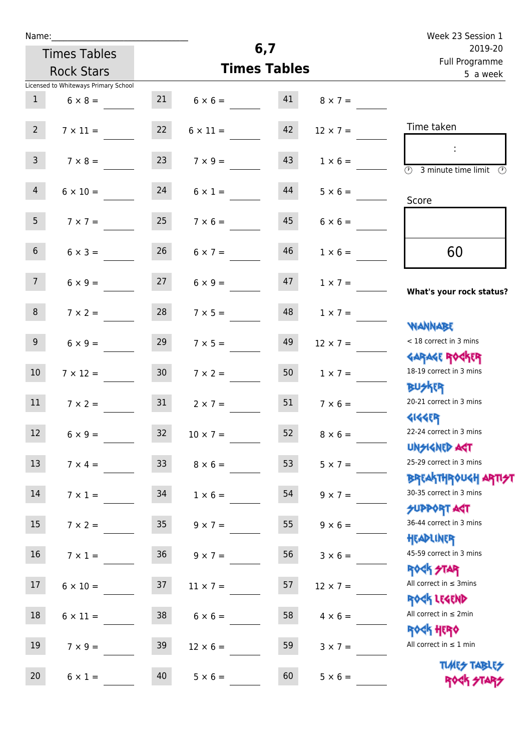| Name: |  |  |  |
|-------|--|--|--|
|       |  |  |  |

|                 | <b>Times Tables</b>                  | 6,7             |                     |    |                 | 2019-20                                                             |  |
|-----------------|--------------------------------------|-----------------|---------------------|----|-----------------|---------------------------------------------------------------------|--|
|                 | <b>Rock Stars</b>                    |                 | <b>Times Tables</b> |    |                 | Full Programme<br>5 a week                                          |  |
|                 | Licensed to Whiteways Primary School |                 |                     |    |                 |                                                                     |  |
| $\mathbf{1}$    | $6 \times 8 =$                       |                 | $6 \times 6 =$      | 41 | $8 \times 7 =$  |                                                                     |  |
| $2^{\circ}$     | $7 \times 11 =$                      | 22              | $6 \times 11 =$     | 42 | $12 \times 7 =$ | Time taken                                                          |  |
| 3 <sup>7</sup>  | $7 \times 8 =$                       | 23              | $7 \times 9 =$      | 43 | $1 \times 6 =$  | $\overline{(\mathfrak{h})}$<br>3 minute time limit<br>$\mathcal{O}$ |  |
| $\overline{4}$  | $6 \times 10 =$                      | 24              | $6 \times 1 =$      | 44 | $5 \times 6 =$  | Score                                                               |  |
| 5 <sub>1</sub>  | $7 \times 7 =$                       | 25              | $7 \times 6 =$      | 45 | $6 \times 6 =$  |                                                                     |  |
| 6 <sup>1</sup>  | $6 \times 3 =$                       | 26              | $6 \times 7 =$      | 46 | $1 \times 6 =$  | 60                                                                  |  |
| 7 <sub>1</sub>  | $6 \times 9 =$                       | 27              | $6 \times 9 =$      | 47 | $1 \times 7 =$  | What's your rock status?                                            |  |
| 8               | $7 \times 2 =$                       | 28              | $7 \times 5 =$      | 48 | $1 \times 7 =$  |                                                                     |  |
| 9 <sub>o</sub>  | $6 \times 9 =$                       | 29              | $7 \times 5 =$      | 49 | $12 \times 7 =$ | <b>NANNABE</b><br>< 18 correct in 3 mins                            |  |
| 10 <sup>°</sup> | $7 \times 12 =$                      | 30 <sub>o</sub> | $7 \times 2 =$      | 50 | $1 \times 7 =$  | <b>GARAGE ROCKER</b><br>18-19 correct in 3 mins                     |  |
| 11              | $7 \times 2 =$                       | 31              | $2 \times 7 =$      | 51 | $7 \times 6 =$  | <b>BUSKR</b><br>20-21 correct in 3 mins                             |  |
| 12 <sup>2</sup> | $6 \times 9 =$                       | 32 <sup>2</sup> | $10 \times 7 =$     | 52 | $8 \times 6 =$  | <b>4144EP</b><br>22-24 correct in 3 mins<br><b>UNSIGNED AST</b>     |  |
| 13              | $7 \times 4 =$                       | 33 <sup>°</sup> | $8 \times 6 =$      | 53 | $5 \times 7 =$  | 25-29 correct in 3 mins                                             |  |
| 14              | $7 \times 1 =$                       | 34              | $1 \times 6 =$      | 54 | $9 \times 7 =$  | <b>BREAKTHROUGH ARTI<del>S</del>T</b><br>30-35 correct in 3 mins    |  |
| 15              | $7 \times 2 =$                       | 35              | $9 \times 7 =$      | 55 | $9 \times 6 =$  | <b>SUPPORT ART</b><br>36-44 correct in 3 mins                       |  |
| 16 <sup>1</sup> | $7 \times 1 = 36$                    |                 | $9 \times 7 =$      | 56 | $3 \times 6 =$  | HEADLINER<br>45-59 correct in 3 mins                                |  |
| 17              | $6 \times 10 =$                      | 37              | $11 \times 7 =$     | 57 | $12 \times 7 =$ | <b>ROCK STAR</b><br>All correct in $\leq$ 3mins                     |  |
| 18              | $6 \times 11 =$                      | 38              | $6 \times 6 =$      | 58 | $4 \times 6 =$  | ROCK LEGEND<br>All correct in $\leq 2$ min                          |  |
| 19              | $7 \times 9 =$                       | 39              | $12 \times 6 =$     | 59 | $3 \times 7 =$  | <b>ROCK HERO</b><br>All correct in $\leq 1$ min                     |  |
| 20              | $6 \times 1 =$                       | 40              | $5 \times 6 =$      | 60 | $5 \times 6 =$  | <b>TUARS TABLES</b>                                                 |  |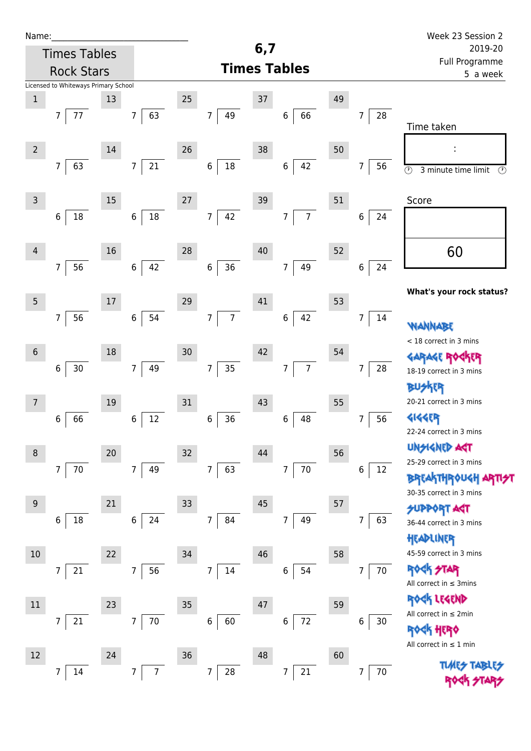| Name:            |                                      |        |                       |    |                                  |     |                      |    |                                                             | Week 23 Session 2                                                                      |
|------------------|--------------------------------------|--------|-----------------------|----|----------------------------------|-----|----------------------|----|-------------------------------------------------------------|----------------------------------------------------------------------------------------|
|                  | <b>Times Tables</b>                  |        |                       |    |                                  | 6,7 |                      |    |                                                             | 2019-20                                                                                |
|                  | <b>Rock Stars</b>                    |        |                       |    |                                  |     | <b>Times Tables</b>  |    |                                                             | Full Programme<br>5 a week                                                             |
|                  | Licensed to Whiteways Primary School |        |                       |    |                                  |     |                      |    |                                                             |                                                                                        |
| $\mathbf 1$      |                                      | 13     |                       | 25 |                                  | 37  |                      | 49 |                                                             |                                                                                        |
|                  | 77<br>7                              |        | 63<br>$\overline{7}$  |    | 7<br>49                          |     | 66<br>6              |    | $28\,$<br>7                                                 | Time taken                                                                             |
|                  |                                      |        |                       |    |                                  |     |                      |    |                                                             |                                                                                        |
| $\overline{2}$   |                                      | 14     |                       | 26 |                                  | 38  |                      | 50 |                                                             |                                                                                        |
|                  | $\overline{7}$<br>63                 |        | 21<br>$\overline{7}$  |    | $18\,$<br>$\,$ 6 $\,$            |     | 42<br>$\,6\,$        |    | 56<br>7                                                     | $\overline{\odot}$<br>$\overline{\mathcal{O}}$<br>3 minute time limit                  |
|                  |                                      |        |                       |    |                                  |     |                      |    |                                                             |                                                                                        |
| $\mathsf{3}$     |                                      | $15\,$ |                       | 27 |                                  | 39  |                      | 51 |                                                             | Score                                                                                  |
|                  | $18\,$<br>6                          |        | 18<br>$\,6\,$         |    | 42<br>$\overline{7}$             |     | $\overline{7}$<br>7  |    | 6<br>24                                                     |                                                                                        |
|                  |                                      |        |                       |    |                                  |     |                      |    |                                                             |                                                                                        |
| $\overline{4}$   |                                      | 16     |                       | 28 |                                  | 40  |                      | 52 |                                                             | 60                                                                                     |
|                  | $\overline{7}$<br>56                 |        | 42<br>$\,6\,$         |    | 36<br>$\boldsymbol{6}$           |     | 49<br>$\overline{7}$ |    | 24<br>$\,$ 6 $\,$                                           |                                                                                        |
|                  |                                      |        |                       |    |                                  |     |                      |    |                                                             | What's your rock status?                                                               |
| $5\phantom{.0}$  |                                      | 17     |                       | 29 |                                  | 41  |                      | 53 |                                                             |                                                                                        |
|                  | $\overline{7}$<br>56                 |        | 54<br>6               |    | $\overline{7}$<br>$\overline{7}$ |     | 42<br>6              |    | 7<br>14                                                     | WANNABE                                                                                |
|                  |                                      |        |                       |    |                                  |     |                      |    |                                                             | < 18 correct in 3 mins                                                                 |
| $6\,$            |                                      | 18     |                       | 30 |                                  | 42  |                      | 54 |                                                             | <b>GARAGE RO</b>                                                                       |
|                  | $30\,$<br>$\,$ 6 $\,$                |        | 49<br>$\overline{7}$  |    | 35<br>$\overline{7}$             |     | $\overline{7}$<br>7  |    | 7<br>28                                                     | 18-19 correct in 3 mins                                                                |
|                  |                                      |        |                       |    |                                  |     |                      |    |                                                             | <b>BUSKER</b>                                                                          |
| $\overline{7}$   |                                      | 19     |                       | 31 |                                  | 43  |                      | 55 |                                                             | 20-21 correct in 3 mins                                                                |
|                  | 66<br>6                              |        | 12<br>6               |    | 36<br>6                          |     | 48<br>6              |    | 56<br>7                                                     | <b>4144ER</b>                                                                          |
|                  |                                      |        |                       |    |                                  |     |                      |    |                                                             | 22-24 correct in 3 mins                                                                |
| $\, 8$           |                                      | 20     |                       | 32 |                                  | 44  |                      | 56 |                                                             | <b>UNSIGNED AGT</b><br>25-29 correct in 3 mins                                         |
|                  | $70\,$<br>7                          |        | 49<br>$7\overline{ }$ |    | 63<br>$\overline{7}$             |     | $70\,$<br>7          |    | $\,$ 6 $\,$<br>12                                           | <b>BREAKTHROUGH</b>                                                                    |
|                  |                                      |        |                       |    |                                  |     |                      |    |                                                             | 30-35 correct in 3 mins                                                                |
| $\boldsymbol{9}$ |                                      | 21     |                       | 33 |                                  | 45  |                      | 57 |                                                             | <b>SUPPORT AGT</b>                                                                     |
|                  | 18<br>6                              |        | 24<br>6               |    | $\overline{7}$<br>84             |     | 49<br>$\overline{7}$ |    | 63<br>7                                                     | 36-44 correct in 3 mins                                                                |
|                  |                                      |        |                       |    |                                  |     |                      |    |                                                             | HEADLINER                                                                              |
| 10               |                                      | 22     |                       | 34 |                                  | 46  |                      | 58 |                                                             | 45-59 correct in 3 mins                                                                |
|                  | 21<br>7                              |        | 56<br>$\overline{7}$  |    | 7<br>$14\,$                      |     | 54<br>6              |    | $\begin{array}{ c c } \hline 70 \\ \hline \end{array}$<br>7 | ROCK STAR                                                                              |
|                  |                                      |        |                       |    |                                  |     |                      |    |                                                             | All correct in $\leq$ 3mins                                                            |
| $11\,$           |                                      | 23     |                       | 35 |                                  | 47  |                      | 59 |                                                             | ROCK LEGEND                                                                            |
|                  | 21<br>7                              |        | 70<br>$\overline{7}$  |    | 60<br>$\,6$                      |     | 72<br>6              |    | 6<br>30                                                     | All correct in $\leq 2$ min                                                            |
|                  |                                      |        |                       |    |                                  |     |                      |    |                                                             | <b><htp: <="" b="" education=""><br/>All correct in <math>\leq 1</math> min</htp:></b> |
| 12               |                                      | 24     |                       | 36 |                                  | 48  |                      | 60 |                                                             |                                                                                        |
|                  | 14<br>7                              |        | $\overline{7}$<br>7   |    | $\overline{7}$<br>${\bf 28}$     |     | $21\,$<br>7          |    | $70\,$<br>7                                                 | <b>TUARS TABARS</b>                                                                    |
|                  |                                      |        |                       |    |                                  |     |                      |    |                                                             | ROCK                                                                                   |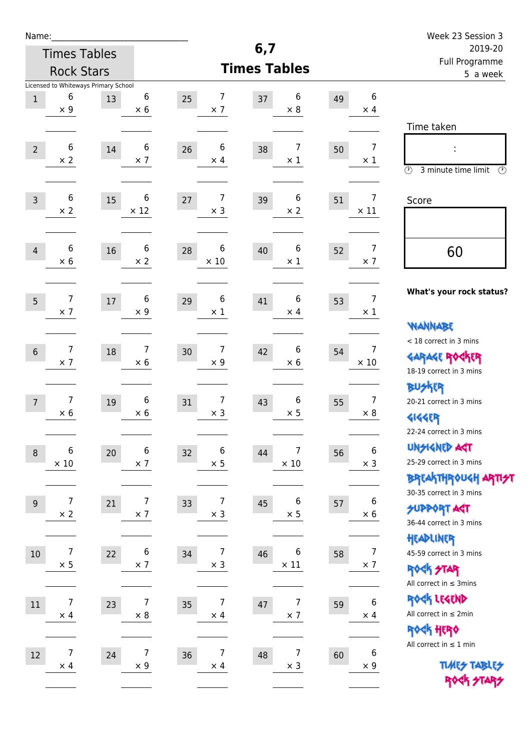| Name:            |                                      |        |                              |                                      |                     |                              |    |                       | Week 23 Session 3                                                |
|------------------|--------------------------------------|--------|------------------------------|--------------------------------------|---------------------|------------------------------|----|-----------------------|------------------------------------------------------------------|
|                  | <b>Times Tables</b>                  |        |                              |                                      | 6,7                 |                              |    |                       | 2019-20<br>Full Programme                                        |
|                  | <b>Rock Stars</b>                    |        |                              |                                      | <b>Times Tables</b> |                              |    |                       | 5 a week                                                         |
|                  | Licensed to Whiteways Primary School |        |                              |                                      |                     |                              |    |                       |                                                                  |
| $\,1\,$          | 6<br>$\times$ 9                      | 13     | 6<br>$\times 6$              | 7<br>25<br>$\times$ 7                | 37                  | 6<br>$\times 8$              | 49 | 6<br>$\times$ 4       |                                                                  |
|                  |                                      |        |                              |                                      |                     |                              |    |                       | Time taken                                                       |
|                  | 6                                    |        | 6                            | $6\phantom{1}6$                      |                     | $\overline{7}$               |    | $\overline{7}$        |                                                                  |
| $\overline{2}$   | $\times 2$                           | 14     | $\times$ 7                   | 26<br>$\times$ 4                     | 38                  | $\times$ 1                   | 50 | $\times$ 1            |                                                                  |
|                  |                                      |        |                              |                                      |                     |                              |    |                       | $\circled{r}$<br>3 minute time limit<br>$\circled{r}$            |
| $\overline{3}$   | $\boldsymbol{6}$                     | 15     | 6                            | 7<br>27                              | 39                  | 6                            | 51 | $\overline{7}$        | Score                                                            |
|                  | $\times$ 2                           |        | $\times$ 12                  | $\times$ 3                           |                     | $\times 2$                   |    | $\times$ 11           |                                                                  |
|                  |                                      |        |                              |                                      |                     |                              |    |                       |                                                                  |
| $\overline{4}$   | 6                                    | 16     | 6                            | 6<br>28                              | 40                  | 6                            | 52 | $\overline{7}$        | 60                                                               |
|                  | $\times$ 6                           |        | $\times 2$                   | $\times$ 10                          |                     | $\times$ 1                   |    | $\times$ 7            |                                                                  |
|                  |                                      |        |                              |                                      |                     |                              |    |                       |                                                                  |
| 5                | 7                                    | $17\,$ | 6                            | 6<br>29                              | 41                  | 6                            | 53 | $\overline{7}$        | What's your rock status?                                         |
|                  | $\times$ 7                           |        | $\times$ 9                   | $\times$ 1                           |                     | $\times$ 4                   |    | $\times$ 1            |                                                                  |
|                  |                                      |        |                              |                                      |                     |                              |    |                       | <b>NANNABE</b>                                                   |
| $6\,$            | 7                                    | 18     | 7                            | 7<br>30                              | 42                  | 6                            | 54 | 7                     | < 18 correct in 3 mins<br><b>GARAGE ROCKER</b>                   |
|                  | $\times$ 7                           |        | $\times$ 6                   | $\times$ 9                           |                     | $\times 6$                   |    | $\times$ 10           | 18-19 correct in 3 mins                                          |
|                  |                                      |        |                              |                                      |                     |                              |    |                       | <b>BUSKER</b>                                                    |
| $\overline{7}$   | 7                                    | 19     | 6                            | 7<br>31                              | 43                  | 6                            | 55 | $\overline{7}$        | 20-21 correct in 3 mins                                          |
|                  | $\times$ 6                           |        | $\times$ 6                   | $\times$ 3                           |                     | $\times$ 5                   |    | $\times 8$            | <b>4144EP</b>                                                    |
|                  |                                      |        |                              |                                      |                     |                              |    |                       | 22-24 correct in 3 mins                                          |
| $\, 8$           | 6                                    | $20\,$ | $\,6$                        | 6<br>32                              | 44                  | 7                            | 56 | 6                     | <b>UNSIGNED AGT</b>                                              |
|                  | $\times$ 10                          |        | $\times$ 7                   | $\times$ 5                           |                     | $\times$ 10                  |    | $\times$ 3            | 25-29 correct in 3 mins                                          |
|                  |                                      |        |                              |                                      |                     |                              |    |                       | <b>BREAKTHROUGH ARTI<del>S</del>T</b><br>30-35 correct in 3 mins |
| $\boldsymbol{9}$ | 7                                    | 21     | $\overline{7}$               | $\overline{7}$<br>33                 | 45                  | 6                            | 57 | 6                     | <b>SUPPORT ART</b>                                               |
|                  | $\times$ 2                           |        | $\times$ 7                   | $\times$ 3                           |                     | $\times$ 5                   |    | $\times$ 6            | 36-44 correct in 3 mins                                          |
|                  |                                      |        |                              |                                      |                     |                              |    |                       | HEADLINER                                                        |
| $10\,$           | 7                                    | 22     | 6                            | $\overline{7}$<br>34                 | 46                  | 6                            | 58 | $\overline{7}$        | 45-59 correct in 3 mins                                          |
|                  | $\times$ 5                           |        | $\times$ 7                   | $\times$ 3                           |                     | $\times$ 11                  |    | $\times$ 7            | ROCK STAR                                                        |
|                  |                                      |        |                              |                                      |                     |                              |    |                       | All correct in $\leq$ 3mins                                      |
| 11               | $\boldsymbol{7}$<br>$\times$ 4       | 23     | $\overline{7}$<br>$\times$ 8 | $\boldsymbol{7}$<br>35<br>$\times$ 4 | 47                  | $\overline{7}$<br>$\times$ 7 | 59 | $\bf 6$<br>$\times$ 4 | ROCK LEGEND<br>All correct in $\leq 2$ min                       |
|                  |                                      |        |                              |                                      |                     |                              |    |                       | ROCK HERO                                                        |
|                  |                                      |        |                              |                                      |                     |                              |    |                       | All correct in $\leq 1$ min                                      |
| 12               | 7<br>$\times$ 4                      | 24     | $\overline{7}$<br>$\times$ 9 | 7<br>36<br>$\times$ 4                | 48                  | 7<br>$\times$ 3              | 60 | 6<br>$\times$ 9       | <b>TUARS TABLES</b>                                              |
|                  |                                      |        |                              |                                      |                     |                              |    |                       | ROCK STARS                                                       |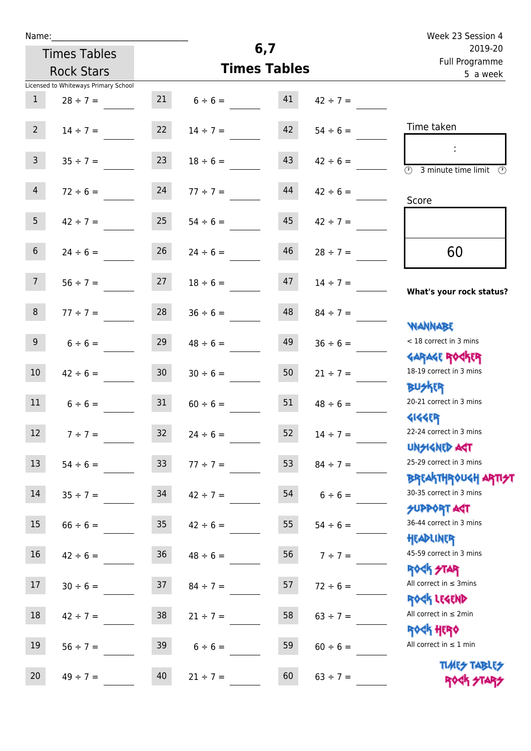|  | Name: |  |
|--|-------|--|
|  |       |  |

| Name:          |                                      |                 |               |                     |               | Week 23 Session 4                                                |
|----------------|--------------------------------------|-----------------|---------------|---------------------|---------------|------------------------------------------------------------------|
|                | <b>Times Tables</b>                  |                 |               | 6,7                 |               | 2019-20<br>Full Programme                                        |
|                | <b>Rock Stars</b>                    |                 |               | <b>Times Tables</b> |               | 5 a week                                                         |
|                | Licensed to Whiteways Primary School |                 |               |                     |               |                                                                  |
| $\mathbf{1}$   | $28 \div 7 =$                        | 21              | $6 \div 6 =$  | 41                  | $42 \div 7 =$ |                                                                  |
| $2^{\circ}$    | $14 \div 7 =$                        | 22              | $14 \div 7 =$ | 42                  | $54 \div 6 =$ | Time taken                                                       |
| $\overline{3}$ | $35 \div 7 =$                        | 23              | $18 \div 6 =$ | 43                  | $42 \div 6 =$ | 3 minute time limit<br>(V)                                       |
| $\overline{4}$ | $72 \div 6 =$                        | 24              | $77 \div 7 =$ | 44                  | $42 \div 6 =$ | Score                                                            |
| 5 <sup>5</sup> | $42 \div 7 =$                        | 25              | $54 \div 6 =$ | 45                  | $42 \div 7 =$ |                                                                  |
| $6\phantom{.}$ | $24 \div 6 =$                        | 26              | $24 \div 6 =$ | 46                  | $28 \div 7 =$ | 60                                                               |
| 7 <sup>7</sup> | $56 \div 7 =$                        | 27              | $18 \div 6 =$ | 47                  | $14 \div 7 =$ | What's your rock status?                                         |
| $\,8\,$        | $77 ÷ 7 =$                           | 28              | $36 \div 6 =$ | 48                  | $84 \div 7 =$ |                                                                  |
| 9 <sup>°</sup> | $6 \div 6 =$                         | 29              | $48 \div 6 =$ | 49                  | $36 \div 6 =$ | <b>JARAMAY</b><br>< 18 correct in 3 mins                         |
| 10             | $42 \div 6 =$                        | 30 <sub>o</sub> | $30 \div 6 =$ | 50                  | $21 \div 7 =$ | <b>GARAGE ROGKER</b><br>18-19 correct in 3 mins<br><b>BUSKER</b> |
| 11             | $6 \div 6 =$                         | 31              | $60 \div 6 =$ | 51                  | $48 \div 6 =$ | 20-21 correct in 3 mins                                          |
| 12             | $7 ÷ 7 =$                            | 32              | $24 \div 6 =$ | 52                  | $14 \div 7 =$ | <b>4144ER</b><br>22-24 correct in 3 mins                         |
| 13             | $54 \div 6 =$                        | 33              | $77 ÷ 7 =$    | 53                  | $84 \div 7 =$ | <b>UNSIGNED AGT</b><br>25-29 correct in 3 mins                   |
| 14             | $35 \div 7 =$                        | 34              | $42 \div 7 =$ | 54                  | $6 \div 6 =$  | <b>BREAKTHROUGH ARTI<del>S</del>T</b><br>30-35 correct in 3 mins |
| 15             | $66 \div 6 =$                        | 35 <sub>o</sub> | $42 \div 6 =$ | 55                  | $54 \div 6 =$ | <b>SUPPORT AGT</b><br>36-44 correct in 3 mins                    |
| 16             | $42 \div 6 =$                        | 36              | $48 \div 6 =$ | 56                  | $7 ÷ 7 =$     | HEADLINER<br>45-59 correct in 3 mins                             |
| 17             | $30 \div 6 =$                        | 37              | $84 \div 7 =$ | 57                  | $72 \div 6 =$ | <b>ROCK STAR</b><br>All correct in $\leq$ 3mins<br>ROCK LEGEND   |

18  $42 \div 7 =$  38  $21 \div 7 =$  58  $63 \div 7 =$ 

19  $56 \div 7 =$  39  $6 \div 6 =$  59  $60 \div 6 =$ 

20  $49 \div 7 =$   $40$   $21 \div 7 =$   $60$   $63 \div 7 =$ 

Rock Legend All correct in ≤ 2min

Rock Hero

All correct in  $\leq 1$  min

**TIMES TABLES** ROCK STARS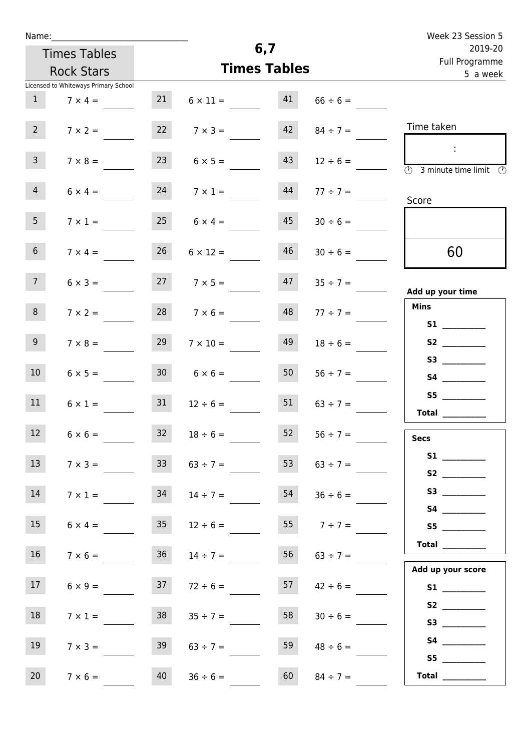| Name: |  |  |  |
|-------|--|--|--|
|       |  |  |  |

| Name:          |                                      |    |                      |                     |                                                     |  | Week 23 Session 5 |  |
|----------------|--------------------------------------|----|----------------------|---------------------|-----------------------------------------------------|--|-------------------|--|
|                | <b>Times Tables</b>                  |    | 6,7                  |                     |                                                     |  | 2019-20           |  |
|                | <b>Rock Stars</b>                    |    |                      | <b>Times Tables</b> |                                                     |  | Full Programme    |  |
|                | Licensed to Whiteways Primary School |    |                      |                     |                                                     |  | 5 a week          |  |
|                | $7 \times 4 =$                       | 21 | $6 \times 11 =$      | 41                  | $66 \div 6 =$                                       |  |                   |  |
| $\overline{2}$ | $7 \times 2 =$                       | 22 | $7 \times 3 =$       | 42                  | $84 \div 7 =$                                       |  | Time taken        |  |
| $\mathbf{r}$   | 7.00                                 | つつ | $\sim$ $\sim$ $\sim$ | $\overline{12}$     | $\mathbf{1}$ $\mathbf{0}$ $\mathbf{0}$ $\mathbf{0}$ |  |                   |  |

| 3 <sup>7</sup>  | $7 \times 8 =$ |                 | $23 \t 6 \times 5 =$ | 43 | $12 \div 6 =$   | $\overline{\textcircled{1}}$ 3 minute time limit $\textcircled{2}$                                                                                                                                                                      |
|-----------------|----------------|-----------------|----------------------|----|-----------------|-----------------------------------------------------------------------------------------------------------------------------------------------------------------------------------------------------------------------------------------|
| 4               | $6 \times 4 =$ |                 | $24 \t 7 \times 1 =$ | 44 | $77 \div 7 =$   | Score                                                                                                                                                                                                                                   |
| 5 <sub>1</sub>  | $7 \times 1 =$ |                 | $25 \t 6 \times 4 =$ | 45 | $30 \div 6 =$   |                                                                                                                                                                                                                                         |
| 6 <sub>1</sub>  | $7 \times 4 =$ | 26              | $6 \times 12 =$      | 46 | $30 \div 6 =$   | 60                                                                                                                                                                                                                                      |
| 7 <sup>7</sup>  | $6 \times 3 =$ |                 | $7 \times 5 = 47$    |    | $35 \div 7 =$   |                                                                                                                                                                                                                                         |
|                 |                |                 |                      |    |                 | Add up your time                                                                                                                                                                                                                        |
| 8 <sub>1</sub>  | $7 \times 2 =$ |                 | $28$ $7 \times 6 =$  | 48 | $77 \div 7 =$   | Mins                                                                                                                                                                                                                                    |
|                 |                |                 |                      |    |                 |                                                                                                                                                                                                                                         |
| 9 <sub>o</sub>  | $7 \times 8 =$ | 29              | $7 \times 10 =$      | 49 | $18 \div 6 =$   | S2                                                                                                                                                                                                                                      |
|                 |                |                 |                      |    |                 | S3                                                                                                                                                                                                                                      |
| 10              | $6 \times 5 =$ |                 | $6 \times 6 =$       | 50 | $56 \div 7 =$   |                                                                                                                                                                                                                                         |
|                 |                |                 |                      |    |                 | S5 <sub>c</sub> and the state of the state of the state of the state of the state of the state of the state of the state of the state of the state of the state of the state of the state of the state of the state of the state of the |
| 11              | $6 \times 1 =$ |                 | $31 \t 12 \div 6 =$  | 51 | $63 \div 7 =$   | Total                                                                                                                                                                                                                                   |
|                 |                |                 |                      |    |                 |                                                                                                                                                                                                                                         |
| 12              | $6 \times 6 =$ | 32              | $18 \div 6 =$        | 52 | $56 \div 7 =$   | <b>Secs</b>                                                                                                                                                                                                                             |
|                 |                |                 |                      |    |                 | <b>S1</b> and the set of $\mathbf{S}$                                                                                                                                                                                                   |
| 13              | $7 \times 3 =$ |                 | $33 \t 63 \div 7 =$  | 53 | $63 \div 7 =$   |                                                                                                                                                                                                                                         |
|                 |                |                 |                      |    |                 |                                                                                                                                                                                                                                         |
| 14              | $7 \times 1 =$ | 34              | $14 \div 7 =$        | 54 | $36 \div 6 =$   | <b>S4 S4</b>                                                                                                                                                                                                                            |
| 15 <sub>1</sub> |                |                 |                      |    |                 |                                                                                                                                                                                                                                         |
|                 | $6 \times 4 =$ | 35              | $12 \div 6 =$        |    | 55 $7 \div 7 =$ |                                                                                                                                                                                                                                         |
| 16 <sup>1</sup> | $7 \times 6 =$ | 36 <sup>°</sup> | $14 \div 7 =$        | 56 | $63 \div 7 =$   | Total $\_\_$                                                                                                                                                                                                                            |
|                 |                |                 |                      |    |                 | Add up your score                                                                                                                                                                                                                       |
| 17 <sub>1</sub> | $6 \times 9 =$ | 37              | $72 \div 6 =$        | 57 | $42 \div 6 =$   |                                                                                                                                                                                                                                         |
|                 |                |                 |                      |    |                 |                                                                                                                                                                                                                                         |
| 18              | $7 \times 1 =$ | 38              | $35 \div 7 =$        | 58 | $30 \div 6 =$   | S2                                                                                                                                                                                                                                      |
|                 |                |                 |                      |    |                 |                                                                                                                                                                                                                                         |
| 19              | $7 \times 3 =$ | 39              | $63 \div 7 =$        | 59 | $48 \div 6 =$   |                                                                                                                                                                                                                                         |
|                 |                |                 |                      |    |                 |                                                                                                                                                                                                                                         |
| 20              | $7 \times 6 =$ | 40              | $36 \div 6 =$        | 60 | $84 \div 7 =$   |                                                                                                                                                                                                                                         |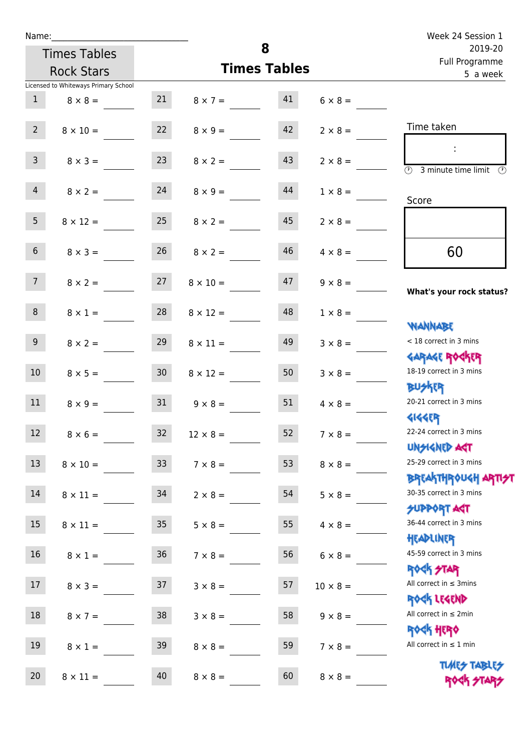| Name:             |                                      |                 |                                   |                     |                 |                                                                  |
|-------------------|--------------------------------------|-----------------|-----------------------------------|---------------------|-----------------|------------------------------------------------------------------|
|                   | <b>Times Tables</b>                  |                 |                                   | 8                   |                 | 2019-20<br>Full Programme                                        |
| <b>Rock Stars</b> |                                      |                 |                                   | <b>Times Tables</b> |                 | 5 a week                                                         |
|                   | Licensed to Whiteways Primary School |                 |                                   |                     |                 |                                                                  |
| 1                 | $8 \times 8 =$                       | 21              | $8 \times 7 = 41$                 |                     | $6 \times 8 =$  |                                                                  |
| $2^{\circ}$       | $8 \times 10 =$                      | 22              | $8 \times 9 =$                    | 42                  | $2 \times 8 =$  | Time taken                                                       |
| 3 <sup>7</sup>    | $8 \times 3 =$                       | 23              | $8 \times 2 =$                    | 43                  | $2 \times 8 =$  | $\sim$ 1.<br><b>3</b> minute time limit<br>$\mathcal{O}$         |
| $\overline{4}$    | $8 \times 2 = 24$                    |                 | $8 \times 9 =$                    | 44                  | $1 \times 8 =$  | Score                                                            |
| 5 <sub>1</sub>    | $8 \times 12 =$                      | 25              | $8 \times 2 =$                    | 45                  | $2 \times 8 =$  |                                                                  |
| 6 <sup>1</sup>    | $8 \times 3 =$                       | 26              | $8 \times 2 =$                    | 46                  | $4 \times 8 =$  | 60                                                               |
| 7 <sup>7</sup>    |                                      |                 | $8 \times 2 = 27$ $8 \times 10 =$ | 47                  | $9 \times 8 =$  | What's your rock status?                                         |
| 8                 | $8 \times 1 =$                       | 28              | $8 \times 12 =$                   | 48                  | $1 \times 8 =$  | <b>JARNARY</b>                                                   |
| 9 <sub>o</sub>    | $8 \times 2 =$                       | 29              | $8 \times 11 =$                   | 49                  | $3 \times 8 =$  | < 18 correct in 3 mins<br><b>GARAGE ROGKER</b>                   |
| 10 <sup>°</sup>   | $8 \times 5 = 30$                    |                 | $8 \times 12 =$                   | 50                  | $3 \times 8 =$  | 18-19 correct in 3 mins<br><b>BUSKER</b>                         |
| 11                | $8 \times 9 =$                       | 31              | $9 \times 8 =$                    | 51                  | $4 \times 8 =$  | 20-21 correct in 3 mins<br><b>4144EP</b>                         |
| 12                | $8 \times 6 =$                       | 32              | $12 \times 8 =$                   | 52                  | $7 \times 8 =$  | 22-24 correct in 3 mins<br><b>UNGIGNED AGT</b>                   |
| 13                | $8 \times 10 =$                      | 33 <sup>°</sup> | $7 \times 8 =$                    | 53                  | $8 \times 8 =$  | 25-29 correct in 3 mins<br><b>BREAKTHROUGH ARTI<del>S</del>T</b> |
| 14                | $8 \times 11 =$                      | 34              | $2 \times 8 =$                    | 54                  | $5 \times 8 =$  | 30-35 correct in 3 mins<br><b>SUPPORT AGT</b>                    |
| 15 <sub>1</sub>   | $8 \times 11 =$                      | 35 <sub>1</sub> | $5 \times 8 =$                    | 55                  | $4 \times 8 =$  | 36-44 correct in 3 mins<br>HEADLINER                             |
| 16 <sup>1</sup>   | $8 \times 1 =$                       | 36              | $7 \times 8 =$                    | 56                  | $6 \times 8 =$  | 45-59 correct in 3 mins<br><b>ROCK STAR</b>                      |
| 17                | $8 \times 3 =$                       | 37              | $3 \times 8 =$                    | 57                  | $10 \times 8 =$ | All correct in $\leq$ 3mins<br>ROCK LEGEND                       |
| 18                | $8 \times 7 =$                       | 38              | $3 \times 8 =$                    | 58                  | $9 \times 8 =$  | All correct in $\leq 2$ min<br><b>ROCK HERO</b>                  |
| 19                | $8 \times 1 =$                       | 39              | $8 \times 8 =$                    | 59                  | $7 \times 8 =$  | All correct in $\leq 1$ min                                      |
| 20                | $8 \times 11 =$                      | 40              | $8 \times 8 =$                    | 60                  | $8 \times 8 =$  | <b>TUARS TABLES</b><br>ROCK STARS                                |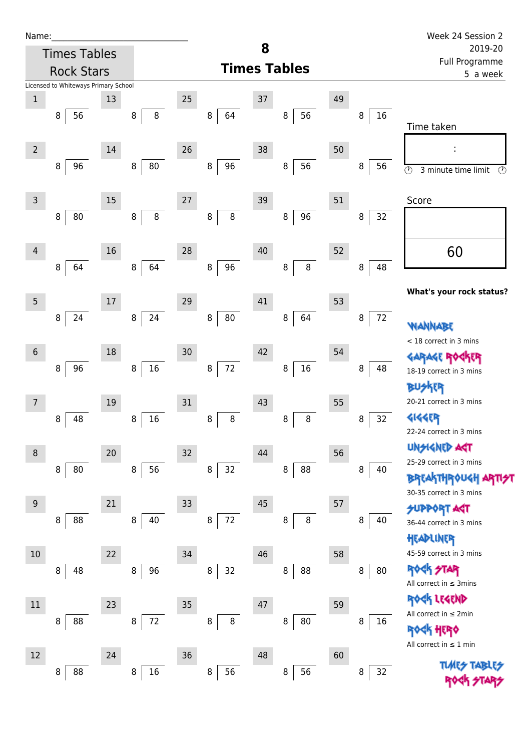| Name:          |                                      |    |                  |    |                   |    |                     |    |               | Week 24 Session 2                                                                                |  |
|----------------|--------------------------------------|----|------------------|----|-------------------|----|---------------------|----|---------------|--------------------------------------------------------------------------------------------------|--|
|                | <b>Times Tables</b>                  |    |                  |    |                   | 8  |                     |    |               | 2019-20<br>Full Programme                                                                        |  |
|                | <b>Rock Stars</b>                    |    |                  |    |                   |    | <b>Times Tables</b> |    | 5 a week      |                                                                                                  |  |
|                | Licensed to Whiteways Primary School |    |                  |    |                   |    |                     |    |               |                                                                                                  |  |
| $\,1$          | 56<br>8                              | 13 | $\, 8$<br>$\, 8$ | 25 | 8<br>64           | 37 | 56<br>8             | 49 | 16<br>$\bf 8$ | Time taken                                                                                       |  |
| $\overline{2}$ | 96<br>8                              | 14 | 80<br>8          | 26 | 96<br>8           | 38 | 56<br>8             | 50 | 56<br>8       | $\odot$<br>3 minute time limit<br>$\odot$                                                        |  |
| $\mathsf{3}$   | 80<br>8                              | 15 | 8<br>8           | 27 | 8<br>8            | 39 | 96<br>8             | 51 | 8<br>32       | Score                                                                                            |  |
| 4              | 64<br>8                              | 16 | 64<br>8          | 28 | 96<br>8           | 40 | $\bf 8$<br>8        | 52 | 48<br>8       | 60                                                                                               |  |
| $\overline{5}$ | 24<br>8                              | 17 | 24<br>$\, 8$     | 29 | $80\,$<br>$\bf 8$ | 41 | 64<br>8             | 53 | $72\,$<br>8   | What's your rock status?                                                                         |  |
| $\sqrt{6}$     | 96<br>8                              | 18 | $16\,$<br>8      | 30 | 72<br>8           | 42 | 16<br>$\,8\,$       | 54 | 8<br>48       | <b>WANNABE</b><br>< 18 correct in 3 mins<br>18-19 correct in 3 mins<br><b>BUSKER</b>             |  |
| $\overline{7}$ | 48<br>8                              | 19 | 16<br>8          | 31 | 8<br>8            | 43 | 8<br>8              | 55 | 32<br>8       | 20-21 correct in 3 mins<br><b>4144EP</b><br>22-24 correct in 3 mins                              |  |
| 8              | 8<br>80                              | 20 | 56<br>8          | 32 | 32<br>8           | 44 | 88<br>8             | 56 | 8<br>40       | <b>UNSIGNED AST</b><br>25-29 correct in 3 mins<br><b>BREAKTHROUGH</b><br>30-35 correct in 3 mins |  |
| $9\,$          | 88<br>8                              | 21 | 40<br>8          | 33 | $72\,$<br>8       | 45 | $\bf 8$<br>8        | 57 | 8<br>40       | <b>SUPPORT AST</b><br>36-44 correct in 3 mins<br>HEADLINER                                       |  |
| 10             | 48<br>8                              | 22 | 96<br>8          | 34 | 32<br>$\bf 8$     | 46 | 88<br>8             | 58 | 80<br>8       | 45-59 correct in 3 mins<br><b>ROCK STAR</b><br>All correct in $\leq$ 3mins                       |  |
| $11\,$         | 88<br>8                              | 23 | $72\,$<br>8      | 35 | $\, 8$<br>8       | 47 | 80<br>$\, 8$        | 59 | 8<br>16       | <b>ER LEGEND</b><br>All correct in $\leq 2$ min<br>ROCK HERO<br>All correct in $\leq 1$ min      |  |
| 12             | 88<br>8                              | 24 | $16\,$<br>8      | 36 | 56<br>8           | 48 | 56<br>$\, 8$        | 60 | 32<br>8       | <b>TLARS</b>                                                                                     |  |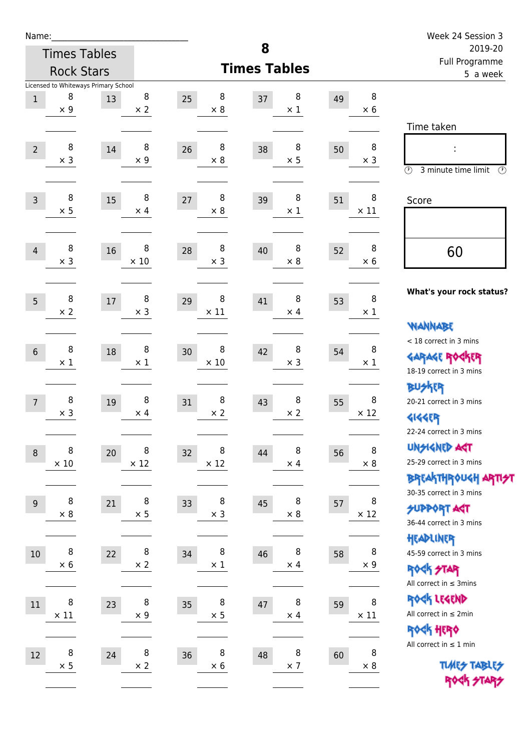| Name:            |                  |                                            |                  |                   |                       |                       |    |                       | Week 24 Session 3                                                                       |
|------------------|------------------|--------------------------------------------|------------------|-------------------|-----------------------|-----------------------|----|-----------------------|-----------------------------------------------------------------------------------------|
|                  |                  | <b>Times Tables</b>                        |                  |                   | 8                     |                       |    |                       | 2019-20<br>Full Programme                                                               |
|                  |                  | <b>Rock Stars</b>                          |                  |                   | <b>Times Tables</b>   |                       |    |                       | 5 a week                                                                                |
| $1\,$            | 8<br>$\times$ 9  | Licensed to Whiteways Primary School<br>13 | 8<br>$\times$ 2  | 25                | 8<br>37<br>$\times 8$ | 8<br>$\times$ 1       | 49 | 8<br>$\times 6$       |                                                                                         |
| $\overline{2}$   | 8<br>$\times$ 3  | 14                                         | 8<br>$\times$ 9  | 26                | 8<br>38<br>$\times 8$ | 8<br>$\times$ 5       | 50 | 8<br>$\times$ 3       | Time taken<br>$\circled{r}$<br>3 minute time limit<br>$\circled{r}$                     |
| $\overline{3}$   | 8<br>$\times$ 5  | 15                                         | 8<br>$\times$ 4  | 27                | 8<br>39<br>$\times$ 8 | 8<br>$\times$ 1       | 51 | 8<br>$\times$ 11      | Score                                                                                   |
| $\overline{4}$   | 8<br>$\times$ 3  | 16                                         | 8<br>$\times$ 10 | 28                | 8<br>40<br>$\times$ 3 | 8<br>$\times$ 8       | 52 | 8<br>$\times$ 6       | 60                                                                                      |
| 5                | 8<br>$\times 2$  | 17                                         | 8<br>$\times$ 3  | 29<br>$\times$ 11 | 8<br>41               | 8<br>$\times$ 4       | 53 | $\, 8$<br>$\times$ 1  | What's your rock status?<br><b>NANNABE</b>                                              |
| $6\phantom{1}$   | 8<br>$\times 1$  | 18                                         | 8<br>$\times$ 1  | 30<br>$\times$ 10 | 8<br>42               | 8<br>$\times$ 3       | 54 | 8<br>$\times 1$       | < 18 correct in 3 mins<br><b>GARAGE ROCKER</b><br>18-19 correct in 3 mins               |
| $\overline{7}$   | 8<br>$\times$ 3  | 19                                         | 8<br>$\times$ 4  | 31                | 8<br>43<br>$\times 2$ | 8<br>$\times$ 2       | 55 | 8<br>$\times$ 12      | <b>BUSKER</b><br>20-21 correct in 3 mins<br><b>4144EP</b><br>22-24 correct in 3 mins    |
| $\boldsymbol{8}$ | 8<br>$\times$ 10 | 20                                         | 8<br>$\times$ 12 | 32<br>$\times$ 12 | 8<br>44               | 8<br>$\times$ 4       | 56 | 8<br>$\times$ 8       | <b>UNGIGNED AGT</b><br>25-29 correct in 3 mins<br><b>BREAKTHROUGH ARTI<del>S</del>T</b> |
| $9\,$            | 8<br>$\times$ 8  | 21                                         | 8<br>$\times$ 5  | 33                | 8<br>45<br>$\times$ 3 | 8<br>$\times$ 8       | 57 | 8<br>$\times$ 12      | 30-35 correct in 3 mins<br><b>SUPPORT ART</b><br>36-44 correct in 3 mins                |
| $10\,$           | 8<br>$\times$ 6  | 22                                         | 8<br>$\times$ 2  | 34                | 8<br>46<br>$\times$ 1 | 8<br>$\times$ 4       | 58 | 8<br>$\times$ 9       | HEADLINER<br>45-59 correct in 3 mins<br><b>ROCK STAR</b><br>All correct in $\leq$ 3mins |
| 11               | 8<br>$\times$ 11 | 23                                         | 8<br>$\times$ 9  | 35                | 8<br>47<br>$\times$ 5 | $\bf 8$<br>$\times$ 4 | 59 | $\, 8$<br>$\times$ 11 | ROCK LEGEND<br>All correct in $\leq 2$ min<br>ROCK HERO                                 |
| 12               | 8<br>$\times$ 5  | 24                                         | 8<br>$\times 2$  | 36                | 8<br>48<br>$\times$ 6 | 8<br>$\times$ 7       | 60 | 8<br>$\times 8$       | All correct in $\leq 1$ min<br><b>TUARS TABLES</b><br>ROCK STARS                        |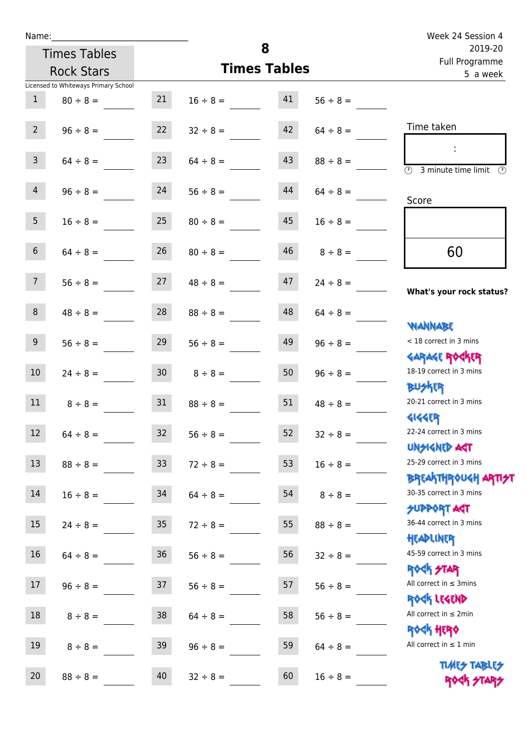Times Tables

|                 | <b>Rock Stars</b>                    |                 | <b>Times Tables</b> | <u>Lan Llogrammic</u><br>5 a week |               |                                                      |
|-----------------|--------------------------------------|-----------------|---------------------|-----------------------------------|---------------|------------------------------------------------------|
|                 | Licensed to Whiteways Primary School |                 |                     |                                   |               |                                                      |
| $\mathbf{1}$    | $80 \div 8 =$                        | 21              | $16 \div 8 =$       | 41                                | $56 \div 8 =$ |                                                      |
| 2 <sup>7</sup>  | $96 \div 8 =$                        | 22              | $32 \div 8 =$       | 42                                | $64 \div 8 =$ | Time taken                                           |
|                 |                                      |                 |                     |                                   |               | ÷                                                    |
| $\mathbf{3}$    | $64 \div 8 =$                        | 23              | $64 \div 8 =$       | 43                                | $88 \div 8 =$ | $\overline{\odot}$<br>3 minute time limit<br>$\odot$ |
| $\overline{4}$  | $96 \div 8 =$                        | 24              | $56 \div 8 =$       | 44                                | $64 \div 8 =$ |                                                      |
|                 |                                      |                 |                     |                                   |               | Score                                                |
| 5 <sub>1</sub>  | $16 \div 8 =$                        | 25              | $80 \div 8 =$       | 45                                | $16 \div 8 =$ |                                                      |
|                 |                                      |                 |                     |                                   |               |                                                      |
| $6\overline{6}$ | $64 \div 8 =$                        | 26              | $80 \div 8 =$       | 46                                | $8 \div 8 =$  | 60                                                   |
| 7 <sup>7</sup>  | $56 \div 8 =$                        | 27              | $48 \div 8 =$       | 47                                | $24 \div 8 =$ |                                                      |
|                 |                                      |                 |                     |                                   |               | What's your rock status?                             |
| 8               | $48 \div 8 =$                        | 28              | $88 \div 8 =$       | 48                                | $64 \div 8 =$ |                                                      |
|                 |                                      |                 |                     |                                   |               | <b>JARNARY</b>                                       |
| 9 <sup>°</sup>  | $56 \div 8 =$                        | 29              | $56 \div 8 =$       | 49                                | $96 \div 8 =$ | < 18 correct in 3 mins                               |
|                 |                                      |                 |                     |                                   |               | <b>GARAGE ROGKER</b>                                 |
| $10\,$          | $24 \div 8 =$                        | 30 <sub>o</sub> | $8 \div 8 =$        | 50                                | $96 \div 8 =$ | 18-19 correct in 3 mins                              |
| 11              |                                      |                 |                     | 51                                |               | <b>BUSKRR</b><br>20-21 correct in 3 mins             |
|                 | $8 \div 8 =$                         | 31              | $88 \div 8 =$       |                                   | $48 \div 8 =$ | <b>4144EP</b>                                        |
| 12              | $64 \div 8 =$                        | 32              | $56 \div 8 =$       | 52                                | $32 \div 8 =$ | 22-24 correct in 3 mins                              |
|                 |                                      |                 |                     |                                   |               | <b>UNSIGNED AGT</b>                                  |
| 13              | $88 \div 8 =$                        | 33              | $72 \div 8 =$       | 53                                | $16 \div 8 =$ | 25-29 correct in 3 mins                              |
|                 |                                      |                 |                     |                                   |               | <b>BREAKTHROUGH ARTI<del>S</del>T</b>                |
| $14\,$          | $16 \div 8 =$                        | 34              | $64 \div 8 =$       | 54                                | $8 \div 8 =$  | 30-35 correct in 3 mins                              |
|                 |                                      |                 |                     |                                   |               | <b>SUPPORT ART</b>                                   |
| 15              | $24 \div 8 =$                        | 35              | $72 \div 8 =$       | 55                                | $88 \div 8 =$ | 36-44 correct in 3 mins                              |
|                 |                                      |                 |                     |                                   |               | HEADLINER                                            |
| 16              | $64 \div 8 =$                        | 36              | $56 \div 8 =$       | 56                                | $32 \div 8 =$ | 45-59 correct in 3 mins                              |
|                 |                                      |                 |                     |                                   |               | <b>ROCK STAR</b><br>All correct in $\leq$ 3mins      |
| 17              | $96 \div 8 =$                        | 37              | $56 \div 8 =$       | 57                                | $56 \div 8 =$ | ROCK LEGEND                                          |
| $18\,$          | $8 \div 8 =$                         | 38              | $64 \div 8 =$       | 58                                | $56 \div 8 =$ | All correct in $\leq 2$ min                          |
|                 |                                      |                 |                     |                                   |               | <b>ROCK HERO</b>                                     |
| 19              | $8 \div 8 =$                         | 39              | $96 \div 8 =$       | 59                                | $64 \div 8 =$ | All correct in $\leq 1$ min                          |
|                 |                                      |                 |                     |                                   |               | <b>TUARS TABLES</b>                                  |
| 20              | $88 \div 8 =$                        | 40              | $32 \div 8 =$       | 60                                | $16 \div 8 =$ | ROCK STARS                                           |

**8**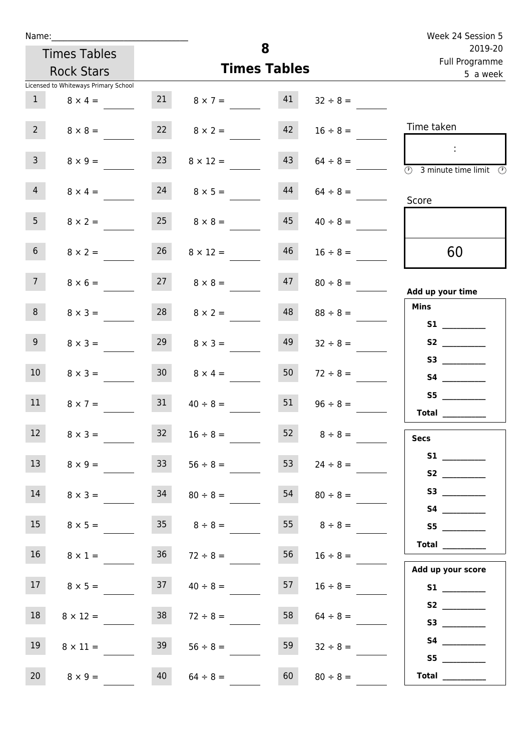| Name:           |                                      |                 |                      | 8                         |               | Week 24 Session 5                                                                       |
|-----------------|--------------------------------------|-----------------|----------------------|---------------------------|---------------|-----------------------------------------------------------------------------------------|
|                 | <b>Times Tables</b>                  |                 |                      | 2019-20<br>Full Programme |               |                                                                                         |
|                 | <b>Rock Stars</b>                    |                 |                      | <b>Times Tables</b>       |               | 5 a week                                                                                |
|                 | Licensed to Whiteways Primary School |                 |                      |                           |               |                                                                                         |
| $\mathbf{1}$    | $8 \times 4 =$                       |                 | 21 $8 \times 7 =$    | 41                        | $32 \div 8 =$ |                                                                                         |
| $2^{\circ}$     | $8 \times 8 =$                       |                 | $22 \t 8 \times 2 =$ | 42                        | $16 \div 8 =$ | Time taken                                                                              |
| $\mathsf{3}$    | $8 \times 9 =$                       | 23              | $8 \times 12 =$      | 43                        | $64 \div 8 =$ | $\sim$<br>$\overline{\textcircled{1}}$ 3 minute time limit $\overline{\textcircled{1}}$ |
| $\overline{4}$  | $8 \times 4 =$                       | 24              | $8 \times 5 =$       | 44                        | $64 \div 8 =$ | Score                                                                                   |
| 5 <sub>1</sub>  | $8 \times 2 =$                       | 25              | $8 \times 8 =$       | 45                        | $40 \div 8 =$ |                                                                                         |
| 6 <sup>1</sup>  | $8 \times 2 =$                       | 26              | $8 \times 12 =$      | 46                        | $16 \div 8 =$ | 60                                                                                      |
| 7 <sup>7</sup>  | $8 \times 6 =$                       |                 | $27 \t 8 \times 8 =$ | 47                        | $80 \div 8 =$ | Add up your time                                                                        |
| 8               | $8 \times 3 =$                       | 28              | $8 \times 2 =$       | 48                        | $88 \div 8 =$ | <b>Mins</b><br><b>S1 S1</b>                                                             |
| 9               | $8 \times 3 =$                       | 29              | $8 \times 3 =$       | 49                        | $32 \div 8 =$ |                                                                                         |
| 10 <sup>°</sup> | $8 \times 3 =$                       | 30 <sup>1</sup> | $8 \times 4 =$       | 50                        | $72 \div 8 =$ |                                                                                         |
| 11              | $8 \times 7 =$                       | 31              | $40 \div 8 =$        | 51                        | $96 \div 8 =$ | S5<br>Total                                                                             |
| 12              | $8 \times 3 =$                       | 32              | $16 \div 8 =$        | 52                        | $8 \div 8 =$  | <b>Secs</b>                                                                             |
| 13 <sup>°</sup> | $8 \times 9 =$                       | 33              | $56 \div 8 =$        | 53                        | $24 \div 8 =$ | S2                                                                                      |
| 14              | $8 \times 3 =$                       | 34              | $80 \div 8 =$        | 54                        | $80 \div 8 =$ |                                                                                         |
| 15              | $8 \times 5 =$                       | 35              | $8 \div 8 =$         | 55                        | $8 \div 8 =$  | S5                                                                                      |
| 16              | $8 \times 1 =$                       | 36              | $72 \div 8 =$        | 56                        | $16 \div 8 =$ | <b>Total</b> __________                                                                 |
| 17              | $8 \times 5 =$                       | 37              | $40 \div 8 =$        | 57                        | $16 \div 8 =$ | Add up your score<br>S1                                                                 |
| 18              | $8 \times 12 =$                      | 38              | $72 \div 8 =$        | 58                        | $64 \div 8 =$ |                                                                                         |
| 19              | $8 \times 11 =$                      | 39              | $56 \div 8 =$        | 59                        | $32 \div 8 =$ | S5                                                                                      |
| 20              | $8 \times 9 =$                       | 40              | $64 \div 8 =$        | 60                        | $80 \div 8 =$ | Total $\_\_$                                                                            |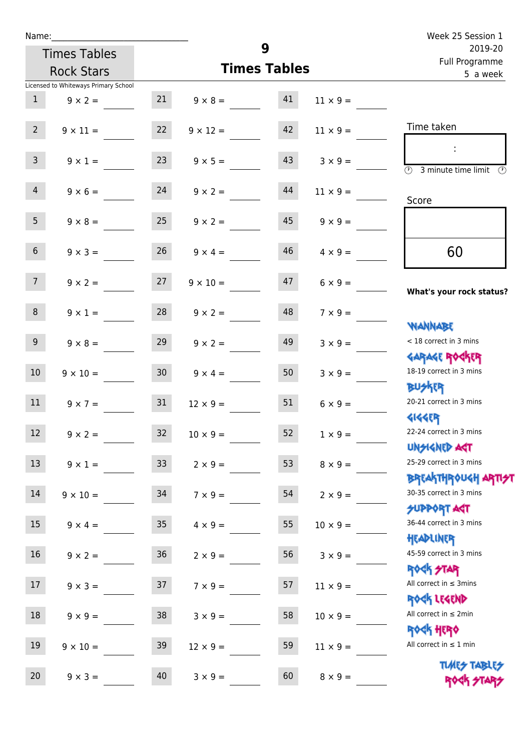| Week 25 Session 1                                                             |                 |                     |                 |                  |                                      | Name:           |  |  |  |  |  |
|-------------------------------------------------------------------------------|-----------------|---------------------|-----------------|------------------|--------------------------------------|-----------------|--|--|--|--|--|
| 2019-20<br>Full Programme                                                     |                 | 9                   |                 |                  | <b>Times Tables</b>                  |                 |  |  |  |  |  |
| 5 a week                                                                      |                 | <b>Times Tables</b> |                 |                  | <b>Rock Stars</b>                    |                 |  |  |  |  |  |
|                                                                               |                 |                     |                 |                  | Licensed to Whiteways Primary School |                 |  |  |  |  |  |
|                                                                               | $11 \times 9 =$ | 41                  | $9 \times 8 =$  | 21               | $9 \times 2 =$                       | $\mathbf{1}$    |  |  |  |  |  |
| Time taken                                                                    | $11 \times 9 =$ | 42                  | $9 \times 12 =$ | 22               | $9 \times 11 =$                      | $2^{\circ}$     |  |  |  |  |  |
| $\overline{\textcircled{1}}$ 3 minute time limit $\overline{\textcircled{1}}$ | $3 \times 9 =$  | 43                  | $9 \times 5 =$  | 23               | $9 \times 1 =$                       | $\mathbf{3}$    |  |  |  |  |  |
| Score                                                                         | $11 \times 9 =$ | 44                  | $9 \times 2 =$  | 24               | $9 \times 6 =$                       | $\overline{4}$  |  |  |  |  |  |
|                                                                               | $9 \times 9 =$  | 45                  | $9 \times 2 =$  | 25               | $9 \times 8 =$                       | 5 <sub>1</sub>  |  |  |  |  |  |
| 60                                                                            | $4 \times 9 =$  | 46                  | $9 \times 4 =$  | 26               | $9 \times 3 =$                       | $6\overline{6}$ |  |  |  |  |  |
| What's your rock status?                                                      | $6 \times 9 =$  | 47                  | $9 \times 10 =$ | 27               | $9 \times 2 =$                       | 7 <sup>7</sup>  |  |  |  |  |  |
| <b>NANNABE</b>                                                                | $7 \times 9 =$  | 48                  | $9 \times 2 =$  | 28               | $9 \times 1 =$                       | 8               |  |  |  |  |  |
| < 18 correct in 3 mins<br><b>GARAGE ROCKER</b>                                | $3 \times 9 =$  | 49                  | $9 \times 2 =$  | 29               | $9 \times 8 =$                       | 9 <sub>o</sub>  |  |  |  |  |  |
| 18-19 correct in 3 mins<br><b>BUSKER</b>                                      | $3 \times 9 =$  | 50                  | $9 \times 4 =$  | 30 <sup>7</sup>  | $9 \times 10 =$                      | 10 <sup>°</sup> |  |  |  |  |  |
| 20-21 correct in 3 mins<br><b>4144EP</b>                                      | $6 \times 9 =$  | 51                  | $12 \times 9 =$ | 31               | $9 \times 7 =$                       | 11              |  |  |  |  |  |
| 22-24 correct in 3 mins<br><b>UNSIGNED AST</b>                                | $1 \times 9 =$  | 52                  | $10 \times 9 =$ | 32               | $9 \times 2 =$                       | 12              |  |  |  |  |  |
| 25-29 correct in 3 mins<br><b>BREAKTHROUGH ARTH</b>                           | $8 \times 9 =$  | 53                  | $2 \times 9 =$  | 33               | $9 \times 1 =$                       | 13              |  |  |  |  |  |
| 30-35 correct in 3 mins<br><b>SUPPORT AGT</b>                                 | $2 \times 9 =$  | 54                  | $7 \times 9 =$  | 34               | $9 \times 10 =$                      | $14\,$          |  |  |  |  |  |
| 36-44 correct in 3 mins<br>HEADLINER                                          | $10 \times 9 =$ | 55                  | $4 \times 9 =$  | $35\phantom{.0}$ | $9 \times 4 =$                       | 15              |  |  |  |  |  |
| 45-59 correct in 3 mins<br><b>ROCK STAR</b>                                   | $3 \times 9 =$  | 56                  | $2 \times 9 =$  | 36               | $9 \times 2 =$                       | 16              |  |  |  |  |  |
| All correct in $\leq$ 3mins<br>ROCK LEGEND                                    | $11 \times 9 =$ | 57                  | $7 \times 9 =$  | 37               | $9 \times 3 =$                       | 17              |  |  |  |  |  |
| All correct in $\leq 2$ min<br>ROCK HERO                                      | $10 \times 9 =$ | 58                  | $3 \times 9 =$  | 38               | $9 \times 9 =$                       | $18\,$          |  |  |  |  |  |
| All correct in $\leq 1$ min                                                   | $11 \times 9 =$ | 59                  | $12 \times 9 =$ | 39               | $9 \times 10 =$                      | 19              |  |  |  |  |  |
| <b>TUARS TABLES</b><br>ROCK STARS                                             | $8 \times 9 =$  | 60                  | $3 \times 9 =$  | 40               | $9 \times 3 =$                       | 20              |  |  |  |  |  |

Rock STARS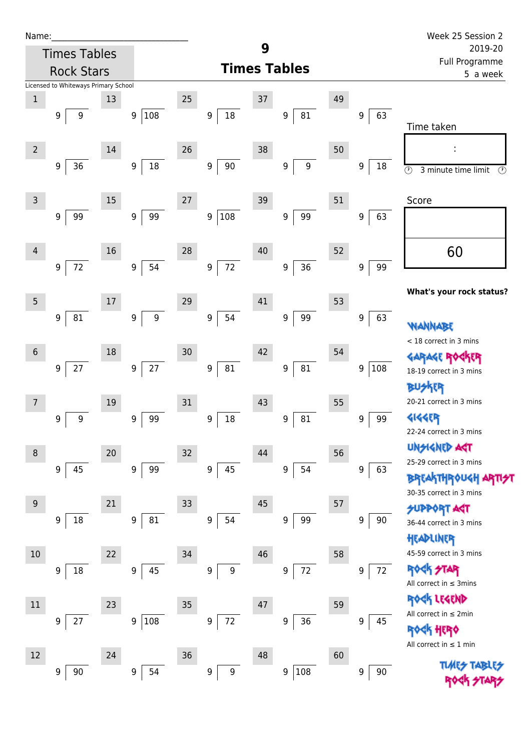| Name:                                   |                                                                           | Week 25 Session 2                                                |
|-----------------------------------------|---------------------------------------------------------------------------|------------------------------------------------------------------|
| <b>Times Tables</b>                     | 9                                                                         | 2019-20                                                          |
| <b>Rock Stars</b>                       | <b>Times Tables</b>                                                       | Full Programme<br>5 a week                                       |
| Licensed to Whiteways Primary School    |                                                                           |                                                                  |
| $\mathbf{1}$<br>13                      | $25\,$<br>37<br>49                                                        |                                                                  |
| 108<br>$\boldsymbol{9}$<br>9<br>9       | 18<br>81<br>63<br>9<br>$\boldsymbol{9}$<br>9                              | Time taken                                                       |
| $\overline{2}$<br>14                    | 26<br>38<br>50                                                            | ÷                                                                |
| 18<br>36<br>9<br>9                      | 90<br>$\boldsymbol{9}$<br>$\boldsymbol{9}$<br>$\boldsymbol{9}$<br>9<br>18 | $\overline{\mathbb{O}}$<br>3 minute time limit<br>$\circled{r}$  |
| $\overline{3}$<br>15                    | 27<br>39<br>51                                                            | Score                                                            |
| 99<br>99<br>9<br>9                      | 108<br>9<br>$\boldsymbol{9}$<br>99<br>9<br>63                             |                                                                  |
| 16<br>4                                 | 28<br>40<br>52                                                            | 60                                                               |
| 54<br>$72\,$<br>9<br>9                  | 72<br>36<br>$9\,$<br>$\boldsymbol{9}$<br>99<br>$\boldsymbol{9}$           |                                                                  |
| 5<br>$17$                               | 41<br>29<br>53                                                            | What's your rock status?                                         |
| 81<br>$\mathsf g$<br>9<br>9             | 54<br>99<br>63<br>9<br>$\boldsymbol{9}$<br>9                              | WANNABE                                                          |
|                                         |                                                                           | < 18 correct in 3 mins                                           |
| 18<br>$6\phantom{1}6$                   | 30<br>42<br>54                                                            | <b>GARAGE ROGKER</b>                                             |
| $27\,$<br>$27$<br>9<br>$\boldsymbol{9}$ | $81\,$<br>81<br>108<br>$\boldsymbol{9}$<br>$\boldsymbol{9}$<br>9          | 18-19 correct in 3 mins                                          |
|                                         |                                                                           | <b>BUSKER</b>                                                    |
| 19<br>$\overline{7}$                    | 55<br>31<br>43                                                            | 20-21 correct in 3 mins                                          |
| $\boldsymbol{9}$<br>99<br>9<br>9        | $18\,$<br>81<br>99<br>9<br>9<br>9                                         | <b>4144EP</b>                                                    |
|                                         |                                                                           | 22-24 correct in 3 mins                                          |
| 20<br>8                                 | 32<br>56<br>44                                                            | UNSIGNED AST                                                     |
| 45<br>9<br>99<br>9                      | 45<br>9<br>54<br>9<br>9<br>63                                             | 25-29 correct in 3 mins                                          |
|                                         |                                                                           | <b>BREAKTHROUGH ARTI<del>S</del>T</b><br>30-35 correct in 3 mins |
| 21<br>9                                 | 33<br>45<br>57                                                            | <b>SUPPORT AGT</b>                                               |
| 18<br>81<br>9<br>9                      | 54<br>99<br>90<br>9<br>9<br>9                                             | 36-44 correct in 3 mins                                          |
|                                         |                                                                           | HEADLINER                                                        |
| 22<br>10                                | 34<br>46<br>58                                                            | 45-59 correct in 3 mins                                          |
| 45<br>18<br>9<br>9                      | $72\,$<br>72<br>9<br>9<br>9<br>9                                          | <b>ROGK</b><br>外体                                                |
|                                         |                                                                           | All correct in $\leq$ 3mins                                      |
| $11\,$<br>23                            | 35<br>47<br>59                                                            | ROGK LEGEND                                                      |
| 27<br>108<br>9<br>9                     | $72\,$<br>36<br>45<br>9<br>9<br>9                                         | All correct in ≤ 2min                                            |
|                                         |                                                                           | <b>ROGK HERO</b>                                                 |
| 12<br>24                                | 60<br>36<br>48                                                            | All correct in $\leq 1$ min                                      |
| 54<br>$90\,$<br>9<br>9                  | 108<br>$\boldsymbol{9}$<br>$9 \mid$<br>$90\,$<br>9<br>9                   | <b>TUARS TABLES</b>                                              |

ROCK STARS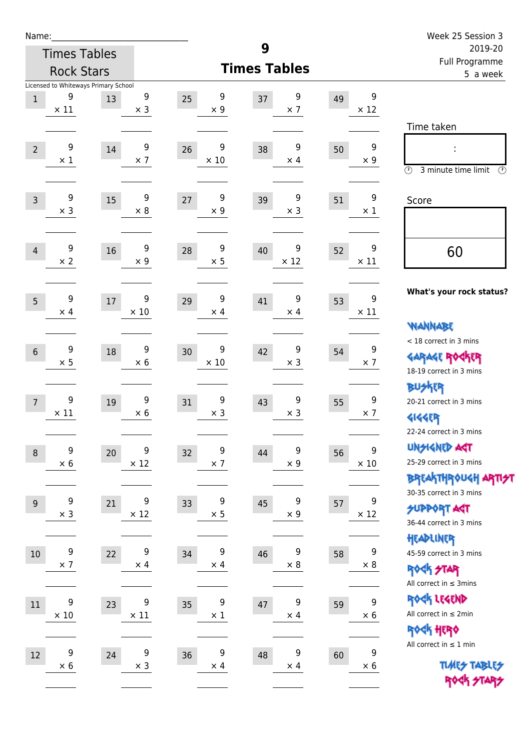| Name:            |                                 |                                            |                  |                        |                        |    |                                | Week 25 Session 3                                                                          |
|------------------|---------------------------------|--------------------------------------------|------------------|------------------------|------------------------|----|--------------------------------|--------------------------------------------------------------------------------------------|
|                  | <b>Times Tables</b>             |                                            |                  |                        | 9                      |    |                                | 2019-20<br><b>Full Programme</b>                                                           |
|                  | <b>Rock Stars</b>               |                                            |                  |                        | <b>Times Tables</b>    |    |                                | 5 a week                                                                                   |
| $\,1$            | 9<br>$\times$ 11                | Licensed to Whiteways Primary School<br>13 | 9<br>$\times$ 3  | 9<br>25<br>$\times$ 9  | 9<br>37<br>$\times$ 7  | 49 | 9<br>$\times$ 12               | Time taken                                                                                 |
| $\overline{2}$   | 9<br>$\times 1$                 | 14                                         | 9<br>$\times$ 7  | 9<br>26<br>$\times$ 10 | 9<br>38<br>$\times$ 4  | 50 | $\boldsymbol{9}$<br>$\times 9$ | $\circled{r}$<br>3 minute time limit<br>$\circled{r}$                                      |
| $\overline{3}$   | 9<br>$\times$ 3                 | 15                                         | 9<br>$\times$ 8  | 9<br>27<br>$\times$ 9  | 9<br>39<br>$\times$ 3  | 51 | 9<br>$\times$ 1                | Score                                                                                      |
| $\overline{4}$   | 9<br>$\times 2$                 | 16                                         | 9<br>$\times$ 9  | 9<br>28<br>$\times$ 5  | 9<br>40<br>$\times$ 12 | 52 | 9<br>$\times$ 11               | 60                                                                                         |
| 5                | 9<br>$\times$ 4                 | 17                                         | 9<br>$\times$ 10 | 9<br>29<br>$\times$ 4  | 9<br>41<br>$\times$ 4  | 53 | 9<br>$\times$ 11               | What's your rock status?<br><b>WANNABE</b>                                                 |
| $6\phantom{1}$   | 9<br>$\times$ 5                 | 18                                         | 9<br>$\times 6$  | 9<br>30<br>$\times$ 10 | 9<br>42<br>$\times$ 3  | 54 | 9<br>$\times$ 7                | < 18 correct in 3 mins<br><b>GARAGE ROCKER</b><br>18-19 correct in 3 mins<br><b>BUSKER</b> |
| $\overline{7}$   | 9<br>$\times$ 11                | 19                                         | 9<br>$\times$ 6  | 9<br>31<br>$\times$ 3  | 9<br>43<br>$\times$ 3  | 55 | 9<br>$\times$ 7                | 20-21 correct in 3 mins<br><b>4144EP</b><br>22-24 correct in 3 mins                        |
| $\boldsymbol{8}$ | $\boldsymbol{9}$<br>$\times$ 6  | 20                                         | 9<br>$\times$ 12 | 9<br>32<br>$\times$ 7  | 9<br>44<br>$\times$ 9  | 56 | 9<br>$\times$ 10               | <b>UNGIGNED AST</b><br>25-29 correct in 3 mins<br>BRTAKTHR0UGH ARTI <del>\$</del> 1        |
| $9\,$            | 9<br>$\times$ 3                 | 21                                         | 9<br>$\times$ 12 | 9<br>33<br>$\times$ 5  | 9<br>45<br>$\times$ 9  | 57 | 9<br>$\times$ 12               | 30-35 correct in 3 mins<br><b>SUPPORT ART</b><br>36-44 correct in 3 mins<br>HEADLINER      |
| 10               | 9<br>$\times$ 7                 | 22                                         | 9<br>$\times$ 4  | 9<br>34<br>$\times$ 4  | 9<br>46<br>$\times$ 8  | 58 | 9<br>$\times$ 8                | 45-59 correct in 3 mins<br><b>ROCK STAR</b><br>All correct in $\leq$ 3mins                 |
| 11               | $\boldsymbol{9}$<br>$\times$ 10 | 23                                         | 9<br>$\times$ 11 | 9<br>35<br>$\times$ 1  | 9<br>47<br>$\times$ 4  | 59 | 9<br>$\times 6$                | ROCK LEGEND<br>All correct in $\leq 2$ min<br>ROCK HERO                                    |
| 12               | $\boldsymbol{9}$<br>$\times$ 6  | 24                                         | 9<br>$\times$ 3  | 9<br>36<br>$\times$ 4  | 9<br>48<br>$\times$ 4  | 60 | 9<br>$\times 6$                | All correct in $\leq 1$ min<br><b>TUARS TABLES</b><br>ROCK STARS                           |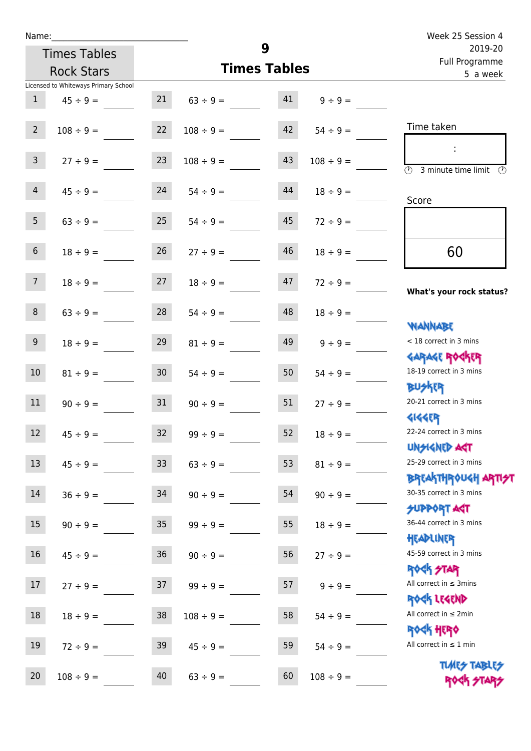|                 | <b>Times Tables</b>                  |                 |                | 9                   |                | 2019-20                                                                  |
|-----------------|--------------------------------------|-----------------|----------------|---------------------|----------------|--------------------------------------------------------------------------|
|                 | <b>Rock Stars</b>                    |                 |                | <b>Times Tables</b> |                | Full Programme<br>5 a week                                               |
|                 | Licensed to Whiteways Primary School |                 |                |                     |                |                                                                          |
| $\mathbf{1}$    | $45 \div 9 =$                        | 21              | $63 \div 9 =$  | 41                  | $9 ÷ 9 =$      |                                                                          |
| $2^{\circ}$     | $108 \div 9 =$                       | 22              | $108 \div 9 =$ | 42                  | $54 \div 9 =$  | Time taken                                                               |
| $\mathsf{3}$    | $27 \div 9 =$                        | 23              | $108 \div 9 =$ | 43                  | $108 \div 9 =$ | $\overline{\mathcal{O}}$<br>3 minute time limit<br>$\mathcal{O}$         |
| $\overline{4}$  | $45 \div 9 =$                        | 24              | $54 \div 9 =$  | 44                  | $18 \div 9 =$  | Score                                                                    |
| 5 <sub>1</sub>  | $63 ÷ 9 =$                           | 25              | $54 \div 9 =$  | 45                  | $72 \div 9 =$  |                                                                          |
| $6\overline{6}$ | $18 \div 9 =$                        | 26              | $27 \div 9 =$  | 46                  | $18 \div 9 =$  | 60                                                                       |
| 7 <sup>7</sup>  | $18 \div 9 =$                        | 27              | $18 \div 9 =$  | 47                  | $72 \div 9 =$  | What's your rock status?                                                 |
| 8               | $63 \div 9 =$                        | 28              | $54 \div 9 =$  | 48                  | $18 \div 9 =$  | <b>JARANAM</b>                                                           |
| 9               | $18 \div 9 =$                        | 29              | $81 \div 9 =$  | 49                  | $9 \div 9 =$   | < 18 correct in 3 mins<br><b>GARAGE ROCKER</b>                           |
| 10              | $81 \div 9 =$                        | 30 <sup>°</sup> | $54 \div 9 =$  | 50                  | $54 \div 9 =$  | 18-19 correct in 3 mins<br><b>BUSKER</b>                                 |
| 11              | $90 \div 9 =$                        | 31              | $90 \div 9 =$  | 51                  | $27 \div 9 =$  | 20-21 correct in 3 mins<br><b>4144EP</b>                                 |
| 12              | $45 \div 9 =$                        | 32              | $99 ÷ 9 =$     | 52                  | $18 \div 9 =$  | 22-24 correct in 3 mins<br><b>UNSIGNED AGT</b>                           |
| 13              | $45 \div 9 =$                        | 33              | $63 ÷ 9 =$     | 53                  | $81 \div 9 =$  | 25-29 correct in 3 mins<br>ΒΡΓΑ <sup>Κ</sup> ΤΗΡΟυΚΗ ΑΡΤΙ <del>2</del> Τ |
| 14              | $36 ÷ 9 =$                           | 34              | $90 \div 9 =$  | 54                  | $90 \div 9 =$  | 30-35 correct in 3 mins<br><b>SUPPORT AGT</b>                            |
| 15              | $90 \div 9 =$                        | $35\,$          | $99 ÷ 9 =$     | 55                  | $18 \div 9 =$  | 36-44 correct in 3 mins<br>HEADLINER                                     |
| 16              | $45 \div 9 =$                        | 36              | $90 \div 9 =$  | 56                  | $27 ÷ 9 =$     | 45-59 correct in 3 mins<br><b>ROCK STAR</b>                              |
| 17              | $27 ÷ 9 =$                           | 37              | $99 \div 9 =$  | 57                  | $9 ÷ 9 =$      | All correct in $\leq$ 3mins<br>ROCK LEGEND                               |
| $18\,$          | $18 \div 9 =$                        | 38              | $108 \div 9 =$ | 58                  | $54 \div 9 =$  | All correct in $\leq 2$ min<br><b>ROCK HERO</b>                          |
| 19              | $72 \div 9 =$                        | 39              | $45 \div 9 =$  | 59                  | $54 \div 9 =$  | All correct in $\leq 1$ min                                              |
| 20              | $108 \div 9 =$                       | 40              | $63 ÷ 9 =$     | 60                  | $108 \div 9 =$ | <b>TUARS TABLES</b><br>ROCK STARS                                        |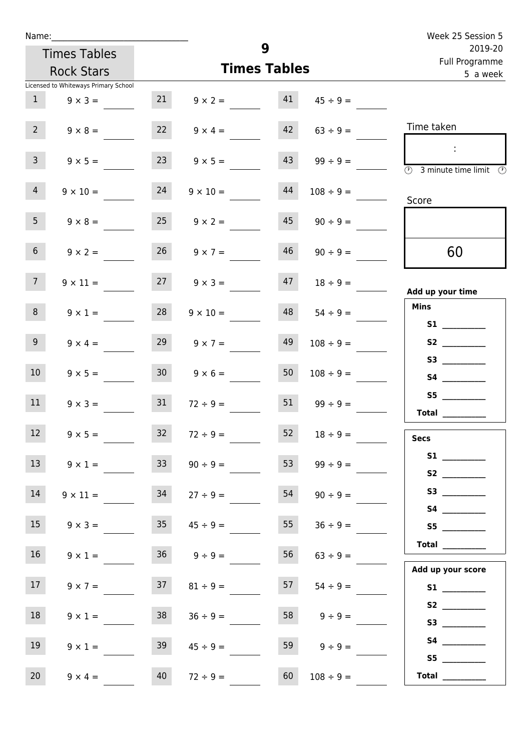| Week 25 Session 5                                                                          |                    |    |                     |                      | Name:               |                                      |                 |  |  |  |
|--------------------------------------------------------------------------------------------|--------------------|----|---------------------|----------------------|---------------------|--------------------------------------|-----------------|--|--|--|
| 2019-20<br>Full Programme                                                                  |                    |    | 9                   |                      | <b>Times Tables</b> |                                      |                 |  |  |  |
| 5 a week                                                                                   |                    |    | <b>Times Tables</b> |                      |                     | <b>Rock Stars</b>                    |                 |  |  |  |
|                                                                                            |                    |    |                     |                      |                     | Licensed to Whiteways Primary School |                 |  |  |  |
|                                                                                            | $45 \div 9 =$      |    | $9 \times 2 = 41$   |                      | 21                  | $9 \times 3 =$                       | 1               |  |  |  |
| Time taken                                                                                 | $63 \div 9 =$      | 42 |                     | $22 \t 9 \times 4 =$ |                     | $9 \times 8 =$                       | $2^{\circ}$     |  |  |  |
| $\sim 10$<br>$\overline{\textcircled{2}}$ 3 minute time limit $\overline{\textcircled{2}}$ | $99 \div 9 =$      | 43 | $9 \times 5 =$      |                      | 23                  | $9 \times 5 =$                       | 3 <sup>7</sup>  |  |  |  |
| Score                                                                                      | $108 \div 9 =$     | 44 | $9 \times 10 =$     |                      | 24                  | $9 \times 10 =$                      | $\overline{4}$  |  |  |  |
|                                                                                            | $90 \div 9 =$      | 45 | $9 \times 2 =$      |                      | 25                  | $9 \times 8 =$                       | 5 <sub>1</sub>  |  |  |  |
| 60                                                                                         | $90 \div 9 =$      | 46 | $9 \times 7 =$      |                      | 26                  | $9 \times 2 =$                       | 6 <sup>1</sup>  |  |  |  |
| Add up your time                                                                           | $47$ $18 \div 9 =$ |    |                     | $27 \t 9 \times 3 =$ |                     | $9 \times 11 =$                      | 7 <sup>7</sup>  |  |  |  |
| <b>Mins</b><br><b>S1</b> and the set of $\sim$                                             | $48$ $54 \div 9 =$ |    | $9 \times 10 =$     |                      | 28                  | $9 \times 1 =$                       | 8               |  |  |  |
| S2                                                                                         | $108 \div 9 =$     | 49 | $9 \times 7 =$      |                      | 29                  | $9 \times 4 =$                       | 9 <sub>o</sub>  |  |  |  |
| S4                                                                                         | $108 \div 9 =$     | 50 |                     | $9 \times 6 =$       | 30 <sup>°</sup>     | $9 \times 5 =$                       | 10 <sup>°</sup> |  |  |  |
| S5<br>Total $\qquad$                                                                       | $99 \div 9 =$      | 51 | $72 \div 9 =$       |                      | 31                  | $9 \times 3 =$                       | 11              |  |  |  |
| <b>Secs</b>                                                                                | $18 \div 9 =$      | 52 |                     | $72 \div 9 =$        | 32                  | $9 \times 5 =$                       | 12              |  |  |  |
|                                                                                            | $99 \div 9 =$      | 53 | $90 \div 9 =$       |                      | 33                  | $9 \times 1 =$                       | 13              |  |  |  |
| S3                                                                                         | $90 \div 9 =$      | 54 | $27 \div 9 =$       |                      | 34                  | $9 \times 11 =$                      | 14              |  |  |  |
| S5                                                                                         | $36 ÷ 9 =$         | 55 |                     | $45 \div 9 =$        | 35                  | $9 \times 3 =$                       | 15              |  |  |  |
| <b>Total</b><br>Add up your score                                                          | $63 ÷ 9 =$         | 56 |                     | $36 \t 9 \div 9 =$   |                     | $9 \times 1 =$                       | 16              |  |  |  |
|                                                                                            | $54 \div 9 =$      | 57 |                     | $81 \div 9 =$        | 37                  | $9 \times 7 =$                       | 17              |  |  |  |
| S2                                                                                         | $9 ÷ 9 =$          | 58 | $36 \div 9 =$       |                      | 38                  | $9 \times 1 =$                       | 18              |  |  |  |
| S5                                                                                         | $9 \div 9 =$       | 59 | $45 \div 9 =$       |                      | 39                  | $9 \times 1 =$                       | 19              |  |  |  |
| Total $\frac{1}{1}$                                                                        | $108 \div 9 =$     | 60 |                     | $72 \div 9 =$        | 40                  | $9 \times 4 =$                       | 20              |  |  |  |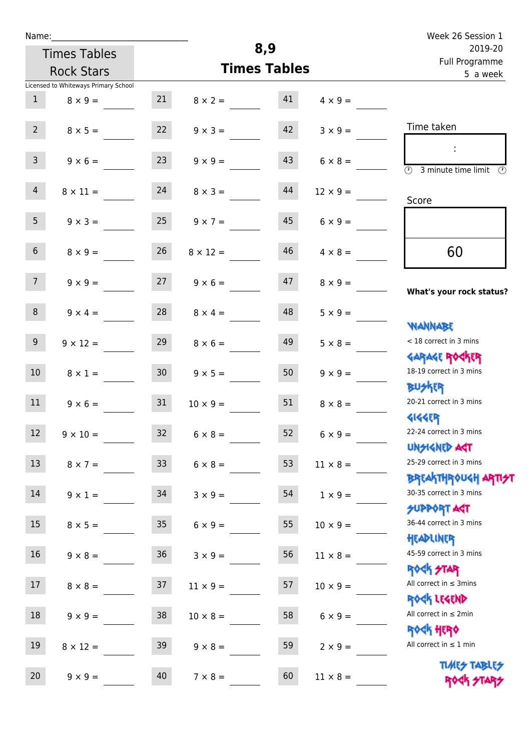|  | Name: |  |
|--|-------|--|
|  |       |  |

| Name:                                |                 |                 |                     |                 | Week 26 Session 1                                                  |
|--------------------------------------|-----------------|-----------------|---------------------|-----------------|--------------------------------------------------------------------|
| <b>Times Tables</b>                  |                 |                 | 8,9                 |                 | 2019-20                                                            |
| <b>Rock Stars</b>                    |                 |                 | <b>Times Tables</b> |                 | Full Programme<br>5 a week                                         |
| Licensed to Whiteways Primary School |                 |                 |                     |                 |                                                                    |
| $\mathbf{1}$<br>$8 \times 9 =$       | 21              | $8 \times 2 =$  | 41                  | $4 \times 9 =$  |                                                                    |
| 2 <sup>7</sup><br>$8 \times 5 =$     | 22              | $9 \times 3 =$  | 42                  | $3 \times 9 =$  | Time taken                                                         |
| $\mathbf{3}$<br>$9 \times 6 =$       | 23              | $9 \times 9 =$  | 43                  | $6 \times 8 =$  | $\overline{(\mathcal{V})}$<br>3 minute time limit<br>$\mathcal{O}$ |
| $\overline{4}$<br>$8 \times 11 =$    | 24              | $8 \times 3 =$  | 44                  | $12 \times 9 =$ | Score                                                              |
| 5<br>$9 \times 3 =$                  | 25              | $9 \times 7 =$  | 45                  | $6 \times 9 =$  |                                                                    |
| 6 <sup>1</sup><br>$8 \times 9 =$     | 26              | $8 \times 12 =$ | 46                  | $4 \times 8 =$  | 60                                                                 |
| 7 <sup>7</sup><br>$9 \times 9 =$     | 27              | $9 \times 6 =$  | 47                  | $8 \times 9 =$  | What's your rock status?                                           |
| 8<br>$9 \times 4 =$                  | 28              | $8 \times 4 =$  | 48                  | $5 \times 9 =$  |                                                                    |
| 9 <sup>°</sup><br>$9 \times 12 =$    | 29              | $8 \times 6 =$  | 49                  | $5 \times 8 =$  | <b>NANNABE</b><br>< 18 correct in 3 mins                           |
| 10<br>$8 \times 1 =$                 | 30 <sub>o</sub> | $9 \times 5 =$  | 50                  | $9 \times 9 =$  | <b>GARAGE ROGKER</b><br>18-19 correct in 3 mins                    |
| 11<br>$9 \times 6 =$                 | 31              | $10 \times 9 =$ | 51                  | $8 \times 8 =$  | <b>BUSKER</b><br>20-21 correct in 3 mins                           |
| $\boxed{12}$<br>$9 \times 10 =$      | 32              | $6 \times 8 =$  | 52                  | $6 \times 9 =$  | <b>4144EP</b><br>22-24 correct in 3 mins                           |
| 13<br>$8 \times 7 =$                 | 33 <sup>°</sup> | $6 \times 8 =$  | 53                  | $11 \times 8 =$ | <b>UNSIGNED AGT</b><br>25-29 correct in 3 mins                     |
| 14<br>$9 \times 1 =$                 | 34              | $3 \times 9 =$  | 54                  | $1 \times 9 =$  | BREAKTHRÓUGH ARTI <del>2</del> 1<br>30-35 correct in 3 mins        |
| 15<br>$8 \times 5 =$                 | 35              | $6 \times 9 =$  | 55                  | $10 \times 9 =$ | <b>SUPPORT AGT</b><br>36-44 correct in 3 mins                      |
| 16 <sup>1</sup><br>$9 \times 8 =$    | 36              | $3 \times 9 =$  | 56                  | $11 \times 8 =$ | HEADLINER<br>45-59 correct in 3 mins                               |
| $17\,$<br>$8 \times 8 =$             | 37              | $11 \times 9 =$ | 57                  | $10 \times 9 =$ | ROCK STAR<br>All correct in $\leq$ 3mins                           |
| 18<br>$9 \times 9 =$                 | 38              | $10 \times 8 =$ | 58                  | $6 \times 9 =$  | ROCK LEGEND<br>All correct in $\leq 2$ min                         |
| 19<br>$8 \times 12 =$                | 39              | $9 \times 8 =$  | 59                  | $2 \times 9 =$  | ROCK HERO<br>All correct in $\leq 1$ min                           |

20  $9 \times 9 =$   $40$   $7 \times 8 =$   $60$   $11 \times 8 =$ 

**TIMES TABLES** ROCK STARS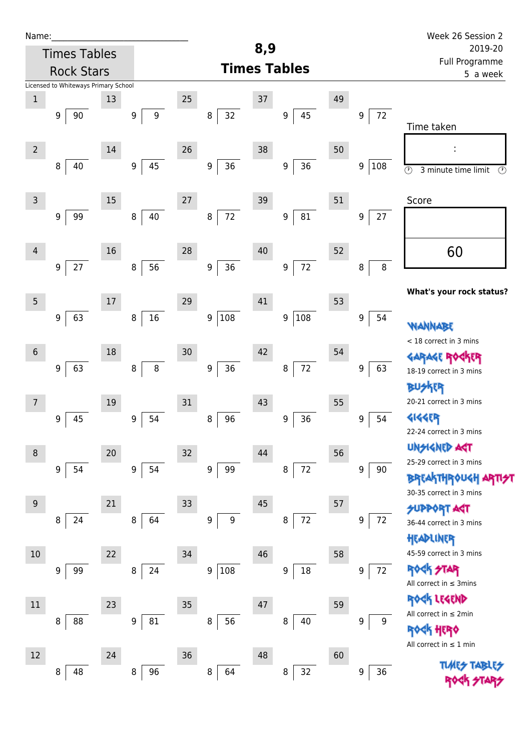| Name:             |                                      |    |                        |        |                   |     |                     |    |                            | Week 26 Session 2                                |  |  |
|-------------------|--------------------------------------|----|------------------------|--------|-------------------|-----|---------------------|----|----------------------------|--------------------------------------------------|--|--|
|                   | <b>Times Tables</b>                  |    |                        |        |                   | 8,9 |                     |    |                            | 2019-20                                          |  |  |
| <b>Rock Stars</b> |                                      |    |                        |        |                   |     | <b>Times Tables</b> |    |                            | <b>Full Programme</b><br>5 a week                |  |  |
|                   | Licensed to Whiteways Primary School |    |                        |        |                   |     |                     |    |                            |                                                  |  |  |
| $\mathbf{1}$      |                                      | 13 |                        | $25\,$ |                   | 37  |                     | 49 |                            |                                                  |  |  |
|                   | 90<br>9                              |    | $\boldsymbol{9}$<br>9  |        | 32<br>8           |     | 45<br>9             |    | 72<br>9                    | Time taken                                       |  |  |
|                   |                                      |    |                        |        |                   |     |                     |    |                            |                                                  |  |  |
| $\overline{2}$    |                                      | 14 |                        | 26     |                   | 38  |                     | 50 |                            | I,                                               |  |  |
|                   | 40<br>8                              |    | 45<br>9                |        | $36\,$<br>9       |     | 36<br>9             |    | 9<br>108                   | $\circledcirc$<br>3 minute time limit<br>$\odot$ |  |  |
|                   |                                      |    |                        |        |                   |     |                     |    |                            |                                                  |  |  |
| 3                 |                                      | 15 |                        | 27     |                   | 39  |                     | 51 |                            | Score                                            |  |  |
|                   | 99<br>$\boldsymbol{9}$               |    | 40<br>$\, 8$           |        | $72\,$<br>$\bf 8$ |     | 9<br>81             |    | $27\,$<br>$\boldsymbol{9}$ |                                                  |  |  |
|                   |                                      |    |                        |        |                   |     |                     |    |                            |                                                  |  |  |
| 4                 |                                      | 16 |                        | 28     |                   | 40  |                     | 52 |                            | 60                                               |  |  |
|                   | $27$<br>$\boldsymbol{9}$             |    | 56<br>8                |        | 36<br>9           |     | $72\,$<br>9         |    | $\, 8$<br>8                |                                                  |  |  |
|                   |                                      |    |                        |        |                   |     |                     |    |                            |                                                  |  |  |
| 5                 |                                      | 17 |                        | 29     |                   | 41  |                     | 53 |                            | What's your rock status?                         |  |  |
|                   | 63<br>9                              |    | $16\,$<br>8            |        | 9 108             |     | 108<br>9            |    | 9<br>54                    |                                                  |  |  |
|                   |                                      |    |                        |        |                   |     |                     |    |                            | WANNABE<br>< 18 correct in 3 mins                |  |  |
| $\sqrt{6}$        |                                      | 18 |                        | 30     |                   | 42  |                     | 54 |                            |                                                  |  |  |
|                   | 63<br>9                              |    | $\, 8$<br>8            |        | 36<br>9           |     | $72\,$<br>8         |    | 9<br>63                    | GARAGE ROGKER<br>18-19 correct in 3 mins         |  |  |
|                   |                                      |    |                        |        |                   |     |                     |    |                            | ktr                                              |  |  |
| 7                 |                                      | 19 |                        | 31     |                   | 43  |                     | 55 |                            | 20-21 correct in 3 mins                          |  |  |
|                   | 45<br>9                              |    | 54<br>$\boldsymbol{9}$ |        | 96<br>8           |     | 36<br>9             |    | 54<br>9                    | <b>4144EP</b>                                    |  |  |
|                   |                                      |    |                        |        |                   |     |                     |    |                            | 22-24 correct in 3 mins                          |  |  |
| 8                 |                                      | 20 |                        | 32     |                   | 44  |                     | 56 |                            | <b>UNSIGNED AST</b>                              |  |  |
|                   | 54<br>9                              |    | 54<br>$\boldsymbol{9}$ |        | 99<br>9           |     | $72\,$<br>8         |    | 9<br>90                    | 25-29 correct in 3 mins                          |  |  |
|                   |                                      |    |                        |        |                   |     |                     |    |                            | <b>BREAKTHROUGH ARTIST</b>                       |  |  |
| 9                 |                                      | 21 |                        | 33     |                   | 45  |                     | 57 |                            | 30-35 correct in 3 mins                          |  |  |
|                   | 24<br>8                              |    | 64<br>8                |        | 9<br>9            |     | $72\,$<br>8         |    | 72<br>9                    | <b>SUPPORT AGT</b>                               |  |  |
|                   |                                      |    |                        |        |                   |     |                     |    |                            | 36-44 correct in 3 mins<br>HEADLINER             |  |  |
| $10$              |                                      | 22 |                        | 34     |                   | 46  |                     | 58 |                            | 45-59 correct in 3 mins                          |  |  |
|                   | 99<br>9                              |    | 24<br>8                |        | 108<br>9          |     | 18<br>9             |    | 72<br>9                    | <b>ROCK STAR</b>                                 |  |  |
|                   |                                      |    |                        |        |                   |     |                     |    |                            | All correct in $\leq$ 3mins                      |  |  |
|                   |                                      |    |                        |        |                   |     |                     |    |                            | ROCK LEGEND                                      |  |  |
| $11\,$            |                                      | 23 |                        | $35\,$ |                   | 47  |                     | 59 |                            | All correct in $\leq 2$ min                      |  |  |
|                   | 88<br>8                              |    | 9<br>81                |        | 56<br>8           |     | 40<br>8             |    | 9<br>9                     | ବଚ୍ୟା ଧାରୀ                                       |  |  |
|                   |                                      |    |                        |        |                   |     |                     |    |                            | All correct in $\leq 1$ min                      |  |  |
| 12                |                                      | 24 |                        | 36     |                   | 48  |                     | 60 |                            | <b>TLMES</b>                                     |  |  |
|                   | 48<br>8                              |    | 96<br>8                |        | 8<br>64           |     | 32<br>8             |    | 36<br>$\boldsymbol{9}$     |                                                  |  |  |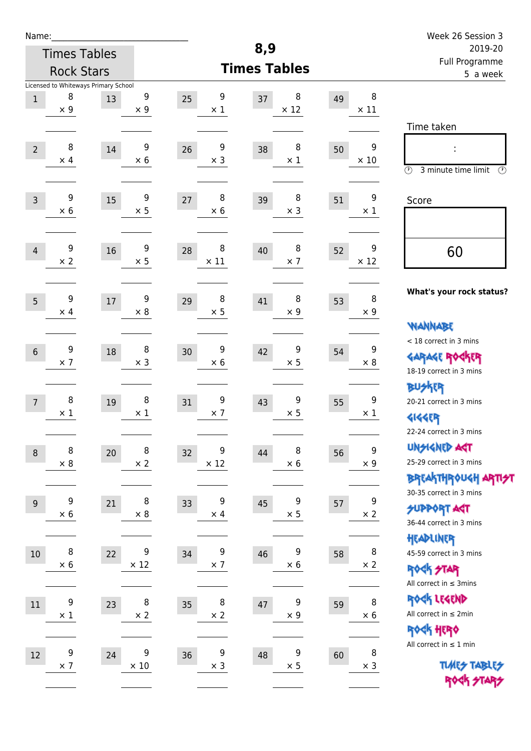| Name:            |                                                         |    |                  |                        | 8,9                    |    |                                 | Week 26 Session 3                                                                       |  |
|------------------|---------------------------------------------------------|----|------------------|------------------------|------------------------|----|---------------------------------|-----------------------------------------------------------------------------------------|--|
|                  | <b>Times Tables</b>                                     |    |                  |                        | 2019-20                |    |                                 |                                                                                         |  |
|                  | <b>Rock Stars</b>                                       |    |                  |                        | <b>Times Tables</b>    |    |                                 | <b>Full Programme</b><br>5 a week                                                       |  |
| $\,1$            | Licensed to Whiteways Primary School<br>8<br>$\times$ 9 | 13 | 9<br>$\times$ 9  | 9<br>25<br>$\times$ 1  | 8<br>37<br>$\times$ 12 | 49 | 8<br>$\times$ 11                | Time taken                                                                              |  |
| $\overline{2}$   | 8<br>$\times$ 4                                         | 14 | 9<br>$\times$ 6  | 9<br>26<br>$\times$ 3  | 8<br>38<br>$\times$ 1  | 50 | $\boldsymbol{9}$<br>$\times$ 10 | $\odot$<br>3 minute time limit<br>$\mathcal{O}$                                         |  |
| $\overline{3}$   | 9<br>$\times$ 6                                         | 15 | 9<br>$\times$ 5  | 8<br>27<br>$\times$ 6  | 8<br>39<br>$\times$ 3  | 51 | 9<br>$\times$ 1                 | Score                                                                                   |  |
| $\overline{4}$   | 9<br>$\times 2$                                         | 16 | 9<br>$\times$ 5  | 8<br>28<br>$\times$ 11 | 8<br>40<br>$\times$ 7  | 52 | 9<br>$\times$ 12                | 60                                                                                      |  |
| 5                | 9<br>$\times$ 4                                         | 17 | 9<br>$\times$ 8  | 8<br>29<br>$\times$ 5  | 8<br>41<br>$\times$ 9  | 53 | 8<br>$\times 9$                 | What's your rock status?<br><b>NANNABE</b>                                              |  |
| $6\phantom{1}$   | 9<br>$\times$ 7                                         | 18 | 8<br>$\times$ 3  | 9<br>30<br>$\times 6$  | 9<br>42<br>$\times$ 5  | 54 | 9<br>$\times 8$                 | < 18 correct in 3 mins<br><b>GARAGE ROCKER</b><br>18-19 correct in 3 mins               |  |
| $\overline{7}$   | 8<br>$\times$ 1                                         | 19 | 8<br>$\times$ 1  | 9<br>31<br>$\times$ 7  | 9<br>43<br>$\times$ 5  | 55 | 9<br>$\times$ 1                 | <b>BUSKER</b><br>20-21 correct in 3 mins<br><b>4144EP</b><br>22-24 correct in 3 mins    |  |
| $\boldsymbol{8}$ | 8<br>$\times$ 8                                         | 20 | 8<br>$\times$ 2  | 9<br>32<br>$\times$ 12 | 8<br>44<br>$\times$ 6  | 56 | 9<br>$\times$ 9                 | <b>UNGIGNED AST</b><br>25-29 correct in 3 mins<br><b>BREAKTHROUGH ARTI<del>S</del>T</b> |  |
| $9\,$            | 9<br>$\times$ 6                                         | 21 | 8<br>$\times$ 8  | 9<br>33<br>$\times$ 4  | 9<br>45<br>$\times$ 5  | 57 | 9<br>$\times$ 2                 | 30-35 correct in 3 mins<br><b>SUPPORT AGT</b><br>36-44 correct in 3 mins                |  |
| $10\,$           | 8<br>$\times 6$                                         | 22 | 9<br>$\times$ 12 | 9<br>34<br>$\times$ 7  | 9<br>46<br>$\times$ 6  | 58 | 8<br>$\times$ 2                 | HEADLINER<br>45-59 correct in 3 mins<br>ROCK STAR<br>All correct in $\leq$ 3mins        |  |
| $11\,$           | $\boldsymbol{9}$<br>$\times$ 1                          | 23 | 8<br>$\times$ 2  | 8<br>35<br>$\times$ 2  | 9<br>47<br>$\times$ 9  | 59 | 8<br>$\times$ 6                 | ROCK LEGEND<br>All correct in $\leq 2$ min<br>ROCK HERO                                 |  |
| 12               | 9<br>$\times$ 7                                         | 24 | 9<br>$\times$ 10 | 9<br>36<br>$\times$ 3  | 9<br>48<br>$\times$ 5  | 60 | 8<br>$\times$ 3                 | All correct in $\leq 1$ min<br><b>TUARS TABLES</b><br>ROCK STARS                        |  |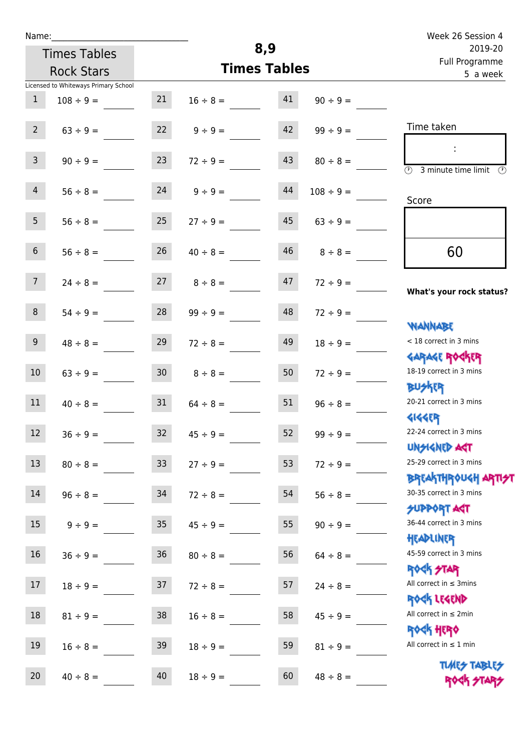| Name:           |                                      |                 |                     | 8,9                       |                | Week 26 Session 4                                                   |  |
|-----------------|--------------------------------------|-----------------|---------------------|---------------------------|----------------|---------------------------------------------------------------------|--|
|                 | <b>Times Tables</b>                  |                 |                     | 2019-20<br>Full Programme |                |                                                                     |  |
|                 | <b>Rock Stars</b>                    |                 | <b>Times Tables</b> |                           | 5 a week       |                                                                     |  |
|                 | Licensed to Whiteways Primary School |                 |                     |                           |                |                                                                     |  |
| $\mathbf{1}$    | $108 \div 9 =$                       | 21              | $16 \div 8 =$       | 41                        | $90 \div 9 =$  |                                                                     |  |
| $2^{\circ}$     | $63 \div 9 =$                        | 22              | $9 \div 9 =$        | 42                        | $99 \div 9 =$  | Time taken                                                          |  |
| 3 <sup>7</sup>  | $90 \div 9 =$                        | 23              | $72 \div 9 =$       | 43                        | $80 \div 8 =$  | $\overline{(\mathfrak{h})}$<br>3 minute time limit<br>$\mathcal{O}$ |  |
| $\overline{4}$  | $56 \div 8 =$                        | 24              | $9 \div 9 =$        | 44                        | $108 \div 9 =$ | Score                                                               |  |
| 5 <sub>1</sub>  | $56 \div 8 =$                        | 25              | $27 \div 9 =$       | 45                        | $63 \div 9 =$  |                                                                     |  |
| 6 <sup>1</sup>  | $56 \div 8 =$                        | 26              | $40 \div 8 =$       | 46                        | $8 \div 8 =$   | 60                                                                  |  |
| 7 <sup>7</sup>  | $24 \div 8 =$                        | 27              | $8 \div 8 =$        | 47                        | $72 \div 9 =$  | What's your rock status?                                            |  |
| 8               | $54 \div 9 =$                        | 28              | $99 \div 9 =$       | 48                        | $72 \div 9 =$  | <b>JARANAM</b>                                                      |  |
| 9 <sub>o</sub>  | $48 \div 8 =$                        | 29              | $72 \div 8 =$       | 49                        | $18 \div 9 =$  | < 18 correct in 3 mins<br><b>GARAGE ROGKER</b>                      |  |
| 10 <sup>°</sup> | $63 \div 9 =$                        | 30 <sup>°</sup> | $8 \div 8 =$        | 50                        | $72 \div 9 =$  | 18-19 correct in 3 mins<br><b>BUSKER</b>                            |  |
| 11              | $40 \div 8 =$                        | 31              | $64 \div 8 =$       | 51                        | $96 \div 8 =$  | 20-21 correct in 3 mins<br><b>4144ER</b>                            |  |
| 12              | $36 ÷ 9 =$                           | 32              | $45 \div 9 =$       | 52                        | $99 ÷ 9 =$     | 22-24 correct in 3 mins<br><b>UNSIGNED AGT</b>                      |  |
| 13              | $80 \div 8 =$                        | 33 <sup>°</sup> | $27 \div 9 =$       | 53                        | $72 \div 9 =$  | 25-29 correct in 3 mins<br><b>BREAKTHROUGH ARTI<del>S</del>T</b>    |  |
| 14              | $96 \div 8 =$                        | 34              | $72 \div 8 =$       | 54                        | $56 \div 8 =$  | 30-35 correct in 3 mins<br><b>SUPPORT AGT</b>                       |  |
| 15              | $9 ÷ 9 =$                            | 35 <sub>2</sub> | $45 \div 9 =$       | 55                        | $90 \div 9 =$  | 36-44 correct in 3 mins<br>HEADLINER                                |  |
| 16              | $36 ÷ 9 =$                           | $36\,$          | $80 \div 8 =$       | 56                        | $64 \div 8 =$  | 45-59 correct in 3 mins<br><b>ROCK STAR</b>                         |  |
| 17              | $18 \div 9 =$                        | 37              | $72 \div 8 =$       | 57                        | $24 \div 8 =$  | All correct in $\leq$ 3mins<br>ROCK LEGEND                          |  |
| 18              | $81 \div 9 =$                        | 38              | $16 \div 8 =$       | 58                        | $45 \div 9 =$  | All correct in $\leq 2$ min<br><b>ROCK HERO</b>                     |  |
| 19              | $16 \div 8 =$                        | 39              | $18 \div 9 =$       | 59                        | $81 \div 9 =$  | All correct in $\leq 1$ min                                         |  |
| 20              | $40 \div 8 =$                        | 40              | $18 \div 9 =$       | 60                        | $48 \div 8 =$  | <b>TUARS TABLES</b><br>ROCK STARS                                   |  |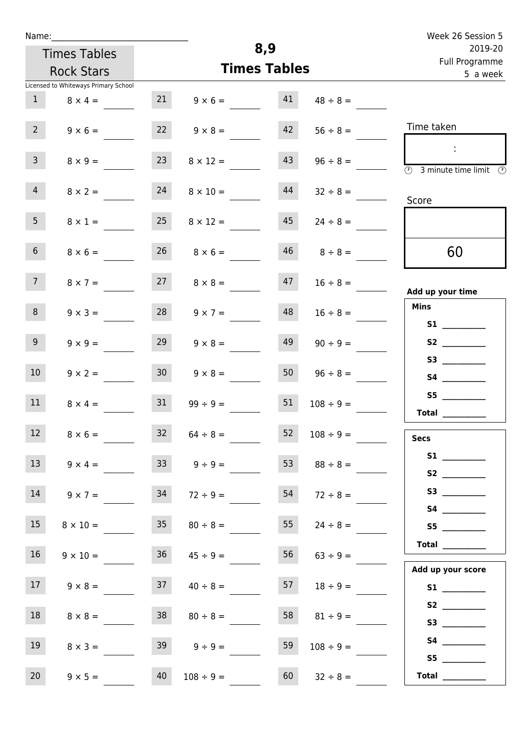| u | am |  |  |
|---|----|--|--|
|   |    |  |  |

| Name:          |                                      |                 |                                  |     |                     | Week 26 Session 5                                                                          |
|----------------|--------------------------------------|-----------------|----------------------------------|-----|---------------------|--------------------------------------------------------------------------------------------|
|                | <b>Times Tables</b>                  |                 |                                  | 8,9 |                     | 2019-20<br>Full Programme                                                                  |
|                | <b>Rock Stars</b>                    |                 | <b>Times Tables</b>              |     |                     | 5 a week                                                                                   |
|                | Licensed to Whiteways Primary School |                 |                                  |     |                     |                                                                                            |
| $\mathbf{1}$   | $8 \times 4 =$                       | 21              | $9 \times 6 =$                   | 41  | $48 \div 8 =$       |                                                                                            |
| 2 <sup>7</sup> | $9 \times 6 =$                       | 22              | $9 \times 8 =$                   | 42  | $56 \div 8 =$       | Time taken                                                                                 |
| 3 <sup>7</sup> | $8 \times 9 =$                       | 23              | $8 \times 12 =$                  | 43  | $96 \div 8 =$       | $\ddot{\phantom{a}}$<br>$\overline{(\mathcal{V})}$<br>3 minute time limit<br>$\mathcal{O}$ |
| $\overline{4}$ | $8 \times 2 =$                       | 24              | $8 \times 10 =$                  | 44  | $32 \div 8 =$       | Score                                                                                      |
| 5 <sub>1</sub> | $8 \times 1 =$                       | 25              | $8 \times 12 =$                  | 45  | $24 \div 8 =$       |                                                                                            |
| $6\phantom{.}$ | $8 \times 6 =$                       | 26              | $8 \times 6 =$                   | 46  | $8 \div 8 =$        | 60                                                                                         |
| 7 <sup>7</sup> | $8 \times 7 =$                       | 27              | $8 \times 8 =$                   | 47  | $16 \div 8 =$       | Add up your time                                                                           |
| 8              | $9 \times 3 =$                       | 28              | $9 \times 7 =$                   | 48  | $16 \div 8 =$       | <b>Mins</b>                                                                                |
|                |                                      |                 |                                  |     |                     |                                                                                            |
| 9 <sup>°</sup> | $9 \times 9 =$                       | 29              | $9 \times 8 =$                   | 49  | $90 \div 9 =$       |                                                                                            |
| 10             |                                      | 30 <sub>2</sub> |                                  | 50  |                     |                                                                                            |
|                | $9 \times 2 =$                       |                 | $9 \times 8 =$                   |     | $96 \div 8 =$       | <b>S4 S4</b>                                                                               |
| 11             | $8 \times 4 =$                       | 31              | $99 \div 9 =$                    | 51  | $108 \div 9 =$      | S5                                                                                         |
|                |                                      |                 |                                  |     |                     | Total $\_\_$                                                                               |
| 12             | $8 \times 6 =$                       |                 | $32 \t 64 \div 8 =$              | 52  | $108 \div 9 =$      | <b>Secs</b>                                                                                |
| 13             |                                      |                 |                                  |     |                     |                                                                                            |
|                | $9 \times 4 =$                       | 33 <sup>°</sup> | $9 \div 9 =$                     | 53  | $88 \div 8 =$       | S2                                                                                         |
| 14             | $9 \times 7 =$                       | 34              | $72 \div 9 =$                    | 54  | $72 \div 8 =$       | S3                                                                                         |
|                |                                      |                 |                                  |     |                     |                                                                                            |
| 15             |                                      |                 | $8 \times 10 = 35$ $80 \div 8 =$ |     | $55 \t 24 \div 8 =$ | S5                                                                                         |
|                |                                      |                 |                                  |     |                     |                                                                                            |

| 16 | $9 \times 10 =$ | 36 | $45 \div 9 =$  | 56<br>$63 \div 9 =$  | <b>Total</b>                                                                                                                                                                                                                            |
|----|-----------------|----|----------------|----------------------|-----------------------------------------------------------------------------------------------------------------------------------------------------------------------------------------------------------------------------------------|
|    |                 |    |                |                      | Add up your score                                                                                                                                                                                                                       |
| 17 | $9 \times 8 =$  | 37 | $40 \div 8 =$  | 57<br>$18 \div 9 =$  | <b>S1</b>                                                                                                                                                                                                                               |
| 18 |                 | 38 |                | 58<br>$81 \div 9 =$  | S <sub>2</sub> and the set of the set of the set of the set of the set of the set of the set of the set of the set of the set of the set of the set of the set of the set of the set of the set of the set of the set of the set of the |
|    | $8 \times 8 =$  |    | $80 \div 8 =$  |                      | S3                                                                                                                                                                                                                                      |
| 19 | $8 \times 3 =$  | 39 | $9 ÷ 9 =$      | 59<br>$108 \div 9 =$ | S4                                                                                                                                                                                                                                      |
|    |                 |    |                |                      | S <sub>5</sub>                                                                                                                                                                                                                          |
| 20 | $9 \times 5 =$  | 40 | $108 \div 9 =$ | 60<br>$32 \div 8 =$  | <b>Total</b>                                                                                                                                                                                                                            |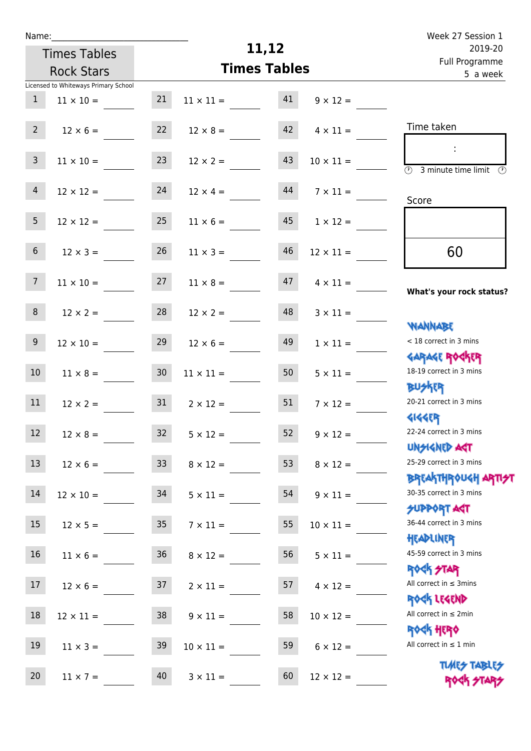| Name:           |                                      |                 |                     | Week 27 Session 1 |                                       |                                                                  |
|-----------------|--------------------------------------|-----------------|---------------------|-------------------|---------------------------------------|------------------------------------------------------------------|
|                 | <b>Times Tables</b>                  |                 | 11,12               |                   | 2019-20<br>Full Programme<br>5 a week |                                                                  |
|                 | <b>Rock Stars</b>                    |                 | <b>Times Tables</b> |                   |                                       |                                                                  |
| $\mathbf{1}$    | Licensed to Whiteways Primary School | 21              |                     | 41                | $9 \times 12 =$                       |                                                                  |
|                 | $11 \times 10 =$                     |                 | $11 \times 11 =$    |                   |                                       |                                                                  |
| $2^{\circ}$     | $12 \times 6 =$                      | 22              | $12 \times 8 =$     | 42                | $4 \times 11 =$                       | Time taken                                                       |
| $\overline{3}$  | $11 \times 10 =$                     | 23              | $12 \times 2 =$     | 43                | $10 \times 11 =$                      | $\overline{(\mathcal{V})}$<br>3 minute time limit                |
| $\overline{4}$  | $12 \times 12 =$                     | 24              | $12 \times 4 =$     | 44                | $7 \times 11 =$                       | Score                                                            |
| 5 <sup>5</sup>  | $12 \times 12 =$                     | 25              | $11 \times 6 =$     | 45                | $1 \times 12 =$                       |                                                                  |
| $6\overline{6}$ | $12 \times 3 =$                      | 26              | $11 \times 3 =$     | 46                | $12 \times 11 =$                      | 60                                                               |
| $7\overline{ }$ | $11 \times 10 =$                     | 27              | $11 \times 8 =$     | 47                | $4 \times 11 =$                       | What's your rock status?                                         |
| 8               | $12 \times 2 =$                      | 28              | $12 \times 2 =$     | 48                | $3 \times 11 =$                       | <b>NANNABE</b>                                                   |
| 9 <sup>°</sup>  | $12 \times 10 =$                     | 29              | $12 \times 6 =$     | 49                | $1 \times 11 =$                       | < 18 correct in 3 mins                                           |
| 10 <sup>°</sup> | $11 \times 8 =$                      | 30 <sub>o</sub> | $11 \times 11 =$    | 50                | $5 \times 11 =$                       | <b>GARAGE ROCKER</b><br>18-19 correct in 3 mins<br><b>BUSKER</b> |
| 11              | $12 \times 2 =$                      | 31              | $2 \times 12 =$     | 51                | $7 \times 12 =$                       | 20-21 correct in 3 mins<br><b>4144EP</b>                         |
| 12              | $12 \times 8 =$                      | 32              | $5 \times 12 =$     | 52                | $9 \times 12 =$                       | 22-24 correct in 3 mins                                          |
| 13              | $12 \times 6 =$                      | 33 <sup>°</sup> | $8 \times 12 =$     | 53                | $8 \times 12 =$                       | <b>UNSIGNED AST</b><br>25-29 correct in 3 mins                   |
| 14              | $12 \times 10 =$                     | 34              | $5 \times 11 =$     | 54                | $9 \times 11 =$                       | <b>BREAKTHROUGH ARTI<del>S</del>T</b><br>30-35 correct in 3 mins |
| 15              | $12 \times 5 =$                      | 35              | $7 \times 11 =$     | 55                | $10 \times 11 =$                      | SUPPORT ART<br>36-44 correct in 3 mins                           |
| 16              | $11 \times 6 =$                      | 36              | $8 \times 12 =$     | 56                | $5 \times 11 =$                       | HEADLINER<br>45-59 correct in 3 mins                             |
| 17              | $12 \times 6 =$                      | 37              | $2 \times 11 =$     | 57                | $4 \times 12 =$                       | ROCK STAR<br>All correct in $\leq$ 3mins                         |
| 18              | $12 \times 11 =$                     | 38              | $9 \times 11 =$     | 58                | $10 \times 12 =$                      | ROCK LEGEND<br>All correct in $\leq 2$ min                       |
| 19              | $11 \times 3 =$                      | 39              | $10 \times 11 =$    | 59                | $6 \times 12 =$                       | ROCK HERO<br>All correct in $\leq 1$ min                         |
| 20              | $11 \times 7 =$                      | 40              | $3 \times 11 =$     | 60                | $12 \times 12 =$                      | <b>TUARS TABLES</b><br>ROCK STARS                                |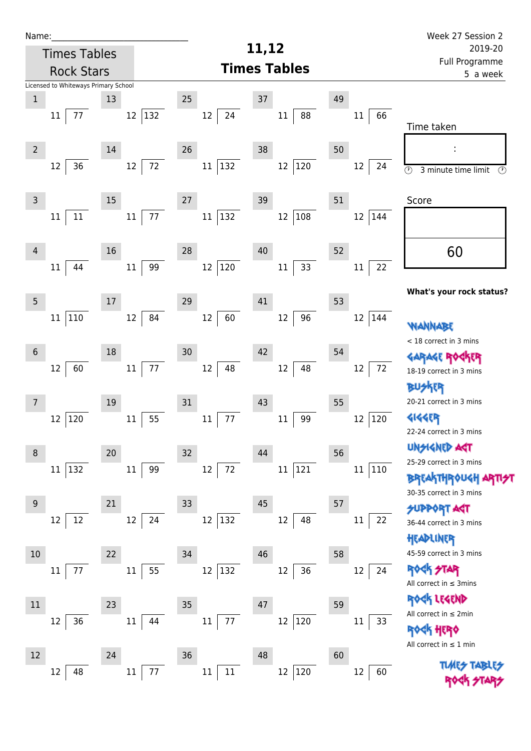| Name:          |                                      |    |                         |               |                     | Week 27 Session 2          |                         |                                                            |
|----------------|--------------------------------------|----|-------------------------|---------------|---------------------|----------------------------|-------------------------|------------------------------------------------------------|
|                | <b>Times Tables</b>                  |    |                         |               | 11,12               | 2019-20                    |                         |                                                            |
|                | <b>Rock Stars</b>                    |    |                         |               | <b>Times Tables</b> | Full Programme<br>5 a week |                         |                                                            |
|                | Licensed to Whiteways Primary School |    |                         |               |                     |                            |                         |                                                            |
| $\mathbf 1$    |                                      | 13 |                         | 25            | $37\,$              | 49                         |                         |                                                            |
|                | 77<br>11                             |    | 132<br>12               | 12<br>24      | 88<br>$11\,$        |                            | 66<br>11                | Time taken                                                 |
| $\overline{2}$ |                                      | 14 |                         | 26            | 38                  | 50                         |                         |                                                            |
|                | 36<br>12                             |    | $72\,$<br>12            | 132<br>11     | $ 120\rangle$<br>12 |                            | 12<br>24                | $\overline{\circ}$<br>3 minute time limit<br>$\circled{r}$ |
| $\mathsf{3}$   |                                      | 15 |                         | 27            | 39                  | 51                         |                         | Score                                                      |
|                | $11\,$<br>11                         |    | $77 \,$<br>$11\,$       | 132<br>11     | 108<br>$12\,$       |                            | 144<br>12               |                                                            |
| $\overline{4}$ |                                      | 16 |                         | 28            | 40                  | 52                         |                         | 60                                                         |
|                | 44<br>11                             |    | 99<br>11                | 120<br>12     | 33<br>$11\,$        |                            | 22<br>$11\,$            |                                                            |
| $\overline{5}$ |                                      | 17 |                         | 29            | 41                  | 53                         |                         | What's your rock status?                                   |
|                | $110\,$<br>11                        |    | 84<br>12                | 60<br>12      | 96<br>12            |                            | 12<br>144               | WANNABE                                                    |
| $6\phantom{1}$ |                                      | 18 |                         | 30            | 42                  | 54                         |                         | < 18 correct in 3 mins<br><b>GARAGE ROC</b>                |
|                | 60<br>12                             |    | $77\,$<br>11            | 48<br>$12\,$  | 48<br>12            |                            | 72<br>$12 \overline{ }$ | 18-19 correct in 3 mins                                    |
| 7              |                                      | 19 |                         | 31            | 43                  | 55                         |                         | 外郎<br>20-21 correct in 3 mins                              |
|                | 12<br>120                            |    | 55<br>$11\,$            | 77<br>11      | 99<br>11            |                            | $ 120\rangle$<br>12     | <b>4144EP</b><br>22-24 correct in 3 mins                   |
| 8              |                                      | 20 |                         | 32            | 44                  | 56                         |                         | <b>UNGIGNED AST</b>                                        |
|                | 132<br>11                            |    | 11<br>99                | 12<br>72      | 121<br>$11\,$       |                            | 11<br> 110              | 25-29 correct in 3 mins<br><b>BREAKTHROUGH</b>             |
| 9              |                                      | 21 |                         | 33            | 45                  | 57                         |                         | 30-35 correct in 3 mins                                    |
|                | 12<br>12                             |    | $12 \overline{ }$<br>24 | 12<br>132     | 12<br>48            |                            | 11<br>22                | <b>SUPPORT AST</b><br>36-44 correct in 3 mins<br>HEADLINER |
| 10             |                                      | 22 |                         | 34            | 46                  | 58                         |                         | 45-59 correct in 3 mins                                    |
|                | 77<br>11                             |    | 55<br>11                | $12\,$<br>132 | 36<br>12            |                            | 12<br>24                | <b>ROCK STAR</b><br>All correct in $\leq$ 3mins            |
| 11             |                                      | 23 |                         | 35            | 47                  | 59                         |                         | ROCK LEGEND                                                |
|                | 36<br>12                             |    | 11<br>44                | 77<br>$11\,$  | $ 120\rangle$<br>12 |                            | $11\,$<br>33            | All correct in $\leq 2$ min<br>HERQ                        |
| 12             |                                      | 24 |                         | 36            | 48                  | 60                         |                         | All correct in $\leq 1$ min                                |
|                | 48<br>12                             |    | $11\,$<br>77            | $11\,$<br>11  | $12\,$<br>120       |                            | 12<br>60                | <b>TLARS</b>                                               |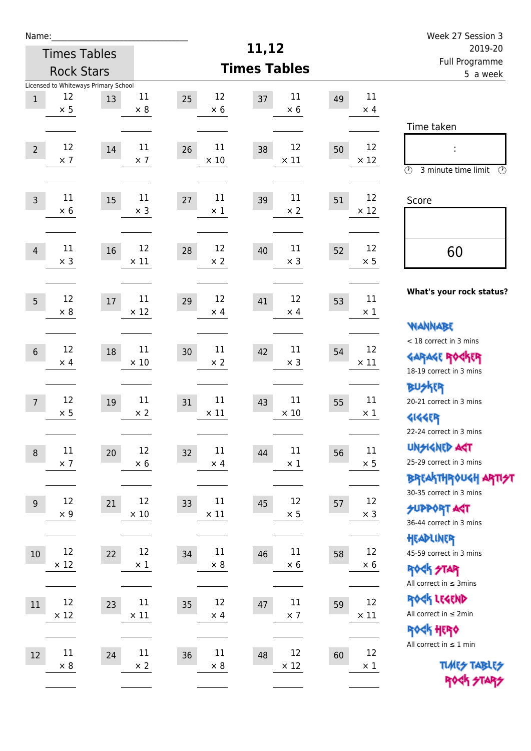| Name:          |                                      |    |                      |                         | 11,12                   |                            |                   | Week 27 Session 3                         |  |
|----------------|--------------------------------------|----|----------------------|-------------------------|-------------------------|----------------------------|-------------------|-------------------------------------------|--|
|                | <b>Times Tables</b>                  |    |                      |                         | 2019-20                 |                            |                   |                                           |  |
|                | <b>Rock Stars</b>                    |    |                      |                         | <b>Times Tables</b>     | Full Programme<br>5 a week |                   |                                           |  |
|                | Licensed to Whiteways Primary School |    |                      |                         |                         |                            |                   |                                           |  |
| $\,1\,$        | 12<br>$\times$ 5                     | 13 | $11\,$<br>$\times 8$ | 12<br>25<br>$\times$ 6  | 11<br>37<br>$\times$ 6  | 49                         | 11<br>$\times$ 4  |                                           |  |
|                |                                      |    |                      |                         |                         |                            |                   | Time taken                                |  |
|                |                                      |    |                      |                         |                         |                            |                   |                                           |  |
| $\overline{2}$ | 12<br>$\times$ 7                     | 14 | 11<br>$\times$ 7     | 11<br>26<br>$\times$ 10 | 12<br>38<br>$\times$ 11 | 50                         | 12<br>$\times$ 12 |                                           |  |
|                |                                      |    |                      |                         |                         |                            |                   | $\circled{r}$<br>3 minute time limit<br>⊕ |  |
|                |                                      |    |                      |                         |                         |                            |                   |                                           |  |
| $\overline{3}$ | 11<br>$\times$ 6                     | 15 | 11<br>$\times$ 3     | 11<br>27<br>$\times$ 1  | 11<br>39<br>$\times 2$  | 51                         | 12<br>$\times$ 12 | Score                                     |  |
|                |                                      |    |                      |                         |                         |                            |                   |                                           |  |
|                | 11                                   |    | 12                   | 12                      | 11                      |                            | 12                |                                           |  |
| $\overline{4}$ | $\times$ 3                           | 16 | $\times$ 11          | 28<br>$\times$ 2        | 40<br>$\times$ 3        | 52                         | $\times$ 5        | 60                                        |  |
|                |                                      |    |                      |                         |                         |                            |                   |                                           |  |
|                | 12                                   |    | 11                   | 12                      | 12                      |                            | 11                | What's your rock status?                  |  |
| 5              | $\times 8$                           | 17 | $\times$ 12          | 29<br>$\times$ 4        | 41<br>$\times$ 4        | 53                         | $\times$ 1        |                                           |  |
|                |                                      |    |                      |                         |                         |                            |                   | <b>WANNABE</b>                            |  |
|                | 12                                   |    | $11\,$               | 11                      | 11                      |                            | 12                | < 18 correct in 3 mins                    |  |
| $6\,$          | $\times$ 4                           | 18 | $\times$ 10          | 30<br>$\times$ 2        | 42<br>$\times$ 3        | 54                         | $\times$ 11       | <b>GARAGE ROCKER</b>                      |  |
|                |                                      |    |                      |                         |                         |                            |                   | 18-19 correct in 3 mins                   |  |
|                | 12                                   |    | 11                   | 11                      | $11\,$                  |                            | 11                | <b>BUSKRR</b>                             |  |
| $\overline{7}$ | $\times$ 5                           | 19 | $\times 2$           | 31<br>$\times$ 11       | 43<br>$\times$ 10       | 55                         | $\times$ 1        | 20-21 correct in 3 mins                   |  |
|                |                                      |    |                      |                         |                         |                            |                   | <b>4144EP</b><br>22-24 correct in 3 mins  |  |
|                | $11\,$                               |    | 12                   | 11                      | $11\,$                  |                            | 11                | <b>UNSIGNED AGT</b>                       |  |
| $\,8\,$        | $\times$ 7                           | 20 | $\times 6$           | 32<br>$\times$ 4        | 44<br>$\times$ 1        | 56                         | $\times$ 5        | 25-29 correct in 3 mins                   |  |
|                |                                      |    |                      |                         |                         |                            |                   | <b>BREAKTHROUGH ARTI<del>S</del>T</b>     |  |
|                | 12                                   |    | 12                   | 11                      | 12                      |                            | 12                | 30-35 correct in 3 mins                   |  |
| $\overline{9}$ | $\times$ 9                           | 21 | $\times$ 10          | 33<br>$\times$ 11       | 45<br>$\times$ 5        | 57                         | $\times$ 3        | <b>SUPPORT AGT</b>                        |  |
|                |                                      |    |                      |                         |                         |                            |                   | 36-44 correct in 3 mins                   |  |
|                | 12                                   |    | $12\,$               | 11                      | $11\,$                  |                            | 12                | HEADLINER<br>45-59 correct in 3 mins      |  |
| 10             | $\times$ 12                          | 22 | $\times$ 1           | 34<br>$\times$ 8        | 46<br>$\times 6$        | 58                         | $\times 6$        | <b>ROCK STAR</b>                          |  |
|                |                                      |    |                      |                         |                         |                            |                   | All correct in $\leq$ 3mins               |  |
|                | 12                                   |    | $11\,$               | 12                      | $11\,$                  |                            | 12                | ROCK LEGEND                               |  |
| 11             | $\times$ 12                          | 23 | $\times$ 11          | 35<br>$\times$ 4        | 47<br>$\times$ 7        | 59                         | $\times$ 11       | All correct in $\leq 2$ min               |  |
|                |                                      |    |                      |                         |                         |                            |                   | ROCK HERO                                 |  |
|                | $11\,$                               |    | $11\,$               | $11\,$                  | 12                      |                            | 12                | All correct in $\leq 1$ min               |  |
| 12             | $\times 8$                           | 24 | $\times$ 2           | 36<br>$\times$ 8        | 48<br>$\times$ 12       | 60                         | $\times$ 1        | <b>TUARS TABLES</b>                       |  |
|                |                                      |    |                      |                         |                         |                            |                   | ROCK STARS                                |  |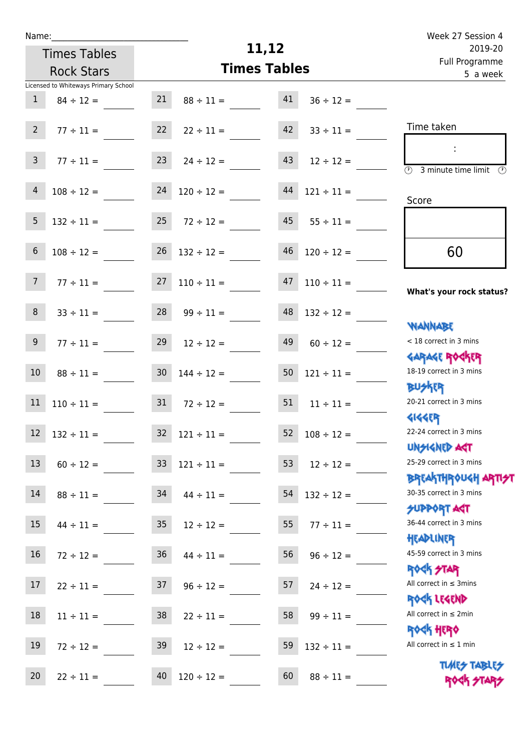| u | am |  |  |
|---|----|--|--|
|   |    |  |  |

## **11,12**

|                 | <b>Times Tables</b>                  |                 |                                  | 11,12                      |                                  | 2019-20                                                         |  |
|-----------------|--------------------------------------|-----------------|----------------------------------|----------------------------|----------------------------------|-----------------------------------------------------------------|--|
|                 | <b>Rock Stars</b>                    |                 | <b>Times Tables</b>              | Full Programme<br>5 a week |                                  |                                                                 |  |
|                 | Licensed to Whiteways Primary School |                 |                                  |                            |                                  |                                                                 |  |
| $\mathbf{1}$    | $84 \div 12 =$                       | 21              | $88 \div 11 =$                   | 41                         | $36 \div 12 =$                   |                                                                 |  |
| $2^{\circ}$     | $77 \div 11 =$                       | 22              | $22 \div 11 =$                   | 42                         | $33 \div 11 =$                   | Time taken                                                      |  |
| $\mathsf{3}$    | $77 \div 11 =$                       | 23              | $24 \div 12 =$                   | 43                         | $12 \div 12 =$                   | $\overline{(\mathcal{V})}$<br>3 minute time limit<br>⊕          |  |
| $\overline{4}$  | $108 \div 12 =$                      | 24              | $120 \div 12 =$                  | 44                         | $121 \div 11 =$                  | Score                                                           |  |
| 5               | $132 \div 11 =$                      | 25              | $72 \div 12 =$                   | 45                         | $55 \div 11 =$                   |                                                                 |  |
| $\sqrt{6}$      | $108 \div 12 =$                      | 26              | $132 \div 12 =$                  | 46                         | $120 \div 12 =$                  | 60                                                              |  |
| $7\overline{ }$ | $77 \div 11 =$                       | 27              | $110 \div 11 =$                  | 47                         | $110 \div 11 =$                  | What's your rock status?                                        |  |
| 8               | $33 \div 11 =$                       | 28              | $99 \div 11 =$                   | 48                         | $132 \div 12 =$                  | <b>NANNABE</b>                                                  |  |
| 9               | $77 \div 11 =$                       | 29              | $12 \div 12 =$                   | 49                         | $60 \div 12 =$                   | < 18 correct in 3 mins<br><b>GARAGE ROGKER</b>                  |  |
| 10              | $88 \div 11 =$                       | 30 <sub>o</sub> | $144 \div 12 =$                  | 50                         | $121 \div 11 =$                  | 18-19 correct in 3 mins<br><b>BUSKER</b>                        |  |
| 11              | $110 \div 11 =$                      | 31              | $72 \div 12 =$                   | 51                         | $11 \div 11 =$                   | 20-21 correct in 3 mins<br><b>4144ER</b>                        |  |
| 12              | $132 \div 11 =$                      | 32              | $121 \div 11 =$                  | 52                         | $108 \div 12 =$                  | 22-24 correct in 3 mins<br><b>UNSIGNED ART</b>                  |  |
| 13              | $60 \div 12 =$                       | 33              | $121 \div 11 =$                  | 53                         | $12 \div 12 =$                   | 25-29 correct in 3 mins<br>ΒΡΓΑΚΤΗΡΟUGH ΑΡΤΙ <del>2</del> Τ     |  |
| 14              | $88 \div 11 =$                       | 34              | $44 \div 11 =$                   | 54                         | $132 \div 12 =$                  | 30-35 correct in 3 mins<br><b>SUPPORT AGT</b>                   |  |
| 15              | $44 \div 11 =$                       | 35              | $12 \div 12 =$                   | 55                         | $77 \div 11 =$                   | 36-44 correct in 3 mins<br>HEADLINER<br>45-59 correct in 3 mins |  |
| 16<br>17        | $72 \div 12 =$                       | 36<br>37        | $44 \div 11 =$                   | 56<br>57                   | $96 \div 12 =$                   | <b>ROCK STAR</b><br>All correct in $\leq$ 3mins                 |  |
| 18              | $22 \div 11 =$<br>$11 \div 11 =$     | 38              | $96 \div 12 =$<br>$22 \div 11 =$ | 58                         | $24 \div 12 =$<br>$99 \div 11 =$ | ROCK LEGEND<br>All correct in $\leq 2$ min                      |  |
| 19              | $72 \div 12 =$                       | 39              | $12 \div 12 =$                   | 59                         | $132 \div 11 =$                  | <b>ROCK HERO</b><br>All correct in $\leq 1$ min                 |  |
| 20              | $22 \div 11 =$                       | 40              | $120 \div 12 =$                  | 60                         | $88 \div 11 =$                   | <b>TUARS TABLES</b><br>ROCK STARS                               |  |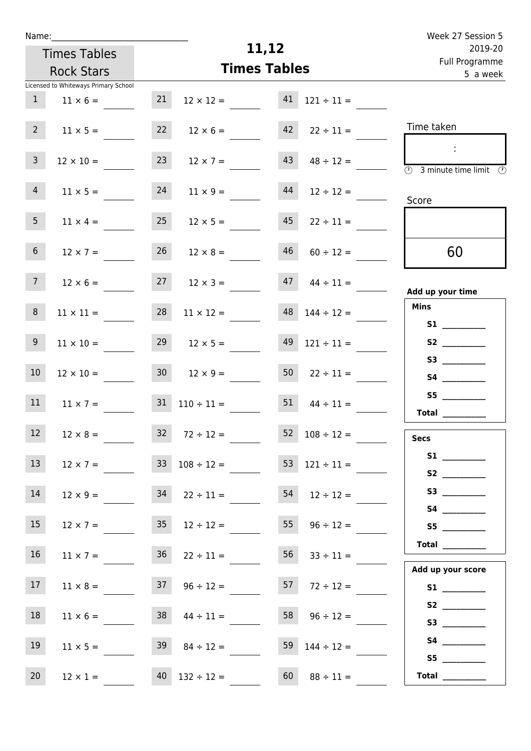|                                                                     | Week 27 Session 5                                                                                                                                                                                                                       |  |  |
|---------------------------------------------------------------------|-----------------------------------------------------------------------------------------------------------------------------------------------------------------------------------------------------------------------------------------|--|--|
| 11,12                                                               | 2019-20<br>Full Programme<br>5 a week                                                                                                                                                                                                   |  |  |
| <b>Times Tables</b>                                                 |                                                                                                                                                                                                                                         |  |  |
| 21<br>$41 \quad 121 \div 11 =$<br>$12 \times 12 =$                  |                                                                                                                                                                                                                                         |  |  |
| $12 \times 6 =$<br>$42 \t22 \div 11 =$<br>$11 \times 5 =$           | Time taken                                                                                                                                                                                                                              |  |  |
| 23<br>$43 \t 48 \div 12 =$<br>$12 \times 7 =$<br>$12 \times 10 =$   | $\overline{\textcircled{2}}$ 3 minute time limit $\overline{\textcircled{2}}$                                                                                                                                                           |  |  |
| 24<br>44<br>$11 \times 5 =$<br>$11 \times 9 =$<br>$12 \div 12 =$    | Score                                                                                                                                                                                                                                   |  |  |
| 25<br>45<br>$12 \times 5 =$<br>$11 \times 4 =$<br>$22 \div 11 =$    |                                                                                                                                                                                                                                         |  |  |
| 46<br>26<br>$12 \times 8 =$<br>$12 \times 7 =$<br>$60 \div 12 =$    | 60                                                                                                                                                                                                                                      |  |  |
| 27<br>$47 \t 44 \div 11 =$<br>$12 \times 6 =$<br>$12 \times 3 =$    | Add up your time                                                                                                                                                                                                                        |  |  |
| 28<br>$48$ $144 \div 12 =$<br>$11 \times 12 =$<br>$11 \times 11 =$  | <b>Mins</b><br>S1                                                                                                                                                                                                                       |  |  |
| $12 \times 5 =$<br>$11 \times 10 =$<br>$49$ $121 \div 11 =$         | S <sub>2</sub> and the set of the set of the set of the set of the set of the set of the set of the set of the set of the set of the set of the set of the set of the set of the set of the set of the set of the set of the set of the |  |  |
| $30 \t 12 \times 9 =$<br>$50 \t 22 \div 11 =$<br>$12 \times 10 =$   |                                                                                                                                                                                                                                         |  |  |
| 51<br>$31 \quad 110 \div 11 =$<br>$11 \times 7 =$<br>$44 \div 11 =$ | S5<br>Total                                                                                                                                                                                                                             |  |  |
| $32 \t 72 \div 12 =$<br>$52 \quad 108 \div 12 =$<br>$12 \times 8 =$ | <b>Secs</b>                                                                                                                                                                                                                             |  |  |
| $33 \t108 \div 12 =$<br>$53 \quad 121 \div 11 =$<br>$12 \times 7 =$ |                                                                                                                                                                                                                                         |  |  |
| $34$ $22 \div 11 =$<br>$54$ $12 \div 12 =$<br>$12 \times 9 =$       |                                                                                                                                                                                                                                         |  |  |
| 35<br>55<br>$12 \times 7 =$<br>$12 \div 12 =$<br>$96 \div 12 =$     |                                                                                                                                                                                                                                         |  |  |
| 36<br>56<br>$11 \times 7 =$<br>$22 \div 11 =$<br>$33 \div 11 =$     | Total $\_\_$<br>Add up your score                                                                                                                                                                                                       |  |  |
| $37 \t 96 \div 12 =$<br>$57 \t 72 \div 12 =$<br>$11 \times 8 =$     |                                                                                                                                                                                                                                         |  |  |
| $38 \t 44 \div 11 =$<br>$58 \t 96 \div 12 =$<br>$11 \times 6 =$     | S2<br>S3                                                                                                                                                                                                                                |  |  |
| $11 \times 5 =$<br>$39 \t 84 \div 12 =$<br>59 $144 \div 12 =$       | S5                                                                                                                                                                                                                                      |  |  |
| $40$ $132 \div 12 =$<br>60<br>$88 \div 11 =$                        | Total                                                                                                                                                                                                                                   |  |  |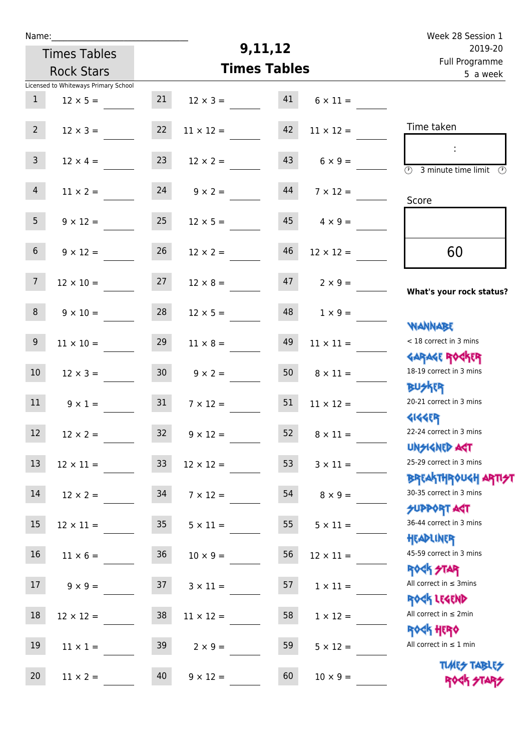| Week 28 Session 1                                                |                       |                     |                       |                     |                                      | Name:            |
|------------------------------------------------------------------|-----------------------|---------------------|-----------------------|---------------------|--------------------------------------|------------------|
| 2019-20<br>Full Programme                                        |                       | 9,11,12             |                       | <b>Times Tables</b> |                                      |                  |
| 5 a week                                                         |                       | <b>Times Tables</b> | <b>Rock Stars</b>     |                     |                                      |                  |
|                                                                  |                       |                     |                       |                     | Licensed to Whiteways Primary School |                  |
|                                                                  | $6 \times 11 =$       | 41                  | $12 \times 3 =$       | 21                  | $12 \times 5 =$                      | $\mathbf{1}$     |
| Time taken                                                       | $11 \times 12 =$      | 42                  | $11 \times 12 =$      | 22                  | $12 \times 3 =$                      | $2^{\circ}$      |
| $\overline{(\mathcal{V})}$<br>3 minute time limit<br>$\odot$     | $6 \times 9 =$        | 43                  | $12 \times 2 =$       | 23                  | $12 \times 4 =$                      | 3 <sup>7</sup>   |
| Score                                                            | $7 \times 12 =$       | 44                  | $9 \times 2 =$        | 24                  | $11 \times 2 =$                      | $\overline{4}$   |
|                                                                  | $4 \times 9 =$        | 45                  | $12 \times 5 =$       | 25                  | $9 \times 12 =$                      | 5 <sup>1</sup>   |
| 60                                                               | $12 \times 12 =$      | 46                  | $12 \times 2 =$       | 26                  | $9 \times 12 =$                      | 6 <sup>1</sup>   |
| What's your rock status?                                         | $2 \times 9 =$        | 47                  | $12 \times 8 =$       | 27                  | $12 \times 10 =$                     | $7\overline{ }$  |
| <b>NANNABE</b>                                                   | $1 \times 9 =$        | 48                  | $12 \times 5 =$       | 28                  | $9 \times 10 =$                      | 8                |
| < 18 correct in 3 mins                                           | $11 \times 11 =$      | 49                  | $11 \times 8 =$       | 29                  | $11 \times 10 =$                     | $9\phantom{.0}$  |
| <b>GARAGE ROGKER</b><br>18-19 correct in 3 mins                  | $8 \times 11 =$       | 50                  | $9 \times 2 =$        | 30 <sub>2</sub>     | $12 \times 3 =$                      | $10\,$           |
| <b>BUSKER</b><br>20-21 correct in 3 mins<br><b>4144ER</b>        | $11 \times 12 =$      | 51                  | $7 \times 12 =$       | 31                  | $9 \times 1 =$                       | 11               |
| 22-24 correct in 3 mins<br>UNSIGNED AGT                          | $52 \t 8 \times 11 =$ |                     | $32 \t 9 \times 12 =$ |                     | $12 \times 2 =$                      | 12 <sup>12</sup> |
| 25-29 correct in 3 mins<br><b>BREAKTHROUGH ARTI<del>S</del>T</b> | $3 \times 11 =$       | 53                  | $12 \times 12 =$      | 33                  | $12 \times 11 =$                     | 13               |
| 30-35 correct in 3 mins<br><b>SUPPORT ART</b>                    | $8 \times 9 =$        | 54                  | $7 \times 12 =$       |                     | $12 \times 2 = 34$                   | 14               |
| 36-44 correct in 3 mins<br>HEADLINER                             | $5 \times 11 =$       | 55                  | $5 \times 11 =$       | 35                  | $12 \times 11 =$                     | $15\phantom{.0}$ |
| 45-59 correct in 3 mins<br><b>ROCK STAR</b>                      | $12 \times 11 =$      | 56                  | $10 \times 9 =$       | 36                  | $11 \times 6 =$                      | 16               |
| All correct in $\leq$ 3mins                                      | $1 \times 11 =$       | 57                  | $3 \times 11 =$       |                     | $9 \times 9 = 37$                    | 17 <sub>2</sub>  |
| ROCK LEGEND<br>All correct in $\leq 2$ min                       | $1 \times 12 =$       | 58                  | $11 \times 12 =$      | 38                  | $12 \times 12 =$                     | 18               |
| <b>ROCK HERO</b><br>All correct in $\leq 1$ min                  | $5 \times 12 =$       | 59                  | $2 \times 9 =$        | 39                  | $11 \times 1 =$                      | 19               |
| <b>TUARS TABLES</b><br>ROCK STARS                                | $10 \times 9 =$       | 60                  | $9 \times 12 =$       | 40                  | $11 \times 2 =$                      | 20               |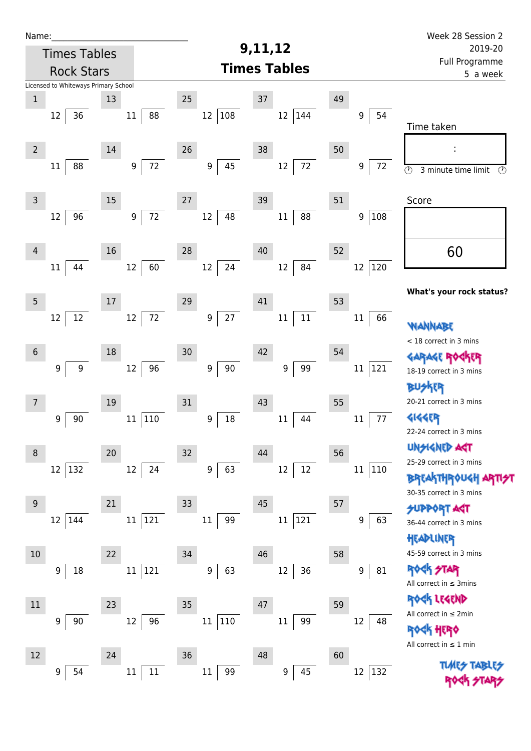| Name:                                |                        |                        |                     |                     | Week 28 Session 2                                          |
|--------------------------------------|------------------------|------------------------|---------------------|---------------------|------------------------------------------------------------|
| <b>Times Tables</b>                  |                        |                        | 9,11,12             |                     | 2019-20                                                    |
| <b>Rock Stars</b>                    |                        |                        | <b>Times Tables</b> |                     | Full Programme<br>5 a week                                 |
| Licensed to Whiteways Primary School |                        |                        |                     |                     |                                                            |
| $\mathbf 1$<br>13                    |                        | 25                     | 37                  | 49                  |                                                            |
| 36<br>12                             | 88<br>$11\,$           | 108<br>12              | 12<br>144           | 54<br>9             | Time taken                                                 |
| $\overline{2}$<br>14                 |                        | 26                     | 38                  | 50                  |                                                            |
| 88<br>11                             | 72<br>9                | 45<br>9                | $72\,$<br>12        | 9<br>72             | $\overline{\circ}$<br>3 minute time limit<br>$\circled{r}$ |
| 15<br>$\mathsf 3$                    |                        | 27                     | 39                  | 51                  | Score                                                      |
| 96<br>12                             | 72<br>$\boldsymbol{9}$ | 12<br>48               | 88<br>$11\,$        | 108<br>9            |                                                            |
| 16<br>4                              |                        | 28                     | 40                  | 52                  | 60                                                         |
| 44<br>11                             | 60<br>12               | 24<br>12               | 84<br>12            | 12 120              |                                                            |
| $\overline{5}$<br>$17\,$             |                        | 29                     | 41                  | 53                  | What's your rock status?                                   |
| 12<br>12                             | 72<br>12               | $27\,$<br>9            | $11\,$<br>$11\,$    | 66<br>11            | WANNABE                                                    |
| 18<br>$\boldsymbol{6}$               |                        | 30                     | 42                  | 54                  | < 18 correct in 3 mins                                     |
| 9<br>$\boldsymbol{9}$                | 96<br>12               | 9<br>$90\,$            | 99<br>9             | 121<br>11           | <b>GARAGE ROC</b><br>18-19 correct in 3 mins               |
| 19<br>$\overline{7}$                 |                        | 31                     | 43                  | 55                  | 外郎<br>20-21 correct in 3 mins                              |
| 90<br>9                              | 110<br>$11\,$          | 18<br>$\boldsymbol{9}$ | $11\,$<br>44        | 77<br>11            | <b>4144EP</b>                                              |
|                                      |                        |                        |                     |                     | 22-24 correct in 3 mins                                    |
| 20<br>8                              |                        | 32                     | 44                  | 56                  | <b>UNGIGNED AST</b><br>25-29 correct in 3 mins             |
| 132<br>12                            | 12<br>24               | 9<br>63                | $12\,$<br>12        | $11\,$<br> 110      | <b>BREAKTHROUGH</b><br>30-35 correct in 3 mins             |
| $9\,$<br>21                          |                        | 33                     | 45                  | 57                  | <b>SUPPORT AGT</b>                                         |
| 12<br>144                            | 121<br>11              | 99<br>11               | 121<br>$11\,$       | 63<br>9             | 36-44 correct in 3 mins<br>HEADLINER                       |
| 22<br>10                             |                        | 34                     | 46                  | 58                  | 45-59 correct in 3 mins                                    |
| 18<br>9                              | 121<br>$11\,$          | 63<br>9                | 36<br>12            | 81<br>9             | <b>ROCK STAR</b><br>All correct in $\leq$ 3mins            |
| $11\,$<br>23                         |                        | 35                     | 47                  | 59                  | ROCK LEGEND                                                |
| 90<br>9                              | 96<br>12               | 110<br>11              | $11\,$<br>99        | 12<br>48            | All correct in $\leq 2$ min                                |
|                                      |                        |                        |                     |                     | HERQ<br>All correct in $\leq 1$ min                        |
| 12<br>24                             |                        | 36                     | 48                  | 60                  | <b>TUARS TABLES</b>                                        |
| 54<br>9                              | $11\,$<br>$11\,$       | 99<br>11               | 45<br>9             | 12<br>$ 132\rangle$ | ROCK STA                                                   |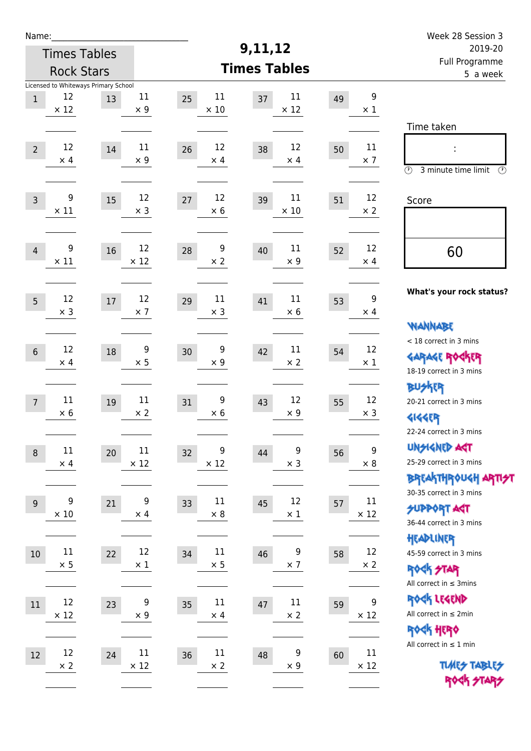| Name:                                    |                                      |        |                   |                         | 9,11,12                    |    |                                | Week 28 Session 3                               |
|------------------------------------------|--------------------------------------|--------|-------------------|-------------------------|----------------------------|----|--------------------------------|-------------------------------------------------|
| <b>Times Tables</b><br><b>Rock Stars</b> |                                      |        |                   |                         | 2019-20                    |    |                                |                                                 |
|                                          |                                      |        |                   | <b>Times Tables</b>     | Full Programme<br>5 a week |    |                                |                                                 |
|                                          | Licensed to Whiteways Primary School |        |                   |                         |                            |    |                                |                                                 |
| $\mathbf{1}$                             | 12<br>$\times$ 12                    | 13     | 11<br>$\times$ 9  | 11<br>25<br>$\times$ 10 | 11<br>37<br>$\times$ 12    | 49 | $\boldsymbol{9}$<br>$\times$ 1 |                                                 |
|                                          |                                      |        |                   |                         |                            |    |                                | Time taken                                      |
| $\overline{2}$                           | 12                                   | $14\,$ | 11                | 12<br>26                | 12<br>38                   | 50 | 11                             |                                                 |
|                                          | $\times$ 4                           |        | $\times 9$        | $\times$ 4              | $\times$ 4                 |    | $\times$ 7                     |                                                 |
|                                          |                                      |        |                   |                         |                            |    |                                | $\circled{r}$<br>3 minute time limit<br>$\odot$ |
|                                          | 9                                    |        | 12                | 12                      | 11                         |    | 12                             |                                                 |
| $\overline{3}$                           | $\times$ 11                          | 15     | $\times$ 3        | 27<br>$\times$ 6        | 39<br>$\times$ 10          | 51 | $\times 2$                     | Score                                           |
|                                          |                                      |        |                   |                         |                            |    |                                |                                                 |
|                                          |                                      |        |                   |                         |                            |    |                                |                                                 |
| $\overline{4}$                           | 9<br>$\times$ 11                     | 16     | 12<br>$\times$ 12 | 9<br>28<br>$\times 2$   | 11<br>40<br>$\times$ 9     | 52 | 12<br>$\times$ 4               | 60                                              |
|                                          |                                      |        |                   |                         |                            |    |                                |                                                 |
|                                          |                                      |        |                   |                         |                            |    |                                | What's your rock status?                        |
| 5                                        | 12                                   | 17     | 12                | 11<br>29                | 11<br>41                   | 53 | $\boldsymbol{9}$               |                                                 |
|                                          | $\times$ 3                           |        | $\times$ 7        | $\times$ 3              | $\times 6$                 |    | $\times$ 4                     | WANNABE                                         |
|                                          |                                      |        |                   |                         |                            |    |                                | < 18 correct in 3 mins                          |
| $6\,$                                    | 12                                   | 18     | 9                 | 9<br>30                 | 11<br>42                   | 54 | 12                             |                                                 |
|                                          | $\times$ 4                           |        | $\times$ 5        | $\times$ 9              | $\times 2$                 |    | $\times$ 1                     | <b>GARAGE ROCKER</b><br>18-19 correct in 3 mins |
|                                          |                                      |        |                   |                         |                            |    |                                | <b>BUSKER</b>                                   |
| $\overline{7}$                           | 11                                   | 19     | $11\,$            | 9<br>31                 | 12<br>43                   | 55 | 12                             | 20-21 correct in 3 mins                         |
|                                          | $\times$ 6                           |        | $\times 2$        | $\times 6$              | $\times$ 9                 |    | $\times$ 3                     | <b>4144EP</b>                                   |
|                                          |                                      |        |                   |                         |                            |    |                                | 22-24 correct in 3 mins                         |
|                                          | $11\,$                               |        | $11\,$            | 9                       | 9                          |    | $\boldsymbol{9}$               | <b>UNSIGNED AGT</b>                             |
| $\,8\,$                                  | $\times$ 4                           | 20     | $\times$ 12       | 32<br>$\times$ 12       | 44<br>$\times$ 3           | 56 | $\times$ 8                     | 25-29 correct in 3 mins                         |
|                                          |                                      |        |                   |                         |                            |    |                                | ΒΡΓΑ <sup>Κ</sup> ΤΗΡΟυΚΗ ΑΡΤΙ <del>2</del> Τ   |
|                                          |                                      |        |                   |                         |                            |    |                                | 30-35 correct in 3 mins                         |
| $\mathsf g$                              | 9<br>$\times 10$                     | 21     | 9<br>$\times$ 4   | 11<br>33<br>$\times$ 8  | 12<br>45<br>$\times$ 1     | 57 | $11\,$<br>$\times$ 12          | <b>SUPPORT ART</b>                              |
|                                          |                                      |        |                   |                         |                            |    |                                | 36-44 correct in 3 mins                         |
|                                          |                                      |        |                   |                         |                            |    |                                | HEADLINER                                       |
| 10                                       | $11\,$                               | 22     | 12                | 11<br>34                | 9<br>46                    | 58 | 12                             | 45-59 correct in 3 mins                         |
|                                          | $\times$ 5                           |        | $\times$ 1        | $\times$ 5              | $\times$ 7                 |    | $\times 2$                     | <b>ROCK STAR</b>                                |
|                                          |                                      |        |                   |                         |                            |    |                                | All correct in $\leq$ 3mins                     |
| 11                                       | 12                                   | 23     | 9                 | 11<br>35                | $11\,$<br>47               | 59 | $\boldsymbol{9}$               | ROCK LEGEND                                     |
|                                          | $\times$ 12                          |        | $\times$ 9        | $\times$ 4              | $\times 2$                 |    | $\times$ 12                    | All correct in $\leq 2$ min                     |
|                                          |                                      |        |                   |                         |                            |    |                                | <b>ROCK HERO</b>                                |
| 12                                       | 12                                   | 24     | $11\,$            | 11<br>36                | 9<br>48                    | 60 | $11\,$                         | All correct in $\leq 1$ min                     |
|                                          | $\times$ 2                           |        | $\times$ 12       | $\times$ 2              | $\times$ 9                 |    | $\times$ 12                    | <b>TUARS TABLES</b>                             |
|                                          |                                      |        |                   |                         |                            |    |                                | ROCK STARS                                      |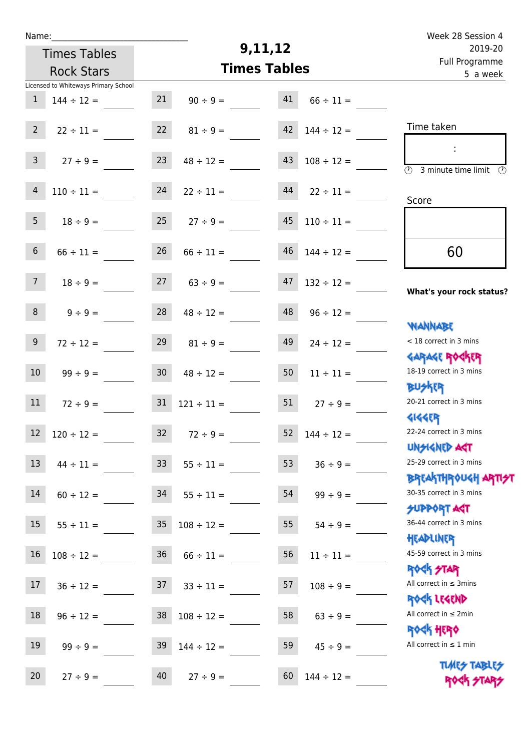| v | am |  |  |
|---|----|--|--|
|   |    |  |  |

Times Tables

## **9,11,12**

|                 | <b>Rock Stars</b>                    |                 | <b>Times Tables</b>     | <u>. un rivyrunnic</u><br>5 a week |                 |                                                                  |
|-----------------|--------------------------------------|-----------------|-------------------------|------------------------------------|-----------------|------------------------------------------------------------------|
|                 | Licensed to Whiteways Primary School |                 |                         |                                    |                 |                                                                  |
| $\mathbf{1}$    | $144 \div 12 =$                      | 21              | $90 \div 9 =$           | 41                                 | $66 \div 11 =$  |                                                                  |
| $2^{\circ}$     | $22 \div 11 =$                       | 22              | $81 \div 9 =$           | 42                                 | $144 \div 12 =$ | Time taken                                                       |
| $\mathbf{3}$    | $27 ÷ 9 =$                           | 23              | $48 \div 12 =$          | 43                                 | $108 \div 12 =$ | ÷<br>$\overline{\odot}$<br>3 minute time limit<br>⊕              |
| $\overline{4}$  | $110 \div 11 =$                      | 24              | $22 \div 11 =$          | 44                                 | $22 \div 11 =$  | Score                                                            |
| 5 <sub>1</sub>  | $18 \div 9 =$                        | 25              | $27 \div 9 =$           | 45                                 | $110 \div 11 =$ |                                                                  |
| $6\overline{6}$ | $66 \div 11 =$                       | 26              | $66 \div 11 =$          | 46                                 | $144 \div 12 =$ | 60                                                               |
| 7 <sup>7</sup>  | $18 \div 9 =$                        | 27              | $63 \div 9 =$           | 47                                 | $132 \div 12 =$ | What's your rock status?                                         |
| 8               | $9 ÷ 9 =$                            | 28              | $48 \div 12 =$          | 48                                 | $96 \div 12 =$  | <b>NANNABE</b>                                                   |
| 9 <sup>°</sup>  | $72 \div 12 =$                       | 29              | $81 \div 9 =$           | 49                                 | $24 \div 12 =$  | < 18 correct in 3 mins                                           |
| 10              | $99 ÷ 9 =$                           | 30 <sub>o</sub> | $48 \div 12 =$          | 50                                 | $11 \div 11 =$  | <b>GARAGE ROGKER</b><br>18-19 correct in 3 mins                  |
| 11              | $72 \div 9 =$                        | 31              | $121 \div 11 =$         | 51                                 | $27 ÷ 9 =$      | <b>BUSKRR</b><br>20-21 correct in 3 mins                         |
| $12\,$          | $120 \div 12 =$                      | 32              | $72 \div 9 =$           | 52                                 | $144 \div 12 =$ | <b>4144EP</b><br>22-24 correct in 3 mins                         |
|                 | $13 \t 44 \div 11 =$                 |                 | $33 \t 55 \div 11 =$    | 53                                 | $36 \div 9 =$   | <b>UNSIGNED AGT</b><br>25-29 correct in 3 mins                   |
| 14              | $60 \div 12 =$                       | 34              | $55 \div 11 =$          | 54                                 | $99 \div 9 =$   | <b>BREAKTHROUGH ARTI<del>S</del>T</b><br>30-35 correct in 3 mins |
| 15 <sub>1</sub> | $55 \div 11 =$                       | 35              | $108 \div 12 =$         | 55                                 | $54 \div 9 =$   | <b>SUPPORT ART</b><br>36-44 correct in 3 mins                    |
| $16\,$          | $108 \div 12 =$                      | 36              | $66 \div 11 =$          | 56                                 | $11 \div 11 =$  | HEADLINER<br>45-59 correct in 3 mins                             |
| 17              | $36 \div 12 =$                       |                 | $37 \quad 33 \div 11 =$ | 57                                 | $108 \div 9 =$  | <b>ROCK STAR</b><br>All correct in $\leq$ 3mins                  |
| 18              | $96 \div 12 =$                       | 38              | $108 \div 12 =$         | 58                                 | $63 \div 9 =$   | ROCK LEGEND<br>All correct in $\leq 2$ min                       |
| 19              | $99 \div 9 =$                        | 39              | $144 \div 12 =$         | 59                                 | $45 \div 9 =$   | <b>ROCK HERO</b><br>All correct in $\leq 1$ min                  |
| 20              | $27 \div 9 =$                        | 40              | $27 \div 9 =$           | 60                                 | $144 \div 12 =$ | <b>TUARS TABLES</b><br>ROCK STARS                                |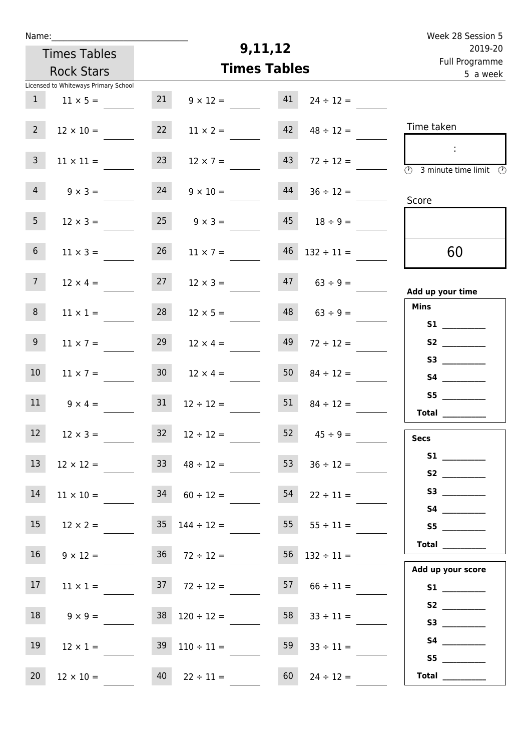| Name:           |                                      |                 |                                          |                            |                      | Week 28 Session 5                                                                                            |
|-----------------|--------------------------------------|-----------------|------------------------------------------|----------------------------|----------------------|--------------------------------------------------------------------------------------------------------------|
|                 | <b>Times Tables</b>                  |                 | 9,11,12                                  | 2019-20                    |                      |                                                                                                              |
|                 | <b>Rock Stars</b>                    |                 | <b>Times Tables</b>                      | Full Programme<br>5 a week |                      |                                                                                                              |
|                 | Licensed to Whiteways Primary School |                 |                                          |                            |                      |                                                                                                              |
| 1               | $11 \times 5 =$                      | 21              | $9 \times 12 =$                          | 41                         | $24 \div 12 =$       |                                                                                                              |
| 2 <sup>7</sup>  | $12 \times 10 =$                     | 22              | $11 \times 2 =$                          | 42                         | $48 \div 12 =$       | Time taken                                                                                                   |
| 3 <sup>7</sup>  | $11 \times 11 =$                     | 23              | $12 \times 7 =$                          | 43                         | $72 \div 12 =$       | $\mathcal{L}_{\mathcal{C}}$<br>$\overline{\textcircled{2}}$ 3 minute time limit $\overline{\textcircled{2}}$ |
| $\overline{4}$  | $9 \times 3 =$                       | 24              | $9 \times 10 =$                          | 44                         | $36 \div 12 =$       | Score                                                                                                        |
| 5 <sub>1</sub>  | $12 \times 3 =$                      | 25              | $9 \times 3 =$                           | 45                         | $18 \div 9 =$        |                                                                                                              |
| 6 <sup>1</sup>  | $11 \times 3 =$                      | 26              | $11 \times 7 =$                          |                            | $46$ $132 \div 11 =$ | 60                                                                                                           |
| 7 <sup>7</sup>  | $12 \times 4 =$                      | 27              | $12 \times 3 =$                          | 47                         | $63 \div 9 =$        | Add up your time                                                                                             |
| 8 <sup>1</sup>  | $11 \times 1 =$                      | 28              | $12 \times 5 =$                          | 48                         | $63 ÷ 9 =$           | <b>Mins</b><br>S1                                                                                            |
| 9 <sub>o</sub>  | $11 \times 7 =$                      | 29              | $12 \times 4 =$                          | 49                         | $72 \div 12 =$       | S2                                                                                                           |
| 10 <sup>°</sup> | $11 \times 7 =$                      | 30 <sup>°</sup> | $12 \times 4 =$                          | 50                         | $84 \div 12 =$       |                                                                                                              |
| 11              | $9 \times 4 =$                       | 31              | $12 \div 12 =$                           | 51                         | $84 \div 12 =$       | S5                                                                                                           |
|                 |                                      |                 |                                          |                            |                      | Total $\_\_$                                                                                                 |
| 12              | $12 \times 3 =$                      |                 | $32 \t 12 \div 12 =$                     |                            | $52 \t 45 \div 9 =$  | <b>Secs</b>                                                                                                  |
| 13              | $12 \times 12 =$                     |                 | $33 \t 48 \div 12 =$                     | 53                         | $36 \div 12 =$       | S2                                                                                                           |
| 14              | $11 \times 10 =$                     |                 | $34 \t 60 \div 12 =$                     |                            | $54$ $22 \div 11 =$  |                                                                                                              |
| 15              |                                      |                 | $12 \times 2 =$ $35 \quad 144 \div 12 =$ |                            | $55 \t 55 \div 11 =$ |                                                                                                              |
| 16              | $9 \times 12 =$                      |                 | $36 \t 72 \div 12 =$                     |                            | $56$ $132 \div 11 =$ | Total                                                                                                        |
| 17              | $11 \times 1 =$                      |                 | $37 \t 72 \div 12 =$                     |                            | $57 \t 66 \div 11 =$ | Add up your score                                                                                            |
| 18              | $9 \times 9 =$                       |                 | $38 \quad 120 \div 12 =$                 |                            | $58 \t 33 \div 11 =$ |                                                                                                              |
| 19              | $12 \times 1 =$                      |                 | $39 \quad 110 \div 11 =$                 | 59                         | $33 \div 11 =$       |                                                                                                              |
| 20              | $12 \times 10 =$                     |                 | $40 \t 22 \div 11 =$                     | 60                         | $24 \div 12 =$       | S5<br>Total $\_\_$                                                                                           |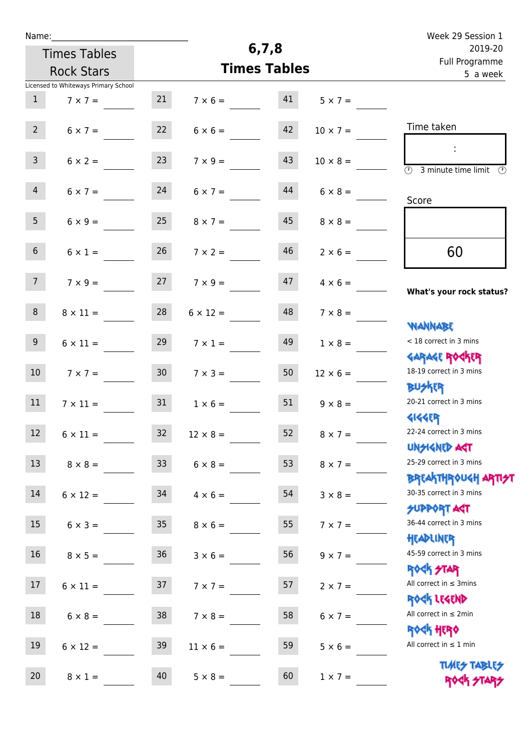| Name:               |                                      |                 |                   |                     |                 | Week 29 Session 1                                               |
|---------------------|--------------------------------------|-----------------|-------------------|---------------------|-----------------|-----------------------------------------------------------------|
| <b>Times Tables</b> |                                      |                 |                   | 6, 7, 8             | 2019-20         |                                                                 |
|                     | <b>Rock Stars</b>                    |                 |                   | <b>Times Tables</b> |                 | Full Programme<br>5 a week                                      |
|                     | Licensed to Whiteways Primary School |                 |                   |                     |                 |                                                                 |
| $\mathbf{1}$        | $7 \times 7 =$                       | 21              | $7 \times 6 = 41$ |                     | $5 \times 7 =$  |                                                                 |
| $2^{\circ}$         | $6 \times 7 =$                       | 22              | $6 \times 6 =$    | 42                  | $10 \times 7 =$ | Time taken                                                      |
| 3 <sup>7</sup>      | $6 \times 2 = 23$                    |                 | $7 \times 9 =$    | 43                  | $10 \times 8 =$ | $\overline{\textcircled{1}}$ 3 minute time limit                |
| $\overline{4}$      | $6 \times 7 =$                       | 24              | $6 \times 7 =$    | 44                  | $6 \times 8 =$  | Score                                                           |
| 5 <sub>1</sub>      | $6 \times 9 =$                       | 25              | $8 \times 7 =$    | 45                  | $8 \times 8 =$  |                                                                 |
| 6 <sup>1</sup>      | $6 \times 1 =$                       | 26              | $7 \times 2 =$    | 46                  | $2 \times 6 =$  | 60                                                              |
| 7 <sup>7</sup>      | $7 \times 9 =$                       | 27              | $7 \times 9 =$    | 47                  | $4 \times 6 =$  |                                                                 |
| 8                   | $8 \times 11 =$                      | 28              | $6 \times 12 =$   | 48                  | $7 \times 8 =$  | What's your rock status?                                        |
| 9                   | $6 \times 11 =$                      | 29              | $7 \times 1 =$    | 49                  | $1 \times 8 =$  | <b>NANNABE</b><br>< 18 correct in 3 mins                        |
| 10 <sup>°</sup>     | $7 \times 7 =$                       | 30 <sup>°</sup> | $7 \times 3 =$    | 50                  | $12 \times 6 =$ | <b>GARAGE ROCKER</b><br>18-19 correct in 3 mins                 |
| 11                  | $7 \times 11 =$                      | 31              | $1 \times 6 =$    | 51                  | $9 \times 8 =$  | <b>BUSKER</b><br>20-21 correct in 3 mins                        |
| 12                  | $6 \times 11 =$                      | 32              | $12 \times 8 =$   | 52                  | $8 \times 7 =$  | <b>4144EP</b><br>22-24 correct in 3 mins                        |
| 13                  | $8 \times 8 =$                       | 33              | $6 \times 8 =$    | 53                  | $8 \times 7 =$  | <b>UNSIGNED AGT</b><br>25-29 correct in 3 mins                  |
| 14                  | $6 \times 12 =$                      | 34              | $4 \times 6 =$    | 54                  | $3 \times 8 =$  | <b>BREAKTHROUGH ARTI<del>S</del></b><br>30-35 correct in 3 mins |
| 15                  | $6 \times 3 =$                       | 35              | $8 \times 6 =$    | 55                  | $7 \times 7 =$  | <b>SUPPORT AGT</b><br>36-44 correct in 3 mins                   |
| 16 <sup>1</sup>     | $8 \times 5 =$                       | 36              | $3 \times 6 =$    | 56                  | $9 \times 7 =$  | HEADLINER<br>45-59 correct in 3 mins                            |
| 17                  | $6 \times 11 =$                      | 37              | $7 \times 7 =$    | 57                  | $2 \times 7 =$  | <b>ROCK STAR</b><br>All correct in $\leq$ 3mins                 |
| 18                  | $6 \times 8 =$                       | 38              | $7 \times 8 =$    | 58                  | $6 \times 7 =$  | ROCK LEGEND<br>All correct in $\leq 2$ min                      |
| 19                  | $6 \times 12 =$                      | 39              | $11 \times 6 =$   | 59                  | $5 \times 6 =$  | ROCK HERO<br>All correct in $\leq 1$ min                        |
| 20                  | $8 \times 1 =$                       | 40              | $5 \times 8 =$    | 60                  | $1 \times 7 =$  | <b>TUARS TABLES</b><br>ROCK STARS                               |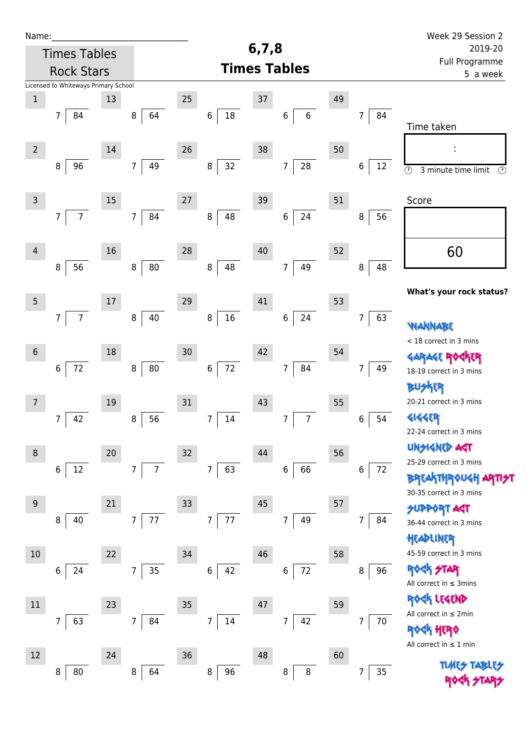| Name:           |                                      |        |                                  |    |                          |       |                              |    |                        | Week 29 Session 2                                                |
|-----------------|--------------------------------------|--------|----------------------------------|----|--------------------------|-------|------------------------------|----|------------------------|------------------------------------------------------------------|
|                 | <b>Times Tables</b>                  |        |                                  |    |                          | 6,7,8 |                              |    |                        | 2019-20<br>Full Programme                                        |
|                 | <b>Rock Stars</b>                    |        |                                  |    |                          |       | <b>Times Tables</b>          |    |                        | 5 a week                                                         |
|                 | Licensed to Whiteways Primary School |        |                                  |    |                          |       |                              |    |                        |                                                                  |
| $\,1\,$         |                                      | 13     |                                  | 25 |                          | 37    |                              | 49 |                        |                                                                  |
|                 | $7\overline{ }$<br>84                |        | 64<br>8                          |    | 18<br>6                  |       | $\,6\,$<br>$\,6\,$           |    | 84<br>$\overline{7}$   | Time taken                                                       |
|                 |                                      |        |                                  |    |                          |       |                              |    |                        |                                                                  |
| $\overline{2}$  |                                      | 14     |                                  | 26 |                          | 38    |                              | 50 |                        |                                                                  |
|                 | 96<br>8                              |        | 49<br>7 <sup>1</sup>             |    | 32<br>8                  |       | ${\bf 28}$<br>$\overline{7}$ |    | $\boldsymbol{6}$<br>12 | $\overline{\circlearrowright}$<br>3 minute time limit<br>$\odot$ |
|                 |                                      |        |                                  |    |                          |       |                              |    |                        |                                                                  |
| $\mathsf{3}$    |                                      | 15     |                                  | 27 |                          | 39    |                              | 51 |                        | Score                                                            |
|                 | $\overline{7}$<br>$\overline{7}$     |        | 84<br>$\overline{7}$             |    | 8<br>48                  |       | 24<br>$\,6$                  |    | 8<br>56                |                                                                  |
|                 |                                      |        |                                  |    |                          |       |                              |    |                        |                                                                  |
| 4               |                                      | 16     |                                  | 28 |                          | 40    |                              | 52 |                        | 60                                                               |
|                 | 56<br>8                              |        | 80<br>8                          |    | 48<br>8                  |       | 49<br>$\overline{7}$         |    | 48<br>8                |                                                                  |
|                 |                                      |        |                                  |    |                          |       |                              |    |                        | What's your rock status?                                         |
| $5\phantom{.0}$ |                                      | $17\,$ |                                  | 29 |                          | 41    |                              | 53 |                        |                                                                  |
|                 | $\overline{7}$<br>$\overline{7}$     |        | 40<br>$\,8\,$                    |    | $16\,$<br>8              |       | 24<br>$\,6$                  |    | 63<br>7                | <b>WANNABE</b>                                                   |
|                 |                                      |        |                                  |    |                          |       |                              |    |                        | < 18 correct in 3 mins                                           |
| $6\,$           |                                      | 18     |                                  | 30 |                          | 42    |                              | 54 |                        | <b>GARAGE RO</b>                                                 |
|                 | $\,$ 6 $\,$<br>72                    |        | ${\bf 80}$<br>$\bf 8$            |    | $72\,$<br>6              |       | 84<br>7                      |    | 7<br>49                | 18-19 correct in 3 mins                                          |
|                 |                                      |        |                                  |    |                          |       |                              |    |                        | <b>BUSKER</b>                                                    |
| 7               |                                      | 19     |                                  | 31 |                          | 43    |                              | 55 |                        | 20-21 correct in 3 mins                                          |
|                 | 42<br>7                              |        | 56<br>$\, 8$                     |    | 14<br>7                  |       | $\overline{7}$<br>7          |    | 54<br>6                | <b>4144EP</b><br>22-24 correct in 3 mins                         |
|                 |                                      |        |                                  |    |                          |       |                              |    |                        | <b>UNSIGNED AGT</b>                                              |
| 8               |                                      | 20     |                                  | 32 |                          | 44    |                              | 56 |                        | 25-29 correct in 3 mins                                          |
|                 | 12<br>6                              |        | $\overline{7}$<br>$\overline{7}$ |    | $\overline{7}$<br>63     |       | 66<br>6                      |    | $\,6\,$<br>72          | <b>BREAKTHROUGH</b>                                              |
|                 |                                      |        |                                  |    |                          |       |                              |    |                        | 30-35 correct in 3 mins                                          |
| 9               | 40<br>8                              | 21     | 77<br>$\overline{7}$             | 33 | $\overline{7}$<br>77     | 45    | 49<br>7                      | 57 | 84<br>7                | <b>SUPPORT AGT</b>                                               |
|                 |                                      |        |                                  |    |                          |       |                              |    |                        | 36-44 correct in 3 mins                                          |
| 10              |                                      | 22     |                                  | 34 |                          | 46    |                              | 58 |                        | HEADLINER<br>45-59 correct in 3 mins                             |
|                 | 24<br>6                              |        | 35<br>7 <sup>1</sup>             |    | 6<br>42                  |       | $72\,$<br>6                  |    | 96<br>8                | <b>ROCK STAR</b>                                                 |
|                 |                                      |        |                                  |    |                          |       |                              |    |                        | All correct in $\leq$ 3mins                                      |
| 11              |                                      | 23     |                                  | 35 |                          | 47    |                              | 59 |                        | ROCK LEGEND                                                      |
|                 | $7\overline{ }$<br>63                |        | $\overline{7}$<br>84             |    | $\overline{7}$<br>$14\,$ |       | 42<br>$\overline{7}$         |    | 70<br>$\overline{7}$   | All correct in $\leq 2$ min                                      |
|                 |                                      |        |                                  |    |                          |       |                              |    |                        | <b><k b="" her0<=""></k></b>                                     |
| 12              |                                      | 24     |                                  | 36 |                          | 48    |                              | 60 |                        | All correct in $\leq 1$ min                                      |
|                 | 80<br>8                              |        | $\,8\,$<br>64                    |    | 96<br>8                  |       | $\bf 8$<br>8                 |    | 35<br>7                | <b>TUARS TABLES</b>                                              |
|                 |                                      |        |                                  |    |                          |       |                              |    |                        |                                                                  |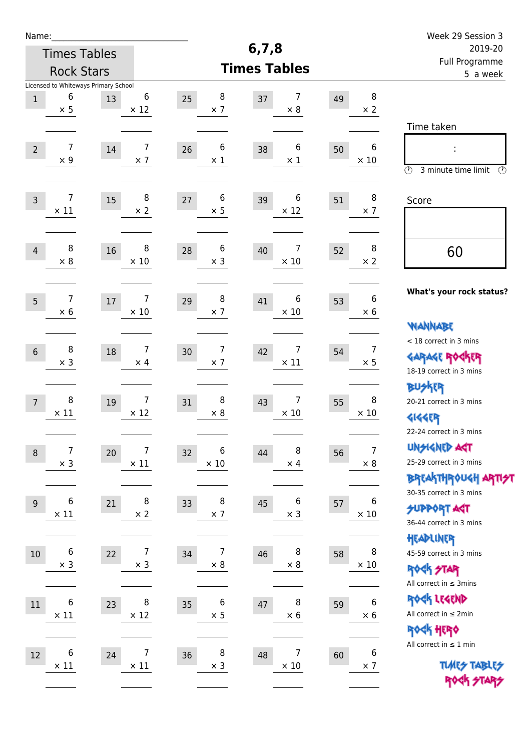| Name:                                    |                                                         |    |                               |                                    |                        |                            |                                | Week 29 Session 3                                                                               |
|------------------------------------------|---------------------------------------------------------|----|-------------------------------|------------------------------------|------------------------|----------------------------|--------------------------------|-------------------------------------------------------------------------------------------------|
| <b>Times Tables</b><br><b>Rock Stars</b> |                                                         |    |                               |                                    | 6, 7, 8                |                            |                                | 2019-20                                                                                         |
|                                          |                                                         |    |                               |                                    | <b>Times Tables</b>    | Full Programme<br>5 a week |                                |                                                                                                 |
| $\mathbf 1$                              | Licensed to Whiteways Primary School<br>6<br>$\times$ 5 | 13 | 6<br>$\times$ 12              | 8<br>25<br>$\times$ 7              | 7<br>37<br>$\times 8$  | 49                         | 8<br>$\times 2$                |                                                                                                 |
| $\overline{2}$                           | 7<br>$\times$ 9                                         | 14 | $\overline{7}$<br>$\times$ 7  | 6<br>26<br>$\times$ 1              | 6<br>38<br>$\times$ 1  | 50                         | 6<br>$\times$ 10               | Time taken<br>Ì,<br>$\circled{r}$<br>3 minute time limit<br>⊕                                   |
| $\overline{3}$                           | 7<br>$\times$ 11                                        | 15 | 8<br>$\times$ 2               | 6<br>27<br>$\times$ 5              | 6<br>39<br>$\times$ 12 | 51                         | 8<br>$\times$ 7                | Score                                                                                           |
| $\overline{4}$                           | 8<br>$\times 8$                                         | 16 | 8<br>$\times$ 10              | 6<br>28<br>$\times$ 3              | 7<br>40<br>$\times$ 10 | 52                         | 8<br>$\times 2$                | 60                                                                                              |
| 5                                        | 7<br>$\times 6$                                         | 17 | 7<br>$\times$ 10              | 8<br>29<br>$\times$ 7              | 6<br>41<br>$\times$ 10 | 53                         | 6<br>$\times 6$                | What's your rock status?<br><b>WANNABE</b>                                                      |
| $\sqrt{6}$                               | 8<br>$\times$ 3                                         | 18 | 7<br>$\times$ 4               | $\overline{7}$<br>30<br>$\times$ 7 | 7<br>42<br>$\times$ 11 | 54                         | $\overline{7}$<br>$\times$ 5   | < 18 correct in 3 mins<br><b>GARAGE ROCKER</b><br>18-19 correct in 3 mins                       |
| $\overline{7}$                           | 8<br>$\times$ 11                                        | 19 | 7<br>$\times$ 12              | 8<br>31<br>$\times 8$              | 7<br>43<br>$\times$ 10 | 55                         | 8<br>$\times$ 10               | <b>BU外界</b><br>20-21 correct in 3 mins<br><b>4144EP</b><br>22-24 correct in 3 mins              |
| $\,8\,$                                  | 7<br>$\times$ 3                                         | 20 | 7<br>$\times$ 11              | 6<br>32<br>$\times$ 10             | 8<br>44<br>$\times$ 4  | 56                         | $\overline{7}$<br>$\times$ 8   | <b>UNSIGNED AGT</b><br>25-29 correct in 3 mins<br>ΒΡΓΑ <sup>Κ</sup> ΤΗΡΟυΚΗ ΑΡΤΙ <del>2</del> Τ |
| 9                                        | 6<br>$\times$ 11                                        | 21 | 8<br>$\times 2$               | 8<br>33<br>$\times$ 7              | 6<br>45<br>$\times$ 3  | 57                         | 6<br>$\times$ 10               | 30-35 correct in 3 mins<br><b>SUPPORT AGT</b><br>36-44 correct in 3 mins                        |
| $10\,$                                   | $\boldsymbol{6}$<br>$\times$ 3                          | 22 | $\overline{7}$<br>$\times$ 3  | $\overline{7}$<br>34<br>$\times 8$ | 8<br>46<br>$\times$ 8  | 58                         | 8<br>$\times$ 10               | HEADLINER<br>45-59 correct in 3 mins<br><b>ROCK STAR</b><br>All correct in $\leq$ 3mins         |
| 11                                       | 6<br>$\times$ 11                                        | 23 | 8<br>$\times$ 12              | 6<br>35<br>$\times$ 5              | 8<br>47<br>$\times$ 6  | 59                         | $\boldsymbol{6}$<br>$\times$ 6 | ROCK LEGEND<br>All correct in $\leq 2$ min<br>ROCK HERO                                         |
| 12                                       | 6<br>$\times$ 11                                        | 24 | $\overline{7}$<br>$\times$ 11 | 8<br>36<br>$\times$ 3              | 7<br>48<br>$\times$ 10 | 60                         | 6<br>$\times$ 7                | All correct in $\leq 1$ min<br><b>TUARS TABLES</b><br>ROCK STARS                                |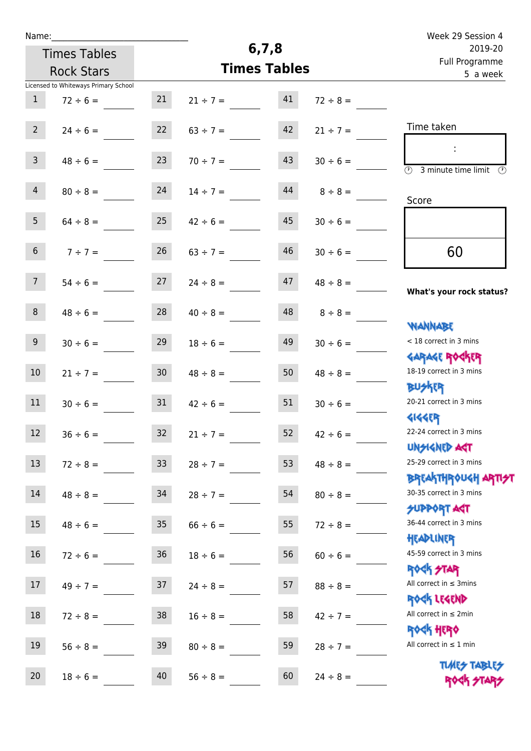| Name:                                |               |                 |                     |                                       |               | Week 29 Session 4                                                       |
|--------------------------------------|---------------|-----------------|---------------------|---------------------------------------|---------------|-------------------------------------------------------------------------|
| <b>Times Tables</b>                  |               |                 | 6, 7, 8             | 2019-20<br>Full Programme<br>5 a week |               |                                                                         |
| <b>Rock Stars</b>                    |               |                 | <b>Times Tables</b> |                                       |               |                                                                         |
| Licensed to Whiteways Primary School |               |                 |                     |                                       |               |                                                                         |
| $\mathbf{1}$                         | $72 \div 6 =$ | 21              | $21 \div 7 =$       | 41                                    | $72 \div 8 =$ |                                                                         |
| $2^{\circ}$                          | $24 \div 6 =$ | 22              | $63 \div 7 =$       | 42                                    | $21 \div 7 =$ | Time taken                                                              |
| $\overline{3}$                       | $48 \div 6 =$ | 23              | $70 \div 7 =$       | 43                                    | $30 \div 6 =$ | ÷<br>$\overline{(\mathcal{V})}$<br>3 minute time limit<br>$\mathcal{O}$ |
| $\overline{4}$                       | $80 \div 8 =$ | 24              | $14 \div 7 =$       | 44                                    | $8 \div 8 =$  | Score                                                                   |
| 5 <sub>1</sub>                       | $64 \div 8 =$ | 25              | $42 \div 6 =$       | 45                                    | $30 \div 6 =$ |                                                                         |
| 6 <sup>1</sup>                       | $7 ÷ 7 =$     | 26              | $63 \div 7 =$       | 46                                    | $30 \div 6 =$ | 60                                                                      |
| 7 <sup>7</sup>                       | $54 \div 6 =$ | 27              | $24 \div 8 =$       | 47                                    | $48 \div 8 =$ | What's your rock status?                                                |
| 8                                    | $48 \div 6 =$ | 28              | $40 \div 8 =$       | 48                                    | $8 \div 8 =$  |                                                                         |
| 9 <sup>°</sup>                       | $30 \div 6 =$ | 29              | $18 \div 6 =$       | 49                                    | $30 \div 6 =$ | <b>NANNABE</b><br>< 18 correct in 3 mins                                |
| 10                                   | $21 \div 7 =$ | 30 <sup>°</sup> | $48 \div 8 =$       | 50                                    | $48 \div 8 =$ | <b>GARAGE ROGKER</b><br>18-19 correct in 3 mins                         |
| 11                                   | $30 \div 6 =$ | 31              | $42 \div 6 =$       | 51                                    | $30 \div 6 =$ | <b>BUSKER</b><br>20-21 correct in 3 mins                                |
| 12                                   | $36 \div 6 =$ | 32              | $21 \div 7 =$       | 52                                    | $42 \div 6 =$ | <b>4144EP</b><br>22-24 correct in 3 mins<br><b>UNSIGNED AST</b>         |
| 13                                   | $72 \div 8 =$ | 33 <sup>°</sup> | $28 \div 7 =$       | 53                                    | $48 \div 8 =$ | 25-29 correct in 3 mins                                                 |
| 14                                   | $48 \div 8 =$ | 34              | $28 \div 7 =$       | 54                                    | $80 \div 8 =$ | BREAKTHRÓUGH ARTI <del>2</del> 1<br>30-35 correct in 3 mins             |
| 15                                   | $48 \div 6 =$ | 35 <sub>1</sub> | $66 \div 6 =$       | 55                                    | $72 \div 8 =$ | <b>SUPPORT AGT</b><br>36-44 correct in 3 mins                           |
| 16                                   | $72 \div 6 =$ | 36              | $18 \div 6 =$       | 56                                    | $60 \div 6 =$ | HEADLINER<br>45-59 correct in 3 mins                                    |
| 17                                   | $49 \div 7 =$ | 37              | $24 \div 8 =$       | 57                                    | $88 \div 8 =$ | ROCK STAR<br>All correct in $\leq$ 3mins                                |
| 18                                   | $72 \div 8 =$ | 38              | $16 \div 8 =$       | 58                                    | $42 \div 7 =$ | ROCK LEGEND<br>All correct in $\leq 2$ min                              |
| 19                                   | $56 \div 8 =$ | 39              | $80 \div 8 =$       | 59                                    | $28 \div 7 =$ | <b>ROCK HERO</b><br>All correct in $\leq 1$ min                         |
| 20                                   | $18 \div 6 =$ | 40              | $56 \div 8 =$       | 60                                    | $24 \div 8 =$ | <b>TUARS TABLES</b><br>ROCK STARS                                       |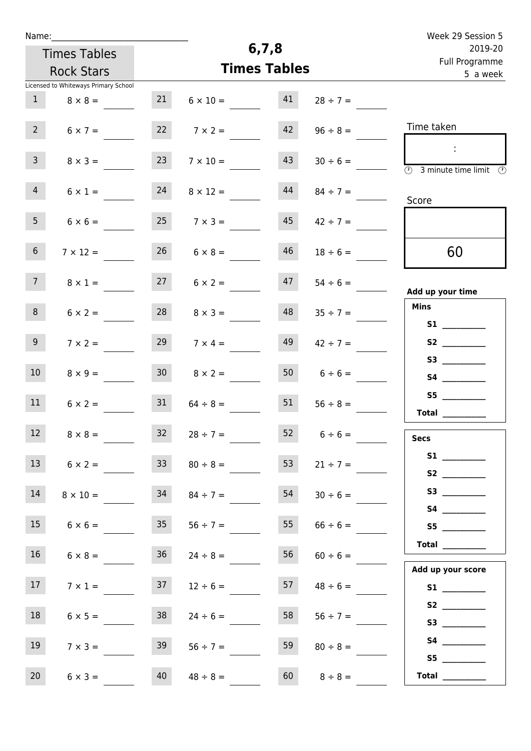| Week 29 Session 5                                                                  |                    |         |                      |                 | Name:                                |                 |  |  |  |
|------------------------------------------------------------------------------------|--------------------|---------|----------------------|-----------------|--------------------------------------|-----------------|--|--|--|
| 2019-20                                                                            |                    | 6, 7, 8 |                      |                 | <b>Times Tables</b>                  |                 |  |  |  |
| Full Programme                                                                     |                    |         | <b>Times Tables</b>  |                 | <b>Rock Stars</b>                    |                 |  |  |  |
| 5 a week                                                                           |                    |         |                      |                 | Licensed to Whiteways Primary School |                 |  |  |  |
|                                                                                    | $28 \div 7 =$      | 41      | $6 \times 10 =$      | 21              | $8 \times 8 =$                       | 1               |  |  |  |
| Time taken                                                                         | $96 \div 8 =$      | 42      | $7 \times 2 =$       | 22              | $6 \times 7 =$                       | 2 <sup>7</sup>  |  |  |  |
| ÷<br>$\overline{\textcircled{1}}$ 3 minute time limit $\overline{\textcircled{1}}$ | $30 \div 6 =$      | 43      | $7 \times 10 =$      | 23              | $8 \times 3 =$                       | 3 <sup>7</sup>  |  |  |  |
| Score                                                                              | $84 \div 7 =$      | 44      | $8 \times 12 =$      | 24              | $6 \times 1 =$                       | 4               |  |  |  |
|                                                                                    | $42 \div 7 =$      | 45      | $25 \t 7 \times 3 =$ |                 | $6 \times 6 =$                       | 5 <sub>1</sub>  |  |  |  |
| 60                                                                                 | $18 \div 6 =$      | 46      | $6 \times 8 =$       | 26              | $7 \times 12 =$                      | 6 <sup>1</sup>  |  |  |  |
| Add up your time                                                                   | $54 \div 6 =$      | 47      | $6 \times 2 =$       | 27              | $8 \times 1 =$                       | 7 <sup>7</sup>  |  |  |  |
| <b>Mins</b>                                                                        | $35 \div 7 =$      | 48      | $8 \times 3 =$       | 28              | $6 \times 2 =$                       | 8               |  |  |  |
|                                                                                    | $42 \div 7 =$      | 49      | $7 \times 4 =$       | 29              | $7 \times 2 =$                       | 9 <sub>o</sub>  |  |  |  |
|                                                                                    | $6 \div 6 =$       | 50      | $8 \times 2 =$       | 30 <sup>°</sup> | $8 \times 9 =$                       | 10 <sup>°</sup> |  |  |  |
| S5<br>Total $\_\_$                                                                 | $56 \div 8 =$      | 51      | $64 \div 8 =$        | 31              | $6 \times 2 =$                       | 11              |  |  |  |
| <b>Secs</b>                                                                        | $52 \t 6 \div 6 =$ |         | $32 \t 28 \div 7 =$  |                 | $8 \times 8 =$                       | 12              |  |  |  |
|                                                                                    | $21 \div 7 =$      | 53      | $80 \div 8 =$        | 33 <sup>°</sup> | $6 \times 2 =$                       | 13              |  |  |  |
|                                                                                    | $30 \div 6 =$      | 54      | $84 \div 7 =$        | 34              | $8 \times 10 =$                      | 14              |  |  |  |
| S5                                                                                 | $66 \div 6 =$      | 55      | $56 \div 7 =$        | 35              | $6 \times 6 =$                       | 15              |  |  |  |
| Total                                                                              | $60 \div 6 =$      | 56      | $24 \div 8 =$        | 36              | $6 \times 8 =$                       | 16              |  |  |  |
| Add up your score                                                                  | $48 \div 6 =$      | 57      | $12 \div 6 =$        | 37              | $7 \times 1 =$                       | 17              |  |  |  |
| S3                                                                                 | $56 \div 7 =$      | 58      | $24 \div 6 =$        | 38              | $6 \times 5 =$                       | 18              |  |  |  |
|                                                                                    | $80 \div 8 =$      | 59      | $56 \div 7 =$        | 39              | $7 \times 3 =$                       | 19              |  |  |  |
| S5<br>Total $\frac{1}{1}$                                                          | $8 \div 8 =$       | 60      | $48 \div 8 =$        | 40              | $6 \times 3 =$                       | 20              |  |  |  |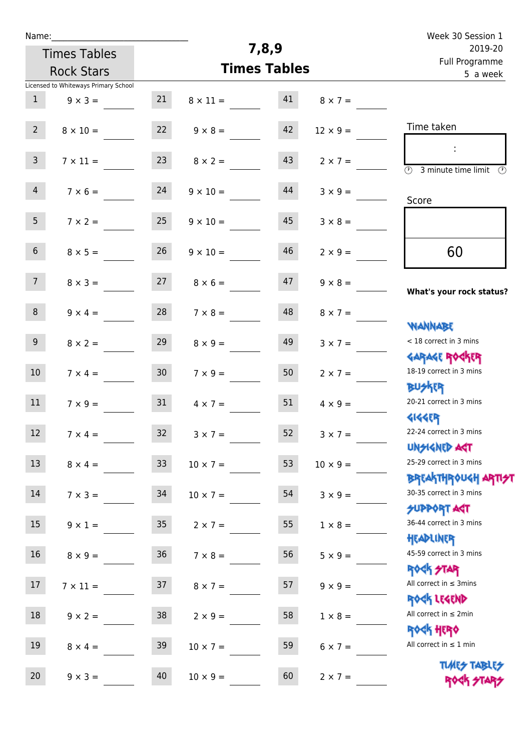| Week 30 Session 1                                                |                 |                     |                 |                 | Name:                                |                 |
|------------------------------------------------------------------|-----------------|---------------------|-----------------|-----------------|--------------------------------------|-----------------|
| 2019-20<br>Full Programme                                        |                 | 7,8,9               |                 |                 | <b>Times Tables</b>                  |                 |
| 5 a week                                                         |                 | <b>Times Tables</b> |                 |                 | <b>Rock Stars</b>                    |                 |
|                                                                  |                 |                     |                 |                 | Licensed to Whiteways Primary School |                 |
|                                                                  | $8 \times 7 =$  | 41                  | $8 \times 11 =$ | 21              | $9 \times 3 =$                       | $\mathbf{1}$    |
| Time taken                                                       | $12 \times 9 =$ | 42                  | $9 \times 8 =$  | 22              | $8 \times 10 =$                      | $2^{\circ}$     |
| ÷                                                                | $2 \times 7 =$  | 43                  | $8 \times 2 =$  | 23              | $7 \times 11 =$                      | $\mathsf{3}$    |
| $\overline{\mathcal{O}}$<br>3 minute time limit<br>$\mathcal{O}$ |                 |                     |                 |                 |                                      |                 |
| Score                                                            | $3 \times 9 =$  | 44                  | $9 \times 10 =$ | 24              | $7 \times 6 =$                       | $\overline{4}$  |
|                                                                  | $3 \times 8 =$  | 45                  | $9 \times 10 =$ | 25              | $7 \times 2 =$                       | 5 <sub>1</sub>  |
| 60                                                               | $2 \times 9 =$  | 46                  | $9 \times 10 =$ | 26              | $8 \times 5 =$                       | 6 <sup>1</sup>  |
| What's your rock status?                                         | $9 \times 8 =$  | 47                  | $8 \times 6 =$  | 27              | $8 \times 3 =$                       | 7 <sup>1</sup>  |
|                                                                  | $8 \times 7 =$  | 48                  | $7 \times 8 =$  | 28              | $9 \times 4 =$                       | 8               |
| <b>NANNABE</b><br>< 18 correct in 3 mins                         | $3 \times 7 =$  | 49                  | $8 \times 9 =$  | 29              | $8 \times 2 =$                       | 9               |
| <b>GARAGE ROCKER</b><br>18-19 correct in 3 mins                  | $2 \times 7 =$  | 50                  | $7 \times 9 =$  | 30 <sub>o</sub> | $7 \times 4 =$                       | 10 <sup>°</sup> |
| <b>BUSKER</b><br>20-21 correct in 3 mins                         | $4 \times 9 =$  | 51                  | $4 \times 7 =$  | 31              | $7 \times 9 =$                       | 11              |
| <b>4144EP</b><br>22-24 correct in 3 mins                         | $3 \times 7 =$  | 52                  | $3 \times 7 =$  | 32              | $7 \times 4 =$                       | 12 <sub>2</sub> |
| <b>UNSIGNED AGT</b><br>25-29 correct in 3 mins                   | $10 \times 9 =$ | 53                  | $10 \times 7 =$ | 33 <sup>°</sup> | $8 \times 4 =$                       | 13              |
| ΒΡΓΑΚΤΗΡΟUGH ΑΡΤΙ <del>2</del> Τ<br>30-35 correct in 3 mins      | $3 \times 9 =$  | 54                  | $10 \times 7 =$ | 34              | $7 \times 3 =$                       | 14              |
| <b>SUPPORT AGT</b><br>36-44 correct in 3 mins                    | $1 \times 8 =$  | 55                  | $2 \times 7 =$  | 35              | $9 \times 1 =$                       | 15              |
| HEADLINER<br>45-59 correct in 3 mins                             | $5 \times 9 =$  | 56                  | $7 \times 8 =$  | 36 <sup>°</sup> | $8 \times 9 =$                       | 16              |
| <b>ROCK STAR</b><br>All correct in $\leq$ 3mins                  | $9 \times 9 =$  | 57                  | $8 \times 7 =$  | 37              | $7 \times 11 =$                      | 17              |
| ROCK LEGEND<br>All correct in $\leq 2$ min                       | $1 \times 8 =$  | 58                  | $2 \times 9 =$  | 38              | $9 \times 2 =$                       | 18              |
| <b>ROCK HERO</b><br>All correct in $\leq 1$ min                  | $6 \times 7 =$  | 59                  | $10 \times 7 =$ | 39              | $8 \times 4 =$                       | 19              |
| <b>TUARS TABLES</b><br>ROCK STARS                                | $2 \times 7 =$  | 60                  | $10 \times 9 =$ | 40              | $9 \times 3 =$                       | 20              |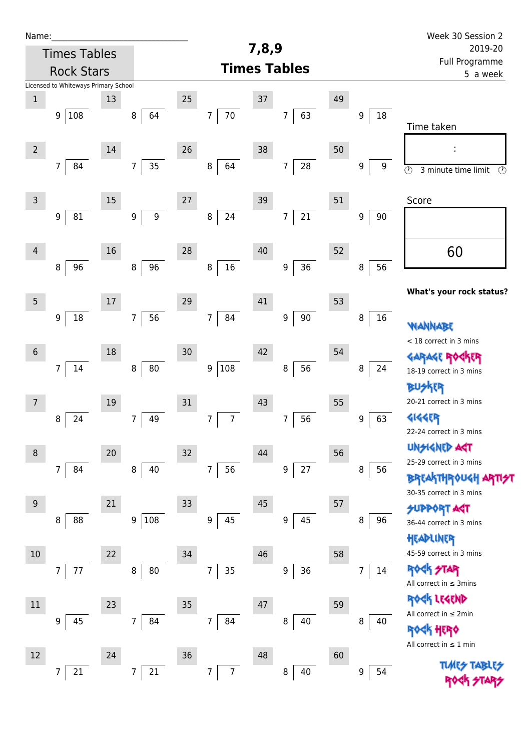| Name:          |                                      |        |                                      |        |                                  |       |                              |    |                      | Week 30 Session 2                                          |
|----------------|--------------------------------------|--------|--------------------------------------|--------|----------------------------------|-------|------------------------------|----|----------------------|------------------------------------------------------------|
|                | <b>Times Tables</b>                  |        |                                      |        |                                  | 7,8,9 |                              |    |                      | 2019-20                                                    |
|                | <b>Rock Stars</b>                    |        |                                      |        |                                  |       | <b>Times Tables</b>          |    |                      | Full Programme<br>5 a week                                 |
|                | Licensed to Whiteways Primary School |        |                                      |        |                                  |       |                              |    |                      |                                                            |
| $\,1$          |                                      | 13     |                                      | 25     |                                  | 37    |                              | 49 |                      |                                                            |
|                | 108<br>9 <sup>1</sup>                |        | 64<br>8                              |        | 70<br>$\overline{7}$             |       | 63<br>7                      |    | 18<br>9              | Time taken                                                 |
|                |                                      |        |                                      |        |                                  |       |                              |    |                      |                                                            |
| $\overline{2}$ |                                      | 14     |                                      | 26     |                                  | 38    |                              | 50 |                      |                                                            |
|                | $\overline{7}$<br>84                 |        | 35<br>$\overline{7}$                 |        | 8<br>64                          |       | ${\bf 28}$<br>$\overline{7}$ |    | 9<br>9               | $\overline{\circ}$<br>3 minute time limit<br>$\circled{r}$ |
|                |                                      |        |                                      |        |                                  |       |                              |    |                      |                                                            |
| $\mathsf{3}$   |                                      | $15\,$ |                                      | $27\,$ |                                  | 39    |                              | 51 |                      | Score                                                      |
|                | 81<br>9                              |        | $\boldsymbol{9}$<br>$\boldsymbol{9}$ |        | 24<br>$\bf 8$                    |       | 21<br>7                      |    | 90<br>9              |                                                            |
|                |                                      |        |                                      |        |                                  |       |                              |    |                      |                                                            |
| $\overline{4}$ |                                      | 16     |                                      | 28     |                                  | 40    |                              | 52 |                      | 60                                                         |
|                | 96<br>8                              |        | 96<br>$\, 8$                         |        | $16\,$<br>$\bf 8$                |       | 36<br>$\boldsymbol{9}$       |    | 56<br>8              |                                                            |
|                |                                      |        |                                      |        |                                  |       |                              |    |                      |                                                            |
| $\overline{5}$ |                                      | $17\,$ |                                      | 29     |                                  | 41    |                              | 53 |                      | What's your rock status?                                   |
|                | 18<br>$\boldsymbol{9}$               |        | 56<br>$\overline{7}$                 |        | 84<br>$\overline{7}$             |       | $90\,$<br>9                  |    | 16<br>8              |                                                            |
|                |                                      |        |                                      |        |                                  |       |                              |    |                      | wannabe<br>< 18 correct in 3 mins                          |
| $\sqrt{6}$     |                                      | 18     |                                      | 30     |                                  | 42    |                              | 54 |                      | <b>TR</b><br><b>GARAGE RO</b>                              |
|                | 14<br>7                              |        | 80<br>$\, 8$                         |        | 108<br>9                         |       | 56<br>8                      |    | 24<br>8              | 18-19 correct in 3 mins                                    |
|                |                                      |        |                                      |        |                                  |       |                              |    |                      | <b>BUSKER</b>                                              |
| 7              |                                      | 19     |                                      | 31     |                                  | 43    |                              | 55 |                      | 20-21 correct in 3 mins                                    |
|                | 24<br>8                              |        | 49<br>7                              |        | $\overline{7}$<br>$\overline{7}$ |       | $\overline{7}$<br>56         |    | 63<br>9              | <b>4144EP</b>                                              |
|                |                                      |        |                                      |        |                                  |       |                              |    |                      | 22-24 correct in 3 mins                                    |
| $\,8\,$        |                                      | 20     |                                      | 32     |                                  | 44    |                              | 56 |                      | <b>UNSIGNED AGT</b>                                        |
|                | $\overline{7}$<br>84                 |        | $\,8\,$<br>40                        |        | $\overline{7}$<br>56             |       | $27\,$<br>9                  |    | 56<br>8              | 25-29 correct in 3 mins                                    |
|                |                                      |        |                                      |        |                                  |       |                              |    |                      | <b>BREAKTHROUGH</b>                                        |
| $9\,$          |                                      | 21     |                                      | 33     |                                  | 45    |                              | 57 |                      | 30-35 correct in 3 mins                                    |
|                | 88<br>8                              |        | 108<br>9                             |        | 45<br>$\boldsymbol{9}$           |       | 45<br>$\boldsymbol{9}$       |    | 96<br>8              | <b>SUPPORT AGT</b><br>36-44 correct in 3 mins              |
|                |                                      |        |                                      |        |                                  |       |                              |    |                      | HEADLINER                                                  |
| $10\,$         |                                      | 22     |                                      | 34     |                                  | 46    |                              | 58 |                      | 45-59 correct in 3 mins                                    |
|                | 7<br>77                              |        | 80<br>8                              |        | $\overline{7}$<br>35             |       | 36<br>$\boldsymbol{9}$       |    | 14<br>$\overline{7}$ | <b>ROCK STAR</b>                                           |
|                |                                      |        |                                      |        |                                  |       |                              |    |                      | All correct in $\leq$ 3mins                                |
| 11             |                                      | 23     |                                      | 35     |                                  | 47    |                              | 59 |                      | ROCK LEGEND                                                |
|                | 9<br>45                              |        | $\overline{7}$<br>84                 |        | $\overline{7}$<br>84             |       | 40<br>8                      |    | 8<br>40              | All correct in $\leq 2$ min                                |
|                |                                      |        |                                      |        |                                  |       |                              |    |                      | <b><k b="" her0<=""></k></b>                               |
| 12             |                                      | 24     |                                      | 36     |                                  | 48    |                              | 60 |                      | All correct in $\leq 1$ min                                |
|                | 21<br>7                              |        | 21<br>7                              |        | $\overline{7}$<br>$\overline{7}$ |       | 40<br>8                      |    | 54<br>9              | <b>TUARS TABLES</b>                                        |
|                |                                      |        |                                      |        |                                  |       |                              |    |                      |                                                            |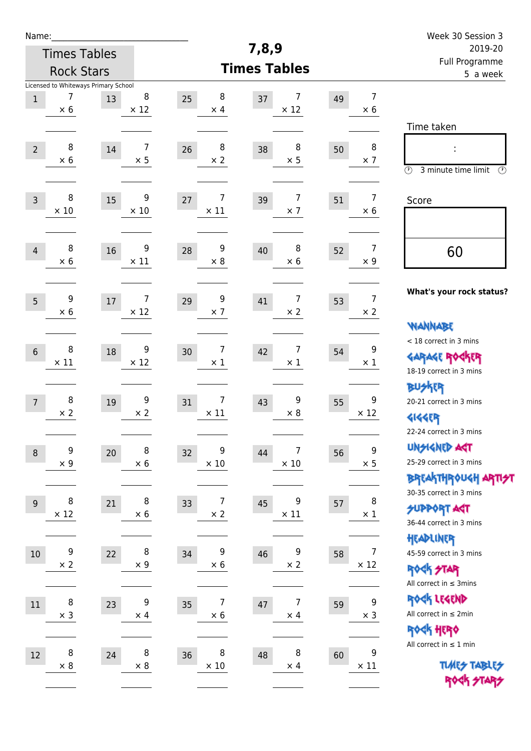| Name:          |                                                         |    |                              |                                    |                        |    |                               | Week 30 Session 3                                                                               |
|----------------|---------------------------------------------------------|----|------------------------------|------------------------------------|------------------------|----|-------------------------------|-------------------------------------------------------------------------------------------------|
|                | 7,8,9<br><b>Times Tables</b>                            |    |                              |                                    |                        |    |                               | 2019-20                                                                                         |
|                | <b>Rock Stars</b>                                       |    |                              |                                    | <b>Times Tables</b>    |    |                               | Full Programme<br>5 a week                                                                      |
| $\mathbf 1$    | Licensed to Whiteways Primary School<br>7<br>$\times 6$ | 13 | 8<br>$\times$ 12             | 8<br>25<br>$\times$ 4              | 7<br>37<br>$\times$ 12 | 49 | $\overline{7}$<br>$\times 6$  |                                                                                                 |
| $\overline{2}$ | 8<br>$\times$ 6                                         | 14 | $\overline{7}$<br>$\times$ 5 | 8<br>26<br>$\times 2$              | 8<br>38<br>$\times$ 5  | 50 | 8<br>$\times$ 7               | Time taken<br>Ì,<br>$\circled{r}$<br>3 minute time limit<br>⊕                                   |
| $\overline{3}$ | 8<br>$\times$ 10                                        | 15 | 9<br>$\times 10$             | 7<br>27<br>$\times$ 11             | 7<br>39<br>$\times$ 7  | 51 | $\overline{7}$<br>$\times 6$  | Score                                                                                           |
| $\overline{4}$ | 8<br>$\times$ 6                                         | 16 | 9<br>$\times$ 11             | 9<br>28<br>$\times 8$              | 8<br>40<br>$\times$ 6  | 52 | $\overline{7}$<br>$\times$ 9  | 60                                                                                              |
| 5              | 9<br>$\times 6$                                         | 17 | 7<br>$\times$ 12             | 9<br>29<br>$\times$ 7              | 7<br>41<br>$\times 2$  | 53 | $\overline{7}$<br>$\times 2$  | What's your rock status?<br><b>WANNABE</b>                                                      |
| $6\phantom{1}$ | 8<br>$\times$ 11                                        | 18 | 9<br>$\times$ 12             | 7<br>30<br>$\times$ 1              | 7<br>42<br>$\times$ 1  | 54 | 9<br>$\times$ 1               | < 18 correct in 3 mins<br><b>GARAGE ROCKER</b><br>18-19 correct in 3 mins                       |
| $\overline{7}$ | 8<br>$\times 2$                                         | 19 | 9<br>$\times$ 2              | 7<br>31<br>$\times$ 11             | 9<br>43<br>$\times$ 8  | 55 | 9<br>$\times$ 12              | BUSKER<br>20-21 correct in 3 mins<br><b>4144EP</b><br>22-24 correct in 3 mins                   |
| $\,8\,$        | 9<br>$\times$ 9                                         | 20 | 8<br>$\times$ 6              | 9<br>32<br>$\times$ 10             | 7<br>44<br>$\times$ 10 | 56 | $\mathsf 9$<br>$\times$ 5     | <b>UNSIGNED AGT</b><br>25-29 correct in 3 mins<br>ΒΡΓΑ <sup>Κ</sup> ΤΗΡΟυΚΗ ΑΡΤΙ <del>2</del> Τ |
| 9              | 8<br>$\times$ 12                                        | 21 | 8<br>$\times$ 6              | 7<br>33<br>$\times$ 2              | 9<br>45<br>$\times$ 11 | 57 | 8<br>$\times$ 1               | 30-35 correct in 3 mins<br><b>SUPPORT AGT</b><br>36-44 correct in 3 mins                        |
| $10\,$         | 9<br>$\times 2$                                         | 22 | 8<br>$\times$ 9              | 9<br>34<br>$\times$ 6              | 9<br>46<br>$\times$ 2  | 58 | $\overline{7}$<br>$\times$ 12 | HEADLINER<br>45-59 correct in 3 mins<br><b>ROCK STAR</b><br>All correct in $\leq$ 3mins         |
| 11             | 8<br>$\times$ 3                                         | 23 | 9<br>$\times$ 4              | $\overline{7}$<br>35<br>$\times$ 6 | 7<br>47<br>$\times$ 4  | 59 | 9<br>$\times$ 3               | ROCK LEGEND<br>All correct in $\leq 2$ min<br>ROCK HERO                                         |
| 12             | 8<br>$\times$ 8                                         | 24 | 8<br>$\times$ 8              | 8<br>36<br>$\times$ 10             | 8<br>48<br>$\times$ 4  | 60 | 9<br>$\times$ 11              | All correct in $\leq 1$ min<br><b>TUARS TABLES</b><br>ROCK STARS                                |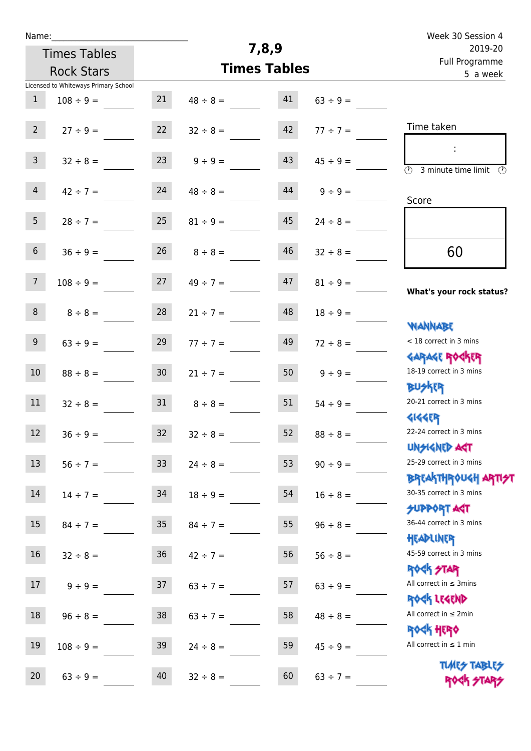| Name:           |                                      |                 |               |                     |               | Week 30 Session 4                                                |
|-----------------|--------------------------------------|-----------------|---------------|---------------------|---------------|------------------------------------------------------------------|
|                 | <b>Times Tables</b>                  |                 |               | 7,8,9               |               | 2019-20                                                          |
|                 | <b>Rock Stars</b>                    |                 |               | <b>Times Tables</b> |               | Full Programme<br>5 a week                                       |
|                 | Licensed to Whiteways Primary School |                 |               |                     |               |                                                                  |
| $\mathbf{1}$    | $108 \div 9 =$                       | 21              | $48 \div 8 =$ | 41                  | $63 \div 9 =$ |                                                                  |
| $2^{\circ}$     | $27 \div 9 =$                        | 22              | $32 \div 8 =$ | 42                  | $77 \div 7 =$ | Time taken                                                       |
| $\mathsf{3}$    | $32 \div 8 =$                        | 23              | $9 ÷ 9 =$     | 43                  | $45 \div 9 =$ | $\overline{\mathcal{O}}$<br>3 minute time limit<br>$\mathcal{O}$ |
| $\overline{4}$  | $42 \div 7 =$                        | 24              | $48 \div 8 =$ | 44                  | $9 \div 9 =$  | Score                                                            |
| 5 <sup>5</sup>  | $28 \div 7 =$                        | 25              | $81 \div 9 =$ | 45                  | $24 \div 8 =$ |                                                                  |
| 6               | $36 \div 9 =$                        | 26              | $8 \div 8 =$  | 46                  | $32 \div 8 =$ | 60                                                               |
| $7\overline{ }$ | $108 \div 9 =$                       | 27              | $49 \div 7 =$ | 47                  | $81 \div 9 =$ | What's your rock status?                                         |
| 8               | $8 \div 8 =$                         | 28              | $21 ÷ 7 =$    | 48                  | $18 \div 9 =$ |                                                                  |
| 9               | $63 \div 9 =$                        | 29              | $77 ÷ 7 =$    | 49                  | $72 \div 8 =$ | <b>NANNABE</b><br>< 18 correct in 3 mins                         |
| 10              | $88 \div 8 =$                        | 30 <sub>o</sub> | $21 \div 7 =$ | 50                  | $9 \div 9 =$  | <b>GARAGE ROCKER</b><br>18-19 correct in 3 mins                  |
| 11              | $32 \div 8 =$                        | 31              | $8 \div 8 =$  | 51                  | $54 \div 9 =$ | <b>BUSKER</b><br>20-21 correct in 3 mins                         |
| 12              | $36 ÷ 9 =$                           | 32              | $32 \div 8 =$ | 52                  | $88 \div 8 =$ | <b>4144EP</b><br>22-24 correct in 3 mins<br><b>UNSIGNED AST</b>  |
| 13              | $56 ÷ 7 =$                           | 33 <sup>°</sup> | $24 \div 8 =$ | 53                  | $90 \div 9 =$ | 25-29 correct in 3 mins                                          |
| 14              | $14 \div 7 =$                        | 34              | $18 \div 9 =$ | 54                  | $16 \div 8 =$ | BREAKTHRÓUGH ARTI <del>2</del> 1<br>30-35 correct in 3 mins      |
| 15              | $84 \div 7 =$                        | 35              | $84 \div 7 =$ | 55                  | $96 \div 8 =$ | <b>SUPPORT AGT</b><br>36-44 correct in 3 mins                    |
| 16              | $32 \div 8 =$                        | 36              | $42 \div 7 =$ | 56                  | $56 \div 8 =$ | HEADLINER<br>45-59 correct in 3 mins                             |
| 17              | $9 ÷ 9 =$                            | 37              | $63 \div 7 =$ | 57                  | $63 ÷ 9 =$    | ROCK STAR<br>All correct in $\leq$ 3mins                         |
| 18              | $96 \div 8 =$                        | 38              | $63 \div 7 =$ | 58                  | $48 \div 8 =$ | ROCK LEGEND<br>All correct in $\leq 2$ min                       |
| 19              | $108 \div 9 =$                       | 39              | $24 \div 8 =$ | 59                  | $45 \div 9 =$ | ROCK HERO<br>All correct in $\leq 1$ min                         |
| 20              | $63 ÷ 9 =$                           | 40              | $32 \div 8 =$ | 60                  | $63 \div 7 =$ | <b>TUARS TABLES</b><br>ROCK STARS                                |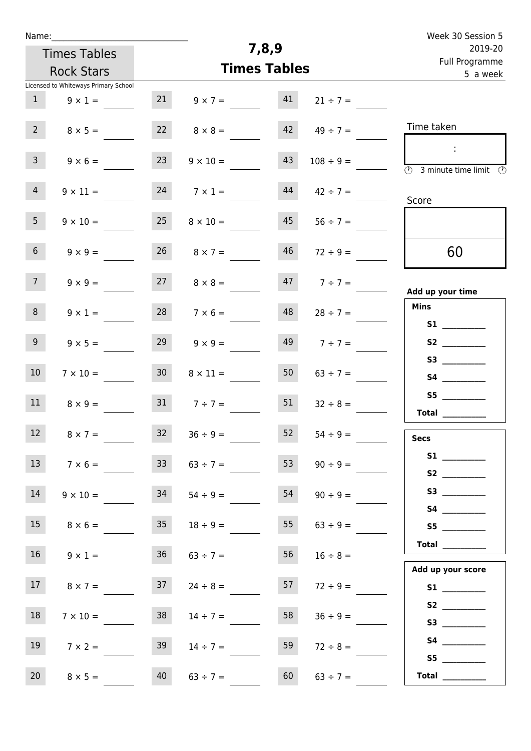| Name:                                                             | Week 30 Session 5                          |                                                                    |
|-------------------------------------------------------------------|--------------------------------------------|--------------------------------------------------------------------|
| <b>Times Tables</b>                                               | 7,8,9                                      | 2019-20<br>Full Programme                                          |
| <b>Rock Stars</b>                                                 | <b>Times Tables</b>                        | 5 a week                                                           |
| Licensed to Whiteways Primary School<br>21<br>1<br>$9 \times 1 =$ | 41<br>$9 \times 7 =$<br>$21 \div 7 =$      |                                                                    |
| 2<br>$8 \times 5 =$                                               | $8 \times 8 =$<br>$42 \t 49 \div 7 =$      | Time taken                                                         |
| 3 <sup>7</sup><br>23<br>$9 \times 6 =$                            | 43<br>$9 \times 10 =$<br>$108 \div 9 =$    | $\overline{\textcircled{1}}$ 3 minute time limit $\textcircled{2}$ |
| $\overline{4}$<br>24<br>$9 \times 11 =$                           | 44<br>$7 \times 1 =$<br>$42 \div 7 =$      | Score                                                              |
| 5 <sub>1</sub><br>25<br>$9 \times 10 =$                           | 45<br>$8 \times 10 =$<br>$56 \div 7 =$     |                                                                    |
| 26<br>6 <sup>1</sup><br>$9 \times 9 =$                            | 46<br>$8 \times 7 =$<br>$72 \div 9 =$      | 60                                                                 |
| 27<br>7 <sup>7</sup><br>$9 \times 9 =$                            | 47<br>$8 \times 8 =$<br>$7 ÷ 7 =$          | Add up your time                                                   |
| 8<br>$9 \times 1 =$                                               | $28$ $7 \times 6 =$<br>48<br>$28 \div 7 =$ | <b>Mins</b>                                                        |
| 9 <sub>o</sub><br>29<br>$9 \times 5 =$                            | $149$ $7 \div 7 =$<br>$9 \times 9 =$       | <b>S2 S2</b>                                                       |
| 10 <sup>°</sup><br>30 <sup>1</sup><br>$7 \times 10 =$             | 50<br>$8 \times 11 =$<br>$63 \div 7 =$     |                                                                    |
| 31<br>11<br>$8 \times 9 =$                                        | 51<br>$7 ÷ 7 =$<br>$32 \div 8 =$           | S5<br>Total                                                        |
| 12 <sub>2</sub><br>32<br>$8 \times 7 =$                           | $36 \div 9 =$<br>52<br>$54 \div 9 =$       | <b>Secs</b>                                                        |
| 13<br>33<br>$7 \times 6 =$                                        | 53<br>$63 \div 7 =$<br>$90 \div 9 =$       |                                                                    |
| 14<br>34<br>$9 \times 10 =$                                       | 54<br>$54 \div 9 =$<br>$90 \div 9 =$       | S4                                                                 |
| 15<br>35 <sub>1</sub><br>$8 \times 6 =$                           | 55<br>$18 \div 9 =$<br>$63 \div 9 =$       |                                                                    |
| 16 <sup>1</sup><br>36 <sub>2</sub><br>$9 \times 1 =$              | 56<br>$63 \div 7 =$<br>$16 \div 8 =$       | Total                                                              |
| 37<br>17 <sub>1</sub><br>$8 \times 7 =$                           | 57<br>$24 \div 8 =$<br>$72 \div 9 =$       | Add up your score<br>S1                                            |
| 18<br>38<br>$7 \times 10 =$                                       | 58<br>$14 \div 7 =$<br>$36 \div 9 =$       | S2<br>S3                                                           |
| 19<br>39<br>$7 \times 2 =$                                        | 59<br>$14 \div 7 =$<br>$72 \div 8 =$       | S4                                                                 |
| 20<br>40<br>$8 \times 5 =$                                        | 60<br>$63 \div 7 =$<br>$63 \div 7 =$       | S5<br><b>Total</b> __________                                      |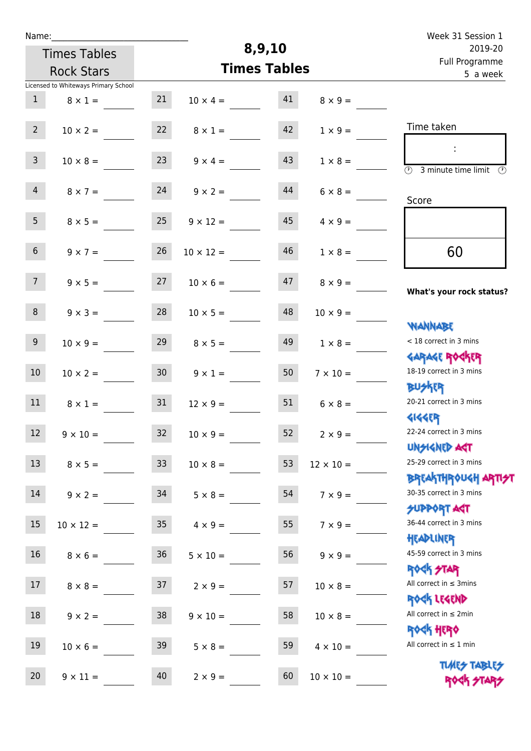| Name:            |                                      |                 |                  |                     |                  | Week 31 Session 1                                                         |
|------------------|--------------------------------------|-----------------|------------------|---------------------|------------------|---------------------------------------------------------------------------|
|                  | <b>Times Tables</b>                  |                 |                  | 8,9,10              |                  | 2019-20                                                                   |
|                  | <b>Rock Stars</b>                    |                 |                  | <b>Times Tables</b> |                  | Full Programme<br>5 a week                                                |
|                  | Licensed to Whiteways Primary School |                 |                  |                     |                  |                                                                           |
| 1                | $8 \times 1 =$                       | 21              | $10 \times 4 =$  | 41                  | $8 \times 9 =$   |                                                                           |
| 2 <sup>7</sup>   | $10 \times 2 =$                      | 22              | $8 \times 1 =$   | 42                  | $1 \times 9 =$   | Time taken                                                                |
| $\mathbf{3}$     | $10 \times 8 =$                      | 23              | $9 \times 4 =$   | 43                  | $1 \times 8 =$   | $\mathcal{L}$<br>$\overline{(\mathcal{V})}$<br>3 minute time limit<br>- O |
| $\overline{4}$   | $8 \times 7 =$                       | 24              | $9 \times 2 =$   | 44                  | $6 \times 8 =$   | Score                                                                     |
| 5 <sub>1</sub>   | $8 \times 5 =$                       | 25              | $9 \times 12 =$  | 45                  | $4 \times 9 =$   |                                                                           |
| 6 <sup>1</sup>   | $9 \times 7 =$                       | 26              | $10 \times 12 =$ | 46                  | $1 \times 8 =$   | 60                                                                        |
| 7 <sup>7</sup>   | $9 \times 5 =$                       | 27              | $10 \times 6 =$  | 47                  | $8 \times 9 =$   | What's your rock status?                                                  |
| 8                | $9 \times 3 =$                       | 28              | $10 \times 5 =$  | 48                  | $10 \times 9 =$  |                                                                           |
| 9 <sub>o</sub>   | $10 \times 9 =$                      | 29              | $8 \times 5 =$   | 49                  | $1 \times 8 =$   | <b>NANNABE</b><br>< 18 correct in 3 mins                                  |
| 10 <sup>°</sup>  | $10 \times 2 =$                      | 30 <sub>2</sub> | $9 \times 1 =$   | 50                  | $7 \times 10 =$  | <b>GARAGE ROGKER</b><br>18-19 correct in 3 mins                           |
| 11               | $8 \times 1 =$                       | 31              | $12 \times 9 =$  | 51                  | $6 \times 8 =$   | <b>BUSKRR</b><br>20-21 correct in 3 mins                                  |
| 12 <sup>12</sup> | $9 \times 10 =$                      | 32              | $10 \times 9 =$  | 52                  | $2 \times 9 =$   | <b>4144EP</b><br>22-24 correct in 3 mins<br><b>UNSIGNED AST</b>           |
| 13               | $8 \times 5 =$                       | 33 <sup>°</sup> | $10 \times 8 =$  | 53                  | $12 \times 10 =$ | 25-29 correct in 3 mins                                                   |
| 14               | $9 \times 2 =$                       | 34              | $5 \times 8 =$   | 54                  | $7 \times 9 =$   | <b>BREAKTHROUGH ARTI<del>S</del>T</b><br>30-35 correct in 3 mins          |
| 15               | $10 \times 12 =$                     | 35 <sub>1</sub> | $4 \times 9 =$   | 55                  | $7 \times 9 =$   | <b>SUPPORT AGT</b><br>36-44 correct in 3 mins                             |
| 16               | $8 \times 6 =$                       | 36 <sup>°</sup> | $5 \times 10 =$  | 56                  | $9 \times 9 =$   | HEADLINER<br>45-59 correct in 3 mins                                      |
| 17               | $8 \times 8 =$                       | 37              | $2 \times 9 =$   | 57                  | $10 \times 8 =$  | <b>ROCK STAR</b><br>All correct in $\leq$ 3mins                           |
| 18               | $9 \times 2 =$                       | 38              | $9 \times 10 =$  | 58                  | $10 \times 8 =$  | ROCK LEGEND<br>All correct in $\leq 2$ min                                |
| 19               | $10 \times 6 =$                      | 39              | $5 \times 8 =$   | 59                  | $4 \times 10 =$  | <b>ROCK HERO</b><br>All correct in $\leq 1$ min                           |
| 20               | $9 \times 11 =$                      | 40              | $2 \times 9 =$   | 60                  | $10 \times 10 =$ | <b>TUARS TABLES</b><br>ROCK STARS                                         |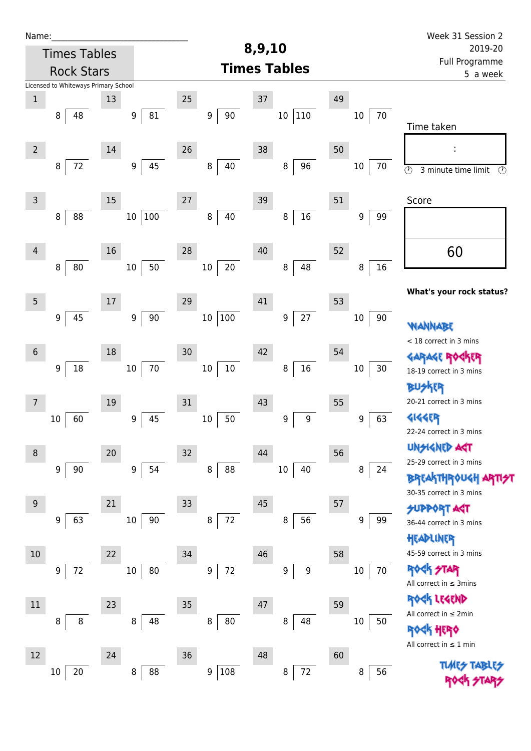| Name:           |                                      |        |                  |                            |                         |              | Week 31 Session 2                                          |
|-----------------|--------------------------------------|--------|------------------|----------------------------|-------------------------|--------------|------------------------------------------------------------|
|                 | <b>Times Tables</b>                  |        |                  |                            | 8,9,10                  | 2019-20      |                                                            |
|                 | <b>Rock Stars</b>                    |        |                  |                            | <b>Times Tables</b>     |              | Full Programme<br>5 a week                                 |
|                 | Licensed to Whiteways Primary School |        |                  |                            |                         |              |                                                            |
| $\mathbf 1$     |                                      | 13     |                  | 25                         | 37                      | 49           |                                                            |
|                 | 8<br>48                              |        | 81<br>9          | $90\,$<br>$\boldsymbol{9}$ | $ 110\rangle$<br>$10\,$ | 70<br>10     | Time taken                                                 |
| $\overline{2}$  |                                      | $14\,$ |                  | 26                         | 38                      | 50           |                                                            |
|                 | 72<br>8                              |        | 45<br>9          | 40<br>8                    | 96<br>8                 | $10\,$<br>70 | $\overline{\circ}$<br>3 minute time limit<br>$\circled{r}$ |
| $\mathsf{3}$    |                                      | 15     |                  | 27                         | 39                      | 51           | Score                                                      |
|                 | 88<br>8                              |        | 100<br>$10\,$    | 40<br>8                    | $16\,$<br>8             | 9<br>99      |                                                            |
| $\overline{4}$  |                                      | 16     |                  | 28                         | $40\,$                  | 52           | 60                                                         |
|                 | 80<br>8                              |        | 50<br>$10\,$     | $20\,$<br>$10\,$           | 48<br>$\bf 8$           | 16<br>8      |                                                            |
| $5\phantom{.0}$ |                                      | 17     |                  | 29                         | 41                      | 53           | What's your rock status?                                   |
|                 | 45<br>9                              |        | 90<br>9          | $100\,$<br>$10\,$          | 27<br>$\boldsymbol{9}$  | $10\,$<br>90 | WANNABE                                                    |
|                 |                                      |        |                  |                            |                         |              | < 18 correct in 3 mins                                     |
| $6\,$           |                                      | 18     |                  | 30                         | 42                      | 54           | <b>GARAGE RO</b>                                           |
|                 | 9<br>18                              |        | $70\,$<br>$10\,$ | $10\,$<br>$10\,$           | $16\,$<br>8             | 30<br>10     | 18-19 correct in 3 mins                                    |
|                 |                                      |        |                  |                            |                         |              | <b>BUSKER</b><br>20-21 correct in 3 mins                   |
| 7               |                                      | 19     |                  | 31                         | 43                      | 55           |                                                            |
|                 | 60<br>10                             |        | 45<br>9          | 50<br>$10\,$               | 9<br>9                  | 63<br>9      | 4144EP<br>22-24 correct in 3 mins                          |
|                 |                                      |        |                  |                            |                         |              | <b>UNGIGNED AGT</b>                                        |
| 8               |                                      | 20     |                  | 32                         | 44                      | 56           | 25-29 correct in 3 mins                                    |
|                 | 9<br>90                              |        | 54<br>9          | 8<br>88                    | 40<br>$10\,$            | 8<br>24      | <b>BREAKTHROUGH</b>                                        |
|                 |                                      |        |                  |                            |                         |              | 30-35 correct in 3 mins                                    |
| $9\,$           |                                      | 21     |                  | 33                         | 45                      | 57           | <b>SUPPORT AGT</b>                                         |
|                 | 63<br>9                              |        | 90<br>$10\,$     | $72\,$<br>8                | 56<br>8                 | 99<br>9      | 36-44 correct in 3 mins                                    |
|                 |                                      |        |                  |                            |                         |              | HEADLINER                                                  |
| 10              |                                      | 22     |                  | 34                         | 46                      | 58           | 45-59 correct in 3 mins                                    |
|                 | 72<br>9                              |        | 80<br>$10\,$     | 72<br>9                    | 9<br>9                  | 70<br>$10\,$ | <b>ROCK STAR</b><br>All correct in $\leq$ 3mins            |
| 11              |                                      | 23     |                  | 35                         | 47                      | 59           | ROCK LEGEND                                                |
|                 | 8<br>8                               |        | 48<br>8          | 80<br>8                    | 48<br>8                 | $10\,$<br>50 | All correct in $\leq 2$ min                                |
|                 |                                      |        |                  |                            |                         |              | <b>ROGK HERO</b>                                           |
| 12              |                                      | 24     |                  | 36                         | 48                      | 60           | All correct in $\leq 1$ min                                |
|                 | 20<br>10                             |        | 8<br>88          | 108<br>9                   | $72\,$<br>8             | 56<br>8      | <b>TLARS</b><br><b>TARLE</b>                               |
|                 |                                      |        |                  |                            |                         |              |                                                            |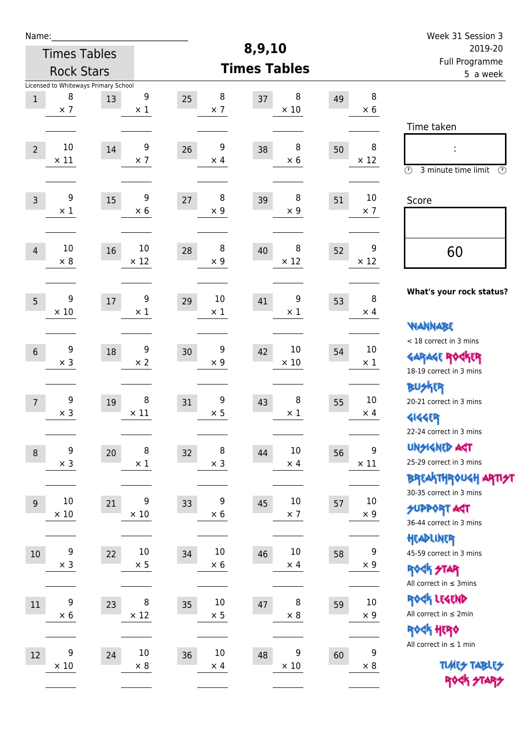| Name:           |                                                         |    |                                |                            |                            |    |                                | Week 31 Session 3<br>2019-20                                                                    |  |  |
|-----------------|---------------------------------------------------------|----|--------------------------------|----------------------------|----------------------------|----|--------------------------------|-------------------------------------------------------------------------------------------------|--|--|
|                 | <b>Times Tables</b>                                     |    |                                |                            | 8,9,10                     |    |                                |                                                                                                 |  |  |
|                 | <b>Rock Stars</b>                                       |    |                                |                            | <b>Times Tables</b>        |    |                                | Full Programme<br>5 a week                                                                      |  |  |
| $\mathbf 1$     | Licensed to Whiteways Primary School<br>8<br>$\times$ 7 | 13 | 9<br>$\times$ 1                | 8<br>25<br>$\times$ 7      | 8<br>37<br>$\times$ 10     | 49 | 8<br>$\times$ 6                |                                                                                                 |  |  |
| $\overline{2}$  | 10<br>$\times$ 11                                       | 14 | 9<br>$\times$ 7                | 9<br>26<br>$\times$ 4      | 8<br>38<br>$\times 6$      | 50 | 8<br>$\times$ 12               | Time taken<br>Ì,<br>$\circled{r}$<br>3 minute time limit<br>⊕                                   |  |  |
| $\overline{3}$  | 9<br>$\times$ 1                                         | 15 | 9<br>$\times 6$                | 8<br>27<br>$\times$ 9      | 8<br>39<br>$\times$ 9      | 51 | 10<br>$\times$ 7               | Score                                                                                           |  |  |
| $\overline{4}$  | 10<br>$\times 8$                                        | 16 | 10<br>$\times$ 12              | 8<br>28<br>$\times$ 9      | 8<br>40<br>$\times$ 12     | 52 | 9<br>$\times$ 12               | 60                                                                                              |  |  |
| $5\overline{)}$ | 9<br>$\times$ 10                                        | 17 | 9<br>$\times 1$                | 10<br>29<br>$\times$ 1     | 9<br>41<br>$\times$ 1      | 53 | 8<br>$\times$ 4                | What's your rock status?<br>WANNABE                                                             |  |  |
| $6\,$           | 9<br>$\times$ 3                                         | 18 | $\boldsymbol{9}$<br>$\times 2$ | 9<br>30<br>$\times$ 9      | 10<br>42<br>$\times$ 10    | 54 | $10\,$<br>$\times$ 1           | < 18 correct in 3 mins<br><b>GARAGE ROCKER</b><br>18-19 correct in 3 mins                       |  |  |
| $\overline{7}$  | 9<br>$\times$ 3                                         | 19 | 8<br>$\times$ 11               | 9<br>31<br>$\times$ 5      | 8<br>43<br>$\times$ 1      | 55 | 10<br>$\times$ 4               | <b>BUSKRR</b><br>20-21 correct in 3 mins<br><b>4144EP</b><br>22-24 correct in 3 mins            |  |  |
| $\,8\,$         | 9<br>$\times$ 3                                         | 20 | 8<br>$\times$ 1                | 8<br>32<br>$\times$ 3      | $10\,$<br>44<br>$\times$ 4 | 56 | 9<br>$\times$ 11               | <b>UNSIGNED AGT</b><br>25-29 correct in 3 mins<br>ΒΡΓΑ <sup>Κ</sup> ΤΗΡΟυΚΗ ΑΡΤΙ <del>2</del> Τ |  |  |
| 9               | 10<br>$\times$ 10                                       | 21 | 9<br>$\times$ 10               | 9<br>33<br>$\times 6$      | 10<br>45<br>$\times$ 7     | 57 | $10\,$<br>$\times$ 9           | 30-35 correct in 3 mins<br><b>SUPPORT AGT</b><br>36-44 correct in 3 mins                        |  |  |
| $10\,$          | 9<br>$\times$ 3                                         | 22 | $10\,$<br>$\times$ 5           | $10\,$<br>34<br>$\times$ 6 | $10\,$<br>46<br>$\times$ 4 | 58 | $\boldsymbol{9}$<br>$\times$ 9 | HEADLINER<br>45-59 correct in 3 mins<br><b>ROCK STAR</b><br>All correct in $\leq$ 3mins         |  |  |
| 11              | 9<br>$\times$ 6                                         | 23 | 8<br>$\times$ 12               | $10\,$<br>35<br>$\times$ 5 | 8<br>47<br>$\times$ 8      | 59 | $10\,$<br>$\times$ 9           | ROCK LEGEND<br>All correct in $\leq 2$ min<br><b>ROCK HERO</b>                                  |  |  |
| 12              | 9<br>$\times$ 10                                        | 24 | $10\,$<br>$\times$ 8           | $10\,$<br>36<br>$\times$ 4 | 9<br>48<br>$\times$ 10     | 60 | 9<br>$\times$ 8                | All correct in $\leq 1$ min<br><b>TUARS TABLES</b><br>ROCK STARS                                |  |  |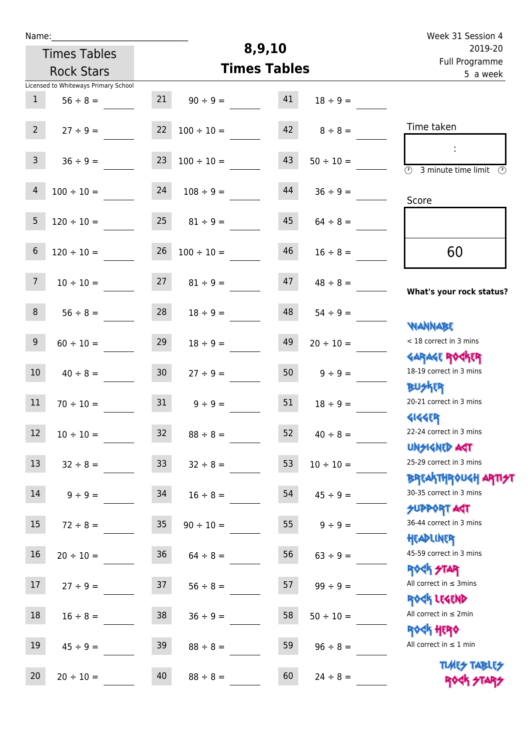| Name:           |                                      |                 | Week 31 Session 4 |                     |                |                                                                    |
|-----------------|--------------------------------------|-----------------|-------------------|---------------------|----------------|--------------------------------------------------------------------|
|                 | <b>Times Tables</b>                  |                 |                   | 8,9,10              |                | 2019-20<br>Full Programme                                          |
|                 | <b>Rock Stars</b>                    |                 |                   | <b>Times Tables</b> |                | 5 a week                                                           |
|                 | Licensed to Whiteways Primary School |                 |                   |                     |                |                                                                    |
| $\mathbf{1}$    | $56 \div 8 =$                        | 21              | $90 \div 9 =$     | 41                  | $18 \div 9 =$  |                                                                    |
| 2 <sup>7</sup>  | $27 \div 9 =$                        | 22              | $100 \div 10 =$   | 42                  | $8 \div 8 =$   | Time taken                                                         |
| 3 <sup>1</sup>  | $36 \div 9 =$                        | 23              | $100 \div 10 =$   | 43                  | $50 \div 10 =$ | $\overline{(\mathcal{V})}$<br>3 minute time limit<br>$\circled{r}$ |
| $\overline{4}$  | $100 \div 10 =$                      | 24              | $108 \div 9 =$    | 44                  | $36 \div 9 =$  | Score                                                              |
| 5               | $120 \div 10 =$                      | 25              | $81 \div 9 =$     | 45                  | $64 \div 8 =$  |                                                                    |
| $6\phantom{1}$  | $120 \div 10 =$                      | 26              | $100 \div 10 =$   | 46                  | $16 \div 8 =$  | 60                                                                 |
| $7\overline{ }$ | $10 \div 10 =$                       | 27              | $81 \div 9 =$     | 47                  | $48 \div 8 =$  | What's your rock status?                                           |
| 8               | $56 \div 8 =$                        | 28              | $18 \div 9 =$     | 48                  | $54 \div 9 =$  |                                                                    |
| 9               | $60 \div 10 =$                       | 29              | $18 \div 9 =$     | 49                  | $20 \div 10 =$ | <b>NANNABE</b><br>< 18 correct in 3 mins<br><b>GARAGE ROCKER</b>   |
| 10              | $40 \div 8 =$                        | 30 <sup>°</sup> | $27 \div 9 =$     | 50                  | $9 \div 9 =$   | 18-19 correct in 3 mins<br><b>BUSKER</b>                           |
| 11              | $70 \div 10 =$                       | 31              | $9 \div 9 =$      | 51                  | $18 \div 9 =$  | 20-21 correct in 3 mins<br><b>4144EP</b>                           |
| 12 <sup>7</sup> | $10 \div 10 =$                       | 32              | $88 \div 8 =$     | 52                  | $40 \div 8 =$  | 22-24 correct in 3 mins<br><b>UNSIGNED AST</b>                     |
| 13              | $32 \div 8 =$                        | 33              | $32 \div 8 =$     | 53                  | $10 \div 10 =$ | 25-29 correct in 3 mins                                            |
| 14              | $9 \div 9 =$                         | 34              | $16 \div 8 =$     | 54                  | $45 \div 9 =$  | ΒΡΓΑΚΤΗΡΟUGH ΑΡΤΙ <del>2</del> Τ<br>30-35 correct in 3 mins        |
| 15              | $72 \div 8 =$                        | 35              | $90 \div 10 =$    | 55                  | $9 \div 9 =$   | <b>SUPPORT ART</b><br>36-44 correct in 3 mins                      |
| 16              | $20 \div 10 =$                       | 36              | $64 \div 8 =$     | 56                  | $63 \div 9 =$  | HEADLINER<br>45-59 correct in 3 mins                               |
| 17              | $27 \div 9 =$                        | 37              | $56 \div 8 =$     | 57                  | $99 \div 9 =$  | <b>ROCK STAR</b><br>All correct in $\leq$ 3mins                    |
| 18              | $16 \div 8 =$                        | 38              | $36 \div 9 =$     | 58                  | $50 \div 10 =$ | ROCK LEGEND<br>All correct in $\leq 2$ min                         |
| 19              | $45 \div 9 =$                        | 39              | $88 \div 8 =$     | 59                  | $96 \div 8 =$  | <b>ROCK HERO</b><br>All correct in $\leq 1$ min                    |
| 20              | $20 \div 10 =$                       | 40              | $88 \div 8 =$     | 60                  | $24 \div 8 =$  | <b>TUARS TABLES</b><br>ROCK STARS                                  |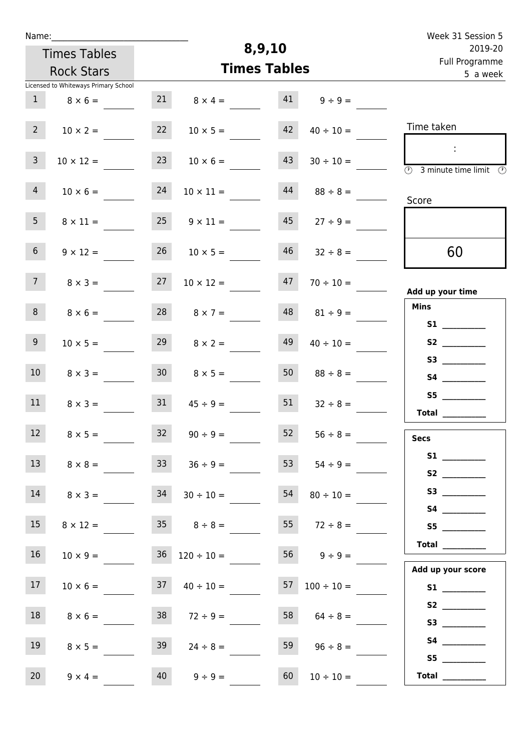| Name:                                 |                 |                          |                     |                          | Week 31 Session 5                                                                                            |
|---------------------------------------|-----------------|--------------------------|---------------------|--------------------------|--------------------------------------------------------------------------------------------------------------|
| <b>Times Tables</b>                   |                 |                          | 8,9,10              |                          | 2019-20                                                                                                      |
| <b>Rock Stars</b>                     |                 |                          | <b>Times Tables</b> |                          | Full Programme<br>5 a week                                                                                   |
| Licensed to Whiteways Primary School  |                 |                          |                     |                          |                                                                                                              |
| 1<br>$8 \times 6 =$                   | 21              | $8 \times 4 =$           | 41                  | $9 \div 9 =$             |                                                                                                              |
| 2 <sup>7</sup><br>$10 \times 2 =$     | 22              | $10 \times 5 =$          | 42                  | $40 \div 10 =$           | Time taken                                                                                                   |
| $\overline{3}$<br>$10 \times 12 =$    | 23              | $10 \times 6 =$          | 43                  | $30 \div 10 =$           | $\mathcal{L}_{\mathcal{A}}$<br>$\overline{\textcircled{2}}$ 3 minute time limit $\overline{\textcircled{2}}$ |
| 4<br>$10 \times 6 =$                  | 24              | $10 \times 11 =$         | 44                  | $88 \div 8 =$            | Score                                                                                                        |
| 5 <sub>1</sub><br>$8 \times 11 =$     | 25              | $9 \times 11 =$          | 45                  | $27 \div 9 =$            |                                                                                                              |
| 6 <sup>1</sup><br>$9 \times 12 =$     | 26              | $10 \times 5 =$          | 46                  | $32 \div 8 =$            | 60                                                                                                           |
| 7 <sup>7</sup><br>$8 \times 3 =$      | 27              | $10 \times 12 =$         | 47                  | $70 \div 10 =$           | Add up your time                                                                                             |
| 8 <sup>1</sup><br>$8 \times 6 =$      | 28              | $8 \times 7 =$           | 48                  | $81 \div 9 =$            | <b>Mins</b><br>S1                                                                                            |
| 9 <sub>o</sub><br>$10 \times 5 =$     | 29              | $8 \times 2 =$           | 49                  | $40 \div 10 =$           | S2                                                                                                           |
| 10 <sup>°</sup><br>$8 \times 3 =$     | 30 <sup>1</sup> | $8 \times 5 =$           | 50                  | $88 \div 8 =$            |                                                                                                              |
| 11<br>$8 \times 3 =$                  | 31              | $45 \div 9 =$            | 51                  | $32 \div 8 =$            | S5<br>Total $\qquad$                                                                                         |
| 12<br>$8 \times 5 =$                  | 32              | $90 \div 9 =$            | 52                  | $56 \div 8 =$            | <b>Secs</b>                                                                                                  |
| 13<br>$8 \times 8 =$                  | 33              | $36 \div 9 =$            | 53                  | $54 \div 9 =$            | S2                                                                                                           |
| 14<br>$8 \times 3 =$                  | 34              | $30 \div 10 =$           | 54                  | $80 \div 10 =$           |                                                                                                              |
| 15<br>$8 \times 12 = 35$ $8 \div 8 =$ |                 |                          |                     | 55 $72 \div 8 =$         | S5                                                                                                           |
| 16 <sup>1</sup><br>$10 \times 9 =$    |                 | $36 \quad 120 \div 10 =$ |                     | $56 \t 9 \div 9 =$       | Total<br>Add up your score                                                                                   |
| 17 <sub>1</sub><br>$10 \times 6 =$    |                 | $37 \t 40 \div 10 =$     |                     | $57 \quad 100 \div 10 =$ | S1                                                                                                           |
| 18<br>$8 \times 6 =$                  | 38              | $72 \div 9 =$            |                     | 58 $64 \div 8 =$         |                                                                                                              |
| 19<br>$8 \times 5 =$                  | 39              | $24 \div 8 =$            | 59                  | $96 \div 8 =$            | S5                                                                                                           |
| 20<br>$9 \times 4 =$                  | 40              | $9 \div 9 =$             | 60                  | $10 \div 10 =$           | Total $\_\_$                                                                                                 |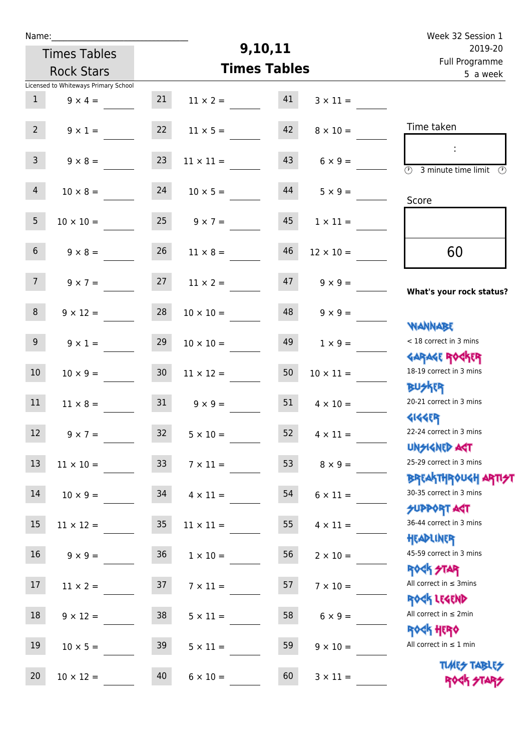| Name:           |                                      |                 | Week 32 Session 1 |                     |                  |                                                     |
|-----------------|--------------------------------------|-----------------|-------------------|---------------------|------------------|-----------------------------------------------------|
|                 | <b>Times Tables</b>                  |                 |                   | 9,10,11             |                  | 2019-20<br>Full Programme                           |
|                 | <b>Rock Stars</b>                    |                 |                   | <b>Times Tables</b> |                  | 5 a week                                            |
|                 | Licensed to Whiteways Primary School |                 |                   |                     |                  |                                                     |
| $\mathbf{1}$    | $9 \times 4 =$                       | 21              | $11 \times 2 =$   | 41                  | $3 \times 11 =$  |                                                     |
| $2^{\circ}$     | $9 \times 1 =$                       | 22              | $11 \times 5 =$   | 42                  | $8 \times 10 =$  | Time taken                                          |
| 3 <sup>7</sup>  | $9 \times 8 =$                       | 23              | $11 \times 11 =$  | 43                  | $6 \times 9 =$   | (1)<br>3 minute time limit                          |
| $\overline{4}$  | $10 \times 8 =$                      | 24              | $10 \times 5 =$   | 44                  | $5 \times 9 =$   | Score                                               |
| 5 <sub>1</sub>  | $10 \times 10 =$                     | 25              | $9 \times 7 =$    | 45                  | $1 \times 11 =$  |                                                     |
| 6 <sup>1</sup>  | $9 \times 8 =$                       | 26              | $11 \times 8 =$   | 46                  | $12 \times 10 =$ | 60                                                  |
| 7 <sup>7</sup>  | $9 \times 7 =$                       | 27              | $11 \times 2 =$   | 47                  | $9 \times 9 =$   | What's your rock status?                            |
| 8               | $9 \times 12 =$                      | 28              | $10 \times 10 =$  | 48                  | $9 \times 9 =$   | <b>NANNABE</b>                                      |
| 9 <sub>o</sub>  | $9 \times 1 =$                       | 29              | $10 \times 10 =$  | 49                  | $1 \times 9 =$   | < 18 correct in 3 mins<br><b>GARAGE ROGKER</b>      |
| 10 <sup>°</sup> | $10 \times 9 =$                      | 30 <sub>o</sub> | $11 \times 12 =$  | 50                  | $10 \times 11 =$ | 18-19 correct in 3 mins<br><b>BUSKER</b>            |
| 11              | $11 \times 8 =$                      | 31              | $9 \times 9 =$    | 51                  | $4 \times 10 =$  | 20-21 correct in 3 mins<br><b>4144EP</b>            |
| 12              | $9 \times 7 =$                       | 32              | $5 \times 10 =$   | 52                  | $4 \times 11 =$  | 22-24 correct in 3 mins<br><b>UNSIGNED AST</b>      |
| 13              | $11 \times 10 =$                     | 33              | $7 \times 11 =$   | 53                  | $8 \times 9 =$   | 25-29 correct in 3 mins<br><b>BREAKTHROUGH ARTH</b> |
| 14              | $10 \times 9 =$                      | 34              | $4 \times 11 =$   | 54                  | $6 \times 11 =$  | 30-35 correct in 3 mins<br>SUPPORT AGT              |
| 15              | $11 \times 12 =$                     | 35              | $11 \times 11 =$  | 55                  | $4 \times 11 =$  | 36-44 correct in 3 mins<br>HEADLINER                |
| 16 <sup>1</sup> | $9 \times 9 =$                       | 36              | $1 \times 10 =$   | 56                  | $2 \times 10 =$  | 45-59 correct in 3 mins<br>ROCK STAR                |
| 17              | $11 \times 2 =$                      | 37              | $7 \times 11 =$   | 57                  | $7 \times 10 =$  | All correct in $\leq$ 3mins<br>ROCK LEGEND          |
| 18              | $9 \times 12 =$                      | 38              | $5 \times 11 =$   | 58                  | $6 \times 9 =$   | All correct in $\leq 2$ min<br>ROCK HERO            |
| 19              | $10 \times 5 =$                      | 39              | $5 \times 11 =$   | 59                  | $9 \times 10 =$  | All correct in $\leq 1$ min                         |
| 20              | $10 \times 12 =$                     | 40              | $6 \times 10 =$   | 60                  | $3 \times 11 =$  | <b>TUARS TABLES</b><br>ROCK STARS                   |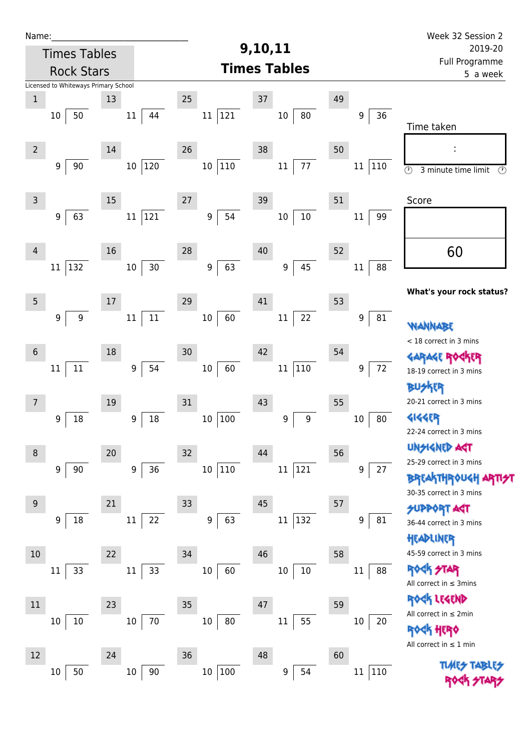| Name:          |                                      |        |                  |                        |                         |               | Week 32 Session 2                                          |  |  |  |
|----------------|--------------------------------------|--------|------------------|------------------------|-------------------------|---------------|------------------------------------------------------------|--|--|--|
|                | <b>Times Tables</b>                  |        |                  |                        | 9,10,11                 |               | 2019-20                                                    |  |  |  |
|                | <b>Rock Stars</b>                    |        |                  |                        | <b>Times Tables</b>     |               | Full Programme<br>5 a week                                 |  |  |  |
|                | Licensed to Whiteways Primary School |        |                  |                        |                         |               |                                                            |  |  |  |
| $\mathbf 1$    |                                      | 13     |                  | 25                     | 37                      | 49            |                                                            |  |  |  |
|                | 50<br>$10\,$                         |        | $11\,$<br>44     | 121<br>11              | 80<br>$10\,$            | 36<br>9       | Time taken                                                 |  |  |  |
| $\overline{2}$ |                                      | $14\,$ |                  | 26                     | 38                      | 50            |                                                            |  |  |  |
|                | 90<br>9                              |        | 120<br>$10\,$    | $110\,$<br>$10\,$      | $77\,$<br>$11\,$        | 110<br>11     | $\circledcirc$<br>3 minute time limit<br>$\circled{r}$     |  |  |  |
| $\mathsf{3}$   |                                      | $15\,$ |                  | 27                     | 39                      | 51            | Score                                                      |  |  |  |
|                | 63<br>9                              |        | 121<br>$11\,$    | 54<br>9                | $10\,$<br>$10\,$        | 99<br>$11\,$  |                                                            |  |  |  |
| $\overline{4}$ |                                      | 16     |                  | 28                     | 40                      | 52            | 60                                                         |  |  |  |
|                | 132<br>11                            |        | $30$<br>$10\,$   | 63<br>$\boldsymbol{9}$ | 45<br>$\boldsymbol{9}$  | 88<br>$11\,$  | What's your rock status?                                   |  |  |  |
| 5              |                                      | 17     |                  | 29                     | 41                      | 53            |                                                            |  |  |  |
|                | $\boldsymbol{9}$<br>9                |        | $11\,$<br>$11\,$ | 60<br>$10\,$           | 22<br>$11\,$            | 9<br>81       | WANNABE                                                    |  |  |  |
| $6\phantom{.}$ |                                      | 18     |                  | 30                     | 42                      | 54            | < 18 correct in 3 mins                                     |  |  |  |
|                | $11\,$<br>$11\,$                     |        | 54<br>9          | 60<br>$10\,$           | $110\,$<br>$11\,$       | 72<br>9       | <b>GARAGE ROG</b><br>18-19 correct in 3 mins               |  |  |  |
|                |                                      |        |                  |                        |                         |               | <b>BUSKER</b><br>20-21 correct in 3 mins                   |  |  |  |
| 7              | 18                                   | 19     | 18               | 31                     | 43                      | 55<br>80      | <b>4144EP</b>                                              |  |  |  |
|                | 9                                    |        | 9                | 100<br>10              | 9<br>9                  | $10\,$        | 22-24 correct in 3 mins                                    |  |  |  |
| 8              |                                      | 20     |                  | 32                     | 44                      | 56            | <b>UNSIGNED AST</b>                                        |  |  |  |
|                | 9<br>90                              |        | 36<br>9          | $110\,$<br>$10\,$      | 121<br>$11\,$           | 9<br>27       | 25-29 correct in 3 mins<br><b>BREAKTHROUGH</b>             |  |  |  |
| $9\,$          |                                      | 21     |                  | 33                     | 45                      | 57            | 30-35 correct in 3 mins                                    |  |  |  |
|                | 18<br>9                              |        | 22<br>11         | 63<br>$\boldsymbol{9}$ | $ 132\rangle$<br>$11\,$ | 81<br>9       | <b>SUPPORT AGT</b><br>36-44 correct in 3 mins<br>HEADLINER |  |  |  |
| 10             |                                      | 22     |                  | 34                     | 46                      | 58            | 45-59 correct in 3 mins                                    |  |  |  |
|                | 33<br>11                             |        | 33<br>11         | 10<br>60               | $10\,$<br>10            | $11\,$<br>88  | <b>ROCK STAR</b><br>All correct in $\leq$ 3mins            |  |  |  |
|                |                                      |        |                  |                        |                         |               | ROCK LEGEND                                                |  |  |  |
| 11             |                                      | 23     |                  | 35                     | 47                      | 59            | All correct in $\leq 2$ min                                |  |  |  |
|                | 10<br>10                             |        | $70\,$<br>$10\,$ | $80\,$<br>10           | 55<br>11                | $10\,$<br>20  | HERQ<br>All correct in $\leq 1$ min                        |  |  |  |
| 12             |                                      | 24     |                  | 36                     | 48                      | 60            |                                                            |  |  |  |
|                | 50<br>10                             |        | 90<br>$10\,$     | $100\,$<br>$10\,$      | 54<br>9                 | 110<br>$11\,$ | <b>TUARS TABARS</b>                                        |  |  |  |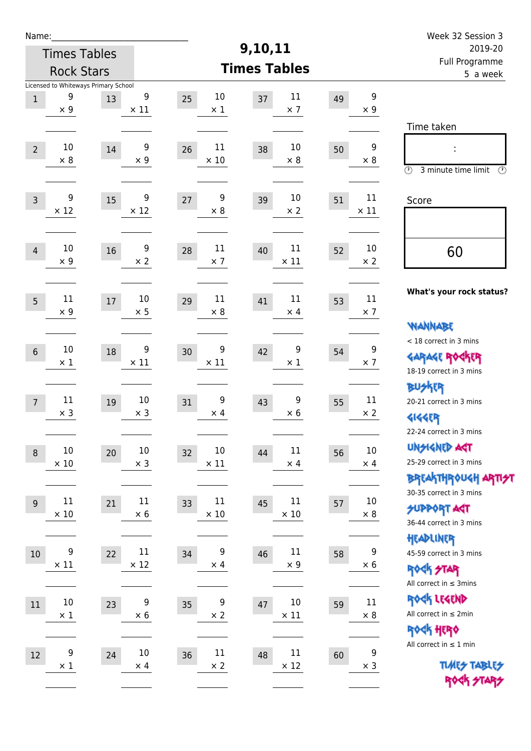| Name:            |                                                         |    |                       |                            | 9,10,11                     |                            | Week 32 Session 3                                                                            |
|------------------|---------------------------------------------------------|----|-----------------------|----------------------------|-----------------------------|----------------------------|----------------------------------------------------------------------------------------------|
|                  | <b>Times Tables</b>                                     |    |                       |                            | 2019-20<br>Full Programme   |                            |                                                                                              |
|                  | <b>Rock Stars</b>                                       |    |                       |                            | <b>Times Tables</b>         |                            | 5 a week                                                                                     |
| $\,1$            | Licensed to Whiteways Primary School<br>9<br>$\times$ 9 | 13 | 9<br>$\times$ 11      | 10<br>25<br>$\times$ 1     | 11<br>37<br>$\times$ 7      | 49<br>$\times$ 9           | 9<br>Time taken                                                                              |
| $\overline{2}$   | 10<br>$\times 8$                                        | 14 | 9<br>$\times$ 9       | 11<br>26<br>$\times$ 10    | 10<br>38<br>$\times 8$      | 50<br>$\times 8$           | 9<br>$\circled{r}$<br>3 minute time limit<br>⊕                                               |
| $\overline{3}$   | 9<br>$\times$ 12                                        | 15 | 9<br>$\times$ 12      | 9<br>27<br>$\times 8$      | 10<br>39<br>$\times 2$      | 11<br>51<br>$\times$ 11    | Score                                                                                        |
| $\overline{4}$   | 10<br>$\times$ 9                                        | 16 | 9<br>$\times$ 2       | 11<br>28<br>$\times$ 7     | 11<br>40<br>$\times$ 11     | 10<br>52<br>$\times 2$     | 60                                                                                           |
| 5                | 11<br>$\times$ 9                                        | 17 | 10<br>$\times$ 5      | 11<br>29<br>$\times 8$     | 11<br>41<br>$\times$ 4      | 11<br>53<br>$\times$ 7     | What's your rock status?                                                                     |
| $6\,$            | $10\,$<br>$\times$ 1                                    | 18 | 9<br>$\times$ 11      | 9<br>30<br>$\times$ 11     | 9<br>42<br>$\times$ 1       | 54<br>$\times$ 7           | <b>NANNABE</b><br>< 18 correct in 3 mins<br>9<br><b>GARAGE RO</b><br>18-19 correct in 3 mins |
| $7\overline{ }$  | 11<br>$\times$ 3                                        | 19 | 10<br>$\times$ 3      | 9<br>31<br>$\times$ 4      | 9<br>43<br>$\times$ 6       | 11<br>55<br>$\times 2$     | <b>BUSKER</b><br>20-21 correct in 3 mins<br><b>4144EP</b><br>22-24 correct in 3 mins         |
| $\boldsymbol{8}$ | $10\,$<br>$\times$ 10                                   | 20 | $10\,$<br>$\times$ 3  | 10<br>32<br>$\times$ 11    | $11\,$<br>44<br>$\times$ 4  | $10\,$<br>56<br>$\times$ 4 | <b>UNSIGNED AGT</b><br>25-29 correct in 3 mins<br><b>BREAKTHROUGH ARTI<del>S</del>T</b>      |
| 9                | 11<br>$\times$ 10                                       | 21 | $11\,$<br>$\times$ 6  | 11<br>33<br>$\times$ 10    | $11\,$<br>45<br>$\times$ 10 | $10\,$<br>57<br>$\times$ 8 | 30-35 correct in 3 mins<br><b>SUPPORT AGT</b><br>36-44 correct in 3 mins                     |
| $10$             | 9<br>$\times$ 11                                        | 22 | $11\,$<br>$\times$ 12 | 9<br>34<br>$\times$ 4      | 11<br>46<br>$\times$ 9      | 58<br>$\times$ 6           | HEADLINER<br>9<br>45-59 correct in 3 mins<br><b>ROCK STAR</b><br>All correct in $\leq$ 3mins |
| $11\,$           | $10\,$<br>$\times$ 1                                    | 23 | 9<br>$\times$ 6       | 9<br>35<br>$\times 2$      | $10\,$<br>47<br>$\times$ 11 | $11\,$<br>59<br>$\times 8$ | ROCK LEGEND<br>All correct in $\leq 2$ min<br>ROCK HERO                                      |
| 12               | 9<br>$\times$ 1                                         | 24 | $10\,$<br>$\times$ 4  | $11\,$<br>36<br>$\times$ 2 | $11\,$<br>48<br>$\times$ 12 | 60<br>$\times$ 3           | All correct in $\leq 1$ min<br>9<br><b>TUARS TABLES</b><br>ROCK STARS                        |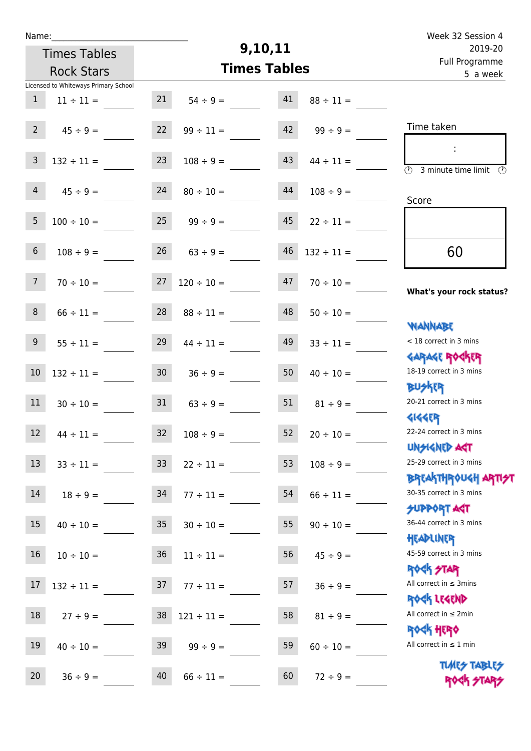| Week 32 Session 4                                     |                 |                     |                      |                 |                                      | Name:            |
|-------------------------------------------------------|-----------------|---------------------|----------------------|-----------------|--------------------------------------|------------------|
| 2019-20                                               |                 | 9,10,11             |                      |                 | <b>Times Tables</b>                  |                  |
| Full Programme<br>5 a week                            |                 | <b>Times Tables</b> | <b>Rock Stars</b>    |                 |                                      |                  |
|                                                       |                 |                     |                      |                 | Licensed to Whiteways Primary School |                  |
|                                                       | $88 \div 11 =$  | 41                  | $54 \div 9 =$        | 21              | $11 \div 11 =$                       | $\mathbf{1}$     |
|                                                       |                 |                     |                      |                 |                                      |                  |
| Time taken                                            | $99 \div 9 =$   | 42                  | $99 \div 11 =$       | 22              | $45 \div 9 =$                        | $\overline{2}$   |
|                                                       |                 |                     |                      |                 |                                      |                  |
| $\circled{r}$<br>3 minute time limit<br>$\mathcal{O}$ | $44 \div 11 =$  | 43                  | $108 \div 9 =$       | 23              | $132 \div 11 =$                      | $\overline{3}$   |
|                                                       |                 |                     |                      |                 |                                      | $\overline{4}$   |
| Score                                                 | $108 \div 9 =$  | 44                  | $80 \div 10 =$       | 24              | $45 \div 9 =$                        |                  |
|                                                       | $22 \div 11 =$  | 45                  | $99 \div 9 =$        | 25              | $100 \div 10 =$                      | 5                |
|                                                       |                 |                     |                      |                 |                                      |                  |
| 60                                                    | $132 \div 11 =$ | 46                  | $63 ÷ 9 =$           | 26              | $108 \div 9 =$                       | $\,$ 6 $\,$      |
|                                                       |                 |                     |                      |                 |                                      |                  |
|                                                       | $70 \div 10 =$  | 47                  | $120 \div 10 =$      | 27              | $70 \div 10 =$                       | $7\overline{ }$  |
| What's your rock status?                              |                 |                     |                      |                 |                                      |                  |
|                                                       | $50 \div 10 =$  | 48                  | $88 \div 11 =$       | 28              | $66 \div 11 =$                       | $\,8\,$          |
| <b>JARNARY</b>                                        |                 |                     |                      |                 |                                      |                  |
| < 18 correct in 3 mins                                | $33 \div 11 =$  | 49                  | $44 \div 11 =$       | 29              | $55 \div 11 =$                       | $\boldsymbol{9}$ |
| <b>GARAGE ROGKER</b>                                  |                 |                     |                      |                 |                                      |                  |
| 18-19 correct in 3 mins                               | $40 \div 10 =$  | 50                  | $36 \div 9 =$        | 30 <sub>o</sub> | $132 \div 11 =$                      | $10\,$           |
| <b>BUSKER</b><br>20-21 correct in 3 mins              |                 |                     |                      |                 |                                      |                  |
|                                                       | $81 \div 9 =$   | 51                  | $63 \div 9 =$        | 31              | $30 \div 10 =$                       | 11               |
| <b>4144EP</b><br>22-24 correct in 3 mins              |                 | 52                  |                      |                 |                                      | 12               |
| <b>UNSIGNED AGT</b>                                   | $20 \div 10 =$  |                     | $32 \t 108 \div 9 =$ |                 | $44 \div 11 =$                       |                  |
| 25-29 correct in 3 mins                               | $108 \div 9 =$  | 53                  | $22 \div 11 =$       | 33 <sup>°</sup> | $33 \div 11 =$                       | 13               |
| ΒΡΓΑΚΤΗΡΟUGH ΑΡΤΙ <del>2</del> Τ                      |                 |                     |                      |                 |                                      |                  |
| 30-35 correct in 3 mins                               | $66 \div 11 =$  | 54                  | $77 \div 11 =$       | 34              | $18 \div 9 =$                        | 14               |
| <b>SUPPORT AGT</b>                                    |                 |                     |                      |                 |                                      |                  |
| 36-44 correct in 3 mins                               | $90 \div 10 =$  | 55                  | $30 \div 10 =$       | 35              | $40 \div 10 =$                       | 15               |
| HEADLINER                                             |                 |                     |                      |                 |                                      |                  |
| 45-59 correct in 3 mins                               | $45 \div 9 =$   | 56                  | $11 \div 11 =$       | 36              | $10 \div 10 =$                       | 16               |
| ROCK STAR                                             |                 |                     |                      |                 |                                      |                  |
| All correct in $\leq$ 3mins                           | $36 ÷ 9 =$      | 57                  | $77 \div 11 =$       | 37              | $132 \div 11 =$                      | $17\,$           |
| ROCK LEGEND                                           |                 |                     |                      |                 |                                      |                  |
| All correct in $\leq 2$ min                           | $81 \div 9 =$   | 58                  | $121 \div 11 =$      | 38              | $27 \div 9 =$                        | 18               |
| <b>ROCK HERO</b><br>All correct in $\leq 1$ min       |                 |                     |                      |                 |                                      |                  |
|                                                       | $60 \div 10 =$  | 59                  | $99 \div 9 =$        | 39              | $40 \div 10 =$                       | 19               |
| <b>TUARS TABLES</b>                                   | $72 \div 9 =$   | 60                  | $66 \div 11 =$       | 40              | $36 \div 9 =$                        | 20               |
| ROCK STARS                                            |                 |                     |                      |                 |                                      |                  |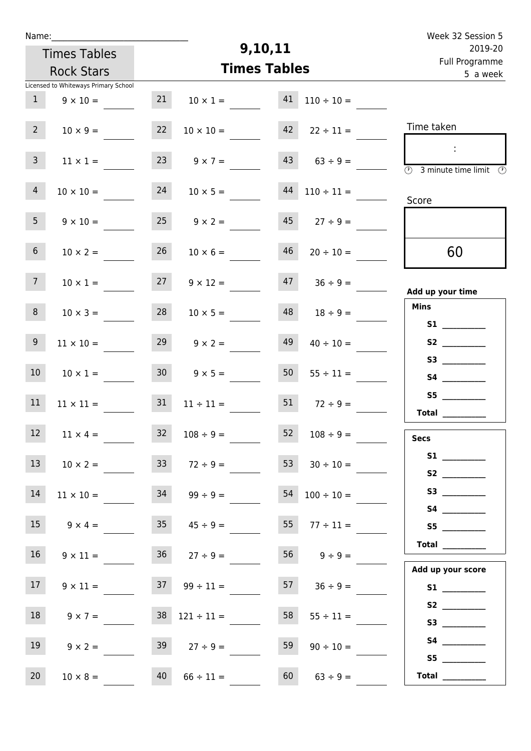| Week 32 Session 5                                                                  |                      |                     |                          |                 |                                      | Name:           |
|------------------------------------------------------------------------------------|----------------------|---------------------|--------------------------|-----------------|--------------------------------------|-----------------|
| 2019-20                                                                            |                      | 9,10,11             |                          |                 | <b>Times Tables</b>                  |                 |
| Full Programme                                                                     |                      | <b>Times Tables</b> |                          |                 | <b>Rock Stars</b>                    |                 |
| 5 a week                                                                           |                      |                     |                          |                 | Licensed to Whiteways Primary School |                 |
|                                                                                    | $110 \div 10 =$      | 41                  | $10 \times 1 =$          | 21              | $9 \times 10 =$                      | 1               |
| Time taken                                                                         | $22 \div 11 =$       | 42                  | $10 \times 10 =$         | 22              | $10 \times 9 =$                      | $2^{\circ}$     |
| ÷<br>$\overline{\textcircled{1}}$ 3 minute time limit $\overline{\textcircled{1}}$ | $63 \div 9 =$        | 43                  | $9 \times 7 =$           | 23              | $11 \times 1 =$                      | 3 <sup>7</sup>  |
| Score                                                                              | $44$ $110 \div 11 =$ |                     | $10 \times 5 =$          | 24              | $10 \times 10 =$                     | $\overline{4}$  |
|                                                                                    | $45$ $27 \div 9 =$   |                     | $25 \t 9 \times 2 =$     |                 | $9 \times 10 =$                      | 5 <sub>1</sub>  |
| 60                                                                                 | $20 \div 10 =$       | 46                  | $10 \times 6 =$          | 26              | $10 \times 2 =$                      | 6 <sup>1</sup>  |
| Add up your time                                                                   | $47 \t36 \div 9 =$   |                     | $9 \times 12 =$          | 27              | $10 \times 1 =$                      | 7 <sup>7</sup>  |
| <b>Mins</b>                                                                        | $18 \div 9 =$        | 48                  | $10 \times 5 =$          | 28              | $10 \times 3 =$                      | 8               |
|                                                                                    | $40 \div 10 =$       | 49                  | $9 \times 2 =$           | 29              | $11 \times 10 =$                     | 9 <sub>o</sub>  |
|                                                                                    | $55 \div 11 =$       | 50                  | $9 \times 5 =$           | 30 <sub>o</sub> | $10 \times 1 =$                      | 10 <sup>°</sup> |
| S5<br>Total                                                                        | 51 $72 \div 9 =$     |                     | $11 \div 11 =$           | 31              | $11 \times 11 =$                     | 11              |
| <b>Secs</b>                                                                        | $52 \t108 \div 9 =$  |                     | $32 \t 108 \div 9 =$     |                 | $12 \t 11 \times 4 =$                |                 |
|                                                                                    | $30 \div 10 =$       | 53                  | $72 \div 9 =$            | 33 <sup>°</sup> | $10 \times 2 =$                      | 13              |
|                                                                                    | $54$ $100 \div 10 =$ |                     | $34 \t 99 \div 9 =$      |                 | $11 \times 10 =$                     | 14              |
| S5                                                                                 | $55 \t 77 \div 11 =$ |                     | $35 \t 45 \div 9 =$      |                 | $9 \times 4 =$                       | 15              |
| Total                                                                              | $56$ $9 \div 9 =$    |                     | $36 \t 27 \div 9 =$      |                 | $9 \times 11 =$                      | 16              |
| Add up your score<br>S1                                                            | $57 \t36 \div 9 =$   |                     | $37 \t 99 \div 11 =$     |                 | $9 \times 11 =$                      | 17 <sup>7</sup> |
| S3                                                                                 | $55 \div 11 =$       | 58                  | $38 \quad 121 \div 11 =$ |                 | $9 \times 7 =$                       | 18              |
| S4                                                                                 | $90 \div 10 =$       | 59                  | $27 \div 9 =$            | 39              | $9 \times 2 =$                       | 19              |
| S5<br>Total $\_\_$                                                                 | $63 \div 9 =$        | 60                  | $66 \div 11 =$           | 40              | $10 \times 8 =$                      | 20              |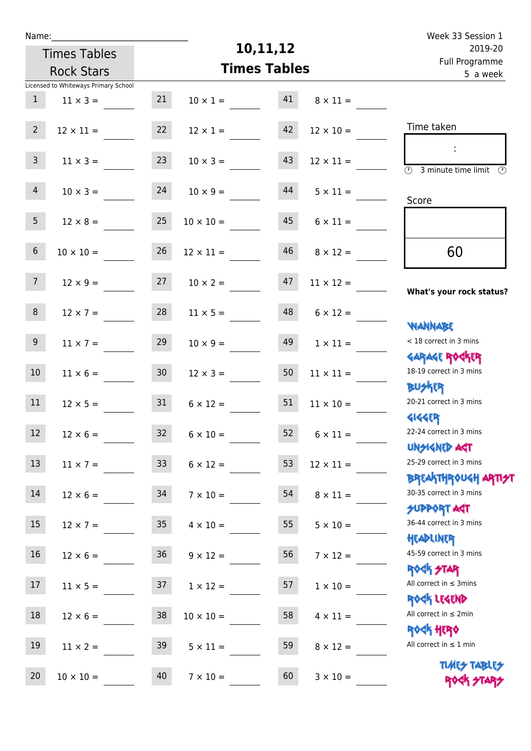| Name:            |                                      |                 |                  |                     |                       | Week 33 Session 1                                                |  |  |  |
|------------------|--------------------------------------|-----------------|------------------|---------------------|-----------------------|------------------------------------------------------------------|--|--|--|
|                  | <b>Times Tables</b>                  |                 |                  | 10,11,12            |                       | 2019-20<br>Full Programme<br>5 a week                            |  |  |  |
|                  | <b>Rock Stars</b>                    |                 |                  | <b>Times Tables</b> |                       |                                                                  |  |  |  |
|                  | Licensed to Whiteways Primary School |                 |                  |                     |                       |                                                                  |  |  |  |
| $\mathbf{1}$     | $11 \times 3 =$                      | 21              | $10 \times 1 =$  | 41                  | $8 \times 11 =$       |                                                                  |  |  |  |
| $2^{\circ}$      | $12 \times 11 =$                     | 22              | $12 \times 1 =$  | 42                  | $12 \times 10 =$      | Time taken                                                       |  |  |  |
| 3 <sup>7</sup>   | $11 \times 3 =$                      | 23              | $10 \times 3 =$  | 43                  | $12 \times 11 =$      | $\overline{(\Omega)}$<br>3 minute time limit $\circled{0}$       |  |  |  |
| $\overline{4}$   | $10 \times 3 =$                      | 24              | $10 \times 9 =$  | 44                  | $5 \times 11 =$       | Score                                                            |  |  |  |
| 5 <sub>1</sub>   | $12 \times 8 =$                      | 25              | $10 \times 10 =$ | 45                  | $6 \times 11 =$       |                                                                  |  |  |  |
| 6 <sup>1</sup>   | $10 \times 10 =$                     | 26              | $12 \times 11 =$ | 46                  | $8 \times 12 =$       | 60                                                               |  |  |  |
| 7 <sup>7</sup>   | $12 \times 9 =$                      | 27              | $10 \times 2 =$  | 47                  | $11 \times 12 =$      | What's your rock status?                                         |  |  |  |
| 8                | $12 \times 7 =$                      | 28              | $11 \times 5 =$  | 48                  | $6 \times 12 =$       | <b>NANNABE</b>                                                   |  |  |  |
| 9 <sub>o</sub>   | $11 \times 7 =$                      | 29              | $10 \times 9 =$  | 49                  | $1 \times 11 =$       | < 18 correct in 3 mins<br><b>GARAGE ROCKER</b>                   |  |  |  |
| 10 <sup>°</sup>  | $11 \times 6 =$                      | 30 <sub>2</sub> | $12 \times 3 =$  | 50                  | $11 \times 11 =$      | 18-19 correct in 3 mins<br><b>BUSKER</b>                         |  |  |  |
| 11               | $12 \times 5 =$                      | 31              | $6 \times 12 =$  | 51                  | $11 \times 10 =$      | 20-21 correct in 3 mins<br><b>4144EP</b>                         |  |  |  |
| 12 <sup>12</sup> | $12 \times 6 =$                      | 32              | $6 \times 10 =$  |                     | $52 \t 6 \times 11 =$ | 22-24 correct in 3 mins<br><b>UNSIGNED AST</b>                   |  |  |  |
| 13               | $11 \times 7 =$                      | 33 <sup>°</sup> | $6 \times 12 =$  | 53                  | $12 \times 11 =$      | 25-29 correct in 3 mins                                          |  |  |  |
| 14               | $12 \times 6 =$                      | 34              | $7 \times 10 =$  | 54                  | $8 \times 11 =$       | <b>BREAKTHROUGH ARTI<del>S</del>T</b><br>30-35 correct in 3 mins |  |  |  |
| 15 <sub>1</sub>  | $12 \times 7 =$                      | 35              | $4 \times 10 =$  | 55                  | $5 \times 10 =$       | <b>SUPPORT ART</b><br>36-44 correct in 3 mins                    |  |  |  |
| 16               | $12 \times 6 =$                      | 36              | $9 \times 12 =$  | 56                  | $7 \times 12 =$       | HEADLINER<br>45-59 correct in 3 mins<br><b>ROCK STAR</b>         |  |  |  |
| 17               | $11 \times 5 =$                      | 37              | $1 \times 12 =$  | 57                  | $1 \times 10 =$       | All correct in $\leq$ 3mins<br>ROCK LEGEND                       |  |  |  |
| 18               | $12 \times 6 =$                      | 38              | $10 \times 10 =$ | 58                  | $4 \times 11 =$       | All correct in $\leq 2$ min<br><b>ROCK HERO</b>                  |  |  |  |
| 19               | $11 \times 2 =$                      | 39              | $5 \times 11 =$  | 59                  | $8 \times 12 =$       | All correct in $\leq 1$ min                                      |  |  |  |
| 20               | $10 \times 10 =$                     | 40              | $7 \times 10 =$  | 60                  | $3 \times 10 =$       | <b>TUARS TABLES</b><br>ROCK STARS                                |  |  |  |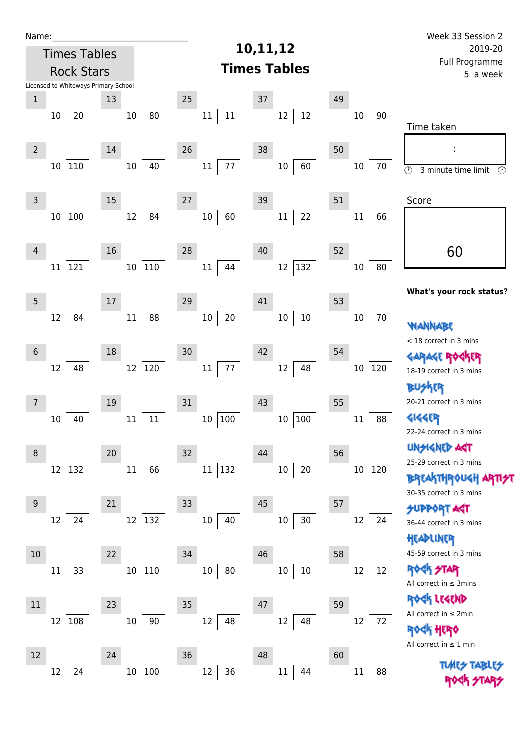| Name:          |                                      |    |                       |                  |                     | Week 33 Session 2 |                                       |                                                                                             |  |
|----------------|--------------------------------------|----|-----------------------|------------------|---------------------|-------------------|---------------------------------------|---------------------------------------------------------------------------------------------|--|
|                | <b>Times Tables</b>                  |    |                       |                  | 10,11,12            |                   | 2019-20<br>Full Programme<br>5 a week |                                                                                             |  |
|                | <b>Rock Stars</b>                    |    |                       |                  | <b>Times Tables</b> |                   |                                       |                                                                                             |  |
|                | Licensed to Whiteways Primary School |    |                       |                  |                     |                   |                                       |                                                                                             |  |
| $\mathbf 1$    |                                      | 13 |                       | 25               | $37\,$              | 49                |                                       |                                                                                             |  |
|                | 20<br>$10\,$                         |    | 80<br>$10\,$          | $11\,$<br>$11\,$ | 12<br>12            |                   | 90<br>10                              | Time taken                                                                                  |  |
| $\overline{2}$ |                                      | 14 |                       | 26               | 38                  | 50                |                                       |                                                                                             |  |
|                | 110<br>10 <sup>1</sup>               |    | 40<br>10 <sub>1</sub> | 77<br>$11\,$     | 60<br>$10\,$        |                   | $10\,$<br>70                          | $\overline{\odot}$<br>3 minute time limit<br>$\odot$                                        |  |
| $\mathsf{3}$   |                                      | 15 |                       | 27               | 39                  | 51                |                                       | Score                                                                                       |  |
|                | 100<br>$10\,$                        |    | 12<br>84              | 60<br>10         | 22<br>$11\,$        |                   | 66<br>11                              |                                                                                             |  |
| $\overline{4}$ |                                      | 16 |                       | 28               | 40                  | 52                |                                       | 60                                                                                          |  |
|                | 121<br>11                            |    | 10 110                | 44<br>$11\,$     | 132<br>$12\,$       |                   | 80<br>10                              |                                                                                             |  |
| 5              |                                      | 17 |                       | 29               | 41                  | 53                |                                       | What's your rock status?                                                                    |  |
|                | 84<br>12                             |    | 88<br>11              | $20\,$<br>$10\,$ | $10\,$<br>$10\,$    |                   | 70<br>$10\,$                          | <b>WANNABE</b>                                                                              |  |
| $\sqrt{6}$     |                                      | 18 |                       | 30               | 42                  | 54                |                                       | < 18 correct in 3 mins                                                                      |  |
|                | 12<br>48                             |    | 12 120                | $77 \,$<br>11    | 48<br>12            |                   | 120<br>$10\,$                         | <b>GARAGE ROCKER</b><br>18-19 correct in 3 mins                                             |  |
| 7              |                                      | 19 |                       | 31               | 43                  | 55                |                                       | 外取<br>20-21 correct in 3 mins                                                               |  |
|                | 40<br>10                             |    | $11\,$<br>11          | 100<br>10        | 100<br>$10\,$       |                   | 88<br>$11\,$                          | <b>4144EP</b><br>22-24 correct in 3 mins                                                    |  |
| 8              |                                      | 20 |                       | 32               | 44                  | 56                |                                       | <b>UNSIGNED ART</b>                                                                         |  |
|                | 12<br>132                            |    | 11<br>66              | 132<br>$11\,$    | $10\,$<br>20        |                   | 120<br>$10\,$                         | 25-29 correct in 3 mins<br><b>BREAKTHROUGH ARTI<del>S</del>T</b><br>30-35 correct in 3 mins |  |
| 9              |                                      | 21 |                       | 33               | 45                  | 57                |                                       | <b>SUPPORT AGT</b>                                                                          |  |
|                | 24<br>12                             |    | 12 132                | $10\,$<br>40     | 30<br>$10\,$        |                   | 12<br>24                              | 36-44 correct in 3 mins<br>HEADLINER                                                        |  |
| 10             |                                      | 22 |                       | 34               | 46                  | 58                |                                       | 45-59 correct in 3 mins                                                                     |  |
|                | 33<br>11                             |    | 110<br>$10\,$         | 80<br>$10\,$     | $10\,$<br>10        |                   | 12<br>12                              | <b>ROCK STAR</b><br>All correct in $\leq$ 3mins                                             |  |
| 11             |                                      | 23 |                       | 35               | 47                  | 59                |                                       | ROCK LEGEND                                                                                 |  |
|                | 108<br>12                            |    | $90\,$<br>$10\,$      | 12<br>48         | 48<br>12            |                   | 12<br>72                              | All correct in $\leq 2$ min<br><b>HERQ</b>                                                  |  |
| 12             |                                      | 24 |                       | 36               | 48                  | 60                |                                       | All correct in $\leq 1$ min                                                                 |  |
|                | 24<br>12                             |    | 100<br>$10\,$         | 36<br>12         | $11\,$<br>44        |                   | 88<br>$11\,$                          | <b>TUARS TABLES</b>                                                                         |  |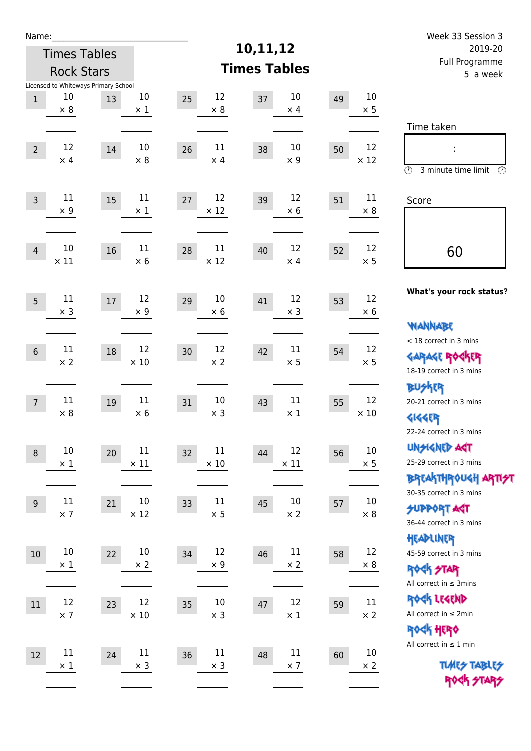| Name:          |                                            |    |                      |                         |                                   |    |                      | Week 33 Session 3                               |  |  |  |
|----------------|--------------------------------------------|----|----------------------|-------------------------|-----------------------------------|----|----------------------|-------------------------------------------------|--|--|--|
|                | <b>Times Tables</b>                        |    |                      |                         | 10,11,12                          |    |                      | 2019-20                                         |  |  |  |
|                | <b>Rock Stars</b>                          |    |                      | <b>Times Tables</b>     | <b>Full Programme</b><br>5 a week |    |                      |                                                 |  |  |  |
|                | Licensed to Whiteways Primary School<br>10 |    | $10\,$               | 12<br>25                | 10                                | 49 | 10                   |                                                 |  |  |  |
| $\,1$          | $\times$ 8                                 | 13 | $\times$ 1           | $\times 8$              | 37<br>$\times$ 4                  |    | $\times$ 5           |                                                 |  |  |  |
|                |                                            |    |                      |                         |                                   |    |                      | Time taken                                      |  |  |  |
| $\overline{2}$ | 12                                         | 14 | 10                   | 11<br>26                | 10<br>38                          | 50 | 12                   |                                                 |  |  |  |
|                | $\times$ 4                                 |    | $\times 8$           | $\times$ 4              | $\times 9$                        |    | $\times$ 12          | $\circled{r}$<br>3 minute time limit<br>⊕       |  |  |  |
|                |                                            |    |                      |                         |                                   |    |                      |                                                 |  |  |  |
| $\overline{3}$ | 11<br>$\times$ 9                           | 15 | 11<br>$\times$ 1     | 12<br>27<br>$\times$ 12 | 12<br>39<br>$\times 6$            | 51 | 11<br>$\times 8$     | Score                                           |  |  |  |
|                |                                            |    |                      |                         |                                   |    |                      |                                                 |  |  |  |
| $\overline{4}$ | 10                                         | 16 | 11                   | 11<br>28                | 12<br>40                          | 52 | 12                   | 60                                              |  |  |  |
|                | $\times$ 11                                |    | $\times$ 6           | $\times$ 12             | $\times$ 4                        |    | $\times$ 5           |                                                 |  |  |  |
|                |                                            |    |                      |                         |                                   |    |                      | What's your rock status?                        |  |  |  |
| 5              | 11<br>$\times$ 3                           | 17 | 12<br>$\times$ 9     | 10<br>29<br>$\times$ 6  | 12<br>41<br>$\times$ 3            | 53 | 12<br>$\times 6$     |                                                 |  |  |  |
|                |                                            |    |                      |                         |                                   |    |                      | <b>NANNABE</b>                                  |  |  |  |
|                | 11                                         | 18 | 12                   | 12<br>30                | 11<br>42                          | 54 | 12                   | < 18 correct in 3 mins                          |  |  |  |
| $6\,$          | $\times 2$                                 |    | $\times$ 10          | $\times 2$              | $\times$ 5                        |    | $\times$ 5           | <b>GARAGE ROCKER</b><br>18-19 correct in 3 mins |  |  |  |
|                |                                            |    |                      |                         |                                   |    |                      | <b>BUSKER</b>                                   |  |  |  |
| $\overline{7}$ | 11                                         | 19 | 11                   | 10<br>31                | 11<br>43                          | 55 | 12                   | 20-21 correct in 3 mins                         |  |  |  |
|                | $\times 8$                                 |    | $\times 6$           | $\times$ 3              | $\times$ 1                        |    | $\times$ 10          | <b>4144EP</b>                                   |  |  |  |
|                |                                            |    |                      |                         |                                   |    |                      | 22-24 correct in 3 mins<br><b>UNSIGNED AGT</b>  |  |  |  |
| $\,8\,$        | $10\,$<br>$\times$ 1                       | 20 | 11<br>$\times$ 11    | 11<br>32<br>$\times$ 10 | 12<br>44<br>$\times$ 11           | 56 | $10\,$<br>$\times$ 5 | 25-29 correct in 3 mins                         |  |  |  |
|                |                                            |    |                      |                         |                                   |    |                      | <b>BREAKTHROUGH ARTI<del>S</del>T</b>           |  |  |  |
| 9              | $11\,$                                     | 21 | 10                   | 11<br>33                | 10<br>45                          | 57 | 10                   | 30-35 correct in 3 mins                         |  |  |  |
|                | $\times$ 7                                 |    | $\times$ 12          | $\times$ 5              | $\times$ 2                        |    | $\times$ 8           | <b>SUPPORT ART</b><br>36-44 correct in 3 mins   |  |  |  |
|                |                                            |    |                      |                         |                                   |    |                      | HEADLINER                                       |  |  |  |
| 10             | $10\,$<br>$\times$ 1                       | 22 | $10\,$<br>$\times 2$ | 12<br>34<br>$\times$ 9  | $11\,$<br>46<br>$\times$ 2        | 58 | 12<br>$\times 8$     | 45-59 correct in 3 mins                         |  |  |  |
|                |                                            |    |                      |                         |                                   |    |                      | <b>ROCK STAR</b><br>All correct in $\leq$ 3mins |  |  |  |
| 11             | 12                                         |    | 12                   | 10                      | 12                                |    | $11\,$               | ROCK LEGEND                                     |  |  |  |
|                | $\times$ 7                                 | 23 | $\times$ 10          | 35<br>$\times$ 3        | 47<br>$\times$ 1                  | 59 | $\times 2$           | All correct in $\leq 2$ min                     |  |  |  |
|                |                                            |    |                      |                         |                                   |    |                      | <b>ROCK HERO</b>                                |  |  |  |
| 12             | $11\,$                                     | 24 | $11\,$               | 11<br>36                | $11\,$<br>48                      | 60 | $10\,$               | All correct in $\leq 1$ min                     |  |  |  |
|                | $\times$ 1                                 |    | $\times$ 3           | $\times$ 3              | $\times$ 7                        |    | $\times$ 2           | <b>TUARS TABLES</b><br>ROCK STARS               |  |  |  |
|                |                                            |    |                      |                         |                                   |    |                      |                                                 |  |  |  |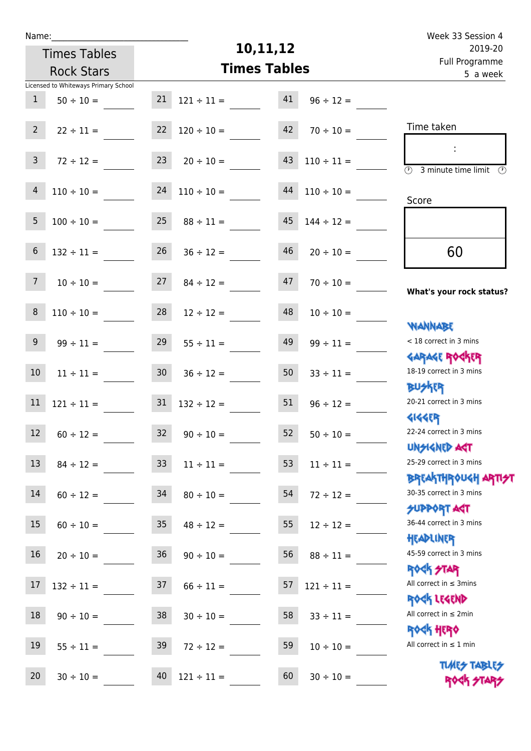| u | am |  |  |
|---|----|--|--|
|   |    |  |  |

# **10,11,12**

|                 | <b>Times Tables</b>                  | 10,11,12        |                     |                            |                 | 2019-20                                                          |  |  |
|-----------------|--------------------------------------|-----------------|---------------------|----------------------------|-----------------|------------------------------------------------------------------|--|--|
|                 | <b>Rock Stars</b>                    |                 | <b>Times Tables</b> | Full Programme<br>5 a week |                 |                                                                  |  |  |
|                 | Licensed to Whiteways Primary School |                 |                     |                            |                 |                                                                  |  |  |
| $\mathbf{1}$    | $50 \div 10 =$                       | 21              | $121 \div 11 =$     | 41                         | $96 \div 12 =$  |                                                                  |  |  |
| 2 <sup>7</sup>  | $22 \div 11 =$                       | 22              | $120 \div 10 =$     | 42                         | $70 \div 10 =$  | Time taken                                                       |  |  |
| $\mathsf{3}$    | $72 \div 12 =$                       | 23              | $20 \div 10 =$      | 43                         | $110 \div 11 =$ | 3 minute time limit<br>$\mathcal{O}$                             |  |  |
| $\overline{4}$  | $110 \div 10 =$                      |                 | $24$ 110 ÷ 10 =     | 44                         | $110 \div 10 =$ | Score                                                            |  |  |
| 5               | $100 \div 10 =$                      | 25              | $88 \div 11 =$      | 45                         | $144 \div 12 =$ |                                                                  |  |  |
| $6\phantom{.}6$ | $132 \div 11 =$                      | 26              | $36 \div 12 =$      | 46                         | $20 \div 10 =$  | 60                                                               |  |  |
| 7 <sup>7</sup>  | $10 \div 10 =$                       | 27              | $84 \div 12 =$      | 47                         | $70 \div 10 =$  | What's your rock status?                                         |  |  |
| $\bf 8$         | $110 \div 10 =$                      | 28              | $12 \div 12 =$      | 48                         | $10 \div 10 =$  | <b>JARNARY</b>                                                   |  |  |
| 9               | $99 \div 11 =$                       | 29              | $55 \div 11 =$      | 49                         | $99 \div 11 =$  | < 18 correct in 3 mins<br><b>GARAGE ROGKER</b>                   |  |  |
| 10 <sup>°</sup> | $11 \div 11 =$                       | 30 <sub>o</sub> | $36 \div 12 =$      | 50                         | $33 \div 11 =$  | 18-19 correct in 3 mins<br><b>BUSKER</b>                         |  |  |
| $11\,$          | $121 \div 11 =$                      | 31              | $132 \div 12 =$     | 51                         | $96 \div 12 =$  | 20-21 correct in 3 mins<br><b>4144ER</b>                         |  |  |
| 12 <sup>2</sup> | $60 \div 12 =$                       | 32              | $90 \div 10 =$      | 52                         | $50 \div 10 =$  | 22-24 correct in 3 mins<br>UNSIGNED AGT                          |  |  |
| 13              | $84 \div 12 =$ 33                    |                 | $11 \div 11 =$      | 53                         | $11 \div 11 =$  | 25-29 correct in 3 mins<br><b>BREAKTHROUGH ARTI<del>S</del>T</b> |  |  |
| 14              | $60 \div 12 =$                       | 34              | $80 \div 10 =$      | 54                         | $72 \div 12 =$  | 30-35 correct in 3 mins<br><b>SUPPORT AGT</b>                    |  |  |
| 15 <sub>1</sub> | $60 \div 10 =$                       | 35              | $48 \div 12 =$      | 55                         | $12 \div 12 =$  | 36-44 correct in 3 mins<br>HEADLINER                             |  |  |
| 16 <sup>1</sup> | $20 \div 10 =$                       | 36              | $90 \div 10 =$      | 56                         | $88 \div 11 =$  | 45-59 correct in 3 mins<br><b>ROCK STAR</b>                      |  |  |
| 17              | $132 \div 11 =$                      | 37              | $66 \div 11 =$      | 57                         | $121 \div 11 =$ | All correct in $\leq$ 3mins<br>ROCK LEGEND                       |  |  |
| 18              | $90 \div 10 =$                       | 38              | $30 \div 10 =$      | 58                         | $33 \div 11 =$  | All correct in $\leq 2$ min<br><b>ROCK HERO</b>                  |  |  |
| 19              | $55 \div 11 =$                       | 39              | $72 \div 12 =$      | 59                         | $10 \div 10 =$  | All correct in $\leq 1$ min                                      |  |  |
| 20              | $30 \div 10 =$                       | 40              | $121 \div 11 =$     | 60                         | $30 \div 10 =$  | <b>TUARS TABLES</b><br>ROCK STARS                                |  |  |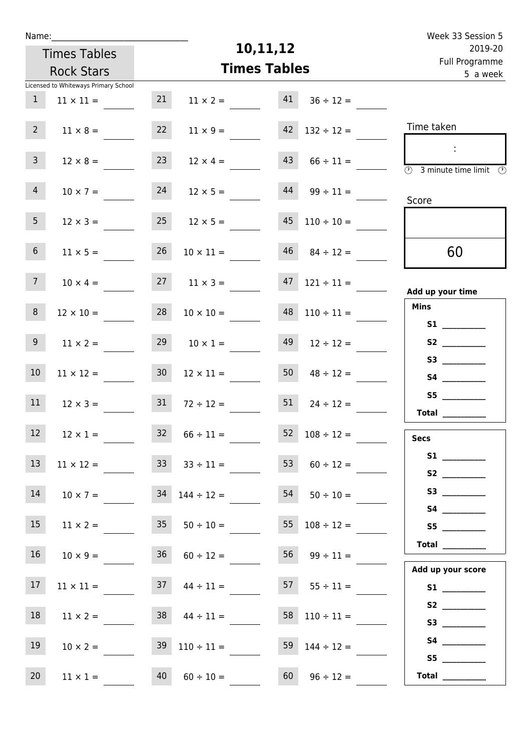| Week 33 Session 5                                                                                                                                                                                                                                                                                                                                                                                                                                                                                                                                                                                                         |                                           |                     |                                        |                 |                                      | Name:           |
|---------------------------------------------------------------------------------------------------------------------------------------------------------------------------------------------------------------------------------------------------------------------------------------------------------------------------------------------------------------------------------------------------------------------------------------------------------------------------------------------------------------------------------------------------------------------------------------------------------------------------|-------------------------------------------|---------------------|----------------------------------------|-----------------|--------------------------------------|-----------------|
| 2019-20                                                                                                                                                                                                                                                                                                                                                                                                                                                                                                                                                                                                                   |                                           | 10,11,12            |                                        |                 | <b>Times Tables</b>                  |                 |
| Full Programme<br>5 a week                                                                                                                                                                                                                                                                                                                                                                                                                                                                                                                                                                                                |                                           | <b>Times Tables</b> |                                        |                 | <b>Rock Stars</b>                    |                 |
|                                                                                                                                                                                                                                                                                                                                                                                                                                                                                                                                                                                                                           |                                           |                     |                                        |                 | Licensed to Whiteways Primary School |                 |
|                                                                                                                                                                                                                                                                                                                                                                                                                                                                                                                                                                                                                           | $36 \div 12 =$                            | 41                  | $11 \times 2 =$                        | 21              | $11 \times 11 =$                     | $\mathbf{1}$    |
| Time taken                                                                                                                                                                                                                                                                                                                                                                                                                                                                                                                                                                                                                | $42$ $132 \div 12 =$                      |                     | $11 \times 9 =$                        | 22              | $11 \times 8 =$                      | 2 <sup>7</sup>  |
| $\mathcal{L}_{\mathcal{C}}$<br>$\overline{\textcircled{2}}$ 3 minute time limit $\overline{\textcircled{2}}$                                                                                                                                                                                                                                                                                                                                                                                                                                                                                                              | $66 \div 11 =$                            | 43                  | $12 \times 4 =$                        | 23              | $12 \times 8 =$                      | 3 <sup>7</sup>  |
| Score                                                                                                                                                                                                                                                                                                                                                                                                                                                                                                                                                                                                                     | $99 \div 11 =$                            | 44                  | $12 \times 5 =$                        | 24              | $10 \times 7 =$                      | 4               |
|                                                                                                                                                                                                                                                                                                                                                                                                                                                                                                                                                                                                                           | $45$ $110 \div 10 =$                      |                     | $12 \times 5 =$                        | 25              | $12 \times 3 =$                      | 5 <sub>1</sub>  |
| 60                                                                                                                                                                                                                                                                                                                                                                                                                                                                                                                                                                                                                        | $46$ $84 \div 12 =$                       |                     | $10 \times 11 =$                       | 26              | $11 \times 5 =$                      | 6 <sup>1</sup>  |
| Add up your time                                                                                                                                                                                                                                                                                                                                                                                                                                                                                                                                                                                                          | $121 \div 11 =$                           | 47                  | $11 \times 3 =$                        | 27              | $10 \times 4 =$                      | 7 <sup>7</sup>  |
| <b>Mins</b>                                                                                                                                                                                                                                                                                                                                                                                                                                                                                                                                                                                                               | $110 \div 11 =$                           | 48                  | $10 \times 10 =$                       | 28              | $12 \times 10 =$                     | 8 <sup>1</sup>  |
|                                                                                                                                                                                                                                                                                                                                                                                                                                                                                                                                                                                                                           | $12 \div 12 =$                            | 49                  | $10 \times 1 =$                        | 29              | $11 \times 2 =$                      | 9 <sub>o</sub>  |
|                                                                                                                                                                                                                                                                                                                                                                                                                                                                                                                                                                                                                           | $48 \div 12 =$                            | 50                  | $12 \times 11 =$                       | 30 <sub>2</sub> | $11 \times 12 =$                     | 10 <sup>°</sup> |
| S5<br>$\begin{tabular}{c} Total & \underline{\hspace{1cm}} & \underline{\hspace{1cm}} & \underline{\hspace{1cm}} & \underline{\hspace{1cm}} & \underline{\hspace{1cm}} & \underline{\hspace{1cm}} & \underline{\hspace{1cm}} & \underline{\hspace{1cm}} & \underline{\hspace{1cm}} & \underline{\hspace{1cm}} & \underline{\hspace{1cm}} & \underline{\hspace{1cm}} & \underline{\hspace{1cm}} & \underline{\hspace{1cm}} & \underline{\hspace{1cm}} & \underline{\hspace{1cm}} & \underline{\hspace{1cm}} & \underline{\hspace{1cm}} & \underline{\hspace{1cm}} & \underline{\hspace{1cm}} & \underline{\hspace{1cm}} &$ | $24 \div 12 =$                            | 51                  | $72 \div 12 =$                         | 31              | $12 \times 3 =$                      | 11              |
| <b>Secs</b>                                                                                                                                                                                                                                                                                                                                                                                                                                                                                                                                                                                                               | $52 \t108 \div 12 =$                      |                     | $32 \t 66 \div 11 =$                   |                 | $12 \times 1 =$                      | 12              |
|                                                                                                                                                                                                                                                                                                                                                                                                                                                                                                                                                                                                                           | 53 $60 \div 12 =$                         |                     | $33 \t33 \div 11 =$                    |                 | $11 \times 12 =$                     | 13              |
|                                                                                                                                                                                                                                                                                                                                                                                                                                                                                                                                                                                                                           | $54$ $50 \div 10 =$                       |                     | $10 \times 7 = 34 \quad 144 \div 12 =$ |                 |                                      | 14              |
| S5                                                                                                                                                                                                                                                                                                                                                                                                                                                                                                                                                                                                                        | $55 \t108 \div 12 =$                      |                     | $11 \times 2 = 35$ $50 \div 10 =$      |                 |                                      | 15              |
| Total                                                                                                                                                                                                                                                                                                                                                                                                                                                                                                                                                                                                                     | $56 \t 99 \div 11 =$                      |                     | $36 \t 60 \div 12 =$                   |                 | $10 \times 9 =$                      | 16              |
| Add up your score                                                                                                                                                                                                                                                                                                                                                                                                                                                                                                                                                                                                         | $37 \quad 44 \div 11 =$ 57 $55 \div 11 =$ |                     |                                        |                 | $11 \times 11 =$                     | 17 <sup>2</sup> |
|                                                                                                                                                                                                                                                                                                                                                                                                                                                                                                                                                                                                                           | $58$ $110 \div 11 =$                      |                     | $38 \t 44 \div 11 =$                   |                 | $11 \times 2 =$                      | 18              |
|                                                                                                                                                                                                                                                                                                                                                                                                                                                                                                                                                                                                                           | 59 $144 \div 12 =$                        |                     | $39 \quad 110 \div 11 =$               |                 | $10 \times 2 =$                      | 19              |
| S5<br>Total $\qquad$                                                                                                                                                                                                                                                                                                                                                                                                                                                                                                                                                                                                      | $96 \div 12 =$                            | 60                  | $60 \div 10 =$                         | 40              | $11 \times 1 =$                      | 20              |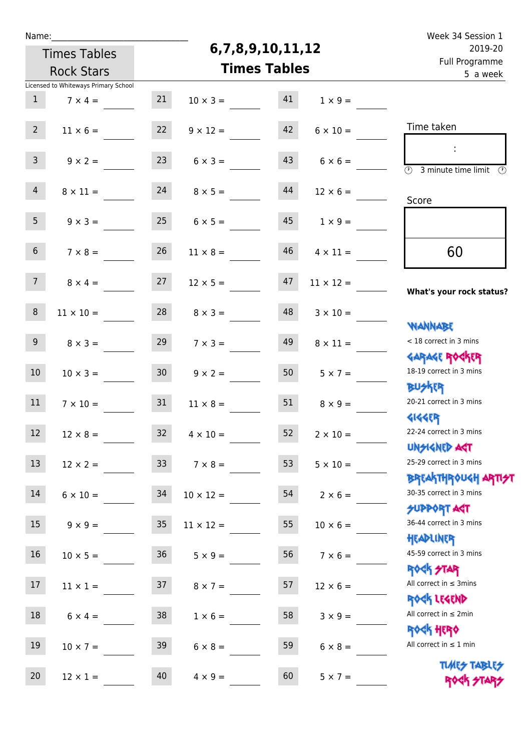| Ń | am |  | ı |  |
|---|----|--|---|--|
|   |    |  |   |  |
|   |    |  |   |  |

## **6,7,8,9,10,11,12**

| 2019-20                                                            | 6,7,8,9,10,11,12 |                     |                |                      |                 | <b>Times Tables</b>                  |                 |
|--------------------------------------------------------------------|------------------|---------------------|----------------|----------------------|-----------------|--------------------------------------|-----------------|
| Full Programme<br>5 a week                                         |                  | <b>Times Tables</b> |                | <b>Rock Stars</b>    |                 |                                      |                 |
|                                                                    |                  |                     |                |                      |                 | Licensed to Whiteways Primary School |                 |
|                                                                    | $1 \times 9 =$   | 41                  |                | $10 \times 3 =$      | 21              | $7 \times 4 =$                       | 1               |
| Time taken                                                         |                  |                     |                |                      |                 |                                      |                 |
|                                                                    | $6 \times 10 =$  | 42                  |                | $9 \times 12 =$      | 22              | $11 \times 6 =$                      | 2 <sup>7</sup>  |
| $\overline{(\mathcal{V})}$<br>3 minute time limit<br>$\circled{r}$ | $6 \times 6 =$   | 43                  | $6 \times 3 =$ |                      | 23              | $9 \times 2 =$                       | $\overline{3}$  |
|                                                                    | $12 \times 6 =$  | 44                  |                | $24 \t 8 \times 5 =$ |                 | $8 \times 11 =$                      | $\overline{4}$  |
| Score                                                              |                  |                     |                |                      |                 |                                      |                 |
|                                                                    | $1 \times 9 =$   | 45                  |                | $6 \times 5 =$       | 25              | $9 \times 3 =$                       | 5 <sub>1</sub>  |
| 60                                                                 | $4 \times 11 =$  | 46                  |                | $11 \times 8 =$      | 26              | $7 \times 8 =$                       | 6 <sup>1</sup>  |
| What's your rock status?                                           | $11 \times 12 =$ | 47                  |                | $12 \times 5 =$      | 27              | $8 \times 4 =$                       | 7 <sup>7</sup>  |
| <b>NANNABE</b>                                                     | $3 \times 10 =$  | 48                  | $8 \times 3 =$ |                      | 28              | $11 \times 10 =$                     | $\bf 8$         |
| < 18 correct in 3 mins                                             | $8 \times 11 =$  | 49                  |                | $7 \times 3 =$       | 29              | $8 \times 3 =$                       | 9 <sub>o</sub>  |
| <b>GARAGE ROGKER</b><br>18-19 correct in 3 mins<br><b>BUSKER</b>   | $5 \times 7 =$   | 50                  | $9 \times 2 =$ |                      | 30 <sub>o</sub> | $10 \times 3 =$                      | 10 <sup>°</sup> |
| 20-21 correct in 3 mins                                            | $8 \times 9 =$   | 51                  |                | $11 \times 8 =$      | 31              | $7 \times 10 =$                      | 11              |
| <b>4144ER</b><br>22-24 correct in 3 mins<br>UNSIGNED AGT           | $2 \times 10 =$  | 52                  |                | $4 \times 10 =$      | 32 <sup>2</sup> | $12 \times 8 =$                      | 12 <sup>°</sup> |
| 25-29 correct in 3 mins                                            | $5 \times 10 =$  | 53                  |                | $7 \times 8 =$       | 33 <sup>2</sup> | $12 \times 2 =$                      | 13              |
| <b>BREAKTHROUGH ARTI<del>S</del>T</b><br>30-35 correct in 3 mins   | $2 \times 6 =$   | 54                  |                | $10 \times 12 =$     | 34              | $6 \times 10 =$                      | 14              |
| <b>SUPPORT AGT</b><br>36-44 correct in 3 mins                      | $10 \times 6 =$  | 55                  |                | $11 \times 12 =$     | 35              | $9 \times 9 =$                       | 15 <sub>1</sub> |
| HEADLINER<br>45-59 correct in 3 mins                               | $7 \times 6 =$   | 56                  | $5 \times 9 =$ |                      | 36              | $10 \times 5 =$                      | $16\,$          |
| <b>ROCK STAR</b><br>All correct in $\leq$ 3mins                    | $12 \times 6 =$  | 57                  | $8 \times 7 =$ |                      | 37              | $11 \times 1 =$                      | 17 <sub>2</sub> |
| ROCK LEGEND<br>All correct in $\leq 2$ min                         | $3 \times 9 =$   | 58                  | $1 \times 6 =$ |                      | 38              | $6 \times 4 =$                       | 18              |
| <b>ROCK HERO</b><br>All correct in $\leq 1$ min                    | $6 \times 8 =$   | 59                  | $6 \times 8 =$ |                      | 39              | $10 \times 7 =$                      | 19              |
| <b>TUARS TABLES</b><br>ROCK STA                                    | $5 \times 7 =$   | 60                  | $4 \times 9 =$ |                      | 40              | $12 \times 1 =$                      | 20 <sub>2</sub> |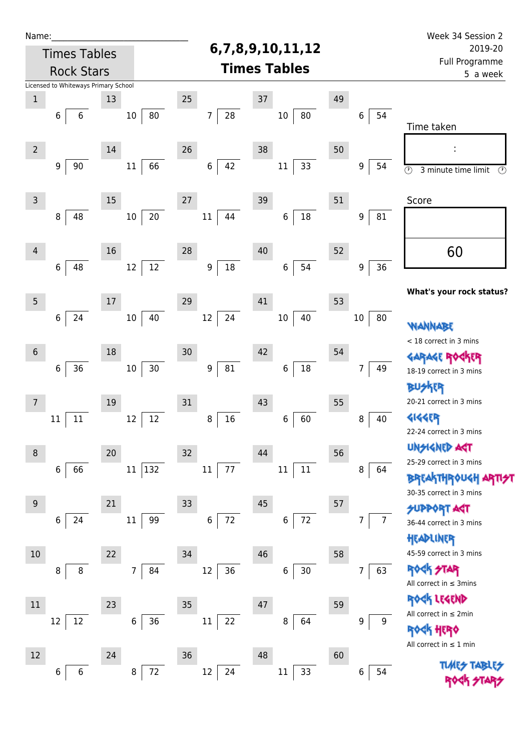| Name:          |                                      |    |                      |                                |                     |    |                     | Week 34 Session 2                                           |
|----------------|--------------------------------------|----|----------------------|--------------------------------|---------------------|----|---------------------|-------------------------------------------------------------|
|                | <b>Times Tables</b>                  |    |                      |                                | 6,7,8,9,10,11,12    |    |                     | 2019-20                                                     |
|                | <b>Rock Stars</b>                    |    |                      |                                | <b>Times Tables</b> |    |                     | Full Programme<br>5 a week                                  |
|                | Licensed to Whiteways Primary School |    |                      |                                |                     |    |                     |                                                             |
| $\mathbf 1$    |                                      | 13 |                      | 25                             | $37\,$              | 49 |                     |                                                             |
|                | 6<br>6                               |    | 80<br>$10\,$         | 28<br>7                        | 80<br>$10\,$        |    | 54<br>6             | Time taken                                                  |
| $\overline{2}$ |                                      | 14 |                      | 26                             | 38                  | 50 |                     |                                                             |
|                | $\boldsymbol{9}$<br>$90\,$           |    | 66<br>11             | $\,$ 6 $\,$<br>42              | 33<br>$11\,$        |    | 9<br>54             | $\overline{\odot}$<br>3 minute time limit<br>$\circledcirc$ |
| $\mathsf 3$    |                                      | 15 |                      | 27                             | 39                  | 51 |                     | Score                                                       |
|                | 48<br>8                              |    | 20<br>$10\,$         | 44<br>$11\,$                   | $18\,$<br>6         |    | 81<br>9             |                                                             |
| $\overline{4}$ |                                      | 16 |                      | 28                             | 40                  | 52 |                     | 60                                                          |
|                | $\,6$<br>48                          |    | 12<br>12             | $18\,$<br>9                    | 54<br>6             |    | 36<br>9             |                                                             |
| 5              |                                      | 17 |                      | 29                             | 41                  | 53 |                     | What's your rock status?                                    |
|                | 24<br>$\,6$                          |    | 40<br>$10\,$         | 24<br>$12\,$                   | 40<br>$10\,$        |    | $10\,$<br>80        | <b><i>NANNABE</i></b>                                       |
| $\sqrt{6}$     |                                      | 18 |                      | 30                             | 42                  | 54 |                     | < 18 correct in 3 mins                                      |
|                | $36\,$<br>6                          |    | $30\,$<br>$10\,$     | $\boldsymbol{9}$<br>${\bf 81}$ | $18\,$<br>6         |    | 49<br>7             | <b>GARAGE ROC</b><br>18-19 correct in 3 mins                |
| 7              |                                      | 19 |                      | 31                             | 43                  | 55 |                     | <b>BUSKER</b><br>20-21 correct in 3 mins                    |
|                | 11<br>11                             |    | 12<br>12             | 16<br>8                        | 60<br>$\,6\,$       |    | 40<br>$\, 8$        | <b>4144EP</b><br>22-24 correct in 3 mins                    |
| $\,8\,$        |                                      | 20 |                      | 32                             | 44                  | 56 |                     | <b>UNGIGNED AST</b>                                         |
|                | 66<br>6                              |    | 132<br>11            | 77<br>11                       | $11\,$<br>11        |    | 8<br>64             | 25-29 correct in 3 mins                                     |
|                |                                      |    |                      |                                |                     |    |                     | <b>BREAKTHROUGH</b><br>30-35 correct in 3 mins              |
| 9              |                                      | 21 |                      | 33                             | 45                  | 57 |                     | <b>SUPPORT AST</b>                                          |
|                | 24<br>6                              |    | 11<br>99             | $\boldsymbol{6}$<br>72         | 72<br>6             |    | $\overline{7}$<br>7 | 36-44 correct in 3 mins<br>HEADLINER                        |
| $10$           |                                      | 22 |                      | 34                             | 46                  | 58 |                     | 45-59 correct in 3 mins                                     |
|                | 8<br>8                               |    | 84<br>$\overline{7}$ | $12\,$<br>36                   | 30<br>6             |    | 63<br>7             | <b>ROCK STAR</b><br>All correct in $\leq$ 3mins             |
| 11             |                                      | 23 |                      | 35                             | 47                  | 59 |                     | ROCK LEGEND                                                 |
|                | 12<br>12                             |    | 36<br>6              | 22<br>$11\,$                   | 8<br>64             |    | 9<br>9              | All correct in $\leq 2$ min<br>HERO                         |
| 12             |                                      | 24 |                      | 36                             | 48                  | 60 |                     | All correct in $\leq 1$ min                                 |
|                | 6<br>6                               |    | 72<br>8              | 12<br>24                       | 33<br>11            |    | 54<br>6             | <b>TUARS TABARS</b><br><b>ROCK 41</b>                       |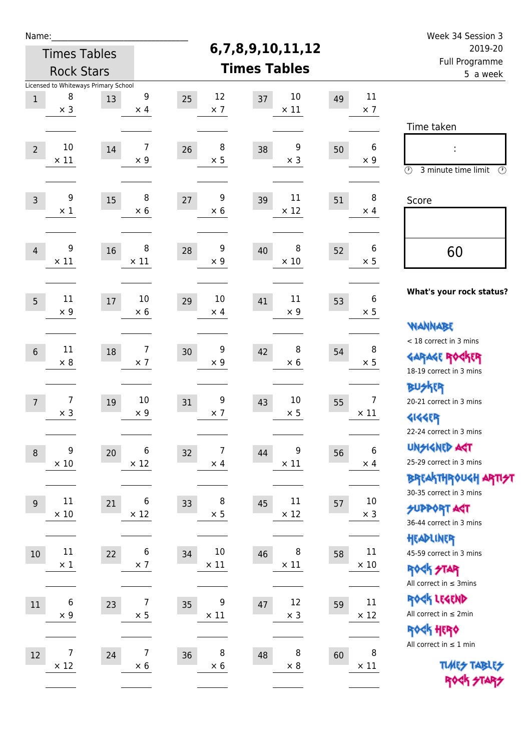| Name:          |                                      |    |                 |                        |                         |         |                  | Week 34 Session 3                                     |
|----------------|--------------------------------------|----|-----------------|------------------------|-------------------------|---------|------------------|-------------------------------------------------------|
|                | <b>Times Tables</b>                  |    |                 |                        | 6,7,8,9,10,11,12        | 2019-20 |                  |                                                       |
|                | <b>Rock Stars</b>                    |    |                 |                        | <b>Times Tables</b>     |         |                  | Full Programme<br>5 a week                            |
|                | Licensed to Whiteways Primary School |    |                 |                        |                         |         |                  |                                                       |
| $\mathbf 1$    | 8<br>$\times$ 3                      | 13 | 9<br>$\times$ 4 | 12<br>25<br>$\times$ 7 | 10<br>37<br>$\times$ 11 | 49      | 11<br>$\times$ 7 |                                                       |
|                |                                      |    |                 |                        |                         |         |                  | Time taken                                            |
|                | 10                                   |    | $\overline{7}$  | 8                      | 9                       |         | $\boldsymbol{6}$ |                                                       |
| $\overline{2}$ | $\times$ 11                          | 14 | $\times$ 9      | 26<br>$\times$ 5       | 38<br>$\times$ 3        | 50      | $\times 9$       |                                                       |
|                |                                      |    |                 |                        |                         |         |                  | $\circled{r}$<br>3 minute time limit<br>$\circled{r}$ |
| $\overline{3}$ | 9                                    | 15 | 8               | 9<br>27                | 11<br>39                | 51      | 8                | Score                                                 |
|                | $\times$ 1                           |    | $\times 6$      | $\times 6$             | $\times$ 12             |         | $\times$ 4       |                                                       |
|                |                                      |    |                 |                        |                         |         |                  |                                                       |
| $\overline{4}$ | 9                                    | 16 | 8               | 9<br>28                | 8<br>40                 | 52      | 6                | 60                                                    |
|                | $\times$ 11                          |    | $\times$ 11     | $\times$ 9             | $\times$ 10             |         | $\times$ 5       |                                                       |
|                |                                      |    |                 |                        |                         |         |                  |                                                       |
| 5              | 11                                   | 17 | 10              | 10<br>29               | 11<br>41                | 53      | $\boldsymbol{6}$ | What's your rock status?                              |
|                | $\times$ 9                           |    | $\times$ 6      | $\times$ 4             | $\times$ 9              |         | $\times$ 5       |                                                       |
|                |                                      |    |                 |                        |                         |         |                  | <b>NANNABE</b>                                        |
| $\sqrt{6}$     | 11                                   | 18 | 7               | 9<br>30                | 8<br>42                 | 54      | 8                | < 18 correct in 3 mins                                |
|                | $\times 8$                           |    | $\times$ 7      | $\times$ 9             | $\times$ 6              |         | $\times$ 5       | <b>GARAGE ROCKER</b>                                  |
|                |                                      |    |                 |                        |                         |         |                  | 18-19 correct in 3 mins<br><b>BUSKER</b>              |
| $\overline{7}$ | 7                                    | 19 | 10              | 9<br>31                | 10<br>43                | 55      | $\overline{7}$   | 20-21 correct in 3 mins                               |
|                | $\times$ 3                           |    | $\times$ 9      | $\times$ 7             | $\times$ 5              |         | $\times$ 11      | <b>4144EP</b>                                         |
|                |                                      |    |                 |                        |                         |         |                  | 22-24 correct in 3 mins                               |
| $\,8\,$        | $\boldsymbol{9}$                     | 20 | 6               | 7<br>32                | 9<br>44                 | 56      | 6                | <b>UNSIGNED AGT</b>                                   |
|                | $\times$ 10                          |    | $\times$ 12     | $\times$ 4             | $\times$ 11             |         | $\times$ 4       | 25-29 correct in 3 mins                               |
|                |                                      |    |                 |                        |                         |         |                  | BREAKTHRÓUGH ARTI <del>2</del> 1                      |
| 9              | $11\,$                               | 21 | 6               | 8<br>33                | $11\,$<br>45            | 57      | $10\,$           | 30-35 correct in 3 mins                               |
|                | $\times$ 10                          |    | $\times$ 12     | $\times$ 5             | $\times$ 12             |         | $\times$ 3       | <b>SUPPORT ART</b><br>36-44 correct in 3 mins         |
|                |                                      |    |                 |                        |                         |         |                  | HEADLINER                                             |
| $10$           | $11\,$                               | 22 | 6               | 10<br>34               | 8<br>46                 | 58      | 11               | 45-59 correct in 3 mins                               |
|                | $\times$ 1                           |    | $\times$ 7      | $\times$ 11            | $\times$ 11             |         | $\times$ 10      | <b>ROCK STAR</b>                                      |
|                |                                      |    |                 |                        |                         |         |                  | All correct in $\leq$ 3mins                           |
| $11\,$         | $\boldsymbol{6}$                     | 23 | 7               | 9<br>35                | 12<br>47                | 59      | 11               | ROCK LEGEND                                           |
|                | $\times$ 9                           |    | $\times$ 5      | $\times$ 11            | $\times$ 3              |         | $\times$ 12      | All correct in $\leq 2$ min                           |
|                |                                      |    |                 |                        |                         |         |                  | ROCK HERO                                             |
| 12             | 7                                    | 24 | 7               | 8<br>36                | 8<br>48                 | 60      | 8                | All correct in $\leq 1$ min                           |
|                | $\times$ 12                          |    | $\times 6$      | $\times$ 6             | $\times 8$              |         | $\times$ 11      | <b>TUARS TABLES</b>                                   |
|                |                                      |    |                 |                        |                         |         |                  | ROCK STARS                                            |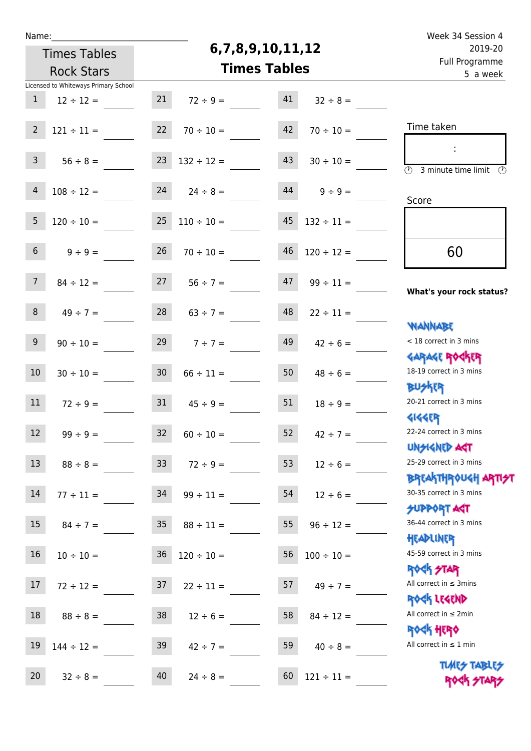| u | am |  |  |
|---|----|--|--|
|   |    |  |  |

## **6,7,8,9,10,11,12**

Week 34 Session 4 Full Programme 2019-20

|                 | <b>Times Tables</b>                  |                 | 6,7,8,9,10,11,12               | 2019-20             |                                 |                                                                            |
|-----------------|--------------------------------------|-----------------|--------------------------------|---------------------|---------------------------------|----------------------------------------------------------------------------|
|                 | <b>Rock Stars</b>                    |                 |                                | <b>Times Tables</b> |                                 | Full Programme<br>5 a week                                                 |
|                 | Licensed to Whiteways Primary School |                 |                                |                     |                                 |                                                                            |
| $\mathbf{1}$    | $12 \div 12 =$                       | 21              | $72 \div 9 =$                  | 41                  | $32 \div 8 =$                   |                                                                            |
| $\overline{2}$  | $121 \div 11 =$                      | 22              | $70 \div 10 =$                 | 42                  | $70 \div 10 =$                  | Time taken                                                                 |
| $\mathsf{3}$    | $56 \div 8 =$                        | 23              | $132 \div 12 =$                | 43                  | $30 \div 10 =$                  | $\overline{(\mathcal{V})}$<br>3 minute time limit<br>$\circled{r}$         |
| $\overline{4}$  | $108 \div 12 =$                      | 24              | $24 \div 8 =$                  | 44                  | $9 \div 9 =$                    | Score                                                                      |
| 5               | $120 \div 10 =$                      | 25              | $110 \div 10 =$                | 45                  | $132 \div 11 =$                 |                                                                            |
| 6 <sup>1</sup>  | $9 \div 9 =$                         | 26              | $70 \div 10 =$                 | 46                  | $120 \div 12 =$                 | 60                                                                         |
| 7 <sup>7</sup>  | $84 \div 12 =$                       | 27              | $56 \div 7 =$                  | 47                  | $99 \div 11 =$                  | What's your rock status?                                                   |
| 8               | $49 \div 7 =$                        | 28              | $63 \div 7 =$                  | 48                  | $22 \div 11 =$                  | <b>NANNABE</b>                                                             |
| 9 <sup>°</sup>  | $90 \div 10 =$                       | 29              | $7 ÷ 7 =$                      | 49                  | $42 \div 6 =$                   | < 18 correct in 3 mins<br><b>GARAGE ROGKER</b>                             |
| 10              | $30 \div 10 =$                       | 30 <sub>o</sub> | $66 \div 11 =$                 | 50                  | $48 \div 6 =$                   | 18-19 correct in 3 mins<br><b>BUSKER</b>                                   |
| 11              | $72 \div 9 =$                        | 31              | $45 \div 9 =$                  | 51                  | $18 \div 9 =$                   | 20-21 correct in 3 mins<br><b>4144ER</b>                                   |
| 12              | $99 \div 9 =$                        | 32              | $60 \div 10 =$                 | 52                  | $42 \div 7 =$                   | 22-24 correct in 3 mins<br>UNSIGNED AGT                                    |
| 13              | $88 \div 8 =$                        | 33              | $72 \div 9 =$                  | 53                  | $12 \div 6 =$                   | 25-29 correct in 3 mins<br>ΒΡΓΑΚΤΗΡΟUGH ΑΡΤΙ <del>2</del> Τ                |
| 14              | $77 \div 11 =$                       | 34              | $99 \div 11 =$                 | 54                  | $12 \div 6 =$                   | 30-35 correct in 3 mins<br><b>SUPPORT AGT</b>                              |
| 15              | $84 \div 7 =$                        | 35 <sub>1</sub> | $88 \div 11 =$                 | 55                  | $96 \div 12 =$                  | 36-44 correct in 3 mins<br>HEADLINER                                       |
| 16              | $10 \div 10 =$                       | 36              | $120 \div 10 =$                | 56                  | $100 \div 10 =$                 | 45-59 correct in 3 mins<br><b>ROCK STAR</b><br>All correct in $\leq$ 3mins |
| 17<br>18        | $72 \div 12 =$                       | 37              | $22 \div 11 =$                 | 57                  | $49 \div 7 =$                   | ROCK LEGEND<br>All correct in $\leq 2$ min                                 |
| 19              | $88 \div 8 =$<br>$144 \div 12 =$     | 38<br>39        | $12 \div 6 =$<br>$42 \div 7 =$ | 58<br>59            | $84 \div 12 =$<br>$40 \div 8 =$ | <b>ROCK HERO</b><br>All correct in $\leq 1$ min                            |
| 20 <sub>2</sub> | $32 \div 8 =$                        | 40              | $24 \div 8 =$                  | 60                  | $121 \div 11 =$                 | <b>TUARS TABLES</b><br>ROCK STARS                                          |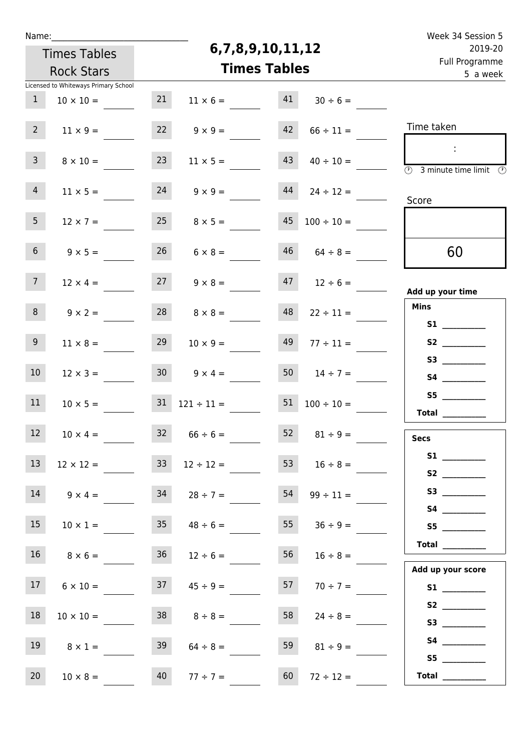| Ń | am |  | ı |  |
|---|----|--|---|--|
|   |    |  |   |  |
|   |    |  |   |  |

## **6,7,8,9,10,11,12**

| i uli rivyialillile<br>5 a week                                               |                     | <b>Times Tables</b> |                          |    |                                      |                 |
|-------------------------------------------------------------------------------|---------------------|---------------------|--------------------------|----|--------------------------------------|-----------------|
|                                                                               |                     |                     |                          |    | Licensed to Whiteways Primary School |                 |
|                                                                               | $30 \div 6 =$       | 41                  | $11 \times 6 =$          | 21 | $10 \times 10 =$                     | $\mathbf{1}$    |
| Time taken                                                                    | $66 \div 11 =$      | 42                  | $9 \times 9 =$           | 22 | $11 \times 9 =$                      | 2 <sup>7</sup>  |
|                                                                               |                     |                     |                          |    |                                      |                 |
| $\mathcal{L}_{\mathcal{C}}$                                                   | $40 \div 10 =$      | 43                  | $11 \times 5 =$          | 23 | $8 \times 10 =$                      | 3 <sup>7</sup>  |
| $\overline{\textcircled{1}}$ 3 minute time limit $\overline{\textcircled{1}}$ |                     |                     |                          |    |                                      |                 |
|                                                                               | $24 \div 12 =$      | 44                  | $9 \times 9 =$           | 24 | $11 \times 5 =$                      | 4               |
| Score                                                                         |                     |                     |                          |    |                                      |                 |
|                                                                               | $100 \div 10 =$     | 45                  | $8 \times 5 =$           | 25 | $12 \times 7 =$                      | 5 <sub>1</sub>  |
|                                                                               |                     |                     |                          |    |                                      |                 |
| 60                                                                            | $46$ $64 \div 8 =$  |                     | $26 \t 6 \times 8 =$     |    | $9 \times 5 =$                       | 6 <sup>1</sup>  |
|                                                                               |                     |                     |                          |    |                                      |                 |
| Add up your time                                                              | $47$ $12 \div 6 =$  |                     | $9 \times 8 =$           | 27 | $12 \times 4 =$                      | 7 <sup>7</sup>  |
| <b>Mins</b>                                                                   | $22 \div 11 =$      | 48                  | $8 \times 8 =$           | 28 | $9 \times 2 =$                       | 8               |
| S1                                                                            |                     |                     |                          |    |                                      |                 |
|                                                                               | $77 \div 11 =$      | 49                  | $10 \times 9 =$          | 29 | $11 \times 8 =$                      | 9 <sub>o</sub>  |
|                                                                               |                     |                     |                          |    |                                      |                 |
|                                                                               | $14 \div 7 =$       | 50                  | $30 \t 9 \times 4 =$     |    | $12 \times 3 =$                      | 10 <sup>°</sup> |
| S5                                                                            |                     |                     |                          |    |                                      |                 |
| Total $\_\_$                                                                  | $100 \div 10 =$     | 51                  | $31 \quad 121 \div 11 =$ |    | $10 \times 5 =$                      | 11              |
|                                                                               |                     |                     |                          |    |                                      |                 |
| <b>Secs</b>                                                                   | $81 \div 9 =$       | 52                  | $32 \t 66 \div 6 =$      |    | $10 \times 4 =$                      | 12              |
| S1                                                                            |                     |                     |                          |    |                                      |                 |
| S2                                                                            | 53 $16 \div 8 =$    |                     | $33 \t 12 \div 12 =$     |    | $13 \t 12 \times 12 =$               |                 |
|                                                                               | $99 \div 11 =$      | 54                  | $28 \div 7 =$            | 34 | $9 \times 4 =$                       | 14              |
|                                                                               |                     |                     |                          |    |                                      |                 |
| S5                                                                            | $55 \t 36 \div 9 =$ |                     | $35 \t 48 \div 6 =$      |    | $10 \times 1 =$                      | 15              |
| Total $\_\_$                                                                  |                     |                     |                          |    |                                      |                 |
|                                                                               | $16 \div 8 =$       | 56                  | $12 \div 6 =$            | 36 | $8 \times 6 =$                       | 16              |
| Add up your score                                                             |                     |                     |                          |    |                                      |                 |
| S1                                                                            | $70 \div 7 =$       | 57                  | $45 \div 9 =$            | 37 | $6 \times 10 =$                      | 17              |
|                                                                               |                     |                     |                          |    |                                      |                 |
|                                                                               | $24 \div 8 =$       | 58                  | $8 \div 8 =$             | 38 | $10 \times 10 =$                     | 18              |
|                                                                               |                     | 59                  | $64 \div 8 =$            | 39 | $8 \times 1 =$                       | 19              |
| S5                                                                            | $81 \div 9 =$       |                     |                          |    |                                      |                 |
| Total $\_\_$                                                                  | $72 \div 12 =$      | 60                  | $77 ÷ 7 =$               | 40 | $10 \times 8 =$                      | 20 <sub>2</sub> |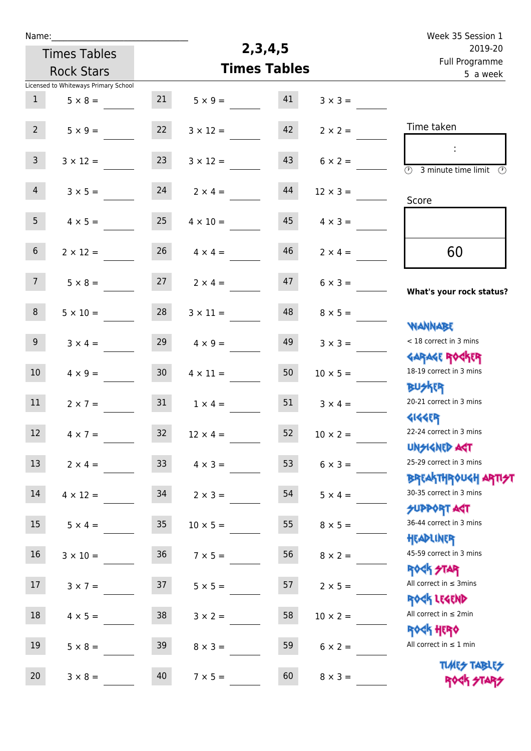| Week 35 Session 1                                                                                 |                 |                     |                 |                 |                                      | Name:            |
|---------------------------------------------------------------------------------------------------|-----------------|---------------------|-----------------|-----------------|--------------------------------------|------------------|
| 2019-20                                                                                           |                 | 2, 3, 4, 5          |                 |                 | <b>Times Tables</b>                  |                  |
| Full Programme<br>5 a week                                                                        |                 | <b>Times Tables</b> |                 |                 | <b>Rock Stars</b>                    |                  |
|                                                                                                   |                 |                     |                 |                 | Licensed to Whiteways Primary School |                  |
|                                                                                                   | $3 \times 3 =$  | 41                  | $5 \times 9 =$  | 21              | $5 \times 8 =$                       | 1                |
| Time taken                                                                                        | $2 \times 2 =$  | 42                  | $3 \times 12 =$ | 22              | $5 \times 9 =$                       | 2 <sup>7</sup>   |
| $\mathcal{L}_{\mathcal{C}}$<br>$\overline{(\mathcal{V})}$<br>3 minute time limit<br>$\mathcal{O}$ | $6 \times 2 =$  | 43                  | $3 \times 12 =$ | 23              | $3 \times 12 =$                      | $\mathbf{3}$     |
| Score                                                                                             | $12 \times 3 =$ | 44                  | $2 \times 4 =$  | 24              | $3 \times 5 =$                       | $\overline{4}$   |
|                                                                                                   | $4 \times 3 =$  | 45                  | $4 \times 10 =$ | 25              | $4 \times 5 =$                       | 5 <sub>1</sub>   |
| 60                                                                                                | $2 \times 4 =$  | 46                  | $4 \times 4 =$  | 26              | $2 \times 12 =$                      | 6 <sup>1</sup>   |
| What's your rock status?                                                                          | $6 \times 3 =$  | 47                  | $2 \times 4 =$  | 27              | $5 \times 8 =$                       | 7 <sup>7</sup>   |
| <b>NANNABE</b>                                                                                    | $8 \times 5 =$  | 48                  | $3 \times 11 =$ | 28              | $5 \times 10 =$                      | 8                |
| < 18 correct in 3 mins<br><b>GARAGE ROGKER</b>                                                    | $3 \times 3 =$  | 49                  | $4 \times 9 =$  | 29              | $3 \times 4 =$                       | 9 <sup>°</sup>   |
| 18-19 correct in 3 mins<br><b>BUSKRR</b>                                                          | $10 \times 5 =$ | 50                  | $4 \times 11 =$ | 30 <sub>2</sub> | $4 \times 9 =$                       | 10 <sup>°</sup>  |
| 20-21 correct in 3 mins<br><b>4144ER</b>                                                          | $3 \times 4 =$  | 51                  | $1 \times 4 =$  | 31              | $2 \times 7 =$                       | 11               |
| 22-24 correct in 3 mins<br><b>UNSIGNED AST</b>                                                    | $10 \times 2 =$ | 52                  | $12 \times 4 =$ | 32              | $4 \times 7 =$                       | 12 <sup>12</sup> |
| 25-29 correct in 3 mins                                                                           | $6 \times 3 =$  | 53                  | $4 \times 3 =$  | 33              | $2 \times 4 =$                       | 13               |
| ΒΡ[Α  THP\0U <h αρ  7 <del="">2 <br/>30-35 correct in 3 mins</h>                                  | $5 \times 4 =$  | 54                  | $2 \times 3 =$  | 34              | $4 \times 12 =$                      | 14               |
| <b>SUPPORT AGT</b><br>36-44 correct in 3 mins                                                     | $8 \times 5 =$  | 55                  | $10 \times 5 =$ | 35 <sub>2</sub> | $5 \times 4 =$                       | 15               |
| HEADLINER<br>45-59 correct in 3 mins<br><b>ROCK STAR</b>                                          | $8 \times 2 =$  | 56                  | $7 \times 5 =$  | 36 <sup>°</sup> | $3 \times 10 =$                      | 16               |
| All correct in $\leq$ 3mins<br>ROCK LEGEND                                                        | $2 \times 5 =$  | 57                  | $5 \times 5 =$  | 37              | $3 \times 7 =$                       | 17               |
| All correct in $\leq 2$ min<br><b>ROCK HERO</b>                                                   | $10 \times 2 =$ | 58                  | $3 \times 2 =$  | 38              | $4 \times 5 =$                       | 18               |
| All correct in $\leq 1$ min                                                                       | $6 \times 2 =$  | 59                  | $8 \times 3 =$  | 39              | $5 \times 8 =$                       | 19               |
| <b>TUARS TABLES</b><br>ROCK STARS                                                                 | $8 \times 3 =$  | 60                  | $7 \times 5 =$  | 40              | $3 \times 8 =$                       | 20               |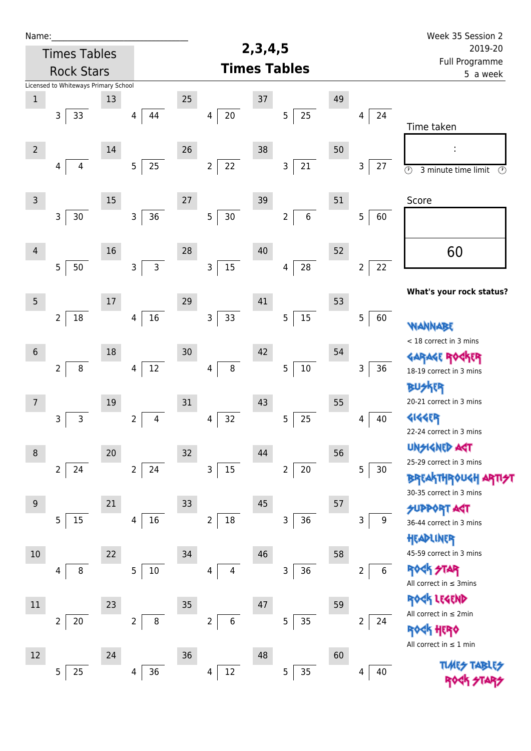| Name:           |                                      |        |                                |    |                          |            |                           |    |                      | Week 35 Session 2                                    |
|-----------------|--------------------------------------|--------|--------------------------------|----|--------------------------|------------|---------------------------|----|----------------------|------------------------------------------------------|
|                 | <b>Times Tables</b>                  |        |                                |    |                          | 2, 3, 4, 5 |                           |    |                      | 2019-20                                              |
|                 | <b>Rock Stars</b>                    |        |                                |    |                          |            | <b>Times Tables</b>       |    |                      | Full Programme<br>5 a week                           |
|                 | Licensed to Whiteways Primary School |        |                                |    |                          |            |                           |    |                      |                                                      |
| $\,1$           |                                      | 13     |                                | 25 |                          | 37         |                           | 49 |                      |                                                      |
|                 | $\mathsf{3}$<br>33                   |        | 44<br>4                        |    | $20\,$<br>4              |            | 25<br>5                   |    | 24<br>4              | Time taken                                           |
| $\overline{2}$  |                                      | 14     |                                | 26 |                          | 38         |                           | 50 |                      |                                                      |
|                 | 4<br>4                               |        | 25<br>5 <sub>5</sub>           |    | 22<br>$\overline{2}$     |            | 21<br>3                   |    | 3<br>27              | $\overline{\odot}$<br>$\odot$<br>3 minute time limit |
| $\mathsf 3$     |                                      | $15\,$ |                                | 27 |                          | 39         |                           | 51 |                      | Score                                                |
|                 | $\mathsf{3}$<br>$30$                 |        | 36<br>3                        |    | 5<br>$30\,$              |            | $\,6\,$<br>$\overline{2}$ |    | 5<br>60              |                                                      |
| $\overline{4}$  |                                      | 16     |                                | 28 |                          | 40         |                           | 52 |                      | 60                                                   |
|                 | 5<br>50                              |        | $\overline{3}$<br>$\mathbf{3}$ |    | 15<br>3                  |            | 28<br>4                   |    | 22<br>$\overline{2}$ |                                                      |
| $5\phantom{.0}$ |                                      | 17     |                                | 29 |                          | 41         |                           | 53 |                      | What's your rock status?                             |
|                 | $\overline{2}$<br>18                 |        | 16<br>4                        |    | 33<br>$\mathsf{3}$       |            | 15<br>$\overline{5}$      |    | 5<br>60              | WANNABE                                              |
|                 |                                      |        |                                |    |                          |            |                           |    |                      | < 18 correct in 3 mins                               |
| $\sqrt{6}$      |                                      | 18     |                                | 30 |                          | 42         |                           | 54 |                      | <b>GARAGE RO</b><br><b>TR</b>                        |
|                 | $\overline{2}$<br>$\bf 8$            |        | $12\,$<br>4                    |    | 8<br>4                   |            | $10\,$<br>5               |    | $36\,$<br>3          | 18-19 correct in 3 mins                              |
|                 |                                      |        |                                |    |                          |            |                           |    |                      | <b>BUSKER</b>                                        |
| $\overline{7}$  |                                      | 19     |                                | 31 |                          | 43         |                           | 55 |                      | 20-21 correct in 3 mins                              |
|                 | 3<br>3                               |        | 4<br>2                         |    | 32<br>4                  |            | 25<br>5                   |    | 40<br>4              | <b>4144EP</b>                                        |
|                 |                                      |        |                                |    |                          |            |                           |    |                      | 22-24 correct in 3 mins                              |
| $\,8\,$         |                                      | 20     |                                | 32 |                          | 44         |                           | 56 |                      | <b>UNSIGNED AGT</b>                                  |
|                 | $\overline{2}$<br>24                 |        | 2 <sup>1</sup><br>24           |    | 3<br>$15\,$              |            | $20\,$<br>$\overline{2}$  |    | 5<br>30              | 25-29 correct in 3 mins                              |
|                 |                                      |        |                                |    |                          |            |                           |    |                      | <b>BREAKTHROUGH</b>                                  |
| 9               |                                      | 21     |                                | 33 |                          | 45         |                           | 57 |                      | 30-35 correct in 3 mins                              |
|                 | 5<br>15                              |        | 16<br>4                        |    | $\overline{2}$<br>$18\,$ |            | 36<br>3                   |    | 9<br>3               | <b>SUPPORT AGT</b>                                   |
|                 |                                      |        |                                |    |                          |            |                           |    |                      | 36-44 correct in 3 mins                              |
| 10              |                                      | 22     |                                | 34 |                          | 46         |                           | 58 |                      | HEADLINER<br>45-59 correct in 3 mins                 |
|                 | 8<br>4                               |        | 5<br>10                        |    | 4<br>4                   |            | 36<br>3                   |    | 6<br>$\overline{2}$  | <b>ROCK STAR</b>                                     |
|                 |                                      |        |                                |    |                          |            |                           |    |                      | All correct in $\leq$ 3mins                          |
|                 |                                      |        |                                |    |                          |            |                           |    |                      | ROCK LEGEND                                          |
| $11\,$          |                                      | 23     |                                | 35 |                          | 47         |                           | 59 |                      | All correct in $\leq 2$ min                          |
|                 | $\overline{2}$<br>$20\,$             |        | $\, 8$<br>$\overline{2}$       |    | $\overline{2}$<br>6      |            | 35<br>5                   |    | 2<br>24              | <b><htps: <="" b=""></htps:></b>                     |
|                 |                                      |        |                                |    |                          |            |                           |    |                      | All correct in $\leq 1$ min                          |
| 12              |                                      | 24     |                                | 36 |                          | 48         |                           | 60 |                      | <b>TUARS TABLES</b>                                  |
|                 | 25<br>5                              |        | 36<br>4                        |    | $12\,$<br>4              |            | 35<br>5                   |    | 40<br>4              |                                                      |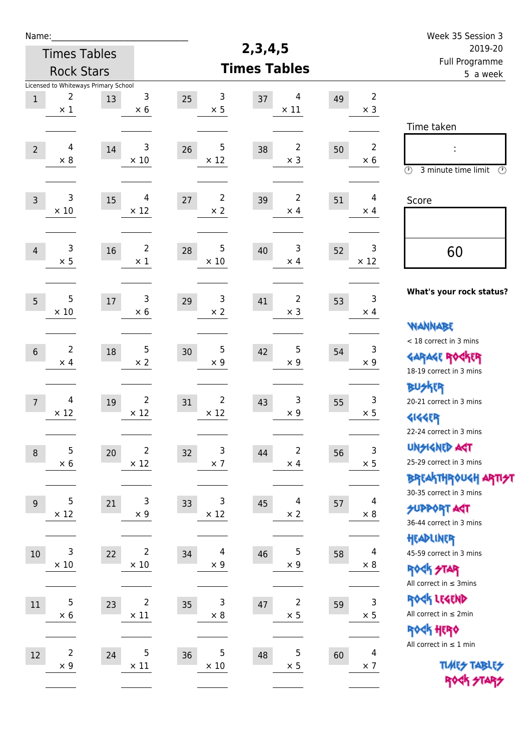| Name:            |                                                         |    |                                        |                                     |            |                                       |                            |                              | Week 35 Session 3                                                                               |
|------------------|---------------------------------------------------------|----|----------------------------------------|-------------------------------------|------------|---------------------------------------|----------------------------|------------------------------|-------------------------------------------------------------------------------------------------|
|                  | <b>Times Tables</b>                                     |    |                                        |                                     | 2, 3, 4, 5 |                                       |                            |                              | 2019-20                                                                                         |
|                  | <b>Rock Stars</b>                                       |    |                                        | <b>Times Tables</b>                 |            |                                       | Full Programme<br>5 a week |                              |                                                                                                 |
| $\mathbf{1}$     | Licensed to Whiteways Primary School<br>2<br>$\times$ 1 | 13 | 3<br>$\times$ 6                        | 3<br>25<br>$\times$ 5               | 37         | 4<br>$\times$ 11                      | 49                         | $\overline{2}$<br>$\times$ 3 |                                                                                                 |
| $\overline{2}$   | 4<br>$\times$ 8                                         | 14 | 3<br>$\times$ 10                       | 5<br>26<br>$\times$ 12              | 38         | 2<br>$\times$ 3                       | 50                         | $\overline{2}$<br>$\times 6$ | Time taken<br>÷<br>$\circled{r}$<br>3 minute time limit<br>⊕                                    |
| $\overline{3}$   | 3<br>$\times$ 10                                        | 15 | 4<br>$\times$ 12                       | $\overline{2}$<br>27<br>$\times 2$  | 39         | $\overline{2}$<br>$\times$ 4          | 51                         | 4<br>$\times$ 4              | Score                                                                                           |
| $\overline{4}$   | 3<br>$\times$ 5                                         | 16 | $\overline{2}$<br>$\times$ 1           | 5<br>28<br>$\times$ 10              | 40         | 3<br>$\times$ 4                       | 52                         | 3<br>$\times$ 12             | 60                                                                                              |
| 5                | 5<br>$\times$ 10                                        | 17 | 3<br>$\times 6$                        | $\mathsf 3$<br>29<br>$\times 2$     | 41         | 2<br>$\times$ 3                       | 53                         | 3<br>$\times$ 4              | What's your rock status?<br><b>WANNABE</b>                                                      |
| $6\,$            | $\overline{2}$<br>$\times$ 4                            | 18 | 5<br>$\times 2$                        | 5<br>30<br>$\times$ 9               | 42         | 5<br>$\times$ 9                       | 54                         | $\mathsf 3$<br>$\times$ 9    | < 18 correct in 3 mins<br><b>GARAGE ROGKER</b><br>18-19 correct in 3 mins                       |
| $\overline{7}$   | 4<br>$\times$ 12                                        | 19 | $\overline{2}$<br>$\times$ 12          | $\overline{2}$<br>31<br>$\times$ 12 | 43         | 3<br>$\times$ 9                       | 55                         | 3<br>$\times$ 5              | <b>BUSKER</b><br>20-21 correct in 3 mins<br><b>4144EP</b><br>22-24 correct in 3 mins            |
| $\boldsymbol{8}$ | 5<br>$\times$ 6                                         | 20 | $\overline{\mathbf{c}}$<br>$\times$ 12 | 3<br>32<br>$\times$ 7               | 44         | $\overline{\mathbf{c}}$<br>$\times$ 4 | 56                         | $\mathsf 3$<br>$\times$ 5    | <b>UNSIGNED AGT</b><br>25-29 correct in 3 mins<br>ΒΡΓΑ <sup>Κ</sup> ΤΗΡΟυΚΗ ΑΡΤΙ <del>2</del> Τ |
| $9$              | 5<br>$\times$ 12                                        | 21 | 3<br>$\times$ 9                        | 3<br>33<br>$\times$ 12              | 45         | 4<br>$\times$ 2                       | 57                         | 4<br>$\times 8$              | 30-35 correct in 3 mins<br><b>SUPPORT ART</b><br>36-44 correct in 3 mins                        |
| 10               | 3<br>$\times$ 10                                        | 22 | $\overline{\mathbf{c}}$<br>$\times$ 10 | 4<br>34<br>$\times$ 9               | 46         | 5<br>$\times$ 9                       | 58                         | 4<br>$\times 8$              | HEADLINER<br>45-59 correct in 3 mins<br><b>ROCK STAR</b><br>All correct in $\leq$ 3mins         |
| 11               | 5<br>$\times$ 6                                         | 23 | $\overline{2}$<br>$\times$ 11          | $\mathsf{3}$<br>35<br>$\times$ 8    | $47\,$     | 2<br>$\times$ 5                       | 59                         | 3<br>$\times$ 5              | ROCK LEGEND<br>All correct in $\leq 2$ min<br>ROCK HERO                                         |
| 12               | $\overline{\mathbf{c}}$<br>$\times$ 9                   | 24 | $\sqrt{5}$<br>$\times$ 11              | 5<br>36<br>$\times$ 10              | 48         | 5<br>$\times$ 5                       | 60                         | 4<br>$\times$ 7              | All correct in $\leq 1$ min<br><b>TUARS TABLES</b><br>ROCK STARS                                |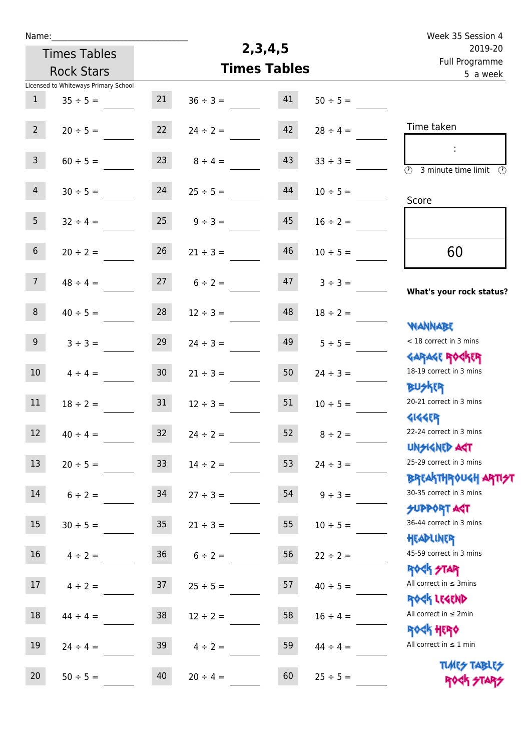| Week 35 Session 4                                                |               |                     |               |                 |                                      | Name:            |
|------------------------------------------------------------------|---------------|---------------------|---------------|-----------------|--------------------------------------|------------------|
| 2019-20                                                          |               | 2, 3, 4, 5          |               |                 | <b>Times Tables</b>                  |                  |
| Full Programme<br>5 a week                                       |               | <b>Times Tables</b> |               |                 | <b>Rock Stars</b>                    |                  |
|                                                                  |               |                     |               |                 | Licensed to Whiteways Primary School |                  |
|                                                                  | $50 \div 5 =$ | 41                  | $36 \div 3 =$ | 21              | $35 \div 5 =$                        | $\mathbf{1}$     |
| Time taken                                                       | $28 \div 4 =$ | 42                  | $24 \div 2 =$ | 22              | $20 \div 5 =$                        | $2^{\circ}$      |
| $\overline{\odot}$<br>3 minute time limit<br>⊕                   | $33 \div 3 =$ | 43                  | $8 \div 4 =$  | 23              | $60 \div 5 =$                        | $\mathbf{3}$     |
| Score                                                            | $10 \div 5 =$ | 44                  | $25 \div 5 =$ | 24              | $30 \div 5 =$                        | $\overline{4}$   |
|                                                                  | $16 \div 2 =$ | 45                  | $9 \div 3 =$  | 25              | $32 \div 4 =$                        | 5 <sub>1</sub>   |
| 60                                                               | $10 \div 5 =$ | 46                  | $21 \div 3 =$ | 26              | $20 \div 2 =$                        | 6 <sup>1</sup>   |
| What's your rock status?                                         | $3 ÷ 3 =$     | 47                  | $6 \div 2 =$  | 27              | $48 \div 4 =$                        | 7 <sup>7</sup>   |
| <b>NANNABE</b>                                                   | $18 \div 2 =$ | 48                  | $12 \div 3 =$ | 28              | $40 \div 5 =$                        | 8                |
| < 18 correct in 3 mins<br><b>GARAGE ROCKER</b>                   | $5 \div 5 =$  | 49                  | $24 \div 3 =$ | 29              | $3 ÷ 3 =$                            | 9 <sup>°</sup>   |
| 18-19 correct in 3 mins<br>BU外R                                  | $24 \div 3 =$ | 50                  | $21 \div 3 =$ | 30 <sub>o</sub> | $4 \div 4 =$                         | 10 <sup>°</sup>  |
| 20-21 correct in 3 mins<br><b>4144EP</b>                         | $10 \div 5 =$ | 51                  | $12 \div 3 =$ | 31              | $18 \div 2 =$                        | 11               |
| 22-24 correct in 3 mins<br><b>UNSIGNED AGT</b>                   | $8 \div 2 =$  | 52                  | $24 \div 2 =$ | 32              | $40 \div 4 =$                        | 12 <sup>12</sup> |
| 25-29 correct in 3 mins<br><b>BREAKTHROUGH ARTI<del>S</del>T</b> | $24 \div 3 =$ | 53                  | $14 \div 2 =$ | 33 <sup>2</sup> | $20 \div 5 =$                        | 13               |
| 30-35 correct in 3 mins<br><b>SUPPORT AGT</b>                    | $9 \div 3 =$  | 54                  | $27 \div 3 =$ | 34              | $6 \div 2 =$                         | 14               |
| 36-44 correct in 3 mins<br>HEADLINER                             | $10 \div 5 =$ | 55                  | $21 \div 3 =$ | 35 <sub>1</sub> | $30 \div 5 =$                        | 15               |
| 45-59 correct in 3 mins<br><b>ROCK STAR</b>                      | $22 \div 2 =$ | 56                  | $6 \div 2 =$  | 36 <sup>°</sup> | $4 \div 2 =$                         | 16               |
| All correct in $\leq$ 3mins<br>ROCK LEGEND                       | $40 \div 5 =$ | 57                  | $25 \div 5 =$ | 37              | $4 \div 2 =$                         | 17               |
| All correct in $\leq 2$ min<br><b>ROCK HERO</b>                  | $16 \div 4 =$ | 58                  | $12 \div 2 =$ | 38              | $44 \div 4 =$                        | 18               |
| All correct in $\leq 1$ min                                      | $44 \div 4 =$ | 59                  | $4 \div 2 =$  | 39              | $24 \div 4 =$                        | 19               |
| <b>TUARS TABLES</b><br>ROCK STARS                                | $25 \div 5 =$ | 60                  | $20 \div 4 =$ | 40              | $50 \div 5 =$                        | 20               |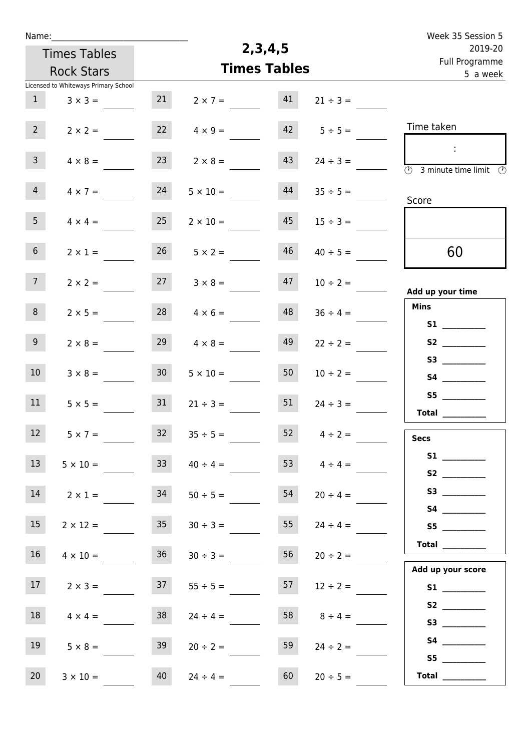|                                    | Name:                                | 2, 3, 4, 5           |                 | Week 35 Session 5                                                                                            |
|------------------------------------|--------------------------------------|----------------------|-----------------|--------------------------------------------------------------------------------------------------------------|
|                                    | <b>Times Tables</b>                  | 2019-20              |                 |                                                                                                              |
|                                    | <b>Rock Stars</b>                    | <b>Times Tables</b>  |                 | Full Programme<br>5 a week                                                                                   |
|                                    | Licensed to Whiteways Primary School |                      |                 |                                                                                                              |
| 21                                 | 1<br>$3 \times 3 =$                  | 41<br>$2 \times 7 =$ | $21 \div 3 =$   |                                                                                                              |
| 22                                 | $2^{\circ}$<br>$2 \times 2 =$        | 42<br>$4 \times 9 =$ | $5 \div 5 =$    | Time taken                                                                                                   |
| 23                                 | $\mathbf{3}$<br>$4 \times 8 =$       | 43<br>$2 \times 8 =$ | $24 \div 3 =$   | $\mathcal{L}_{\mathcal{A}}$<br>$\overline{\textcircled{2}}$ 3 minute time limit $\overline{\textcircled{2}}$ |
| 24<br>$5 \times 10 =$              | $\overline{4}$<br>$4 \times 7 =$     | 44                   | $35 \div 5 =$   | Score                                                                                                        |
| 25<br>$2 \times 10 =$              | 5 <sub>1</sub><br>$4 \times 4 =$     | 45                   | $15 \div 3 =$   |                                                                                                              |
| 26                                 | 6 <sup>1</sup><br>$2 \times 1 =$     | 46<br>$5 \times 2 =$ | $40 \div 5 =$   | 60                                                                                                           |
| 27                                 | 7 <sup>7</sup><br>$2 \times 2 =$     | 47<br>$3 \times 8 =$ | $10 \div 2 =$   | Add up your time                                                                                             |
| 28                                 | 8<br>$2 \times 5 =$                  | 48<br>$4 \times 6 =$ | $36 \div 4 =$   | <b>Mins</b><br>S1                                                                                            |
| 29                                 | 9 <sub>o</sub><br>$2 \times 8 =$     | 49<br>$4 \times 8 =$ | $22 \div 2 =$   | S2                                                                                                           |
| 30 <sup>1</sup><br>$5 \times 10 =$ | 10 <sup>°</sup><br>$3 \times 8 =$    | 50                   | $10 \div 2 =$   | S4                                                                                                           |
| 31<br>$21 \div 3 =$                | 11<br>$5 \times 5 =$                 | 51                   | $24 \div 3 =$   | S5<br>Total $\frac{1}{2}$                                                                                    |
| 32<br>$35 \div 5 =$                | 12<br>$5 \times 7 =$                 |                      | 52 $4 \div 2 =$ | <b>Secs</b>                                                                                                  |
| 33<br>$40 \div 4 =$                | 13<br>$5 \times 10 =$                |                      | 53 $4 \div 4 =$ | S2                                                                                                           |
| 34<br>$50 \div 5 =$                | 14<br>$2 \times 1 =$                 | 54                   | $20 \div 4 =$   |                                                                                                              |
| 35                                 | 15<br>$2 \times 12 =$                | 55<br>$30 \div 3 =$  | $24 \div 4 =$   | S5                                                                                                           |
| 36<br>$30 \div 3 =$                | 16 <sup>1</sup><br>$4 \times 10 =$   | 56                   | $20 \div 2 =$   | Total $\_\_$<br>Add up your score                                                                            |
| 37<br>$55 \div 5 =$                | 17<br>$2 \times 3 =$                 | 57                   | $12 \div 2 =$   | S1                                                                                                           |
| 38<br>$24 \div 4 =$                | 18<br>$4 \times 4 =$                 | 58                   | $8 \div 4 =$    | <b>S3 S3</b>                                                                                                 |
| 39<br>$20 \div 2 =$                | 19<br>$5 \times 8 =$                 | 59                   | $24 \div 2 =$   | S5                                                                                                           |
| 40<br>$24 \div 4 =$                | 20<br>$3 \times 10 =$                | 60                   | $20 \div 5 =$   | Total $\frac{1}{2}$                                                                                          |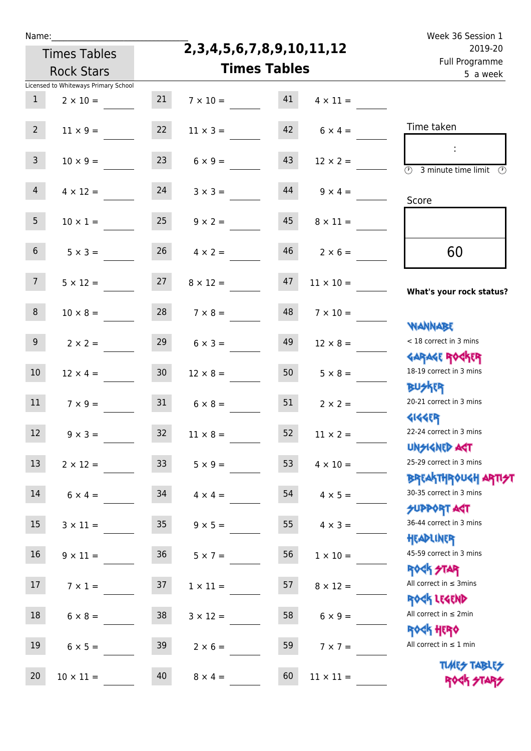|  | vam | L |  |
|--|-----|---|--|
|  |     |   |  |

**2,3,4,5,6,7,8,9,10,11,12**

|                 | <b>Rock Stars</b>                                       |                 | <b>Times Tables</b> | Full Flogramme<br>5 a week |                    |                                                                  |
|-----------------|---------------------------------------------------------|-----------------|---------------------|----------------------------|--------------------|------------------------------------------------------------------|
| $\mathbf{1}$    | Licensed to Whiteways Primary School<br>$2 \times 10 =$ | 21              | $7 \times 10 =$     | 41                         | $4 \times 11 =$    |                                                                  |
| 2 <sup>7</sup>  | $11 \times 9 =$                                         | 22              | $11 \times 3 =$     | 42                         | $6 \times 4 =$     | Time taken                                                       |
| 3 <sup>7</sup>  | $10 \times 9 =$                                         | 23              | $6 \times 9 =$      | 43                         | $12 \times 2 =$    | $\circled{r}$<br>3 minute time limit<br>$\mathcal{O}$            |
| $\overline{4}$  | $4 \times 12 =$                                         | 24              | $3 \times 3 =$      | 44                         | $9 \times 4 =$     | Score                                                            |
| 5 <sub>1</sub>  | $10 \times 1 =$                                         | 25              | $9 \times 2 =$      | 45                         | $8 \times 11 =$    |                                                                  |
| 6 <sup>1</sup>  | $5 \times 3 =$                                          | 26              | $4 \times 2 =$      | 46                         | $2 \times 6 =$     | 60                                                               |
| 7 <sup>7</sup>  | $5 \times 12 =$                                         | 27              | $8 \times 12 =$     | 47                         | $11 \times 10 =$   | What's your rock status?                                         |
| 8               | $10 \times 8 =$                                         | 28              | $7 \times 8 =$      | 48                         | $7 \times 10 =$    | <b>NANNABE</b>                                                   |
| 9 <sub>o</sub>  | $2 \times 2 =$                                          | 29              | $6 \times 3 =$      | 49                         | $12 \times 8 =$    | < 18 correct in 3 mins                                           |
| 10 <sup>°</sup> | $12 \times 4 =$                                         | 30 <sub>o</sub> | $12 \times 8 =$     | 50                         | $5 \times 8 =$     | <b>GARAGE ROCKER</b><br>18-19 correct in 3 mins                  |
| 11              | $7 \times 9 =$                                          | 31              | $6 \times 8 =$      | 51                         | $2 \times 2 =$     | <b>BUSKER</b><br>20-21 correct in 3 mins                         |
| 12              | $9 \times 3 =$                                          | 32              | $11 \times 8 =$     | 52                         | $11 \times 2 =$    | <b>4144EP</b><br>22-24 correct in 3 mins                         |
| 13              | $2 \times 12 =$                                         | 33              | $5 \times 9 =$      |                            | 53 $4 \times 10 =$ | <b>UNSIGNED AGT</b><br>25-29 correct in 3 mins                   |
| 14              | $6 \times 4 =$                                          | 34              | $4 \times 4 =$      | 54                         | $4 \times 5 =$     | <b>BREAKTHROUGH ARTI<del>S</del>T</b><br>30-35 correct in 3 mins |
| 15              | $3 \times 11 =$                                         | 35 <sub>1</sub> | $9 \times 5 =$      | 55                         | $4 \times 3 =$     | <b>SUPPORT ART</b><br>36-44 correct in 3 mins                    |
| 16              | $9 \times 11 =$                                         | 36              | $5 \times 7 =$      | 56                         | $1 \times 10 =$    | HEADLINER<br>45-59 correct in 3 mins                             |
| 17              | $7 \times 1 =$                                          | 37              | $1 \times 11 =$     | 57                         | $8 \times 12 =$    | <b>ROCK STAR</b><br>All correct in $\leq$ 3mins                  |
| 18              | $6 \times 8 =$                                          | 38              | $3 \times 12 =$     | 58                         | $6 \times 9 =$     | ROCK LEGEND<br>All correct in $\leq 2$ min                       |
| 19              | $6 \times 5 =$                                          | 39              | $2 \times 6 =$      | 59                         | $7 \times 7 =$     | ROCK HERO<br>All correct in $\leq 1$ min                         |
| 20              | $10\times11=$                                           | 40              | $8 \times 4 =$      | 60                         | $11\times11=$      | <b>TUARS TABLES</b><br>ROCK STARS                                |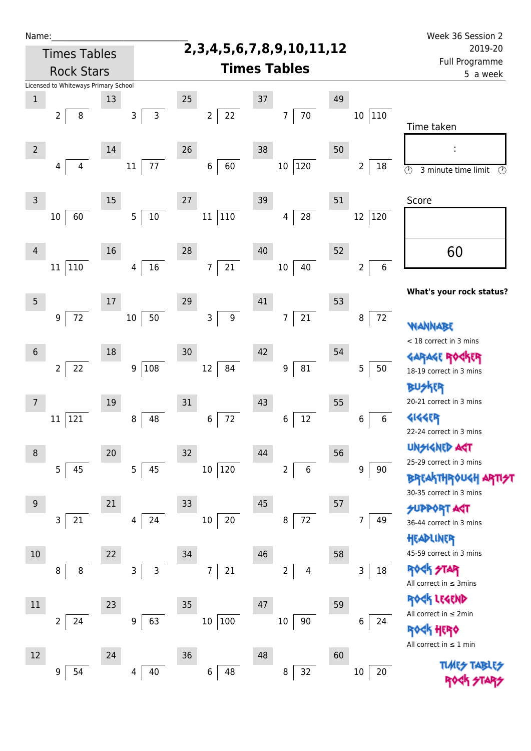| Name:           |                                      |    |                |              |                                    |                |        |                     |                |             |    |                           | Week 36 Session 2                                            |  |  |  |
|-----------------|--------------------------------------|----|----------------|--------------|------------------------------------|----------------|--------|---------------------|----------------|-------------|----|---------------------------|--------------------------------------------------------------|--|--|--|
|                 | <b>Times Tables</b>                  |    |                |              | 2, 3, 4, 5, 6, 7, 8, 9, 10, 11, 12 |                |        |                     |                |             |    | 2019-20<br>Full Programme |                                                              |  |  |  |
|                 | <b>Rock Stars</b>                    |    |                |              |                                    |                |        | <b>Times Tables</b> |                |             |    |                           | 5 a week                                                     |  |  |  |
|                 | Licensed to Whiteways Primary School |    |                |              |                                    |                |        |                     |                |             |    |                           |                                                              |  |  |  |
| $\mathbf 1$     |                                      | 13 |                |              | 25                                 |                |        | 37                  |                |             | 49 |                           |                                                              |  |  |  |
|                 | 8<br>2                               |    | 3              | $\mathsf{3}$ |                                    | $\overline{2}$ | 22     |                     | $\overline{7}$ | $70\,$      |    | 110<br>$10\,$             | Time taken                                                   |  |  |  |
|                 |                                      |    |                |              |                                    |                |        |                     |                |             |    |                           |                                                              |  |  |  |
| $\overline{2}$  |                                      | 14 |                |              | 26                                 |                |        | 38                  |                |             | 50 |                           | ÷                                                            |  |  |  |
|                 | 4<br>4                               |    | 11             | $77 \,$      |                                    | $\,$ 6 $\,$    | 60     |                     | 10 120         |             |    | 2<br>18                   | $\odot$<br>3 minute time limit<br>$\circled{r}$              |  |  |  |
|                 |                                      |    |                |              |                                    |                |        |                     |                |             |    |                           |                                                              |  |  |  |
| 3               |                                      | 15 |                |              | $27\,$                             |                |        | 39                  |                |             | 51 |                           | Score                                                        |  |  |  |
|                 | 60<br>$10\,$                         |    | $\overline{5}$ | $10\,$       |                                    | $11\,$         | 110    |                     | 4              | 28          |    | $12\,$<br>120             |                                                              |  |  |  |
|                 |                                      |    |                |              |                                    |                |        |                     |                |             |    |                           |                                                              |  |  |  |
| $\overline{4}$  |                                      | 16 |                |              | 28                                 |                |        | 40                  |                |             | 52 |                           | 60                                                           |  |  |  |
|                 | 110<br>11                            |    | 4              | 16           |                                    | 7              | 21     |                     | 10             | 40          |    | 6<br>$\overline{2}$       |                                                              |  |  |  |
|                 |                                      |    |                |              |                                    |                |        |                     |                |             |    |                           | What's your rock status?                                     |  |  |  |
| $5\phantom{.0}$ |                                      | 17 |                |              | 29                                 |                |        | 41                  |                |             | 53 |                           |                                                              |  |  |  |
|                 | 72<br>$\boldsymbol{9}$               |    | $10\,$         | 50           |                                    | 3              | 9      |                     | $\overline{7}$ | $21\,$      |    | 72<br>8                   | WANNABE                                                      |  |  |  |
|                 |                                      |    |                |              |                                    |                |        |                     |                |             |    |                           | < 18 correct in 3 mins                                       |  |  |  |
| $\,$ 6 $\,$     |                                      | 18 |                |              | 30                                 |                |        | 42                  |                |             | 54 |                           | GARAGE ROGKER                                                |  |  |  |
|                 | 22<br>2                              |    | 9              | 108          |                                    | 12             | 84     |                     | 9              | ${\bf 81}$  |    | 5<br>50                   | 18-19 correct in 3 mins                                      |  |  |  |
|                 |                                      |    |                |              |                                    |                |        |                     |                |             |    |                           | (CR                                                          |  |  |  |
| 7               |                                      | 19 |                |              | 31                                 |                |        | 43                  |                |             | 55 |                           | 20-21 correct in 3 mins                                      |  |  |  |
|                 | 121<br>11                            |    | 8              | 48           |                                    | 6              | 72     |                     | 6              | 12          |    | 6<br>6                    | 4144ER                                                       |  |  |  |
|                 |                                      |    |                |              |                                    |                |        |                     |                |             |    |                           | 22-24 correct in 3 mins                                      |  |  |  |
| 8               |                                      | 20 |                |              | 32                                 |                |        | 44                  |                |             | 56 |                           | <b>UNGIGNED ART</b>                                          |  |  |  |
|                 | 45<br>5                              |    | $\overline{5}$ | 45           |                                    | 10             | 120    |                     | $\overline{2}$ | $\,$ 6 $\,$ |    | 9<br>90                   | 25-29 correct in 3 mins                                      |  |  |  |
|                 |                                      |    |                |              |                                    |                |        |                     |                |             |    |                           | BRTAKTHR0UGH ARTI <del>\$</del> 1<br>30-35 correct in 3 mins |  |  |  |
| 9               |                                      | 21 |                |              | 33                                 |                |        | 45                  |                |             | 57 |                           | <b>SUPPORT ART</b>                                           |  |  |  |
|                 | 21<br>3                              |    | 4              | 24           |                                    | $10\,$         | $20\,$ |                     | 8              | $72\,$      |    | 7<br>49                   | 36-44 correct in 3 mins                                      |  |  |  |
|                 |                                      |    |                |              |                                    |                |        |                     |                |             |    |                           | HEADLINER                                                    |  |  |  |
| 10              |                                      | 22 |                |              | 34                                 |                |        | 46                  |                |             | 58 |                           | 45-59 correct in 3 mins                                      |  |  |  |
|                 | 8<br>8                               |    | 3              | 3            |                                    | 7              | 21     |                     | 2              | 4           |    | 3<br>$18\,$               | <b>ROCK STAR</b>                                             |  |  |  |
|                 |                                      |    |                |              |                                    |                |        |                     |                |             |    |                           | All correct in $\leq$ 3mins                                  |  |  |  |
| 11              |                                      | 23 |                |              | 35                                 |                |        | 47                  |                |             | 59 |                           | ROCK LEGEND                                                  |  |  |  |
|                 | 24<br>$\overline{2}$                 |    | 9              | 63           |                                    | $10\,$         | 100    |                     | $10\,$         | $90\,$      |    | 6<br>24                   | All correct in ≤ 2min                                        |  |  |  |
|                 |                                      |    |                |              |                                    |                |        |                     |                |             |    |                           | HERQ                                                         |  |  |  |
| 12              |                                      | 24 |                |              | 36                                 |                |        | 48                  |                |             | 60 |                           | All correct in $\leq 1$ min                                  |  |  |  |
|                 | 54<br>9                              |    | 4              | 40           |                                    | $\,6\,$        | 48     |                     | 8              | 32          |    | 20<br>$10\,$              | <b>TLARS</b>                                                 |  |  |  |
|                 |                                      |    |                |              |                                    |                |        |                     |                |             |    |                           |                                                              |  |  |  |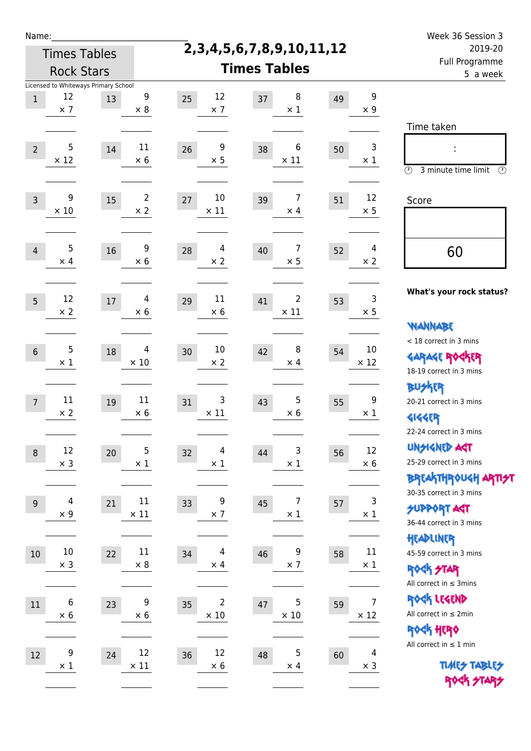| Name |  |  |  |
|------|--|--|--|
|      |  |  |  |

## **2,3,4,5,6,7,8,9,10,11,12**

Week 36 Session 3 Full Programme 2019-20

|                 | <b>Rock Stars</b>                    |        |                              | <b>Times Tables</b>                 | Full Programme<br>5 a week          |                                     |                                                                                      |  |
|-----------------|--------------------------------------|--------|------------------------------|-------------------------------------|-------------------------------------|-------------------------------------|--------------------------------------------------------------------------------------|--|
|                 | Licensed to Whiteways Primary School |        |                              |                                     |                                     |                                     |                                                                                      |  |
| $\mathbf{1}$    | 12<br>$\times$ 7                     | 13     | $9\,$<br>$\times$ 8          | 12<br>25<br>$\times$ 7              | 8<br>37<br>$\times$ 1               | 9<br>49<br>$\times$ 9               |                                                                                      |  |
| $\overline{2}$  | 5<br>$\times$ 12                     | $14\,$ | $11\,$<br>$\times$ 6         | 9<br>26<br>$\times$ 5               | 6<br>38<br>$\times$ 11              | 3<br>50<br>$\times$ 1               | Time taken<br>$\circled{r}$<br>3 minute time limit<br>$\odot$                        |  |
| $\mathsf{3}$    | 9<br>$\times$ 10                     | 15     | $\overline{2}$<br>$\times 2$ | $10\,$<br>27<br>$\times$ 11         | $\overline{7}$<br>39<br>$\times$ 4  | 12<br>51<br>$\times$ 5              | Score                                                                                |  |
| $\overline{4}$  | 5<br>$\times$ 4                      | 16     | 9<br>$\times$ 6              | 4<br>28<br>$\times$ 2               | 7<br>40<br>$\times$ 5               | 4<br>52<br>$\times$ 2               | 60                                                                                   |  |
| 5               | 12<br>$\times 2$                     | $17\,$ | $\overline{4}$<br>$\times 6$ | $11\,$<br>29<br>$\times$ 6          | $\overline{2}$<br>41<br>$\times$ 11 | 3<br>53<br>$\times$ 5               | What's your rock status?<br><b>WANNABE</b>                                           |  |
| $6\,$           | 5<br>$\times$ 1                      | 18     | 4<br>$\times$ 10             | $10\,$<br>30<br>$\times$ 2          | 8<br>42<br>$\times$ 4               | 10<br>54<br>$\times$ 12             | < 18 correct in 3 mins<br><b>GARAGE ROGKER</b><br>18-19 correct in 3 mins            |  |
| $7\overline{ }$ | 11<br>$\times 2$                     | 19     | $11\,$<br>$\times 6$         | 3<br>31<br>$\times$ 11              | 5<br>43<br>$\times 6$               | 9<br>55<br>$\times$ 1               | <b>BUSKRR</b><br>20-21 correct in 3 mins<br><b>4144EP</b><br>22-24 correct in 3 mins |  |
| $\,8\,$         | 12<br>$\times$ 3                     | 20     | 5<br>$\times$ 1              | 4<br>32<br>$\times$ 1               | 3<br>44<br>$\times$ 1               | 12<br>56<br>$\times$ 6              | <b>UNSIGNED AGT</b><br>25-29 correct in 3 mins<br><b>BREAKTHROUGH ARTIST</b>         |  |
| $9\,$           | $\overline{4}$<br>$\times$ 9         | 21     | $11\,$<br>$\times$ 11        | 9<br>33<br>$\times$ 7               | 7<br>45<br>$\times$ 1               | 3<br>57<br>$\times$ 1               | 30-35 correct in 3 mins<br>SUPPORT AGT<br>36-44 correct in 3 mins<br>HEADLINER       |  |
| $10\,$          | $10\,$<br>$\times$ 3                 | 22     | $11\,$<br>$\times$ 8         | 4<br>34<br>$\times$ 4               | 9<br>46<br>$\times$ 7               | $11\,$<br>58<br>$\times$ 1          | 45-59 correct in 3 mins<br><b>ROGK STAR</b><br>All correct in $\leq$ 3mins           |  |
| $11\,$          | $\boldsymbol{6}$<br>$\times$ 6       | 23     | 9<br>$\times$ 6              | $\overline{2}$<br>35<br>$\times$ 10 | 5<br>47<br>$\times$ 10              | $\overline{7}$<br>59<br>$\times$ 12 | ROCK LEGEND<br>All correct in $\leq 2$ min<br><b>ROCK HERO</b>                       |  |
| 12              | 9<br>$\times$ 1                      | 24     | 12<br>$\times$ 11            | 12<br>36<br>$\times 6$              | 5<br>48<br>$\times$ 4               | 4<br>60<br>$\times$ 3               | All correct in $\leq 1$ min<br><b>TUARS TABLES</b><br>ROCK STARS                     |  |
|                 |                                      |        |                              |                                     |                                     |                                     |                                                                                      |  |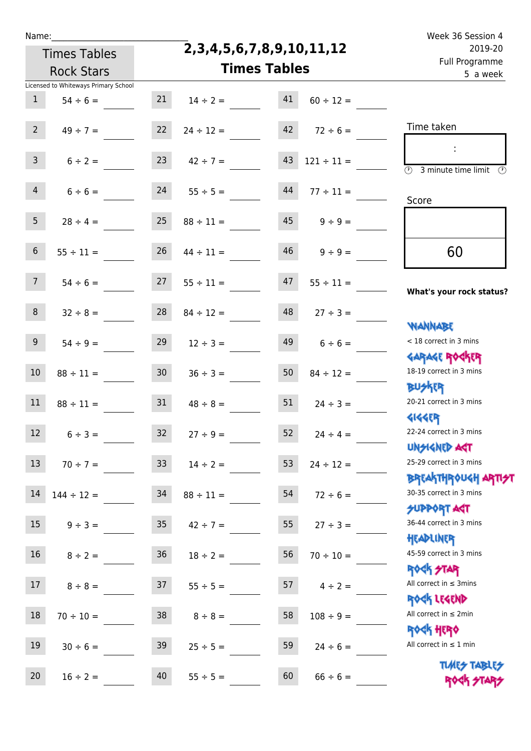## **2,3,4,5,6,7,8,9,10,11,12**

Name: Week 36 Session 4 Full Programme 2019-20

| 2019-20                                                          |                     | 2,3,4,5,6,7,8,9,10,11,12 |                | <b>Times Tables</b> |                                      |                 |
|------------------------------------------------------------------|---------------------|--------------------------|----------------|---------------------|--------------------------------------|-----------------|
| Full Programme<br>5 a week                                       | <b>Times Tables</b> |                          |                |                     | <b>Rock Stars</b>                    |                 |
|                                                                  |                     |                          |                |                     | Licensed to Whiteways Primary School |                 |
|                                                                  | $60 \div 12 =$      | 41                       | $14 \div 2 =$  | 21                  | $54 \div 6 =$                        | $\mathbf{1}$    |
| Time taken                                                       | $72 \div 6 =$       | 42                       | $24 \div 12 =$ | 22                  | $49 \div 7 =$                        | 2 <sup>7</sup>  |
| $\overline{\mathcal{O}}$<br>3 minute time limit<br>$\circled{r}$ | $121 \div 11 =$     | 43                       | $42 \div 7 =$  | 23                  | $6 \div 2 =$                         | 3 <sup>7</sup>  |
| Score                                                            | $77 \div 11 =$      | 44                       | $55 \div 5 =$  | 24                  | $6 \div 6 =$                         | 4               |
|                                                                  | $9 \div 9 =$        | 45                       | $88 \div 11 =$ | 25                  | $28 \div 4 =$                        | 5 <sub>1</sub>  |
| 60                                                               | $9 \div 9 =$        | 46                       | $44 \div 11 =$ | 26                  | $55 \div 11 =$                       | 6 <sup>1</sup>  |
| What's your rock status?                                         | $55 \div 11 =$      | 47                       | $55 \div 11 =$ | 27                  | $54 \div 6 =$                        | 7 <sup>7</sup>  |
| <b>NANNABE</b>                                                   | $27 \div 3 =$       | 48                       | $84 \div 12 =$ | 28                  | $32 \div 8 =$                        | 8 <sup>1</sup>  |
| < 18 correct in 3 mins<br><b>GARAGE ROGKER</b>                   | $6 \div 6 =$        | 49                       | $12 \div 3 =$  | 29                  | $54 \div 9 =$                        | 9 <sub>o</sub>  |
| 18-19 correct in 3 mins<br><b>BUSKER</b>                         | $84 \div 12 =$      | 50                       | $36 \div 3 =$  | 30 <sub>o</sub>     | $88 \div 11 =$                       | 10              |
| 20-21 correct in 3 mins<br><b>4144ER</b>                         | $24 \div 3 =$       | 51                       | $48 \div 8 =$  | 31                  | $88 \div 11 =$                       | 11              |
| 22-24 correct in 3 mins<br><b>UNSIGNED AST</b>                   | $24 \div 4 =$       | 52                       | $27 \div 9 =$  | 32 <sup>2</sup>     | $6 \div 3 =$                         | 12              |
| 25-29 correct in 3 mins<br><b>BREAKTHROUGH ARTI<del>S</del>T</b> | $24 \div 12 =$      | 53                       | $14 \div 2 =$  | 33 <sup>°</sup>     | $70 \div 7 =$                        | 13              |
| 30-35 correct in 3 mins<br><b>SUPPORT AGT</b>                    | $72 \div 6 =$       | 54                       | $88 \div 11 =$ | 34                  | $144 \div 12 =$                      | 14              |
| 36-44 correct in 3 mins<br>HEADLINER                             | $27 \div 3 =$       | 55                       | $42 \div 7 =$  | 35 <sub>1</sub>     | $9 \div 3 =$                         | 15 <sub>1</sub> |
| 45-59 correct in 3 mins<br><b>ROCK STAR</b>                      | $70 \div 10 =$      | 56                       | $18 \div 2 =$  | 36 <sup>°</sup>     | $8 \div 2 =$                         | 16 <sup>1</sup> |
| All correct in $\leq$ 3mins<br>ROCK LEGEND                       | $4 \div 2 =$        | 57                       | $55 \div 5 =$  | 37                  | $8 \div 8 =$                         | 17 <sup>2</sup> |
| All correct in $\leq 2$ min<br><b>ROCK HERO</b>                  | $108 \div 9 =$      | 58                       | $8 \div 8 =$   | 38                  | $70 \div 10 =$                       | 18              |
| All correct in $\leq 1$ min<br><b>TUARS TABLES</b>               | $24 \div 6 =$       | 59                       | $25 \div 5 =$  | 39                  | $30 \div 6 =$                        | 19              |
| ROCK STARS                                                       | $66 \div 6 =$       | 60                       | $55 \div 5 =$  | 40                  | $16 \div 2 =$                        | 20              |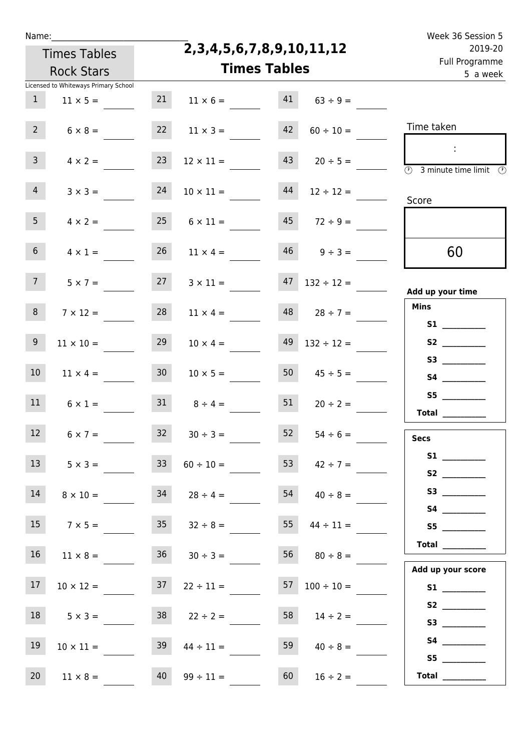|  | vam | L |  |
|--|-----|---|--|
|  |     |   |  |

**2,3,4,5,6,7,8,9,10,11,12**

| 5 a week                                                                                       |                          |    | <b>Times Tables</b>   |                 | <b>Rock Stars</b>                                       |                 |
|------------------------------------------------------------------------------------------------|--------------------------|----|-----------------------|-----------------|---------------------------------------------------------|-----------------|
|                                                                                                | $63 ÷ 9 =$               | 41 | $11 \times 6 =$       | 21              | Licensed to Whiteways Primary School<br>$11 \times 5 =$ | $\mathbf{1}$    |
| Time taken                                                                                     | $60 \div 10 =$           | 42 | $11 \times 3 =$       | 22              | $6 \times 8 =$                                          | $2^{\circ}$     |
| $\mathcal{L}$<br>$\overline{\textcircled{1}}$ 3 minute time limit $\overline{\textcircled{1}}$ | $20 \div 5 =$            | 43 | $12 \times 11 =$      | 23              | $4 \times 2 =$                                          | 3 <sup>7</sup>  |
| Score                                                                                          | $12 \div 12 =$           | 44 | $10 \times 11 =$      | 24              | $3 \times 3 =$                                          | 4 <sup>1</sup>  |
|                                                                                                | $45 \t 72 \div 9 =$      |    | $25 \t 6 \times 11 =$ |                 | $4 \times 2 =$                                          | 5 <sub>1</sub>  |
| 60                                                                                             | $46 \t 9 \div 3 =$       |    | $11 \times 4 =$       | 26              | $4 \times 1 =$                                          | 6 <sup>1</sup>  |
| Add up your time                                                                               | $47$ $132 \div 12 =$     |    | $3 \times 11 =$       | 27              | $5 \times 7 =$                                          | 7 <sup>7</sup>  |
| <b>Mins</b><br>S1                                                                              | $28 \div 7 =$            | 48 | $11 \times 4 =$       | 28              | $7 \times 12 =$                                         | 8 <sup>°</sup>  |
|                                                                                                | $132 \div 12 =$          | 49 | $10 \times 4 =$       | 29              | $11 \times 10 =$                                        | 9               |
|                                                                                                | $45 \div 5 =$            | 50 | $10 \times 5 =$       | 30 <sub>1</sub> | $11 \times 4 =$                                         | 10 <sub>1</sub> |
| S5<br>Total __________                                                                         | $20 \div 2 =$            | 51 | $31 \t 8 \div 4 =$    |                 | $6 \times 1 =$                                          | 11              |
| <b>Secs</b>                                                                                    | $54 \div 6 =$            | 52 | $30 \div 3 =$         | 32              | $6 \times 7 =$                                          | 12              |
| <b>S1 S1</b>                                                                                   | 53 $42 \div 7 =$         |    | $33 \t 60 \div 10 =$  |                 | $5 \times 3 =$                                          | 13              |
|                                                                                                | $54 \t 40 \div 8 =$      |    | $34$ $28 \div 4 =$    |                 | $8 \times 10 =$                                         | 14              |
| S5<br>$\begin{tabular}{c} Total \end{tabular}$                                                 | $55 \t 44 \div 11 =$     |    | $35 \t 32 \div 8 =$   |                 | $15 \t 7 \times 5 =$                                    |                 |
| Add up your score                                                                              | $56 \t 80 \div 8 =$      |    | $36 \t 30 \div 3 =$   |                 | $11 \times 8 =$                                         | 16              |
|                                                                                                | $57 \quad 100 \div 10 =$ |    | $22 \div 11 =$        | 37              | $10 \times 12 =$                                        | 17 <sub>2</sub> |
| S3                                                                                             | $14 \div 2 =$            | 58 | $38$ $22 \div 2 =$    |                 | $5 \times 3 =$                                          | 18              |
| S5                                                                                             | $40 \div 8 =$            | 59 | $44 \div 11 =$        | 39              | $10 \times 11 =$                                        | 19              |
| Total $\qquad$                                                                                 | $16 \div 2 =$            | 60 | $99 \div 11 =$        | 40              | $11 \times 8 =$                                         | 20 <sub>2</sub> |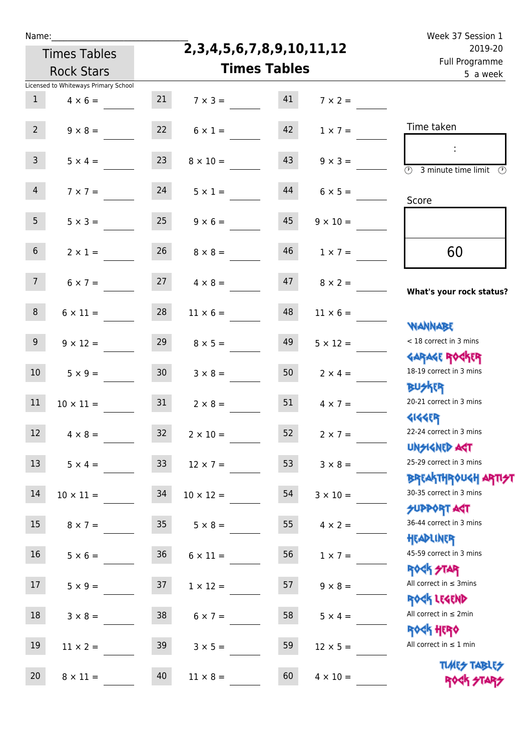|  | Name |  |
|--|------|--|
|  |      |  |
|  |      |  |

| 2019-20<br>Full Programme                                    |                     |    | 2, 3, 4, 5, 6, 7, 8, 9, 10, 11, 12 |                 | <b>Times Tables</b>                  |                  |
|--------------------------------------------------------------|---------------------|----|------------------------------------|-----------------|--------------------------------------|------------------|
| 5 a week                                                     | <b>Times Tables</b> |    |                                    |                 | <b>Rock Stars</b>                    |                  |
|                                                              |                     |    |                                    |                 | Licensed to Whiteways Primary School |                  |
|                                                              | $7 \times 2 =$      | 41 | $7 \times 3 =$                     | 21              | $4 \times 6 =$                       | 1                |
| Time taken                                                   | $1 \times 7 =$      | 42 | $6 \times 1 =$                     | 22              | $9 \times 8 =$                       | $2^{\circ}$      |
| $\overline{(\mathcal{V})}$<br>3 minute time limit<br>$\odot$ | $9 \times 3 =$      | 43 | $8 \times 10 =$                    | 23              | $5 \times 4 =$                       | $\mathbf{3}$     |
| Score                                                        | $6 \times 5 =$      | 44 | $5 \times 1 =$                     | 24              | $7 \times 7 =$                       | 4                |
|                                                              | $9 \times 10 =$     | 45 | $9 \times 6 =$                     | 25              | $5 \times 3 =$                       | 5 <sub>1</sub>   |
| 60                                                           | $1 \times 7 =$      | 46 | $8 \times 8 =$                     | 26              | $2 \times 1 =$                       | 6 <sup>1</sup>   |
| What's your rock status?                                     | $8 \times 2 =$      | 47 | $4 \times 8 =$                     |                 | $6 \times 7 = 27$                    | 7 <sup>7</sup>   |
| <b>NANNABE</b>                                               | $11 \times 6 =$     | 48 | $11 \times 6 =$                    | 28              | $6 \times 11 =$                      | 8                |
| < 18 correct in 3 mins<br><b>GARAGE ROGKER</b>               | $5 \times 12 =$     | 49 | $8 \times 5 =$                     | 29              | $9 \times 12 =$                      | 9 <sub>o</sub>   |
| 18-19 correct in 3 mins<br><b>BUSKER</b>                     | $2 \times 4 =$      | 50 | $3 \times 8 =$                     | 30 <sub>2</sub> | $5 \times 9 =$                       | 10 <sup>1</sup>  |
| 20-21 correct in 3 mins<br><b>4144ER</b>                     | $4 \times 7 =$      | 51 | $2 \times 8 =$                     | 31              | $10 \times 11 =$                     | 11               |
| 22-24 correct in 3 mins<br>UNSIGNED AGT                      | $2 \times 7 =$      | 52 | $2 \times 10 =$                    | 32              | $4 \times 8 =$                       | 12 <sup>°</sup>  |
| 25-29 correct in 3 mins<br>ΒΡΓΑΚΤΗΡΟUGH ΑΡΤΙ <del>2</del> Τ  | $3 \times 8 =$      | 53 | $12 \times 7 =$                    |                 | $5 \times 4 = 33$                    | 13               |
| 30-35 correct in 3 mins<br><b>SUPPORT AGT</b>                | $3 \times 10 =$     | 54 | $10 \times 12 =$                   | 34              | $10 \times 11 =$                     | 14               |
| 36-44 correct in 3 mins<br>HEADLINER                         | $4 \times 2 =$      | 55 | $5 \times 8 =$                     | 35              | $8 \times 7 =$                       | 15               |
| 45-59 correct in 3 mins<br><b>ROCK STAR</b>                  | $1 \times 7 =$      | 56 | $6 \times 11 =$                    | 36              | $5 \times 6 =$                       | 16 <sup>1</sup>  |
| All correct in $\leq$ 3mins<br>ROCK LEGEND                   | $9 \times 8 =$      | 57 | $1 \times 12 =$                    | 37              | $5 \times 9 =$                       | 17 <sup>17</sup> |
| All correct in $\leq 2$ min<br><b>ROCK HERO</b>              | $5 \times 4 =$      | 58 | $6 \times 7 =$                     | 38              | $3 \times 8 =$                       | 18               |
| All correct in $\leq 1$ min<br><b>TUARS TABLES</b>           | $12 \times 5 =$     | 59 | $3 \times 5 =$                     | 39              | $11 \times 2 =$                      | 19               |
| ROCK STAI                                                    | $4 \times 10 =$     | 60 | $11 \times 8 =$                    | 40              | $8 \times 11 =$                      | 20 <sub>2</sub>  |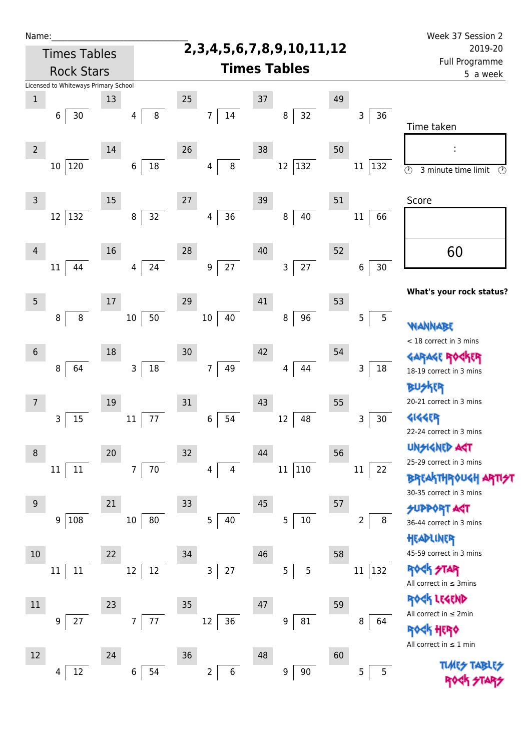| Name:          |                                      |      |                      |    |                          |                     |                                    |    |                     | Week 37 Session 2                                                         |  |  |
|----------------|--------------------------------------|------|----------------------|----|--------------------------|---------------------|------------------------------------|----|---------------------|---------------------------------------------------------------------------|--|--|
|                | <b>Times Tables</b>                  |      |                      |    |                          |                     | 2, 3, 4, 5, 6, 7, 8, 9, 10, 11, 12 |    |                     | 2019-20<br>Full Programme                                                 |  |  |
|                | <b>Rock Stars</b>                    |      |                      |    |                          | <b>Times Tables</b> | 5 a week                           |    |                     |                                                                           |  |  |
|                | Licensed to Whiteways Primary School |      |                      |    |                          |                     |                                    |    |                     |                                                                           |  |  |
| $1\,$          |                                      | 13   |                      | 25 |                          | 37                  |                                    | 49 |                     |                                                                           |  |  |
|                | 30<br>6                              |      | $\, 8$<br>4          |    | $14\,$<br>$\overline{7}$ |                     | 32<br>8                            |    | 36<br>3             | Time taken                                                                |  |  |
| $\overline{2}$ |                                      | 14   |                      | 26 |                          | 38                  |                                    | 50 |                     |                                                                           |  |  |
|                | 120<br>$10\,$                        |      | $18\,$<br>6          |    | 8<br>4                   |                     | 12<br>$ 132\rangle$                |    | 132<br>11           | $\overline{\odot}$<br>$\circled{r}$<br>3 minute time limit                |  |  |
| $\overline{3}$ |                                      | 15   |                      | 27 |                          | 39                  |                                    | 51 |                     | Score                                                                     |  |  |
|                | 132<br>12                            |      | 32<br>8              |    | 36<br>4                  |                     | 40<br>8                            |    | 11<br>66            |                                                                           |  |  |
| 4              |                                      | 16   |                      | 28 |                          | 40                  |                                    | 52 |                     | 60                                                                        |  |  |
|                | 44<br>$11\,$                         |      | 24<br>$\overline{4}$ |    | 27<br>9                  |                     | 27<br>3                            |    | 30<br>6             |                                                                           |  |  |
| $\overline{5}$ |                                      | $17$ |                      | 29 |                          | 41                  |                                    | 53 |                     | What's your rock status?                                                  |  |  |
|                | 8<br>8                               |      | 50<br>$10\,$         |    | 10<br>40                 |                     | 96<br>8                            |    | $\overline{5}$<br>5 | WANNABE                                                                   |  |  |
| $6\,$          |                                      | 18   |                      | 30 |                          | 42                  |                                    | 54 |                     | < 18 correct in 3 mins                                                    |  |  |
|                | 64<br>8                              |      | $18\,$<br>3          |    | $\overline{7}$<br>49     |                     | 44<br>4                            |    | 3<br>18             |                                                                           |  |  |
|                |                                      |      |                      |    |                          |                     |                                    |    |                     | 18-19 correct in 3 mins<br><b>BUSKER</b>                                  |  |  |
| 7              |                                      | 19   |                      | 31 |                          | 43                  |                                    | 55 |                     | 20-21 correct in 3 mins                                                   |  |  |
|                | 15<br>3                              |      | $77 \,$<br>$11\,$    |    | 54<br>6                  |                     | 48<br>12                           |    | $30\,$<br>3         | <b>4144ER</b><br>22-24 correct in 3 mins                                  |  |  |
| 8              |                                      | 20   |                      | 32 |                          | 44                  |                                    | 56 |                     | <b>UNGIGNED ART</b>                                                       |  |  |
|                | $11\,$<br>$11\,$                     |      | 70<br>$\overline{7}$ |    | 4<br>4                   |                     | 110<br>11                          |    | 22<br>11            | 25-29 correct in 3 mins<br><b>BREAKTHROUGH</b><br>30-35 correct in 3 mins |  |  |
| 9              |                                      | 21   |                      | 33 |                          | 45                  |                                    | 57 |                     | <b>SUPPORT AGT</b>                                                        |  |  |
|                | 108<br>9                             |      | 80<br>$10\,$         |    | 5<br>40                  |                     | $10\,$<br>5                        |    | 8<br>2              | 36-44 correct in 3 mins<br>HEADLINER                                      |  |  |
| 10             |                                      | 22   |                      | 34 |                          | 46                  |                                    | 58 |                     | 45-59 correct in 3 mins                                                   |  |  |
|                | 11<br>11                             |      | 12<br>12             |    | 27<br>$\mathsf{3}$       |                     | 5<br>5                             |    | $11\,$<br>132       | <b>ROCK STAR</b><br>All correct in $\leq$ 3mins                           |  |  |
| $11\,$         |                                      | 23   |                      | 35 |                          | 47                  |                                    | 59 |                     | ROCK LEGEND                                                               |  |  |
|                | 27<br>9                              |      | 77<br>$\overline{7}$ |    | $12\,$<br>36             |                     | ${\bf 81}$<br>$\boldsymbol{9}$     |    | 8<br>64             | All correct in $\leq 2$ min                                               |  |  |
|                |                                      |      |                      |    |                          |                     |                                    |    |                     | ROCK HERO<br>All correct in $\leq 1$ min                                  |  |  |
| 12             |                                      | 24   |                      | 36 |                          | 48                  |                                    | 60 |                     |                                                                           |  |  |
|                | $12\,$<br>4                          |      | 6<br>54              |    | $\overline{2}$<br>$\,6$  |                     | 90<br>9                            |    | 5<br>5              |                                                                           |  |  |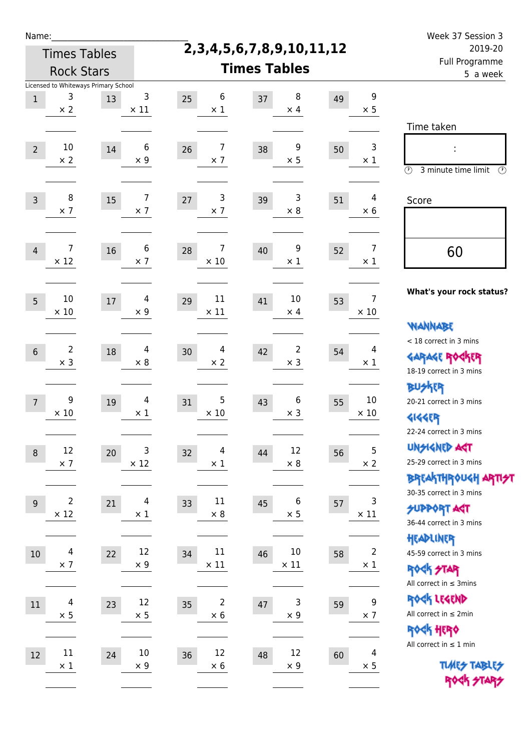| N | arr |  | ı |  |
|---|-----|--|---|--|
|   |     |  |   |  |

Times Tables

| <b>Rock Stars</b>                                                       |                                        |                                    | <b>Times Tables</b>                  |                                      | <u>, an i i ografinite</u><br>5 a week                                                  |
|-------------------------------------------------------------------------|----------------------------------------|------------------------------------|--------------------------------------|--------------------------------------|-----------------------------------------------------------------------------------------|
| Licensed to Whiteways Primary School<br>3<br>$\mathbf{1}$<br>$\times 2$ | 3<br>13<br>$\times$ 11                 | 6<br>25<br>$\times$ 1              | 8<br>37<br>$\times$ 4                | $\boldsymbol{9}$<br>49<br>$\times$ 5 | Time taken                                                                              |
| 10<br>$\overline{2}$<br>$\times$ 2                                      | 6<br>$14\,$<br>$\times 9$              | $\overline{7}$<br>26<br>$\times$ 7 | 9<br>38<br>$\times$ 5                | 3<br>50<br>$\times$ 1                | ÷<br>$\circled{r}$<br>3 minute time limit<br>⊕                                          |
| 8                                                                       | $\overline{7}$                         | 3                                  | 3                                    | 4                                    | Score                                                                                   |
| $\mathsf{3}$                                                            | 15                                     | 27                                 | 39                                   | 51                                   |                                                                                         |
| $\times$ 7                                                              | $\times$ 7                             | $\times$ 7                         | $\times$ 8                           | $\times$ 6                           |                                                                                         |
| $\overline{7}$                                                          | 6                                      | 7                                  | 9                                    | $\overline{7}$                       | 60                                                                                      |
| $\overline{4}$                                                          | 16                                     | 28                                 | 40                                   | 52                                   |                                                                                         |
| $\times$ 12                                                             | $\times$ 7                             | $\times$ 10                        | $\times$ 1                           | $\times$ 1                           |                                                                                         |
| $10\,$<br>5 <sup>5</sup><br>$\times$ 10                                 | $\overline{4}$<br>$17\,$<br>$\times$ 9 | $11\,$<br>29<br>$\times$ 11        | $10\,$<br>41<br>$\times$ 4           | $\overline{7}$<br>53<br>$\times$ 10  | What's your rock status?<br><b>WANNABE</b>                                              |
| $\overline{2}$                                                          | 4                                      | 4                                  | $\overline{2}$                       | 4                                    | < 18 correct in 3 mins                                                                  |
| $\sqrt{6}$                                                              | $18\,$                                 | 30                                 | 42                                   | 54                                   | <b>GARAGE ROCKER</b>                                                                    |
| $\times$ 3                                                              | $\times 8$                             | $\times$ 2                         | $\times$ 3                           | $\times$ 1                           | 18-19 correct in 3 mins                                                                 |
| 9<br>$\overline{7}$<br>$\times$ 10                                      | $\overline{4}$<br>$19\,$<br>$\times$ 1 | 5<br>31<br>$\times$ 10             | $\boldsymbol{6}$<br>43<br>$\times$ 3 | $10\,$<br>55<br>$\times$ 10          | <b>BUSKRR</b><br>20-21 correct in 3 mins<br><b>4144ER</b><br>22-24 correct in 3 mins    |
| 12                                                                      | 3                                      | 4                                  | 12                                   | 5                                    | <b>UNSIGNED AGT</b>                                                                     |
| $\,8\,$                                                                 | 20                                     | 32                                 | 44                                   | 56                                   | 25-29 correct in 3 mins                                                                 |
| $\times$ 7                                                              | $\times$ 12                            | $\times$ 1                         | $\times$ 8                           | $\times$ 2                           | <b>BREAKTHROUGH ARTI<del>S</del>T</b>                                                   |
| $\mathbf 2$                                                             | $\overline{4}$                         | $11\,$                             | $\boldsymbol{6}$                     | 3                                    | 30-35 correct in 3 mins                                                                 |
| $9\,$                                                                   | 21                                     | 33                                 | 45                                   | 57                                   | <b>SUPPORT ART</b>                                                                      |
| $\times$ 12                                                             | $\times$ 1                             | $\times$ 8                         | $\times$ 5                           | $\times$ 11                          | 36-44 correct in 3 mins                                                                 |
| 4<br>$10\,$<br>$\times$ 7                                               | 12<br>22<br>$\times$ 9                 | $11\,$<br>34<br>$\times$ 11        | $10\,$<br>46<br>$\times$ 11          | $\overline{2}$<br>58<br>$\times$ 1   | HEADLINER<br>45-59 correct in 3 mins<br><b>ROCK STAR</b><br>All correct in $\leq$ 3mins |
| 4                                                                       | 12                                     | $\overline{2}$                     | 3                                    | $\boldsymbol{9}$                     | ROCK LEGEND                                                                             |
| $11\,$                                                                  | 23                                     | 35                                 | 47                                   | 59                                   | All correct in $\leq 2$ min                                                             |
| $\times$ 5                                                              | $\times 5$                             | $\times$ 6                         | $\times$ 9                           | $\times$ 7                           | ROCK HERO                                                                               |
| $11\,$                                                                  | $10\,$                                 | 12                                 | 12                                   | $\overline{4}$                       | All correct in $\leq 1$ min                                                             |
| $12\,$                                                                  | 24                                     | 36                                 | 48                                   | 60                                   | <b>TUARS TABLES</b>                                                                     |
| $\times$ 1                                                              | $\times$ 9                             | $\times$ 6                         | $\times$ 9                           | $\times$ 5                           | ROCK STARS                                                                              |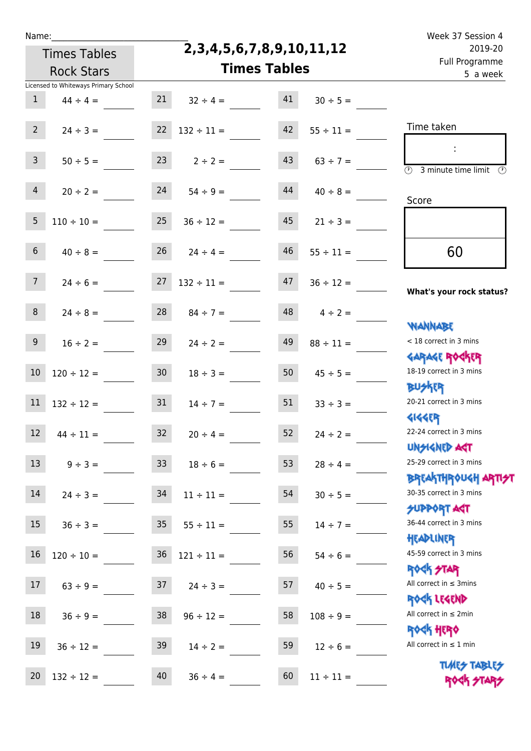| 2019-20<br>Full Programme<br>5 a week                            |                | 2,3,4,5,6,7,8,9,10,11,12<br><b>Times Tables</b> |                      |                 | <b>Times Tables</b><br><b>Rock Stars</b> |                  |  |
|------------------------------------------------------------------|----------------|-------------------------------------------------|----------------------|-----------------|------------------------------------------|------------------|--|
|                                                                  |                |                                                 |                      |                 | Licensed to Whiteways Primary School     |                  |  |
|                                                                  | $30 \div 5 =$  | 41                                              | $32 \div 4 =$        | 21              | $44 \div 4 =$                            | $\mathbf{1}$     |  |
| Time taken                                                       | $55 \div 11 =$ | 42                                              | $132 \div 11 =$      | 22              | $24 \div 3 =$                            | 2 <sup>7</sup>   |  |
| $\overline{\mathcal{D}}$<br>3 minute time limit<br>$\circled{r}$ | $63 \div 7 =$  | 43                                              | $2 \div 2 =$         | 23              | $50 \div 5 =$                            | 3 <sup>7</sup>   |  |
| Score                                                            | $40 \div 8 =$  | 44                                              | $54 \div 9 =$        | 24              | $20 \div 2 =$                            | $\overline{4}$   |  |
|                                                                  | $21 \div 3 =$  | 45                                              | $36 \div 12 =$       | 25              | $110 \div 10 =$                          | $5\phantom{.0}$  |  |
| 60                                                               | $55 \div 11 =$ | 46                                              | $24 \div 4 =$        | 26              | $40 \div 8 =$                            | $6\phantom{.}6$  |  |
| What's your rock status?                                         | $36 \div 12 =$ | 47                                              | $132 \div 11 =$      | 27              | $24 \div 6 =$                            | 7 <sup>7</sup>   |  |
| <b>NANNABE</b>                                                   | $4 \div 2 =$   | 48                                              | $84 \div 7 =$        | 28              | $24 \div 8 =$                            | 8                |  |
| < 18 correct in 3 mins<br><b>GARAGE ROGKER</b>                   | $88 \div 11 =$ | 49                                              | $24 \div 2 =$        | 29              | $16 \div 2 =$                            | 9 <sub>o</sub>   |  |
| 18-19 correct in 3 mins<br><b>BUSKER</b>                         | $45 \div 5 =$  | 50                                              | $18 \div 3 =$        | 30 <sub>o</sub> | $120 \div 12 =$                          | 10               |  |
| 20-21 correct in 3 mins<br><b>4144ER</b>                         | $33 \div 3 =$  | 51                                              | $14 \div 7 =$        | 31              | $132 \div 12 =$                          | 11               |  |
| 22-24 correct in 3 mins<br><b>UNSIGNED AGT</b>                   | $24 \div 2 =$  | 52                                              | $20 \div 4 =$        | 32 <sup>2</sup> | $44 \div 11 =$                           | 12               |  |
| 25-29 correct in 3 mins<br><b>BREAKTHROUGH ARTI<del>S</del>T</b> | $28 \div 4 =$  | 53                                              | $18 \div 6 =$        | 33              | $9 \div 3 =$                             | 13 <sup>13</sup> |  |
| 30-35 correct in 3 mins<br><b>SUPPORT ART</b>                    | $30 \div 5 =$  | 54                                              | $11 \div 11 =$       | 34              | $24 \div 3 =$                            | 14               |  |
| 36-44 correct in 3 mins<br>HEADLINER                             | $14 \div 7 =$  | 55                                              | $35 \t 55 \div 11 =$ |                 | $36 \div 3 =$                            | 15               |  |
| 45-59 correct in 3 mins<br><b>ROCK STAR</b>                      | $54 \div 6 =$  | 56                                              | $121 \div 11 =$      | 36              | $120 \div 10 =$                          | 16               |  |
| All correct in $\leq$ 3mins<br>ROCK LEGEND                       | $40 \div 5 =$  | 57                                              | $24 \div 3 =$        | 37              | $63 \div 9 =$                            | 17 <sup>17</sup> |  |
| All correct in $\leq 2$ min<br><b>ROCK HERO</b>                  | $108 \div 9 =$ | 58                                              | $96 \div 12 =$       | 38              | $36 \div 9 =$                            | 18               |  |
| All correct in $\leq 1$ min                                      | $12 \div 6 =$  | 59                                              | $14 \div 2 =$        | 39              | $36 \div 12 =$                           | 19               |  |
| <b>TUARS TABLES</b><br>ROCK STARS                                | $11 \div 11 =$ | 60                                              | $36 \div 4 =$        | 40              | $132 \div 12 =$                          | 20               |  |